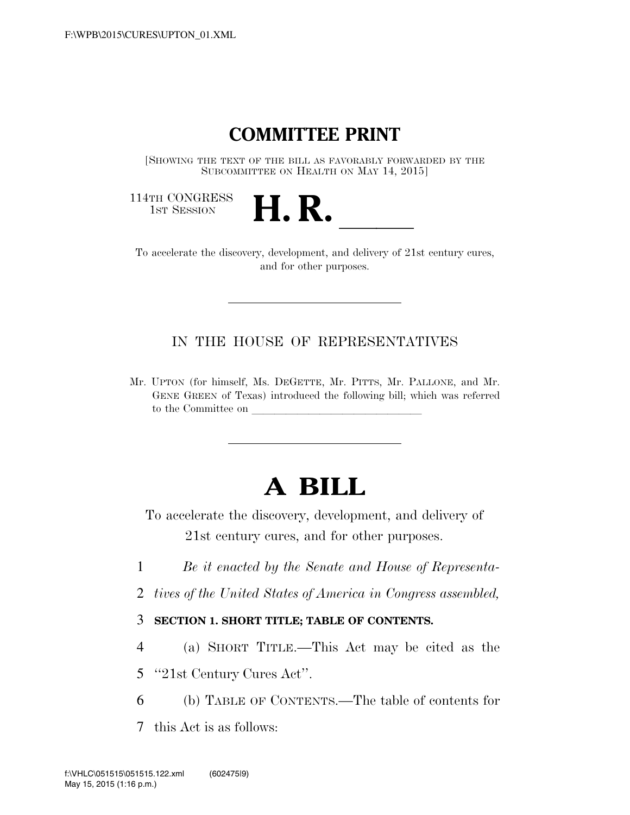# **COMMITTEE PRINT**

[SHOWING THE TEXT OF THE BILL AS FAVORABLY FORWARDED BY THE SUBCOMMITTEE ON HEALTH ON MAY 14, 2015]

114TH CONGRESS<br>1st Session



14TH CONGRESS<br>1st SESSION **H. R. I. B. CONGRESS** and for other purposes.

IN THE HOUSE OF REPRESENTATIVES

Mr. UPTON (for himself, Ms. DEGETTE, Mr. PITTS, Mr. PALLONE, and Mr. GENE GREEN of Texas) introduced the following bill; which was referred to the Committee on

# **A BILL**

To accelerate the discovery, development, and delivery of 21st century cures, and for other purposes.

- 1 *Be it enacted by the Senate and House of Representa-*
- 2 *tives of the United States of America in Congress assembled,*

## 3 **SECTION 1. SHORT TITLE; TABLE OF CONTENTS.**

- 4 (a) SHORT TITLE.—This Act may be cited as the
- 5 ''21st Century Cures Act''.
- 6 (b) TABLE OF CONTENTS.—The table of contents for
- 7 this Act is as follows: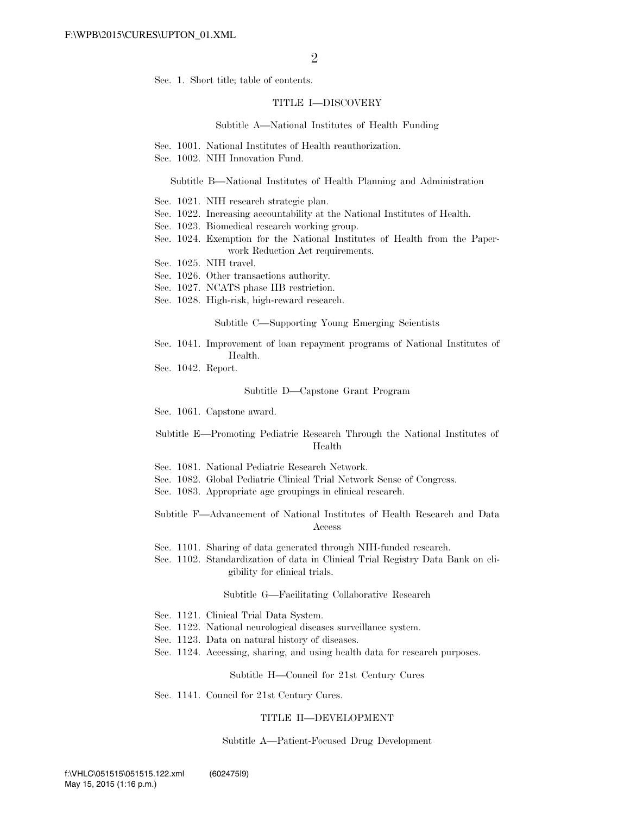Sec. 1. Short title; table of contents.

#### TITLE I—DISCOVERY

#### Subtitle A—National Institutes of Health Funding

- Sec. 1001. National Institutes of Health reauthorization.
- Sec. 1002. NIH Innovation Fund.

#### Subtitle B—National Institutes of Health Planning and Administration

- Sec. 1021. NIH research strategic plan.
- Sec. 1022. Increasing accountability at the National Institutes of Health.
- Sec. 1023. Biomedical research working group.
- Sec. 1024. Exemption for the National Institutes of Health from the Paperwork Reduction Act requirements.
- Sec. 1025. NIH travel.
- Sec. 1026. Other transactions authority.
- Sec. 1027. NCATS phase IIB restriction.
- Sec. 1028. High-risk, high-reward research.

Subtitle C—Supporting Young Emerging Scientists

- Sec. 1041. Improvement of loan repayment programs of National Institutes of Health.
- Sec. 1042. Report.

#### Subtitle D—Capstone Grant Program

Sec. 1061. Capstone award.

Subtitle E—Promoting Pediatric Research Through the National Institutes of Health

- Sec. 1081. National Pediatric Research Network.
- Sec. 1082. Global Pediatric Clinical Trial Network Sense of Congress.
- Sec. 1083. Appropriate age groupings in clinical research.

Subtitle F—Advancement of National Institutes of Health Research and Data Access

Sec. 1101. Sharing of data generated through NIH-funded research.

Sec. 1102. Standardization of data in Clinical Trial Registry Data Bank on eligibility for clinical trials.

#### Subtitle G—Facilitating Collaborative Research

- Sec. 1121. Clinical Trial Data System.
- Sec. 1122. National neurological diseases surveillance system.
- Sec. 1123. Data on natural history of diseases.
- Sec. 1124. Accessing, sharing, and using health data for research purposes.

#### Subtitle H—Council for 21st Century Cures

Sec. 1141. Council for 21st Century Cures.

#### TITLE II—DEVELOPMENT

#### Subtitle A—Patient-Focused Drug Development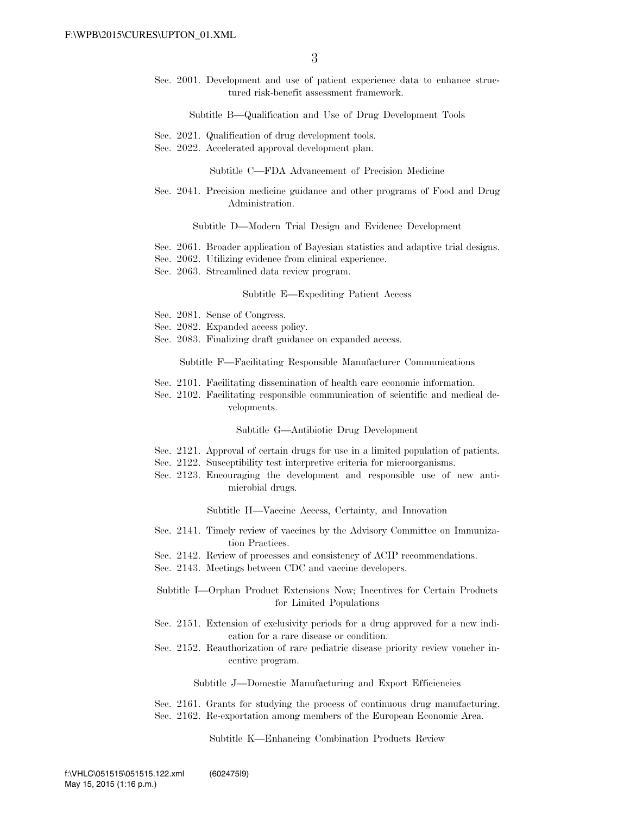Sec. 2001. Development and use of patient experience data to enhance structured risk-benefit assessment framework.

Subtitle B—Qualification and Use of Drug Development Tools

- Sec. 2021. Qualification of drug development tools.
- Sec. 2022. Accelerated approval development plan.

Subtitle C—FDA Advancement of Precision Medicine

Sec. 2041. Precision medicine guidance and other programs of Food and Drug Administration.

Subtitle D—Modern Trial Design and Evidence Development

- Sec. 2061. Broader application of Bayesian statistics and adaptive trial designs.
- Sec. 2062. Utilizing evidence from clinical experience.
- Sec. 2063. Streamlined data review program.

#### Subtitle E—Expediting Patient Access

- Sec. 2081. Sense of Congress.
- Sec. 2082. Expanded access policy.
- Sec. 2083. Finalizing draft guidance on expanded access.

Subtitle F—Facilitating Responsible Manufacturer Communications

- Sec. 2101. Facilitating dissemination of health care economic information.
- Sec. 2102. Facilitating responsible communication of scientific and medical developments.

Subtitle G—Antibiotic Drug Development

- Sec. 2121. Approval of certain drugs for use in a limited population of patients.
- Sec. 2122. Susceptibility test interpretive criteria for microorganisms.
- Sec. 2123. Encouraging the development and responsible use of new antimicrobial drugs.

Subtitle H—Vaccine Access, Certainty, and Innovation

- Sec. 2141. Timely review of vaccines by the Advisory Committee on Immunization Practices.
- Sec. 2142. Review of processes and consistency of ACIP recommendations.
- Sec. 2143. Meetings between CDC and vaccine developers.
- Subtitle I—Orphan Product Extensions Now; Incentives for Certain Products for Limited Populations
- Sec. 2151. Extension of exclusivity periods for a drug approved for a new indication for a rare disease or condition.
- Sec. 2152. Reauthorization of rare pediatric disease priority review voucher incentive program.

Subtitle J—Domestic Manufacturing and Export Efficiencies

Sec. 2161. Grants for studying the process of continuous drug manufacturing. Sec. 2162. Re-exportation among members of the European Economic Area.

Subtitle K—Enhancing Combination Products Review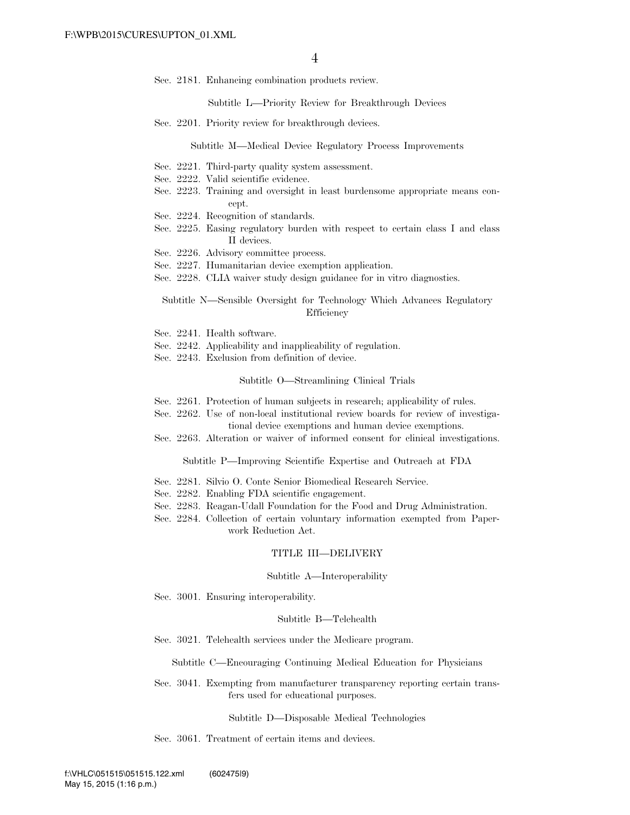Sec. 2181. Enhancing combination products review.

Subtitle L—Priority Review for Breakthrough Devices

Sec. 2201. Priority review for breakthrough devices.

Subtitle M—Medical Device Regulatory Process Improvements

- Sec. 2221. Third-party quality system assessment.
- Sec. 2222. Valid scientific evidence.
- Sec. 2223. Training and oversight in least burdensome appropriate means concept.
- Sec. 2224. Recognition of standards.
- Sec. 2225. Easing regulatory burden with respect to certain class I and class II devices.
- Sec. 2226. Advisory committee process.
- Sec. 2227. Humanitarian device exemption application.
- Sec. 2228. CLIA waiver study design guidance for in vitro diagnostics.

Subtitle N—Sensible Oversight for Technology Which Advances Regulatory **Efficiency** 

- Sec. 2241. Health software.
- Sec. 2242. Applicability and inapplicability of regulation.
- Sec. 2243. Exclusion from definition of device.

#### Subtitle O—Streamlining Clinical Trials

- Sec. 2261. Protection of human subjects in research; applicability of rules.
- Sec. 2262. Use of non-local institutional review boards for review of investigational device exemptions and human device exemptions.
- Sec. 2263. Alteration or waiver of informed consent for clinical investigations.

Subtitle P—Improving Scientific Expertise and Outreach at FDA

- Sec. 2281. Silvio O. Conte Senior Biomedical Research Service.
- Sec. 2282. Enabling FDA scientific engagement.
- Sec. 2283. Reagan-Udall Foundation for the Food and Drug Administration.
- Sec. 2284. Collection of certain voluntary information exempted from Paperwork Reduction Act.

#### TITLE III—DELIVERY

#### Subtitle A—Interoperability

Sec. 3001. Ensuring interoperability.

#### Subtitle B—Telehealth

Sec. 3021. Telehealth services under the Medicare program.

#### Subtitle C—Encouraging Continuing Medical Education for Physicians

Sec. 3041. Exempting from manufacturer transparency reporting certain transfers used for educational purposes.

#### Subtitle D—Disposable Medical Technologies

Sec. 3061. Treatment of certain items and devices.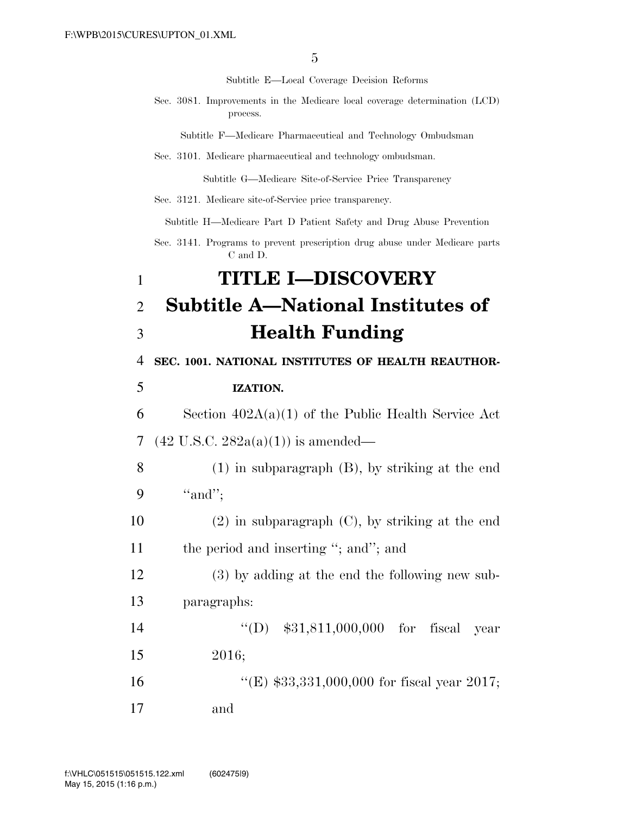Subtitle E—Local Coverage Decision Reforms

Sec. 3081. Improvements in the Medicare local coverage determination (LCD) process.

Subtitle F—Medicare Pharmaceutical and Technology Ombudsman

Sec. 3101. Medicare pharmaceutical and technology ombudsman.

Subtitle G—Medicare Site-of-Service Price Transparency

Sec. 3121. Medicare site-of-Service price transparency.

Subtitle H—Medicare Part D Patient Safety and Drug Abuse Prevention

Sec. 3141. Programs to prevent prescription drug abuse under Medicare parts C and D.

# 1 **TITLE I—DISCOVERY**  2 **Subtitle A—National Institutes of**

# 3 **Health Funding**

4 **SEC. 1001. NATIONAL INSTITUTES OF HEALTH REAUTHOR-**

### 5 **IZATION.**

6 Section  $402A(a)(1)$  of the Public Health Service Act 7 (42 U.S.C. 282a(a)(1)) is amended—

8 (1) in subparagraph (B), by striking at the end 9 "and";

10 (2) in subparagraph (C), by striking at the end 11 the period and inserting "; and"; and

12 (3) by adding at the end the following new sub-13 paragraphs:

14 ''(D) \$31,811,000,000 for fiscal year 15 2016;

16 ''(E) \$33,331,000,000 for fiscal year 2017;

17 and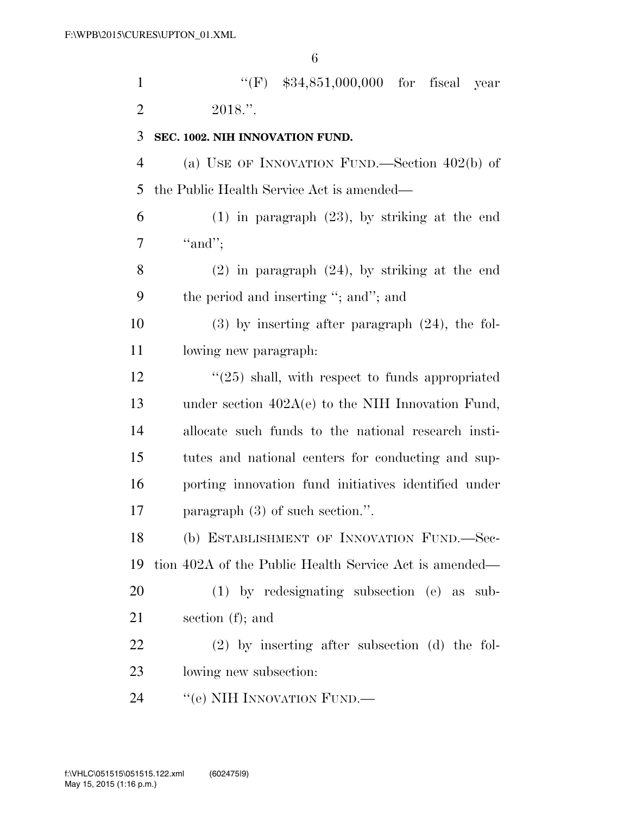| $\mathbf{1}$   | "(F) $$34,851,000,000$ for fiscal year                 |
|----------------|--------------------------------------------------------|
| $\overline{2}$ | 2018."                                                 |
| 3              | SEC. 1002. NIH INNOVATION FUND.                        |
| $\overline{4}$ | (a) USE OF INNOVATION FUND.—Section $402(b)$ of        |
| 5              | the Public Health Service Act is amended—              |
| 6              | $(1)$ in paragraph $(23)$ , by striking at the end     |
| 7              | "and";                                                 |
| 8              | $(2)$ in paragraph $(24)$ , by striking at the end     |
| 9              | the period and inserting "; and"; and                  |
| 10             | $(3)$ by inserting after paragraph $(24)$ , the fol-   |
| 11             | lowing new paragraph.                                  |
| 12             | $\lq(25)$ shall, with respect to funds appropriated    |
| 13             | under section $402A(e)$ to the NIH Innovation Fund,    |
| 14             | allocate such funds to the national research insti-    |
| 15             | tutes and national centers for conducting and sup-     |
| 16             | porting innovation fund initiatives identified under   |
| 17             | paragraph $(3)$ of such section.".                     |
| 18             | (b) ESTABLISHMENT OF INNOVATION FUND.-Sec-             |
| 19             | tion 402A of the Public Health Service Act is amended— |
| 20             | $(1)$ by redesignating subsection $(e)$ as sub-        |
| 21             | section $(f)$ ; and                                    |
| 22             | $(2)$ by inserting after subsection (d) the fol-       |
| 23             | lowing new subsection:                                 |
| 24             | "(e) NIH INNOVATION FUND.—                             |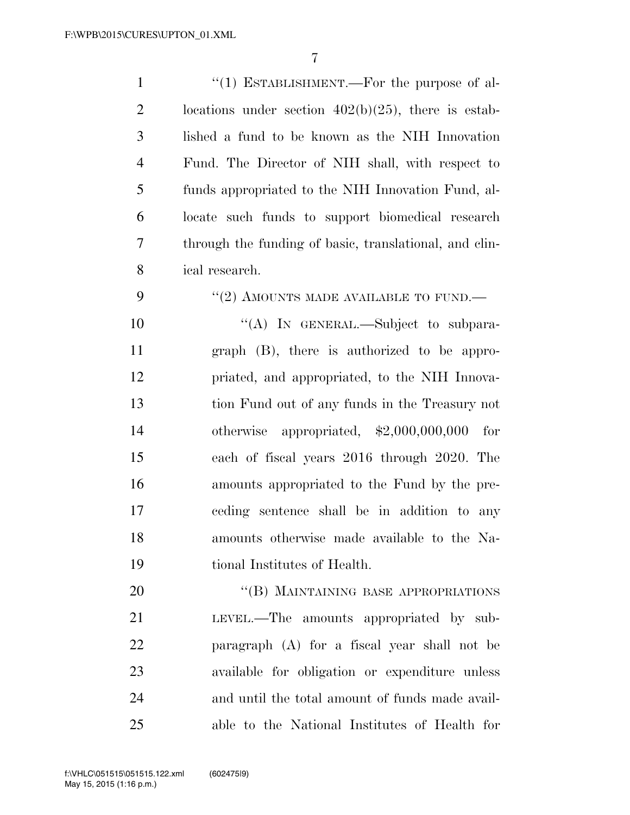| $\mathbf{1}$   | "(1) ESTABLISHMENT.—For the purpose of al-             |
|----------------|--------------------------------------------------------|
| $\overline{2}$ | locations under section $402(b)(25)$ , there is estab- |
| 3              | lished a fund to be known as the NIH Innovation        |
| $\overline{4}$ | Fund. The Director of NIH shall, with respect to       |
| 5              | funds appropriated to the NIH Innovation Fund, al-     |
| 6              | locate such funds to support biomedical research       |
| 7              | through the funding of basic, translational, and clin- |
| 8              | ical research.                                         |
| 9              | "(2) AMOUNTS MADE AVAILABLE TO FUND.—                  |
| 10             | "(A) IN GENERAL.—Subject to subpara-                   |
| 11             | graph (B), there is authorized to be appro-            |
| 12             | priated, and appropriated, to the NIH Innova-          |
| 13             | tion Fund out of any funds in the Treasury not         |
| 14             | otherwise appropriated, $$2,000,000,000$<br>for        |
| 15             | each of fiscal years 2016 through 2020. The            |
| 16             | amounts appropriated to the Fund by the pre-           |
| 17             | ceding sentence shall be in addition to any            |
| 18             | amounts otherwise made available to the Na-            |
| 19             | tional Institutes of Health.                           |
| 20             | "(B) MAINTAINING BASE APPROPRIATIONS                   |
| 21             | LEVEL.—The amounts appropriated by sub-                |
| 22             | paragraph (A) for a fiscal year shall not be           |
| 23             | available for obligation or expenditure unless         |
| 24             | and until the total amount of funds made avail-        |
| 25             | able to the National Institutes of Health for          |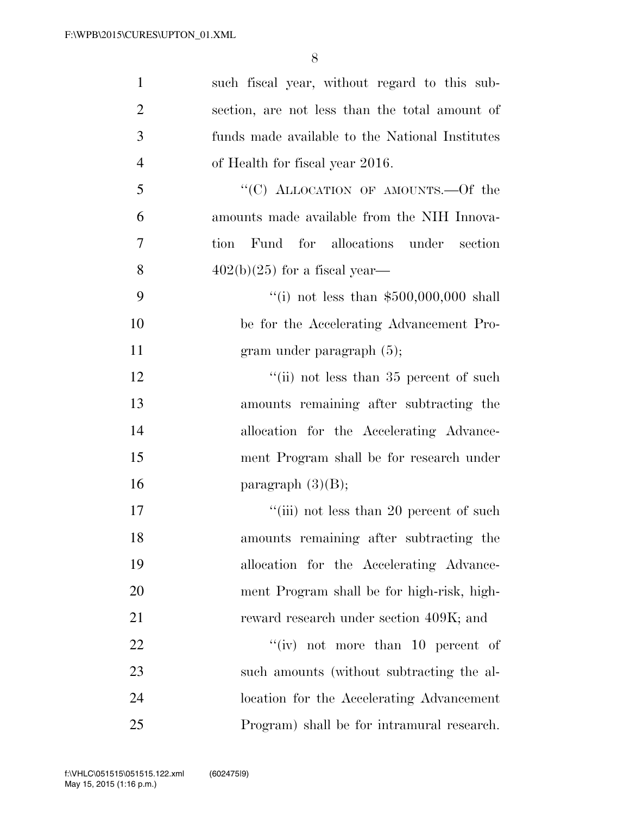| $\mathbf{1}$   | such fiscal year, without regard to this sub-   |
|----------------|-------------------------------------------------|
| $\overline{2}$ | section, are not less than the total amount of  |
| 3              | funds made available to the National Institutes |
| $\overline{4}$ | of Health for fiscal year 2016.                 |
| 5              | "(C) ALLOCATION OF AMOUNTS.—Of the              |
| 6              | amounts made available from the NIH Innova-     |
| 7              | Fund for allocations under section<br>tion      |
| 8              | $402(b)(25)$ for a fiscal year—                 |
| 9              | "(i) not less than $$500,000,000$ shall         |
| 10             | be for the Accelerating Advancement Pro-        |
| 11             | gram under paragraph $(5)$ ;                    |
| 12             | "(ii) not less than $35$ percent of such        |
| 13             | amounts remaining after subtracting the         |
| 14             | allocation for the Accelerating Advance-        |
| 15             | ment Program shall be for research under        |
| 16             | paragraph $(3)(B)$ ;                            |
| 17             | "(iii) not less than 20 percent of such         |
| 18             | amounts remaining after subtracting the         |
| 19             | allocation for the Accelerating Advance-        |
| 20             | ment Program shall be for high-risk, high-      |
| 21             | reward research under section 409K; and         |
| 22             | "(iv) not more than 10 percent of               |
| 23             | such amounts (without subtracting the al-       |
| 24             | location for the Accelerating Advancement       |
| 25             | Program) shall be for intramural research.      |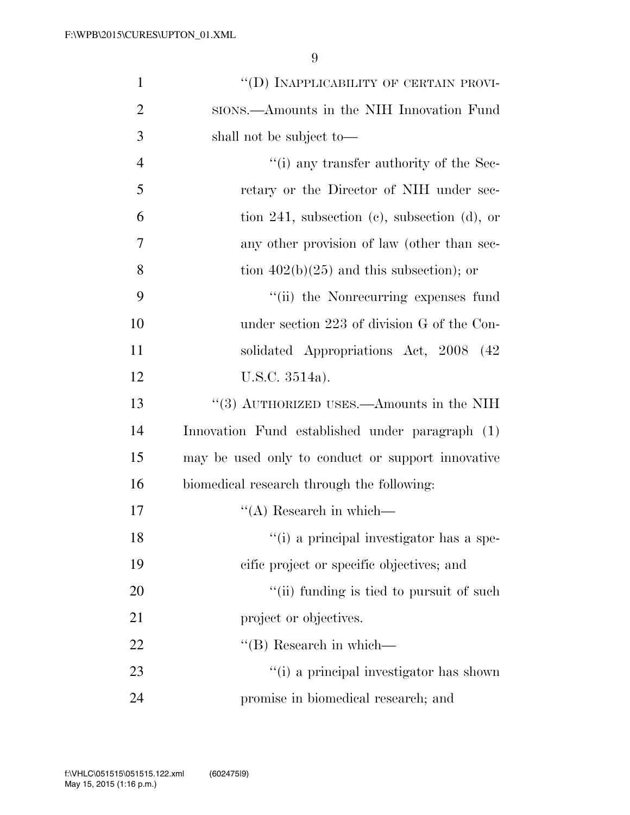| $\mathbf{1}$   | "(D) INAPPLICABILITY OF CERTAIN PROVI-                      |
|----------------|-------------------------------------------------------------|
| $\overline{2}$ | sions.—Amounts in the NIH Innovation Fund                   |
| 3              | shall not be subject to—                                    |
| $\overline{4}$ | $\cdot$ <sup>"</sup> (i) any transfer authority of the Sec- |
| 5              | retary or the Director of NIH under sec-                    |
| 6              | tion 241, subsection $(c)$ , subsection $(d)$ , or          |
| 7              | any other provision of law (other than sec-                 |
| 8              | tion $402(b)(25)$ and this subsection); or                  |
| 9              | "(ii) the Nonrecurring expenses fund                        |
| 10             | under section 223 of division G of the Con-                 |
| 11             | solidated Appropriations Act, 2008 (42)                     |
| 12             | U.S.C. 3514a).                                              |
| 13             | "(3) AUTHORIZED USES.—Amounts in the NIH                    |
| 14             | Innovation Fund established under paragraph (1)             |
| 15             | may be used only to conduct or support innovative           |
| 16             | biomedical research through the following:                  |
| 17             | $\lq\lq$ Research in which—                                 |
| 18             | "(i) a principal investigator has a spe-                    |
| 19             | cific project or specific objectives; and                   |
| 20             | "(ii) funding is tied to pursuit of such                    |
| 21             | project or objectives.                                      |
| 22             | $\lq\lq$ (B) Research in which—                             |
| 23             | "(i) a principal investigator has shown                     |
| 24             | promise in biomedical research; and                         |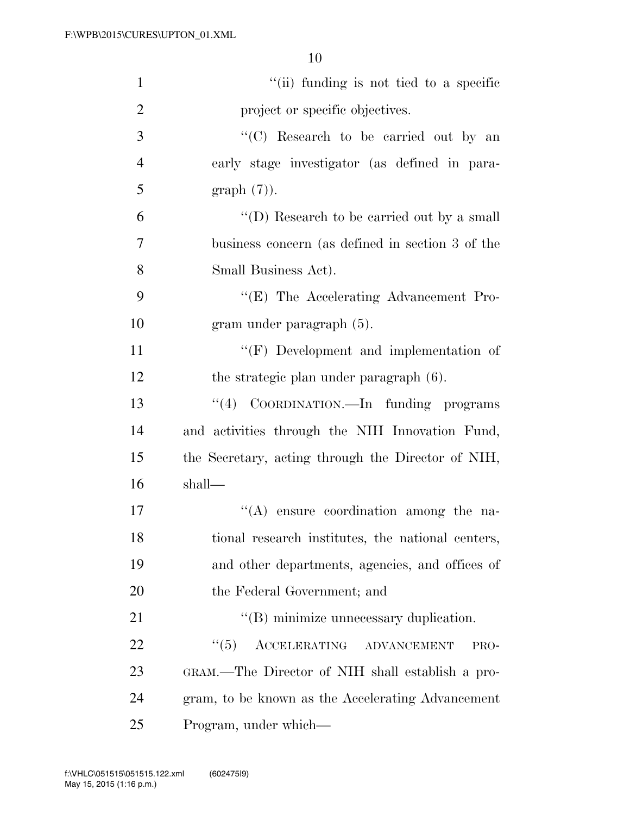| $\mathbf{1}$   | "(ii) funding is not tied to a specific            |
|----------------|----------------------------------------------------|
| $\overline{2}$ | project or specific objectives.                    |
| 3              | "(C) Research to be carried out by an              |
| $\overline{4}$ | early stage investigator (as defined in para-      |
| 5              | $graph(7)$ .                                       |
| 6              | "(D) Research to be carried out by a small         |
| 7              | business concern (as defined in section 3 of the   |
| 8              | Small Business Act).                               |
| 9              | "(E) The Accelerating Advancement Pro-             |
| 10             | gram under paragraph (5).                          |
| 11             | $\lq\lq(F)$ Development and implementation of      |
| 12             | the strategic plan under paragraph (6).            |
| 13             | "(4) COORDINATION.—In funding programs             |
| 14             | and activities through the NIH Innovation Fund,    |
| 15             | the Secretary, acting through the Director of NIH, |
| 16             | shall—                                             |
| 17             | $\lq\lq$ ensure coordination among the na-         |
| 18             | tional research institutes, the national centers,  |
| 19             | and other departments, agencies, and offices of    |
| 20             | the Federal Government; and                        |
| 21             | "(B) minimize unnecessary duplication.             |
| 22             | ``(5)<br>ACCELERATING ADVANCEMENT<br>PRO-          |
| 23             | GRAM.—The Director of NIH shall establish a pro-   |
| 24             | gram, to be known as the Accelerating Advancement  |
| 25             | Program, under which—                              |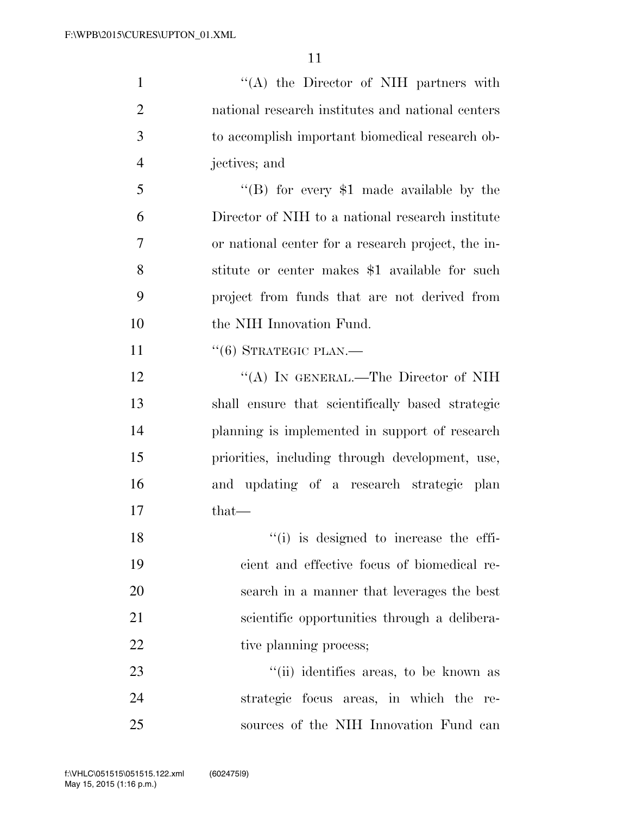| $\mathbf{1}$   | "(A) the Director of NIH partners with             |
|----------------|----------------------------------------------------|
| $\overline{2}$ | national research institutes and national centers  |
| 3              | to accomplish important biomedical research ob-    |
| $\overline{4}$ | jectives; and                                      |
| 5              | "(B) for every $$1$ made available by the          |
| 6              | Director of NIH to a national research institute   |
| 7              | or national center for a research project, the in- |
| 8              | stitute or center makes \$1 available for such     |
| 9              | project from funds that are not derived from       |
| 10             | the NIH Innovation Fund.                           |
| 11             | $``(6)$ STRATEGIC PLAN.—                           |
| 12             | "(A) IN GENERAL.—The Director of NIH               |
| 13             | shall ensure that scientifically based strategic   |
| 14             | planning is implemented in support of research     |
| 15             | priorities, including through development, use,    |
| 16             | and updating of a research strategic plan          |
| 17             | $that-$                                            |
| 18             | "(i) is designed to increase the effi-             |
| 19             | cient and effective focus of biomedical re-        |
| 20             | search in a manner that leverages the best         |
| 21             | scientific opportunities through a delibera-       |
| 22             | tive planning process;                             |
| 23             | "(ii) identifies areas, to be known as             |
| 24             | strategic focus areas, in which the re-            |
| 25             | sources of the NIH Innovation Fund can             |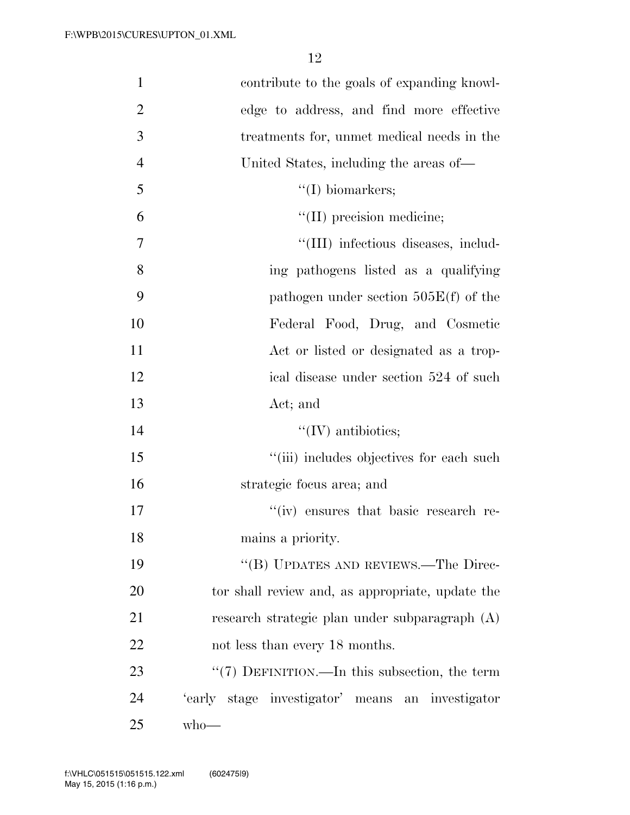| $\mathbf{1}$   | contribute to the goals of expanding knowl-      |
|----------------|--------------------------------------------------|
| $\overline{2}$ | edge to address, and find more effective         |
| 3              | treatments for, unmet medical needs in the       |
| $\overline{4}$ | United States, including the areas of—           |
| 5              | $\lq\lq$ (I) biomarkers;                         |
| 6              | "(II) precision medicine;                        |
| 7              | "(III) infectious diseases, includ-              |
| 8              | ing pathogens listed as a qualifying             |
| 9              | pathogen under section $505E(f)$ of the          |
| 10             | Federal Food, Drug, and Cosmetic                 |
| 11             | Act or listed or designated as a trop-           |
| 12             | ical disease under section 524 of such           |
| 13             | Act; and                                         |
| 14             | $\lq\lq$ (IV) antibiotics;                       |
| 15             | "(iii) includes objectives for each such         |
| 16             | strategic focus area; and                        |
| 17             | "(iv) ensures that basic research re-            |
| 18             | mains a priority.                                |
| 19             | "(B) UPDATES AND REVIEWS.—The Direc-             |
| 20             | tor shall review and, as appropriate, update the |
| 21             | research strategic plan under subparagraph (A)   |
| 22             | not less than every 18 months.                   |
| 23             | "(7) DEFINITION.—In this subsection, the term    |
| 24             | 'early stage investigator' means an investigator |
| 25             | $w$ ho—                                          |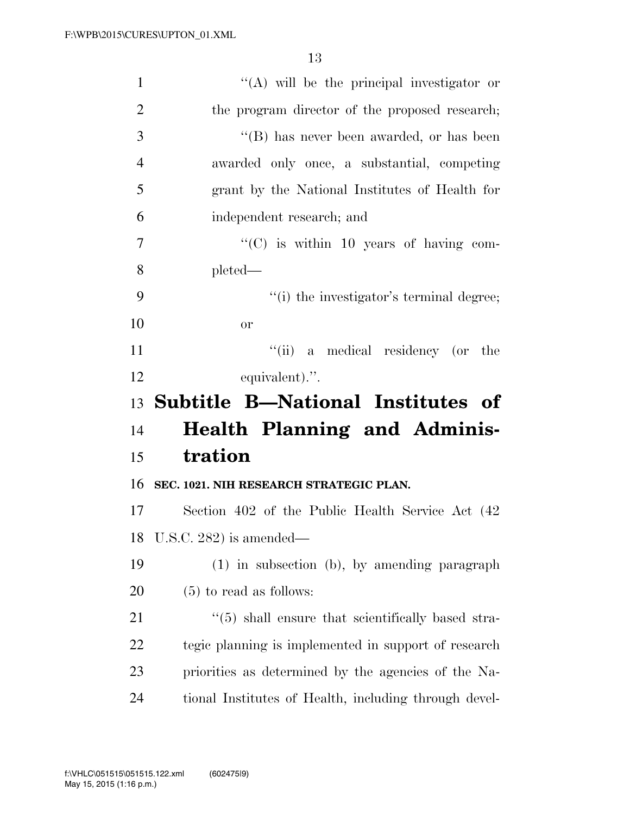| $\mathbf{1}$   | $\lq\lq$ will be the principal investigator or           |
|----------------|----------------------------------------------------------|
| $\overline{2}$ | the program director of the proposed research;           |
| 3              | $\lq\lq$ (B) has never been awarded, or has been         |
| $\overline{4}$ | awarded only once, a substantial, competing              |
| 5              | grant by the National Institutes of Health for           |
| 6              | independent research; and                                |
| 7              | " $(C)$ is within 10 years of having com-                |
| 8              | $pleted -$                                               |
| 9              | "(i) the investigator's terminal degree;                 |
| 10             | <sub>or</sub>                                            |
| 11             | "(ii) a medical residency (or the                        |
| 12             | equivalent).".                                           |
|                |                                                          |
|                | 13 Subtitle B—National Institutes of                     |
| 14             | <b>Health Planning and Adminis-</b>                      |
| 15             | tration                                                  |
| 16             | SEC. 1021. NIH RESEARCH STRATEGIC PLAN.                  |
| 17             | Section 402 of the Public Health Service Act (42)        |
| 18             | U.S.C. 282) is amended—                                  |
| 19             | $(1)$ in subsection $(b)$ , by amending paragraph        |
| 20             | $(5)$ to read as follows:                                |
| 21             | $\cdot$ (5) shall ensure that scientifically based stra- |
| 22             | tegic planning is implemented in support of research     |
| 23             | priorities as determined by the agencies of the Na-      |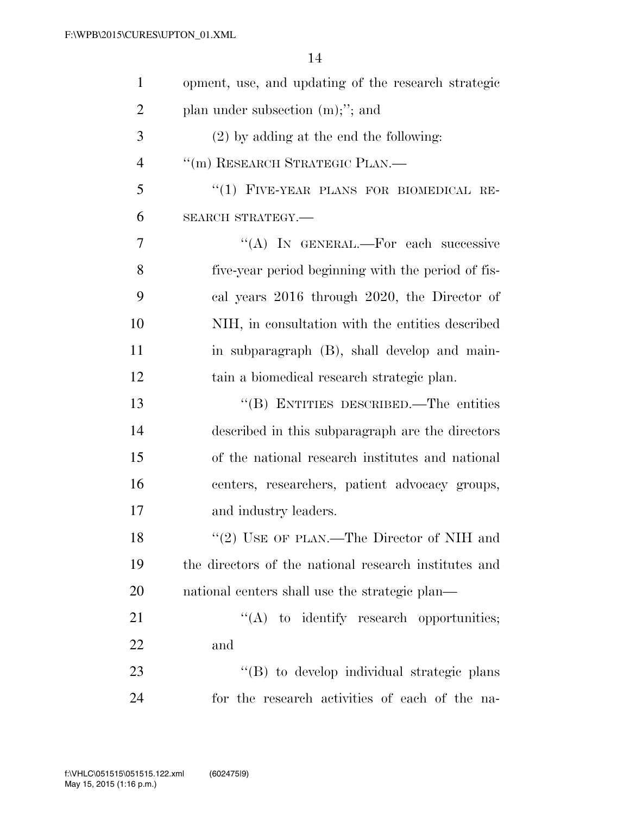| $\mathbf{1}$   | opment, use, and updating of the research strategic   |
|----------------|-------------------------------------------------------|
| $\overline{2}$ | plan under subsection $(m)$ ;"; and                   |
| 3              | $(2)$ by adding at the end the following:             |
| $\overline{4}$ | "(m) RESEARCH STRATEGIC PLAN.-                        |
| 5              | "(1) FIVE-YEAR PLANS FOR BIOMEDICAL RE-               |
| 6              | SEARCH STRATEGY.-                                     |
| 7              | "(A) IN GENERAL.—For each successive                  |
| 8              | five-year period beginning with the period of fis-    |
| 9              | cal years 2016 through 2020, the Director of          |
| 10             | NIH, in consultation with the entities described      |
| 11             | in subparagraph (B), shall develop and main-          |
| 12             | tain a biomedical research strategic plan.            |
| 13             | "(B) ENTITIES DESCRIBED.—The entities                 |
| 14             | described in this subparagraph are the directors      |
| 15             | of the national research institutes and national      |
| 16             | centers, researchers, patient advocacy groups,        |
| 17             | and industry leaders.                                 |
| 18             | "(2) USE OF PLAN.—The Director of NIH and             |
| 19             | the directors of the national research institutes and |
| 20             | national centers shall use the strategic plan—        |
| 21             | $\lq\lq$ to identify research opportunities;          |
| 22             | and                                                   |
| 23             | "(B) to develop individual strategic plans            |
| 24             | for the research activities of each of the na-        |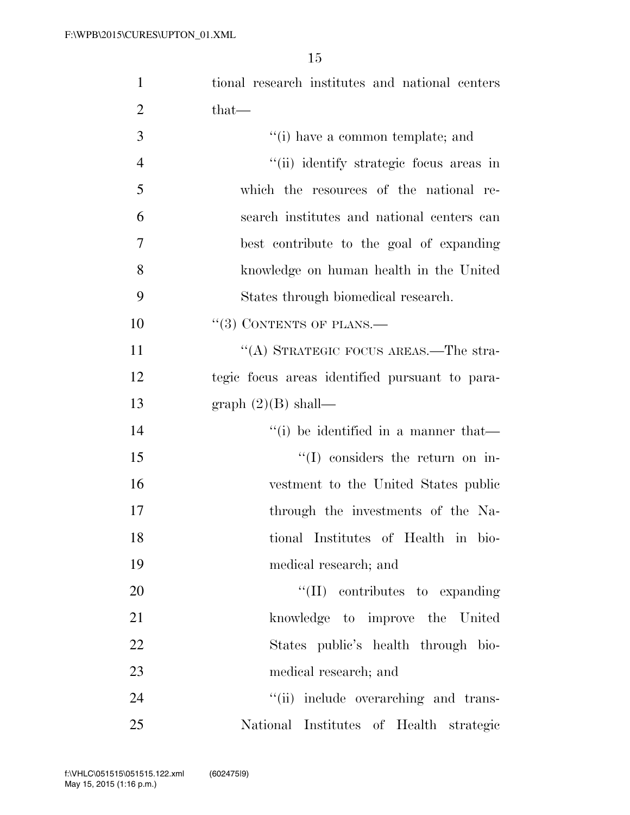| $\mathbf{1}$   | tional research institutes and national centers        |
|----------------|--------------------------------------------------------|
| $\overline{2}$ | that—                                                  |
| 3              | "(i) have a common template; and                       |
| $\overline{4}$ | "(ii) identify strategic focus areas in                |
| 5              | which the resources of the national re-                |
| 6              | search institutes and national centers can             |
| 7              | best contribute to the goal of expanding               |
| 8              | knowledge on human health in the United                |
| 9              | States through biomedical research.                    |
| 10             | $\cdot\cdot(3)$ CONTENTS OF PLANS.—                    |
| 11             | "(A) STRATEGIC FOCUS AREAS.—The stra-                  |
| 12             | tegic focus areas identified pursuant to para-         |
| 13             | graph $(2)(B)$ shall—                                  |
| 14             | $\lq$ <sup>"</sup> (i) be identified in a manner that— |
| 15             | $\lq\lq$ considers the return on in-                   |
| 16             | vestment to the United States public                   |
| 17             | through the investments of the Na-                     |
| 18             | tional Institutes of Health in bio-                    |
| 19             | medical research; and                                  |
| 20             | $\lq\lq$ (II) contributes to expanding                 |
| 21             | knowledge to improve the United                        |
| 22             | States public's health through bio-                    |
| 23             | medical research; and                                  |
| 24             | "(ii) include overarching and trans-                   |
| 25             | National Institutes of Health strategic                |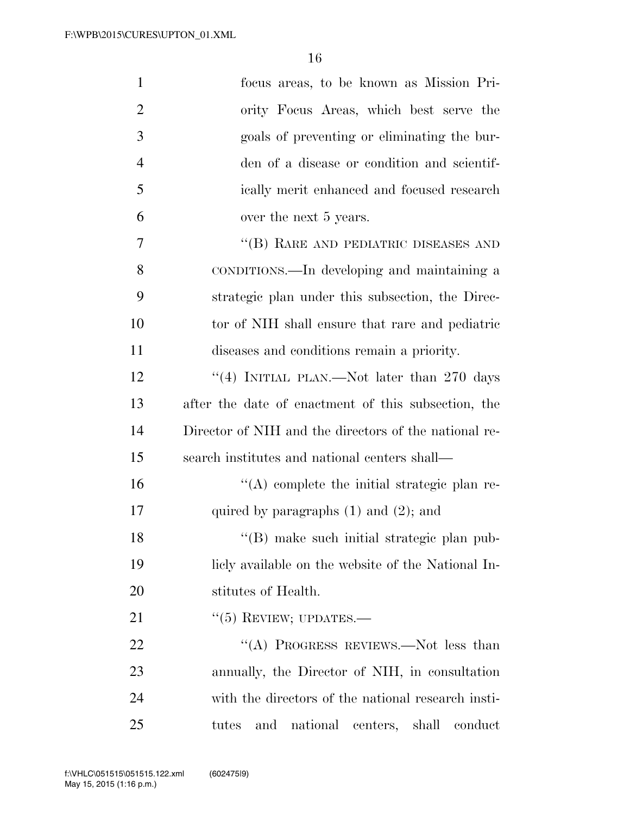| $\mathbf{1}$   | focus areas, to be known as Mission Pri-              |
|----------------|-------------------------------------------------------|
| $\overline{2}$ | ority Focus Areas, which best serve the               |
| 3              | goals of preventing or eliminating the bur-           |
| $\overline{4}$ | den of a disease or condition and scientif-           |
| 5              | ically merit enhanced and focused research            |
| 6              | over the next 5 years.                                |
| 7              | "(B) RARE AND PEDIATRIC DISEASES AND                  |
| 8              | CONDITIONS.—In developing and maintaining a           |
| 9              | strategic plan under this subsection, the Direc-      |
| 10             | tor of NIH shall ensure that rare and pediatric       |
| 11             | diseases and conditions remain a priority.            |
| 12             | "(4) INITIAL PLAN.—Not later than 270 days            |
| 13             | after the date of enactment of this subsection, the   |
| 14             | Director of NIH and the directors of the national re- |
| 15             | search institutes and national centers shall—         |
| 16             | $\lq\lq$ complete the initial strategic plan re-      |
| 17             | quired by paragraphs $(1)$ and $(2)$ ; and            |
| 18             | "(B) make such initial strategic plan pub-            |
| 19             | licly available on the website of the National In-    |
| 20             | stitutes of Health.                                   |
| 21             | $``(5)$ REVIEW; UPDATES.—                             |
| 22             | "(A) PROGRESS REVIEWS.—Not less than                  |
| 23             | annually, the Director of NIH, in consultation        |
| 24             | with the directors of the national research insti-    |
| 25             | national centers, shall<br>tutes<br>and<br>conduct    |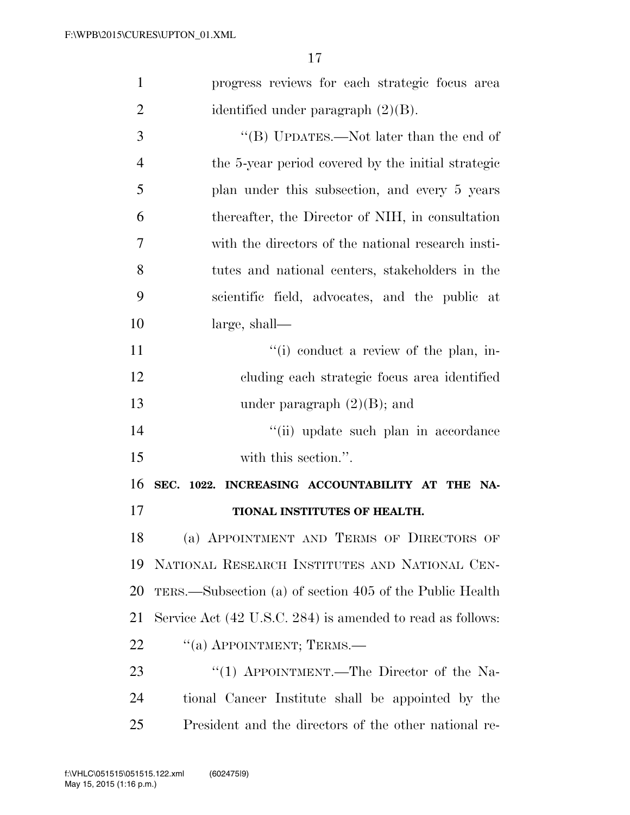| $\mathbf{1}$   | progress reviews for each strategic focus area             |
|----------------|------------------------------------------------------------|
| $\overline{2}$ | identified under paragraph $(2)(B)$ .                      |
| 3              | "(B) UPDATES.—Not later than the end of                    |
| $\overline{4}$ | the 5-year period covered by the initial strategic         |
| 5              | plan under this subsection, and every 5 years              |
| 6              | thereafter, the Director of NIH, in consultation           |
| 7              | with the directors of the national research insti-         |
| 8              | tutes and national centers, stakeholders in the            |
| 9              | scientific field, advocates, and the public at             |
| 10             | large, shall—                                              |
| 11             | "(i) conduct a review of the plan, in-                     |
| 12             | cluding each strategic focus area identified               |
| 13             | under paragraph $(2)(B)$ ; and                             |
| 14             | "(ii) update such plan in accordance                       |
| 15             | with this section.".                                       |
| 16             | SEC. 1022. INCREASING ACCOUNTABILITY AT THE NA-            |
| 17             | TIONAL INSTITUTES OF HEALTH.                               |
| 18             | (a) APPOINTMENT AND TERMS OF DIRECTORS OF                  |
| 19             | NATIONAL RESEARCH INSTITUTES AND NATIONAL CEN-             |
| 20             | TERS.—Subsection (a) of section 405 of the Public Health   |
| 21             | Service Act (42 U.S.C. 284) is amended to read as follows: |
| 22             | "(a) APPOINTMENT; TERMS.—                                  |
| 23             | "(1) APPOINTMENT.—The Director of the Na-                  |
| 24             | tional Cancer Institute shall be appointed by the          |
| 25             | President and the directors of the other national re-      |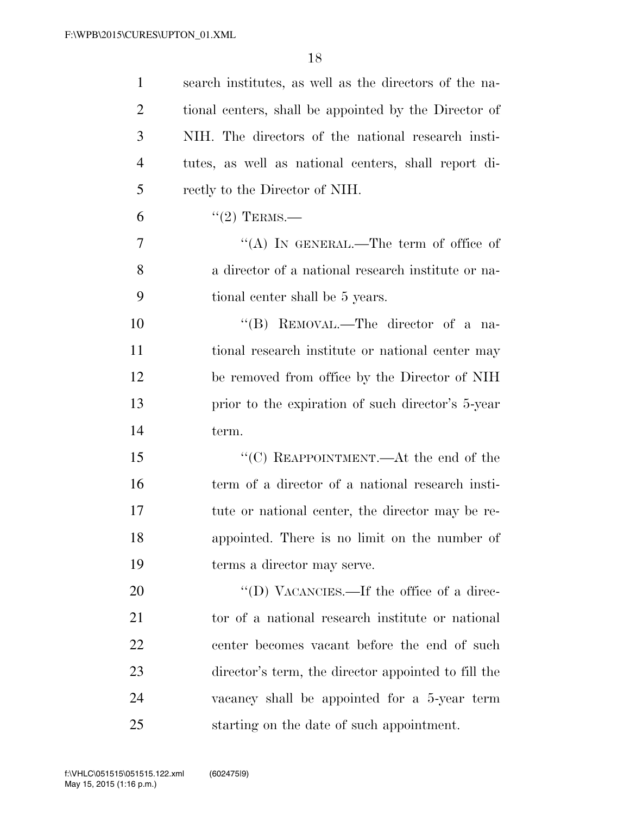| $\mathbf{1}$   | search institutes, as well as the directors of the na- |
|----------------|--------------------------------------------------------|
| $\overline{2}$ | tional centers, shall be appointed by the Director of  |
| 3              | NIH. The directors of the national research insti-     |
| $\overline{4}$ | tutes, as well as national centers, shall report di-   |
| 5              | rectly to the Director of NIH.                         |
| 6              | $\lq(2)$ TERMS.—                                       |
| 7              | "(A) IN GENERAL.—The term of office of                 |
| 8              | a director of a national research institute or na-     |
| 9              | tional center shall be 5 years.                        |
| 10             | "(B) REMOVAL.—The director of a na-                    |
| 11             | tional research institute or national center may       |
| 12             | be removed from office by the Director of NIH          |
| 13             | prior to the expiration of such director's 5-year      |
| 14             | term.                                                  |
| 15             | " $(C)$ REAPPOINTMENT.—At the end of the               |
| 16             | term of a director of a national research insti-       |
| 17             | tute or national center, the director may be re-       |
| 18             | appointed. There is no limit on the number of          |
| 19             | terms a director may serve.                            |
| 20             | "(D) VACANCIES.—If the office of a direc-              |
| 21             | tor of a national research institute or national       |
| 22             | center becomes vacant before the end of such           |
| 23             | director's term, the director appointed to fill the    |
| 24             | vacancy shall be appointed for a 5-year term           |
| 25             | starting on the date of such appointment.              |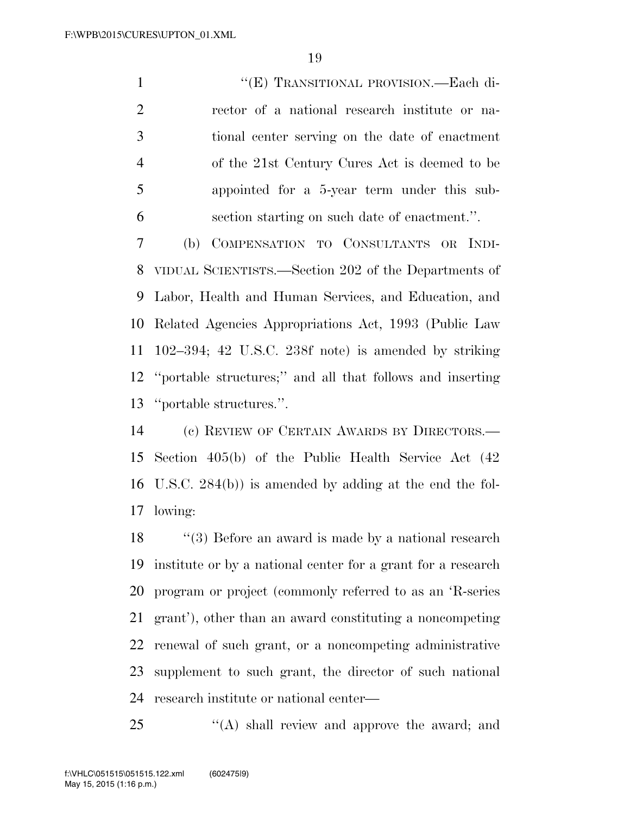$"$ (E) TRANSITIONAL PROVISION.—Each di- rector of a national research institute or na- tional center serving on the date of enactment of the 21st Century Cures Act is deemed to be appointed for a 5-year term under this sub-section starting on such date of enactment.''.

 (b) COMPENSATION TO CONSULTANTS OR INDI- VIDUAL SCIENTISTS.—Section 202 of the Departments of Labor, Health and Human Services, and Education, and Related Agencies Appropriations Act, 1993 (Public Law 102–394; 42 U.S.C. 238f note) is amended by striking ''portable structures;'' and all that follows and inserting ''portable structures.''.

 (c) REVIEW OF CERTAIN AWARDS BY DIRECTORS.— Section 405(b) of the Public Health Service Act (42 U.S.C. 284(b)) is amended by adding at the end the fol-lowing:

18 ''(3) Before an award is made by a national research institute or by a national center for a grant for a research program or project (commonly referred to as an 'R-series grant'), other than an award constituting a noncompeting renewal of such grant, or a noncompeting administrative supplement to such grant, the director of such national research institute or national center—

25 "(A) shall review and approve the award; and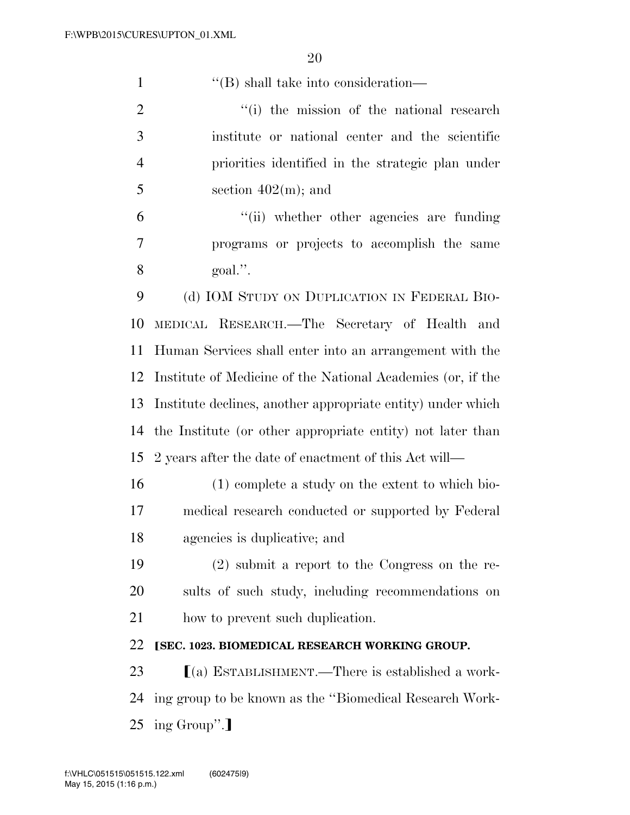''(B) shall take into consideration—

2 ''(i) the mission of the national research institute or national center and the scientific priorities identified in the strategic plan under  $5 \qquad \qquad \text{section } 402(m); \text{ and}$ 

 ''(ii) whether other agencies are funding programs or projects to accomplish the same goal.''.

 (d) IOM STUDY ON DUPLICATION IN FEDERAL BIO- MEDICAL RESEARCH.—The Secretary of Health and Human Services shall enter into an arrangement with the Institute of Medicine of the National Academies (or, if the Institute declines, another appropriate entity) under which the Institute (or other appropriate entity) not later than 2 years after the date of enactment of this Act will—

 (1) complete a study on the extent to which bio- medical research conducted or supported by Federal agencies is duplicative; and

 (2) submit a report to the Congress on the re- sults of such study, including recommendations on how to prevent such duplication.

## ø**SEC. 1023. BIOMEDICAL RESEARCH WORKING GROUP.**

23  $(a)$  ESTABLISHMENT.—There is established a work- ing group to be known as the ''Biomedical Research Work-25 ing Group".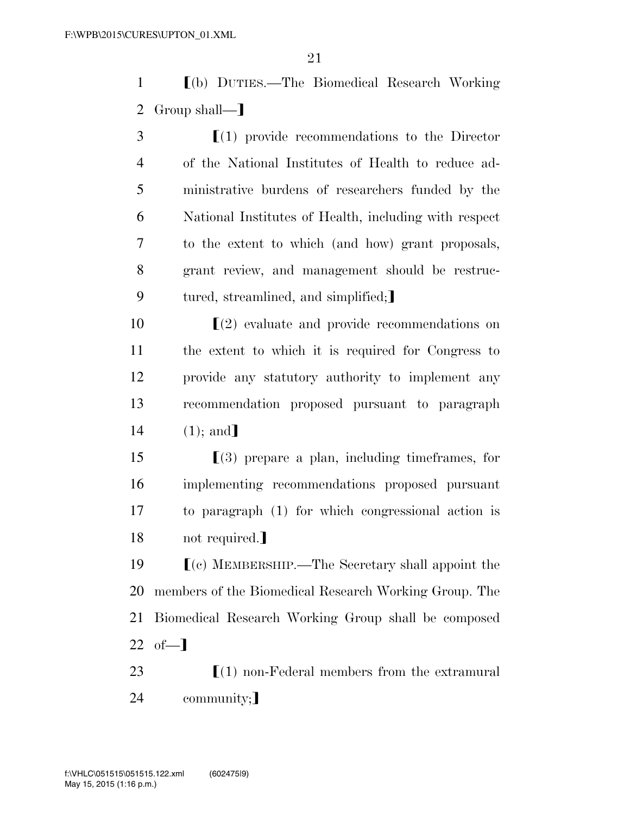1 ø(b) DUTIES.—The Biomedical Research Working 2 Group shall— $\mathbb{R}$ 

 $\mathfrak{I}$   $\left(1\right)$  provide recommendations to the Director of the National Institutes of Health to reduce ad- ministrative burdens of researchers funded by the National Institutes of Health, including with respect to the extent to which (and how) grant proposals, grant review, and management should be restruc-9 tured, streamlined, and simplified;

  $\left(2\right)$  evaluate and provide recommendations on the extent to which it is required for Congress to provide any statutory authority to implement any recommendation proposed pursuant to paragraph  $14 \t(1);$  and

 [(3) prepare a plan, including timeframes, for implementing recommendations proposed pursuant to paragraph (1) for which congressional action is 18 not required.

 $\Gamma$ (c) MEMBERSHIP.—The Secretary shall appoint the members of the Biomedical Research Working Group. The Biomedical Research Working Group shall be composed  $22 \text{ of} -1$ 

23  $\lceil (1) \text{ non-Federal members from the extremural}$ 24 community;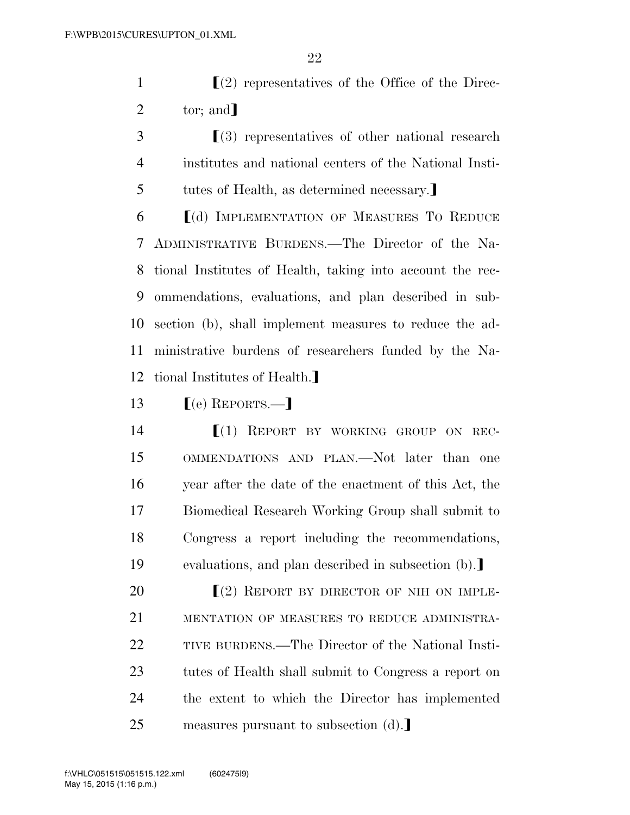1  $\left(2\right)$  representatives of the Office of the Direc-2  $\text{tor: and}$ 

 ø(3) representatives of other national research institutes and national centers of the National Insti-5 tutes of Health, as determined necessary.

  $[(d)$  IMPLEMENTATION OF MEASURES TO REDUCE ADMINISTRATIVE BURDENS.—The Director of the Na- tional Institutes of Health, taking into account the rec- ommendations, evaluations, and plan described in sub- section (b), shall implement measures to reduce the ad- ministrative burdens of researchers funded by the Na-12 tional Institutes of Health.

13  $\lceil (e)$  REPORTS.—

**[(1) REPORT BY WORKING GROUP ON REC-** OMMENDATIONS AND PLAN.—Not later than one year after the date of the enactment of this Act, the Biomedical Research Working Group shall submit to Congress a report including the recommendations, 19 evaluations, and plan described in subsection (b).

 $\Gamma(2)$  REPORT BY DIRECTOR OF NIH ON IMPLE- MENTATION OF MEASURES TO REDUCE ADMINISTRA- TIVE BURDENS.—The Director of the National Insti- tutes of Health shall submit to Congress a report on the extent to which the Director has implemented 25 measures pursuant to subsection (d).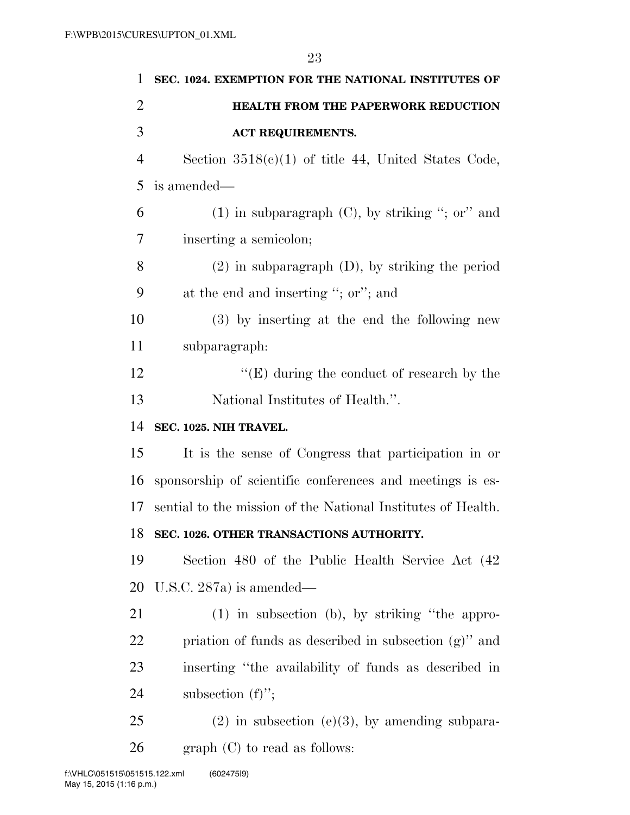| 1              | SEC. 1024. EXEMPTION FOR THE NATIONAL INSTITUTES OF          |
|----------------|--------------------------------------------------------------|
| $\overline{2}$ | HEALTH FROM THE PAPERWORK REDUCTION                          |
| 3              | <b>ACT REQUIREMENTS.</b>                                     |
| $\overline{4}$ | Section $3518(c)(1)$ of title 44, United States Code,        |
| 5              | is amended—                                                  |
| 6              | $(1)$ in subparagraph $(C)$ , by striking "; or" and         |
| 7              | inserting a semicolon;                                       |
| 8              | $(2)$ in subparagraph $(D)$ , by striking the period         |
| 9              | at the end and inserting "; or"; and                         |
| 10             | (3) by inserting at the end the following new                |
| 11             | subparagraph:                                                |
| 12             | $\lq\lq(E)$ during the conduct of research by the            |
| 13             | National Institutes of Health.".                             |
|                |                                                              |
| 14             | SEC. 1025. NIH TRAVEL.                                       |
| 15             | It is the sense of Congress that participation in or         |
| 16             | sponsorship of scientific conferences and meetings is es-    |
| 17             | sential to the mission of the National Institutes of Health. |
| 18             | SEC. 1026. OTHER TRANSACTIONS AUTHORITY.                     |
| 19             | Section 480 of the Public Health Service Act (42)            |
| 20             | U.S.C. $287a$ ) is amended—                                  |
| 21             | (1) in subsection (b), by striking "the appro-               |
| 22             | priation of funds as described in subsection $(g)$ " and     |
| 23             | inserting "the availability of funds as described in         |
| 24             | subsection $(f)$ ";                                          |
| 25             | $(2)$ in subsection $(e)(3)$ , by amending subpara-          |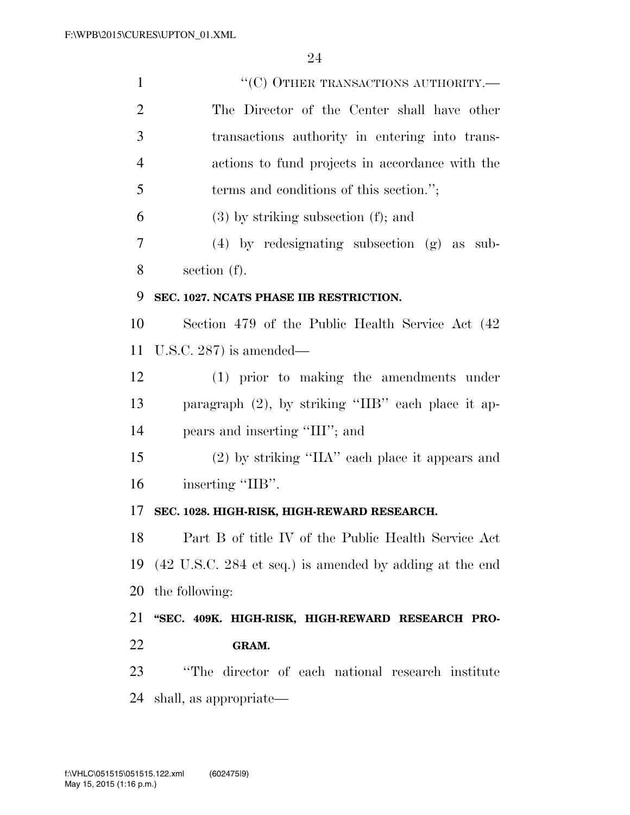| $\mathbf{1}$   | "(C) OTHER TRANSACTIONS AUTHORITY.-                     |
|----------------|---------------------------------------------------------|
| $\overline{2}$ | The Director of the Center shall have other             |
| 3              | transactions authority in entering into trans-          |
| $\overline{4}$ | actions to fund projects in accordance with the         |
| 5              | terms and conditions of this section.";                 |
| 6              | $(3)$ by striking subsection $(f)$ ; and                |
| 7              | $(4)$ by redesignating subsection $(g)$ as sub-         |
| 8              | section $(f)$ .                                         |
| 9              | SEC. 1027. NCATS PHASE IIB RESTRICTION.                 |
| 10             | Section 479 of the Public Health Service Act (42)       |
| 11             | U.S.C. $287$ ) is amended—                              |
| 12             | (1) prior to making the amendments under                |
| 13             | paragraph (2), by striking "IIB" each place it ap-      |
| 14             | pears and inserting "III"; and                          |
| 15             | $(2)$ by striking "IIA" each place it appears and       |
| 16             | inserting "IIB".                                        |
| 17             | SEC. 1028. HIGH-RISK, HIGH-REWARD RESEARCH.             |
| 18             | Part B of title IV of the Public Health Service Act     |
| 19             | (42 U.S.C. 284 et seq.) is amended by adding at the end |
| 20             | the following:                                          |
| 21             | "SEC. 409K. HIGH-RISK, HIGH-REWARD RESEARCH PRO-        |
| 22             | GRAM.                                                   |
| 23             | "The director of each national research institute       |
| 24             | shall, as appropriate—                                  |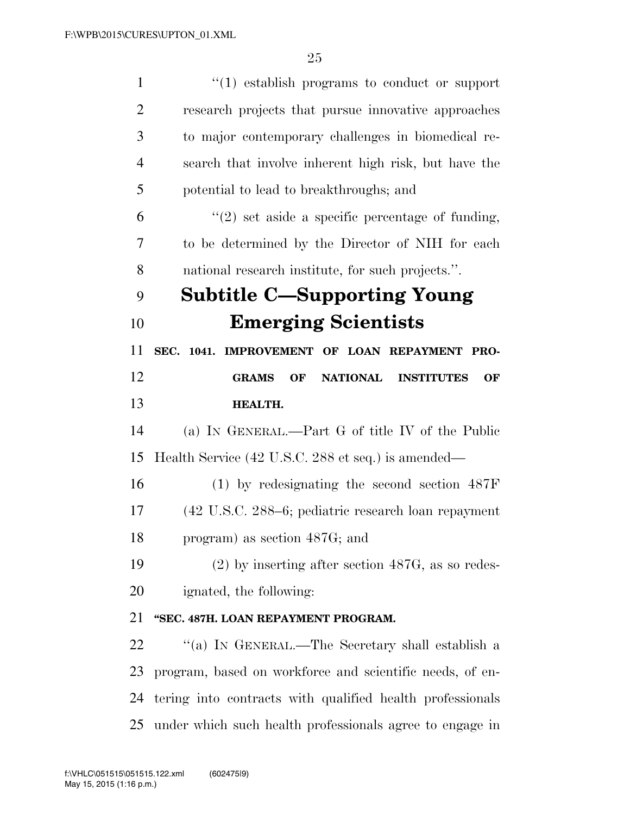| $\mathbf{1}$   | $\lq(1)$ establish programs to conduct or support         |
|----------------|-----------------------------------------------------------|
| $\overline{2}$ | research projects that pursue innovative approaches       |
| 3              | to major contemporary challenges in biomedical re-        |
| $\overline{4}$ | search that involve inherent high risk, but have the      |
| 5              | potential to lead to breakthroughs; and                   |
| 6              | $\lq(2)$ set aside a specific percentage of funding,      |
| 7              | to be determined by the Director of NIH for each          |
| 8              | national research institute, for such projects.".         |
| 9              | <b>Subtitle C—Supporting Young</b>                        |
| 10             | <b>Emerging Scientists</b>                                |
| 11             | SEC. 1041. IMPROVEMENT OF LOAN REPAYMENT PRO-             |
| 12             | NATIONAL INSTITUTES<br><b>GRAMS</b><br>OF<br>OF           |
| 13             | <b>HEALTH.</b>                                            |
|                |                                                           |
| 14             | (a) IN GENERAL.—Part G of title IV of the Public          |
| 15             | Health Service (42 U.S.C. 288 et seq.) is amended—        |
| 16             | $(1)$ by redesignating the second section $487F$          |
| 17             | (42 U.S.C. 288–6; pediatric research loan repayment       |
| 18             | program) as section 487G; and                             |
| 19             | $(2)$ by inserting after section 487G, as so redes-       |
| 20             | ignated, the following:                                   |
| 21             | "SEC. 487H. LOAN REPAYMENT PROGRAM.                       |
| 22             | "(a) IN GENERAL.—The Secretary shall establish a          |
| 23             | program, based on workforce and scientific needs, of en-  |
| 24             | tering into contracts with qualified health professionals |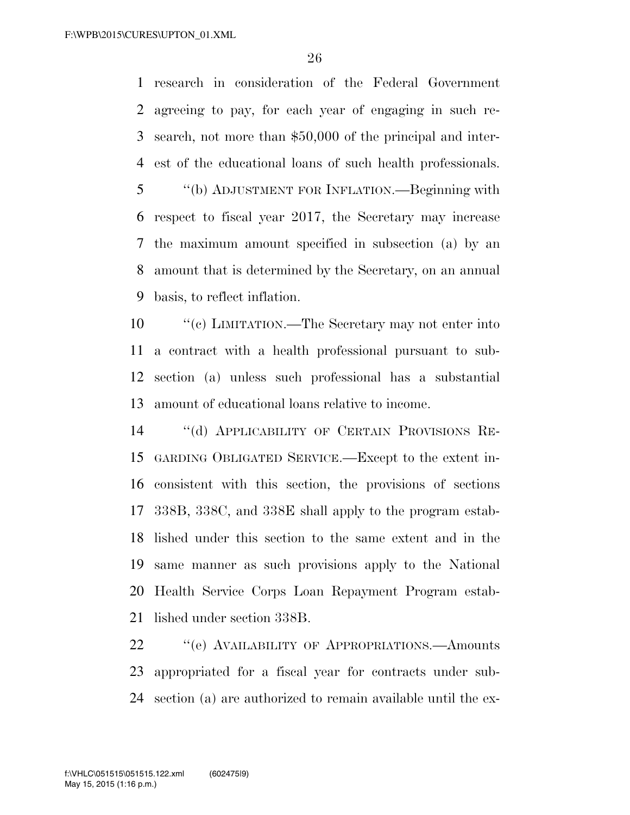research in consideration of the Federal Government agreeing to pay, for each year of engaging in such re- search, not more than \$50,000 of the principal and inter- est of the educational loans of such health professionals. ''(b) ADJUSTMENT FOR INFLATION.—Beginning with respect to fiscal year 2017, the Secretary may increase the maximum amount specified in subsection (a) by an amount that is determined by the Secretary, on an annual basis, to reflect inflation.

 ''(c) LIMITATION.—The Secretary may not enter into a contract with a health professional pursuant to sub- section (a) unless such professional has a substantial amount of educational loans relative to income.

 ''(d) APPLICABILITY OF CERTAIN PROVISIONS RE- GARDING OBLIGATED SERVICE.—Except to the extent in- consistent with this section, the provisions of sections 338B, 338C, and 338E shall apply to the program estab- lished under this section to the same extent and in the same manner as such provisions apply to the National Health Service Corps Loan Repayment Program estab-lished under section 338B.

22 "
(e) AVAILABILITY OF APPROPRIATIONS. Amounts appropriated for a fiscal year for contracts under sub-section (a) are authorized to remain available until the ex-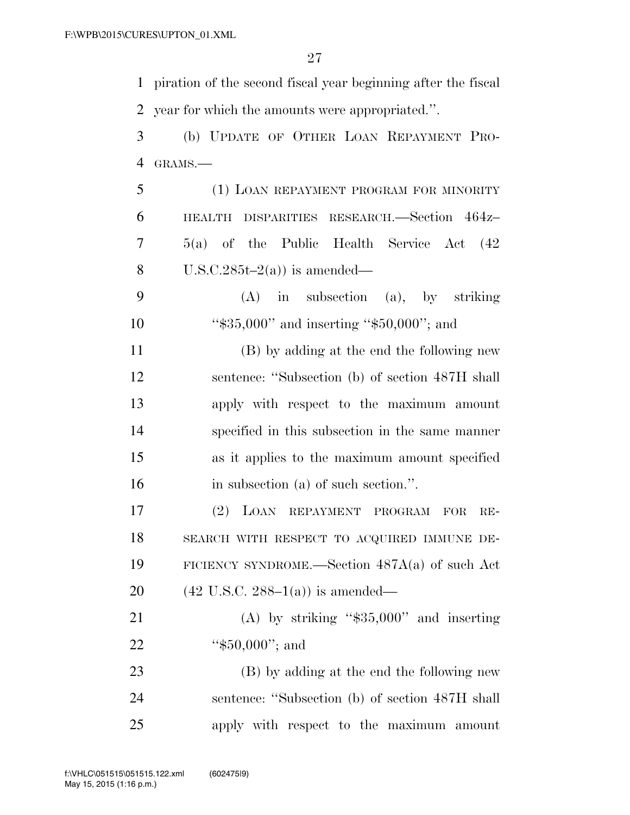piration of the second fiscal year beginning after the fiscal year for which the amounts were appropriated.''.

 (b) UPDATE OF OTHER LOAN REPAYMENT PRO-GRAMS.—

 (1) LOAN REPAYMENT PROGRAM FOR MINORITY HEALTH DISPARITIES RESEARCH.—Section 464z– 5(a) of the Public Health Service Act (42 8 U.S.C.285t–2(a)) is amended—

 (A) in subsection (a), by striking 10 "\$35,000" and inserting "\$50,000"; and

 (B) by adding at the end the following new sentence: ''Subsection (b) of section 487H shall apply with respect to the maximum amount specified in this subsection in the same manner as it applies to the maximum amount specified in subsection (a) of such section.''.

 (2) LOAN REPAYMENT PROGRAM FOR RE- SEARCH WITH RESPECT TO ACQUIRED IMMUNE DE- FICIENCY SYNDROME.—Section 487A(a) of such Act 20 (42 U.S.C. 288–1(a)) is amended—

21 (A) by striking "\$35,000" and inserting 22 "\$50,000"; and

 (B) by adding at the end the following new sentence: ''Subsection (b) of section 487H shall apply with respect to the maximum amount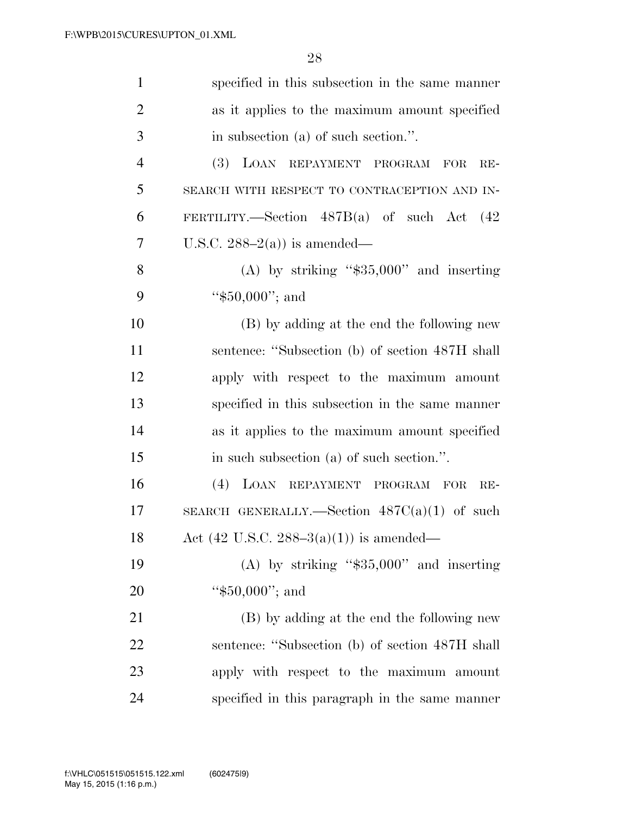| $\mathbf{1}$   | specified in this subsection in the same manner      |
|----------------|------------------------------------------------------|
| $\overline{2}$ | as it applies to the maximum amount specified        |
| 3              | in subsection (a) of such section.".                 |
| $\overline{4}$ | (3)<br>LOAN REPAYMENT PROGRAM<br><b>FOR</b><br>$RE-$ |
| 5              | SEARCH WITH RESPECT TO CONTRACEPTION AND IN-         |
| 6              | FERTILITY.—Section $487B(a)$ of such Act $(42)$      |
| 7              | U.S.C. $288-2(a)$ is amended—                        |
| 8              | (A) by striking " $$35,000"$ and inserting           |
| 9              | " $$50,000"$ ; and                                   |
| 10             | (B) by adding at the end the following new           |
| 11             | sentence: "Subsection (b) of section 487H shall      |
| 12             | apply with respect to the maximum amount             |
| 13             | specified in this subsection in the same manner      |
| 14             | as it applies to the maximum amount specified        |
| 15             | in such subsection (a) of such section.".            |
| 16             | (4)<br>LOAN REPAYMENT PROGRAM FOR<br>$RE-$           |
| 17             | SEARCH GENERALLY.—Section $487C(a)(1)$ of such       |
| 18             | Act (42 U.S.C. 288–3(a)(1)) is amended—              |
| 19             | (A) by striking " $$35,000"$ and inserting           |
| 20             | " $$50,000$ "; and                                   |
| 21             | (B) by adding at the end the following new           |
| 22             | sentence: "Subsection (b) of section 487H shall      |
| 23             | apply with respect to the maximum amount             |
| 24             | specified in this paragraph in the same manner       |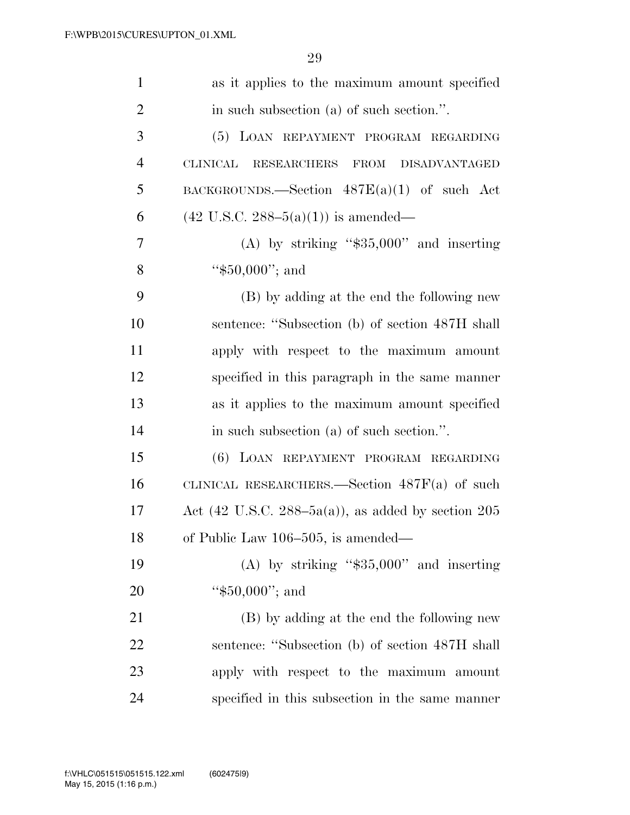| $\mathbf{1}$   | as it applies to the maximum amount specified        |
|----------------|------------------------------------------------------|
| $\overline{2}$ | in such subsection (a) of such section.".            |
| 3              | (5) LOAN REPAYMENT PROGRAM REGARDING                 |
| $\overline{4}$ | CLINICAL RESEARCHERS FROM DISADVANTAGED              |
| 5              | BACKGROUNDS.—Section $487E(a)(1)$ of such Act        |
| 6              | $(42 \text{ U.S.C. } 288-5(a)(1))$ is amended—       |
| 7              | (A) by striking " $$35,000"$ and inserting           |
| 8              | " $$50,000$ "; and                                   |
| 9              | (B) by adding at the end the following new           |
| 10             | sentence: "Subsection (b) of section 487H shall      |
| 11             | apply with respect to the maximum amount             |
| 12             | specified in this paragraph in the same manner       |
| 13             | as it applies to the maximum amount specified        |
| 14             | in such subsection (a) of such section.".            |
| 15             | (6) LOAN REPAYMENT PROGRAM REGARDING                 |
| 16             | CLINICAL RESEARCHERS.—Section $487F(a)$ of such      |
| 17             | Act (42 U.S.C. 288–5a(a)), as added by section $205$ |
| 18             | of Public Law 106-505, is amended—                   |
| 19             | (A) by striking " $$35,000"$ and inserting           |
| 20             | " $$50,000$ "; and                                   |
| 21             | (B) by adding at the end the following new           |
| 22             | sentence: "Subsection (b) of section 487H shall      |
| 23             | apply with respect to the maximum amount             |
| 24             | specified in this subsection in the same manner      |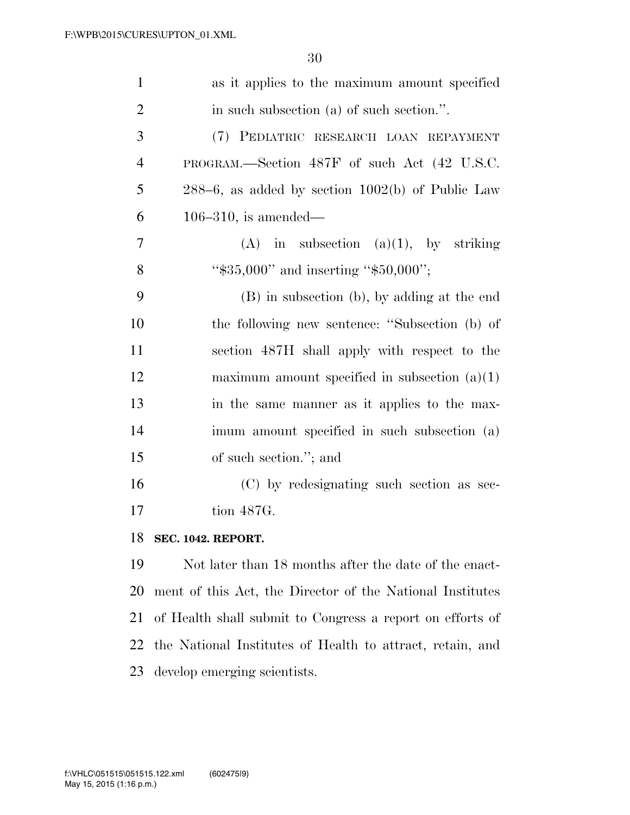| $\mathbf{1}$   | as it applies to the maximum amount specified         |
|----------------|-------------------------------------------------------|
| $\overline{2}$ | in such subsection (a) of such section.".             |
| 3              | (7) PEDIATRIC RESEARCH LOAN REPAYMENT                 |
| $\overline{4}$ | PROGRAM.—Section 487F of such Act (42 U.S.C.          |
| 5              | $288-6$ , as added by section $1002(b)$ of Public Law |
| 6              | $106-310$ , is amended—                               |
| 7              | in subsection $(a)(1)$ , by striking<br>(A)           |
| 8              | " $$35,000"$ and inserting " $$50,000"$ ;             |
| 9              | (B) in subsection (b), by adding at the end           |
| 10             | the following new sentence: "Subsection (b) of        |
| 11             | section 487H shall apply with respect to the          |
| 12             | maximum amount specified in subsection $(a)(1)$       |
| 13             | in the same manner as it applies to the max-          |
| 14             | imum amount specified in such subsection (a)          |
| 15             | of such section."; and                                |
| 16             | (C) by redesignating such section as sec-             |
| 17             | tion 487G.                                            |
| 18             | <b>SEC. 1042. REPORT.</b>                             |
| 19             | Not later than 18 months after the date of the enact- |
|                |                                                       |

 ment of this Act, the Director of the National Institutes of Health shall submit to Congress a report on efforts of the National Institutes of Health to attract, retain, and develop emerging scientists.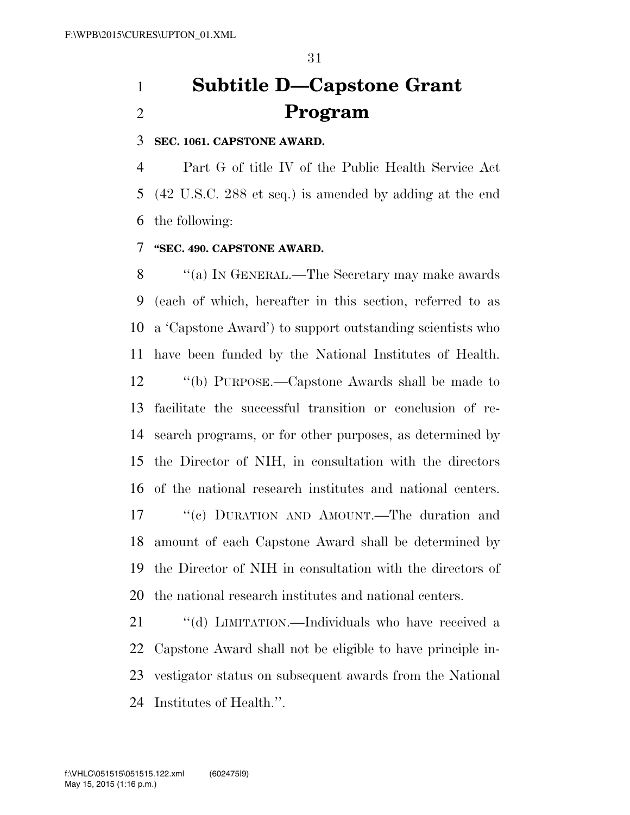# **Subtitle D—Capstone Grant Program**

### **SEC. 1061. CAPSTONE AWARD.**

 Part G of title IV of the Public Health Service Act (42 U.S.C. 288 et seq.) is amended by adding at the end the following:

## **''SEC. 490. CAPSTONE AWARD.**

 ''(a) IN GENERAL.—The Secretary may make awards (each of which, hereafter in this section, referred to as a 'Capstone Award') to support outstanding scientists who have been funded by the National Institutes of Health.

 ''(b) PURPOSE.—Capstone Awards shall be made to facilitate the successful transition or conclusion of re- search programs, or for other purposes, as determined by the Director of NIH, in consultation with the directors of the national research institutes and national centers. ''(c) DURATION AND AMOUNT.—The duration and amount of each Capstone Award shall be determined by the Director of NIH in consultation with the directors of the national research institutes and national centers.

21 "(d) LIMITATION.—Individuals who have received a Capstone Award shall not be eligible to have principle in- vestigator status on subsequent awards from the National Institutes of Health.''.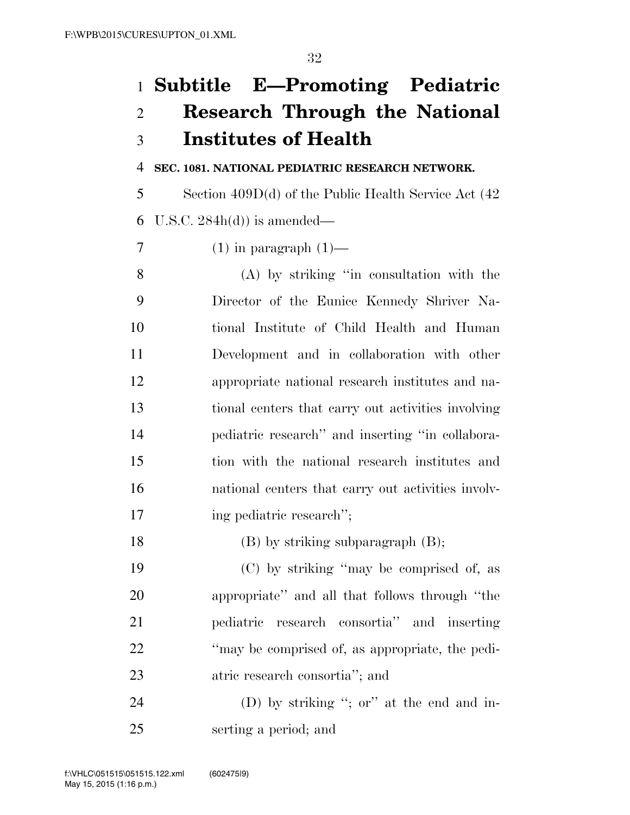# **Subtitle E—Promoting Pediatric Research Through the National Institutes of Health**

## **SEC. 1081. NATIONAL PEDIATRIC RESEARCH NETWORK.**

 Section 409D(d) of the Public Health Service Act (42 6 U.S.C.  $284h(d)$  is amended—

7 (1) in paragraph  $(1)$ —

 (A) by striking ''in consultation with the Director of the Eunice Kennedy Shriver Na- tional Institute of Child Health and Human Development and in collaboration with other appropriate national research institutes and na- tional centers that carry out activities involving pediatric research'' and inserting ''in collabora- tion with the national research institutes and national centers that carry out activities involv-ing pediatric research'';

18 (B) by striking subparagraph (B);

 (C) by striking ''may be comprised of, as appropriate'' and all that follows through ''the pediatric research consortia'' and inserting ''may be comprised of, as appropriate, the pedi-atric research consortia''; and

24 (D) by striking "; or" at the end and in-serting a period; and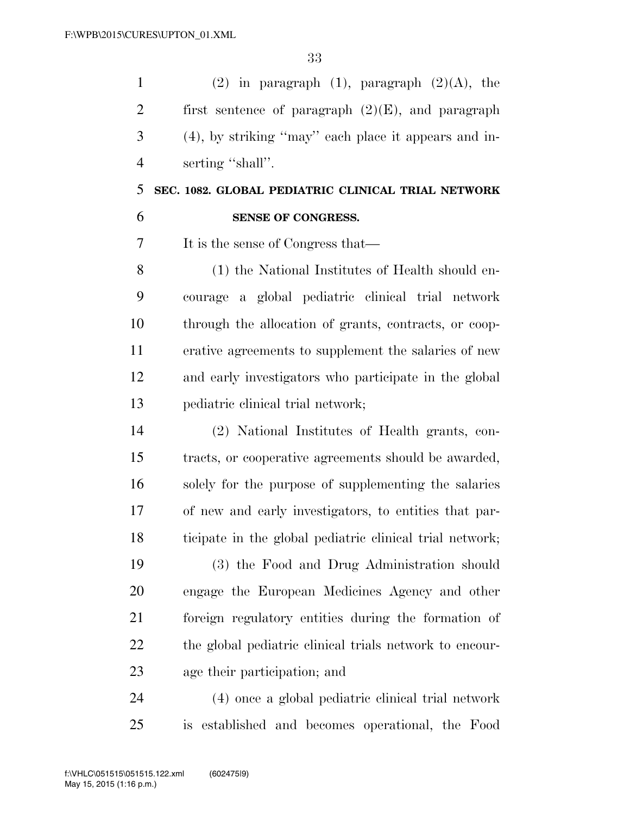1 (2) in paragraph (1), paragraph  $(2)(A)$ , the 2 first sentence of paragraph  $(2)(E)$ , and paragraph (4), by striking ''may'' each place it appears and in-4 serting "shall".

## **SEC. 1082. GLOBAL PEDIATRIC CLINICAL TRIAL NETWORK SENSE OF CONGRESS.**

It is the sense of Congress that—

 (1) the National Institutes of Health should en- courage a global pediatric clinical trial network through the allocation of grants, contracts, or coop- erative agreements to supplement the salaries of new and early investigators who participate in the global pediatric clinical trial network;

 (2) National Institutes of Health grants, con- tracts, or cooperative agreements should be awarded, solely for the purpose of supplementing the salaries of new and early investigators, to entities that par-ticipate in the global pediatric clinical trial network;

 (3) the Food and Drug Administration should engage the European Medicines Agency and other foreign regulatory entities during the formation of the global pediatric clinical trials network to encour-age their participation; and

 (4) once a global pediatric clinical trial network is established and becomes operational, the Food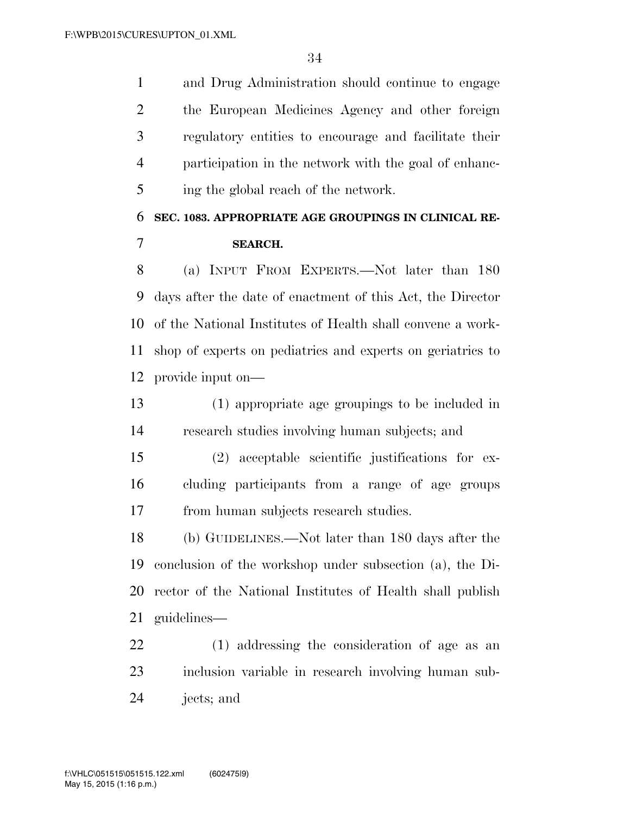and Drug Administration should continue to engage the European Medicines Agency and other foreign regulatory entities to encourage and facilitate their participation in the network with the goal of enhanc-ing the global reach of the network.

# **SEC. 1083. APPROPRIATE AGE GROUPINGS IN CLINICAL RE-SEARCH.**

 (a) INPUT FROM EXPERTS.—Not later than 180 days after the date of enactment of this Act, the Director of the National Institutes of Health shall convene a work- shop of experts on pediatrics and experts on geriatrics to provide input on—

 (1) appropriate age groupings to be included in research studies involving human subjects; and

 (2) acceptable scientific justifications for ex- cluding participants from a range of age groups from human subjects research studies.

 (b) GUIDELINES.—Not later than 180 days after the conclusion of the workshop under subsection (a), the Di- rector of the National Institutes of Health shall publish guidelines—

 (1) addressing the consideration of age as an inclusion variable in research involving human sub-jects; and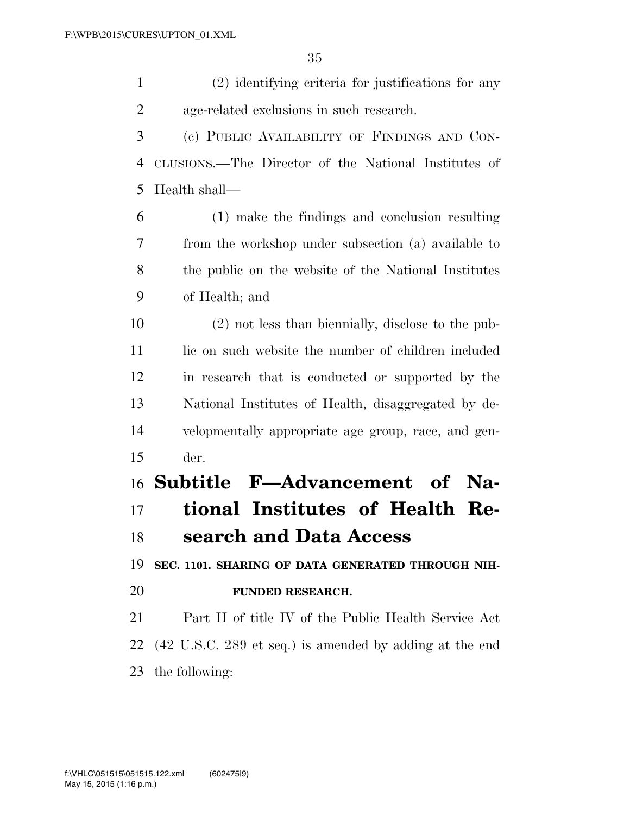(2) identifying criteria for justifications for any age-related exclusions in such research. (c) PUBLIC AVAILABILITY OF FINDINGS AND CON- CLUSIONS.—The Director of the National Institutes of Health shall— (1) make the findings and conclusion resulting from the workshop under subsection (a) available to the public on the website of the National Institutes of Health; and (2) not less than biennially, disclose to the pub-11 lic on such website the number of children included in research that is conducted or supported by the National Institutes of Health, disaggregated by de- velopmentally appropriate age group, race, and gen- der. **Subtitle F—Advancement of Na- tional Institutes of Health Re- search and Data Access SEC. 1101. SHARING OF DATA GENERATED THROUGH NIH- FUNDED RESEARCH.**  Part H of title IV of the Public Health Service Act (42 U.S.C. 289 et seq.) is amended by adding at the end the following: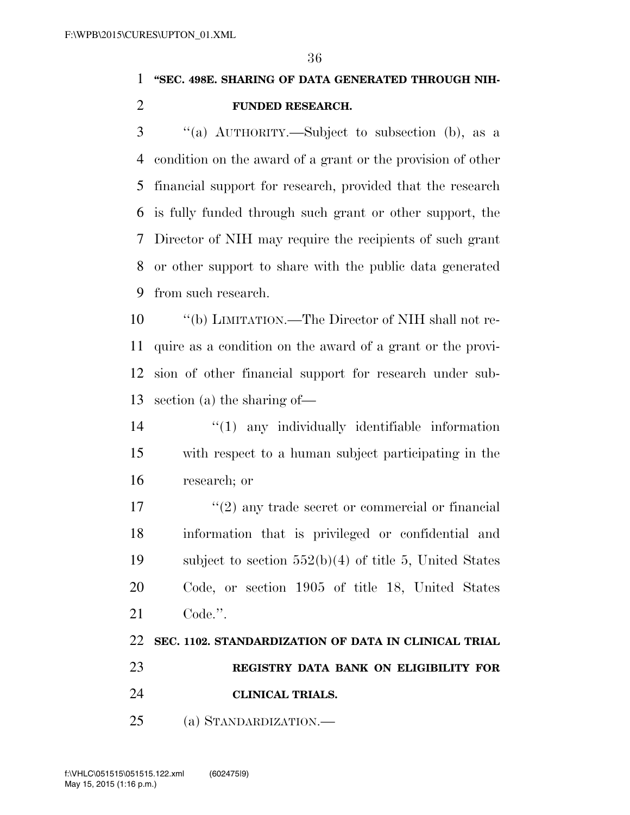## **''SEC. 498E. SHARING OF DATA GENERATED THROUGH NIH-FUNDED RESEARCH.**

 ''(a) AUTHORITY.—Subject to subsection (b), as a condition on the award of a grant or the provision of other financial support for research, provided that the research is fully funded through such grant or other support, the Director of NIH may require the recipients of such grant or other support to share with the public data generated from such research.

 ''(b) LIMITATION.—The Director of NIH shall not re- quire as a condition on the award of a grant or the provi- sion of other financial support for research under sub-section (a) the sharing of—

 ''(1) any individually identifiable information with respect to a human subject participating in the research; or

17 ''(2) any trade secret or commercial or financial information that is privileged or confidential and subject to section 552(b)(4) of title 5, United States Code, or section 1905 of title 18, United States Code.''.

## **SEC. 1102. STANDARDIZATION OF DATA IN CLINICAL TRIAL**

- **REGISTRY DATA BANK ON ELIGIBILITY FOR**
- **CLINICAL TRIALS.**
- (a) STANDARDIZATION.—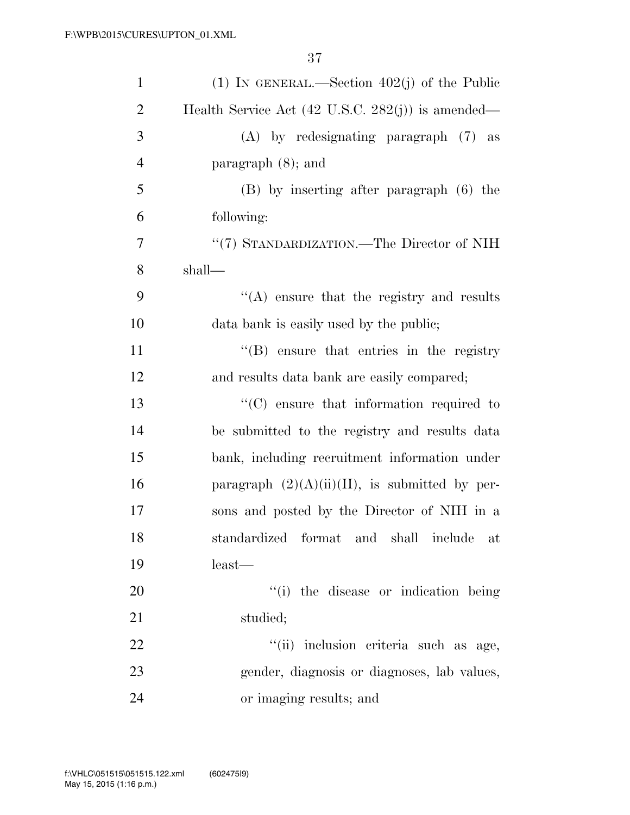| $\mathbf{1}$   | (1) IN GENERAL.—Section $402(j)$ of the Public               |
|----------------|--------------------------------------------------------------|
| $\overline{2}$ | Health Service Act $(42 \text{ U.S.C. } 282(j))$ is amended— |
| 3              | (A) by redesignating paragraph (7) as                        |
| $\overline{4}$ | paragraph $(8)$ ; and                                        |
| 5              | (B) by inserting after paragraph (6) the                     |
| 6              | following:                                                   |
| $\overline{7}$ | "(7) STANDARDIZATION.—The Director of NIH                    |
| 8              | shall—                                                       |
| 9              | $\lq\lq$ ensure that the registry and results                |
| 10             | data bank is easily used by the public;                      |
| 11             | $\lq\lq$ ensure that entries in the registry                 |
| 12             | and results data bank are easily compared;                   |
| 13             | $\cdot$ (C) ensure that information required to              |
| 14             | be submitted to the registry and results data                |
| 15             | bank, including recruitment information under                |
| 16             | paragraph $(2)(A)(ii)(II)$ , is submitted by per-            |
| 17             | sons and posted by the Director of NIH in a                  |
| 18             | standardized format and shall include<br>at                  |
| 19             | $least$ —                                                    |
| 20             | "(i) the disease or indication being                         |
| 21             | studied;                                                     |
| 22             | "(ii) inclusion criteria such as age,                        |
| 23             | gender, diagnosis or diagnoses, lab values,                  |
| 24             | or imaging results; and                                      |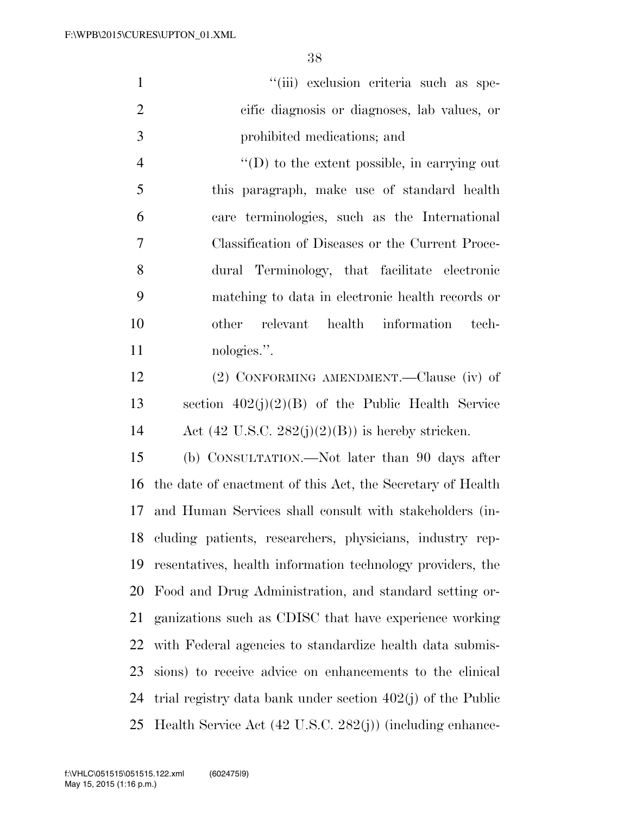| $\mathbf{1}$   | "(iii) exclusion criteria such as spe-                      |
|----------------|-------------------------------------------------------------|
| $\overline{2}$ | cific diagnosis or diagnoses, lab values, or                |
| 3              | prohibited medications; and                                 |
| $\overline{4}$ | $\lq\lq$ to the extent possible, in carrying out            |
| 5              | this paragraph, make use of standard health                 |
| 6              | care terminologies, such as the International               |
| 7              | Classification of Diseases or the Current Proce-            |
| 8              | dural Terminology, that facilitate electronic               |
| 9              | matching to data in electronic health records or            |
| 10             | relevant health information<br>other<br>tech-               |
| 11             | nologies.".                                                 |
| 12             | (2) CONFORMING AMENDMENT.—Clause (iv) of                    |
| 13             | section $402(j)(2)(B)$ of the Public Health Service         |
| 14             | Act $(42 \text{ U.S.C. } 282(j)(2)(B))$ is hereby stricken. |
| 15             | (b) CONSULTATION.—Not later than 90 days after              |
| 16             | the date of enactment of this Act, the Secretary of Health  |
| 17             | and Human Services shall consult with stakeholders (in-     |
| 18             | cluding patients, researchers, physicians, industry rep-    |
| 19             | resentatives, health information technology providers, the  |
| 20             | Food and Drug Administration, and standard setting or-      |

 ganizations such as CDISC that have experience working with Federal agencies to standardize health data submis- sions) to receive advice on enhancements to the clinical trial registry data bank under section 402(j) of the Public Health Service Act (42 U.S.C. 282(j)) (including enhance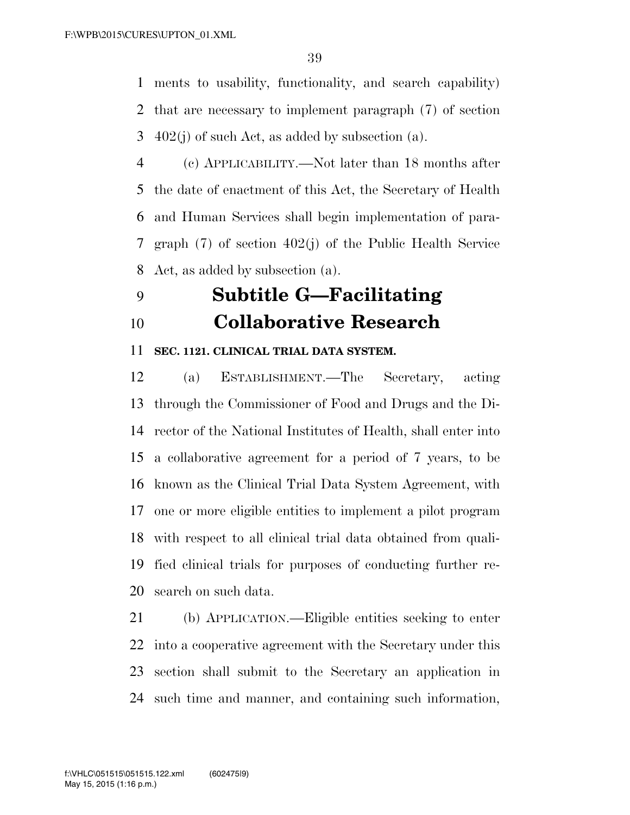ments to usability, functionality, and search capability) that are necessary to implement paragraph (7) of section 3  $402(j)$  of such Act, as added by subsection (a).

 (c) APPLICABILITY.—Not later than 18 months after the date of enactment of this Act, the Secretary of Health and Human Services shall begin implementation of para- graph (7) of section 402(j) of the Public Health Service Act, as added by subsection (a).

# **Subtitle G—Facilitating Collaborative Research**

### **SEC. 1121. CLINICAL TRIAL DATA SYSTEM.**

 (a) ESTABLISHMENT.—The Secretary, acting through the Commissioner of Food and Drugs and the Di- rector of the National Institutes of Health, shall enter into a collaborative agreement for a period of 7 years, to be known as the Clinical Trial Data System Agreement, with one or more eligible entities to implement a pilot program with respect to all clinical trial data obtained from quali- fied clinical trials for purposes of conducting further re-search on such data.

 (b) APPLICATION.—Eligible entities seeking to enter into a cooperative agreement with the Secretary under this section shall submit to the Secretary an application in such time and manner, and containing such information,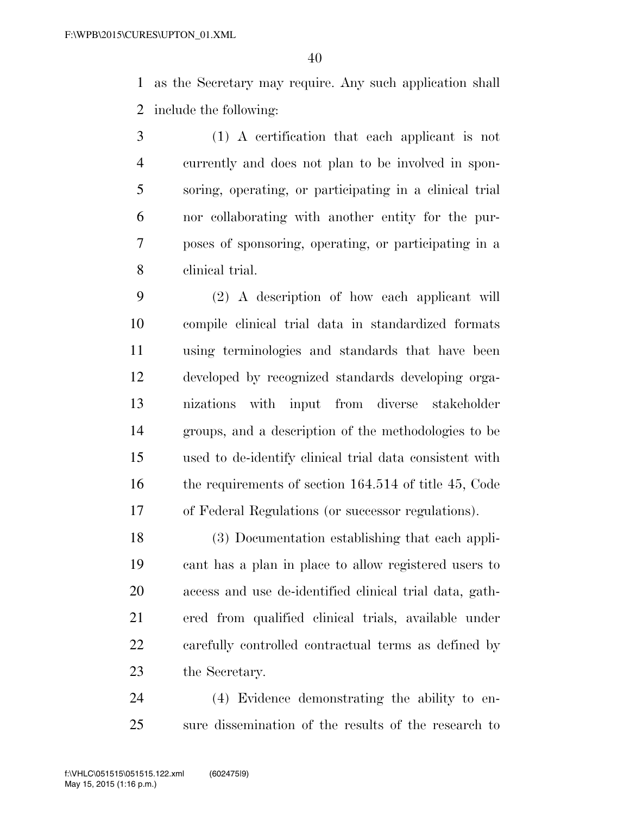as the Secretary may require. Any such application shall include the following:

 (1) A certification that each applicant is not currently and does not plan to be involved in spon- soring, operating, or participating in a clinical trial nor collaborating with another entity for the pur- poses of sponsoring, operating, or participating in a clinical trial.

 (2) A description of how each applicant will compile clinical trial data in standardized formats using terminologies and standards that have been developed by recognized standards developing orga- nizations with input from diverse stakeholder groups, and a description of the methodologies to be used to de-identify clinical trial data consistent with 16 the requirements of section 164.514 of title 45, Code of Federal Regulations (or successor regulations).

 (3) Documentation establishing that each appli- cant has a plan in place to allow registered users to access and use de-identified clinical trial data, gath- ered from qualified clinical trials, available under carefully controlled contractual terms as defined by the Secretary.

 (4) Evidence demonstrating the ability to en-sure dissemination of the results of the research to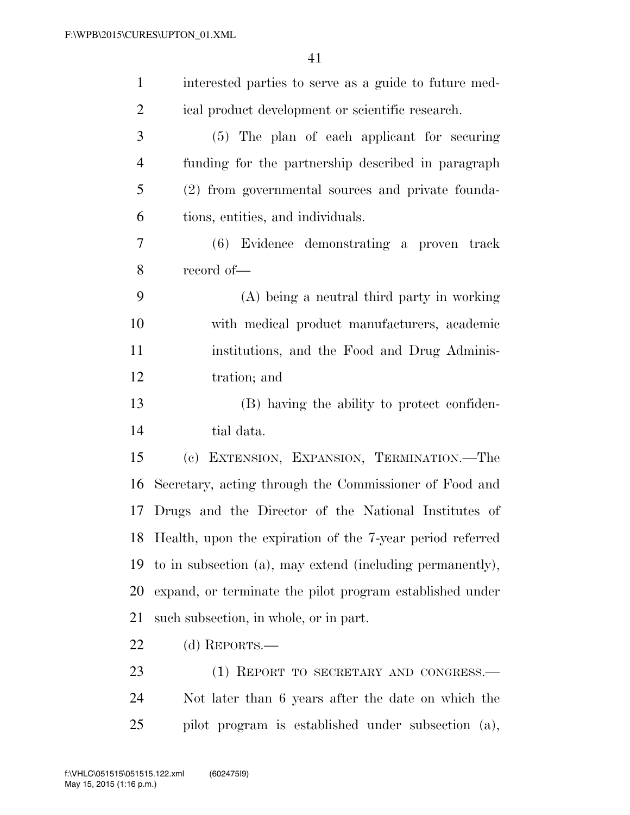| $\mathbf{1}$   | interested parties to serve as a guide to future med-        |
|----------------|--------------------------------------------------------------|
| $\overline{2}$ | ical product development or scientific research.             |
| 3              | (5) The plan of each applicant for securing                  |
| $\overline{4}$ | funding for the partnership described in paragraph           |
| 5              | (2) from governmental sources and private founda-            |
| 6              | tions, entities, and individuals.                            |
| 7              | (6) Evidence demonstrating a proven track                    |
| 8              | record of-                                                   |
| 9              | (A) being a neutral third party in working                   |
| 10             | with medical product manufacturers, academic                 |
| 11             | institutions, and the Food and Drug Adminis-                 |
| 12             | tration; and                                                 |
| 13             | (B) having the ability to protect confiden-                  |
| 14             | tial data.                                                   |
| 15             | (c) EXTENSION, EXPANSION, TERMINATION.-The                   |
| 16             | Secretary, acting through the Commissioner of Food and       |
| 17             | Drugs and the Director of the National Institutes of         |
|                | 18 Health, upon the expiration of the 7-year period referred |
| 19             | to in subsection (a), may extend (including permanently),    |
| 20             | expand, or terminate the pilot program established under     |
| 21             | such subsection, in whole, or in part.                       |
| 22             | (d) REPORTS.—                                                |
| 23             | (1) REPORT TO SECRETARY AND CONGRESS.—                       |
| 24             | Not later than 6 years after the date on which the           |
| 25             | pilot program is established under subsection (a),           |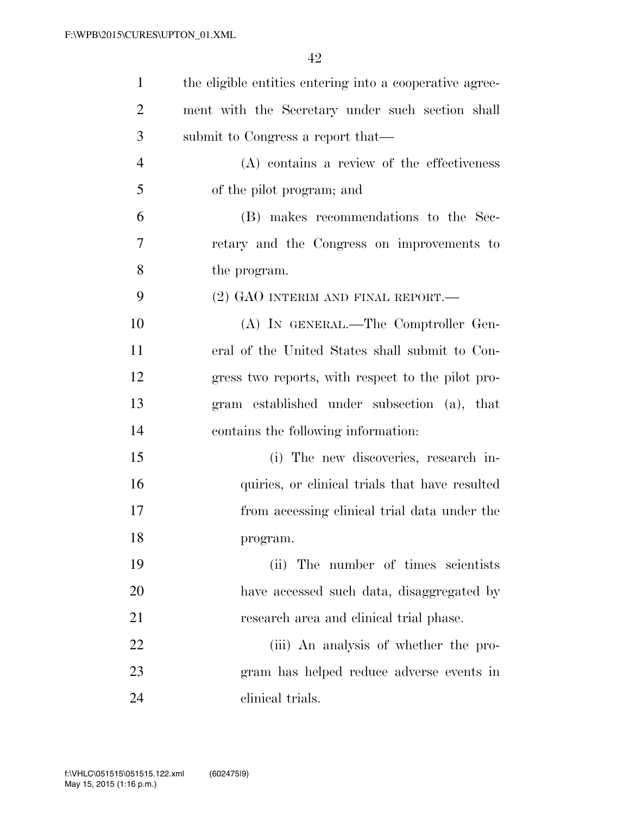| $\mathbf{1}$   | the eligible entities entering into a cooperative agree- |
|----------------|----------------------------------------------------------|
| $\overline{2}$ | ment with the Secretary under such section shall         |
| 3              | submit to Congress a report that—                        |
| $\overline{4}$ | (A) contains a review of the effectiveness               |
| 5              | of the pilot program; and                                |
| 6              | (B) makes recommendations to the Sec-                    |
| 7              | retary and the Congress on improvements to               |
| 8              | the program.                                             |
| 9              | (2) GAO INTERIM AND FINAL REPORT.—                       |
| 10             | (A) IN GENERAL.—The Comptroller Gen-                     |
| 11             | eral of the United States shall submit to Con-           |
| 12             | gress two reports, with respect to the pilot pro-        |
| 13             | gram established under subsection (a), that              |
| 14             | contains the following information:                      |
| 15             | (i) The new discoveries, research in-                    |
| 16             | quiries, or clinical trials that have resulted           |
| 17             | from accessing clinical trial data under the             |
| 18             | program.                                                 |
| 19             | The number of times scientists<br>(ii)                   |
| 20             | have accessed such data, disaggregated by                |
| 21             | research area and clinical trial phase.                  |
| 22             | (iii) An analysis of whether the pro-                    |
| 23             | gram has helped reduce adverse events in                 |
| 24             | clinical trials.                                         |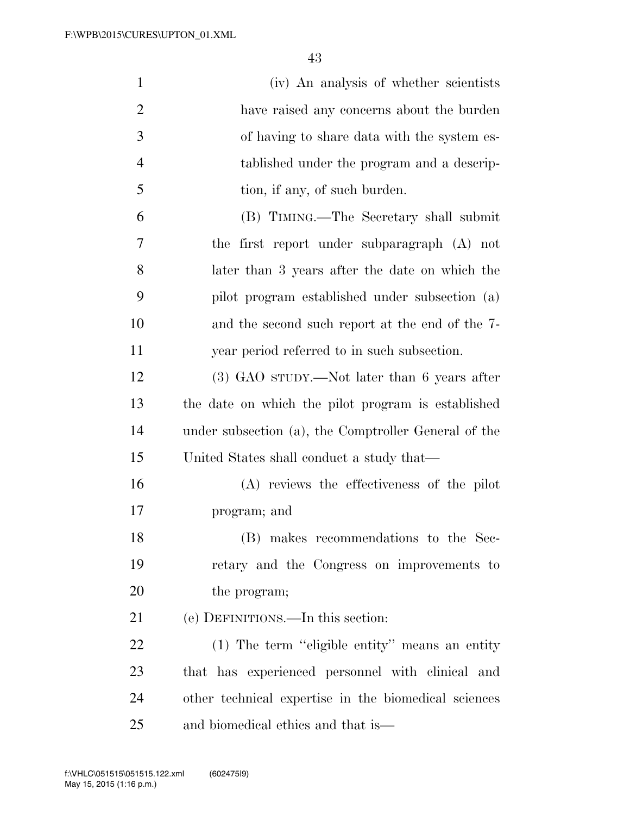| $\mathbf{1}$   | (iv) An analysis of whether scientists               |
|----------------|------------------------------------------------------|
| $\overline{2}$ | have raised any concerns about the burden            |
| 3              | of having to share data with the system es-          |
| $\overline{4}$ | tablished under the program and a descrip-           |
| 5              | tion, if any, of such burden.                        |
| 6              | (B) TIMING.—The Secretary shall submit               |
| 7              | the first report under subparagraph (A) not          |
| 8              | later than 3 years after the date on which the       |
| 9              | pilot program established under subsection (a)       |
| 10             | and the second such report at the end of the 7-      |
| 11             | year period referred to in such subsection.          |
| 12             | $(3)$ GAO sTUDY.—Not later than 6 years after        |
| 13             | the date on which the pilot program is established   |
| 14             | under subsection (a), the Comptroller General of the |
| 15             | United States shall conduct a study that—            |
| 16             | (A) reviews the effectiveness of the pilot           |
| 17             | program; and                                         |
| 18             | (B) makes recommendations to the Sec-                |
| 19             | retary and the Congress on improvements to           |
| 20             | the program;                                         |
| 21             | (e) DEFINITIONS.—In this section:                    |
| 22             | (1) The term "eligible entity" means an entity       |
| 23             | that has experienced personnel with clinical and     |
| 24             | other technical expertise in the biomedical sciences |
| 25             | and biomedical ethics and that is—                   |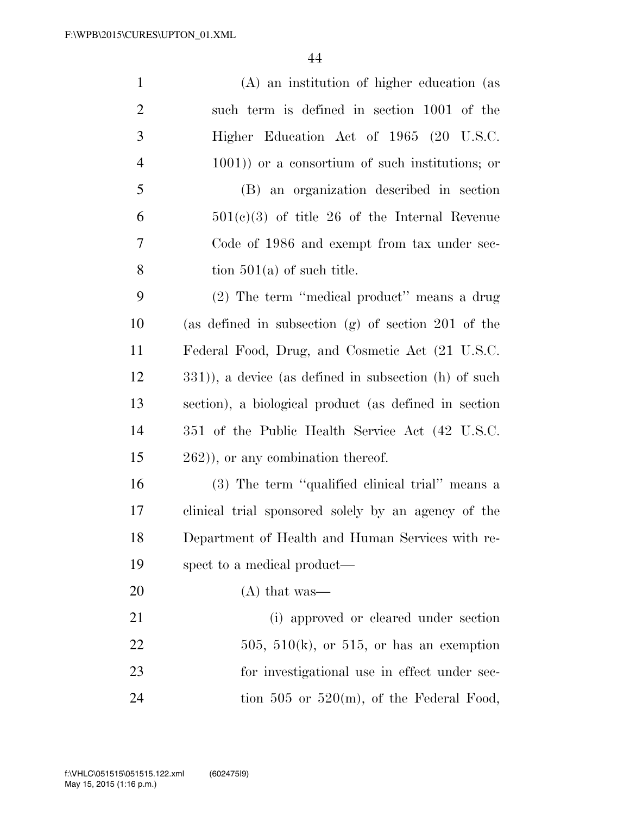| $\mathbf{1}$   | (A) an institution of higher education (as            |
|----------------|-------------------------------------------------------|
| 2              | such term is defined in section 1001 of the           |
| 3              | Higher Education Act of 1965 (20 U.S.C.               |
| $\overline{4}$ | $(1001)$ or a consortium of such institutions; or     |
| 5              | (B) an organization described in section              |
| 6              | $501(c)(3)$ of title 26 of the Internal Revenue       |
| 7              | Code of 1986 and exempt from tax under sec-           |
| 8              | tion $501(a)$ of such title.                          |
| 9              | (2) The term "medical product" means a drug           |
| 10             | (as defined in subsection $(g)$ of section 201 of the |
| 11             | Federal Food, Drug, and Cosmetic Act (21 U.S.C.       |
| 12             | 331)), a device (as defined in subsection (h) of such |
| 13             | section), a biological product (as defined in section |
| 14             | 351 of the Public Health Service Act (42 U.S.C.       |
| 15             | $(262)$ , or any combination thereof.                 |
| 16             | (3) The term "qualified clinical trial" means a       |
| 17             | clinical trial sponsored solely by an agency of the   |
| 18             | Department of Health and Human Services with re-      |
| 19             | spect to a medical product—                           |
| 20             | $(A)$ that was—                                       |
| 21             | (i) approved or cleared under section                 |
| 22             | $505, 510(k)$ , or 515, or has an exemption           |
| 23             | for investigational use in effect under sec-          |
| 24             | tion 505 or 520 $(m)$ , of the Federal Food,          |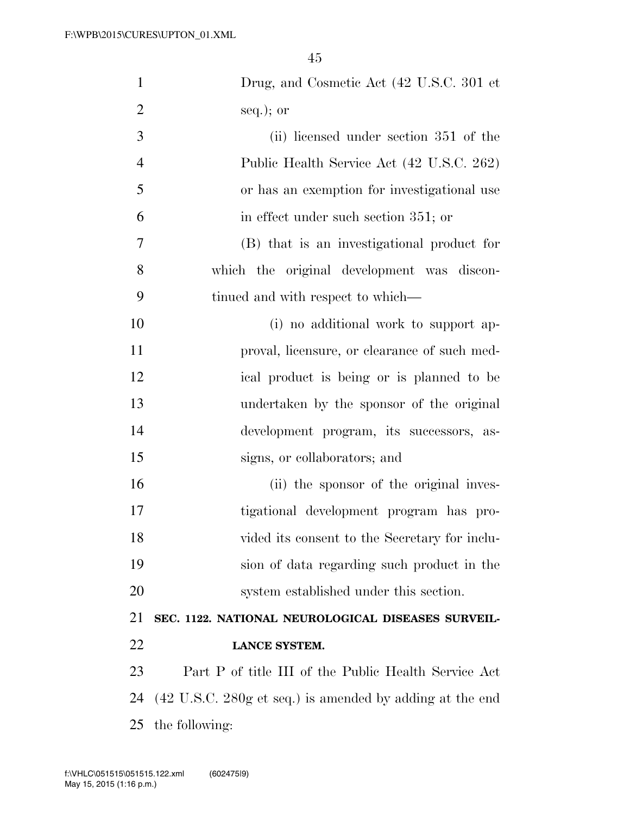| $\mathbf{1}$   | Drug, and Cosmetic Act (42 U.S.C. 301 et                                    |
|----------------|-----------------------------------------------------------------------------|
| $\overline{2}$ | $seq.$ ; or                                                                 |
| 3              | (ii) licensed under section 351 of the                                      |
| $\overline{4}$ | Public Health Service Act (42 U.S.C. 262)                                   |
| 5              | or has an exemption for investigational use                                 |
| 6              | in effect under such section 351; or                                        |
| 7              | (B) that is an investigational product for                                  |
| 8              | which the original development was discon-                                  |
| 9              | tinued and with respect to which—                                           |
| 10             | (i) no additional work to support ap-                                       |
| 11             | proval, licensure, or clearance of such med-                                |
| 12             | ical product is being or is planned to be                                   |
| 13             | undertaken by the sponsor of the original                                   |
| 14             | development program, its successors, as-                                    |
| 15             | signs, or collaborators; and                                                |
| 16             | (ii) the sponsor of the original inves-                                     |
| 17             | tigational development program has pro-                                     |
| 18             | vided its consent to the Secretary for inclu-                               |
| 19             | sion of data regarding such product in the                                  |
| 20             | system established under this section.                                      |
| 21             | SEC. 1122. NATIONAL NEUROLOGICAL DISEASES SURVEIL-                          |
| 22             | LANCE SYSTEM.                                                               |
| 23             | Part P of title III of the Public Health Service Act                        |
| 24             | $(42 \text{ U.S.C. } 280 \text{g et seq.})$ is amended by adding at the end |
| 25             | the following:                                                              |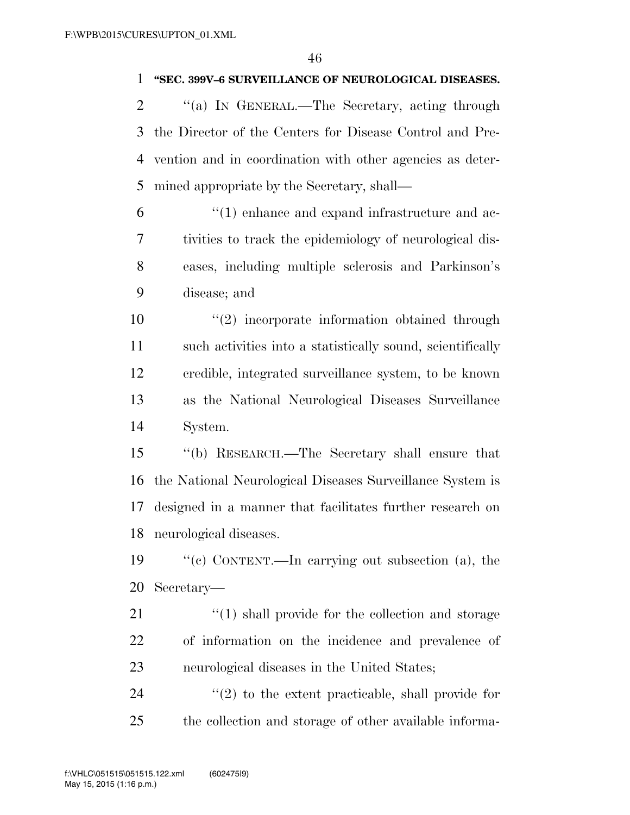### **''SEC. 399V–6 SURVEILLANCE OF NEUROLOGICAL DISEASES.**

2 "(a) In GENERAL.—The Secretary, acting through the Director of the Centers for Disease Control and Pre- vention and in coordination with other agencies as deter-mined appropriate by the Secretary, shall—

 ''(1) enhance and expand infrastructure and ac- tivities to track the epidemiology of neurological dis- eases, including multiple sclerosis and Parkinson's disease; and

 ''(2) incorporate information obtained through such activities into a statistically sound, scientifically credible, integrated surveillance system, to be known as the National Neurological Diseases Surveillance System.

 ''(b) RESEARCH.—The Secretary shall ensure that the National Neurological Diseases Surveillance System is designed in a manner that facilitates further research on neurological diseases.

 ''(c) CONTENT.—In carrying out subsection (a), the Secretary—

21 ''(1) shall provide for the collection and storage of information on the incidence and prevalence of neurological diseases in the United States;

 ''(2) to the extent practicable, shall provide for the collection and storage of other available informa-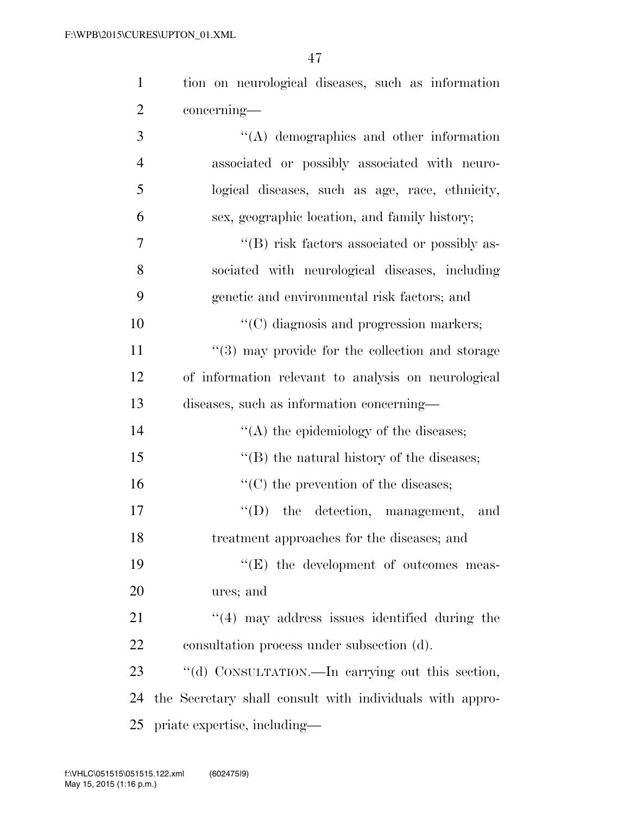| $\mathbf{1}$   | tion on neurological diseases, such as information       |
|----------------|----------------------------------------------------------|
| $\overline{2}$ | concerning—                                              |
| 3              | $\lq\lq$ demographics and other information              |
| $\overline{4}$ | associated or possibly associated with neuro-            |
| 5              | logical diseases, such as age, race, ethnicity,          |
| 6              | sex, geographic location, and family history;            |
| 7              | "(B) risk factors associated or possibly as-             |
| 8              | sociated with neurological diseases, including           |
| 9              | genetic and environmental risk factors; and              |
| 10             | "(C) diagnosis and progression markers;                  |
| 11             | "(3) may provide for the collection and storage          |
| 12             | of information relevant to analysis on neurological      |
| 13             | diseases, such as information concerning—                |
| 14             | $\lq\lq$ the epidemiology of the diseases;               |
| 15             | $\lq\lq$ the natural history of the diseases;            |
| 16             | $\lq\lq$ (C) the prevention of the diseases;             |
| 17             | $\lq\lq$ (D) the detection, management,<br>and           |
| 18             | treatment approaches for the diseases; and               |
| 19             | $\lq\lq(E)$ the development of outcomes meas-            |
| 20             | ures; and                                                |
| 21             | $\cdot$ (4) may address issues identified during the     |
| 22             | consultation process under subsection (d).               |
| 23             | "(d) CONSULTATION.—In carrying out this section,         |
| 24             | the Secretary shall consult with individuals with appro- |
| 25             | priate expertise, including—                             |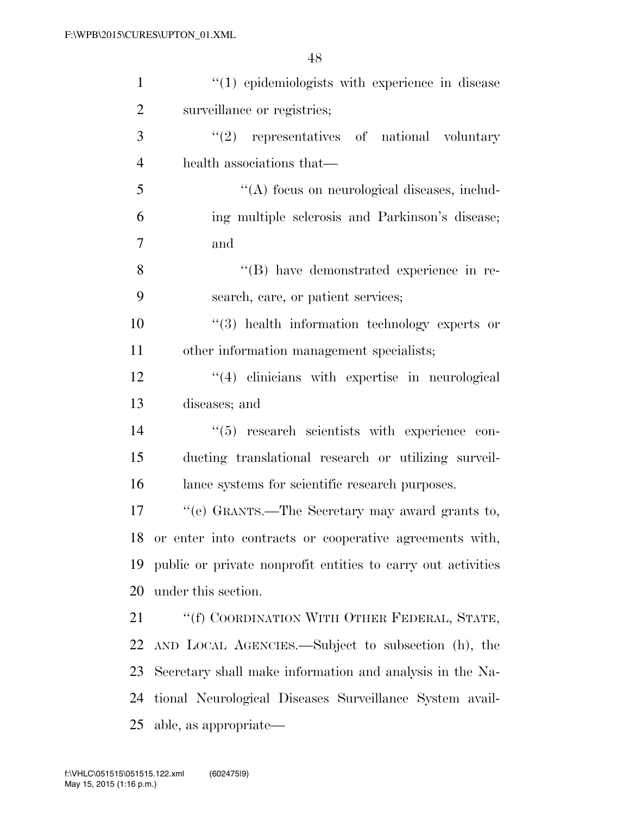| $\mathbf{1}$   | "(1) epidemiologists with experience in disease              |
|----------------|--------------------------------------------------------------|
| $\overline{2}$ | surveillance or registries;                                  |
| 3              | $(2)$ representatives of national voluntary                  |
| $\overline{4}$ | health associations that—                                    |
| 5              | "(A) focus on neurological diseases, includ-                 |
| 6              | ing multiple sclerosis and Parkinson's disease;              |
| $\overline{7}$ | and                                                          |
| 8              | "(B) have demonstrated experience in re-                     |
| 9              | search, care, or patient services;                           |
| 10             | $(3)$ health information technology experts or               |
| 11             | other information management specialists;                    |
| 12             | "(4) clinicians with expertise in neurological               |
| 13             | diseases; and                                                |
| 14             | $(5)$ research scientists with experience con-               |
| 15             | ducting translational research or utilizing surveil-         |
| 16             | lance systems for scientific research purposes.              |
| 17             | "(e) GRANTS.—The Secretary may award grants to,              |
| 18             | or enter into contracts or cooperative agreements with,      |
| 19             | public or private nonprofit entities to carry out activities |
| 20             | under this section.                                          |
| 21             | "(f) COORDINATION WITH OTHER FEDERAL, STATE,                 |
| 22             | AND LOCAL AGENCIES.—Subject to subsection (h), the           |
| 23             | Secretary shall make information and analysis in the Na-     |
| 24             | tional Neurological Diseases Surveillance System avail-      |
| 25             | able, as appropriate—                                        |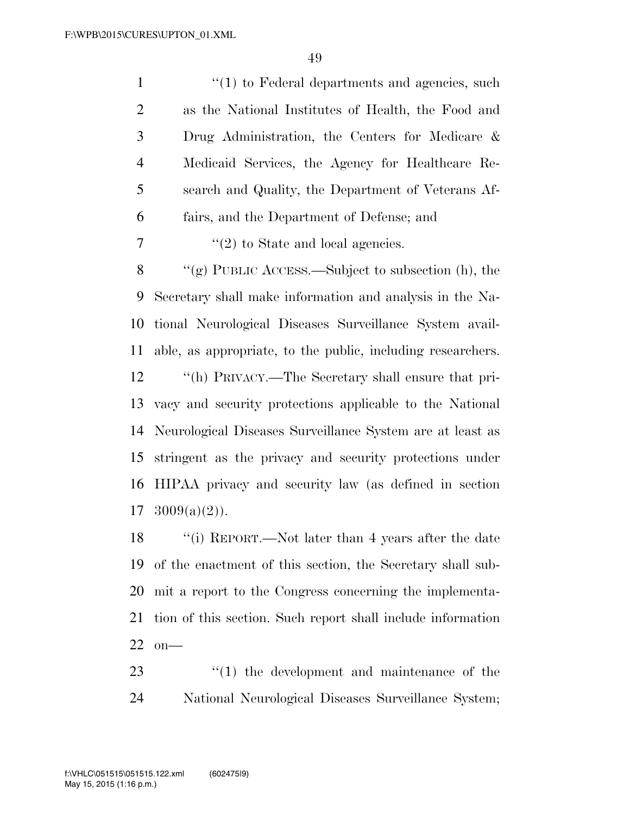| $\mathbf{1}$   | $\lq(1)$ to Federal departments and agencies, such          |
|----------------|-------------------------------------------------------------|
| $\mathfrak{2}$ | as the National Institutes of Health, the Food and          |
| 3              | Drug Administration, the Centers for Medicare $\&$          |
| $\overline{4}$ | Medicaid Services, the Agency for Healthcare Re-            |
| 5              | search and Quality, the Department of Veterans Af-          |
| 6              | fairs, and the Department of Defense; and                   |
| 7              | $"(2)$ to State and local agencies.                         |
| $8\,$          | "(g) PUBLIC ACCESS.—Subject to subsection $(h)$ , the       |
| 9              | Secretary shall make information and analysis in the Na-    |
| 10             | tional Neurological Diseases Surveillance System avail-     |
| 11             | able, as appropriate, to the public, including researchers. |
| 12             | "(h) PRIVACY.—The Secretary shall ensure that pri-          |
| 13             | vacy and security protections applicable to the National    |
| 14             | Neurological Diseases Surveillance System are at least as   |
| 15             | stringent as the privacy and security protections under     |
| 16             | HIPAA privacy and security law (as defined in section       |
| 17             | $3009(a)(2)$ .                                              |
| 18             | "(i) REPORT.—Not later than 4 years after the date          |
|                |                                                             |

 of the enactment of this section, the Secretary shall sub- mit a report to the Congress concerning the implementa- tion of this section. Such report shall include information on—

23  $\frac{1}{2}$  (1) the development and maintenance of the National Neurological Diseases Surveillance System;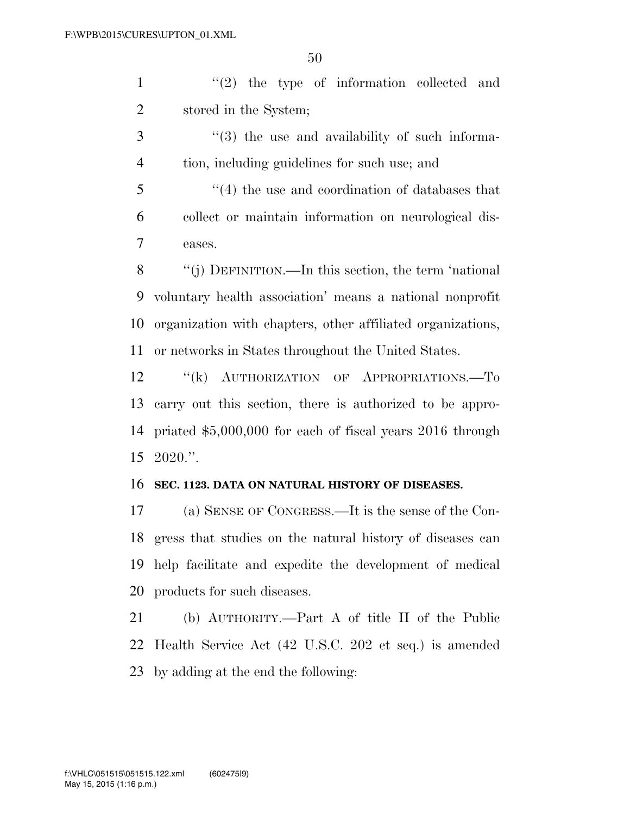1 ''(2) the type of information collected and stored in the System;

3  $\frac{1}{3}$  (3) the use and availability of such informa-tion, including guidelines for such use; and

 ''(4) the use and coordination of databases that collect or maintain information on neurological dis-eases.

 ''(j) DEFINITION.—In this section, the term 'national voluntary health association' means a national nonprofit organization with chapters, other affiliated organizations, or networks in States throughout the United States.

12 "(k) AUTHORIZATION OF APPROPRIATIONS.—To carry out this section, there is authorized to be appro- priated \$5,000,000 for each of fiscal years 2016 through 2020.''.

#### **SEC. 1123. DATA ON NATURAL HISTORY OF DISEASES.**

 (a) SENSE OF CONGRESS.—It is the sense of the Con- gress that studies on the natural history of diseases can help facilitate and expedite the development of medical products for such diseases.

 (b) AUTHORITY.—Part A of title II of the Public Health Service Act (42 U.S.C. 202 et seq.) is amended by adding at the end the following: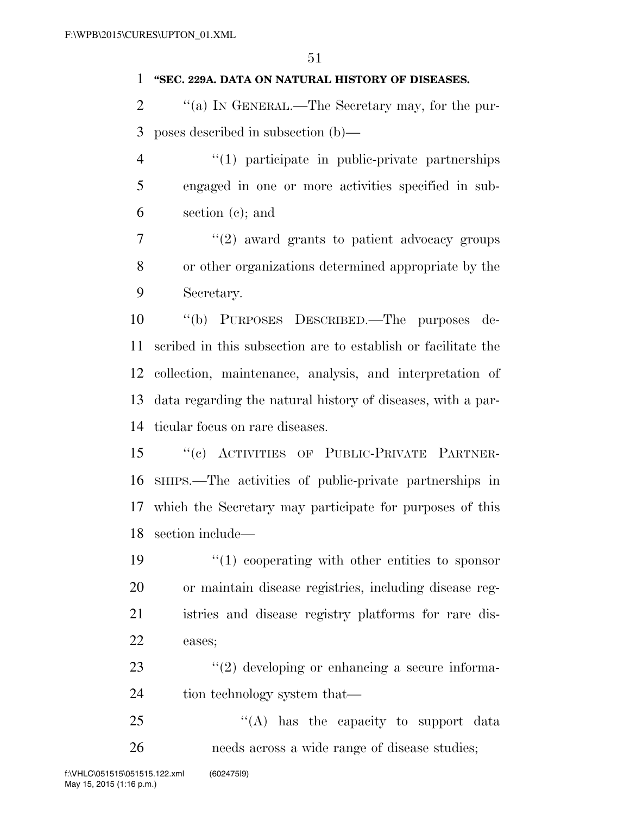#### **''SEC. 229A. DATA ON NATURAL HISTORY OF DISEASES.**

- 2  $\langle$  (a) IN GENERAL.—The Secretary may, for the pur-poses described in subsection (b)—
- ''(1) participate in public-private partnerships engaged in one or more activities specified in sub-section (c); and
- $7 \t$  ''(2) award grants to patient advocacy groups or other organizations determined appropriate by the Secretary.

 ''(b) PURPOSES DESCRIBED.—The purposes de- scribed in this subsection are to establish or facilitate the collection, maintenance, analysis, and interpretation of data regarding the natural history of diseases, with a par-ticular focus on rare diseases.

- ''(c) ACTIVITIES OF PUBLIC-PRIVATE PARTNER- SHIPS.—The activities of public-private partnerships in which the Secretary may participate for purposes of this section include—
- 19  $\frac{1}{2}$  (1) cooperating with other entities to sponsor or maintain disease registries, including disease reg- istries and disease registry platforms for rare dis-eases;
- 23  $\frac{1}{2}$   $\frac{1}{2}$  developing or enhancing a secure informa-24 tion technology system that—
- 25 "(A) has the capacity to support data needs across a wide range of disease studies;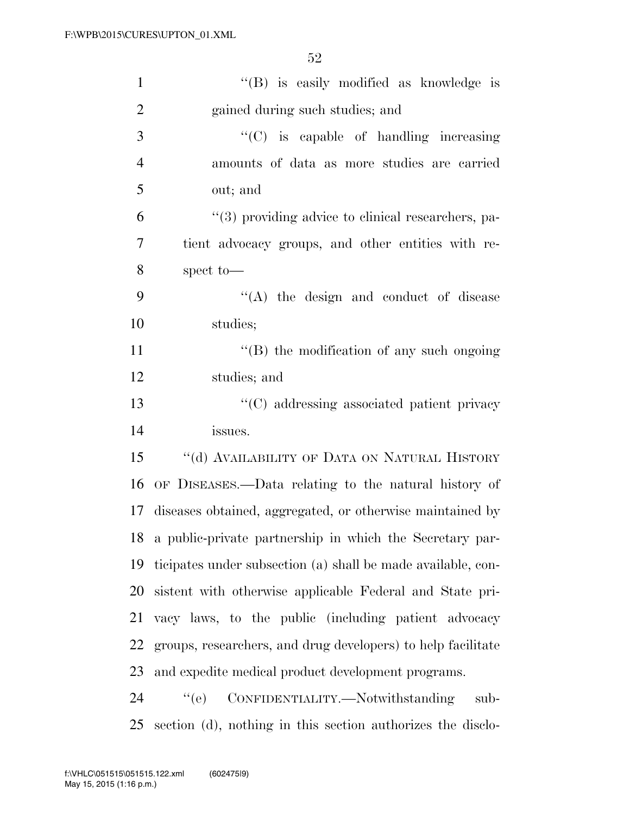| $\mathbf{1}$   | "(B) is easily modified as knowledge is                      |
|----------------|--------------------------------------------------------------|
| $\overline{2}$ | gained during such studies; and                              |
| 3              | "(C) is capable of handling increasing                       |
| $\overline{4}$ | amounts of data as more studies are carried                  |
| 5              | out; and                                                     |
| 6              | $\lq(3)$ providing advice to clinical researchers, pa-       |
| 7              | tient advocacy groups, and other entities with re-           |
| 8              | spect to-                                                    |
| 9              | "(A) the design and conduct of disease                       |
| 10             | studies;                                                     |
| 11             | $\lq\lq$ the modification of any such ongoing                |
| 12             | studies; and                                                 |
| 13             | "(C) addressing associated patient privacy                   |
| 14             | issues.                                                      |
| 15             | "(d) AVAILABILITY OF DATA ON NATURAL HISTORY                 |
| 16             | OF DISEASES.—Data relating to the natural history of         |
| 17             | diseases obtained, aggregated, or otherwise maintained by    |
| 18             | a public-private partnership in which the Secretary par-     |
| 19             | ticipates under subsection (a) shall be made available, con- |
| 20             | sistent with otherwise applicable Federal and State pri-     |
| 21             | vacy laws, to the public (including patient advocacy         |
| 22             | groups, researchers, and drug developers) to help facilitate |
| 23             | and expedite medical product development programs.           |
| 24             | ``(e)<br>CONFIDENTIALITY.-Notwithstanding<br>sub-            |
| 25             | section (d), nothing in this section authorizes the disclo-  |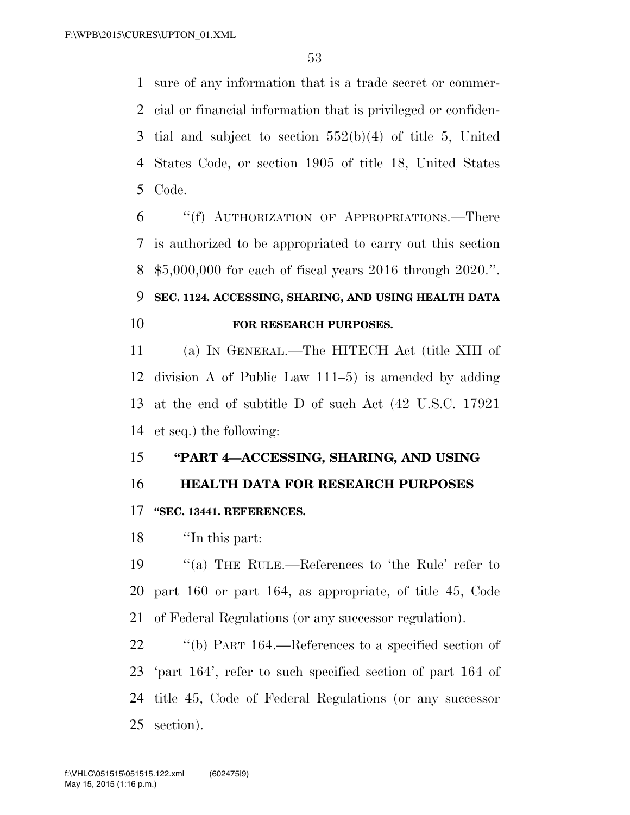sure of any information that is a trade secret or commer- cial or financial information that is privileged or confiden- tial and subject to section 552(b)(4) of title 5, United States Code, or section 1905 of title 18, United States Code.

 ''(f) AUTHORIZATION OF APPROPRIATIONS.—There is authorized to be appropriated to carry out this section \$5,000,000 for each of fiscal years 2016 through 2020.''.

## **SEC. 1124. ACCESSING, SHARING, AND USING HEALTH DATA FOR RESEARCH PURPOSES.**

 (a) IN GENERAL.—The HITECH Act (title XIII of division A of Public Law 111–5) is amended by adding at the end of subtitle D of such Act (42 U.S.C. 17921 et seq.) the following:

### **''PART 4—ACCESSING, SHARING, AND USING**

### **HEALTH DATA FOR RESEARCH PURPOSES**

### **''SEC. 13441. REFERENCES.**

''In this part:

 ''(a) THE RULE.—References to 'the Rule' refer to part 160 or part 164, as appropriate, of title 45, Code of Federal Regulations (or any successor regulation).

 ''(b) PART 164.—References to a specified section of 'part 164', refer to such specified section of part 164 of title 45, Code of Federal Regulations (or any successor section).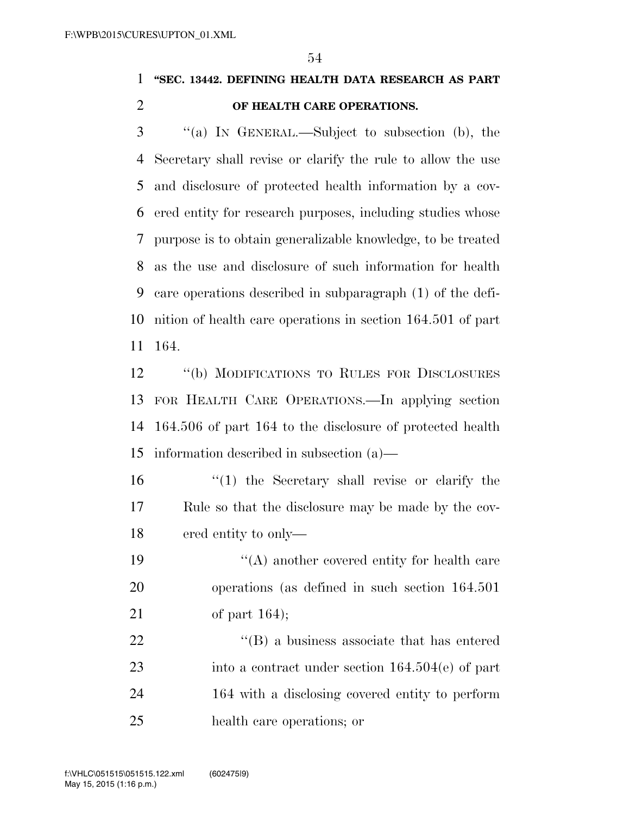## **''SEC. 13442. DEFINING HEALTH DATA RESEARCH AS PART OF HEALTH CARE OPERATIONS.**

 ''(a) IN GENERAL.—Subject to subsection (b), the Secretary shall revise or clarify the rule to allow the use and disclosure of protected health information by a cov- ered entity for research purposes, including studies whose purpose is to obtain generalizable knowledge, to be treated as the use and disclosure of such information for health care operations described in subparagraph (1) of the defi- nition of health care operations in section 164.501 of part 164.

 ''(b) MODIFICATIONS TO RULES FOR DISCLOSURES FOR HEALTH CARE OPERATIONS.—In applying section 164.506 of part 164 to the disclosure of protected health information described in subsection (a)—

 ''(1) the Secretary shall revise or clarify the Rule so that the disclosure may be made by the cov-ered entity to only—

19  $\langle (A) \rangle$  another covered entity for health care operations (as defined in such section 164.501 of part 164);

22 ''(B) a business associate that has entered into a contract under section 164.504(e) of part 164 with a disclosing covered entity to perform health care operations; or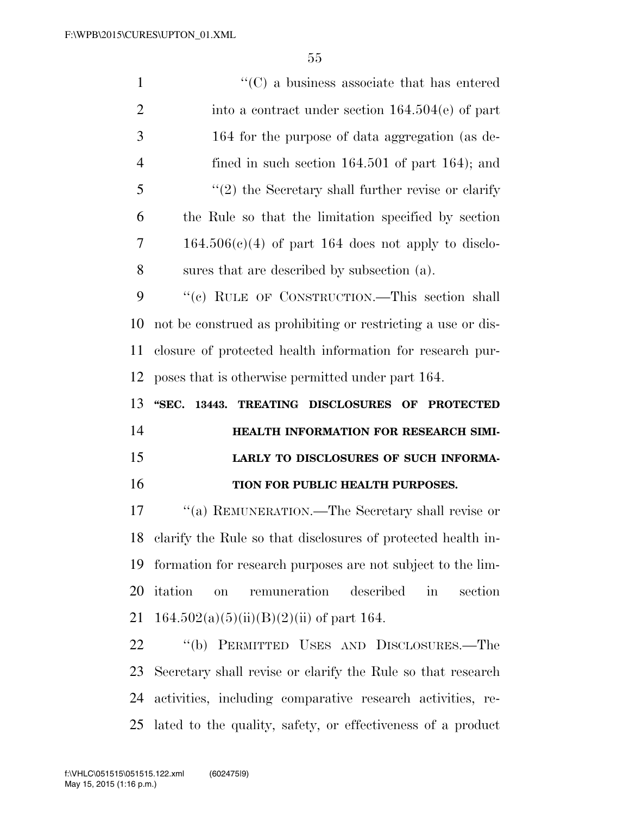| $\mathbf{1}$   | $\lq\lq$ (C) a business associate that has entered                                  |
|----------------|-------------------------------------------------------------------------------------|
| $\overline{2}$ | into a contract under section $164.504(e)$ of part                                  |
| 3              | 164 for the purpose of data aggregation (as de-                                     |
| 4              | fined in such section $164.501$ of part $164$ ; and                                 |
| 5              | $\lq(2)$ the Secretary shall further revise or clarify                              |
| 6              | the Rule so that the limitation specified by section                                |
| 7              | $164.506(c)(4)$ of part 164 does not apply to disclo-                               |
| 8              | sures that are described by subsection (a).                                         |
| 9              | "(c) RULE OF CONSTRUCTION.—This section shall                                       |
| 10             | not be construed as prohibiting or restricting a use or dis-                        |
| 11             | closure of protected health information for research pur-                           |
| 12             | poses that is otherwise permitted under part 164.                                   |
|                |                                                                                     |
| 13             | TREATING DISCLOSURES OF PROTECTED<br>"SEC.<br>13443.                                |
| 14             | HEALTH INFORMATION FOR RESEARCH SIMI-                                               |
| 15             | LARLY TO DISCLOSURES OF SUCH INFORMA-                                               |
| 16             | TION FOR PUBLIC HEALTH PURPOSES.                                                    |
| 17             | "(a) REMUNERATION.—The Secretary shall revise or                                    |
| 18             | clarify the Rule so that disclosures of protected health in-                        |
| 19             | formation for research purposes are not subject to the lim-                         |
| 20             | remuneration<br>described<br>itation<br>$\operatorname{in}$<br>section<br><b>on</b> |
| 21             | $164.502(a)(5)(ii)(B)(2)(ii)$ of part 164.                                          |
| 22             | "(b) PERMITTED USES AND DISCLOSURES.—The                                            |
| 23             | Secretary shall revise or clarify the Rule so that research                         |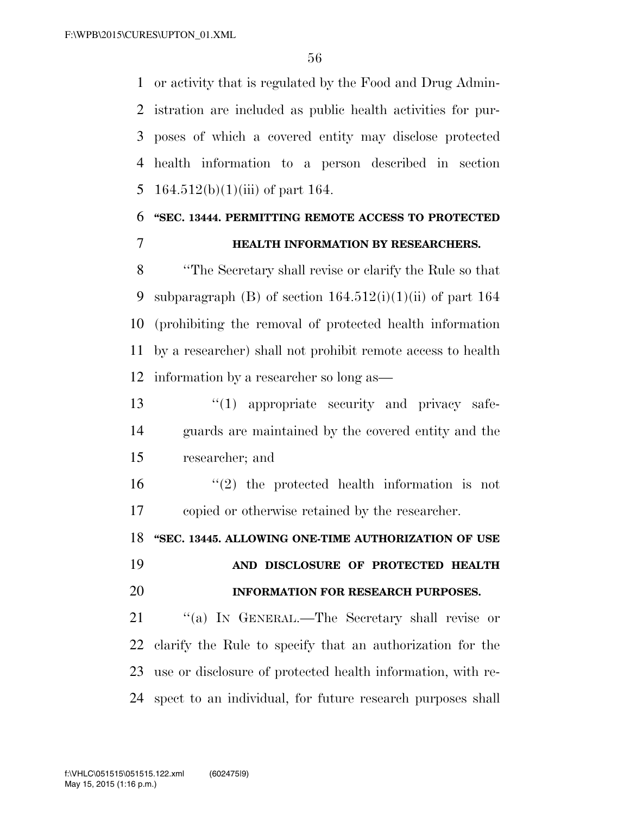or activity that is regulated by the Food and Drug Admin- istration are included as public health activities for pur- poses of which a covered entity may disclose protected health information to a person described in section 5 164.512(b)(1)(iii) of part 164.

# **''SEC. 13444. PERMITTING REMOTE ACCESS TO PROTECTED HEALTH INFORMATION BY RESEARCHERS.**

 ''The Secretary shall revise or clarify the Rule so that 9 subparagraph (B) of section  $164.512(i)(1)(ii)$  of part  $164$  (prohibiting the removal of protected health information by a researcher) shall not prohibit remote access to health information by a researcher so long as—

13  $\frac{13}{2}$   $\frac{13}{2}$  appropriate security and privacy safe- guards are maintained by the covered entity and the researcher; and

 ''(2) the protected health information is not copied or otherwise retained by the researcher.

**''SEC. 13445. ALLOWING ONE-TIME AUTHORIZATION OF USE** 

 **AND DISCLOSURE OF PROTECTED HEALTH INFORMATION FOR RESEARCH PURPOSES.** 

21 "(a) IN GENERAL.—The Secretary shall revise or clarify the Rule to specify that an authorization for the use or disclosure of protected health information, with re-spect to an individual, for future research purposes shall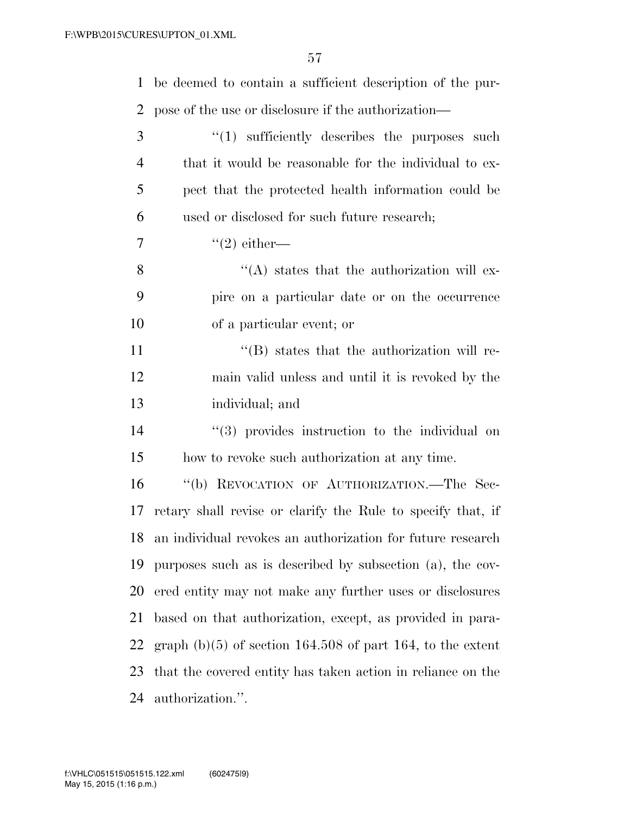| $\mathbf 1$    | be deemed to contain a sufficient description of the pur-     |
|----------------|---------------------------------------------------------------|
| 2              | pose of the use or disclosure if the authorization—           |
| 3              | $\lq(1)$ sufficiently describes the purposes such             |
| $\overline{4}$ | that it would be reasonable for the individual to ex-         |
| 5              | pect that the protected health information could be           |
| 6              | used or disclosed for such future research;                   |
| 7              | $\lq(2)$ either—                                              |
| 8              | $\lq\lq$ states that the authorization will ex-               |
| 9              | pire on a particular date or on the occurrence                |
| 10             | of a particular event; or                                     |
| 11             | $\lq\lq (B)$ states that the authorization will re-           |
| 12             | main valid unless and until it is revoked by the              |
| 13             | individual; and                                               |
| 14             | $(3)$ provides instruction to the individual on               |
| 15             | how to revoke such authorization at any time.                 |
| 16             | "(b) REVOCATION OF AUTHORIZATION.—The Sec-                    |
| 17             | retary shall revise or clarify the Rule to specify that, if   |
|                | 18 an individual revokes an authorization for future research |
| 19             | purposes such as is described by subsection (a), the cov-     |
| 20             | ered entity may not make any further uses or disclosures      |
| 21             | based on that authorization, except, as provided in para-     |
| 22             | graph $(b)(5)$ of section 164.508 of part 164, to the extent  |
| 23             | that the covered entity has taken action in reliance on the   |
| 24             | authorization.".                                              |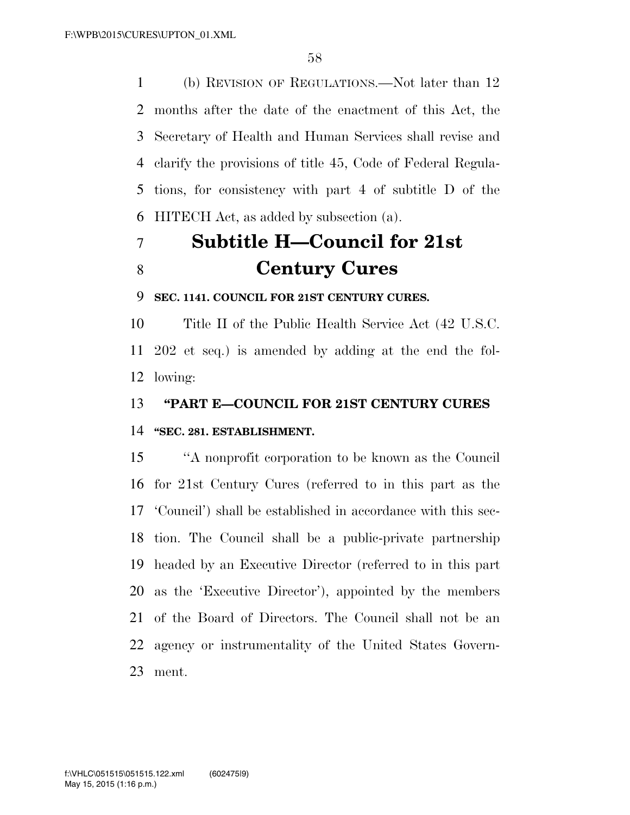(b) REVISION OF REGULATIONS.—Not later than 12 months after the date of the enactment of this Act, the Secretary of Health and Human Services shall revise and clarify the provisions of title 45, Code of Federal Regula- tions, for consistency with part 4 of subtitle D of the HITECH Act, as added by subsection (a).

# **Subtitle H—Council for 21st Century Cures**

**SEC. 1141. COUNCIL FOR 21ST CENTURY CURES.** 

 Title II of the Public Health Service Act (42 U.S.C. 202 et seq.) is amended by adding at the end the fol-lowing:

**''PART E—COUNCIL FOR 21ST CENTURY CURES** 

### **''SEC. 281. ESTABLISHMENT.**

 ''A nonprofit corporation to be known as the Council for 21st Century Cures (referred to in this part as the 'Council') shall be established in accordance with this sec- tion. The Council shall be a public-private partnership headed by an Executive Director (referred to in this part as the 'Executive Director'), appointed by the members of the Board of Directors. The Council shall not be an agency or instrumentality of the United States Govern-ment.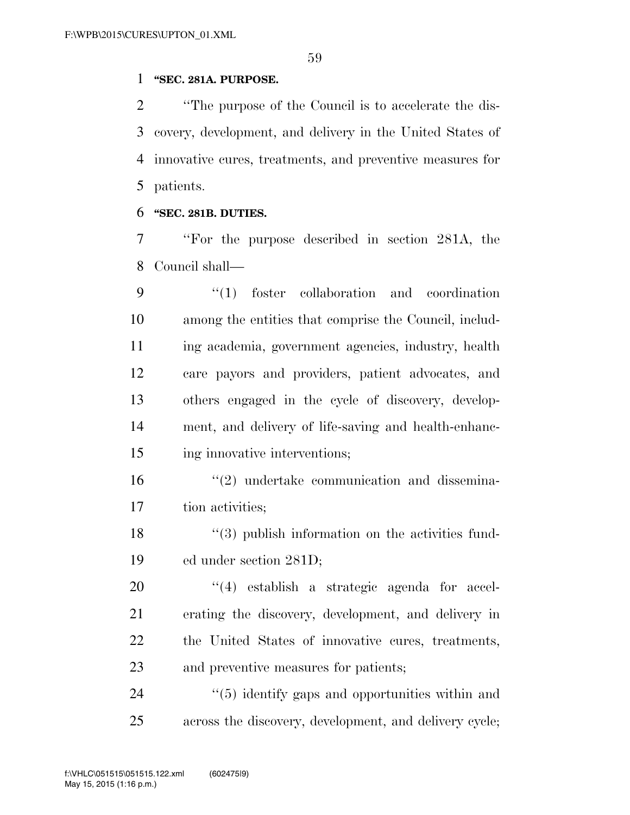### **''SEC. 281A. PURPOSE.**

 ''The purpose of the Council is to accelerate the dis- covery, development, and delivery in the United States of innovative cures, treatments, and preventive measures for patients.

### **''SEC. 281B. DUTIES.**

 ''For the purpose described in section 281A, the Council shall—

 ''(1) foster collaboration and coordination among the entities that comprise the Council, includ- ing academia, government agencies, industry, health care payors and providers, patient advocates, and others engaged in the cycle of discovery, develop- ment, and delivery of life-saving and health-enhanc-ing innovative interventions;

16  $\frac{1}{2}$  undertake communication and dissemina-tion activities;

18 ''(3) publish information on the activities fund-ed under section 281D;

 $\frac{1}{4}$  establish a strategic agenda for accel- erating the discovery, development, and delivery in the United States of innovative cures, treatments, and preventive measures for patients;

24  $\frac{1}{2}$  (5) identify gaps and opportunities within and across the discovery, development, and delivery cycle;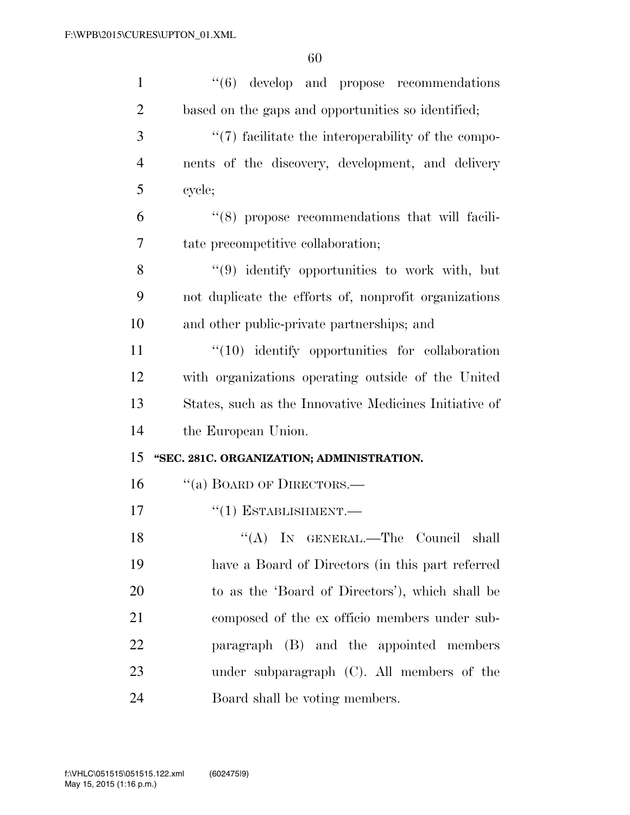| $\mathbf{1}$   | $\cdot$ (6) develop and propose recommendations        |
|----------------|--------------------------------------------------------|
| $\overline{2}$ | based on the gaps and opportunities so identified;     |
| 3              | $\lq(7)$ facilitate the interoperability of the compo- |
| $\overline{4}$ | nents of the discovery, development, and delivery      |
| 5              | cycle;                                                 |
| 6              | $(8)$ propose recommendations that will facili-        |
| 7              | tate precompetitive collaboration;                     |
| 8              | $\lq(9)$ identify opportunities to work with, but      |
| 9              | not duplicate the efforts of, nonprofit organizations  |
| 10             | and other public-private partnerships; and             |
| 11             | $\lq(10)$ identify opportunities for collaboration     |
| 12             | with organizations operating outside of the United     |
| 13             | States, such as the Innovative Medicines Initiative of |
| 14             | the European Union.                                    |
| 15             | "SEC. 281C. ORGANIZATION; ADMINISTRATION.              |
| 16             | "(a) BOARD OF DIRECTORS.—                              |
| 17             | $``(1)$ ESTABLISHMENT.—                                |
| 18             | "(A) IN GENERAL.—The Council shall                     |
| 19             | have a Board of Directors (in this part referred       |
| 20             | to as the 'Board of Directors'), which shall be        |
| 21             | composed of the ex officio members under sub-          |
| 22             | paragraph (B) and the appointed members                |
|                |                                                        |
| 23             | under subparagraph $(C)$ . All members of the          |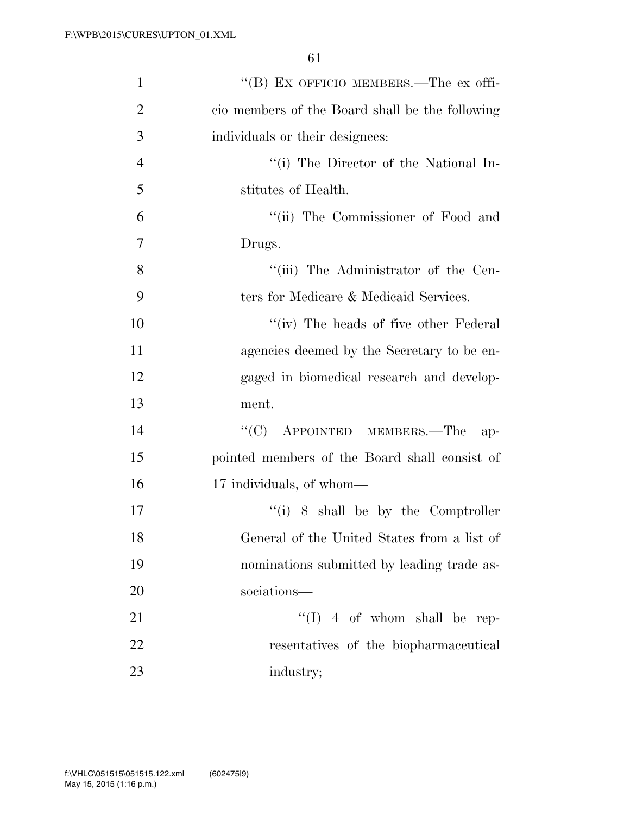| $\mathbf{1}$   | "(B) EX OFFICIO MEMBERS.—The ex offi-           |
|----------------|-------------------------------------------------|
| $\overline{2}$ | cio members of the Board shall be the following |
| 3              | individuals or their designees:                 |
| $\overline{4}$ | "(i) The Director of the National In-           |
| 5              | stitutes of Health.                             |
| 6              | "(ii) The Commissioner of Food and              |
| 7              | Drugs.                                          |
| 8              | "(iii) The Administrator of the Cen-            |
| 9              | ters for Medicare & Medicaid Services.          |
| 10             | "(iv) The heads of five other Federal           |
| 11             | agencies deemed by the Secretary to be en-      |
| 12             | gaged in biomedical research and develop-       |
| 13             | ment.                                           |
| 14             | $\lq\lq$ (C) APPOINTED MEMBERS.—The<br>$ap-$    |
| 15             | pointed members of the Board shall consist of   |
| 16             | 17 individuals, of whom—                        |
| 17             | $``(i)$ 8 shall be by the Comptroller           |
| 18             | General of the United States from a list of     |
| 19             | nominations submitted by leading trade as-      |
| 20             | sociations-                                     |
| 21             | $\lq\lq (I)$ 4 of whom shall be rep-            |
| 22             | resentatives of the biopharmaceutical           |
| 23             | industry;                                       |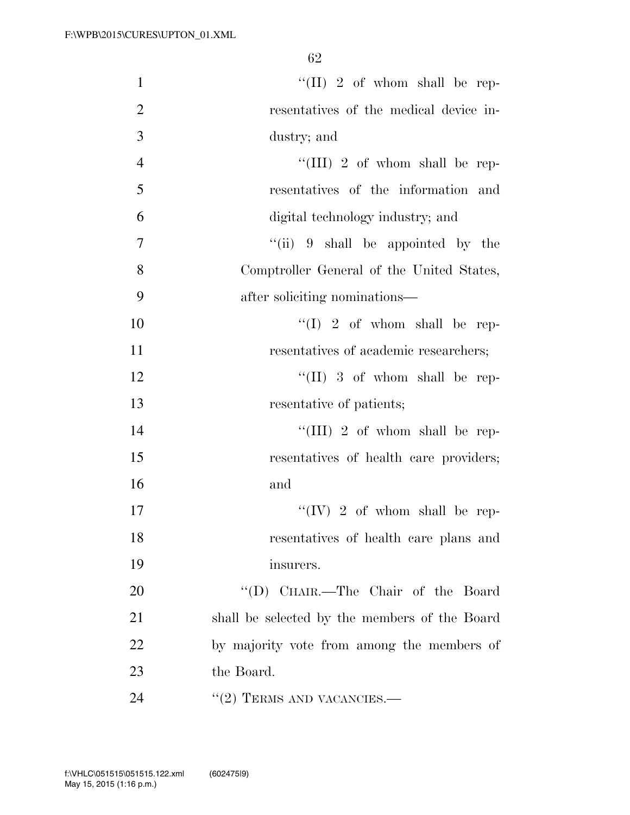| $\mathbf{1}$   | "(II) 2 of whom shall be rep-                 |
|----------------|-----------------------------------------------|
| $\overline{2}$ | resentatives of the medical device in-        |
| 3              | dustry; and                                   |
| $\overline{4}$ | "(III) 2 of whom shall be rep-                |
| 5              | resentatives of the information and           |
| 6              | digital technology industry; and              |
| $\overline{7}$ | "(ii) $9$ shall be appointed by the           |
| 8              | Comptroller General of the United States,     |
| 9              | after soliciting nominations—                 |
| 10             | $``(I) 2 of whom shall be rep-$               |
| 11             | resentatives of academic researchers;         |
| 12             | "(II) 3 of whom shall be rep-                 |
| 13             | resentative of patients;                      |
| 14             | "(III) 2 of whom shall be rep-                |
| 15             | resentatives of health care providers;        |
| 16             | and                                           |
| 17             | "(IV) 2 of whom shall be rep-                 |
| 18             | resentatives of health care plans and         |
| 19             | insurers.                                     |
| 20             | "(D) CHAIR.—The Chair of the Board            |
| 21             | shall be selected by the members of the Board |
| 22             | by majority vote from among the members of    |
| 23             | the Board.                                    |
| 24             | $\cdot\cdot(2)$ TERMS AND VACANCIES.—         |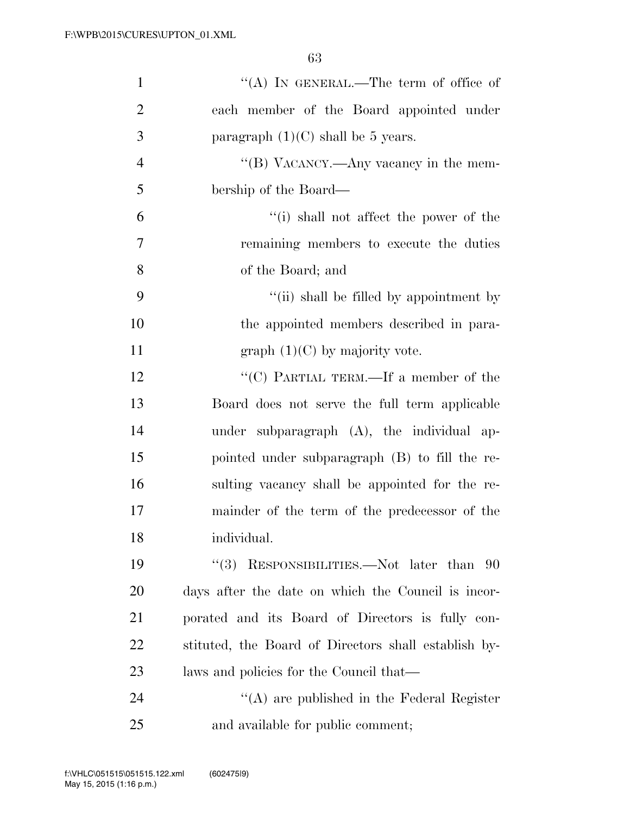| $\mathbf{1}$   | "(A) IN GENERAL.—The term of office of               |
|----------------|------------------------------------------------------|
| $\overline{2}$ | each member of the Board appointed under             |
| 3              | paragraph $(1)(C)$ shall be 5 years.                 |
| $\overline{4}$ | "(B) VACANCY.—Any vacancy in the mem-                |
| 5              | bership of the Board—                                |
| 6              | "(i) shall not affect the power of the               |
| $\tau$         | remaining members to execute the duties              |
| 8              | of the Board; and                                    |
| 9              | "(ii) shall be filled by appointment by              |
| 10             | the appointed members described in para-             |
| 11             | graph $(1)(C)$ by majority vote.                     |
| 12             | "(C) PARTIAL TERM.—If a member of the                |
| 13             | Board does not serve the full term applicable        |
| 14             | under subparagraph (A), the individual ap-           |
| 15             | pointed under subparagraph (B) to fill the re-       |
| 16             | sulting vacancy shall be appointed for the re-       |
| $17\,$         | mainder of the term of the predecessor of the        |
| 18             | individual.                                          |
| 19             | "(3) RESPONSIBILITIES.—Not later than $90$           |
| <b>20</b>      | days after the date on which the Council is incor-   |
| 21             | porated and its Board of Directors is fully con-     |
| 22             | stituted, the Board of Directors shall establish by- |
| 23             | laws and policies for the Council that—              |
| 24             | "(A) are published in the Federal Register           |
| 25             | and available for public comment;                    |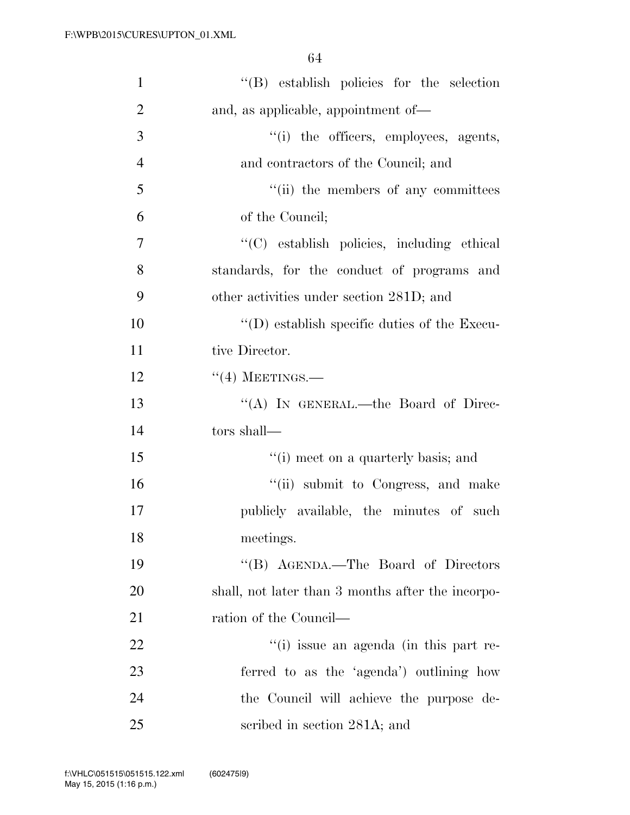| $\mathbf{1}$   | "(B) establish policies for the selection         |
|----------------|---------------------------------------------------|
| $\overline{2}$ | and, as applicable, appointment of—               |
| 3              | "(i) the officers, employees, agents,             |
| $\overline{4}$ | and contractors of the Council; and               |
| 5              | "(ii) the members of any committees               |
| 6              | of the Council;                                   |
| 7              | "(C) establish policies, including ethical        |
| 8              | standards, for the conduct of programs and        |
| 9              | other activities under section 281D; and          |
| 10             | $\lq\lq$ establish specific duties of the Execu-  |
| 11             | tive Director.                                    |
| 12             | $``(4)$ MEETINGS.—                                |
| 13             | "(A) IN GENERAL.—the Board of Direc-              |
| 14             | tors shall—                                       |
| 15             | "(i) meet on a quarterly basis; and               |
| 16             | "(ii) submit to Congress, and make                |
| 17             | publicly available, the minutes of such           |
| 18             | meetings.                                         |
| 19             | "(B) AGENDA.—The Board of Directors               |
| 20             | shall, not later than 3 months after the incorpo- |
| 21             | ration of the Council—                            |
| 22             | "(i) issue an agenda (in this part re-            |
| 23             | ferred to as the 'agenda') outlining how          |
| 24             | the Council will achieve the purpose de-          |
| 25             | scribed in section 281A; and                      |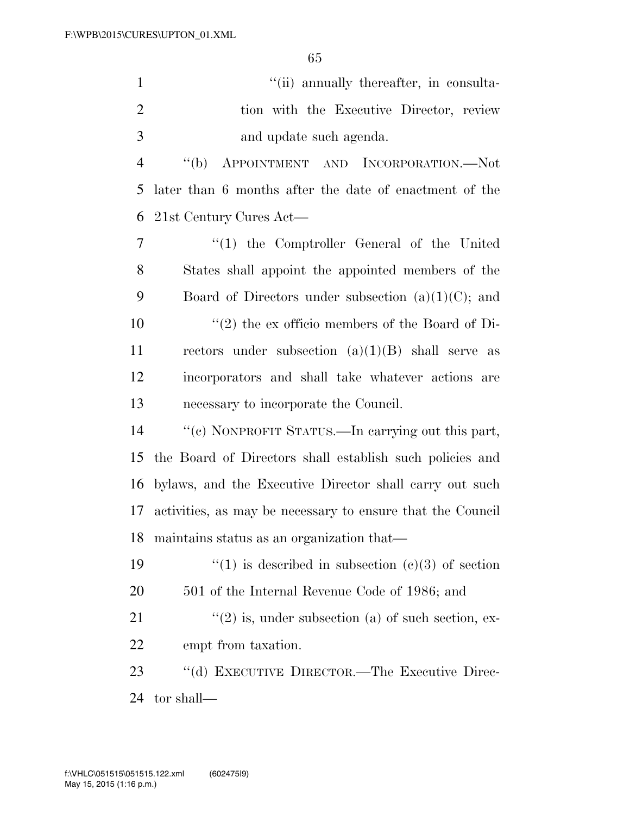| $\mathbf{1}$   | "(ii) annually thereafter, in consulta-                    |
|----------------|------------------------------------------------------------|
| $\overline{2}$ | tion with the Executive Director, review                   |
| 3              | and update such agenda.                                    |
| $\overline{4}$ | APPOINTMENT AND INCORPORATION.—Not<br>$\lq\lq(b)$          |
| 5              | later than 6 months after the date of enactment of the     |
| 6              | 21st Century Cures Act-                                    |
| 7              | $\lq(1)$ the Comptroller General of the United             |
| 8              | States shall appoint the appointed members of the          |
| 9              | Board of Directors under subsection $(a)(1)(C)$ ; and      |
| 10             | $\lq(2)$ the ex officio members of the Board of Di-        |
| 11             | rectors under subsection $(a)(1)(B)$ shall serve as        |
| 12             | incorporators and shall take whatever actions are          |
|                |                                                            |
| 13             | necessary to incorporate the Council.                      |
| 14             | "(c) NONPROFIT STATUS.—In carrying out this part,          |
| 15             | the Board of Directors shall establish such policies and   |
| 16             | bylaws, and the Executive Director shall carry out such    |
| 17             | activities, as may be necessary to ensure that the Council |
| 18             | maintains status as an organization that—                  |
| 19             | "(1) is described in subsection (c)(3) of section          |
| <b>20</b>      | 501 of the Internal Revenue Code of 1986; and              |
| 21             | $\lq(2)$ is, under subsection (a) of such section, ex-     |
| 22             | empt from taxation.                                        |
| 23             | "(d) EXECUTIVE DIRECTOR.—The Executive Direc-              |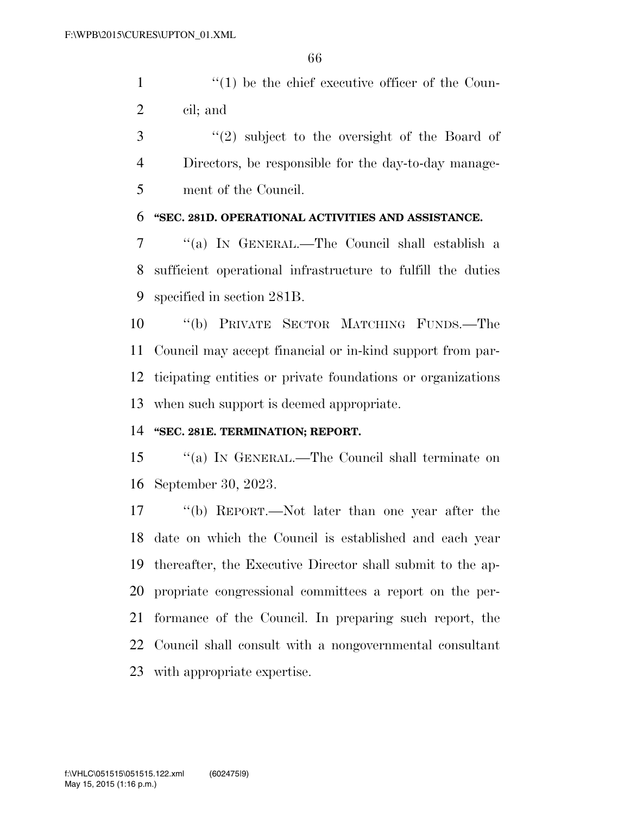1  $\frac{1}{1}$  the chief executive officer of the Coun-cil; and

 ''(2) subject to the oversight of the Board of Directors, be responsible for the day-to-day manage-ment of the Council.

### **''SEC. 281D. OPERATIONAL ACTIVITIES AND ASSISTANCE.**

 ''(a) IN GENERAL.—The Council shall establish a sufficient operational infrastructure to fulfill the duties specified in section 281B.

 ''(b) PRIVATE SECTOR MATCHING FUNDS.—The Council may accept financial or in-kind support from par- ticipating entities or private foundations or organizations when such support is deemed appropriate.

### **''SEC. 281E. TERMINATION; REPORT.**

 ''(a) IN GENERAL.—The Council shall terminate on September 30, 2023.

 ''(b) REPORT.—Not later than one year after the date on which the Council is established and each year thereafter, the Executive Director shall submit to the ap- propriate congressional committees a report on the per- formance of the Council. In preparing such report, the Council shall consult with a nongovernmental consultant with appropriate expertise.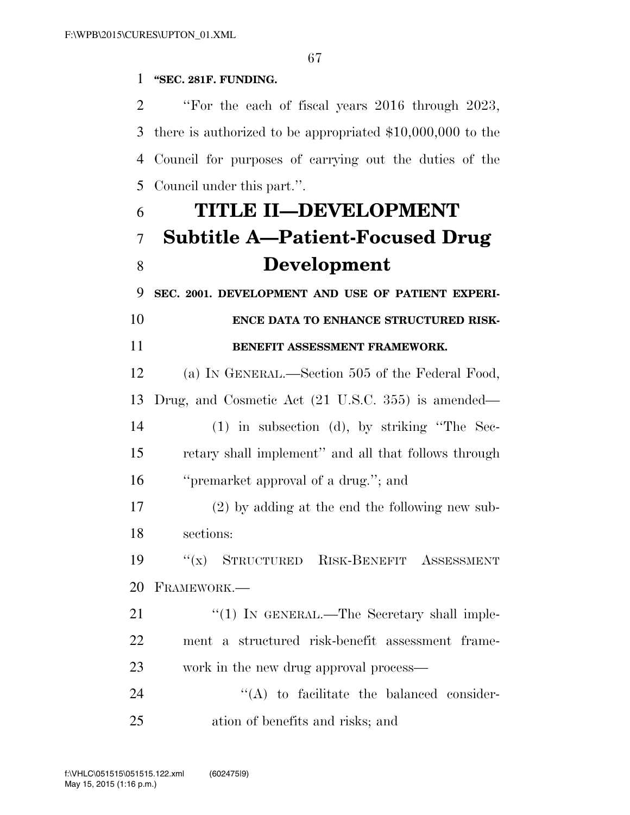### **''SEC. 281F. FUNDING.**

 ''For the each of fiscal years 2016 through 2023, there is authorized to be appropriated \$10,000,000 to the Council for purposes of carrying out the duties of the Council under this part.''.

# **TITLE II—DEVELOPMENT Subtitle A—Patient-Focused Drug Development**

**SEC. 2001. DEVELOPMENT AND USE OF PATIENT EXPERI-**

## **ENCE DATA TO ENHANCE STRUCTURED RISK-BENEFIT ASSESSMENT FRAMEWORK.**

 (a) IN GENERAL.—Section 505 of the Federal Food, Drug, and Cosmetic Act (21 U.S.C. 355) is amended— (1) in subsection (d), by striking ''The Sec- retary shall implement'' and all that follows through ''premarket approval of a drug.''; and

 (2) by adding at the end the following new sub-sections:

 ''(x) STRUCTURED RISK-BENEFIT ASSESSMENT FRAMEWORK.—

21 "(1) IN GENERAL.—The Secretary shall imple- ment a structured risk-benefit assessment frame-work in the new drug approval process—

24  $\langle (A)$  to facilitate the balanced consider-ation of benefits and risks; and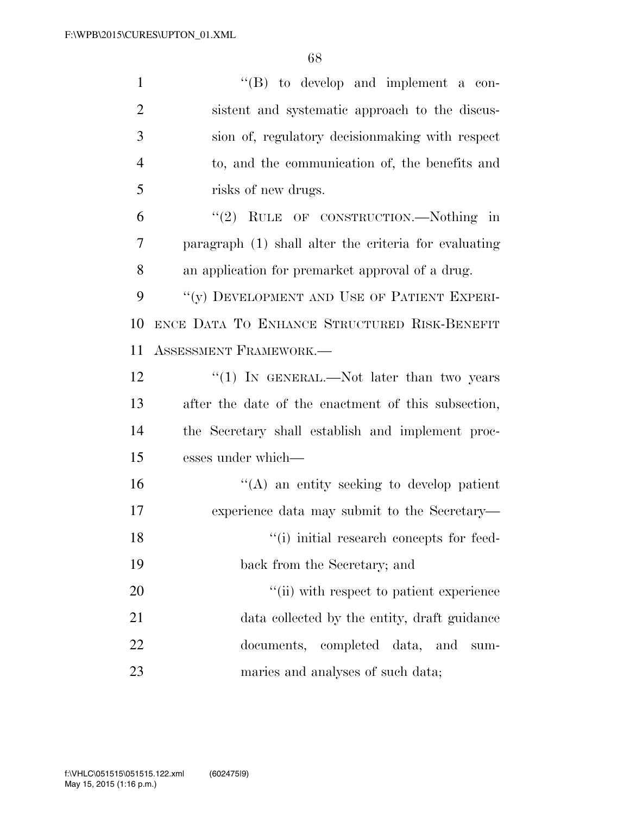| $\mathbf{1}$   | $\lq\lq$ (B) to develop and implement a con-          |
|----------------|-------------------------------------------------------|
| $\overline{2}$ | sistent and systematic approach to the discus-        |
| 3              | sion of, regulatory decision making with respect      |
| $\overline{4}$ | to, and the communication of, the benefits and        |
| 5              | risks of new drugs.                                   |
| 6              | "(2) RULE OF CONSTRUCTION.—Nothing in                 |
| 7              | paragraph (1) shall alter the criteria for evaluating |
| 8              | an application for premarket approval of a drug.      |
| 9              | "(y) DEVELOPMENT AND USE OF PATIENT EXPERI-           |
| 10             | ENCE DATA TO ENHANCE STRUCTURED RISK-BENEFIT          |
| 11             | ASSESSMENT FRAMEWORK.                                 |
| 12             | " $(1)$ IN GENERAL.—Not later than two years          |
| 13             | after the date of the enactment of this subsection,   |
| 14             | the Secretary shall establish and implement proc-     |
| 15             | esses under which—                                    |
| 16             | $\lq\lq$ an entity seeking to develop patient         |
| 17             | experience data may submit to the Secretary—          |
| 18             | "(i) initial research concepts for feed-              |
| 19             | back from the Secretary; and                          |
| 20             | "(ii) with respect to patient experience              |
| 21             | data collected by the entity, draft guidance          |
| 22             | documents, completed data,<br>and<br>$sum-$           |
| 23             | maries and analyses of such data;                     |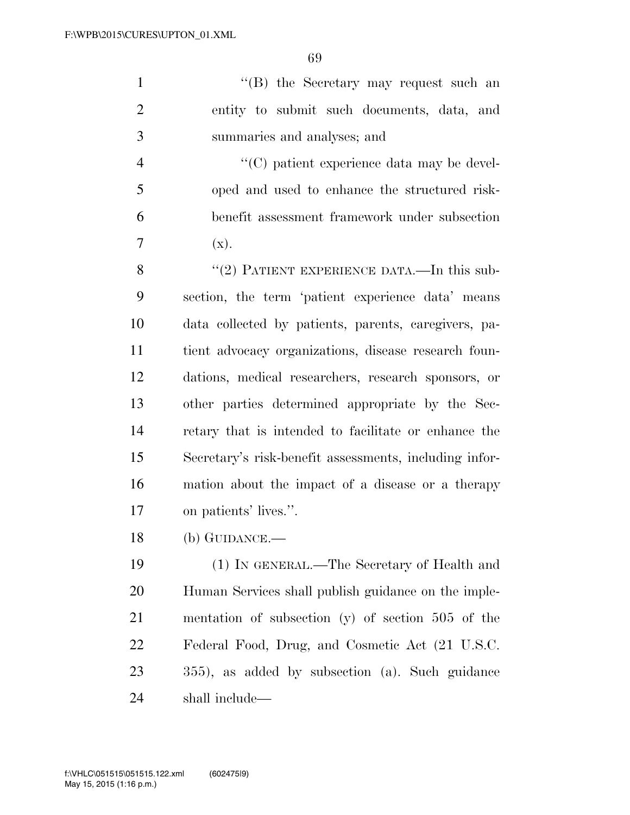''(B) the Secretary may request such an entity to submit such documents, data, and summaries and analyses; and

 ''(C) patient experience data may be devel- oped and used to enhance the structured risk- benefit assessment framework under subsection  $7 \quad (x).$ 

8 "(2) PATIENT EXPERIENCE DATA.—In this sub- section, the term 'patient experience data' means data collected by patients, parents, caregivers, pa- tient advocacy organizations, disease research foun- dations, medical researchers, research sponsors, or other parties determined appropriate by the Sec- retary that is intended to facilitate or enhance the Secretary's risk-benefit assessments, including infor- mation about the impact of a disease or a therapy on patients' lives.''.

(b) GUIDANCE.—

 (1) IN GENERAL.—The Secretary of Health and Human Services shall publish guidance on the imple- mentation of subsection (y) of section 505 of the Federal Food, Drug, and Cosmetic Act (21 U.S.C. 355), as added by subsection (a). Such guidance shall include—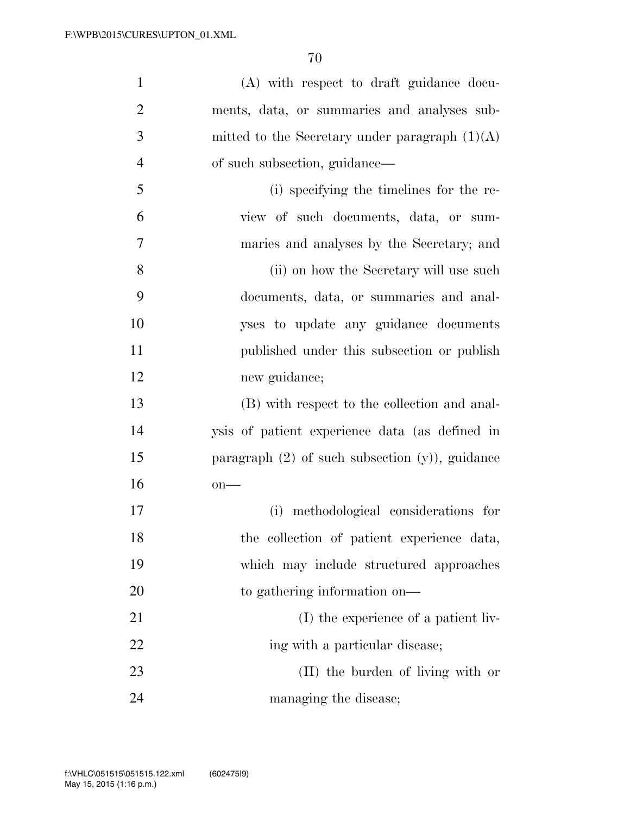| $\mathbf{1}$   | (A) with respect to draft guidance docu-            |
|----------------|-----------------------------------------------------|
| $\overline{2}$ | ments, data, or summaries and analyses sub-         |
| 3              | mitted to the Secretary under paragraph $(1)(A)$    |
| $\overline{4}$ | of such subsection, guidance—                       |
| 5              | (i) specifying the timelines for the re-            |
| 6              | view of such documents, data, or sum-               |
| 7              | maries and analyses by the Secretary; and           |
| 8              | (ii) on how the Secretary will use such             |
| 9              | documents, data, or summaries and anal-             |
| 10             | yses to update any guidance documents               |
| 11             | published under this subsection or publish          |
| 12             | new guidance;                                       |
| 13             | (B) with respect to the collection and anal-        |
| 14             | ysis of patient experience data (as defined in      |
| 15             | paragraph $(2)$ of such subsection $(y)$ , guidance |
| 16             | $on$ —                                              |
| 17             | (i) methodological considerations for               |
| 18             | the collection of patient experience data,          |
| 19             | which may include structured approaches             |
| 20             | to gathering information on—                        |
| 21             | (I) the experience of a patient liv-                |
| 22             | ing with a particular disease;                      |
| 23             | (II) the burden of living with or                   |
| 24             | managing the disease;                               |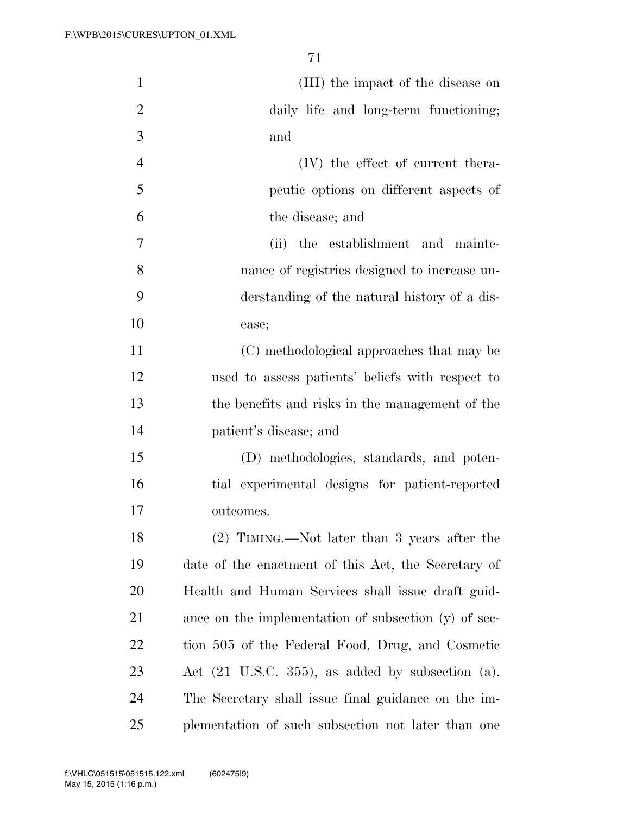| $\mathbf{1}$   | (III) the impact of the disease on                              |
|----------------|-----------------------------------------------------------------|
| $\overline{2}$ | daily life and long-term functioning;                           |
| 3              | and                                                             |
| $\overline{4}$ | $(V)$ the effect of current thera-                              |
| 5              | peutic options on different aspects of                          |
| 6              | the disease; and                                                |
| 7              | (ii) the establishment and mainte-                              |
| 8              | nance of registries designed to increase un-                    |
| 9              | derstanding of the natural history of a dis-                    |
| 10             | ease;                                                           |
| 11             | (C) methodological approaches that may be                       |
| 12             | used to assess patients' beliefs with respect to                |
| 13             | the benefits and risks in the management of the                 |
| 14             | patient's disease; and                                          |
| 15             | (D) methodologies, standards, and poten-                        |
| 16             | tial experimental designs for patient-reported                  |
| 17             | outcomes.                                                       |
| 18             | $(2)$ TIMING.—Not later than 3 years after the                  |
| 19             | date of the enactment of this Act, the Secretary of             |
| 20             | Health and Human Services shall issue draft guid-               |
| 21             | ance on the implementation of subsection (y) of sec-            |
| 22             | tion 505 of the Federal Food, Drug, and Cosmetic                |
| 23             | Act $(21 \text{ U.S.C. } 355)$ , as added by subsection $(a)$ . |
| 24             | The Secretary shall issue final guidance on the im-             |
| 25             | plementation of such subsection not later than one              |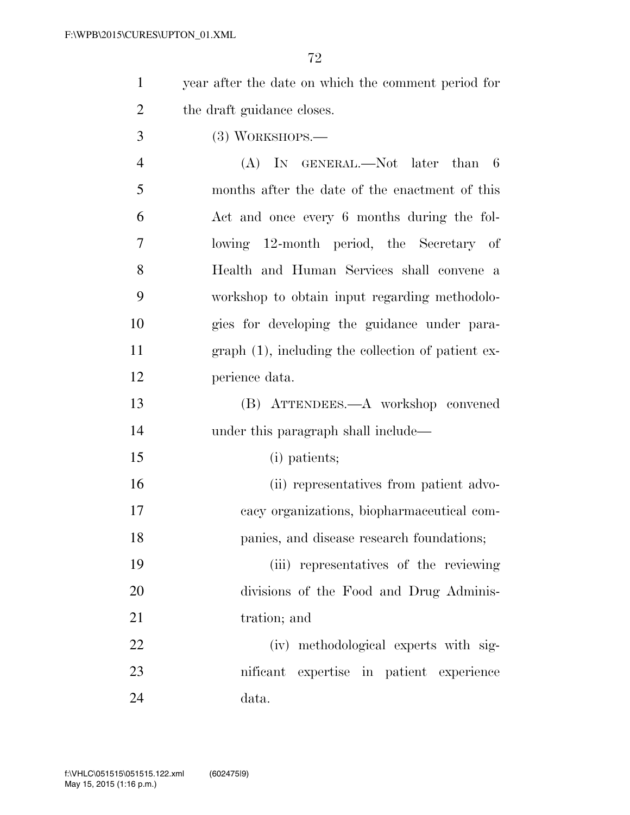| year after the date on which the comment period for |
|-----------------------------------------------------|
| the draft guidance closes.                          |

(3) WORKSHOPS.—

 (A) IN GENERAL.—Not later than 6 months after the date of the enactment of this Act and once every 6 months during the fol- lowing 12-month period, the Secretary of Health and Human Services shall convene a workshop to obtain input regarding methodolo- gies for developing the guidance under para- graph (1), including the collection of patient ex-perience data.

 (B) ATTENDEES.—A workshop convened 14 under this paragraph shall include—

(i) patients;

 (ii) representatives from patient advo- cacy organizations, biopharmaceutical com-panies, and disease research foundations;

 (iii) representatives of the reviewing divisions of the Food and Drug Adminis-21 tration; and

 (iv) methodological experts with sig- nificant expertise in patient experience data.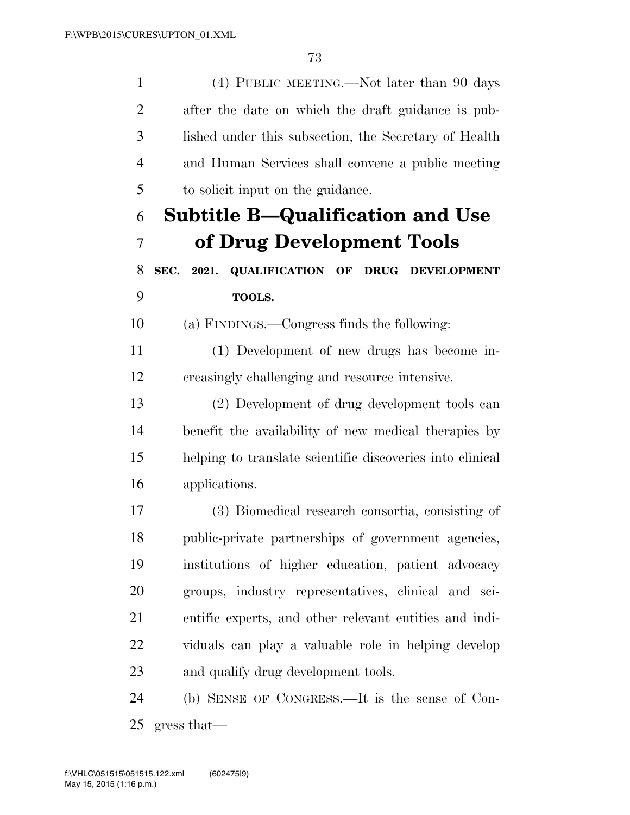(4) PUBLIC MEETING.—Not later than 90 days after the date on which the draft guidance is pub- lished under this subsection, the Secretary of Health and Human Services shall convene a public meeting to solicit input on the guidance. **Subtitle B—Qualification and Use of Drug Development Tools SEC. 2021. QUALIFICATION OF DRUG DEVELOPMENT TOOLS.**  (a) FINDINGS.—Congress finds the following: (1) Development of new drugs has become in- creasingly challenging and resource intensive. (2) Development of drug development tools can benefit the availability of new medical therapies by helping to translate scientific discoveries into clinical applications. (3) Biomedical research consortia, consisting of public-private partnerships of government agencies, institutions of higher education, patient advocacy groups, industry representatives, clinical and sci- entific experts, and other relevant entities and indi- viduals can play a valuable role in helping develop and qualify drug development tools. (b) SENSE OF CONGRESS.—It is the sense of Con-gress that—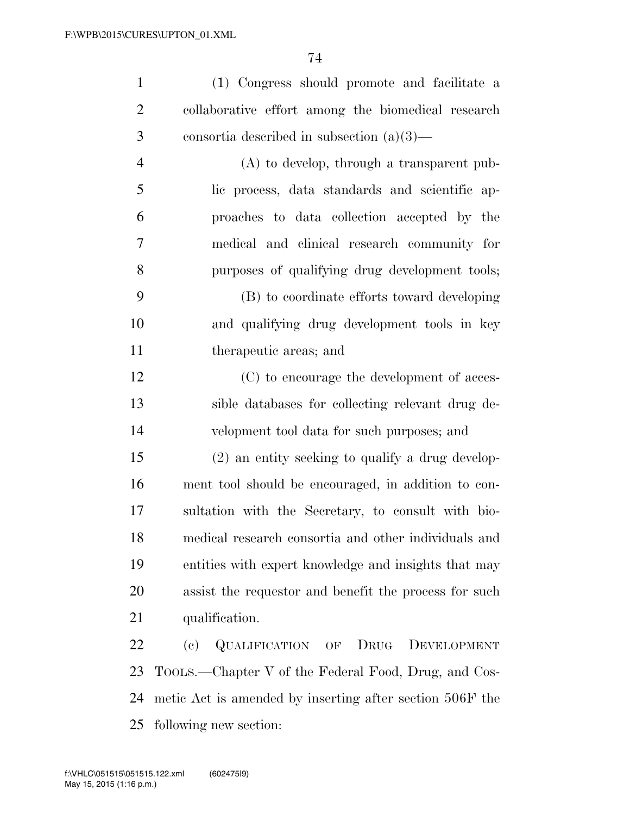| $\mathbf{1}$   | (1) Congress should promote and facilitate a          |
|----------------|-------------------------------------------------------|
| $\overline{2}$ | collaborative effort among the biomedical research    |
| 3              | consortia described in subsection $(a)(3)$ —          |
| $\overline{4}$ | $(A)$ to develop, through a transparent pub-          |
| 5              | lic process, data standards and scientific ap-        |
| 6              | proaches to data collection accepted by the           |
| 7              | medical and clinical research community for           |
| 8              | purposes of qualifying drug development tools;        |
| 9              | (B) to coordinate efforts toward developing           |
| 10             | and qualifying drug development tools in key          |
| 11             | therapeutic areas; and                                |
| 12             | (C) to encourage the development of acces-            |
| 13             | sible databases for collecting relevant drug de-      |
| 14             | velopment tool data for such purposes; and            |
| 15             | (2) an entity seeking to qualify a drug develop-      |
| 16             | ment tool should be encouraged, in addition to con-   |
| 17             | sultation with the Secretary, to consult with bio-    |
| 18             | medical research consortia and other individuals and  |
| 19             | entities with expert knowledge and insights that may  |
| 20             | assist the requestor and benefit the process for such |
| 21             | qualification.                                        |
|                |                                                       |

 (c) QUALIFICATION OF DRUG DEVELOPMENT TOOLS.—Chapter V of the Federal Food, Drug, and Cos- metic Act is amended by inserting after section 506F the following new section: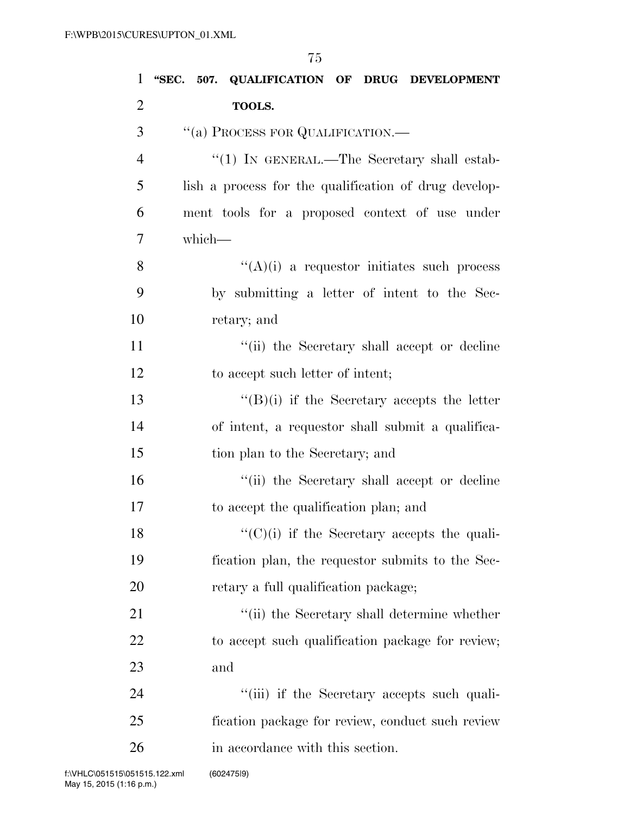| $\mathbf{1}$   | 507. QUALIFICATION OF DRUG DEVELOPMENT<br>"SEC.       |
|----------------|-------------------------------------------------------|
| $\overline{2}$ | TOOLS.                                                |
| 3              | "(a) PROCESS FOR QUALIFICATION.—                      |
| $\overline{4}$ | "(1) IN GENERAL.—The Secretary shall estab-           |
| 5              | lish a process for the qualification of drug develop- |
| 6              | ment tools for a proposed context of use under        |
| 7              | which-                                                |
| 8              | $\lq\lq(A)(i)$ a requestor initiates such process     |
| 9              | by submitting a letter of intent to the Sec-          |
| 10             | retary; and                                           |
| 11             | "(ii) the Secretary shall accept or decline           |
| 12             | to accept such letter of intent;                      |
| 13             | $\lq\lq(B)(i)$ if the Secretary accepts the letter    |
| 14             | of intent, a requestor shall submit a qualifica-      |
| 15             | tion plan to the Secretary; and                       |
| 16             | "(ii) the Secretary shall accept or decline           |
| 17             | to accept the qualification plan; and                 |
| 18             | $\lq\lq$ (C)(i) if the Secretary accepts the quali-   |
| 19             | fication plan, the requestor submits to the Sec-      |
| 20             | retary a full qualification package;                  |
| 21             | "(ii) the Secretary shall determine whether           |
| 22             | to accept such qualification package for review;      |
| 23             | and                                                   |
| 24             | "(iii) if the Secretary accepts such quali-           |
| 25             | fication package for review, conduct such review      |
| 26             | in accordance with this section.                      |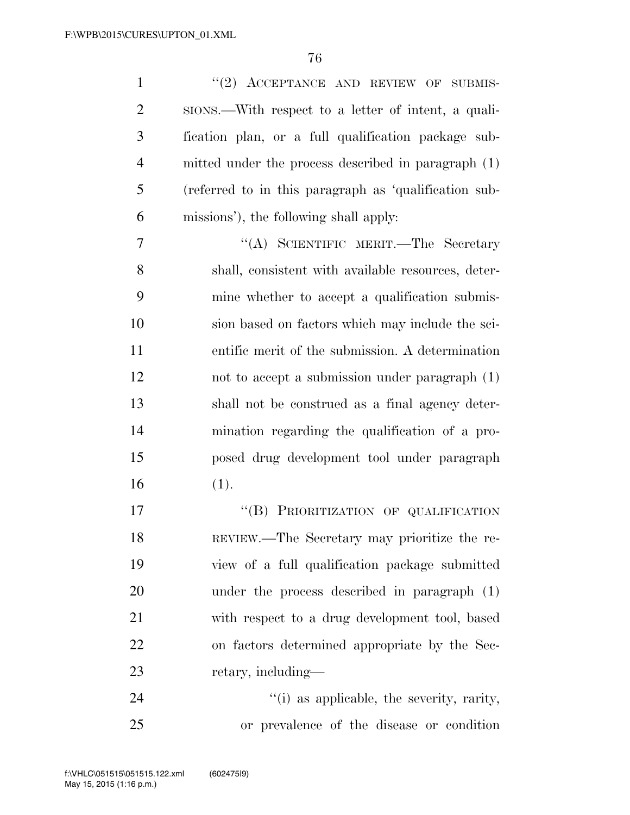1 ''(2) ACCEPTANCE AND REVIEW OF SUBMIS- SIONS.—With respect to a letter of intent, a quali- fication plan, or a full qualification package sub- mitted under the process described in paragraph (1) (referred to in this paragraph as 'qualification sub- missions'), the following shall apply: ''(A) SCIENTIFIC MERIT.—The Secretary shall, consistent with available resources, deter- mine whether to accept a qualification submis- sion based on factors which may include the sci- entific merit of the submission. A determination not to accept a submission under paragraph (1) shall not be construed as a final agency deter- mination regarding the qualification of a pro- posed drug development tool under paragraph (1). 17 "(B) PRIORITIZATION OF QUALIFICATION REVIEW.—The Secretary may prioritize the re- view of a full qualification package submitted under the process described in paragraph (1) with respect to a drug development tool, based on factors determined appropriate by the Sec-23 retary, including—

24  $(1)$  as applicable, the severity, rarity, or prevalence of the disease or condition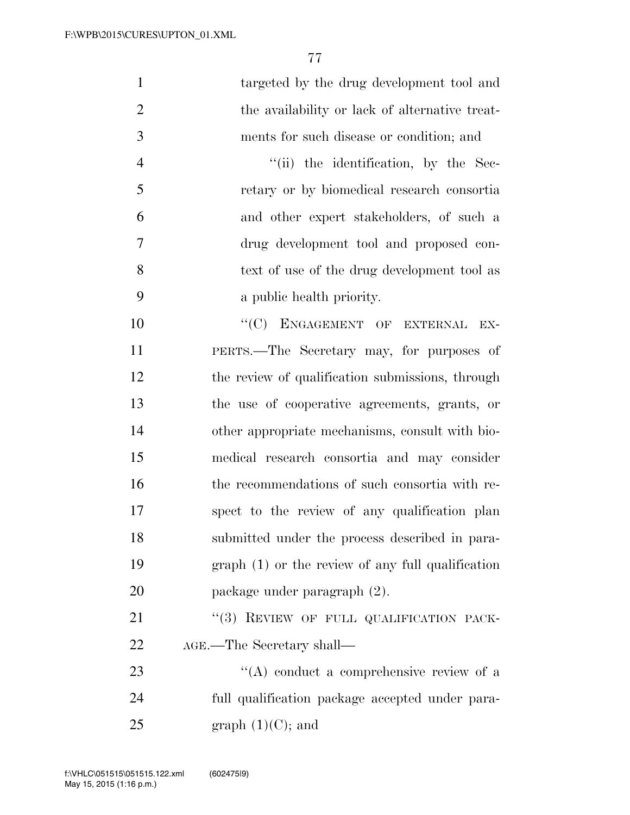| $\mathbf{1}$   | targeted by the drug development tool and          |
|----------------|----------------------------------------------------|
| $\overline{2}$ | the availability or lack of alternative treat-     |
| 3              | ments for such disease or condition; and           |
| $\overline{4}$ | "(ii) the identification, by the Sec-              |
| 5              | retary or by biomedical research consortia         |
| 6              | and other expert stakeholders, of such a           |
| 7              | drug development tool and proposed con-            |
| 8              | text of use of the drug development tool as        |
| 9              | a public health priority.                          |
| 10             | "(C) ENGAGEMENT OF EXTERNAL<br>EX-                 |
| 11             | PERTS.—The Secretary may, for purposes of          |
| 12             | the review of qualification submissions, through   |
| 13             | the use of cooperative agreements, grants, or      |
| 14             | other appropriate mechanisms, consult with bio-    |
| 15             | medical research consortia and may consider        |
| 16             | the recommendations of such consortia with re-     |
| 17             | spect to the review of any qualification plan      |
| 18             | submitted under the process described in para-     |
| 19             | $graph(1)$ or the review of any full qualification |
| 20             | package under paragraph (2).                       |
| 21             | "(3) REVIEW OF FULL QUALIFICATION PACK-            |
| 22             | AGE.—The Secretary shall—                          |
| 23             | $\lq\lq$ conduct a comprehensive review of a       |
| 24             | full qualification package accepted under para-    |
| 25             | graph $(1)(C)$ ; and                               |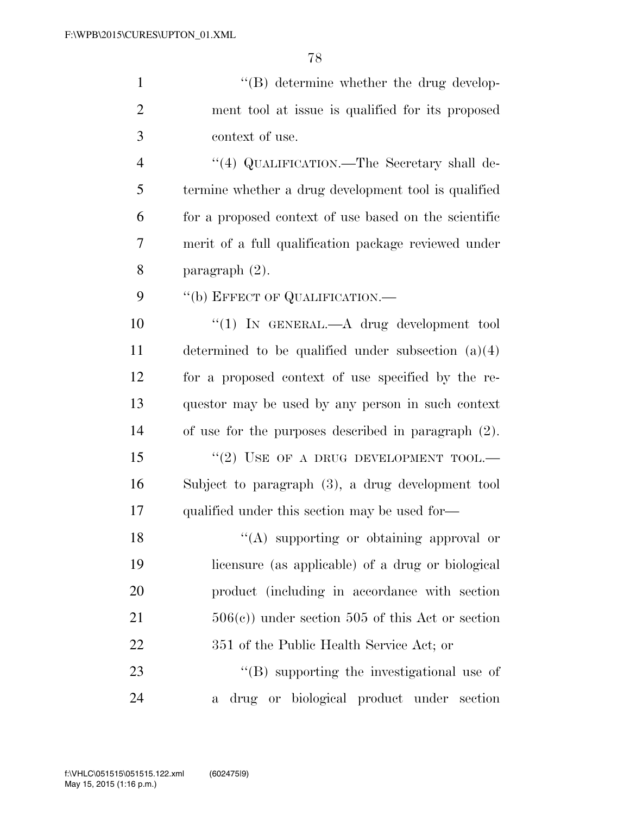1 ''(B) determine whether the drug develop- ment tool at issue is qualified for its proposed context of use. 4 "(4) QUALIFICATION.—The Secretary shall de- termine whether a drug development tool is qualified for a proposed context of use based on the scientific merit of a full qualification package reviewed under paragraph (2). 9 "(b) EFFECT OF QUALIFICATION.— ''(1) IN GENERAL.—A drug development tool

 determined to be qualified under subsection (a)(4) for a proposed context of use specified by the re- questor may be used by any person in such context of use for the purposes described in paragraph (2).

15 "(2) USE OF A DRUG DEVELOPMENT TOOL.— Subject to paragraph (3), a drug development tool 17 qualified under this section may be used for—

18 ''(A) supporting or obtaining approval or licensure (as applicable) of a drug or biological product (including in accordance with section 506(c)) under section 505 of this Act or section 22 351 of the Public Health Service Act; or 23 ''(B) supporting the investigational use of

a drug or biological product under section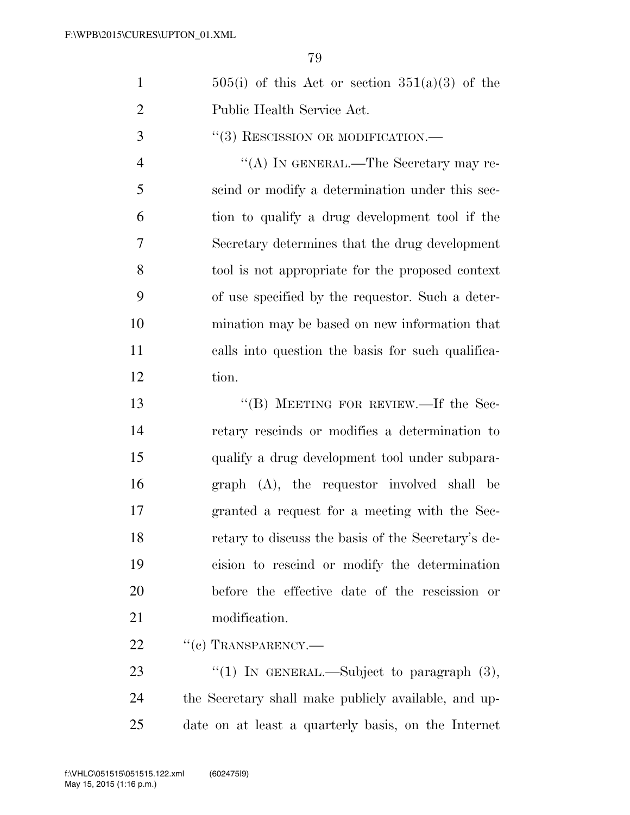|                             | $505(i)$ of this Act or section $351(a)(3)$ of the |
|-----------------------------|----------------------------------------------------|
| $\mathcal{D}_{\mathcal{L}}$ | Public Health Service Act.                         |
| 3                           | $``(3)$ RESCISSION OR MODIFICATION.—               |
|                             | "(A) IN GENERAL.—The Secretary may re-             |
| -5                          | scind or modify a determination under this sec-    |
|                             | tion to qualify a drug development tool if the     |
|                             |                                                    |

 Secretary determines that the drug development tool is not appropriate for the proposed context of use specified by the requestor. Such a deter- mination may be based on new information that calls into question the basis for such qualifica-tion.

13 "(B) MEETING FOR REVIEW.—If the Sec- retary rescinds or modifies a determination to qualify a drug development tool under subpara- graph (A), the requestor involved shall be granted a request for a meeting with the Sec- retary to discuss the basis of the Secretary's de- cision to rescind or modify the determination before the effective date of the rescission or modification.

22 " (c) TRANSPARENCY.—

23  $\frac{1}{2}$  (1) In GENERAL.—Subject to paragraph (3), the Secretary shall make publicly available, and up-date on at least a quarterly basis, on the Internet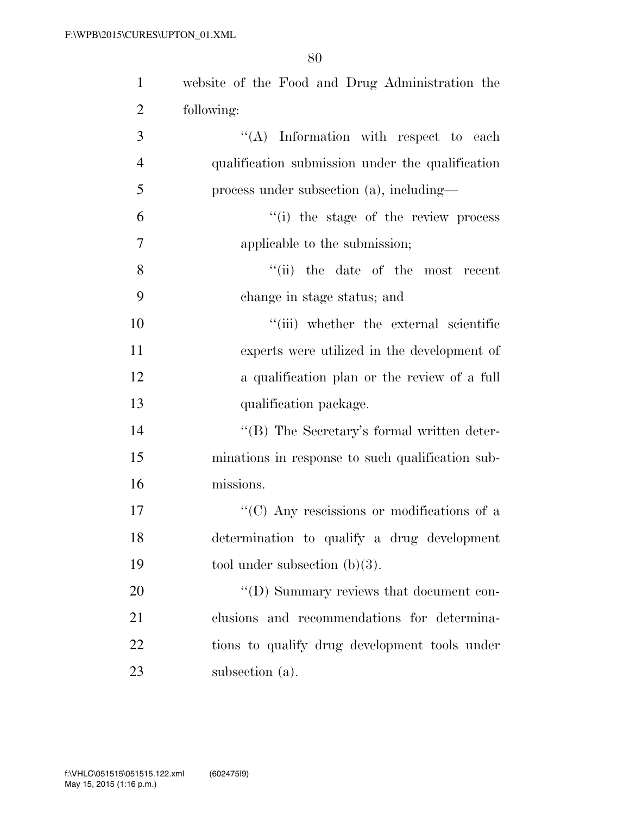| $\mathbf{1}$   | website of the Food and Drug Administration the    |
|----------------|----------------------------------------------------|
| $\overline{2}$ | following:                                         |
| 3              | "(A) Information with respect to each              |
| $\overline{4}$ | qualification submission under the qualification   |
| 5              | process under subsection $(a)$ , including—        |
| 6              | "(i) the stage of the review process               |
| 7              | applicable to the submission;                      |
| 8              | "(ii) the date of the most recent                  |
| 9              | change in stage status; and                        |
| 10             | "(iii) whether the external scientific             |
| 11             | experts were utilized in the development of        |
| 12             | a qualification plan or the review of a full       |
| 13             | qualification package.                             |
| 14             | $\lq\lq (B)$ The Secretary's formal written deter- |
| 15             | minations in response to such qualification sub-   |
| 16             | missions.                                          |
| 17             | "(C) Any rescissions or modifications of a         |
| 18             | determination to qualify a drug development        |
| 19             | tool under subsection $(b)(3)$ .                   |
| 20             | "(D) Summary reviews that document con-            |
| 21             | clusions and recommendations for determina-        |
| 22             | tions to qualify drug development tools under      |
| 23             | subsection (a).                                    |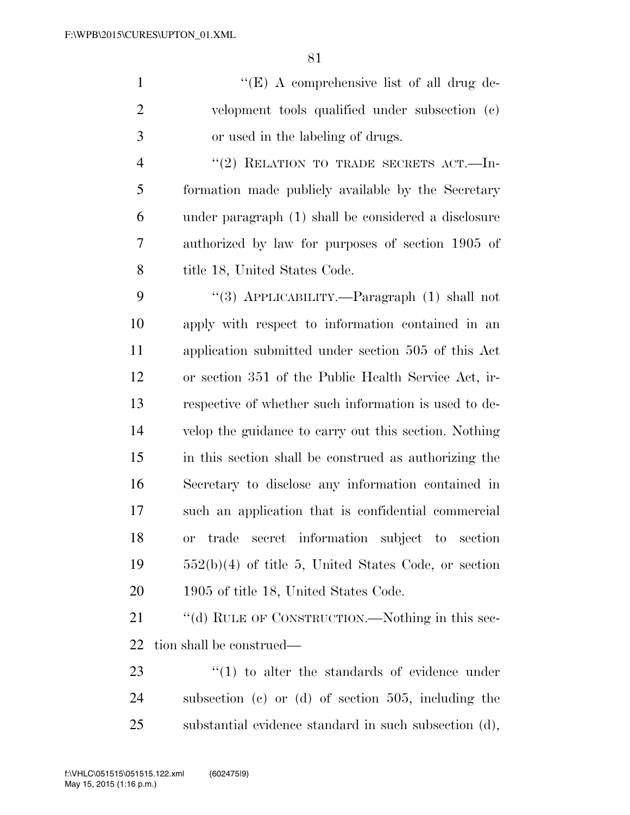''(E) A comprehensive list of all drug de- velopment tools qualified under subsection (c) or used in the labeling of drugs.

4 "(2) RELATION TO TRADE SECRETS ACT.—In- formation made publicly available by the Secretary under paragraph (1) shall be considered a disclosure authorized by law for purposes of section 1905 of 8 title 18, United States Code.

 ''(3) APPLICABILITY.—Paragraph (1) shall not apply with respect to information contained in an application submitted under section 505 of this Act or section 351 of the Public Health Service Act, ir- respective of whether such information is used to de- velop the guidance to carry out this section. Nothing in this section shall be construed as authorizing the Secretary to disclose any information contained in such an application that is confidential commercial or trade secret information subject to section 552(b)(4) of title 5, United States Code, or section 1905 of title 18, United States Code.

21 ""(d) RULE OF CONSTRUCTION.—Nothing in this sec-tion shall be construed—

23  $\frac{1}{2}$  (1) to alter the standards of evidence under subsection (c) or (d) of section 505, including the substantial evidence standard in such subsection (d),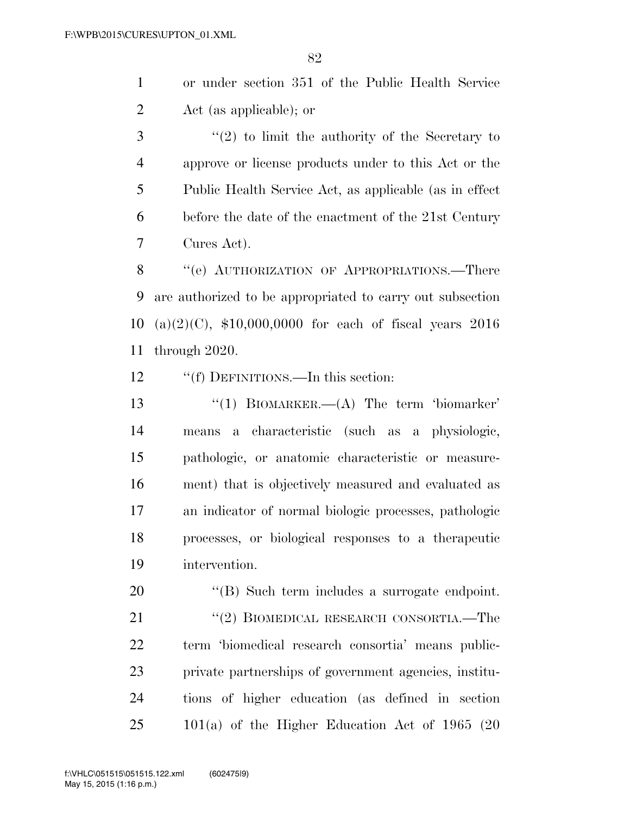or under section 351 of the Public Health Service Act (as applicable); or

 ''(2) to limit the authority of the Secretary to approve or license products under to this Act or the Public Health Service Act, as applicable (as in effect before the date of the enactment of the 21st Century Cures Act).

8 "(e) AUTHORIZATION OF APPROPRIATIONS.—There are authorized to be appropriated to carry out subsection (a)(2)(C), \$10,000,0000 for each of fiscal years 2016 through 2020.

12 ""(f) DEFINITIONS.—In this section:

 ''(1) BIOMARKER.—(A) The term 'biomarker' means a characteristic (such as a physiologic, pathologic, or anatomic characteristic or measure- ment) that is objectively measured and evaluated as an indicator of normal biologic processes, pathologic processes, or biological responses to a therapeutic intervention.

20 "(B) Such term includes a surrogate endpoint. 21 ''(2) BIOMEDICAL RESEARCH CONSORTIA.—The term 'biomedical research consortia' means public- private partnerships of government agencies, institu- tions of higher education (as defined in section 101(a) of the Higher Education Act of 1965 (20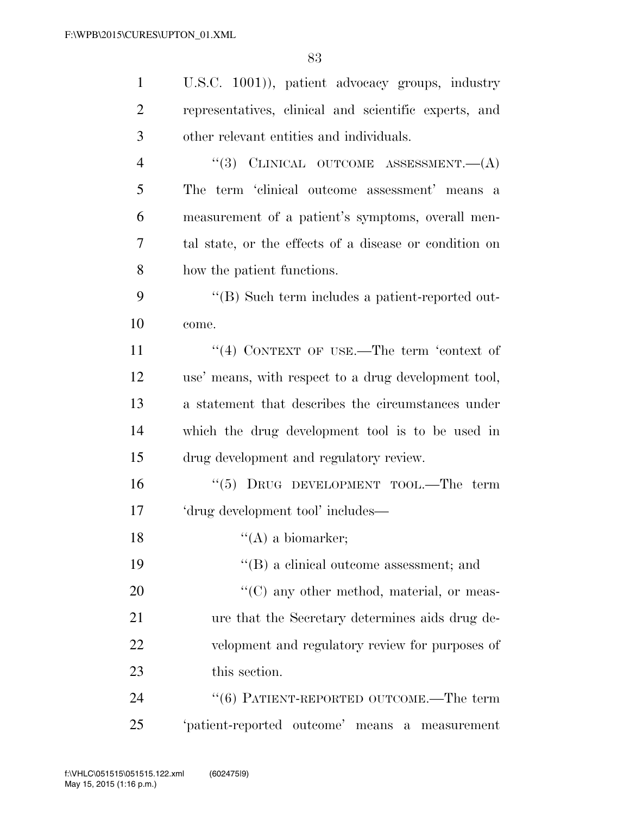| $\mathbf{1}$   | U.S.C. 1001), patient advocacy groups, industry        |
|----------------|--------------------------------------------------------|
| $\overline{2}$ | representatives, clinical and scientific experts, and  |
| 3              | other relevant entities and individuals.               |
| $\overline{4}$ | "(3) CLINICAL OUTCOME ASSESSMENT. $(A)$                |
| 5              | The term 'clinical outcome assessment' means a         |
| 6              | measurement of a patient's symptoms, overall men-      |
| 7              | tal state, or the effects of a disease or condition on |
| 8              | how the patient functions.                             |
| 9              | "(B) Such term includes a patient-reported out-        |
| 10             | come.                                                  |
| 11             | "(4) CONTEXT OF USE.—The term 'context of              |
| 12             | use' means, with respect to a drug development tool,   |
| 13             | a statement that describes the circumstances under     |
| 14             | which the drug development tool is to be used in       |
| 15             | drug development and regulatory review.                |
| 16             | " $(5)$ DRUG DEVELOPMENT TOOL.—The term                |
| 17             | 'drug development tool' includes—                      |
| 18             | $\lq\lq$ (A) a biomarker;                              |
| 19             | $\lq\lq (B)$ a clinical outcome assessment; and        |
| 20             | $\lq\lq$ (C) any other method, material, or meas-      |
| 21             | ure that the Secretary determines aids drug de-        |
| 22             | velopment and regulatory review for purposes of        |
| 23             | this section.                                          |
| 24             | $(6)$ PATIENT-REPORTED OUTCOME.—The term               |
| 25             | 'patient-reported outcome' means a measurement         |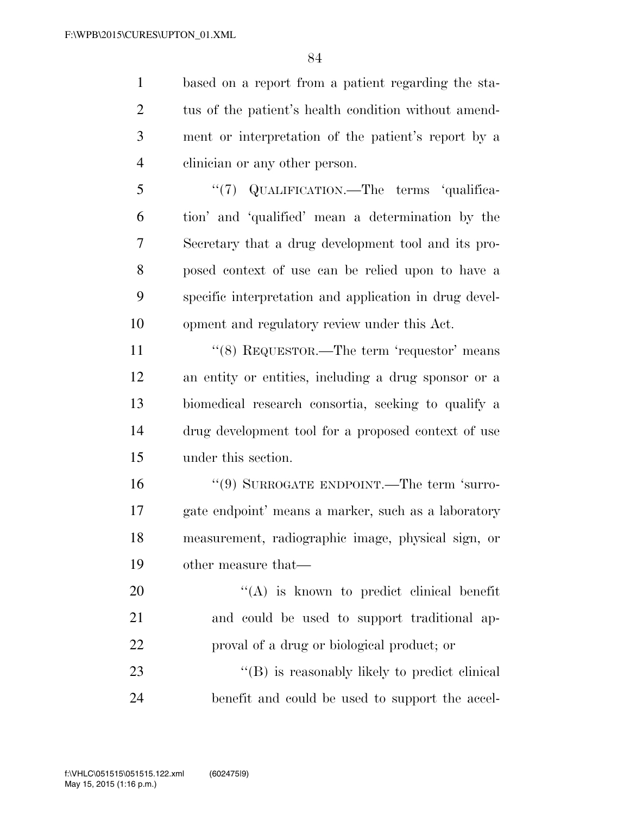based on a report from a patient regarding the sta- tus of the patient's health condition without amend- ment or interpretation of the patient's report by a clinician or any other person.

5 "(7) QUALIFICATION.—The terms 'qualifica- tion' and 'qualified' mean a determination by the Secretary that a drug development tool and its pro- posed context of use can be relied upon to have a specific interpretation and application in drug devel-opment and regulatory review under this Act.

11 ''(8) REQUESTOR.—The term 'requestor' means an entity or entities, including a drug sponsor or a biomedical research consortia, seeking to qualify a drug development tool for a proposed context of use under this section.

 ''(9) SURROGATE ENDPOINT.—The term 'surro- gate endpoint' means a marker, such as a laboratory measurement, radiographic image, physical sign, or other measure that—

20 "(A) is known to predict clinical benefit and could be used to support traditional ap-proval of a drug or biological product; or

23  $\langle G \rangle$  is reasonably likely to predict clinical benefit and could be used to support the accel-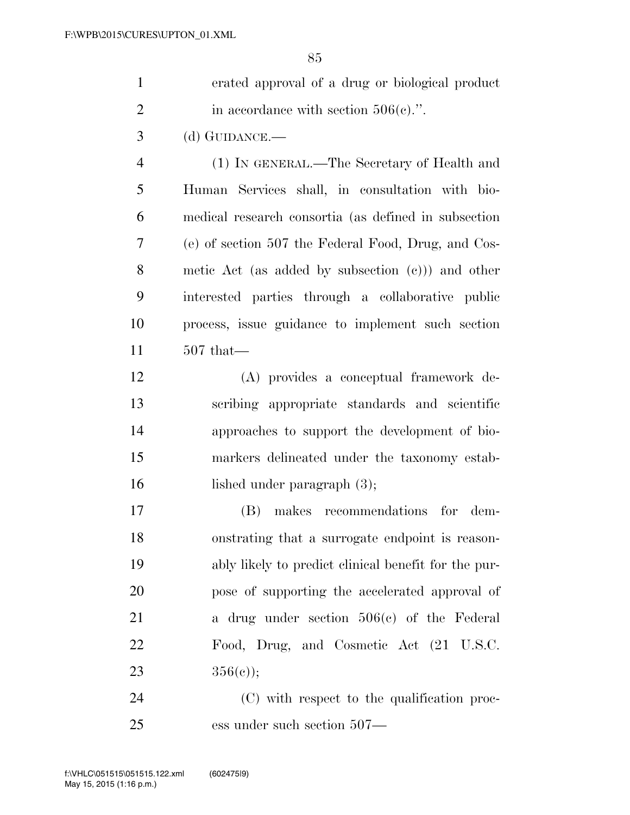| $\mathbf{1}$   | erated approval of a drug or biological product      |
|----------------|------------------------------------------------------|
| $\overline{2}$ | in accordance with section $506(c)$ .".              |
| 3              | (d) GUIDANCE.—                                       |
| $\overline{4}$ | (1) IN GENERAL.—The Secretary of Health and          |
| 5              | Human Services shall, in consultation with bio-      |
| 6              | medical research consortia (as defined in subsection |
| 7              | (e) of section 507 the Federal Food, Drug, and Cos-  |
| 8              | metic Act (as added by subsection $(e)$ ) and other  |
| 9              | interested parties through a collaborative public    |
| 10             | process, issue guidance to implement such section    |
| 11             | $507$ that—                                          |
| 12             | (A) provides a conceptual framework de-              |
| 13             | scribing appropriate standards and scientific        |
| 14             | approaches to support the development of bio-        |
| 15             | markers delineated under the taxonomy estab-         |
| 16             | lished under paragraph $(3)$ ;                       |
| 17             | makes recommendations for dem-<br>(B)                |
| 18             | onstrating that a surrogate endpoint is reason-      |
| 19             | ably likely to predict clinical benefit for the pur- |
| 20             | pose of supporting the accelerated approval of       |
| 21             | a drug under section $506(e)$ of the Federal         |
| 22             | Food, Drug, and Cosmetic Act (21 U.S.C.              |
| 23             | $356(e)$ ;                                           |

24 (C) with respect to the qualification proc-ess under such section 507—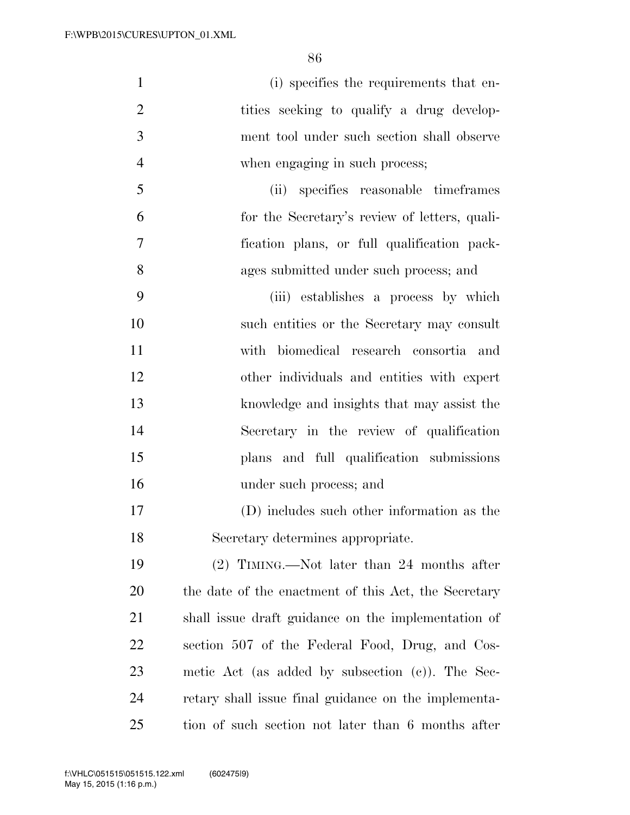| $\mathbf{1}$   | (i) specifies the requirements that en-              |
|----------------|------------------------------------------------------|
| $\overline{2}$ | tities seeking to qualify a drug develop-            |
| 3              | ment tool under such section shall observe           |
| $\overline{4}$ | when engaging in such process;                       |
| 5              | (ii) specifies reasonable timeframes                 |
| 6              | for the Secretary's review of letters, quali-        |
| 7              | fication plans, or full qualification pack-          |
| 8              | ages submitted under such process; and               |
| 9              | (iii) establishes a process by which                 |
| 10             | such entities or the Secretary may consult           |
| 11             | with biomedical research consortia and               |
| 12             | other individuals and entities with expert           |
| 13             | knowledge and insights that may assist the           |
| 14             | Secretary in the review of qualification             |
| 15             | plans and full qualification submissions             |
| 16             | under such process; and                              |
| 17             | (D) includes such other information as the           |
| 18             | Secretary determines appropriate.                    |
| 19             | $(2)$ TIMING.—Not later than 24 months after         |
| 20             | the date of the enactment of this Act, the Secretary |
| 21             | shall issue draft guidance on the implementation of  |
| 22             | section 507 of the Federal Food, Drug, and Cos-      |
| 23             | metic Act (as added by subsection $(c)$ ). The Sec-  |
| 24             | retary shall issue final guidance on the implementa- |

tion of such section not later than 6 months after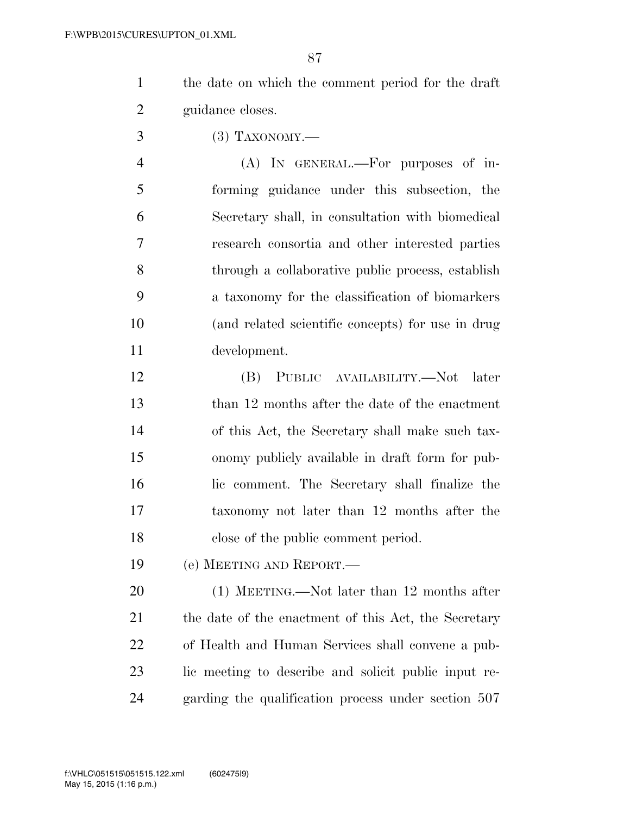the date on which the comment period for the draft guidance closes.

(3) TAXONOMY.—

 (A) IN GENERAL.—For purposes of in- forming guidance under this subsection, the Secretary shall, in consultation with biomedical research consortia and other interested parties through a collaborative public process, establish a taxonomy for the classification of biomarkers (and related scientific concepts) for use in drug development.

 (B) PUBLIC AVAILABILITY.—Not later 13 than 12 months after the date of the enactment of this Act, the Secretary shall make such tax- onomy publicly available in draft form for pub- lic comment. The Secretary shall finalize the taxonomy not later than 12 months after the close of the public comment period.

(e) MEETING AND REPORT.—

 (1) MEETING.—Not later than 12 months after 21 the date of the enactment of this Act, the Secretary of Health and Human Services shall convene a pub- lic meeting to describe and solicit public input re-garding the qualification process under section 507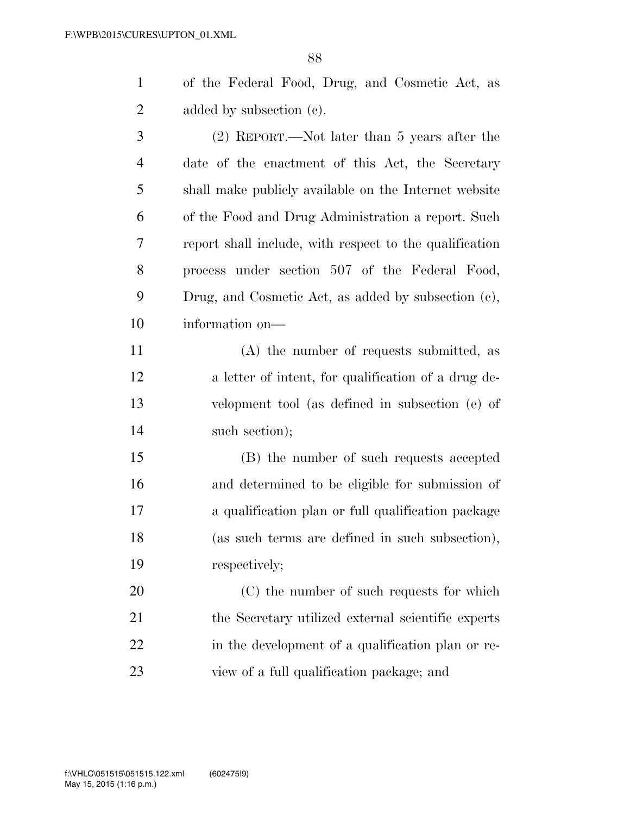of the Federal Food, Drug, and Cosmetic Act, as 2 added by subsection (c).

 (2) REPORT.—Not later than 5 years after the date of the enactment of this Act, the Secretary shall make publicly available on the Internet website of the Food and Drug Administration a report. Such report shall include, with respect to the qualification process under section 507 of the Federal Food, Drug, and Cosmetic Act, as added by subsection (c), information on—

 (A) the number of requests submitted, as a letter of intent, for qualification of a drug de- velopment tool (as defined in subsection (e) of 14 such section);

 (B) the number of such requests accepted and determined to be eligible for submission of a qualification plan or full qualification package (as such terms are defined in such subsection), respectively;

 (C) the number of such requests for which the Secretary utilized external scientific experts 22 in the development of a qualification plan or re-view of a full qualification package; and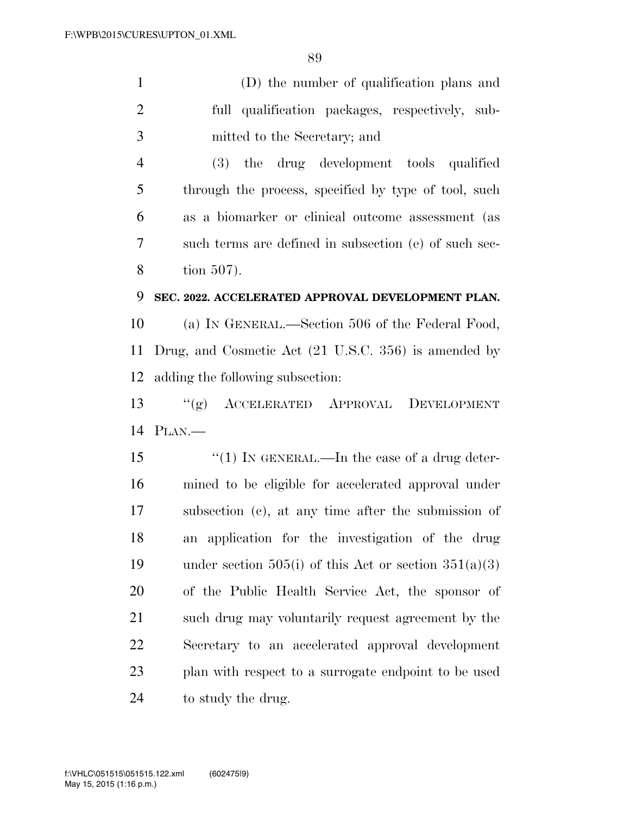|   | (D) the number of qualification plans and                                                                      |
|---|----------------------------------------------------------------------------------------------------------------|
| 2 | full qualification packages, respectively, sub-                                                                |
| 3 | mitted to the Secretary; and                                                                                   |
|   | (3) the drug development tools qualified                                                                       |
|   | $\mathbf{u}$ , and the set of $\mathbf{u}$ and $\mathbf{u}$ and $\mathbf{u}$ and $\mathbf{u}$ and $\mathbf{u}$ |

 through the process, specified by type of tool, such as a biomarker or clinical outcome assessment (as such terms are defined in subsection (e) of such sec-tion 507).

#### **SEC. 2022. ACCELERATED APPROVAL DEVELOPMENT PLAN.**

 (a) IN GENERAL.—Section 506 of the Federal Food, Drug, and Cosmetic Act (21 U.S.C. 356) is amended by adding the following subsection:

 ''(g) ACCELERATED APPROVAL DEVELOPMENT PLAN.—

15 "(1) IN GENERAL.—In the case of a drug deter- mined to be eligible for accelerated approval under subsection (c), at any time after the submission of an application for the investigation of the drug 19 under section 505(i) of this Act or section  $351(a)(3)$  of the Public Health Service Act, the sponsor of such drug may voluntarily request agreement by the Secretary to an accelerated approval development plan with respect to a surrogate endpoint to be used 24 to study the drug.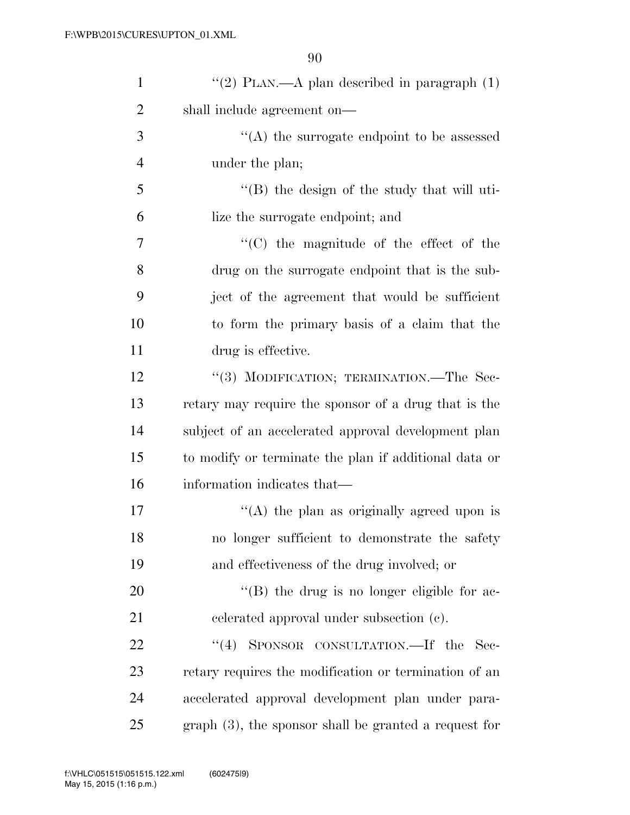| $\mathbf{1}$   | "(2) PLAN.—A plan described in paragraph $(1)$          |
|----------------|---------------------------------------------------------|
| $\overline{2}$ | shall include agreement on—                             |
| 3              | $\cdot$ (A) the surrogate endpoint to be assessed       |
| $\overline{4}$ | under the plan;                                         |
| 5              | $\lq\lq$ the design of the study that will uti-         |
| 6              | lize the surrogate endpoint; and                        |
| 7              | $\lq\lq$ (C) the magnitude of the effect of the         |
| 8              | drug on the surrogate endpoint that is the sub-         |
| 9              | ject of the agreement that would be sufficient          |
| 10             | to form the primary basis of a claim that the           |
| 11             | drug is effective.                                      |
| 12             | "(3) MODIFICATION; TERMINATION.—The Sec-                |
| 13             | retary may require the sponsor of a drug that is the    |
| 14             | subject of an accelerated approval development plan     |
| 15             | to modify or terminate the plan if additional data or   |
| 16             | information indicates that—                             |
| 17             | "(A) the plan as originally agreed upon is              |
| 18             | no longer sufficient to demonstrate the safety          |
| 19             | and effectiveness of the drug involved; or              |
| 20             | $\lq\lq$ (B) the drug is no longer eligible for ac-     |
| 21             | celerated approval under subsection (c).                |
| 22             | SPONSOR CONSULTATION. If the Sec-<br>(4)                |
| 23             | retary requires the modification or termination of an   |
| 24             | accelerated approval development plan under para-       |
| 25             | $graph(3)$ , the sponsor shall be granted a request for |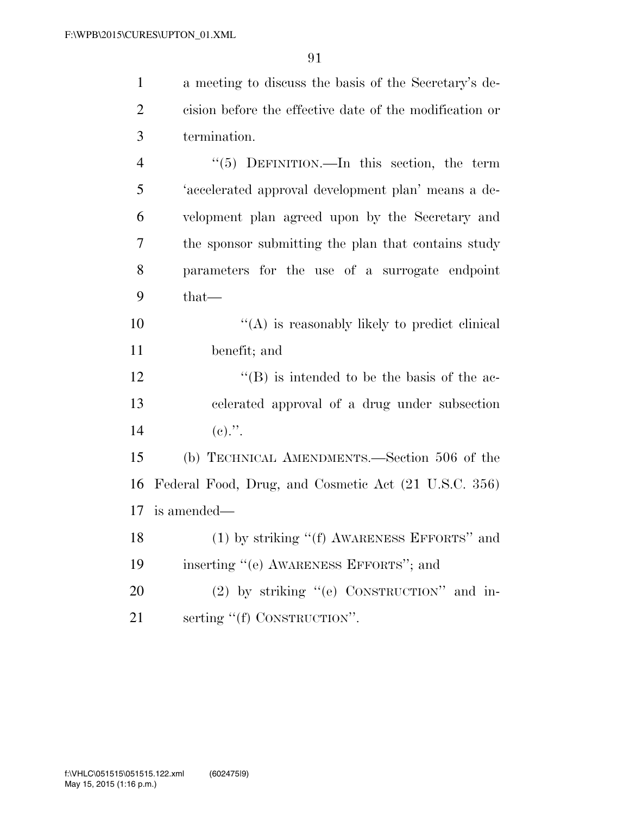|                | a meeting to discuss the basis of the Secretary's de-   |
|----------------|---------------------------------------------------------|
| 2 <sup>1</sup> | cision before the effective date of the modification or |
| $\overline{3}$ | termination.                                            |
|                | $\lq(5)$ DEFINITION.—In this section, the term          |

| 5 | 'accelerated approval development plan' means a de- |
|---|-----------------------------------------------------|
| 6 | velopment plan agreed upon by the Secretary and     |
|   | the sponsor submitting the plan that contains study |
| 8 | parameters for the use of a surrogate endpoint      |
|   | $that \_\_$                                         |

 $\mathcal{L}(\mathbf{A})$  is reasonably likely to predict clinical 11 benefit; and

12 ''(B) is intended to be the basis of the ac-13 celerated approval of a drug under subsection 14 (e).".

15 (b) TECHNICAL AMENDMENTS.—Section 506 of the 16 Federal Food, Drug, and Cosmetic Act (21 U.S.C. 356) 17 is amended—

```
18 (1) by striking "(f) AWARENESS EFFORTS" and
19 inserting ''(e) AWARENESS EFFORTS''; and
```
20 (2) by striking "(e) CONSTRUCTION" and in-21 serting "(f) CONSTRUCTION".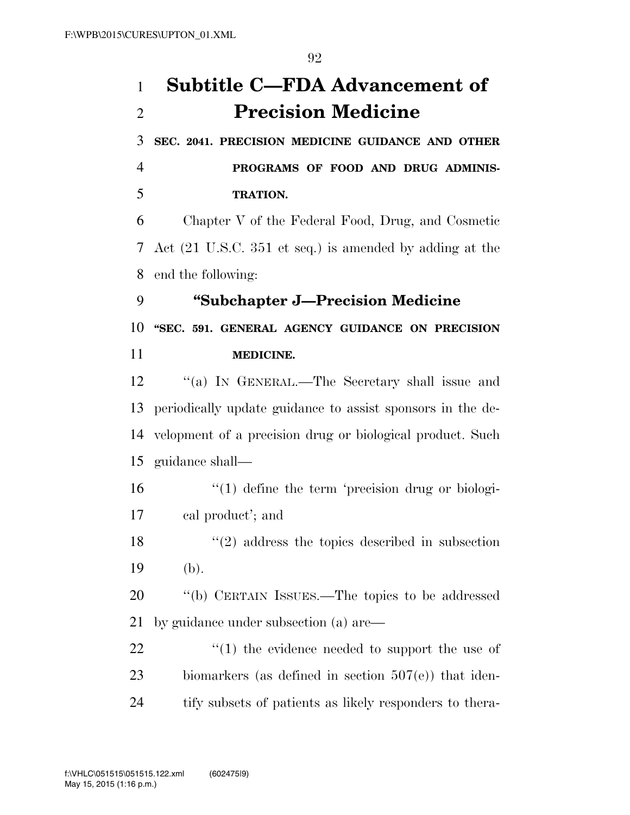**SEC. 2041. PRECISION MEDICINE GUIDANCE AND OTHER** 

 **PROGRAMS OF FOOD AND DRUG ADMINIS-TRATION.** 

 Chapter V of the Federal Food, Drug, and Cosmetic Act (21 U.S.C. 351 et seq.) is amended by adding at the end the following:

**''Subchapter J—Precision Medicine** 

 **''SEC. 591. GENERAL AGENCY GUIDANCE ON PRECISION MEDICINE.** 

 ''(a) IN GENERAL.—The Secretary shall issue and periodically update guidance to assist sponsors in the de- velopment of a precision drug or biological product. Such guidance shall—

- 16 '(1) define the term 'precision drug or biologi-cal product'; and
- ''(2) address the topics described in subsection 19 (b).

 ''(b) CERTAIN ISSUES.—The topics to be addressed by guidance under subsection (a) are—

22  $\frac{1}{2}$  (1) the evidence needed to support the use of 23 biomarkers (as defined in section 507(e)) that iden-tify subsets of patients as likely responders to thera-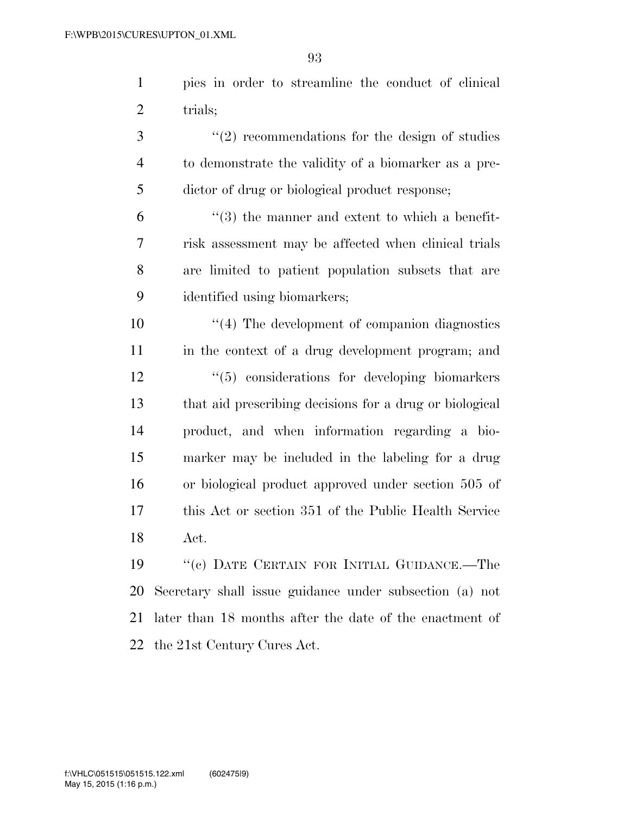pies in order to streamline the conduct of clinical 2 trials;

3 ''(2) recommendations for the design of studies to demonstrate the validity of a biomarker as a pre-dictor of drug or biological product response;

 $(3)$  the manner and extent to which a benefit- risk assessment may be affected when clinical trials are limited to patient population subsets that are identified using biomarkers;

 ''(4) The development of companion diagnostics in the context of a drug development program; and ''(5) considerations for developing biomarkers that aid prescribing decisions for a drug or biological product, and when information regarding a bio- marker may be included in the labeling for a drug or biological product approved under section 505 of this Act or section 351 of the Public Health Service Act.

 ''(c) DATE CERTAIN FOR INITIAL GUIDANCE.—The Secretary shall issue guidance under subsection (a) not later than 18 months after the date of the enactment of the 21st Century Cures Act.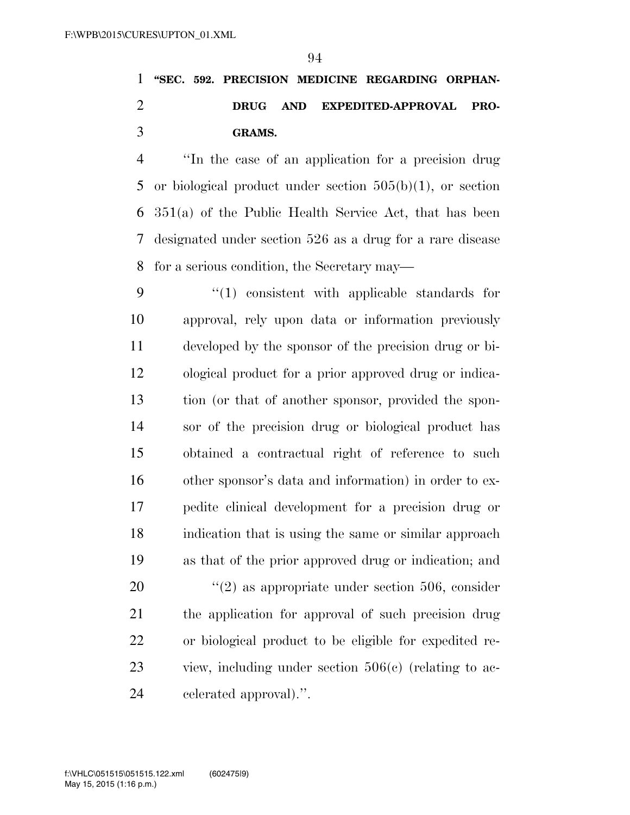### **''SEC. 592. PRECISION MEDICINE REGARDING ORPHAN- DRUG AND EXPEDITED-APPROVAL PRO-GRAMS.**

 ''In the case of an application for a precision drug or biological product under section 505(b)(1), or section 351(a) of the Public Health Service Act, that has been designated under section 526 as a drug for a rare disease for a serious condition, the Secretary may—

 ''(1) consistent with applicable standards for approval, rely upon data or information previously developed by the sponsor of the precision drug or bi- ological product for a prior approved drug or indica- tion (or that of another sponsor, provided the spon- sor of the precision drug or biological product has obtained a contractual right of reference to such other sponsor's data and information) in order to ex- pedite clinical development for a precision drug or indication that is using the same or similar approach as that of the prior approved drug or indication; and  $(2)$  as appropriate under section 506, consider the application for approval of such precision drug or biological product to be eligible for expedited re- view, including under section 506(c) (relating to ac-celerated approval).''.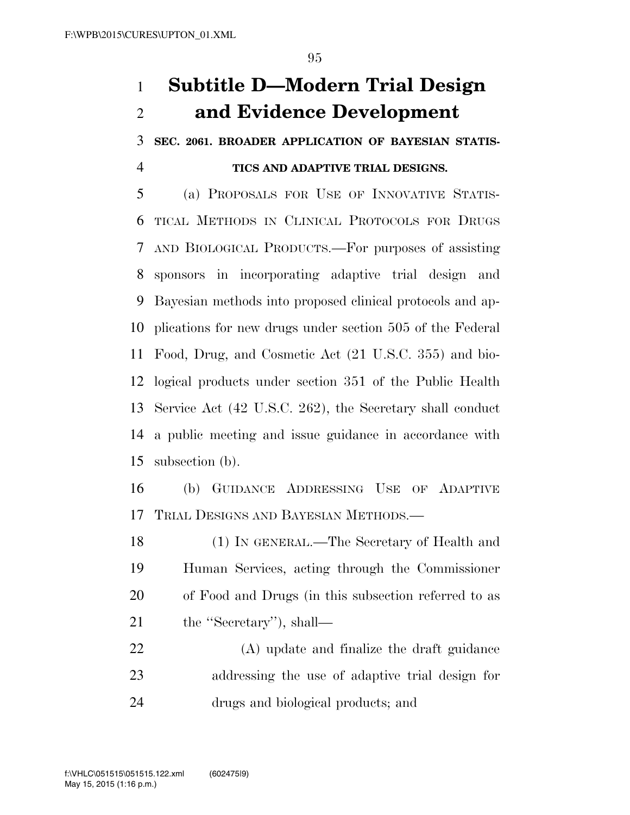## **Subtitle D—Modern Trial Design and Evidence Development**

 **SEC. 2061. BROADER APPLICATION OF BAYESIAN STATIS-TICS AND ADAPTIVE TRIAL DESIGNS.** 

 (a) PROPOSALS FOR USE OF INNOVATIVE STATIS- TICAL METHODS IN CLINICAL PROTOCOLS FOR DRUGS AND BIOLOGICAL PRODUCTS.—For purposes of assisting sponsors in incorporating adaptive trial design and Bayesian methods into proposed clinical protocols and ap- plications for new drugs under section 505 of the Federal Food, Drug, and Cosmetic Act (21 U.S.C. 355) and bio- logical products under section 351 of the Public Health Service Act (42 U.S.C. 262), the Secretary shall conduct a public meeting and issue guidance in accordance with subsection (b).

 (b) GUIDANCE ADDRESSING USE OF ADAPTIVE TRIAL DESIGNS AND BAYESIAN METHODS.—

 (1) IN GENERAL.—The Secretary of Health and Human Services, acting through the Commissioner of Food and Drugs (in this subsection referred to as 21 the "Secretary"), shall—

 (A) update and finalize the draft guidance addressing the use of adaptive trial design for drugs and biological products; and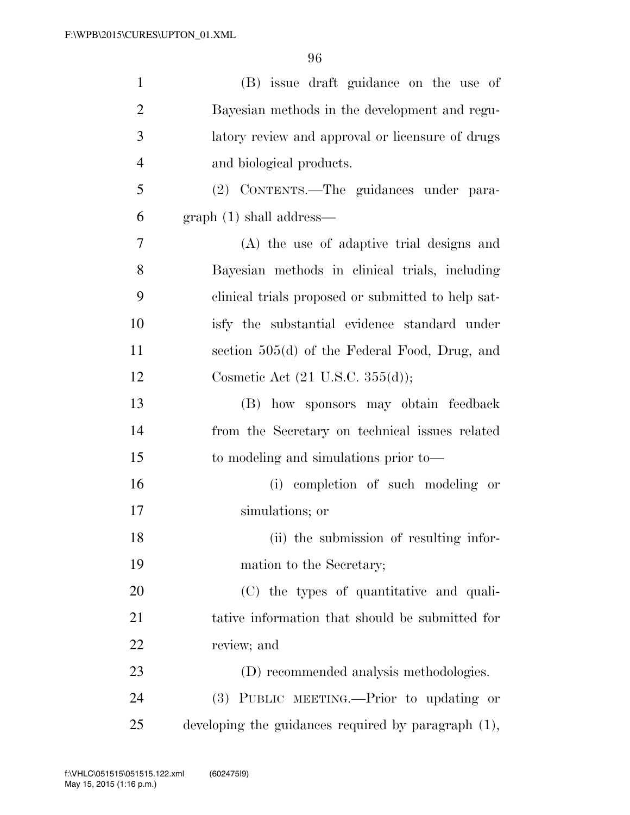| $\mathbf{1}$   | (B) issue draft guidance on the use of              |
|----------------|-----------------------------------------------------|
| $\overline{2}$ | Bayesian methods in the development and regu-       |
| 3              | latory review and approval or licensure of drugs    |
| $\overline{4}$ | and biological products.                            |
| 5              | (2) CONTENTS.-The guidances under para-             |
| 6              | graph(1) shall address—                             |
| 7              | (A) the use of adaptive trial designs and           |
| 8              | Bayesian methods in clinical trials, including      |
| 9              | clinical trials proposed or submitted to help sat-  |
| 10             | isfy the substantial evidence standard under        |
| 11             | section 505(d) of the Federal Food, Drug, and       |
| 12             | Cosmetic Act $(21 \text{ U.S.C. } 355(d));$         |
| 13             | (B) how sponsors may obtain feedback                |
| 14             | from the Secretary on technical issues related      |
| 15             | to modeling and simulations prior to—               |
| 16             | (i) completion of such modeling or                  |
| 17             | simulations; or                                     |
| 18             | (ii) the submission of resulting infor-             |
| 19             | mation to the Secretary;                            |
| 20             | (C) the types of quantitative and quali-            |
| 21             | tative information that should be submitted for     |
| 22             | review; and                                         |
| 23             | (D) recommended analysis methodologies.             |
| 24             | (3) PUBLIC MEETING.—Prior to updating or            |
| 25             | developing the guidances required by paragraph (1), |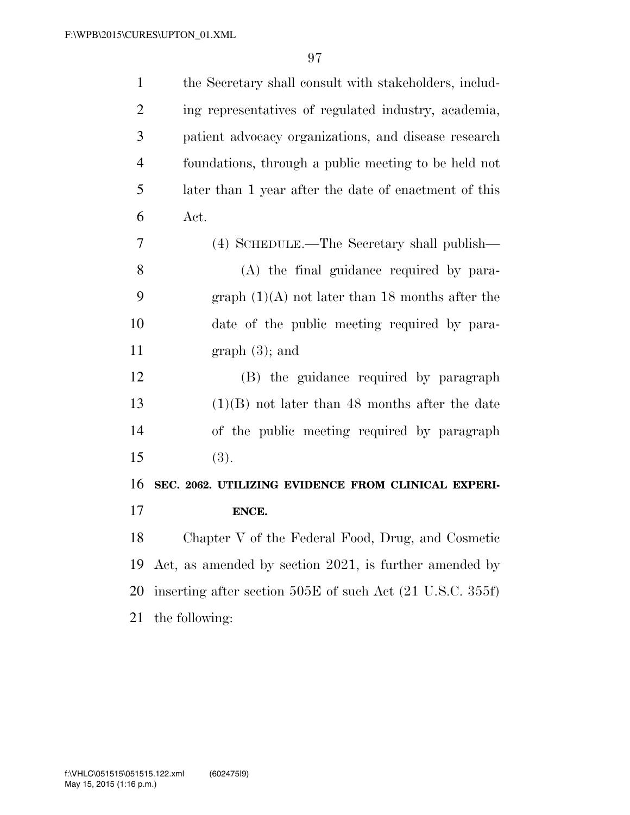| the Secretary shall consult with stakeholders, includ-    |
|-----------------------------------------------------------|
| ing representatives of regulated industry, academia,      |
| patient advocacy organizations, and disease research      |
| foundations, through a public meeting to be held not      |
| later than 1 year after the date of enactment of this     |
| Act.                                                      |
| (4) SCHEDULE.—The Secretary shall publish—                |
| (A) the final guidance required by para-                  |
| graph $(1)(A)$ not later than 18 months after the         |
| date of the public meeting required by para-              |
| graph(3); and                                             |
| (B) the guidance required by paragraph                    |
| $(1)(B)$ not later than 48 months after the date          |
| of the public meeting required by paragraph               |
| (3).                                                      |
| SEC. 2062. UTILIZING EVIDENCE FROM CLINICAL EXPERI-       |
| ENCE.                                                     |
| Chapter V of the Federal Food, Drug, and Cosmetic         |
| Act, as amended by section 2021, is further amended by    |
| inserting after section 505E of such Act (21 U.S.C. 355f) |
| the following:                                            |
|                                                           |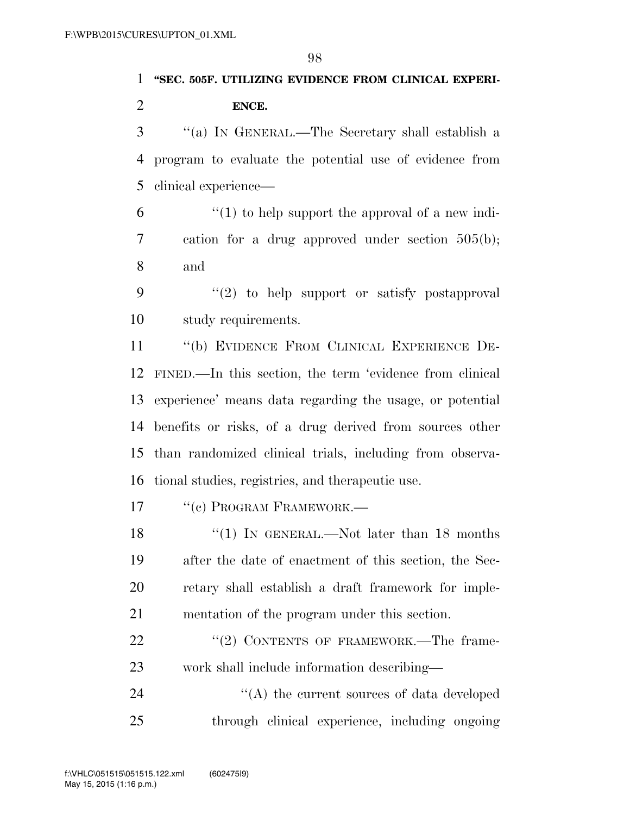# **''SEC. 505F. UTILIZING EVIDENCE FROM CLINICAL EXPERI-ENCE.**

 ''(a) IN GENERAL.—The Secretary shall establish a program to evaluate the potential use of evidence from clinical experience—

 "(1) to help support the approval of a new indi- cation for a drug approved under section 505(b); and

 ''(2) to help support or satisfy postapproval study requirements.

 ''(b) EVIDENCE FROM CLINICAL EXPERIENCE DE- FINED.—In this section, the term 'evidence from clinical experience' means data regarding the usage, or potential benefits or risks, of a drug derived from sources other than randomized clinical trials, including from observa-tional studies, registries, and therapeutic use.

17 <sup>"</sup>(c) PROGRAM FRAMEWORK.—

18 ''(1) IN GENERAL.—Not later than 18 months after the date of enactment of this section, the Sec- retary shall establish a draft framework for imple-mentation of the program under this section.

22 "(2) CONTENTS OF FRAMEWORK.—The frame-work shall include information describing—

24 ''(A) the current sources of data developed through clinical experience, including ongoing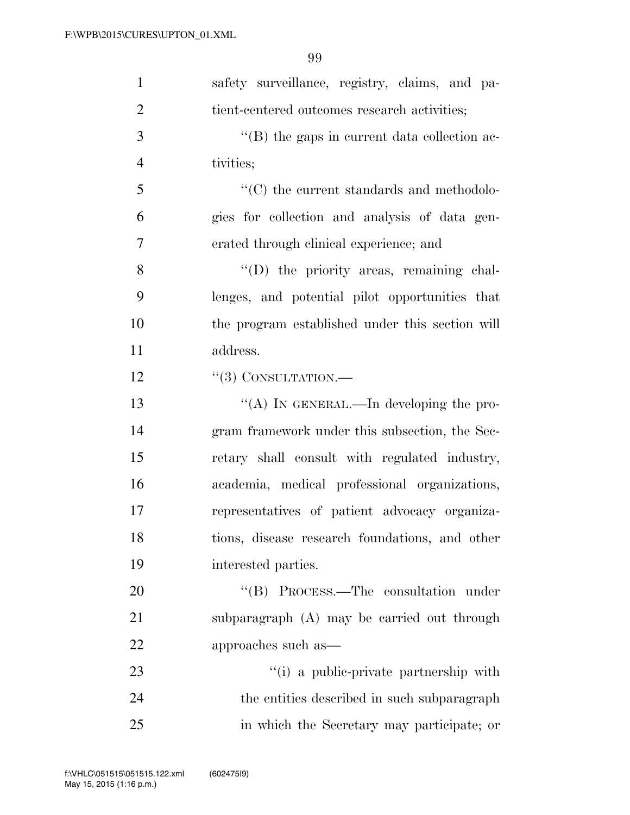| $\mathbf{1}$   | safety surveillance, registry, claims, and pa-                 |
|----------------|----------------------------------------------------------------|
| $\overline{2}$ | tient-centered outcomes research activities;                   |
| 3              | $\lq\lq$ the gaps in current data collection ac-               |
| $\overline{4}$ | tivities;                                                      |
| 5              | $\lq\lq$ <sup>*</sup> (C) the current standards and methodolo- |
| 6              | gies for collection and analysis of data gen-                  |
| 7              | erated through clinical experience; and                        |
| 8              | "(D) the priority areas, remaining chal-                       |
| 9              | lenges, and potential pilot opportunities that                 |
| 10             | the program established under this section will                |
| 11             | address.                                                       |
| 12             | $``(3)$ CONSULTATION.—                                         |
| 13             | "(A) IN GENERAL.—In developing the pro-                        |
| 14             | gram framework under this subsection, the Sec-                 |
| 15             | retary shall consult with regulated industry,                  |
| 16             | academia, medical professional organizations,                  |
| 17             | representatives of patient advocacy organiza-                  |
| 18             | tions, disease research foundations, and other                 |
| 19             | interested parties.                                            |
| 20             | "(B) PROCESS.—The consultation under                           |
| 21             | subparagraph (A) may be carried out through                    |
| 22             | approaches such as—                                            |
| 23             | "(i) a public-private partnership with                         |
| 24             | the entities described in such subparagraph                    |
| 25             | in which the Secretary may participate; or                     |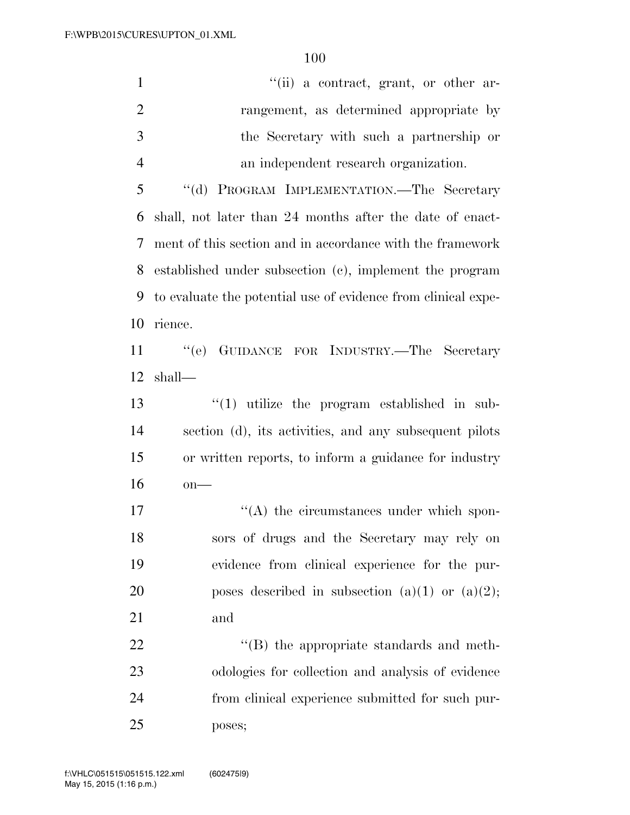| $\mathbf{1}$   | "(ii) a contract, grant, or other ar-                         |
|----------------|---------------------------------------------------------------|
| $\overline{2}$ | rangement, as determined appropriate by                       |
| 3              | the Secretary with such a partnership or                      |
| $\overline{4}$ | an independent research organization.                         |
| 5              | "(d) PROGRAM IMPLEMENTATION.-The Secretary                    |
| 6              | shall, not later than 24 months after the date of enact-      |
| 7              | ment of this section and in accordance with the framework     |
| 8              | established under subsection (c), implement the program       |
| 9              | to evaluate the potential use of evidence from clinical expe- |
| 10             | rience.                                                       |
| 11             | "(e) GUIDANCE FOR INDUSTRY.—The Secretary                     |
| 12             | shall—                                                        |
| 13             | $\lq(1)$ utilize the program established in sub-              |
| 14             | section (d), its activities, and any subsequent pilots        |
| 15             | or written reports, to inform a guidance for industry         |
| 16             | $on$ —                                                        |
| 17             | $\lq\lq$ the circumstances under which spon-                  |
| 18             | sors of drugs and the Secretary may rely on                   |
| 19             | evidence from clinical experience for the pur-                |
| 20             | poses described in subsection (a)(1) or (a)(2);               |
| 21             | and                                                           |
| 22             | $\lq\lq$ the appropriate standards and meth-                  |

 odologies for collection and analysis of evidence from clinical experience submitted for such pur-poses;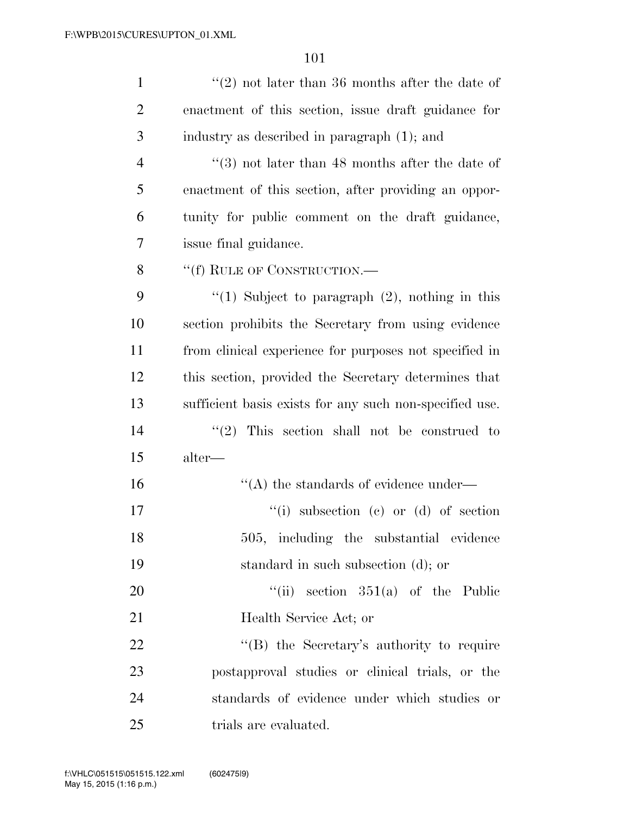| $\mathbf{1}$   | $\lq(2)$ not later than 36 months after the date of     |
|----------------|---------------------------------------------------------|
| $\overline{2}$ | enactment of this section, issue draft guidance for     |
| 3              | industry as described in paragraph (1); and             |
| $\overline{4}$ | $(3)$ not later than 48 months after the date of        |
| 5              | enactment of this section, after providing an oppor-    |
| 6              | tunity for public comment on the draft guidance,        |
| 7              | issue final guidance.                                   |
| 8              | "(f) RULE OF CONSTRUCTION.—                             |
| 9              | "(1) Subject to paragraph $(2)$ , nothing in this       |
| 10             | section prohibits the Secretary from using evidence     |
| 11             | from clinical experience for purposes not specified in  |
| 12             | this section, provided the Secretary determines that    |
| 13             | sufficient basis exists for any such non-specified use. |
| 14             | (2)<br>This section shall not be construed to           |
| 15             | alter—                                                  |
| 16             | $\lq\lq$ the standards of evidence under—               |
| 17             | $``(i)$ subsection $(e)$ or $(d)$ of section            |
| 18             | 505, including the substantial evidence                 |
| 19             | standard in such subsection (d); or                     |
| 20             | "(ii) section $351(a)$ of the Public                    |
| 21             | Health Service Act; or                                  |
| 22             | "(B) the Secretary's authority to require               |
| 23             | postapproval studies or clinical trials, or the         |
| 24             | standards of evidence under which studies or            |
| 25             | trials are evaluated.                                   |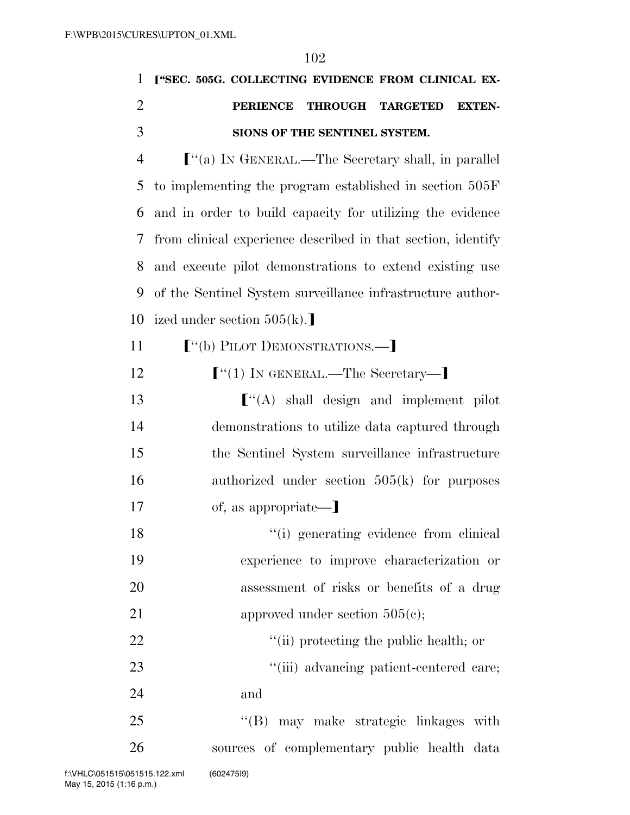|                | 102                                                          |
|----------------|--------------------------------------------------------------|
| 1              | ["SEC. 505G. COLLECTING EVIDENCE FROM CLINICAL EX-           |
| $\overline{2}$ | <b>PERIENCE</b><br>THROUGH TARGETED<br><b>EXTEN-</b>         |
| 3              | SIONS OF THE SENTINEL SYSTEM.                                |
| $\overline{4}$ | $\lbrack$ "(a) IN GENERAL.—The Secretary shall, in parallel  |
| 5              | to implementing the program established in section 505F      |
| 6              | and in order to build capacity for utilizing the evidence    |
| 7              | from clinical experience described in that section, identify |
| 8              | and execute pilot demonstrations to extend existing use      |
| 9              | of the Sentinel System surveillance infrastructure author-   |
| 10             | ized under section $505(k)$ .                                |
| 11             | $[$ "(b) PILOT DEMONSTRATIONS.— $]$                          |
| 12             | $\lbrack$ "(1) IN GENERAL.—The Secretary—]                   |
| 13             | $\lbrack$ (A) shall design and implement pilot               |
| 14             | demonstrations to utilize data captured through              |
| 15             | the Sentinel System surveillance infrastructure              |
| 16             | authorized under section $505(k)$ for purposes               |
| 17             | of, as appropriate—]                                         |
| 18             | "(i) generating evidence from clinical                       |
| 19             | experience to improve characterization or                    |
| 20             | assessment of risks or benefits of a drug                    |
| 21             | approved under section $505(e)$ ;                            |
|                |                                                              |

22  $\qquad$  ''(ii) protecting the public health; or 23 ''(iii) advancing patient-centered care;

24 and

25 "'(B) may make strategic linkages with 26 sources of complementary public health data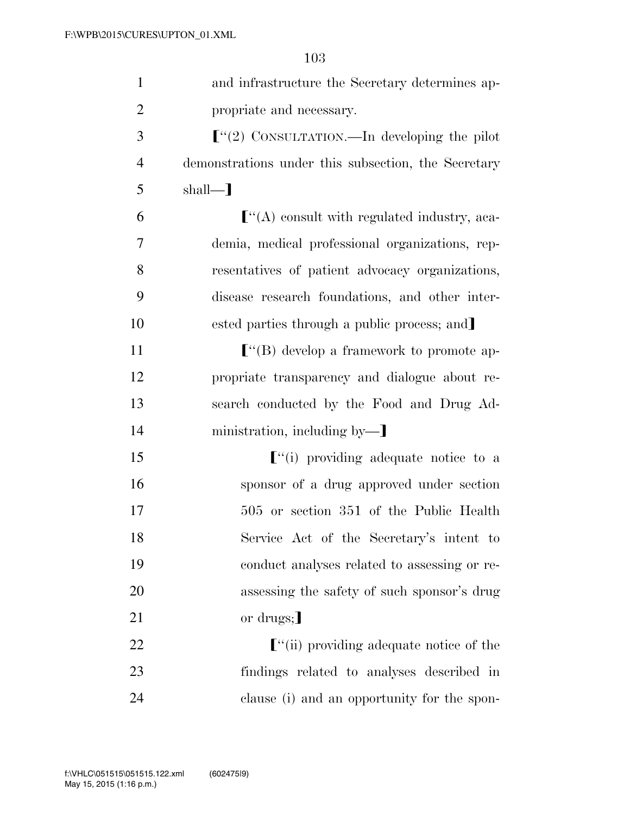| $\mathbf{1}$   | and infrastructure the Secretary determines ap-      |
|----------------|------------------------------------------------------|
| $\overline{2}$ | propriate and necessary.                             |
| 3              | $\lbrack$ "(2) CONSULTATION.—In developing the pilot |
| $\overline{4}$ | demonstrations under this subsection, the Secretary  |
| 5              | $shall$ —                                            |
| 6              | $\lbrack$ "(A) consult with regulated industry, aca- |
| 7              | demia, medical professional organizations, rep-      |
| 8              | resentatives of patient advocacy organizations,      |
| 9              | disease research foundations, and other inter-       |
| 10             | ested parties through a public process; and          |
| 11             |                                                      |
| 12             | propriate transparency and dialogue about re-        |
| 13             | search conducted by the Food and Drug Ad-            |
| 14             | ministration, including by-                          |
| 15             | $\lbrack$ "(i) providing adequate notice to a        |
| 16             | sponsor of a drug approved under section             |
| 17             | 505 or section 351 of the Public Health              |
| 18             | Service Act of the Secretary's intent to             |
| 19             | conduct analyses related to assessing or re-         |
| 20             | assessing the safety of such sponsor's drug          |
| 21             | or drugs;                                            |
| 22             | $\lbrack$ "(ii) providing adequate notice of the     |
| 23             | findings related to analyses described in            |
| 24             | clause (i) and an opportunity for the spon-          |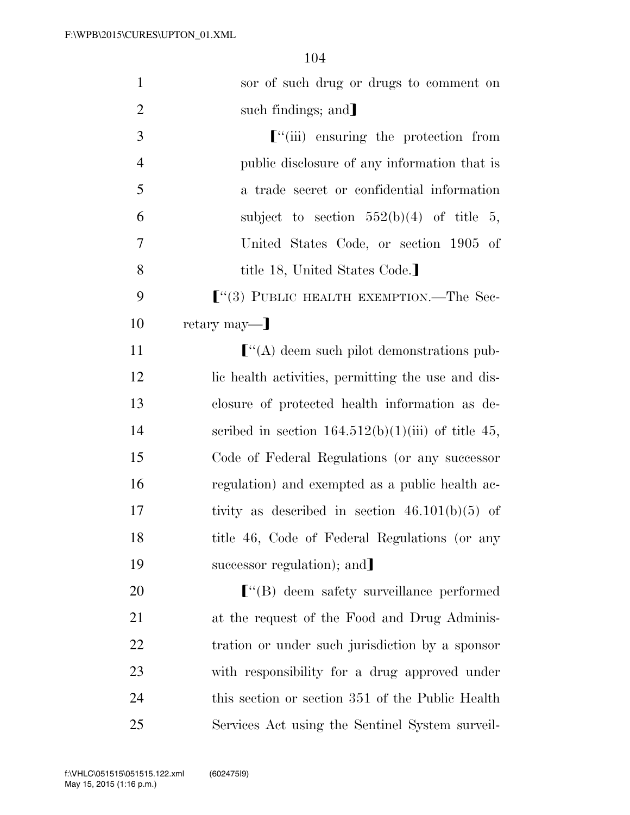| $\mathbf{1}$   | sor of such drug or drugs to comment on                   |
|----------------|-----------------------------------------------------------|
| $\overline{2}$ | such findings; and                                        |
| 3              | $\lbrack$ <sup>"</sup> (iii) ensuring the protection from |
| $\overline{4}$ | public disclosure of any information that is              |
| 5              | a trade secret or confidential information                |
| 6              | subject to section $552(b)(4)$ of title 5,                |
| 7              | United States Code, or section 1905 of                    |
| 8              | title 18, United States Code.]                            |
| 9              | $\lbrack$ (3) PUBLIC HEALTH EXEMPTION.—The Sec-           |
| 10             | retary may—]                                              |
| 11             | $\lbrack$ "(A) deem such pilot demonstrations pub-        |
| 12             | lic health activities, permitting the use and dis-        |
| 13             | closure of protected health information as de-            |
| 14             | scribed in section $164.512(b)(1)(iii)$ of title 45,      |
| 15             | Code of Federal Regulations (or any successor             |
| 16             | regulation) and exempted as a public health ac-           |
| 17             | tivity as described in section $46.101(b)(5)$ of          |
| 18             | title 46, Code of Federal Regulations (or any             |
| 19             | successor regulation); and                                |
| 20             |                                                           |
| 21             | at the request of the Food and Drug Adminis-              |
| 22             | tration or under such jurisdiction by a sponsor           |
| 23             | with responsibility for a drug approved under             |
| 24             | this section or section 351 of the Public Health          |
| 25             | Services Act using the Sentinel System surveil-           |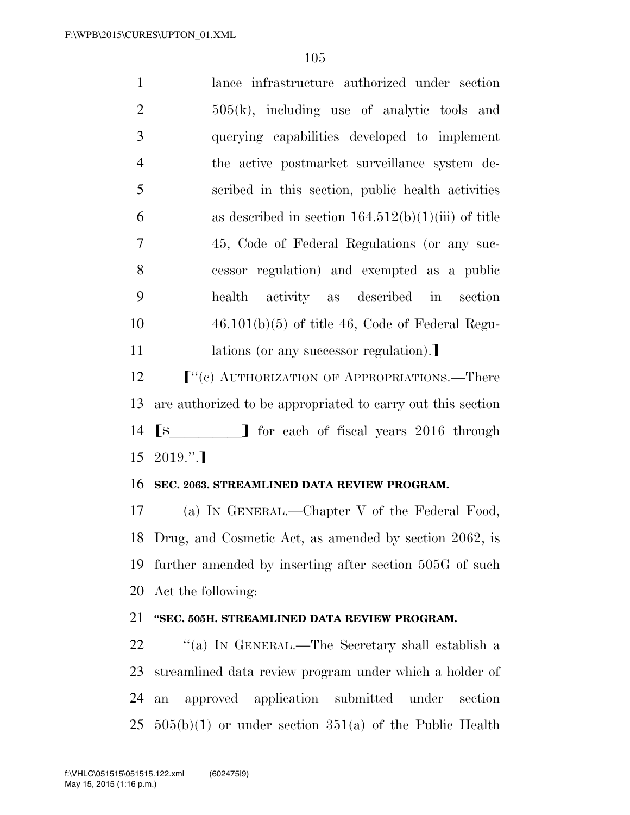lance infrastructure authorized under section  $2 \t\t 505(k)$ , including use of analytic tools and querying capabilities developed to implement the active postmarket surveillance system de- scribed in this section, public health activities 6 as described in section  $164.512(b)(1)(iii)$  of title 45, Code of Federal Regulations (or any suc- cessor regulation) and exempted as a public health activity as described in section  $10 \qquad \qquad 46.101(b)(5)$  of title 46, Code of Federal Regu-11 lations (or any successor regulation).  $\left[$ <sup>"</sup>(c) AUTHORIZATION OF APPROPRIATIONS.—There are authorized to be appropriated to carry out this section  $\left[\frac{1}{3}\right]$  for each of fiscal years 2016 through  $15 \quad 2019."$  **SEC. 2063. STREAMLINED DATA REVIEW PROGRAM.**  (a) IN GENERAL.—Chapter V of the Federal Food, Drug, and Cosmetic Act, as amended by section 2062, is further amended by inserting after section 505G of such

20 Act the following:

#### 21 **''SEC. 505H. STREAMLINED DATA REVIEW PROGRAM.**

22 "(a) In GENERAL.—The Secretary shall establish a 23 streamlined data review program under which a holder of 24 an approved application submitted under section  $25\quad 505(b)(1)$  or under section  $351(a)$  of the Public Health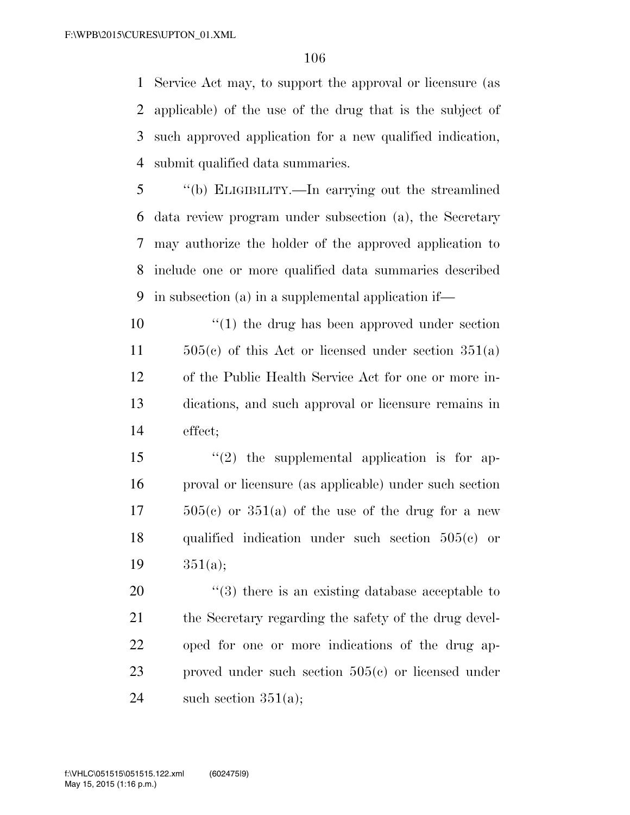Service Act may, to support the approval or licensure (as applicable) of the use of the drug that is the subject of such approved application for a new qualified indication, submit qualified data summaries.

 ''(b) ELIGIBILITY.—In carrying out the streamlined data review program under subsection (a), the Secretary may authorize the holder of the approved application to include one or more qualified data summaries described in subsection (a) in a supplemental application if—

 $\frac{10}{10}$  the drug has been approved under section  $505(e)$  of this Act or licensed under section  $351(a)$  of the Public Health Service Act for one or more in- dications, and such approval or licensure remains in effect;

 ''(2) the supplemental application is for ap- proval or licensure (as applicable) under such section  $17 \qquad 505(c)$  or  $351(a)$  of the use of the drug for a new qualified indication under such section 505(c) or 351(a);

20  $\frac{1}{20}$   $\frac{1}{3}$  there is an existing database acceptable to 21 the Secretary regarding the safety of the drug devel- oped for one or more indications of the drug ap- proved under such section 505(c) or licensed under 24 such section  $351(a)$ ;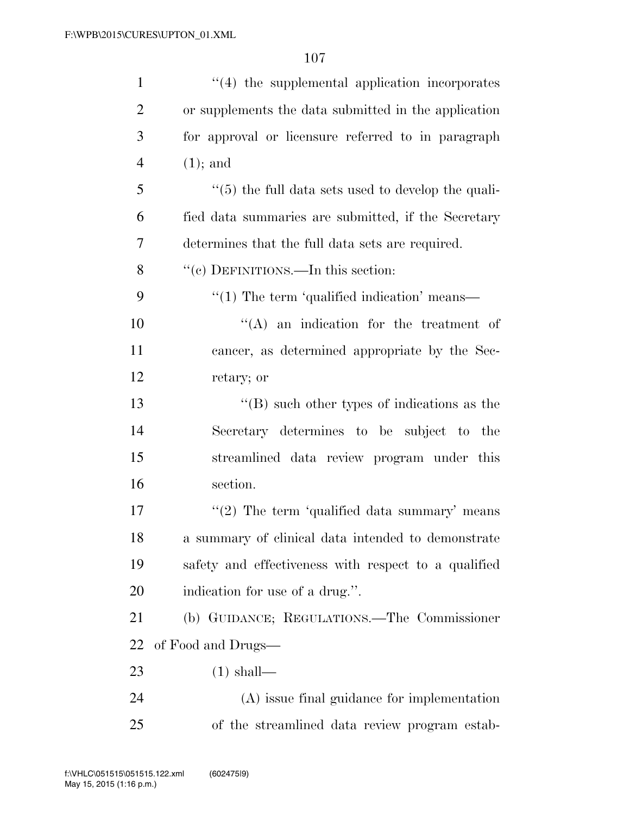| $\mathbf{1}$   | "(4) the supplemental application incorporates              |
|----------------|-------------------------------------------------------------|
| $\overline{2}$ | or supplements the data submitted in the application        |
| 3              | for approval or licensure referred to in paragraph          |
| 4              | $(1)$ ; and                                                 |
| 5              | $``(5)$ the full data sets used to develop the quali-       |
| 6              | fied data summaries are submitted, if the Secretary         |
| 7              | determines that the full data sets are required.            |
| 8              | "(c) DEFINITIONS.—In this section:                          |
| 9              | $\cdot\cdot\cdot(1)$ The term 'qualified indication' means— |
| 10             | $\lq\lq$ an indication for the treatment of                 |
| 11             | cancer, as determined appropriate by the Sec-               |
| 12             | retary; or                                                  |
| 13             | $\lq\lq (B)$ such other types of indications as the         |
| 14             | Secretary determines to be subject to the                   |
| 15             | streamlined data review program under this                  |
| 16             | section.                                                    |
| 17             | "(2) The term 'qualified data summary' means                |
| 18             | a summary of clinical data intended to demonstrate          |
| 19             | safety and effectiveness with respect to a qualified        |
| 20             | indication for use of a drug.".                             |
| 21             | (b) GUIDANCE; REGULATIONS.—The Commissioner                 |
| 22             | of Food and Drugs—                                          |
| 23             | $(1)$ shall—                                                |
| 24             | (A) issue final guidance for implementation                 |
| 25             | of the streamlined data review program estab-               |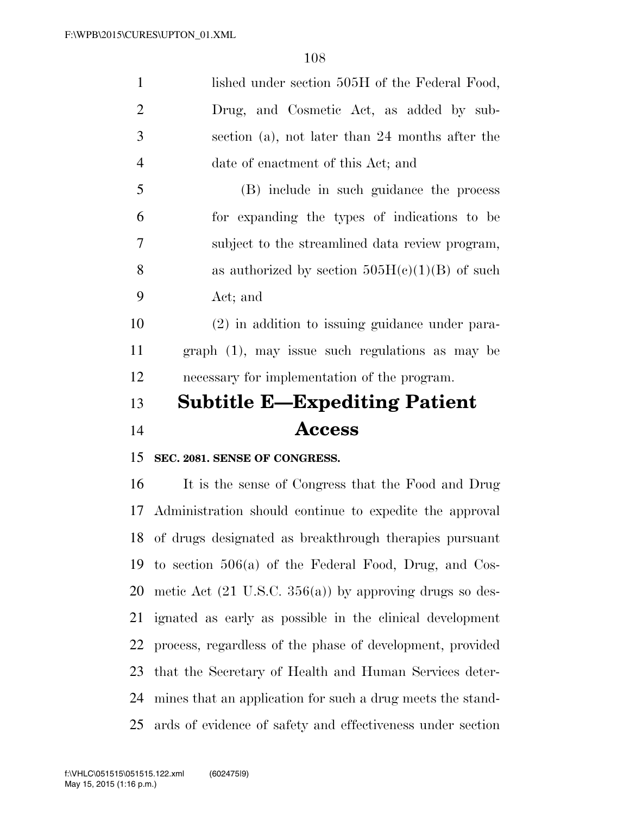| $\mathbf{1}$   | lished under section 505H of the Federal Food,                     |
|----------------|--------------------------------------------------------------------|
| $\overline{2}$ | Drug, and Cosmetic Act, as added by sub-                           |
| 3              | section (a), not later than 24 months after the                    |
| $\overline{4}$ | date of enactment of this Act; and                                 |
| 5              | (B) include in such guidance the process                           |
| 6              | for expanding the types of indications to be                       |
| 7              | subject to the streamlined data review program,                    |
| 8              | as authorized by section $505H(c)(1)(B)$ of such                   |
| 9              | Act; and                                                           |
| 10             | (2) in addition to issuing guidance under para-                    |
| 11             | $graph (1)$ , may issue such regulations as may be                 |
| 12             | necessary for implementation of the program.                       |
|                |                                                                    |
| 13             | <b>Subtitle E—Expediting Patient</b>                               |
| 14             | <b>Access</b>                                                      |
| 15             | SEC. 2081. SENSE OF CONGRESS.                                      |
| 16             | It is the sense of Congress that the Food and Drug                 |
| 17             | Administration should continue to expedite the approval            |
|                | 18 of drugs designated as breakthrough therapies pursuant          |
| 19             | to section $506(a)$ of the Federal Food, Drug, and Cos-            |
| 20             | metic Act $(21 \text{ U.S.C. } 356(a))$ by approving drugs so des- |
| 21             | ignated as early as possible in the clinical development           |
| 22             | process, regardless of the phase of development, provided          |
| 23             | that the Secretary of Health and Human Services deter-             |
| 24             | mines that an application for such a drug meets the stand-         |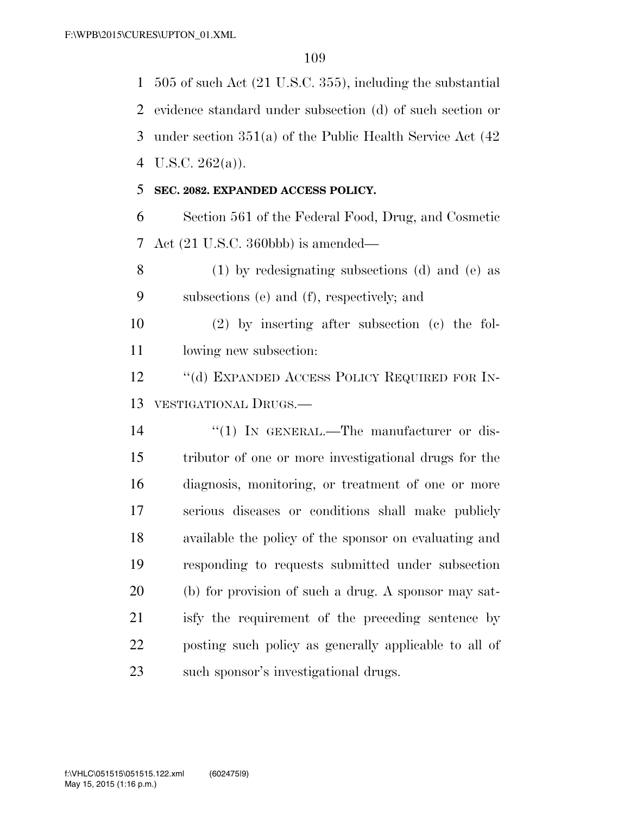505 of such Act (21 U.S.C. 355), including the substantial evidence standard under subsection (d) of such section or under section 351(a) of the Public Health Service Act (42 U.S.C. 262(a)). **SEC. 2082. EXPANDED ACCESS POLICY.**  Section 561 of the Federal Food, Drug, and Cosmetic Act (21 U.S.C. 360bbb) is amended— (1) by redesignating subsections (d) and (e) as subsections (e) and (f), respectively; and (2) by inserting after subsection (c) the fol-lowing new subsection:

12 "(d) EXPANDED ACCESS POLICY REQUIRED FOR IN-VESTIGATIONAL DRUGS.—

 $\frac{1}{2}$  (1) In GENERAL.—The manufacturer or dis- tributor of one or more investigational drugs for the diagnosis, monitoring, or treatment of one or more serious diseases or conditions shall make publicly available the policy of the sponsor on evaluating and responding to requests submitted under subsection (b) for provision of such a drug. A sponsor may sat- isfy the requirement of the preceding sentence by posting such policy as generally applicable to all of such sponsor's investigational drugs.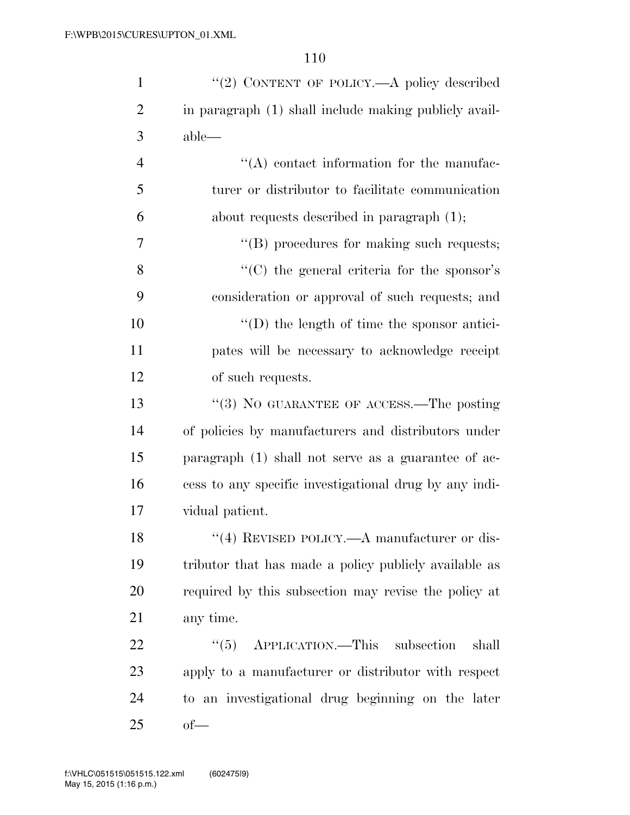| $\mathbf{1}$   | "(2) CONTENT OF POLICY.—A policy described             |
|----------------|--------------------------------------------------------|
| $\overline{2}$ | in paragraph (1) shall include making publicly avail-  |
| 3              | $able$ —                                               |
| $\overline{4}$ | "(A) contact information for the manufac-              |
| 5              | turer or distributor to facilitate communication       |
| 6              | about requests described in paragraph $(1)$ ;          |
| 7              | $\lq\lq$ procedures for making such requests;          |
| 8              | $\lq\lq$ (C) the general criteria for the sponsor's    |
| 9              | consideration or approval of such requests; and        |
| 10             | $\lq\lq$ the length of time the sponsor antici-        |
| 11             | pates will be necessary to acknowledge receipt         |
| 12             | of such requests.                                      |
| 13             | "(3) NO GUARANTEE OF ACCESS.—The posting               |
| 14             | of policies by manufacturers and distributors under    |
| 15             | paragraph $(1)$ shall not serve as a guarantee of ac-  |
| 16             | cess to any specific investigational drug by any indi- |
| 17             | vidual patient.                                        |
| 18             | $\lq(4)$ REVISED POLICY.—A manufacturer or dis-        |
| 19             | tributor that has made a policy publicly available as  |
| 20             | required by this subsection may revise the policy at   |
| 21             | any time.                                              |
| 22             | $\cdot\cdot$ (5) APPLICATION.—This subsection<br>shall |
| 23             | apply to a manufacturer or distributor with respect    |
| 24             | to an investigational drug beginning on the later      |
| 25             | $of$ —                                                 |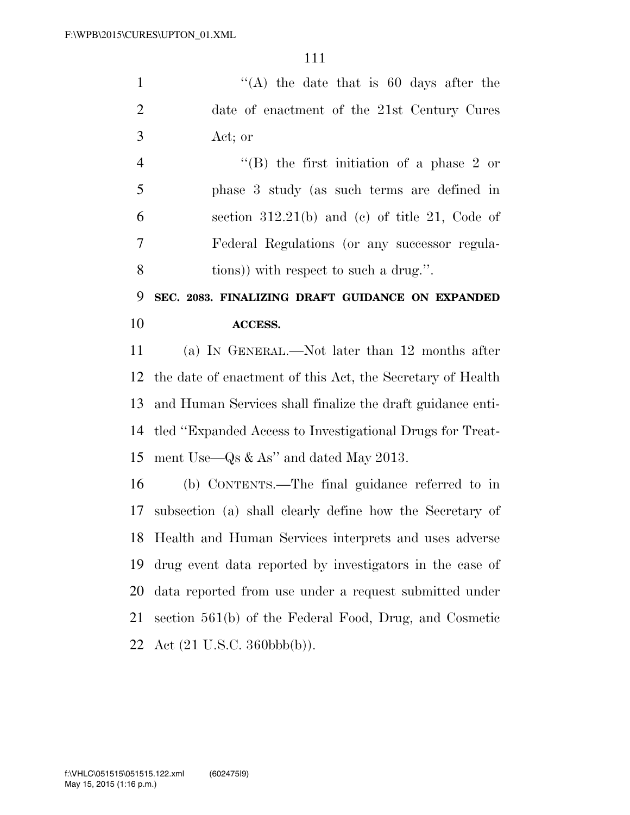''(A) the date that is 60 days after the date of enactment of the 21st Century Cures Act; or

 ''(B) the first initiation of a phase 2 or phase 3 study (as such terms are defined in section 312.21(b) and (c) of title 21, Code of Federal Regulations (or any successor regula-tions)) with respect to such a drug.''.

#### **SEC. 2083. FINALIZING DRAFT GUIDANCE ON EXPANDED ACCESS.**

 (a) IN GENERAL.—Not later than 12 months after the date of enactment of this Act, the Secretary of Health and Human Services shall finalize the draft guidance enti- tled ''Expanded Access to Investigational Drugs for Treat-ment Use—Qs & As'' and dated May 2013.

 (b) CONTENTS.—The final guidance referred to in subsection (a) shall clearly define how the Secretary of Health and Human Services interprets and uses adverse drug event data reported by investigators in the case of data reported from use under a request submitted under section 561(b) of the Federal Food, Drug, and Cosmetic Act (21 U.S.C. 360bbb(b)).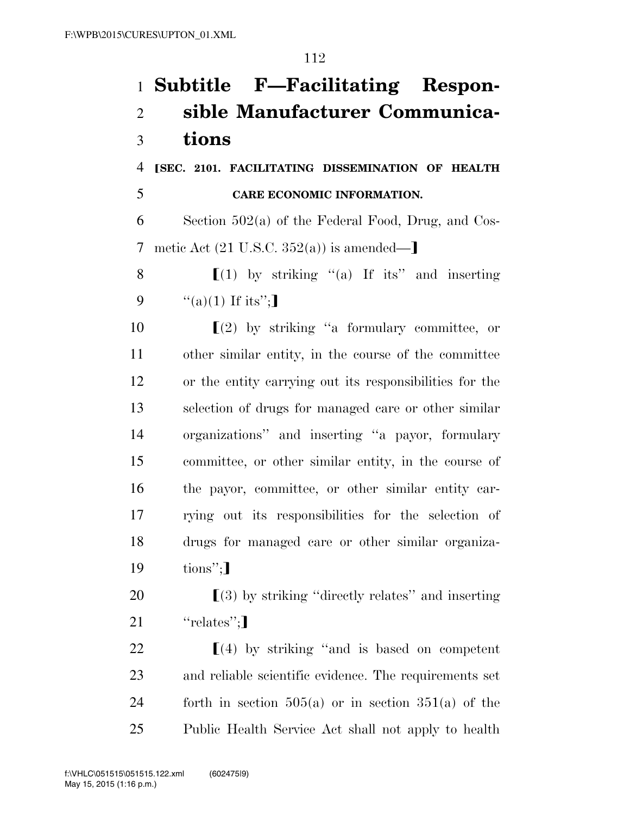# **Subtitle F—Facilitating Respon- sible Manufacturer Communica-tions**

 ø**SEC. 2101. FACILITATING DISSEMINATION OF HEALTH CARE ECONOMIC INFORMATION.** 

 Section 502(a) of the Federal Food, Drug, and Cos-7 metic Act  $(21 \text{ U.S.C. } 352(a))$  is amended—

8  $\left[ (1)$  by striking "(a) If its" and inserting 9  $\frac{u'(a)(1)}{1}$  If its";

 $\left[ \begin{array}{c} (2) \\ (2) \end{array} \right]$  by striking "a formulary committee, or other similar entity, in the course of the committee or the entity carrying out its responsibilities for the selection of drugs for managed care or other similar organizations'' and inserting ''a payor, formulary committee, or other similar entity, in the course of the payor, committee, or other similar entity car- rying out its responsibilities for the selection of drugs for managed care or other similar organiza-tions";

20  $\left[ \begin{array}{c} (3) \end{array} \right]$  by striking "directly relates" and inserting 21  $"relates"$ ;

 $\left[ (4)$  by striking "and is based on competent and reliable scientific evidence. The requirements set forth in section 505(a) or in section 351(a) of the Public Health Service Act shall not apply to health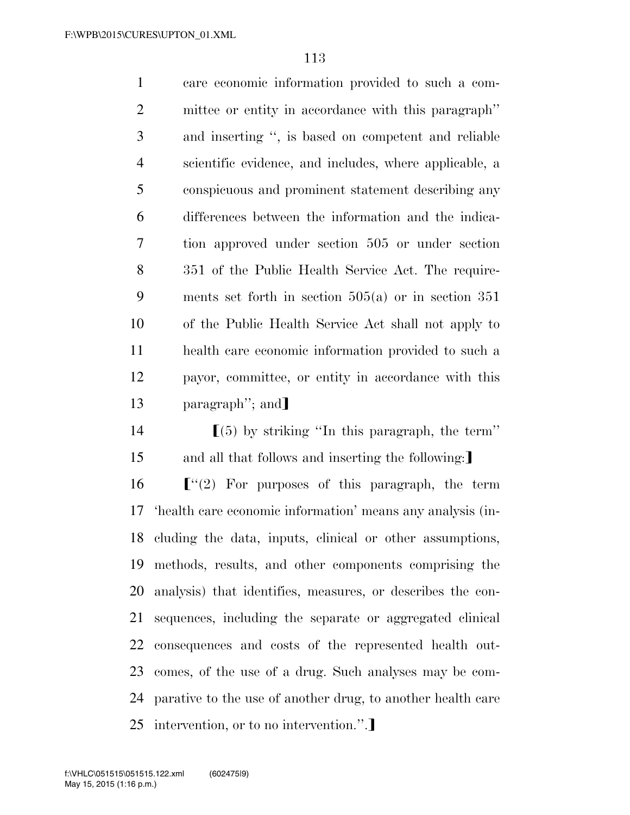care economic information provided to such a com- mittee or entity in accordance with this paragraph'' and inserting '', is based on competent and reliable scientific evidence, and includes, where applicable, a conspicuous and prominent statement describing any differences between the information and the indica- tion approved under section 505 or under section 351 of the Public Health Service Act. The require- ments set forth in section 505(a) or in section 351 of the Public Health Service Act shall not apply to health care economic information provided to such a payor, committee, or entity in accordance with this 13 paragraph''; and  $\left[ (5)$  by striking "In this paragraph, the term"

 $\lceil$  "(2) For purposes of this paragraph, the term 'health care economic information' means any analysis (in- cluding the data, inputs, clinical or other assumptions, methods, results, and other components comprising the analysis) that identifies, measures, or describes the con- sequences, including the separate or aggregated clinical consequences and costs of the represented health out- comes, of the use of a drug. Such analyses may be com- parative to the use of another drug, to another health care 25 intervention, or to no intervention.".

15 and all that follows and inserting the following: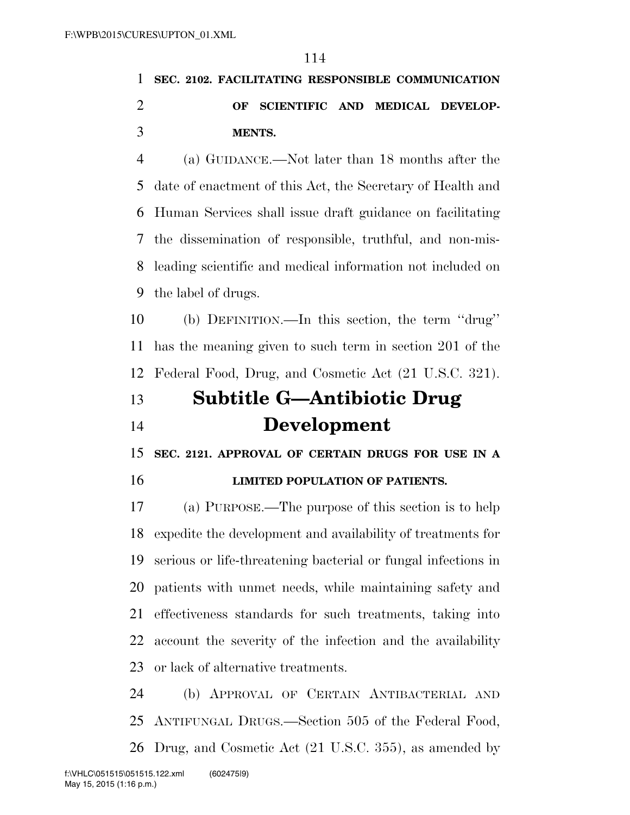### **SEC. 2102. FACILITATING RESPONSIBLE COMMUNICATION OF SCIENTIFIC AND MEDICAL DEVELOP-MENTS.**

 (a) GUIDANCE.—Not later than 18 months after the date of enactment of this Act, the Secretary of Health and Human Services shall issue draft guidance on facilitating the dissemination of responsible, truthful, and non-mis- leading scientific and medical information not included on the label of drugs.

 (b) DEFINITION.—In this section, the term ''drug'' has the meaning given to such term in section 201 of the Federal Food, Drug, and Cosmetic Act (21 U.S.C. 321).

## **Subtitle G—Antibiotic Drug Development**

 **SEC. 2121. APPROVAL OF CERTAIN DRUGS FOR USE IN A LIMITED POPULATION OF PATIENTS.** 

 (a) PURPOSE.—The purpose of this section is to help expedite the development and availability of treatments for serious or life-threatening bacterial or fungal infections in patients with unmet needs, while maintaining safety and effectiveness standards for such treatments, taking into account the severity of the infection and the availability or lack of alternative treatments.

 (b) APPROVAL OF CERTAIN ANTIBACTERIAL AND ANTIFUNGAL DRUGS.—Section 505 of the Federal Food, Drug, and Cosmetic Act (21 U.S.C. 355), as amended by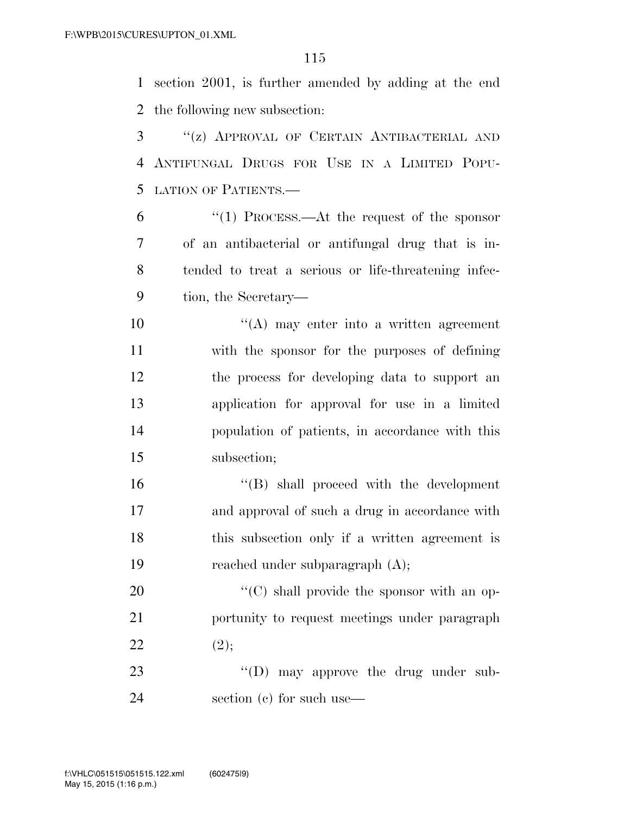section 2001, is further amended by adding at the end the following new subsection:

 ''(z) APPROVAL OF CERTAIN ANTIBACTERIAL AND ANTIFUNGAL DRUGS FOR USE IN A LIMITED POPU-LATION OF PATIENTS.—

 ''(1) PROCESS.—At the request of the sponsor of an antibacterial or antifungal drug that is in- tended to treat a serious or life-threatening infec-tion, the Secretary—

 ''(A) may enter into a written agreement with the sponsor for the purposes of defining the process for developing data to support an application for approval for use in a limited population of patients, in accordance with this subsection;

 ''(B) shall proceed with the development and approval of such a drug in accordance with this subsection only if a written agreement is reached under subparagraph (A);

20  $\cdot$  (C) shall provide the sponsor with an op- portunity to request meetings under paragraph 22  $(2);$ 

23  $\text{(1)}$  may approve the drug under sub-section (c) for such use—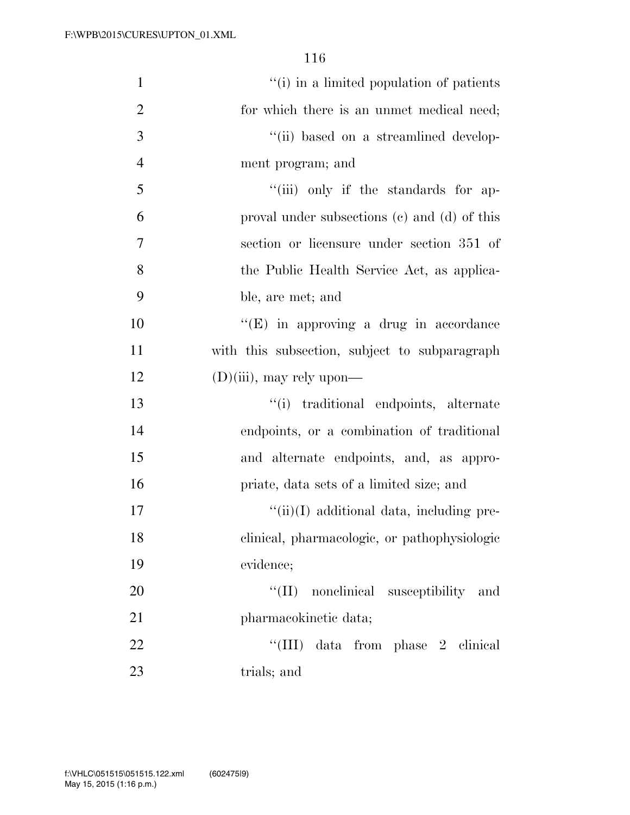| $\mathbf{1}$   | "(i) in a limited population of patients       |
|----------------|------------------------------------------------|
| $\overline{2}$ | for which there is an unmet medical need;      |
| 3              | "(ii) based on a streamlined develop-          |
| $\overline{4}$ | ment program; and                              |
| 5              | "(iii) only if the standards for ap-           |
| 6              | proval under subsections (c) and (d) of this   |
| $\overline{7}$ | section or licensure under section 351 of      |
| 8              | the Public Health Service Act, as applica-     |
| 9              | ble, are met; and                              |
| 10             | $\lq\lq$ (E) in approving a drug in accordance |
| 11             | with this subsection, subject to subparagraph  |
| 12             | $(D)(iii)$ , may rely upon—                    |
| 13             | "(i) traditional endpoints, alternate          |
| 14             | endpoints, or a combination of traditional     |
| 15             | and alternate endpoints, and, as appro-        |
| 16             | priate, data sets of a limited size; and       |
| 17             | $``(ii)(I)$ additional data, including pre-    |
| 18             | clinical, pharmacologic, or pathophysiologic   |
| 19             | evidence;                                      |
| 20             | "(II) nonelinical susceptibility and           |
| 21             | pharmacokinetic data;                          |
| 22             | "(III) data from phase 2 clinical              |
| 23             | trials; and                                    |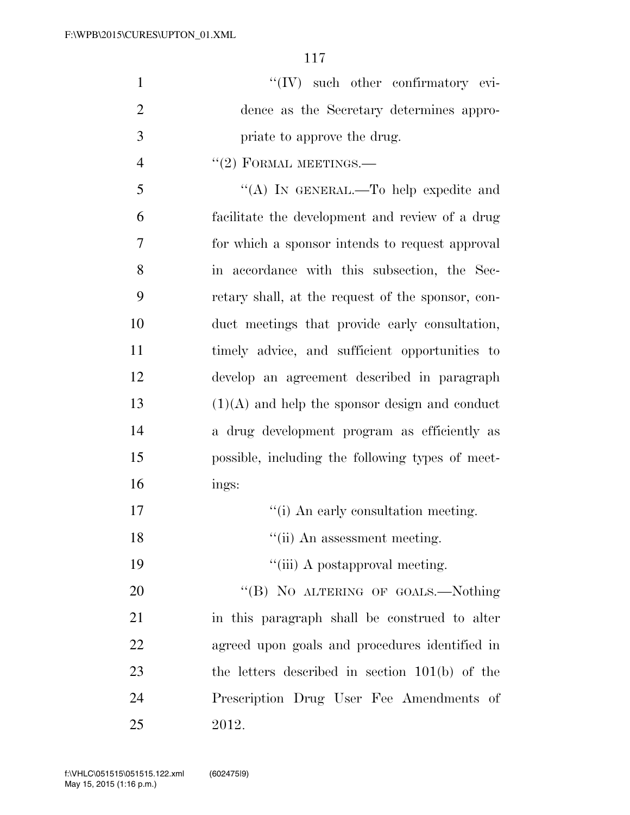| $\mathbf{1}$   | $\lq\lq (IV)$ such other confirmatory evi-        |
|----------------|---------------------------------------------------|
| $\overline{2}$ | dence as the Secretary determines appro-          |
| 3              | priate to approve the drug.                       |
| $\overline{4}$ | $"(2)$ FORMAL MEETINGS.—                          |
| 5              | "(A) IN GENERAL.—To help expedite and             |
| 6              | facilitate the development and review of a drug   |
| 7              | for which a sponsor intends to request approval   |
| 8              | in accordance with this subsection, the Sec-      |
| 9              | retary shall, at the request of the sponsor, con- |
| 10             | duct meetings that provide early consultation,    |
| 11             | timely advice, and sufficient opportunities to    |
| 12             | develop an agreement described in paragraph       |
| 13             | $(1)(A)$ and help the sponsor design and conduct  |
| 14             | a drug development program as efficiently as      |
| 15             | possible, including the following types of meet-  |
| 16             | ings:                                             |
| 17             | "(i) An early consultation meeting.               |
| 18             | "(ii) An assessment meeting.                      |
| 19             | "(iii) A postapproval meeting.                    |
| 20             | "(B) NO ALTERING OF GOALS.—Nothing                |
| 21             | in this paragraph shall be construed to alter     |
| 22             | agreed upon goals and procedures identified in    |
| 23             | the letters described in section $101(b)$ of the  |
| 24             | Prescription Drug User Fee Amendments of          |
| 25             | 2012.                                             |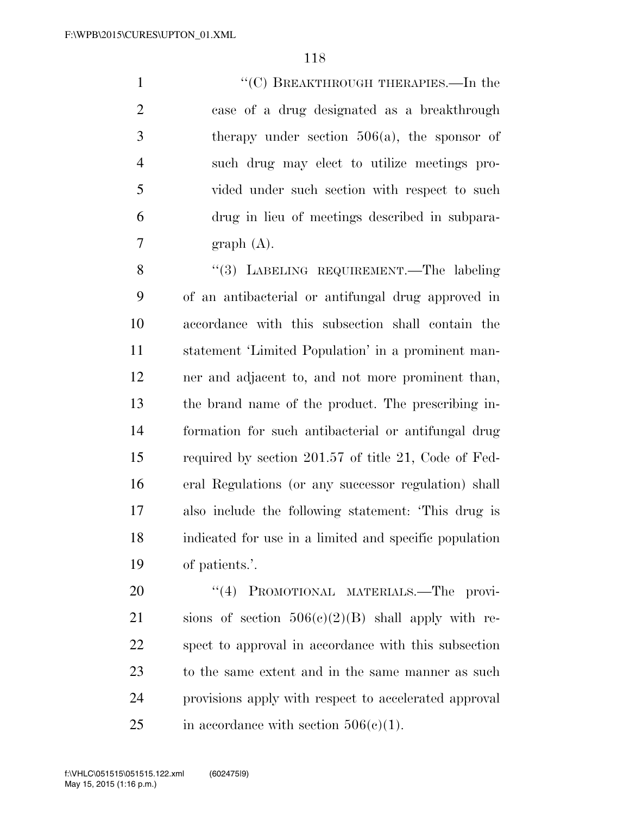1 ''(C) BREAKTHROUGH THERAPIES.—In the case of a drug designated as a breakthrough therapy under section 506(a), the sponsor of such drug may elect to utilize meetings pro- vided under such section with respect to such drug in lieu of meetings described in subpara- $7 \quad \text{graph} \quad (A).$ 

8 "(3) LABELING REQUIREMENT.—The labeling of an antibacterial or antifungal drug approved in accordance with this subsection shall contain the statement 'Limited Population' in a prominent man- ner and adjacent to, and not more prominent than, the brand name of the product. The prescribing in- formation for such antibacterial or antifungal drug required by section 201.57 of title 21, Code of Fed- eral Regulations (or any successor regulation) shall also include the following statement: 'This drug is indicated for use in a limited and specific population of patients.'.

20 "(4) PROMOTIONAL MATERIALS.—The provi-21 sions of section  $506(e)(2)(B)$  shall apply with re- spect to approval in accordance with this subsection to the same extent and in the same manner as such provisions apply with respect to accelerated approval 25 in accordance with section  $506(c)(1)$ .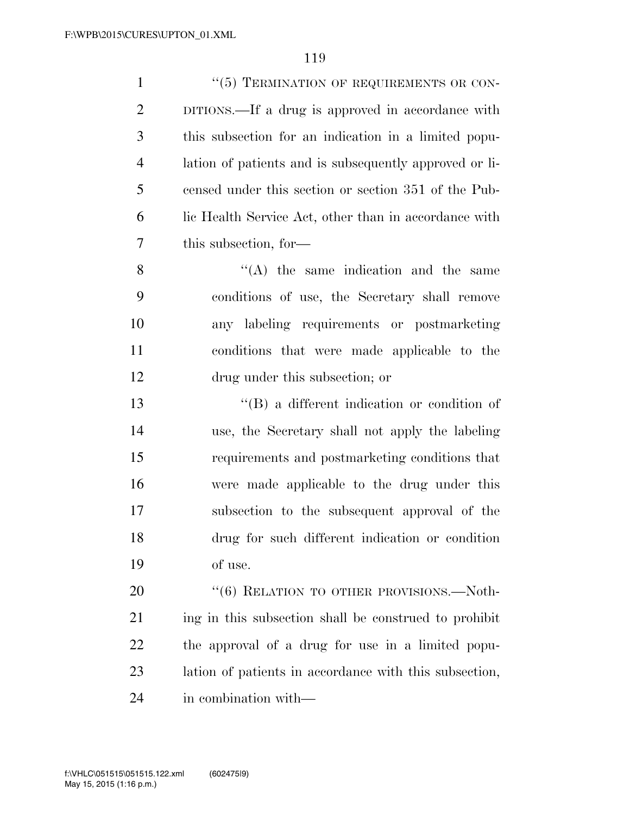| $\mathbf{1}$   | "(5) TERMINATION OF REQUIREMENTS OR CON-               |
|----------------|--------------------------------------------------------|
| $\overline{2}$ | DITIONS.—If a drug is approved in accordance with      |
| 3              | this subsection for an indication in a limited popu-   |
| $\overline{4}$ | lation of patients and is subsequently approved or li- |
| 5              | censed under this section or section 351 of the Pub-   |
| 6              | lic Health Service Act, other than in accordance with  |
| 7              | this subsection, for-                                  |
| 8              | $\lq\lq$ the same indication and the same              |
| 9              | conditions of use, the Secretary shall remove          |
| 10             | any labeling requirements or postmarketing             |
| 11             | conditions that were made applicable to the            |
| 12             | drug under this subsection; or                         |
| 13             | $\lq\lq (B)$ a different indication or condition of    |
| 14             | use, the Secretary shall not apply the labeling        |
| 15             | requirements and postmarketing conditions that         |
| 16             | were made applicable to the drug under this            |
| 17             | subsection to the subsequent approval of the           |
| 18             | drug for such different indication or condition        |
| 19             | of use.                                                |
| 20             | "(6) RELATION TO OTHER PROVISIONS.—Noth-               |
| 21             | ing in this subsection shall be construed to prohibit  |
| 22             | the approval of a drug for use in a limited popu-      |
| 23             | lation of patients in accordance with this subsection, |
| 24             | in combination with—                                   |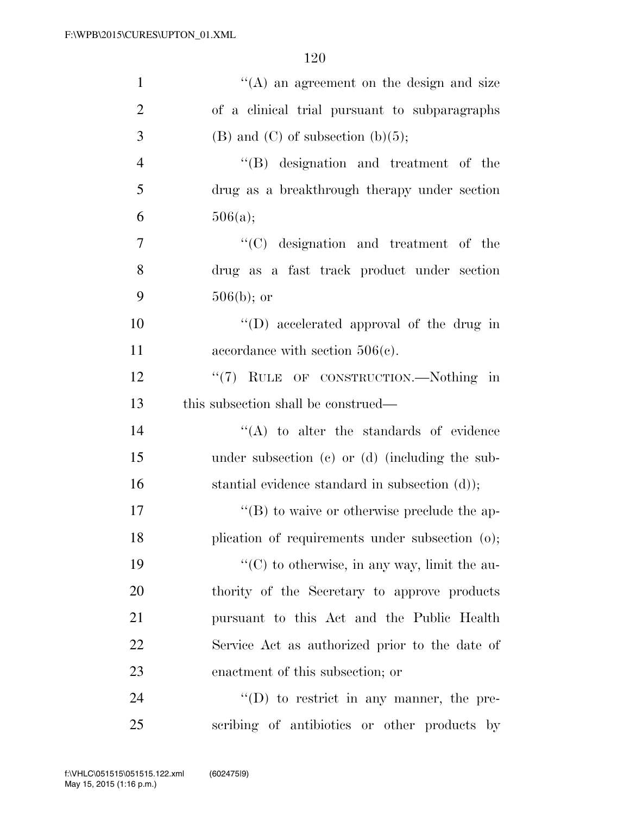| $\mathbf{1}$   | $\lq\lq$ an agreement on the design and size        |
|----------------|-----------------------------------------------------|
| $\overline{2}$ | of a clinical trial pursuant to subparagraphs       |
| 3              | $(B)$ and $(C)$ of subsection $(b)(5)$ ;            |
| $\overline{4}$ | "(B) designation and treatment of the               |
| 5              | drug as a breakthrough therapy under section        |
| 6              | 506(a);                                             |
| $\tau$         | "(C) designation and treatment of the               |
| 8              | drug as a fast track product under section          |
| 9              | $506(b)$ ; or                                       |
| 10             | "(D) accelerated approval of the drug in            |
| 11             | accordance with section $506(c)$ .                  |
| 12             | "(7) RULE OF CONSTRUCTION.—Nothing in               |
| 13             | this subsection shall be construed—                 |
| 14             | $\lq\lq$ to alter the standards of evidence         |
| 15             | under subsection (c) or (d) (including the sub-     |
| 16             | stantial evidence standard in subsection (d));      |
| 17             | $\lq\lq (B)$ to waive or otherwise preclude the ap- |
| 18             | plication of requirements under subsection (o);     |
| 19             | "(C) to otherwise, in any way, limit the au-        |
| 20             | thority of the Secretary to approve products        |
| 21             | pursuant to this Act and the Public Health          |
| 22             | Service Act as authorized prior to the date of      |
| 23             | enactment of this subsection; or                    |
| 24             | $\lq\lq$ to restrict in any manner, the pre-        |
| 25             | scribing of antibiotics or other products by        |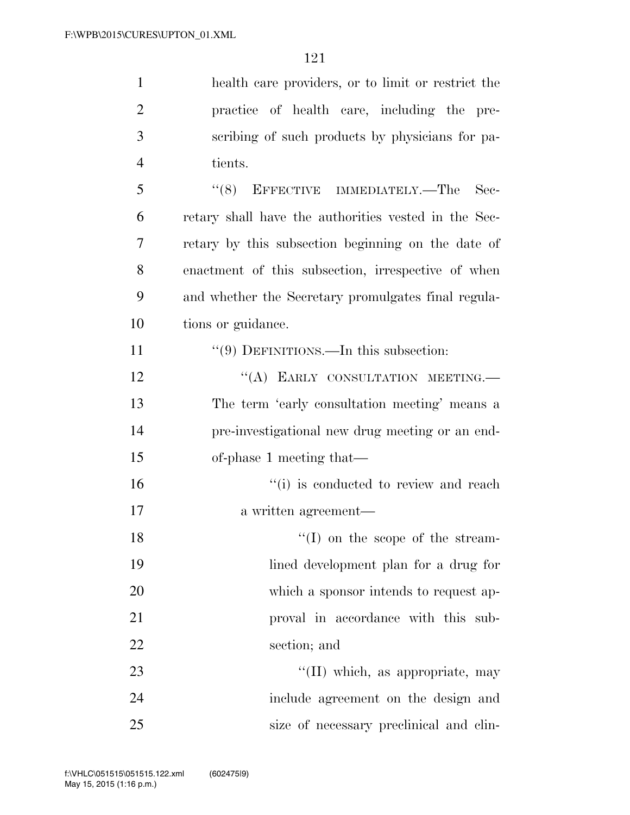| $\mathbf{1}$   | health care providers, or to limit or restrict the   |
|----------------|------------------------------------------------------|
| $\overline{2}$ | practice of health care, including the pre-          |
| 3              | scribing of such products by physicians for pa-      |
| $\overline{4}$ | tients.                                              |
| 5              | EFFECTIVE IMMEDIATELY.—The<br>(8)<br>Sec-            |
| 6              | retary shall have the authorities vested in the Sec- |
| 7              | retary by this subsection beginning on the date of   |
| 8              | enactment of this subsection, irrespective of when   |
| 9              | and whether the Secretary promulgates final regula-  |
| 10             | tions or guidance.                                   |
| 11             | $\lq(9)$ DEFINITIONS.—In this subsection:            |
| 12             | "(A) EARLY CONSULTATION MEETING.                     |
| 13             | The term 'early consultation meeting' means a        |
| 14             | pre-investigational new drug meeting or an end-      |
| 15             | of-phase 1 meeting that—                             |
| 16             | "(i) is conducted to review and reach                |
| 17             | a written agreement—                                 |
| 18             | $\lq(1)$ on the scope of the stream-                 |
| 19             | lined development plan for a drug for                |
| 20             | which a sponsor intends to request ap-               |
| 21             | proval in accordance with this sub-                  |
| 22             | section; and                                         |
| 23             | "(II) which, as appropriate, may                     |
| 24             | include agreement on the design and                  |
| 25             | size of necessary preclinical and clin-              |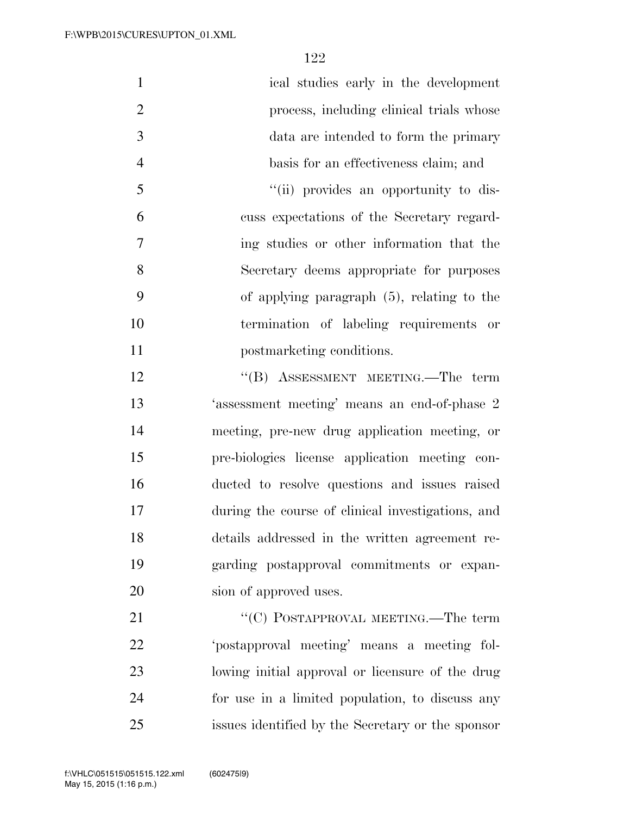| $\mathbf{1}$   | ical studies early in the development             |
|----------------|---------------------------------------------------|
| $\overline{2}$ | process, including clinical trials whose          |
| 3              | data are intended to form the primary             |
| $\overline{4}$ | basis for an effectiveness claim; and             |
| 5              | "(ii) provides an opportunity to dis-             |
| 6              | cuss expectations of the Secretary regard-        |
| 7              | ing studies or other information that the         |
| 8              | Secretary deems appropriate for purposes          |
| 9              | of applying paragraph $(5)$ , relating to the     |
| 10             | termination of labeling requirements or           |
| 11             | postmarketing conditions.                         |
| 12             | "(B) ASSESSMENT MEETING.—The term                 |
| 13             | 'assessment meeting' means an end-of-phase 2      |
| 14             | meeting, pre-new drug application meeting, or     |
| 15             | pre-biologics license application meeting con-    |
| 16             | ducted to resolve questions and issues raised     |
| 17             | during the course of clinical investigations, and |
| 18             | details addressed in the written agreement re-    |
| 19             | garding postapproval commitments or expan-        |
| 20             | sion of approved uses.                            |
| 21             | "(C) POSTAPPROVAL MEETING.—The term               |
| 22             | 'postapproval meeting' means a meeting fol-       |
| 23             | lowing initial approval or licensure of the drug  |
| 24             | for use in a limited population, to discuss any   |
| 25             | issues identified by the Secretary or the sponsor |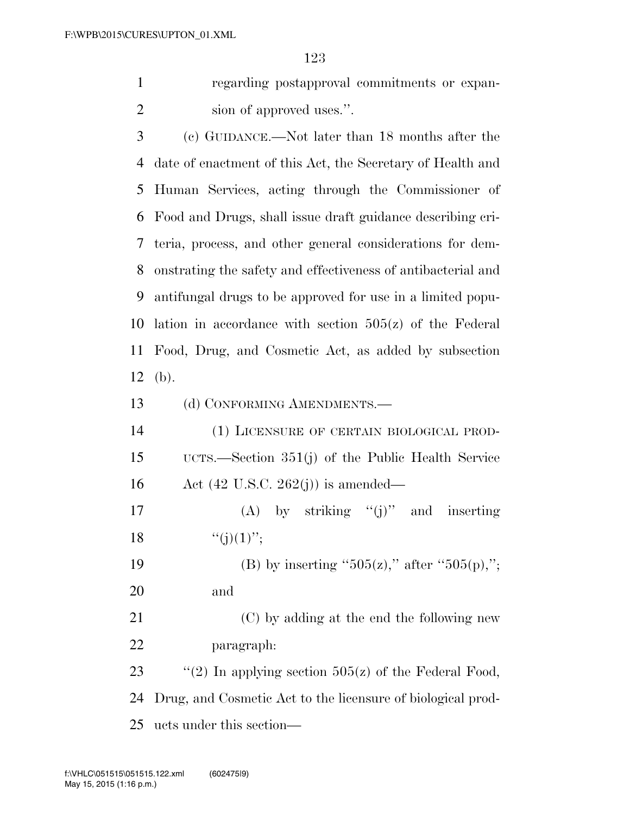regarding postapproval commitments or expan-2 sion of approved uses.".

 (c) GUIDANCE.—Not later than 18 months after the date of enactment of this Act, the Secretary of Health and Human Services, acting through the Commissioner of Food and Drugs, shall issue draft guidance describing cri- teria, process, and other general considerations for dem- onstrating the safety and effectiveness of antibacterial and antifungal drugs to be approved for use in a limited popu- lation in accordance with section 505(z) of the Federal Food, Drug, and Cosmetic Act, as added by subsection (b).

13 (d) CONFORMING AMENDMENTS.—

 (1) LICENSURE OF CERTAIN BIOLOGICAL PROD- UCTS.—Section 351(j) of the Public Health Service Act (42 U.S.C. 262(j)) is amended—

17 (A) by striking  $"(i)"$  and inserting 18  $"(j)(1)"$ ;

19 (B) by inserting " $505(z)$ ," after " $505(p)$ ,"; and

 (C) by adding at the end the following new paragraph:

23  $\frac{1}{2}$  (2) In applying section 505(z) of the Federal Food, Drug, and Cosmetic Act to the licensure of biological prod-ucts under this section—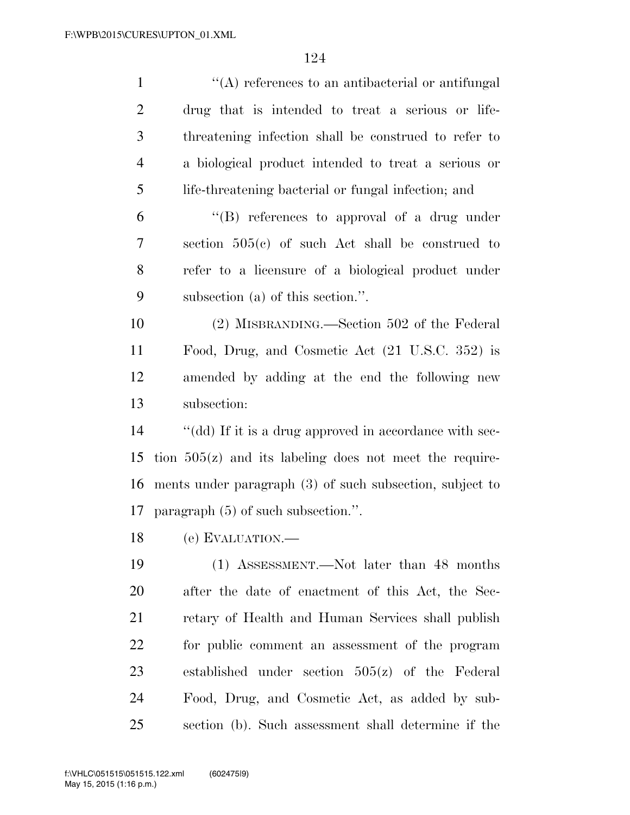| $\mathbf{1}$   | "(A) references to an antibacterial or antifungal          |
|----------------|------------------------------------------------------------|
| $\overline{2}$ | drug that is intended to treat a serious or life-          |
| 3              | threatening infection shall be construed to refer to       |
| $\overline{4}$ | a biological product intended to treat a serious or        |
| 5              | life-threatening bacterial or fungal infection; and        |
| 6              | "(B) references to approval of a drug under                |
| 7              | section $505(e)$ of such Act shall be construed to         |
| 8              | refer to a licensure of a biological product under         |
| 9              | subsection (a) of this section.".                          |
| 10             | (2) MISBRANDING.—Section 502 of the Federal                |
| 11             | Food, Drug, and Cosmetic Act (21 U.S.C. 352) is            |
| 12             | amended by adding at the end the following new             |
| 13             | subsection:                                                |
| 14             | "(dd) If it is a drug approved in accordance with sec-     |
| 15             | tion $505(z)$ and its labeling does not meet the require-  |
| 16             | ments under paragraph $(3)$ of such subsection, subject to |
| 17             | paragraph $(5)$ of such subsection.".                      |
|                | 18 (e) EVALUATION.                                         |
| 19             | (1) ASSESSMENT.—Not later than 48 months                   |
| 20             | after the date of enactment of this Act, the Sec-          |
| 21             | retary of Health and Human Services shall publish          |
| 22             | for public comment an assessment of the program            |
| 23             | established under section $505(z)$ of the Federal          |
| 24             | Food, Drug, and Cosmetic Act, as added by sub-             |
| 25             | section (b). Such assessment shall determine if the        |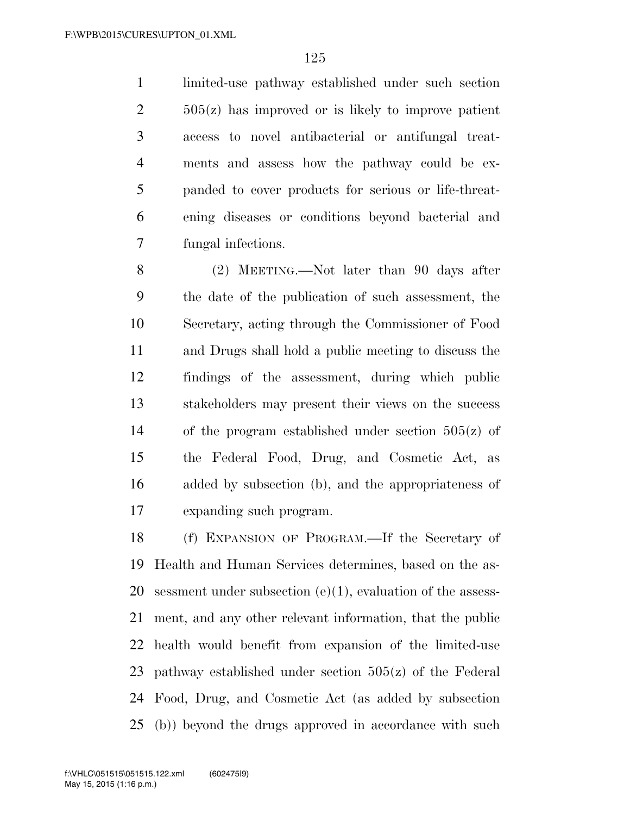limited-use pathway established under such section 505(z) has improved or is likely to improve patient access to novel antibacterial or antifungal treat- ments and assess how the pathway could be ex- panded to cover products for serious or life-threat- ening diseases or conditions beyond bacterial and fungal infections.

 (2) MEETING.—Not later than 90 days after the date of the publication of such assessment, the Secretary, acting through the Commissioner of Food and Drugs shall hold a public meeting to discuss the findings of the assessment, during which public stakeholders may present their views on the success of the program established under section 505(z) of the Federal Food, Drug, and Cosmetic Act, as added by subsection (b), and the appropriateness of expanding such program.

 (f) EXPANSION OF PROGRAM.—If the Secretary of Health and Human Services determines, based on the as- sessment under subsection (e)(1), evaluation of the assess- ment, and any other relevant information, that the public health would benefit from expansion of the limited-use pathway established under section 505(z) of the Federal Food, Drug, and Cosmetic Act (as added by subsection (b)) beyond the drugs approved in accordance with such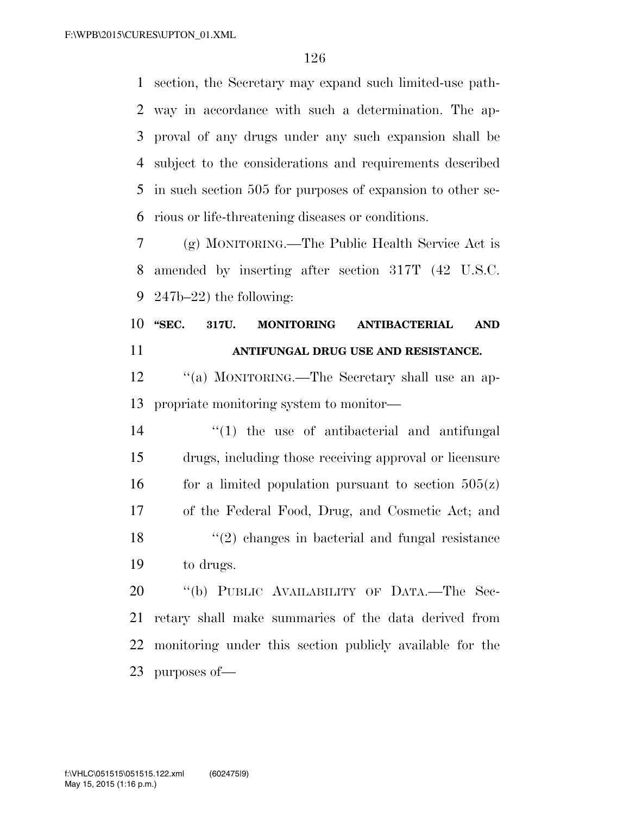section, the Secretary may expand such limited-use path- way in accordance with such a determination. The ap- proval of any drugs under any such expansion shall be subject to the considerations and requirements described in such section 505 for purposes of expansion to other se-rious or life-threatening diseases or conditions.

 (g) MONITORING.—The Public Health Service Act is amended by inserting after section 317T (42 U.S.C. 247b–22) the following:

#### **''SEC. 317U. MONITORING ANTIBACTERIAL AND ANTIFUNGAL DRUG USE AND RESISTANCE.**

 ''(a) MONITORING.—The Secretary shall use an ap-propriate monitoring system to monitor—

 ''(1) the use of antibacterial and antifungal drugs, including those receiving approval or licensure 16 for a limited population pursuant to section  $505(z)$  of the Federal Food, Drug, and Cosmetic Act; and ''(2) changes in bacterial and fungal resistance to drugs.

20 "(b) PUBLIC AVAILABILITY OF DATA.—The Sec- retary shall make summaries of the data derived from monitoring under this section publicly available for the purposes of—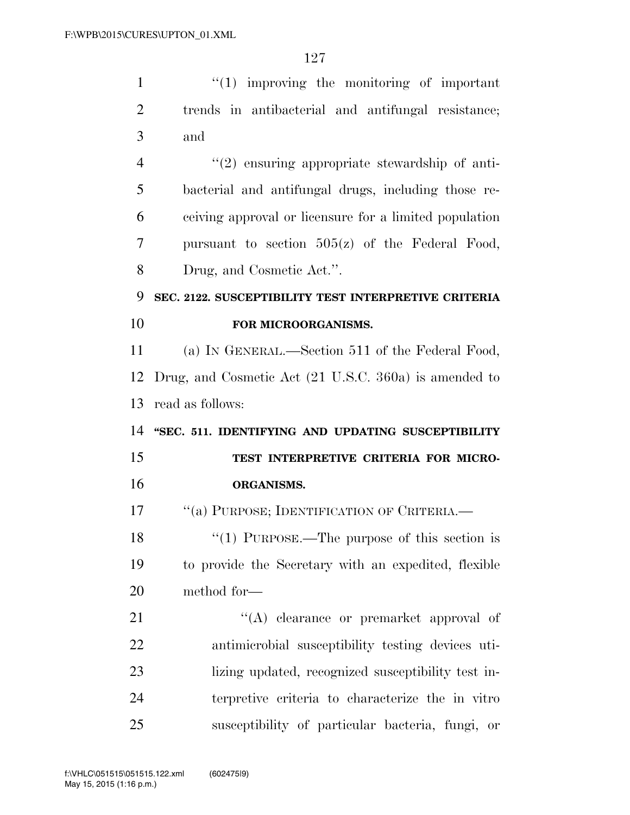| $\mathbf{1}$   | $\lq(1)$ improving the monitoring of important         |
|----------------|--------------------------------------------------------|
| $\overline{2}$ | trends in antibacterial and antifungal resistance;     |
| 3              | and                                                    |
| $\overline{4}$ | $"(2)$ ensuring appropriate stewardship of anti-       |
| 5              | bacterial and antifungal drugs, including those re-    |
| 6              | ceiving approval or licensure for a limited population |
| 7              | pursuant to section $505(z)$ of the Federal Food,      |
| 8              | Drug, and Cosmetic Act.".                              |
| 9              | SEC. 2122. SUSCEPTIBILITY TEST INTERPRETIVE CRITERIA   |
| 10             | FOR MICROORGANISMS.                                    |
| 11             | (a) IN GENERAL.—Section 511 of the Federal Food,       |
| 12             | Drug, and Cosmetic Act (21 U.S.C. 360a) is amended to  |
| 13             | read as follows:                                       |
| 14             | "SEC. 511. IDENTIFYING AND UPDATING SUSCEPTIBILITY     |
| 15             | TEST INTERPRETIVE CRITERIA FOR MICRO-                  |
| 16             | ORGANISMS.                                             |
| 17             | "(a) PURPOSE; IDENTIFICATION OF CRITERIA.              |
| 18             | "(1) PURPOSE.—The purpose of this section is           |
| 19             | to provide the Secretary with an expedited, flexible   |
| 20             | method for—                                            |
| 21             | "(A) clearance or premarket approval of                |
| 22             | antimicrobial susceptibility testing devices uti-      |
| 23             | lizing updated, recognized susceptibility test in-     |
| 24             | terpretive criteria to characterize the in vitro       |
| 25             | susceptibility of particular bacteria, fungi, or       |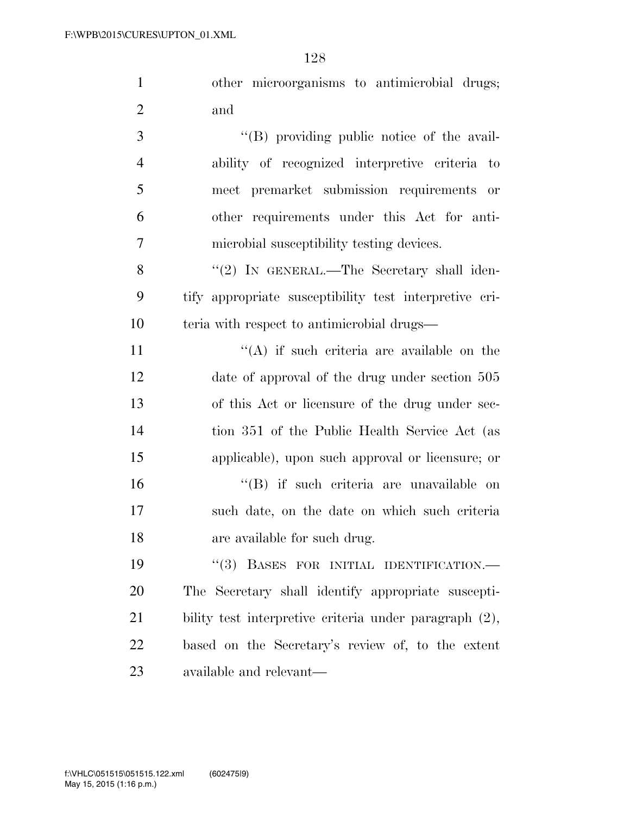|     | other microorganisms to antimicrobial drugs; |  |  |
|-----|----------------------------------------------|--|--|
| and |                                              |  |  |

3 ''(B) providing public notice of the avail- ability of recognized interpretive criteria to meet premarket submission requirements or other requirements under this Act for anti-microbial susceptibility testing devices.

8 "(2) IN GENERAL.—The Secretary shall iden- tify appropriate susceptibility test interpretive cri-teria with respect to antimicrobial drugs—

 $((A)$  if such criteria are available on the date of approval of the drug under section 505 of this Act or licensure of the drug under sec- tion 351 of the Public Health Service Act (as applicable), upon such approval or licensure; or ''(B) if such criteria are unavailable on such date, on the date on which such criteria are available for such drug.

19 "(3) BASES FOR INITIAL IDENTIFICATION.— The Secretary shall identify appropriate suscepti- bility test interpretive criteria under paragraph (2), based on the Secretary's review of, to the extent available and relevant—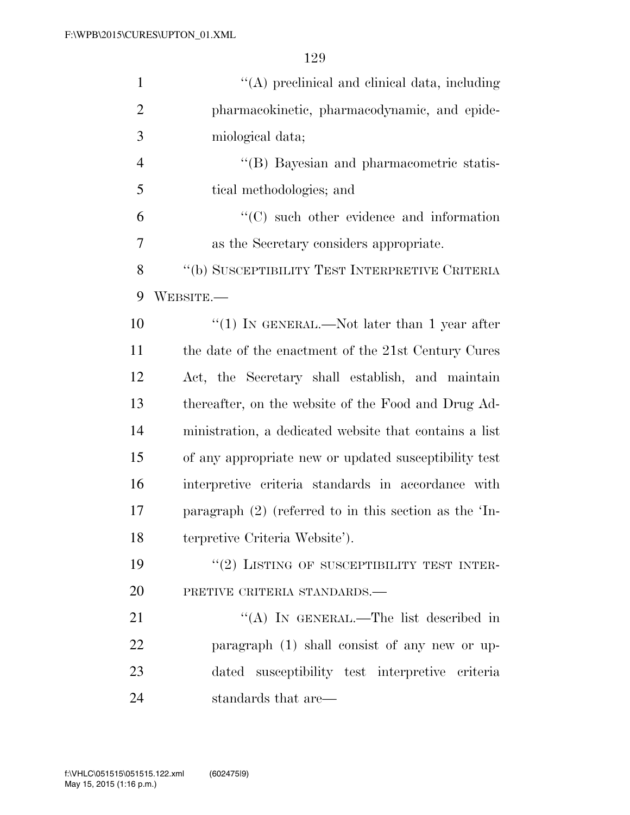| $\mathbf{1}$   | "(A) preclinical and clinical data, including            |
|----------------|----------------------------------------------------------|
| $\overline{2}$ | pharmacokinetic, pharmacodynamic, and epide-             |
| 3              | miological data;                                         |
| $\overline{4}$ | "(B) Bayesian and pharmacometric statis-                 |
| 5              | tical methodologies; and                                 |
| 6              | $\lq\lq$ such other evidence and information             |
| 7              | as the Secretary considers appropriate.                  |
| 8              | "(b) SUSCEPTIBILITY TEST INTERPRETIVE CRITERIA           |
| 9              | ${\rm WEBSTTE}$ .—                                       |
| 10             | "(1) IN GENERAL.—Not later than 1 year after             |
| 11             | the date of the enactment of the 21st Century Cures      |
| 12             | Act, the Secretary shall establish, and maintain         |
| 13             | thereafter, on the website of the Food and Drug Ad-      |
| 14             | ministration, a dedicated website that contains a list   |
| 15             | of any appropriate new or updated susceptibility test    |
| 16             | interpretive criteria standards in accordance with       |
| 17             | paragraph $(2)$ (referred to in this section as the 'In- |
| 18             | terpretive Criteria Website').                           |
| 19             | $``(2)$ LISTING OF SUSCEPTIBILITY TEST INTER-            |
| 20             | PRETIVE CRITERIA STANDARDS.                              |
| 21             | "(A) IN GENERAL.—The list described in                   |
| 22             | paragraph (1) shall consist of any new or up-            |
| 23             | susceptibility test interpretive criteria<br>dated       |
| 24             | standards that are—                                      |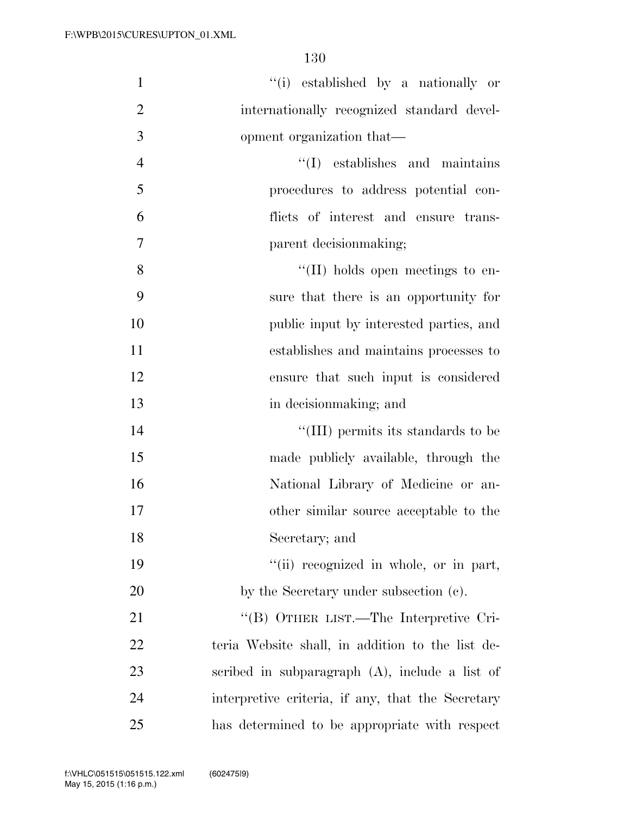| $\mathbf{1}$   | "(i) established by a nationally or               |
|----------------|---------------------------------------------------|
| $\overline{2}$ | internationally recognized standard devel-        |
| 3              | opment organization that—                         |
| $\overline{4}$ | $\lq\lq$ establishes and maintains                |
| 5              | procedures to address potential con-              |
| 6              | flicts of interest and ensure trans-              |
| $\tau$         | parent decision making;                           |
| 8              | $\lq\lq$ (II) holds open meetings to en-          |
| 9              | sure that there is an opportunity for             |
| 10             | public input by interested parties, and           |
| 11             | establishes and maintains processes to            |
| 12             | ensure that such input is considered              |
| 13             | in decision making; and                           |
| 14             | "(III) permits its standards to be                |
| 15             | made publicly available, through the              |
| 16             | National Library of Medicine or an-               |
| 17             | other similar source acceptable to the            |
| 18             | Secretary; and                                    |
| 19             | "(ii) recognized in whole, or in part,            |
| 20             | by the Secretary under subsection (c).            |
| 21             | "(B) OTHER LIST.—The Interpretive Cri-            |
| 22             | teria Website shall, in addition to the list de-  |
| 23             | scribed in subparagraph $(A)$ , include a list of |
| 24             | interpretive criteria, if any, that the Secretary |
| 25             | has determined to be appropriate with respect     |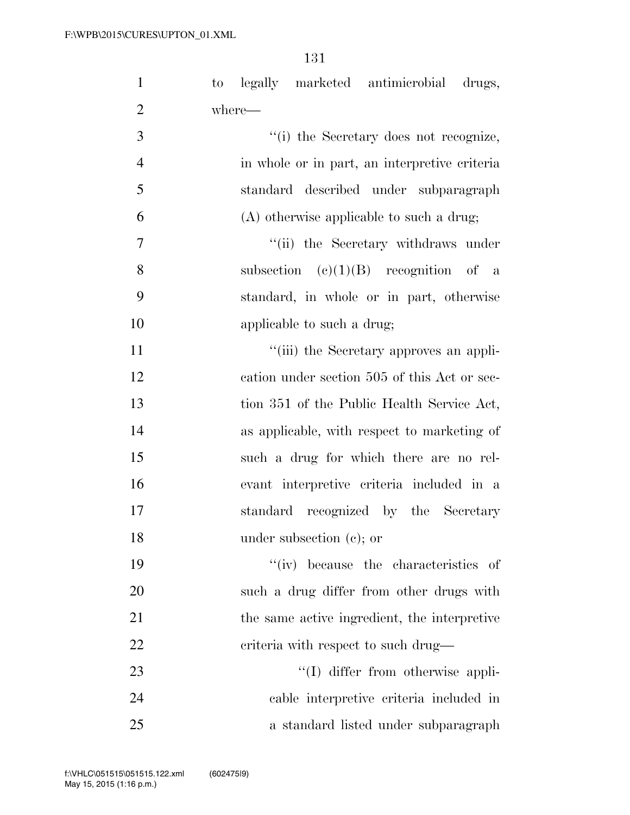| $\mathbf{1}$   | to legally marketed antimicrobial drugs,      |
|----------------|-----------------------------------------------|
| $\overline{2}$ | where—                                        |
| 3              | "(i) the Secretary does not recognize,        |
| $\overline{4}$ | in whole or in part, an interpretive criteria |
| 5              | standard described under subparagraph         |
| 6              | (A) otherwise applicable to such a drug;      |
| $\overline{7}$ | "(ii) the Secretary withdraws under           |
| 8              | subsection $(c)(1)(B)$ recognition of a       |
| 9              | standard, in whole or in part, otherwise      |
| 10             | applicable to such a drug;                    |
| 11             | "(iii) the Secretary approves an appli-       |
| 12             | cation under section 505 of this Act or sec-  |
| 13             | tion 351 of the Public Health Service Act,    |
| 14             | as applicable, with respect to marketing of   |
| 15             | such a drug for which there are no rel-       |
| 16             | evant interpretive criteria included in a     |
| 17             | standard recognized by the Secretary          |
| 18             | under subsection $(e)$ ; or                   |
| 19             | "(iv) because the characteristics of          |
| 20             | such a drug differ from other drugs with      |
| 21             | the same active ingredient, the interpretive  |
| 22             | criteria with respect to such drug—           |
| 23             | "(I) differ from otherwise appli-             |
| 24             | cable interpretive criteria included in       |
| 25             | a standard listed under subparagraph          |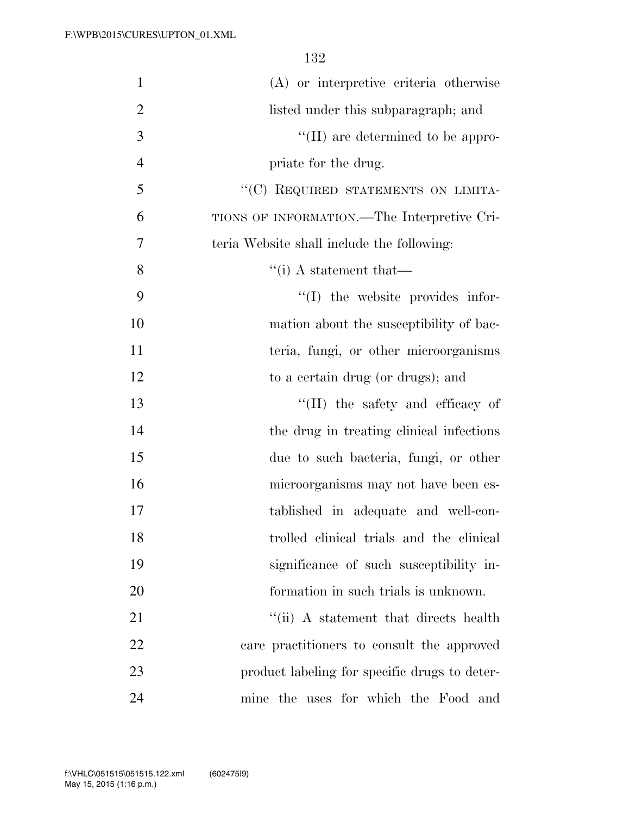| $\mathbf{1}$   | (A) or interpretive criteria otherwise        |
|----------------|-----------------------------------------------|
| $\overline{2}$ | listed under this subparagraph; and           |
| 3              | $\lq\lq$ (II) are determined to be appro-     |
| $\overline{4}$ | priate for the drug.                          |
| 5              | "(C) REQUIRED STATEMENTS ON LIMITA-           |
| 6              | TIONS OF INFORMATION.—The Interpretive Cri-   |
| $\overline{7}$ | teria Website shall include the following:    |
| 8              | $\lq\lq$ (i) A statement that —               |
| 9              | "(I) the website provides infor-              |
| 10             | mation about the susceptibility of bac-       |
| 11             | teria, fungi, or other microorganisms         |
| 12             | to a certain drug (or drugs); and             |
| 13             | $\lq\lq$ (II) the safety and efficacy of      |
| 14             | the drug in treating clinical infections      |
| 15             | due to such bacteria, fungi, or other         |
| 16             | microorganisms may not have been es-          |
| 17             | tablished in adequate and well-con-           |
| 18             | trolled clinical trials and the clinical      |
| 19             | significance of such susceptibility in-       |
| 20             | formation in such trials is unknown.          |
| 21             | "(ii) A statement that directs health         |
| 22             | care practitioners to consult the approved    |
| 23             | product labeling for specific drugs to deter- |
| 24             | mine the uses for which the Food and          |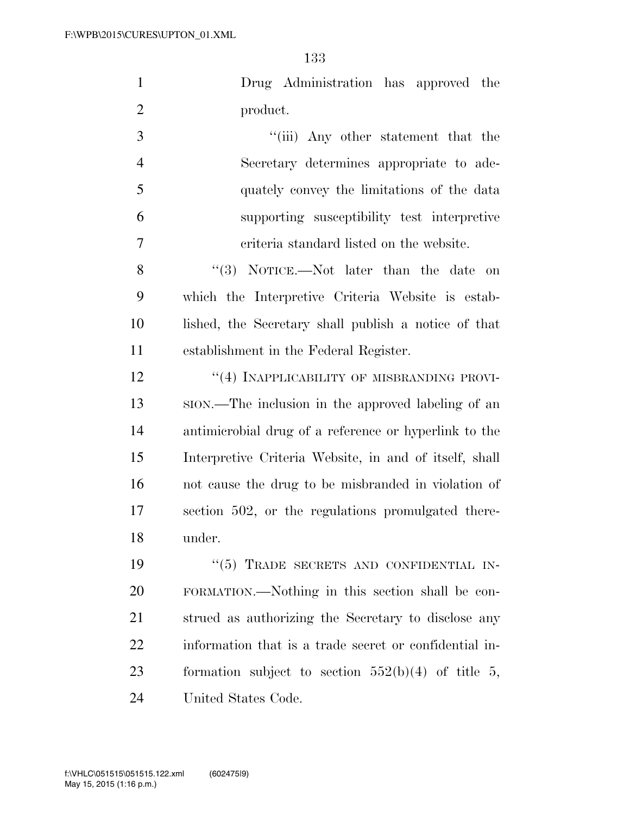|          | Drug Administration has approved the |  |  |
|----------|--------------------------------------|--|--|
| product. |                                      |  |  |

3 ''(iii) Any other statement that the Secretary determines appropriate to ade- quately convey the limitations of the data supporting susceptibility test interpretive criteria standard listed on the website.

8 ''(3) NOTICE.—Not later than the date on which the Interpretive Criteria Website is estab- lished, the Secretary shall publish a notice of that establishment in the Federal Register.

**''(4) INAPPLICABILITY OF MISBRANDING PROVI-** SION.—The inclusion in the approved labeling of an antimicrobial drug of a reference or hyperlink to the Interpretive Criteria Website, in and of itself, shall not cause the drug to be misbranded in violation of section 502, or the regulations promulgated there-under.

19 "(5) TRADE SECRETS AND CONFIDENTIAL IN- FORMATION.—Nothing in this section shall be con- strued as authorizing the Secretary to disclose any information that is a trade secret or confidential in- formation subject to section 552(b)(4) of title 5, United States Code.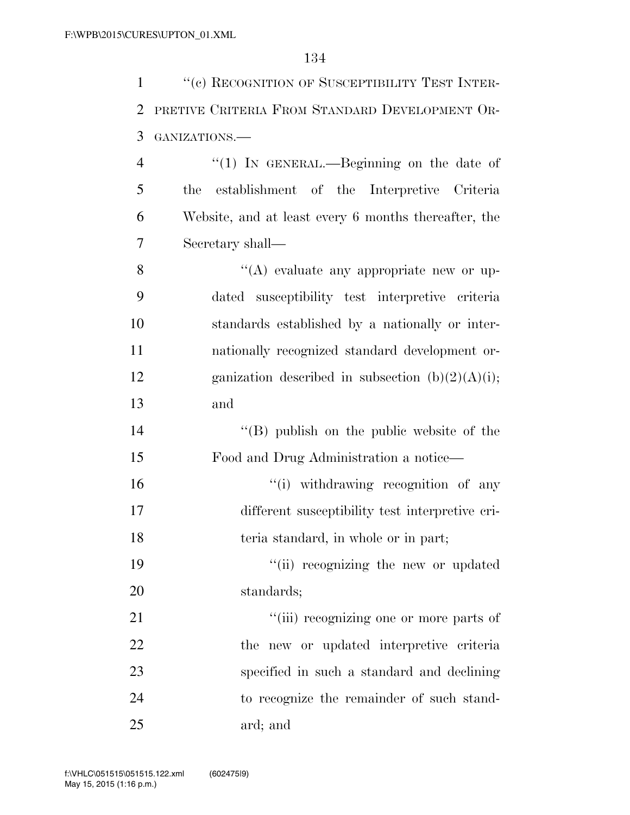1 "(c) RECOGNITION OF SUSCEPTIBILITY TEST INTER- PRETIVE CRITERIA FROM STANDARD DEVELOPMENT OR-GANIZATIONS.—

4 "(1) In GENERAL.—Beginning on the date of the establishment of the Interpretive Criteria Website, and at least every 6 months thereafter, the Secretary shall—

 $\langle (A) \rangle$  evaluate any appropriate new or up- dated susceptibility test interpretive criteria standards established by a nationally or inter- nationally recognized standard development or-12 ganization described in subsection  $(b)(2)(A)(i);$ and

 ''(B) publish on the public website of the Food and Drug Administration a notice—

16  $\frac{1}{10}$  withdrawing recognition of any different susceptibility test interpretive cri-18 teria standard, in whole or in part;

19  $\frac{1}{2}$  ''(ii) recognizing the new or updated standards;

 $\frac{1}{\text{(iii)}}$  recognizing one or more parts of the new or updated interpretive criteria specified in such a standard and declining to recognize the remainder of such stand-ard; and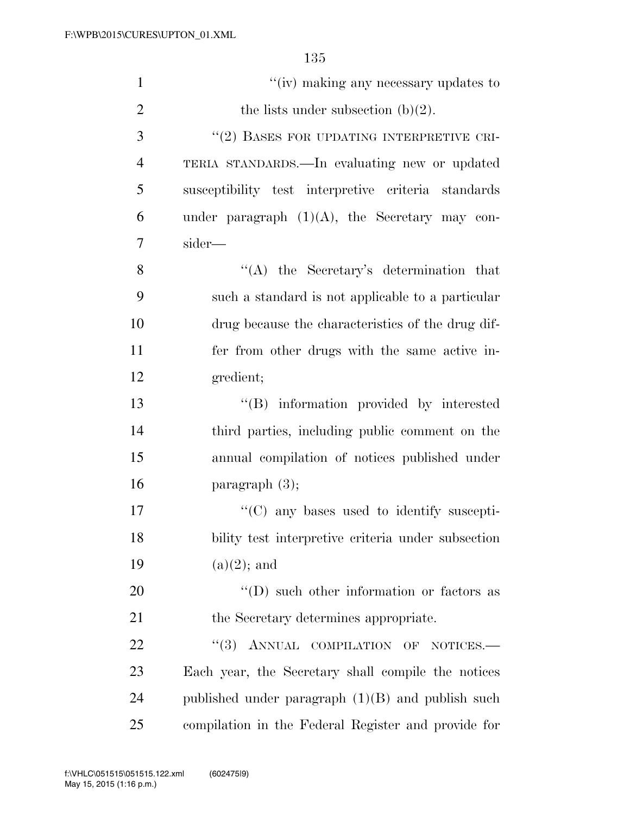| $\mathbf{1}$   | "(iv) making any necessary updates to               |
|----------------|-----------------------------------------------------|
| $\overline{2}$ | the lists under subsection $(b)(2)$ .               |
| 3              | "(2) BASES FOR UPDATING INTERPRETIVE CRI-           |
| $\overline{4}$ | TERIA STANDARDS.—In evaluating new or updated       |
| 5              | susceptibility test interpretive criteria standards |
| 6              | under paragraph $(1)(A)$ , the Secretary may con-   |
| 7              | sider—                                              |
| 8              | $\lq\lq$ the Secretary's determination that         |
| 9              | such a standard is not applicable to a particular   |
| 10             | drug because the characteristics of the drug dif-   |
| 11             | fer from other drugs with the same active in-       |
| 12             | gredient;                                           |
| 13             | "(B) information provided by interested             |
| 14             | third parties, including public comment on the      |
| 15             | annual compilation of notices published under       |
| 16             | paragraph $(3)$ ;                                   |
| 17             | $\cdot$ (C) any bases used to identify suscepti-    |
| 18             | bility test interpretive criteria under subsection  |
| 19             | $(a)(2)$ ; and                                      |
| 20             | $\lq\lq$ (D) such other information or factors as   |
| 21             | the Secretary determines appropriate.               |
| 22             | "(3) ANNUAL COMPILATION OF NOTICES.-                |
| 23             | Each year, the Secretary shall compile the notices  |
| 24             | published under paragraph $(1)(B)$ and publish such |
| 25             | compilation in the Federal Register and provide for |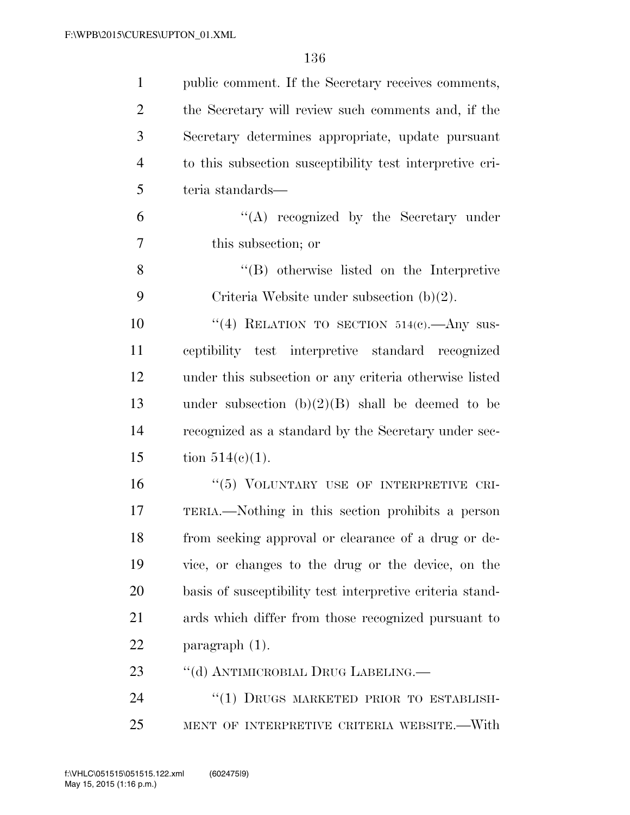| $\mathbf{1}$   | public comment. If the Secretary receives comments,       |
|----------------|-----------------------------------------------------------|
| $\overline{2}$ | the Secretary will review such comments and, if the       |
| 3              | Secretary determines appropriate, update pursuant         |
| $\overline{4}$ | to this subsection susceptibility test interpretive cri-  |
| 5              | teria standards—                                          |
| 6              | $\lq\lq$ recognized by the Secretary under                |
| 7              | this subsection; or                                       |
| 8              | $\lq\lq (B)$ otherwise listed on the Interpretive         |
| 9              | Criteria Website under subsection $(b)(2)$ .              |
| 10             | "(4) RELATION TO SECTION $514(c)$ . Any sus-              |
| 11             | ceptibility test interpretive standard recognized         |
| 12             | under this subsection or any criteria otherwise listed    |
| 13             | under subsection $(b)(2)(B)$ shall be deemed to be        |
| 14             | recognized as a standard by the Secretary under sec-      |
| 15             | tion $514(c)(1)$ .                                        |
| 16             | "(5) VOLUNTARY USE OF INTERPRETIVE CRI-                   |
| 17             | TERIA.—Nothing in this section prohibits a person         |
| 18             | from seeking approval or clearance of a drug or de-       |
| 19             | vice, or changes to the drug or the device, on the        |
| 20             | basis of susceptibility test interpretive criteria stand- |
| 21             | ards which differ from those recognized pursuant to       |
| 22             | $\frac{1}{2}$ paragraph $(1)$ .                           |
| 23             | "(d) ANTIMICROBIAL DRUG LABELING.                         |
| 24             | "(1) DRUGS MARKETED PRIOR TO ESTABLISH-                   |
| 25             | MENT OF INTERPRETIVE CRITERIA WEBSITE.—With               |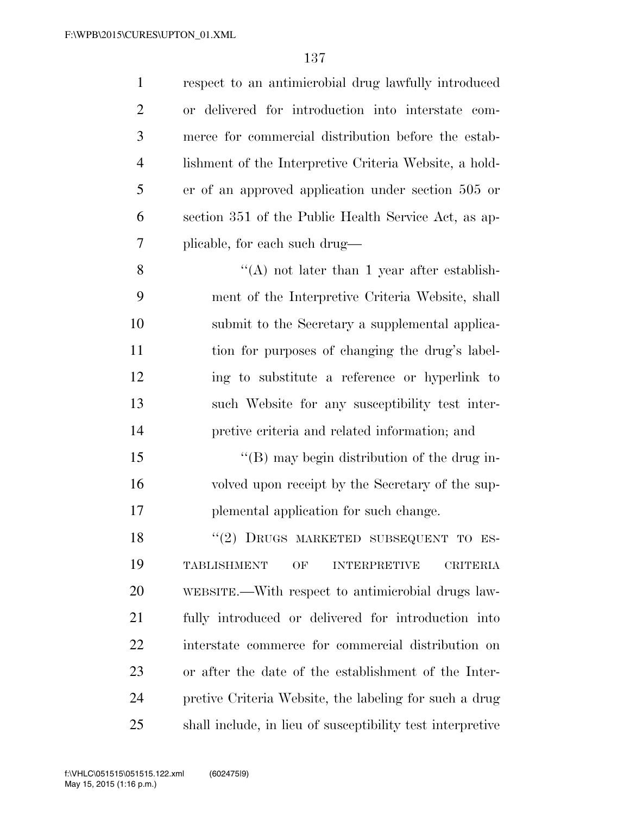| $\mathbf{1}$   | respect to an antimicrobial drug lawfully introduced               |
|----------------|--------------------------------------------------------------------|
| $\overline{2}$ | or delivered for introduction into interstate com-                 |
| 3              | merce for commercial distribution before the estab-                |
| $\overline{4}$ | lishment of the Interpretive Criteria Website, a hold-             |
| 5              | er of an approved application under section 505 or                 |
| 6              | section 351 of the Public Health Service Act, as ap-               |
| 7              | plicable, for each such drug—                                      |
| 8              | $\lq\lq$ not later than 1 year after establish-                    |
| 9              | ment of the Interpretive Criteria Website, shall                   |
| 10             | submit to the Secretary a supplemental applica-                    |
| 11             | tion for purposes of changing the drug's label-                    |
| 12             | ing to substitute a reference or hyperlink to                      |
| 13             | such Website for any susceptibility test inter-                    |
| 14             | pretive criteria and related information; and                      |
| 15             | "(B) may begin distribution of the drug in-                        |
| 16             | volved upon receipt by the Secretary of the sup-                   |
| 17             | plemental application for such change.                             |
| 18             | "(2) DRUGS MARKETED SUBSEQUENT TO ES-                              |
| 19             | <b>TABLISHMENT</b><br>OF<br><b>INTERPRETIVE</b><br><b>CRITERIA</b> |
| 20             | WEBSITE.—With respect to antimicrobial drugs law-                  |
| 21             | fully introduced or delivered for introduction into                |
| 22             | interstate commerce for commercial distribution on                 |
| 23             | or after the date of the establishment of the Inter-               |
| 24             | pretive Criteria Website, the labeling for such a drug             |
| 25             | shall include, in lieu of susceptibility test interpretive         |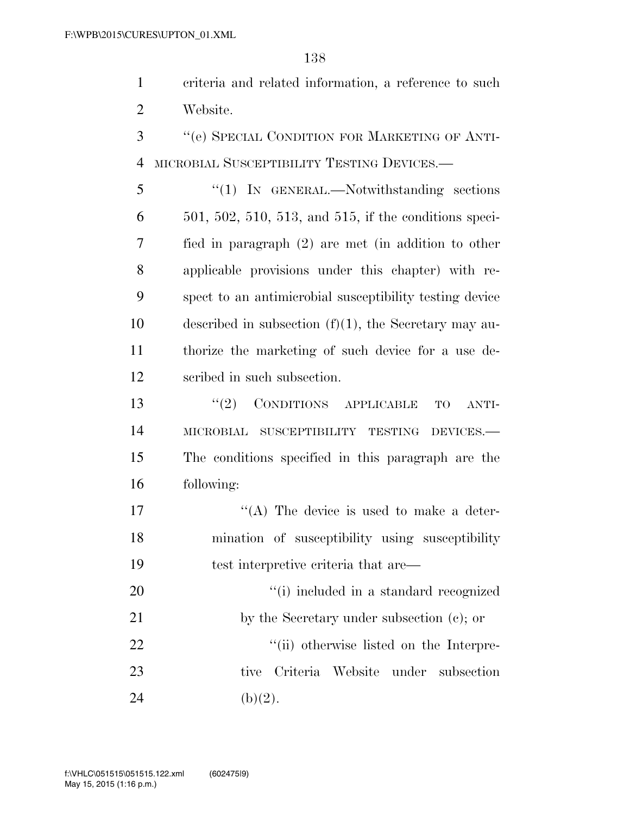criteria and related information, a reference to such Website.

 ''(e) SPECIAL CONDITION FOR MARKETING OF ANTI-MICROBIAL SUSCEPTIBILITY TESTING DEVICES.—

 ''(1) IN GENERAL.—Notwithstanding sections 501, 502, 510, 513, and 515, if the conditions speci- fied in paragraph (2) are met (in addition to other applicable provisions under this chapter) with re- spect to an antimicrobial susceptibility testing device described in subsection (f)(1), the Secretary may au- thorize the marketing of such device for a use de-scribed in such subsection.

 $(2)$  CONDITIONS APPLICABLE TO ANTI- MICROBIAL SUSCEPTIBILITY TESTING DEVICES.— The conditions specified in this paragraph are the following:

17  $((A)$  The device is used to make a deter- mination of susceptibility using susceptibility test interpretive criteria that are—

20  $\frac{1}{1}$  included in a standard recognized 21 by the Secretary under subsection (c); or 22  $\frac{1}{1}$  (ii) otherwise listed on the Interpre- tive Criteria Website under subsection 24 (b)(2).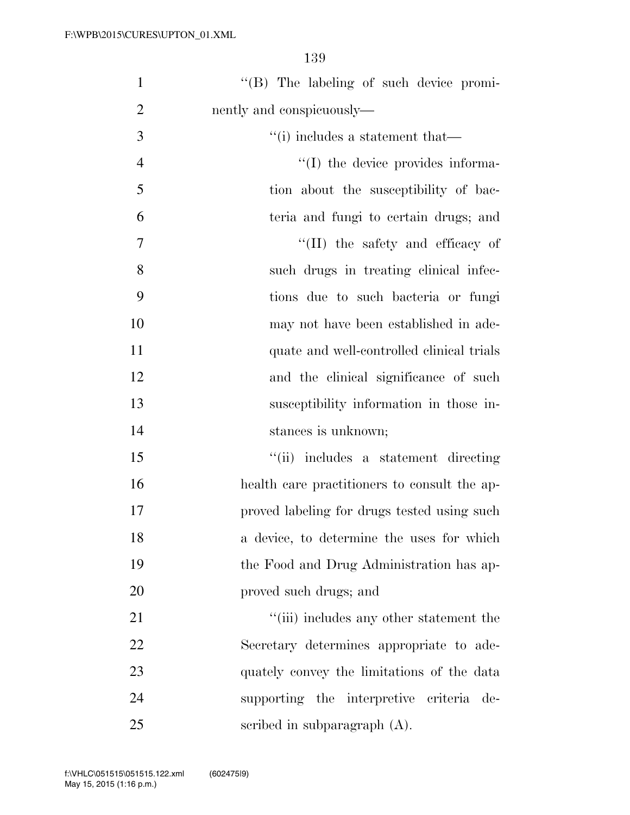| $\mathbf{1}$   | "(B) The labeling of such device promi-      |
|----------------|----------------------------------------------|
| $\overline{2}$ | nently and conspicuously—                    |
| 3              | $``(i)$ includes a statement that—           |
| $\overline{4}$ | "(I) the device provides informa-            |
| 5              | tion about the susceptibility of bac-        |
| 6              | teria and fungi to certain drugs; and        |
| 7              | $\lq\lq$ (II) the safety and efficacy of     |
| 8              | such drugs in treating clinical infec-       |
| 9              | tions due to such bacteria or fungi          |
| 10             | may not have been established in ade-        |
| 11             | quate and well-controlled clinical trials    |
| 12             | and the clinical significance of such        |
| 13             | susceptibility information in those in-      |
| 14             | stances is unknown;                          |
| 15             | "(ii) includes a statement directing         |
| 16             | health care practitioners to consult the ap- |
| 17             | proved labeling for drugs tested using such  |
| 18             | a device, to determine the uses for which    |
| 19             | the Food and Drug Administration has ap-     |
| 20             | proved such drugs; and                       |
| 21             | "(iii) includes any other statement the      |
| 22             | Secretary determines appropriate to ade-     |
| 23             | quately convey the limitations of the data   |
| 24             | supporting the interpretive criteria de-     |
| 25             | scribed in subparagraph $(A)$ .              |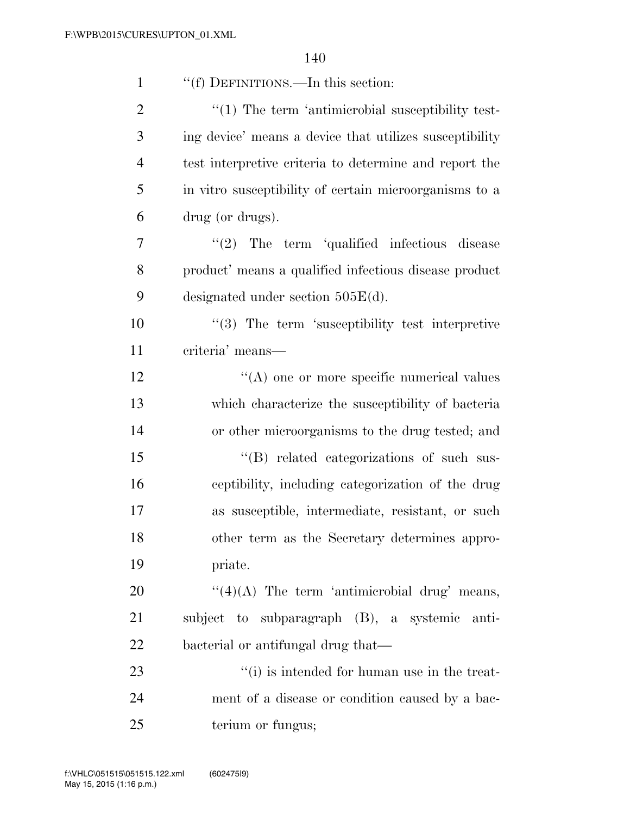| $\mathbf{1}$   | "(f) DEFINITIONS.—In this section:                           |
|----------------|--------------------------------------------------------------|
| $\overline{2}$ | $\cdot\cdot(1)$ The term 'antimicrobial susceptibility test- |
| 3              | ing device' means a device that utilizes susceptibility      |
| $\overline{4}$ | test interpretive criteria to determine and report the       |
| 5              | in vitro susceptibility of certain microorganisms to a       |
| 6              | drug (or drugs).                                             |
| 7              | $"(2)$ The term 'qualified infectious disease                |
| 8              | product' means a qualified infectious disease product        |
| 9              | designated under section $505E(d)$ .                         |
| 10             | $\lq(3)$ The term 'susceptibility test interpretive          |
| 11             | criteria' means-                                             |
| 12             | $\lq\lq$ one or more specific numerical values               |
| 13             | which characterize the susceptibility of bacteria            |
| 14             | or other microorganisms to the drug tested; and              |
| 15             | "(B) related categorizations of such sus-                    |
| 16             | ceptibility, including categorization of the drug            |
| 17             | as susceptible, intermediate, resistant, or such             |
| 18             | other term as the Secretary determines appro-                |
| 19             | priate.                                                      |
| 20             | " $(4)(A)$ The term 'antimicrobial drug' means,              |
| 21             | subject to subparagraph (B), a systemic anti-                |
| 22             | bacterial or antifungal drug that—                           |
| 23             | $\lq\lq(i)$ is intended for human use in the treat-          |
| 24             | ment of a disease or condition caused by a bac-              |
| 25             | terium or fungus;                                            |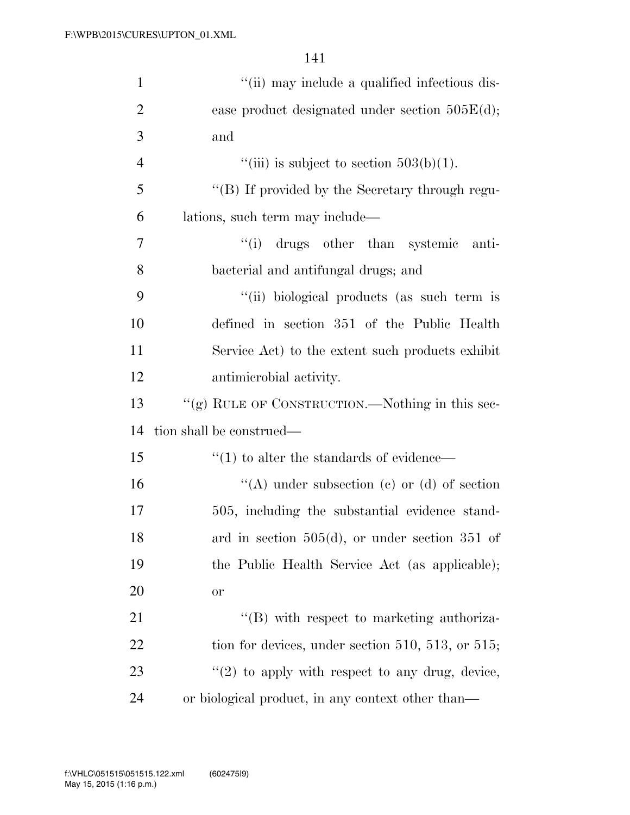| $\mathbf{1}$   | "(ii) may include a qualified infectious dis-              |
|----------------|------------------------------------------------------------|
| $\overline{2}$ | ease product designated under section $505E(d)$ ;          |
| 3              | and                                                        |
| $\overline{4}$ | "(iii) is subject to section $503(b)(1)$ .                 |
| 5              | "(B) If provided by the Secretary through regu-            |
| 6              | lations, such term may include—                            |
| 7              | "(i) drugs other than systemic<br>anti-                    |
| 8              | bacterial and antifungal drugs; and                        |
| 9              | "(ii) biological products (as such term is                 |
| 10             | defined in section 351 of the Public Health                |
| 11             | Service Act) to the extent such products exhibit           |
| 12             | antimicrobial activity.                                    |
| 13             | "(g) RULE OF CONSTRUCTION.—Nothing in this sec-            |
| 14             | tion shall be construed—                                   |
| 15             | $\cdot\cdot\cdot(1)$ to alter the standards of evidence—   |
| 16             | "(A) under subsection (c) or (d) of section                |
| 17             | 505, including the substantial evidence stand-             |
| 18             | ard in section $505(d)$ , or under section 351 of          |
| 19             | the Public Health Service Act (as applicable);             |
| 20             | <b>or</b>                                                  |
| 21             | $\lq\lq$ with respect to marketing authoriza-              |
| 22             | tion for devices, under section $510$ , $513$ , or $515$ ; |
|                |                                                            |
| 23             | $\lq(2)$ to apply with respect to any drug, device,        |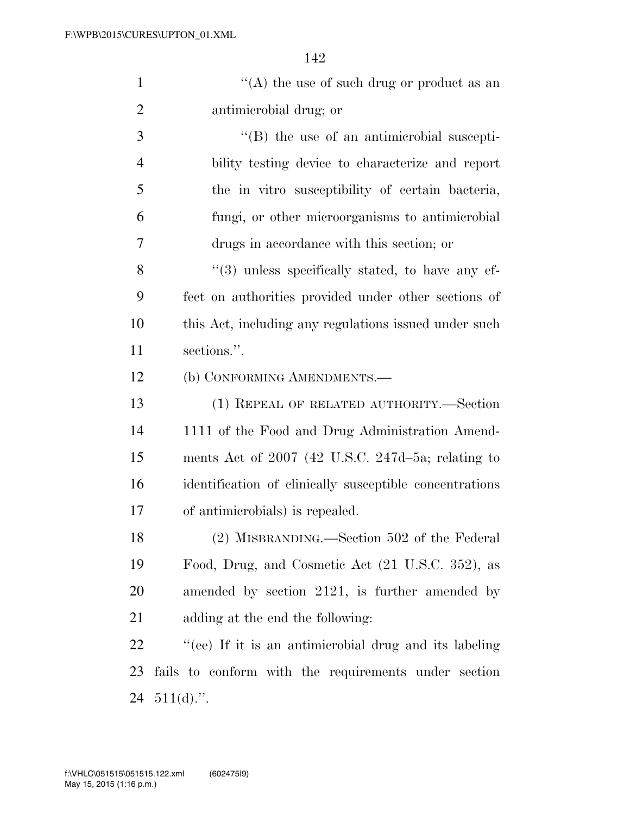| "(A) the use of such drug or product as an |
|--------------------------------------------|
| antimicrobial drug; or                     |
|                                            |

3 ''(B) the use of an antimicrobial suscepti- bility testing device to characterize and report the in vitro susceptibility of certain bacteria, fungi, or other microorganisms to antimicrobial drugs in accordance with this section; or

8 "(3) unless specifically stated, to have any ef- fect on authorities provided under other sections of this Act, including any regulations issued under such sections.''.

(b) CONFORMING AMENDMENTS.—

 (1) REPEAL OF RELATED AUTHORITY.—Section 1111 of the Food and Drug Administration Amend- ments Act of 2007 (42 U.S.C. 247d–5a; relating to identification of clinically susceptible concentrations of antimicrobials) is repealed.

 (2) MISBRANDING.—Section 502 of the Federal Food, Drug, and Cosmetic Act (21 U.S.C. 352), as amended by section 2121, is further amended by adding at the end the following:

 ''(ee) If it is an antimicrobial drug and its labeling fails to conform with the requirements under section 24  $511(d)$ .".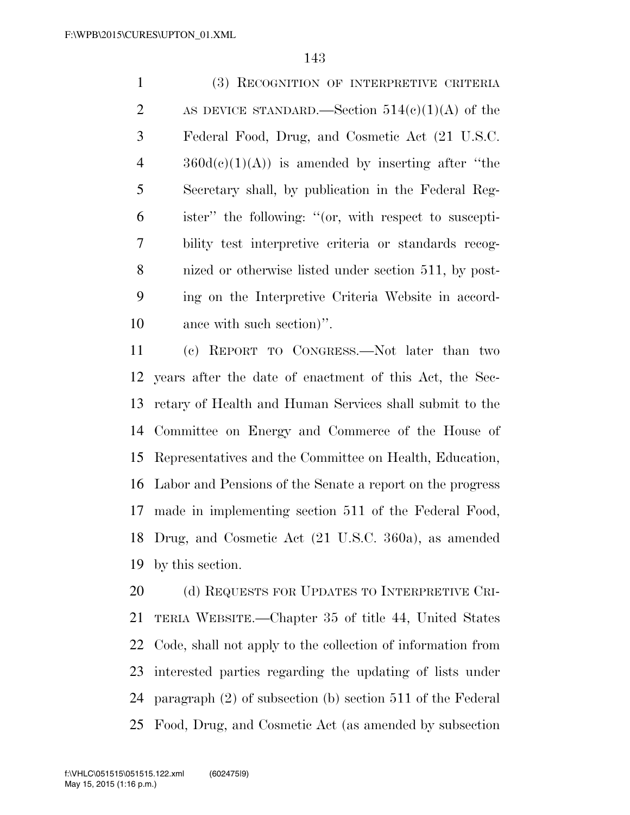(3) RECOGNITION OF INTERPRETIVE CRITERIA 2 AS DEVICE STANDARD.—Section  $514(c)(1)(A)$  of the Federal Food, Drug, and Cosmetic Act (21 U.S.C.  $4 \qquad \qquad 360d(e)(1)(A))$  is amended by inserting after "the Secretary shall, by publication in the Federal Reg- ister'' the following: ''(or, with respect to suscepti- bility test interpretive criteria or standards recog- nized or otherwise listed under section 511, by post- ing on the Interpretive Criteria Website in accord-ance with such section)''.

 (c) REPORT TO CONGRESS.—Not later than two years after the date of enactment of this Act, the Sec- retary of Health and Human Services shall submit to the Committee on Energy and Commerce of the House of Representatives and the Committee on Health, Education, Labor and Pensions of the Senate a report on the progress made in implementing section 511 of the Federal Food, Drug, and Cosmetic Act (21 U.S.C. 360a), as amended by this section.

20 (d) REQUESTS FOR UPDATES TO INTERPRETIVE CRI- TERIA WEBSITE.—Chapter 35 of title 44, United States Code, shall not apply to the collection of information from interested parties regarding the updating of lists under paragraph (2) of subsection (b) section 511 of the Federal Food, Drug, and Cosmetic Act (as amended by subsection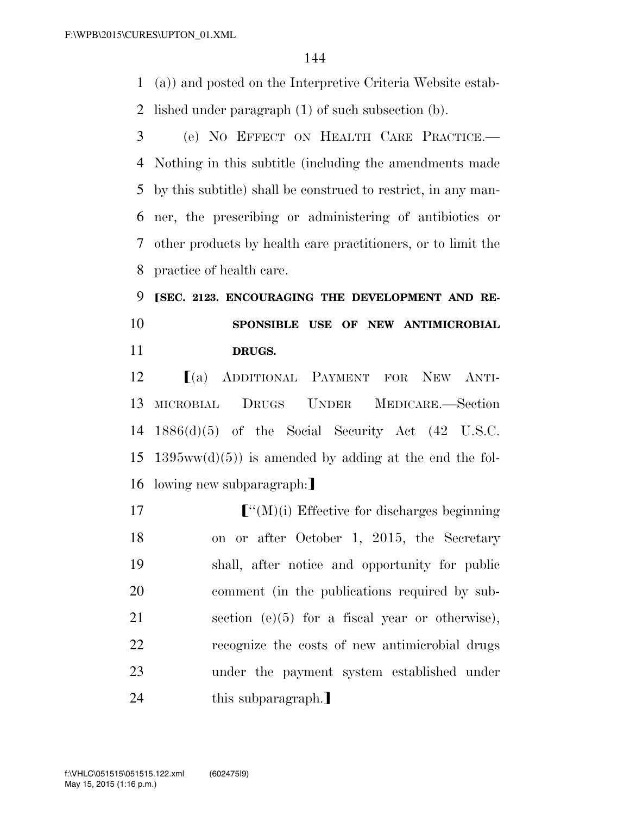(a)) and posted on the Interpretive Criteria Website estab-lished under paragraph (1) of such subsection (b).

 (e) NO EFFECT ON HEALTH CARE PRACTICE.— Nothing in this subtitle (including the amendments made by this subtitle) shall be construed to restrict, in any man- ner, the prescribing or administering of antibiotics or other products by health care practitioners, or to limit the practice of health care.

**[SEC. 2123. ENCOURAGING THE DEVELOPMENT AND RE- SPONSIBLE USE OF NEW ANTIMICROBIAL DRUGS.** 

 ø(a) ADDITIONAL PAYMENT FOR NEW ANTI- MICROBIAL DRUGS UNDER MEDICARE.—Section 1886(d)(5) of the Social Security Act (42 U.S.C. 15 1395ww(d)(5)) is amended by adding at the end the fol-16 lowing new subparagraph:

 $\lceil$  "(M)(i) Effective for discharges beginning on or after October 1, 2015, the Secretary shall, after notice and opportunity for public comment (in the publications required by sub- section (e)(5) for a fiscal year or otherwise), recognize the costs of new antimicrobial drugs under the payment system established under 24 this subparagraph.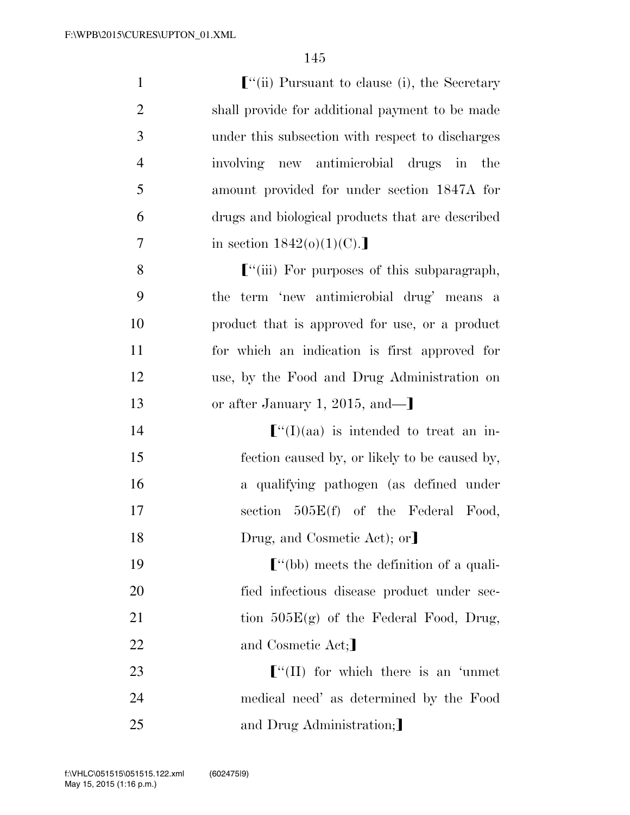| $\mathbf{1}$   | $\lbrack$ "(ii) Pursuant to clause (i), the Secretary              |
|----------------|--------------------------------------------------------------------|
| $\overline{2}$ | shall provide for additional payment to be made                    |
| 3              | under this subsection with respect to discharges                   |
| $\overline{4}$ | involving new antimicrobial drugs in<br>the                        |
| 5              | amount provided for under section 1847A for                        |
| 6              | drugs and biological products that are described                   |
| 7              | in section $1842(0)(1)(C)$ .                                       |
| 8              | $\lbrack$ "(iii) For purposes of this subparagraph,                |
| 9              | the term 'new antimicrobial drug' means a                          |
| 10             | product that is approved for use, or a product                     |
| 11             | for which an indication is first approved for                      |
| 12             | use, by the Food and Drug Administration on                        |
| 13             | or after January 1, 2015, and— $\mathbf{I}$                        |
| 14             | $\lbrack$ (I)(aa) is intended to treat an in-                      |
| 15             | fection caused by, or likely to be caused by,                      |
| 16             | a qualifying pathogen (as defined under                            |
| 17             | section $505E(f)$ of the Federal Food,                             |
| 18             | Drug, and Cosmetic Act); or                                        |
| 19             | $\mathcal{L}^{\prime\prime}$ (bb) meets the definition of a quali- |
| 20             | fied infectious disease product under sec-                         |
| 21             | tion $505E(g)$ of the Federal Food, Drug,                          |
| 22             | and Cosmetic Act;                                                  |
| 23             | $\lbrack$ "(II) for which there is an 'unmet                       |
| 24             | medical need' as determined by the Food                            |
| 25             | and Drug Administration;                                           |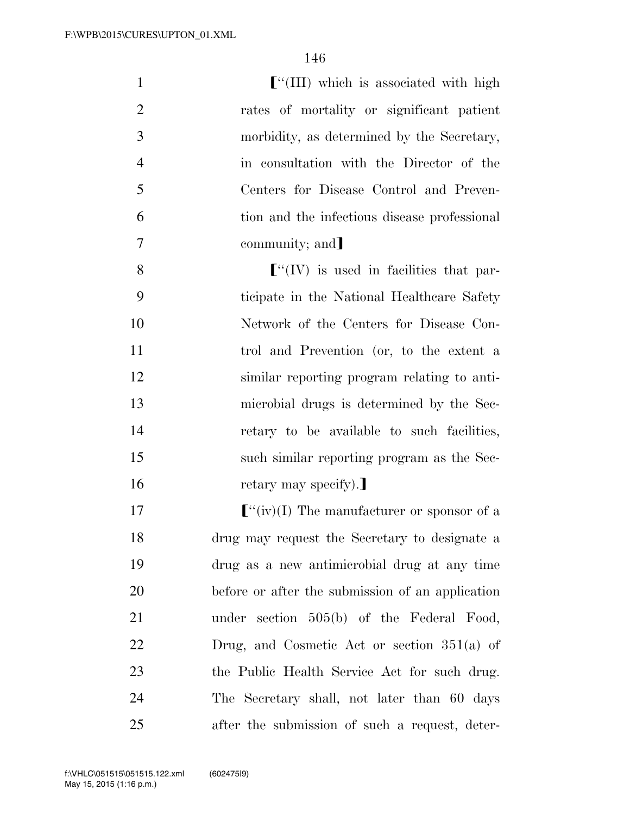| $\mathbf{1}$   | $\lbrack$ "(III) which is associated with high                                              |
|----------------|---------------------------------------------------------------------------------------------|
| $\overline{2}$ | rates of mortality or significant patient                                                   |
| 3              | morbidity, as determined by the Secretary,                                                  |
| $\overline{4}$ | in consultation with the Director of the                                                    |
| 5              | Centers for Disease Control and Preven-                                                     |
| 6              | tion and the infectious disease professional                                                |
| $\overline{7}$ | community; and                                                                              |
| 8              | $\lbrack\!\lbrack\!\lbrack\!\lbrack'(IV)\!\rbrack\!\rbrack$ is used in facilities that par- |
| 9              | ticipate in the National Healthcare Safety                                                  |
| 10             | Network of the Centers for Disease Con-                                                     |
| 11             | trol and Prevention (or, to the extent a                                                    |
| 12             | similar reporting program relating to anti-                                                 |
| 13             | microbial drugs is determined by the Sec-                                                   |
| 14             | retary to be available to such facilities,                                                  |
| 15             | such similar reporting program as the Sec-                                                  |
| 16             | retary may specify).                                                                        |
| 17             | $\lbrack$ <sup>"'</sup> (iv)(I) The manufacturer or sponsor of a                            |
| 18             | drug may request the Secretary to designate a                                               |
| 19             | drug as a new antimicrobial drug at any time                                                |
| 20             | before or after the submission of an application                                            |
| 21             | under section $505(b)$ of the Federal Food,                                                 |
| 22             | Drug, and Cosmetic Act or section $351(a)$ of                                               |
| 23             | the Public Health Service Act for such drug.                                                |
| 24             | The Secretary shall, not later than 60 days                                                 |
| 25             | after the submission of such a request, deter-                                              |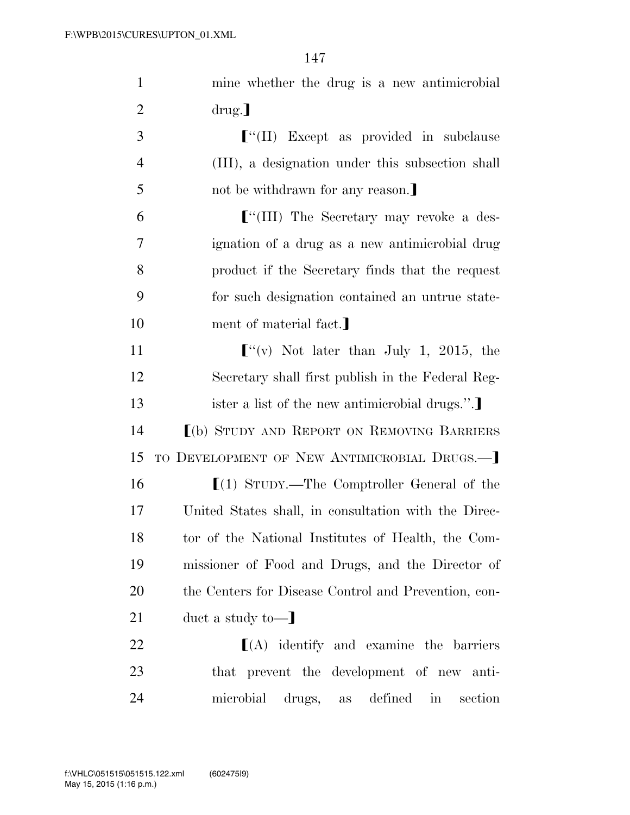| $\mathbf{1}$   | mine whether the drug is a new antimicrobial                 |
|----------------|--------------------------------------------------------------|
| $\overline{2}$ | $\text{drug.}$                                               |
| 3              | $\lbrack$ "(II) Except as provided in subclause              |
| $\overline{4}$ | (III), a designation under this subsection shall             |
| 5              | not be withdrawn for any reason.                             |
| 6              | $\lbrack$ <sup>"</sup> (III) The Secretary may revoke a des- |
| 7              | ignation of a drug as a new antimicrobial drug               |
| 8              | product if the Secretary finds that the request              |
| 9              | for such designation contained an untrue state-              |
| 10             | ment of material fact.                                       |
| 11             | $\lbrack$ <sup>"</sup> (v) Not later than July 1, 2015, the  |
| 12             | Secretary shall first publish in the Federal Reg-            |
|                |                                                              |
| 13             | ister a list of the new antimicrobial drugs.".               |
| 14             | [(b) STUDY AND REPORT ON REMOVING BARRIERS                   |
| 15             | TO DEVELOPMENT OF NEW ANTIMICROBIAL DRUGS.—]                 |
| 16             | $[(1)$ STUDY.—The Comptroller General of the                 |
| 17             | United States shall, in consultation with the Direc-         |
| 18             | tor of the National Institutes of Health, the Com-           |
| 19             | missioner of Food and Drugs, and the Director of             |
| 20             | the Centers for Disease Control and Prevention, con-         |
| 21             | duct a study to-                                             |
| 22             | $\lfloor(A)$ identify and examine the barriers               |
| 23             | that prevent the development of new anti-                    |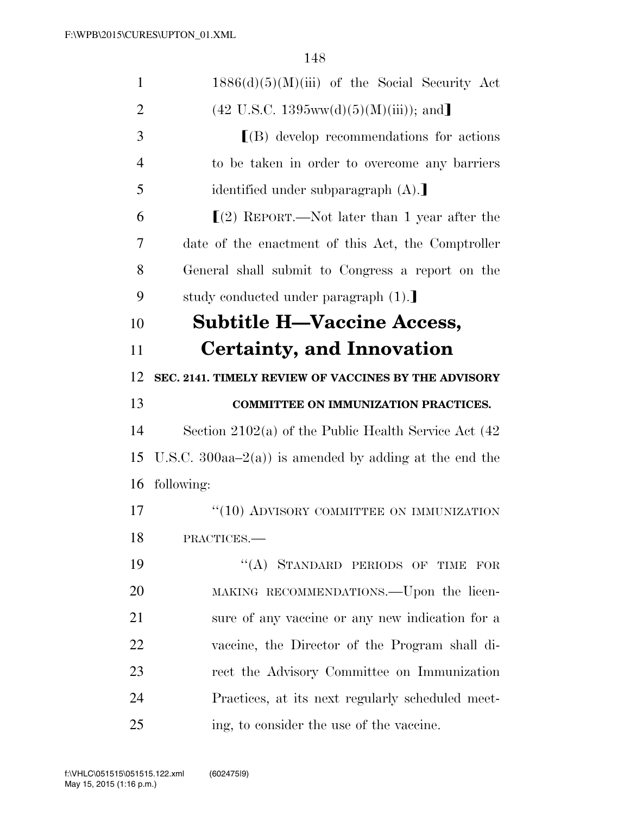| $\mathbf{1}$   | $1886(d)(5)(M)(iii)$ of the Social Security Act            |
|----------------|------------------------------------------------------------|
| $\overline{2}$ | $(42 \text{ U.S.C. } 1395 \text{ww}(d)(5)(M)(iii))$ ; and  |
| 3              | $\lfloor$ (B) develop recommendations for actions          |
| $\overline{4}$ | to be taken in order to overcome any barriers              |
| 5              | identified under subparagraph (A).                         |
| 6              | $(2)$ REPORT.—Not later than 1 year after the              |
| 7              | date of the enactment of this Act, the Comptroller         |
| 8              | General shall submit to Congress a report on the           |
| 9              | study conducted under paragraph (1).                       |
| 10             | <b>Subtitle H-Vaccine Access,</b>                          |
| 11             | Certainty, and Innovation                                  |
| 12             | SEC. 2141. TIMELY REVIEW OF VACCINES BY THE ADVISORY       |
| 13             | <b>COMMITTEE ON IMMUNIZATION PRACTICES.</b>                |
| 14             | Section 2102(a) of the Public Health Service Act $(42)$    |
| 15             | U.S.C. 300aa $-2(a)$ ) is amended by adding at the end the |
| 16             | following:                                                 |
| 17             | "(10) ADVISORY COMMITTEE ON IMMUNIZATION                   |
| 18             | PRACTICES.                                                 |
| 19             | "(A) STANDARD PERIODS OF TIME<br>FOR                       |
| 20             | MAKING RECOMMENDATIONS.—Upon the licen-                    |
| 21             | sure of any vaccine or any new indication for a            |
| 22             | vaccine, the Director of the Program shall di-             |
| 23             | rect the Advisory Committee on Immunization                |
| 24             | Practices, at its next regularly scheduled meet-           |
|                |                                                            |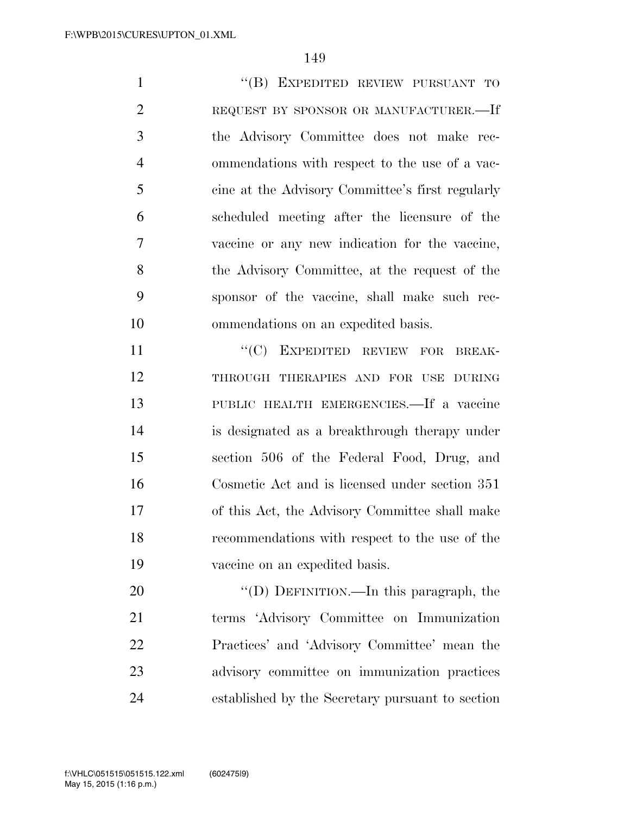1 "(B) EXPEDITED REVIEW PURSUANT TO REQUEST BY SPONSOR OR MANUFACTURER.—If the Advisory Committee does not make rec- ommendations with respect to the use of a vac- cine at the Advisory Committee's first regularly scheduled meeting after the licensure of the vaccine or any new indication for the vaccine, the Advisory Committee, at the request of the sponsor of the vaccine, shall make such rec-ommendations on an expedited basis.

11 ""(C) EXPEDITED REVIEW FOR BREAK- THROUGH THERAPIES AND FOR USE DURING PUBLIC HEALTH EMERGENCIES.—If a vaccine is designated as a breakthrough therapy under section 506 of the Federal Food, Drug, and Cosmetic Act and is licensed under section 351 of this Act, the Advisory Committee shall make recommendations with respect to the use of the vaccine on an expedited basis.

20 "'(D) DEFINITION.—In this paragraph, the terms 'Advisory Committee on Immunization Practices' and 'Advisory Committee' mean the advisory committee on immunization practices established by the Secretary pursuant to section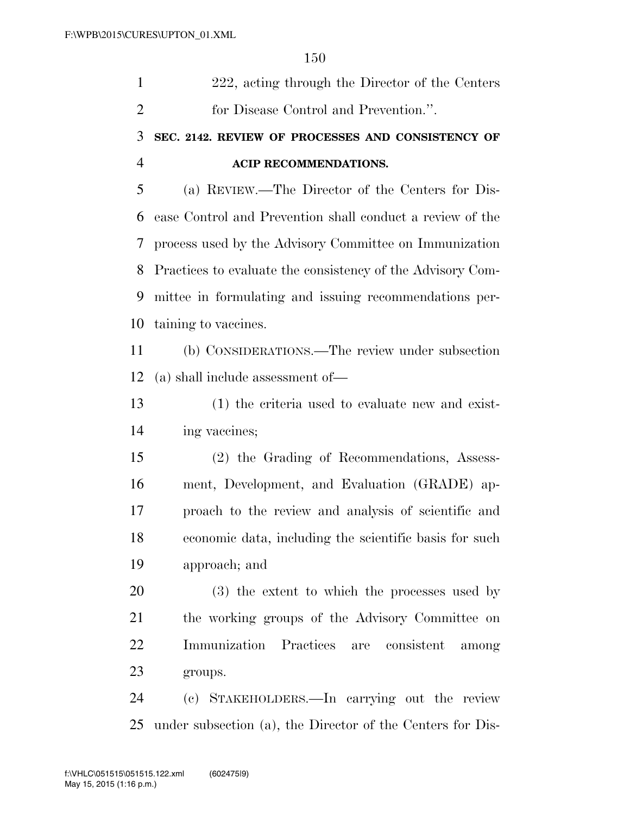| 1              | 222, acting through the Director of the Centers            |
|----------------|------------------------------------------------------------|
| $\overline{2}$ | for Disease Control and Prevention.".                      |
| 3              | SEC. 2142. REVIEW OF PROCESSES AND CONSISTENCY OF          |
| 4              | ACIP RECOMMENDATIONS.                                      |
| 5              | (a) REVIEW.—The Director of the Centers for Dis-           |
| 6              | ease Control and Prevention shall conduct a review of the  |
| 7              | process used by the Advisory Committee on Immunization     |
| 8              | Practices to evaluate the consistency of the Advisory Com- |
| 9              | mittee in formulating and issuing recommendations per-     |
| 10             | taining to vaccines.                                       |
| 11             | (b) CONSIDERATIONS.—The review under subsection            |
| 12             | $(a)$ shall include assessment of —                        |
| 13             | (1) the criteria used to evaluate new and exist-           |
| 14             | ing vaccines;                                              |
| 15             | (2) the Grading of Recommendations, Assess-                |
| 16             | ment, Development, and Evaluation (GRADE) ap-              |
| 17             | proach to the review and analysis of scientific and        |
| 18             | economic data, including the scientific basis for such     |
| 19             | approach; and                                              |
| 20             | (3) the extent to which the processes used by              |
| 21             | the working groups of the Advisory Committee on            |
| 22             | Immunization Practices are consistent<br>among             |
| 23             | groups.                                                    |
| 24             | (c) STAKEHOLDERS.—In carrying out the review               |
| 25             | under subsection (a), the Director of the Centers for Dis- |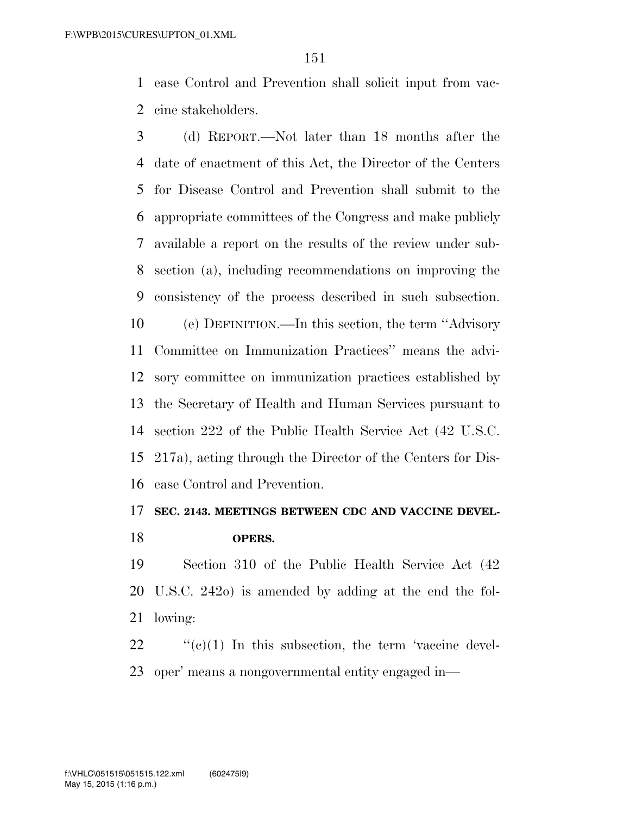ease Control and Prevention shall solicit input from vac-cine stakeholders.

 (d) REPORT.—Not later than 18 months after the date of enactment of this Act, the Director of the Centers for Disease Control and Prevention shall submit to the appropriate committees of the Congress and make publicly available a report on the results of the review under sub- section (a), including recommendations on improving the consistency of the process described in such subsection. (e) DEFINITION.—In this section, the term ''Advisory Committee on Immunization Practices'' means the advi- sory committee on immunization practices established by the Secretary of Health and Human Services pursuant to section 222 of the Public Health Service Act (42 U.S.C. 217a), acting through the Director of the Centers for Dis-ease Control and Prevention.

#### **SEC. 2143. MEETINGS BETWEEN CDC AND VACCINE DEVEL-OPERS.**

 Section 310 of the Public Health Service Act (42 U.S.C. 242o) is amended by adding at the end the fol-lowing:

 "(c)(1) In this subsection, the term 'vaccine devel-oper' means a nongovernmental entity engaged in—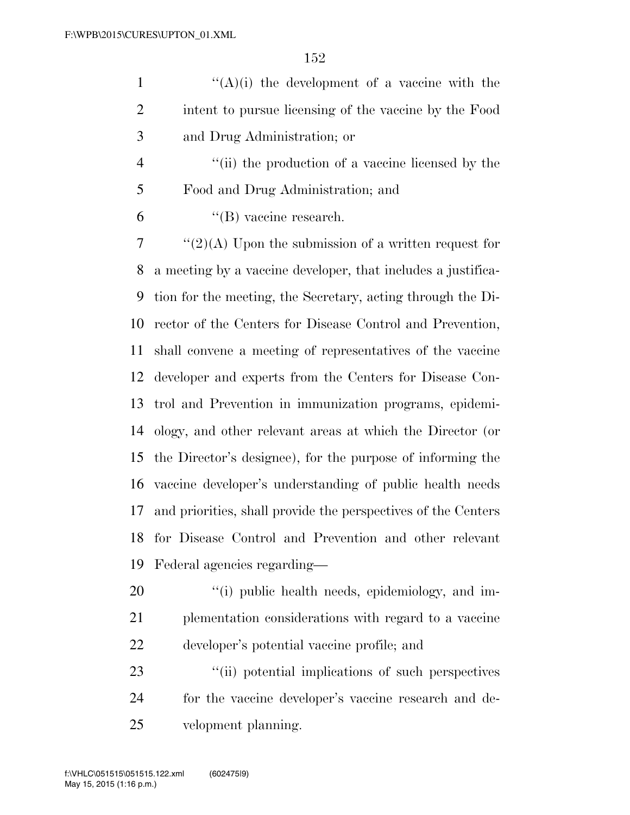1  $((A)(i)$  the development of a vaccine with the intent to pursue licensing of the vaccine by the Food and Drug Administration; or

4 ''(ii) the production of a vaccine licensed by the Food and Drug Administration; and

 $^4$ (B) vaccine research.

 ''(2)(A) Upon the submission of a written request for a meeting by a vaccine developer, that includes a justifica- tion for the meeting, the Secretary, acting through the Di- rector of the Centers for Disease Control and Prevention, shall convene a meeting of representatives of the vaccine developer and experts from the Centers for Disease Con- trol and Prevention in immunization programs, epidemi- ology, and other relevant areas at which the Director (or the Director's designee), for the purpose of informing the vaccine developer's understanding of public health needs and priorities, shall provide the perspectives of the Centers for Disease Control and Prevention and other relevant Federal agencies regarding—

20  $\frac{1}{20}$  (i) public health needs, epidemiology, and im- plementation considerations with regard to a vaccine developer's potential vaccine profile; and

23  $\frac{1}{2}$  (ii) potential implications of such perspectives for the vaccine developer's vaccine research and de-velopment planning.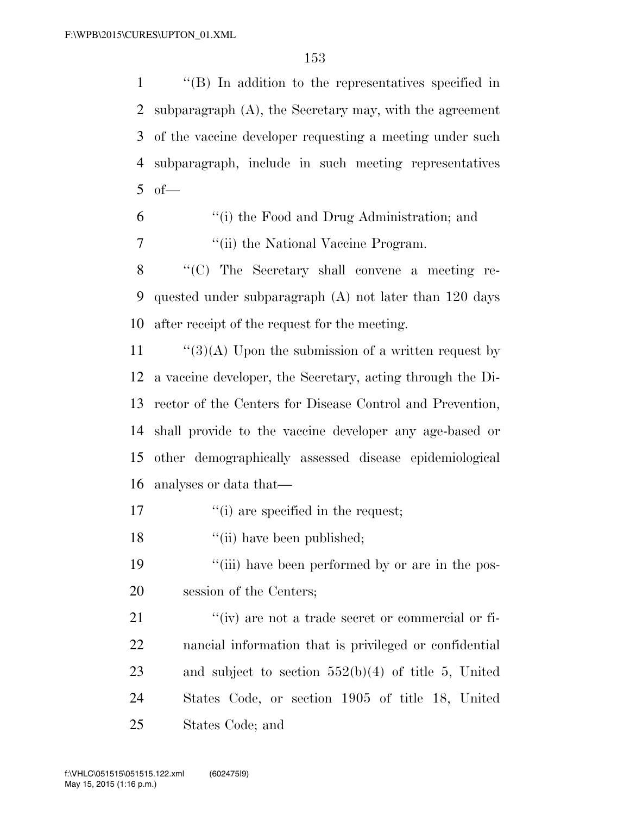''(B) In addition to the representatives specified in subparagraph (A), the Secretary may, with the agreement of the vaccine developer requesting a meeting under such subparagraph, include in such meeting representatives of  $-$ 

 ''(i) the Food and Drug Administration; and 7 ''(ii) the National Vaccine Program.

8 "'(C) The Secretary shall convene a meeting re- quested under subparagraph (A) not later than 120 days after receipt of the request for the meeting.

 $\frac{1}{3}(A)$  Upon the submission of a written request by a vaccine developer, the Secretary, acting through the Di- rector of the Centers for Disease Control and Prevention, shall provide to the vaccine developer any age-based or other demographically assessed disease epidemiological analyses or data that—

- 17  $\frac{1}{10}$  are specified in the request;
- 18 ''(ii) have been published;
- 19 ''(iii) have been performed by or are in the pos-session of the Centers;

 $\frac{u}{v}$  are not a trade secret or commercial or fi- nancial information that is privileged or confidential and subject to section 552(b)(4) of title 5, United States Code, or section 1905 of title 18, United States Code; and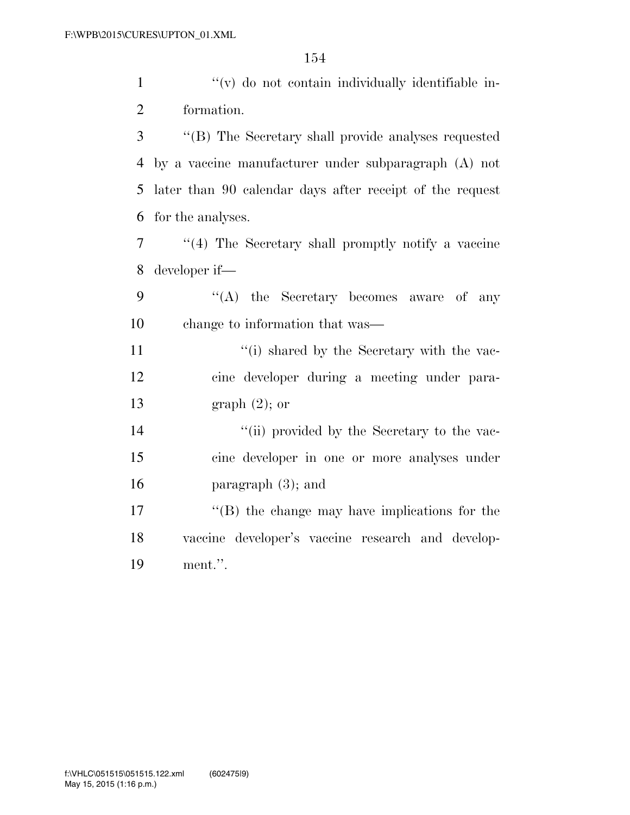$\mathcal{L}(v)$  do not contain individually identifiable in-formation.

 ''(B) The Secretary shall provide analyses requested by a vaccine manufacturer under subparagraph (A) not later than 90 calendar days after receipt of the request for the analyses.

 ''(4) The Secretary shall promptly notify a vaccine developer if—

9 "'(A) the Secretary becomes aware of any change to information that was—

11 ''(i) shared by the Secretary with the vac- cine developer during a meeting under para-graph (2); or

14 ''(ii) provided by the Secretary to the vac- cine developer in one or more analyses under paragraph (3); and

 ''(B) the change may have implications for the vaccine developer's vaccine research and develop-ment.''.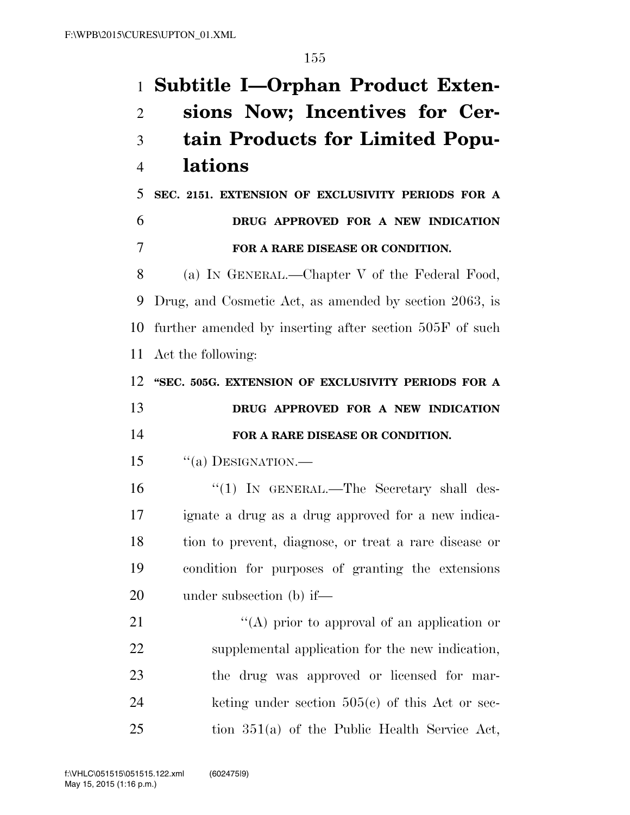**Subtitle I—Orphan Product Exten- sions Now; Incentives for Cer- tain Products for Limited Popu- lations SEC. 2151. EXTENSION OF EXCLUSIVITY PERIODS FOR A DRUG APPROVED FOR A NEW INDICATION FOR A RARE DISEASE OR CONDITION.**  (a) IN GENERAL.—Chapter V of the Federal Food, Drug, and Cosmetic Act, as amended by section 2063, is further amended by inserting after section 505F of such Act the following: **''SEC. 505G. EXTENSION OF EXCLUSIVITY PERIODS FOR A DRUG APPROVED FOR A NEW INDICATION FOR A RARE DISEASE OR CONDITION.**  15 "(a) DESIGNATION.— 16 "(1) In GENERAL.—The Secretary shall des- ignate a drug as a drug approved for a new indica- tion to prevent, diagnose, or treat a rare disease or condition for purposes of granting the extensions under subsection (b) if—  $\langle (A)$  prior to approval of an application or supplemental application for the new indication, the drug was approved or licensed for mar- keting under section  $505(c)$  of this Act or sec-tion  $351(a)$  of the Public Health Service Act,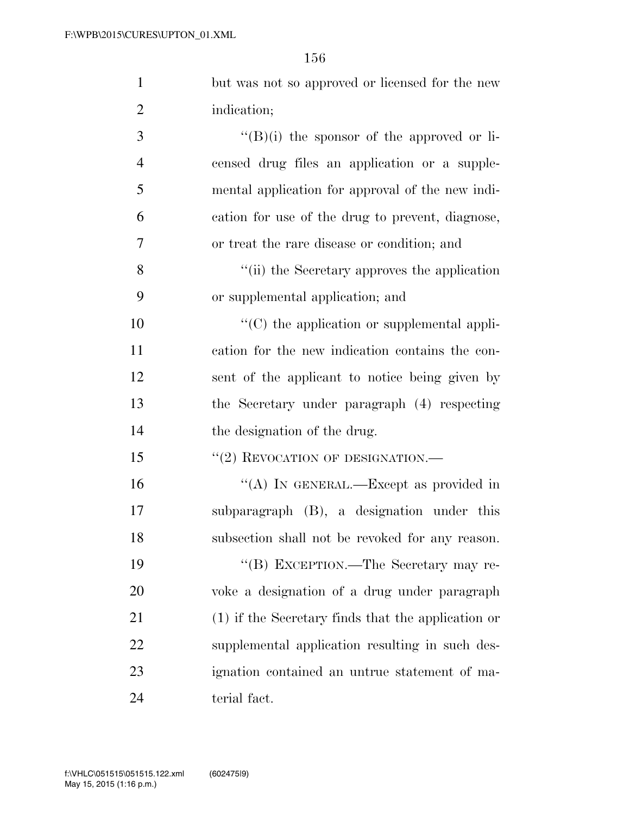| $\mathbf{1}$   | but was not so approved or licensed for the new      |
|----------------|------------------------------------------------------|
| $\overline{2}$ | indication;                                          |
| 3              | $\lq\lq (B)(i)$ the sponsor of the approved or li-   |
| $\overline{4}$ | censed drug files an application or a supple-        |
| 5              | mental application for approval of the new indi-     |
| 6              | cation for use of the drug to prevent, diagnose,     |
| 7              | or treat the rare disease or condition; and          |
| 8              | "(ii) the Secretary approves the application         |
| 9              | or supplemental application; and                     |
| 10             | "(C) the application or supplemental appli-          |
| 11             | cation for the new indication contains the con-      |
| 12             | sent of the applicant to notice being given by       |
| 13             | the Secretary under paragraph (4) respecting         |
| 14             | the designation of the drug.                         |
| 15             | "(2) REVOCATION OF DESIGNATION.-                     |
| 16             | "(A) IN GENERAL.—Except as provided in               |
| 17             | subparagraph (B), a designation under this           |
| 18             | subsection shall not be revoked for any reason.      |
| 19             | "(B) EXCEPTION.—The Secretary may re-                |
| 20             | voke a designation of a drug under paragraph         |
| 21             | $(1)$ if the Secretary finds that the application or |
| 22             | supplemental application resulting in such des-      |
| 23             | ignation contained an untrue statement of ma-        |
| 24             | terial fact.                                         |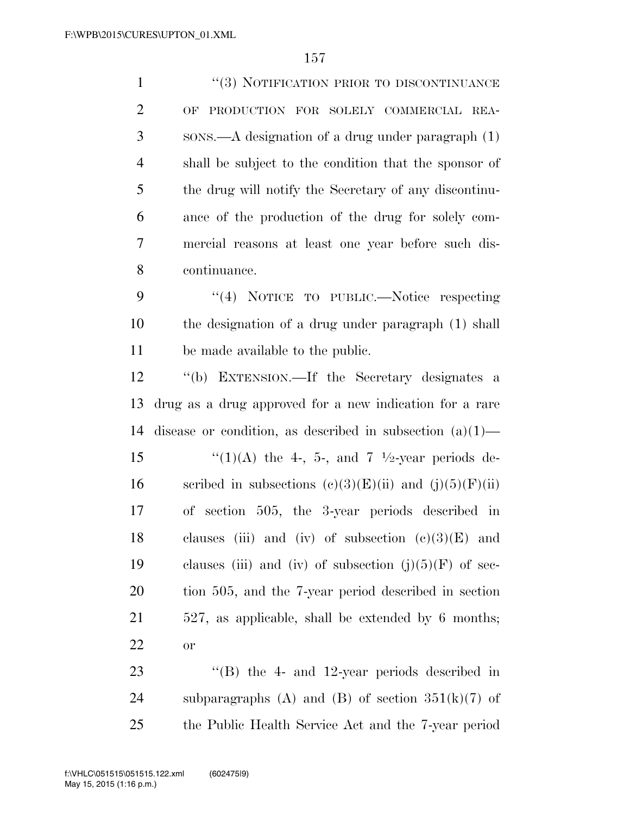1 ''(3) NOTIFICATION PRIOR TO DISCONTINUANCE OF PRODUCTION FOR SOLELY COMMERCIAL REA- SONS.—A designation of a drug under paragraph (1) shall be subject to the condition that the sponsor of the drug will notify the Secretary of any discontinu- ance of the production of the drug for solely com- mercial reasons at least one year before such dis- continuance. 9 "(4) NOTICE TO PUBLIC.—Notice respecting the designation of a drug under paragraph (1) shall be made available to the public. ''(b) EXTENSION.—If the Secretary designates a drug as a drug approved for a new indication for a rare disease or condition, as described in subsection (a)(1)—  $\frac{1}{2}$  (1)(A) the 4-, 5-, and 7 <sup>1</sup>/2-year periods de-

16 scribed in subsections  $(c)(3)(E)(ii)$  and  $(j)(5)(F)(ii)$  of section 505, the 3-year periods described in 18 clauses (iii) and (iv) of subsection  $(c)(3)(E)$  and 19 clauses (iii) and (iv) of subsection  $(j)(5)(F)$  of sec- tion 505, and the 7-year period described in section 527, as applicable, shall be extended by 6 months; or

 ''(B) the 4- and 12-year periods described in 24 subparagraphs (A) and (B) of section  $351(k)(7)$  of the Public Health Service Act and the 7-year period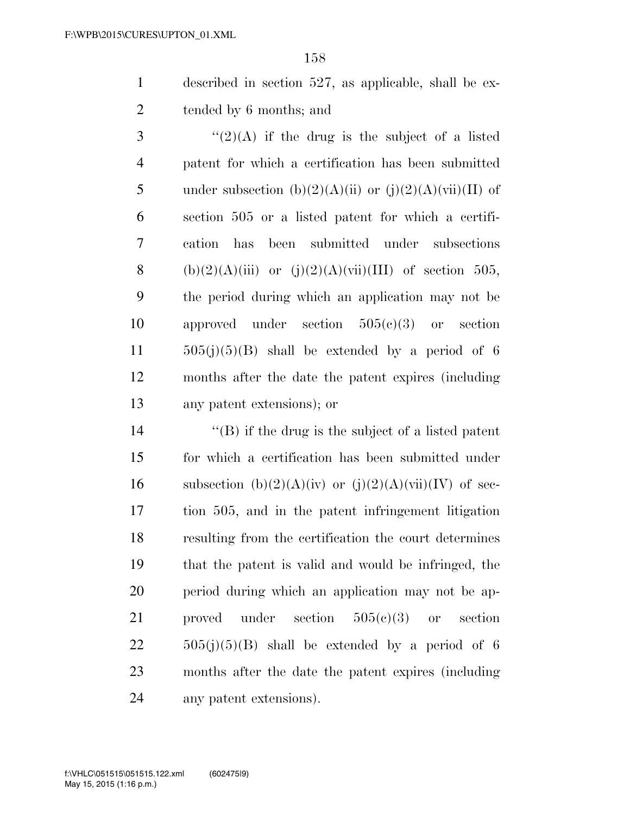described in section 527, as applicable, shall be ex-tended by 6 months; and

 ''(2)(A) if the drug is the subject of a listed patent for which a certification has been submitted 5 under subsection (b)(2)(A)(ii) or (j)(2)(A)(vii)(II) of section 505 or a listed patent for which a certifi- cation has been submitted under subsections 8 (b)(2)(A)(iii) or (j)(2)(A)(vii)(III) of section 505, the period during which an application may not be approved under section 505(c)(3) or section  $505(j)(5)(B)$  shall be extended by a period of 6 months after the date the patent expires (including any patent extensions); or

 $\langle G \rangle$  if the drug is the subject of a listed patent for which a certification has been submitted under 16 subsection  $(b)(2)(A)(iv)$  or  $(j)(2)(A)(vii)(IV)$  of sec- tion 505, and in the patent infringement litigation resulting from the certification the court determines that the patent is valid and would be infringed, the period during which an application may not be ap- proved under section 505(c)(3) or section  $22 \t\t 505(j)(5)(B)$  shall be extended by a period of 6 months after the date the patent expires (including any patent extensions).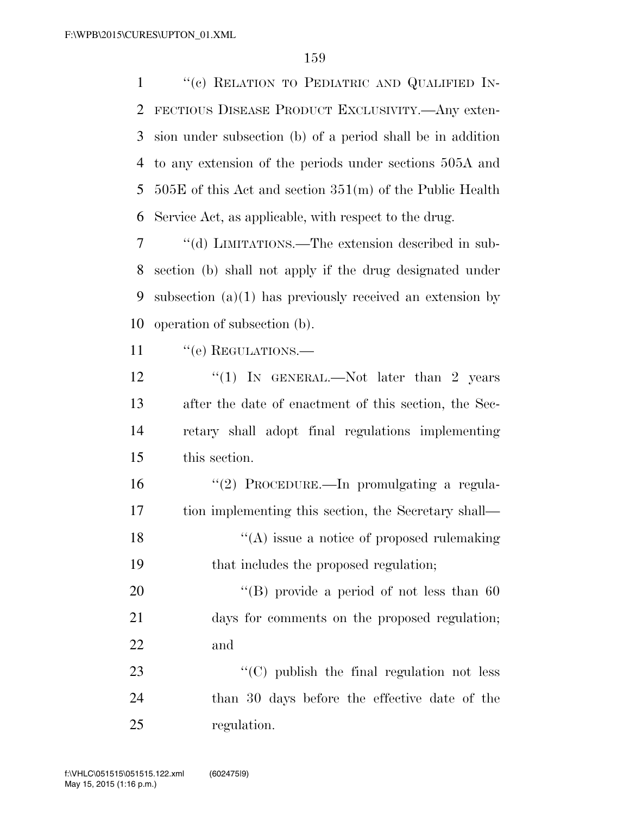1 "(c) RELATION TO PEDIATRIC AND QUALIFIED IN- FECTIOUS DISEASE PRODUCT EXCLUSIVITY.—Any exten- sion under subsection (b) of a period shall be in addition to any extension of the periods under sections 505A and 505E of this Act and section 351(m) of the Public Health Service Act, as applicable, with respect to the drug.

 ''(d) LIMITATIONS.—The extension described in sub- section (b) shall not apply if the drug designated under subsection (a)(1) has previously received an extension by operation of subsection (b).

11 " (e) REGULATIONS.

12 "(1) In GENERAL.—Not later than 2 years after the date of enactment of this section, the Sec- retary shall adopt final regulations implementing this section.

 ''(2) PROCEDURE.—In promulgating a regula- tion implementing this section, the Secretary shall—  $\langle (A)$  issue a notice of proposed rulemaking that includes the proposed regulation;

20 "'(B) provide a period of not less than 60 days for comments on the proposed regulation; and

23 "'(C) publish the final regulation not less than 30 days before the effective date of the regulation.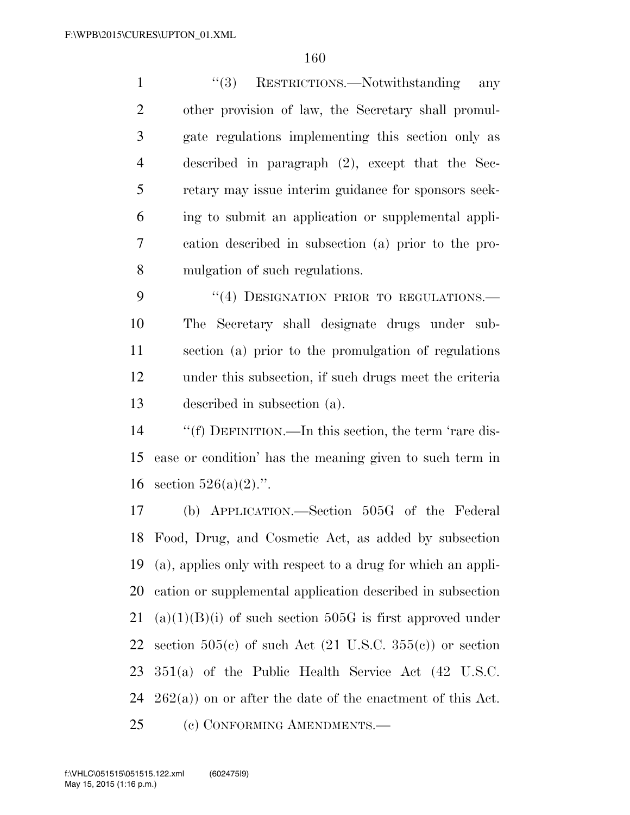1 ''(3) RESTRICTIONS.—Notwithstanding any other provision of law, the Secretary shall promul- gate regulations implementing this section only as described in paragraph (2), except that the Sec- retary may issue interim guidance for sponsors seek- ing to submit an application or supplemental appli- cation described in subsection (a) prior to the pro-mulgation of such regulations.

9 "(4) DESIGNATION PRIOR TO REGULATIONS. The Secretary shall designate drugs under sub- section (a) prior to the promulgation of regulations under this subsection, if such drugs meet the criteria described in subsection (a).

 ''(f) DEFINITION.—In this section, the term 'rare dis- ease or condition' has the meaning given to such term in 16 section  $526(a)(2)$ .".

 (b) APPLICATION.—Section 505G of the Federal Food, Drug, and Cosmetic Act, as added by subsection (a), applies only with respect to a drug for which an appli- cation or supplemental application described in subsection 21 (a)(1)(B)(i) of such section 505G is first approved under 22 section  $505(c)$  of such Act  $(21 \text{ U.S.C. } 355(c))$  or section 351(a) of the Public Health Service Act (42 U.S.C.  $262(a)$  on or after the date of the enactment of this Act. (c) CONFORMING AMENDMENTS.—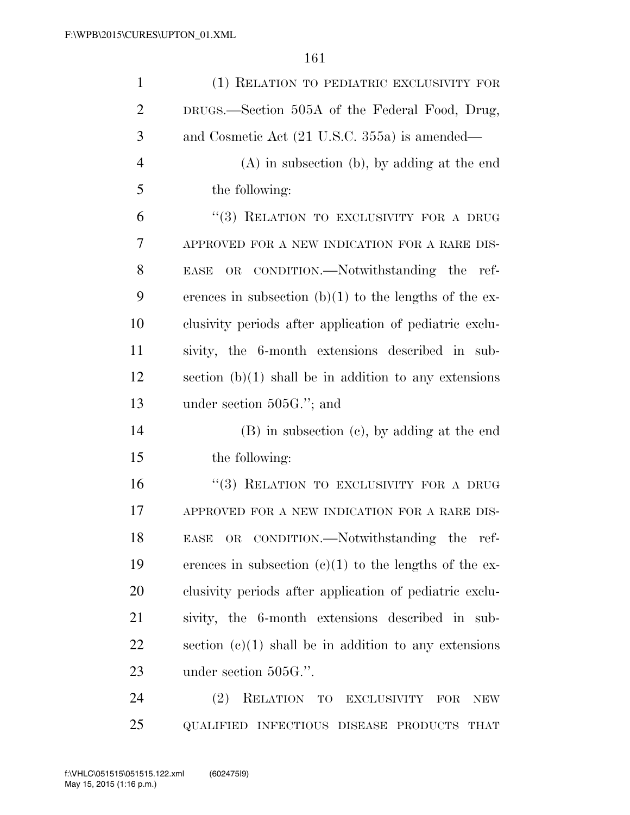| $\mathbf{1}$   | (1) RELATION TO PEDIATRIC EXCLUSIVITY FOR                      |
|----------------|----------------------------------------------------------------|
| $\overline{2}$ | DRUGS.—Section 505A of the Federal Food, Drug,                 |
| 3              | and Cosmetic Act (21 U.S.C. 355a) is amended—                  |
| $\overline{4}$ | $(A)$ in subsection $(b)$ , by adding at the end               |
| 5              | the following:                                                 |
| 6              | "(3) RELATION TO EXCLUSIVITY FOR A DRUG                        |
| 7              | APPROVED FOR A NEW INDICATION FOR A RARE DIS-                  |
| 8              | CONDITION.—Notwithstanding the ref-<br>$\rm OR$<br><b>EASE</b> |
| 9              | erences in subsection $(b)(1)$ to the lengths of the ex-       |
| 10             | clusivity periods after application of pediatric exclu-        |
| 11             | sivity, the 6-month extensions described in sub-               |
| 12             | section $(b)(1)$ shall be in addition to any extensions        |
| 13             | under section $505G$ ."; and                                   |
| 14             | (B) in subsection (c), by adding at the end                    |
| 15             | the following:                                                 |
| 16             | "(3) RELATION TO EXCLUSIVITY FOR A DRUG                        |
| 17             | APPROVED FOR A NEW INDICATION FOR A RARE DIS-                  |
| 18             | OR CONDITION.—Notwithstanding the ref-<br><b>EASE</b>          |
| 19             | erences in subsection $(e)(1)$ to the lengths of the ex-       |
| 20             | clusivity periods after application of pediatric exclu-        |
| 21             | sivity, the 6-month extensions described in sub-               |
| 22             | section $(c)(1)$ shall be in addition to any extensions        |
| 23             | under section 505G.".                                          |
| 24             | (2)<br>RELATION TO<br>EXCLUSIVITY<br>FOR<br><b>NEW</b>         |
| 25             | QUALIFIED INFECTIOUS DISEASE PRODUCTS THAT                     |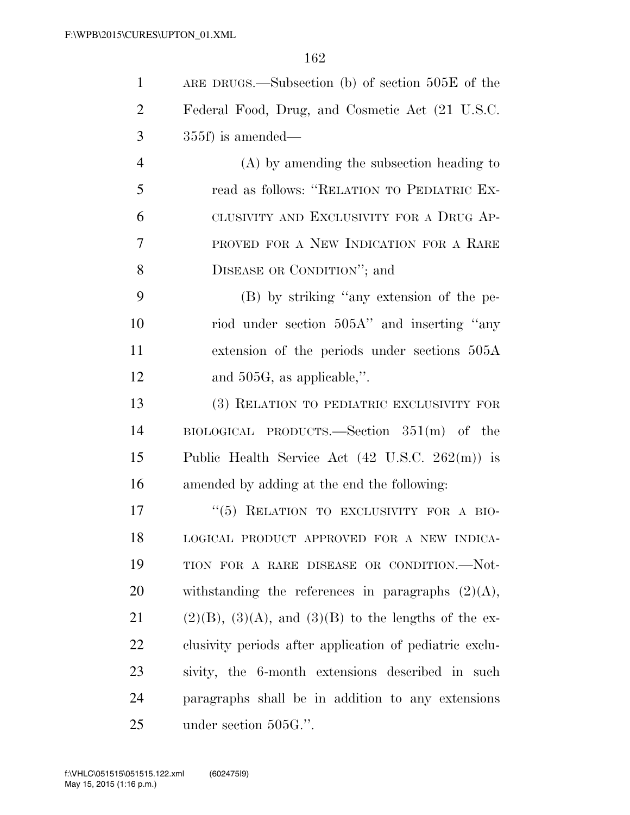| $\mathbf{1}$   | ARE DRUGS.—Subsection (b) of section $505E$ of the           |
|----------------|--------------------------------------------------------------|
| 2              | Federal Food, Drug, and Cosmetic Act (21 U.S.C.              |
| 3              | $355f$ ) is amended—                                         |
| $\overline{4}$ | $(A)$ by amending the subsection heading to                  |
| 5              | read as follows: "RELATION TO PEDIATRIC EX-                  |
| 6              | CLUSIVITY AND EXCLUSIVITY FOR A DRUG AP-                     |
| 7              | PROVED FOR A NEW INDICATION FOR A RARE                       |
| 8              | DISEASE OR CONDITION"; and                                   |
| 9              | (B) by striking "any extension of the pe-                    |
| 10             | riod under section 505A" and inserting "any                  |
| 11             | extension of the periods under sections 505A                 |
| 12             | and $505G$ , as applicable,".                                |
| 13             | (3) RELATION TO PEDIATRIC EXCLUSIVITY FOR                    |
| 14             | $BIOLOGICAL$ PRODUCTS.—Section $351(m)$ of the               |
| 15             | Public Health Service Act $(42 \text{ U.S.C. } 262(m))$ is   |
| 16             | amended by adding at the end the following:                  |
| 17             | "(5) RELATION TO EXCLUSIVITY FOR A BIO-                      |
| 18             | LOGICAL PRODUCT APPROVED FOR A NEW INDICA-                   |
| 19             | TION FOR A RARE DISEASE OR CONDITION.--Not-                  |
| 20             | withstanding the references in paragraphs $(2)(A)$ ,         |
| 21             | $(2)(B)$ , $(3)(A)$ , and $(3)(B)$ to the lengths of the ex- |
| 22             | clusivity periods after application of pediatric exclu-      |
| 23             | sivity, the 6-month extensions described in such             |
| 24             | paragraphs shall be in addition to any extensions            |
| 25             | under section 505G.".                                        |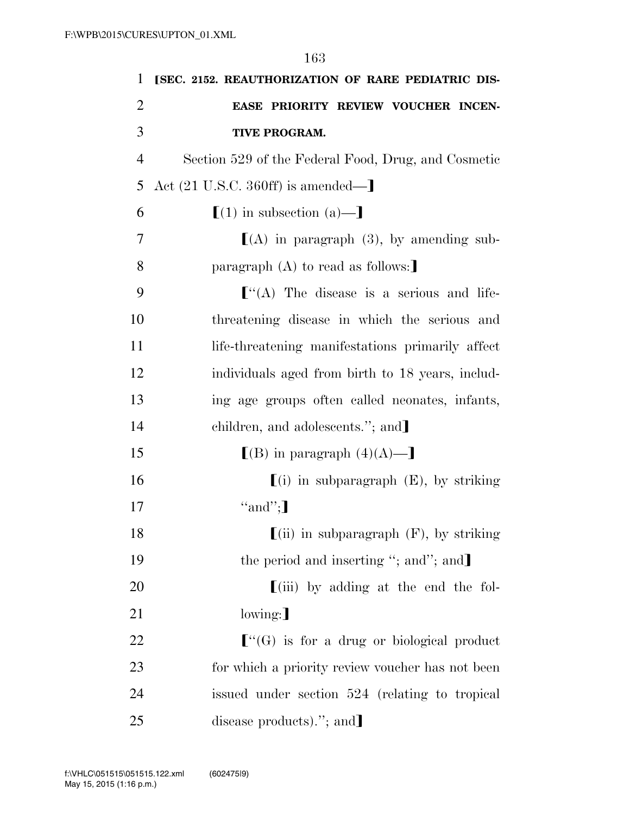| $\mathbf{1}$   | [SEC. 2152. REAUTHORIZATION OF RARE PEDIATRIC DIS-                        |
|----------------|---------------------------------------------------------------------------|
| $\overline{2}$ | EASE PRIORITY REVIEW VOUCHER INCEN-                                       |
| 3              | <b>TIVE PROGRAM.</b>                                                      |
| $\overline{4}$ | Section 529 of the Federal Food, Drug, and Cosmetic                       |
| 5              | Act $(21 \text{ U.S.C. } 360 \text{ ff})$ is amended—                     |
| 6              | $[(1)$ in subsection $(a)$ —                                              |
| 7              | $[(A)$ in paragraph (3), by amending sub-                                 |
| 8              | paragraph $(A)$ to read as follows:                                       |
| 9              | $\lbrack$ "(A) The disease is a serious and life-                         |
| 10             | threatening disease in which the serious and                              |
| 11             | life-threatening manifestations primarily affect                          |
| 12             | individuals aged from birth to 18 years, includ-                          |
| 13             | ing age groups often called neonates, infants,                            |
| 14             | children, and adolescents."; and                                          |
| 15             | $\lfloor (B)$ in paragraph $(4)(A)$ —                                     |
| 16             | $(i)$ in subparagraph $(E)$ , by striking                                 |
| 17             | "and";                                                                    |
| 18             | $\left[ \text{(ii)} \right]$ in subparagraph (F), by striking             |
| 19             | the period and inserting "; and"; and]                                    |
| <b>20</b>      | $\left[ \left( \mathrm{iii}\right) \right]$ by adding at the end the fol- |
| 21             | $lowing:$ ]                                                               |
| 22             | $\lfloor$ "(G) is for a drug or biological product                        |
| 23             | for which a priority review voucher has not been                          |
| 24             | issued under section 524 (relating to tropical                            |
| 25             | disease products)."; and                                                  |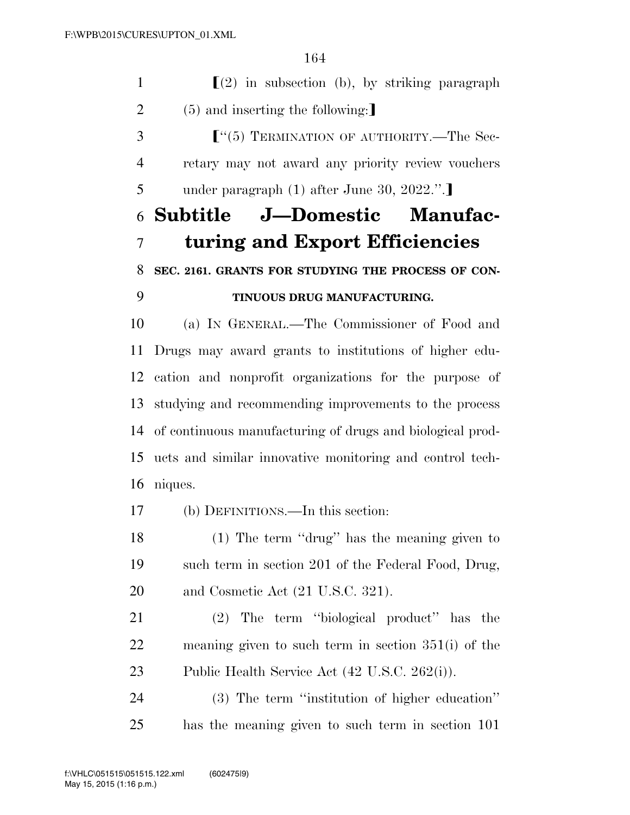$\Gamma(2)$  in subsection (b), by striking paragraph 2 (5) and inserting the following: **F**<sup>"</sup>(5) TERMINATION OF AUTHORITY.—The Sec- retary may not award any priority review vouchers 5 under paragraph  $(1)$  after June 30, 2022.". **Subtitle J—Domestic Manufac- turing and Export Efficiencies SEC. 2161. GRANTS FOR STUDYING THE PROCESS OF CON- TINUOUS DRUG MANUFACTURING.**  (a) IN GENERAL.—The Commissioner of Food and Drugs may award grants to institutions of higher edu- cation and nonprofit organizations for the purpose of studying and recommending improvements to the process of continuous manufacturing of drugs and biological prod- ucts and similar innovative monitoring and control tech- niques. (b) DEFINITIONS.—In this section: (1) The term ''drug'' has the meaning given to such term in section 201 of the Federal Food, Drug, and Cosmetic Act (21 U.S.C. 321). (2) The term ''biological product'' has the meaning given to such term in section 351(i) of the Public Health Service Act (42 U.S.C. 262(i)). (3) The term ''institution of higher education'' has the meaning given to such term in section 101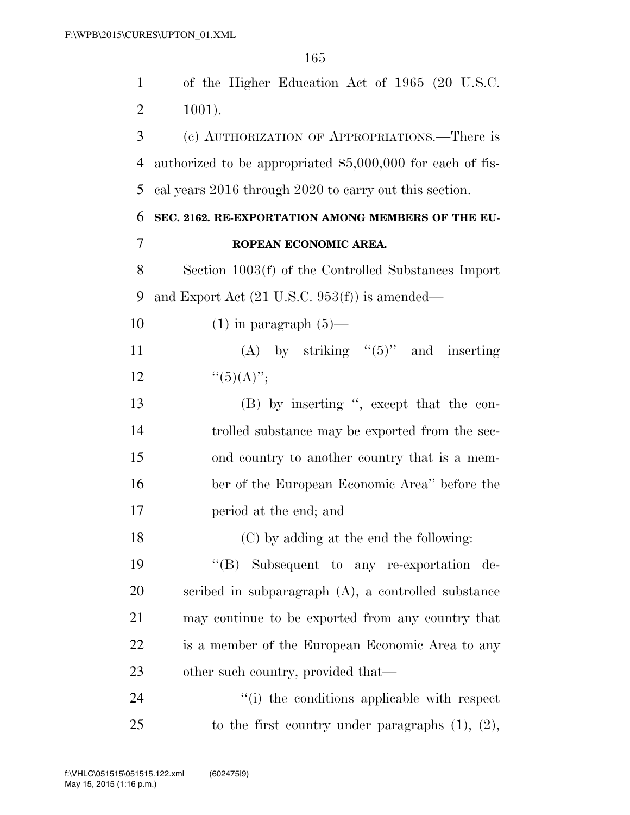of the Higher Education Act of 1965 (20 U.S.C. 1001). (c) AUTHORIZATION OF APPROPRIATIONS.—There is authorized to be appropriated \$5,000,000 for each of fis-

cal years 2016 through 2020 to carry out this section.

### **SEC. 2162. RE-EXPORTATION AMONG MEMBERS OF THE EU-ROPEAN ECONOMIC AREA.**

 Section 1003(f) of the Controlled Substances Import and Export Act (21 U.S.C. 953(f)) is amended—

10  $(1)$  in paragraph  $(5)$ —

11 (A) by striking "(5)" and inserting 12  $"({5})(A)"$ ;

 (B) by inserting '', except that the con- trolled substance may be exported from the sec- ond country to another country that is a mem- ber of the European Economic Area'' before the period at the end; and

(C) by adding at the end the following:

 ''(B) Subsequent to any re-exportation de- scribed in subparagraph (A), a controlled substance may continue to be exported from any country that is a member of the European Economic Area to any 23 other such country, provided that—

24  $(1)$  the conditions applicable with respect 25 to the first country under paragraphs  $(1)$ ,  $(2)$ ,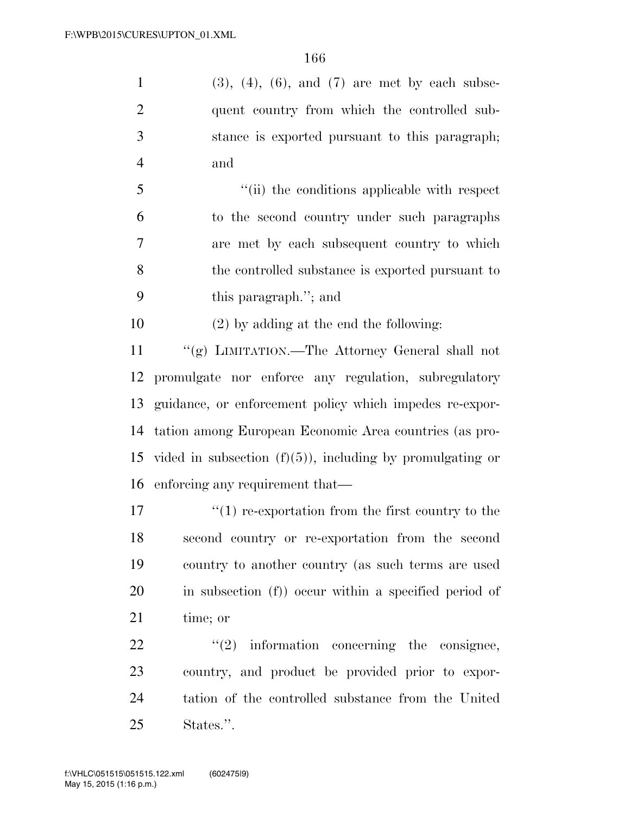1 (3), (4), (6), and (7) are met by each subse-2 quent country from which the controlled sub- stance is exported pursuant to this paragraph; and

 ''(ii) the conditions applicable with respect to the second country under such paragraphs are met by each subsequent country to which the controlled substance is exported pursuant to this paragraph.''; and

(2) by adding at the end the following:

 ''(g) LIMITATION.—The Attorney General shall not promulgate nor enforce any regulation, subregulatory guidance, or enforcement policy which impedes re-expor- tation among European Economic Area countries (as pro-15 vided in subsection  $(f)(5)$ , including by promulgating or enforcing any requirement that—

 $\frac{17}{2}$   $\frac{17}{2}$  re-exportation from the first country to the second country or re-exportation from the second country to another country (as such terms are used in subsection (f)) occur within a specified period of time; or

  $\qquad$   $\qquad$   $\qquad$   $\qquad$   $\qquad$   $\qquad$   $\qquad$   $\qquad$   $\qquad$   $\qquad$   $\qquad$   $\qquad$   $\qquad$   $\qquad$   $\qquad$   $\qquad$   $\qquad$   $\qquad$   $\qquad$   $\qquad$   $\qquad$   $\qquad$   $\qquad$   $\qquad$   $\qquad$   $\qquad$   $\qquad$   $\qquad$   $\qquad$   $\qquad$   $\qquad$   $\qquad$   $\qquad$   $\qquad$   $\qquad$   $\qquad$  country, and product be provided prior to expor- tation of the controlled substance from the United States.''.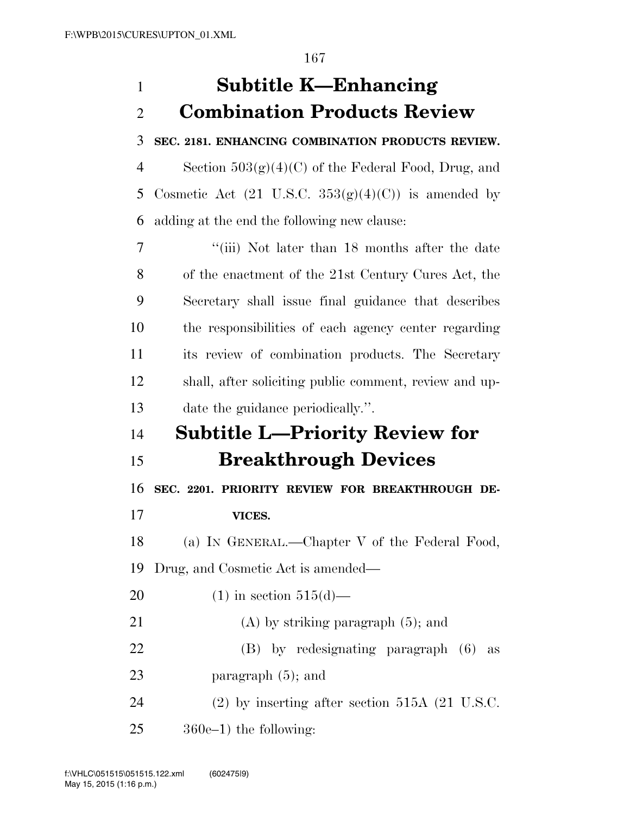## **Subtitle K—Enhancing Combination Products Review**

**SEC. 2181. ENHANCING COMBINATION PRODUCTS REVIEW.** 

4 Section  $503(g)(4)(C)$  of the Federal Food, Drug, and 5 Cosmetic Act  $(21 \text{ U.S.C. } 353(g)(4)(C))$  is amended by adding at the end the following new clause:

7 ''(iii) Not later than 18 months after the date of the enactment of the 21st Century Cures Act, the Secretary shall issue final guidance that describes the responsibilities of each agency center regarding its review of combination products. The Secretary shall, after soliciting public comment, review and up-date the guidance periodically.''.

# **Subtitle L—Priority Review for**

**Breakthrough Devices** 

 **SEC. 2201. PRIORITY REVIEW FOR BREAKTHROUGH DE-VICES.** 

(a) IN GENERAL.—Chapter V of the Federal Food,

Drug, and Cosmetic Act is amended—

20 (1) in section  $515(d)$ —

- 21 (A) by striking paragraph (5); and
- (B) by redesignating paragraph (6) as 23 paragraph (5); and

(2) by inserting after section 515A (21 U.S.C.

360e–1) the following: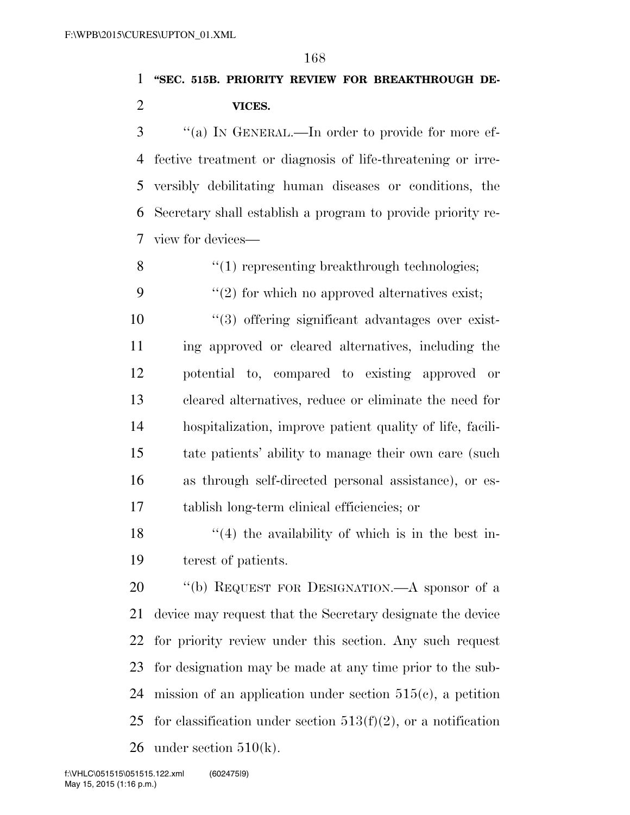**''SEC. 515B. PRIORITY REVIEW FOR BREAKTHROUGH DE-VICES.** 

 ''(a) IN GENERAL.—In order to provide for more ef- fective treatment or diagnosis of life-threatening or irre- versibly debilitating human diseases or conditions, the Secretary shall establish a program to provide priority re-view for devices—

8 ''(1) representing breakthrough technologies;

9  $(2)$  for which no approved alternatives exist;

 $\frac{1}{2}$  (3) offering significant advantages over exist- ing approved or cleared alternatives, including the potential to, compared to existing approved or cleared alternatives, reduce or eliminate the need for hospitalization, improve patient quality of life, facili- tate patients' ability to manage their own care (such as through self-directed personal assistance), or es-tablish long-term clinical efficiencies; or

18  $\frac{1}{2}$  (4) the availability of which is in the best in-terest of patients.

20 "(b) REQUEST FOR DESIGNATION.—A sponsor of a device may request that the Secretary designate the device for priority review under this section. Any such request for designation may be made at any time prior to the sub-24 mission of an application under section  $515(e)$ , a petition 25 for classification under section  $513(f)(2)$ , or a notification 26 under section  $510(k)$ .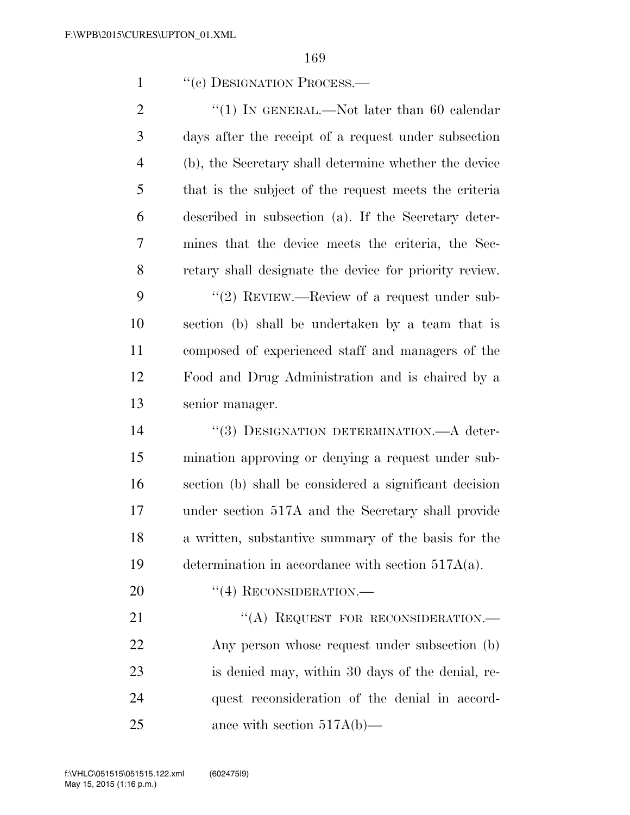|  | "(c) DESIGNATION PROCESS.— |
|--|----------------------------|
|--|----------------------------|

2 "(1) IN GENERAL.—Not later than 60 calendar days after the receipt of a request under subsection (b), the Secretary shall determine whether the device that is the subject of the request meets the criteria described in subsection (a). If the Secretary deter- mines that the device meets the criteria, the Sec- retary shall designate the device for priority review. 9 "(2) REVIEW.—Review of a request under sub- section (b) shall be undertaken by a team that is composed of experienced staff and managers of the Food and Drug Administration and is chaired by a senior manager. ''(3) DESIGNATION DETERMINATION.—A deter- mination approving or denying a request under sub- section (b) shall be considered a significant decision under section 517A and the Secretary shall provide a written, substantive summary of the basis for the determination in accordance with section 517A(a).

20 "(4) RECONSIDERATION.—

21 "(A) REQUEST FOR RECONSIDERATION.— Any person whose request under subsection (b) is denied may, within 30 days of the denial, re- quest reconsideration of the denial in accord-ance with section 517A(b)—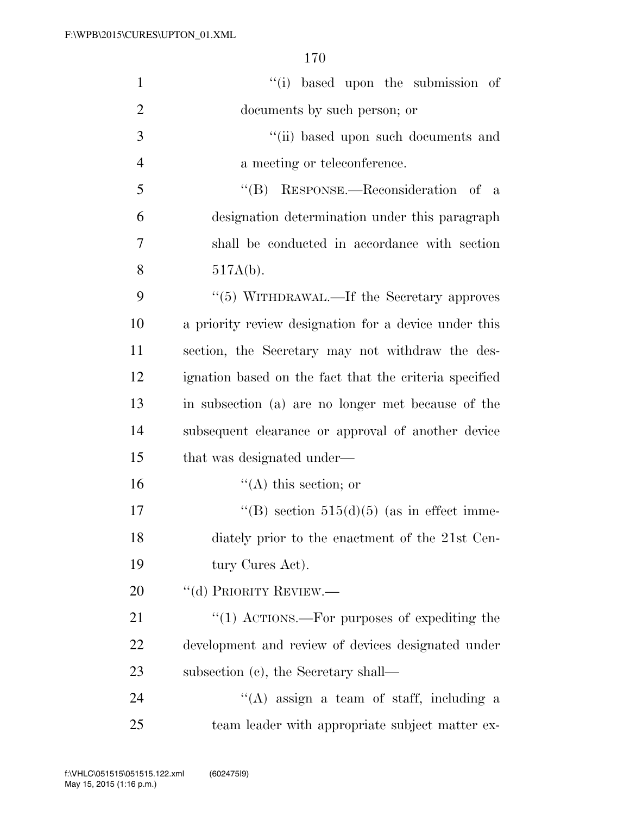| $\mathbf{1}$   | "(i) based upon the submission of                      |
|----------------|--------------------------------------------------------|
| $\overline{2}$ | documents by such person; or                           |
| 3              | "(ii) based upon such documents and                    |
| $\overline{4}$ | a meeting or teleconference.                           |
| 5              | "(B) RESPONSE.—Reconsideration of a                    |
| 6              | designation determination under this paragraph         |
| $\tau$         | shall be conducted in accordance with section          |
| 8              | $517A(b)$ .                                            |
| 9              | "(5) WITHDRAWAL.—If the Secretary approves             |
| 10             | a priority review designation for a device under this  |
| 11             | section, the Secretary may not withdraw the des-       |
| 12             | ignation based on the fact that the criteria specified |
| 13             | in subsection (a) are no longer met because of the     |
| 14             | subsequent clearance or approval of another device     |
| 15             | that was designated under—                             |
| 16             | $\lq\lq$ this section; or                              |
| 17             | "(B) section $515(d)(5)$ (as in effect imme-           |
| 18             | diately prior to the enactment of the 21st Cen-        |
| 19             | tury Cures Act).                                       |
| 20             | "(d) PRIORITY REVIEW.—                                 |
| 21             | "(1) ACTIONS.—For purposes of expediting the           |
| 22             | development and review of devices designated under     |
| 23             | subsection $(c)$ , the Secretary shall—                |
| 24             | $\lq\lq(A)$ assign a team of staff, including a        |
| 25             | team leader with appropriate subject matter ex-        |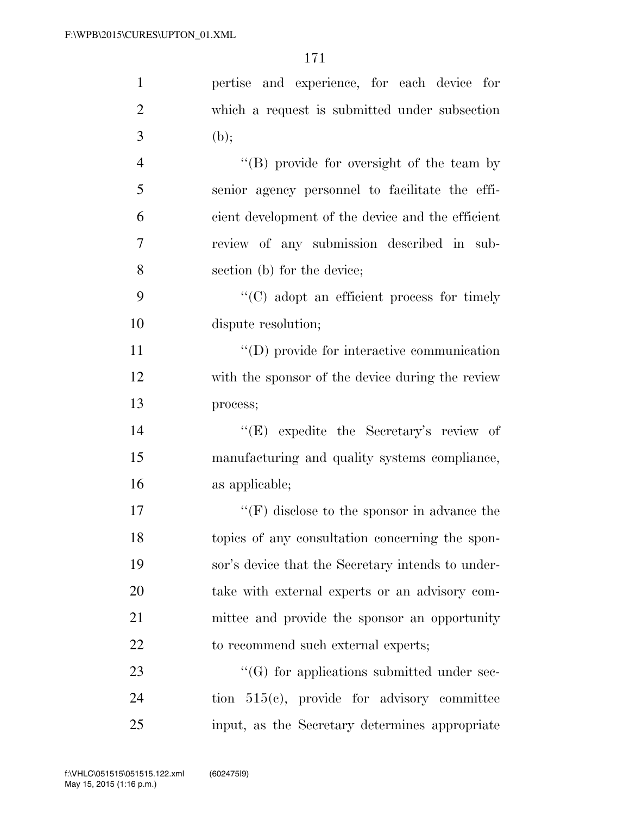| $\mathbf{1}$   | pertise and experience, for each device for                 |
|----------------|-------------------------------------------------------------|
| $\overline{2}$ | which a request is submitted under subsection               |
| 3              | (b);                                                        |
| $\overline{4}$ | "(B) provide for oversight of the team by                   |
| 5              | senior agency personnel to facilitate the effi-             |
| 6              | cient development of the device and the efficient           |
| 7              | review of any submission described in sub-                  |
| 8              | section (b) for the device;                                 |
| 9              | $\lq\lq$ (C) adopt an efficient process for timely          |
| 10             | dispute resolution;                                         |
| 11             | $\lq\lq$ (D) provide for interactive communication          |
| 12             | with the sponsor of the device during the review            |
| 13             | process;                                                    |
| 14             | "(E) expedite the Secretary's review of                     |
| 15             | manufacturing and quality systems compliance,               |
| 16             | as applicable;                                              |
| 17             | $\lq\lq(\mathrm{F})$ disclose to the sponsor in advance the |
| 18             | topics of any consultation concerning the spon-             |
| 19             | sor's device that the Secretary intends to under-           |
| 20             | take with external experts or an advisory com-              |
| 21             | mittee and provide the sponsor an opportunity               |
| 22             | to recommend such external experts;                         |
| 23             | $\lq\lq(G)$ for applications submitted under sec-           |
| 24             | tion $515(c)$ , provide for advisory committee              |
| 25             | input, as the Secretary determines appropriate              |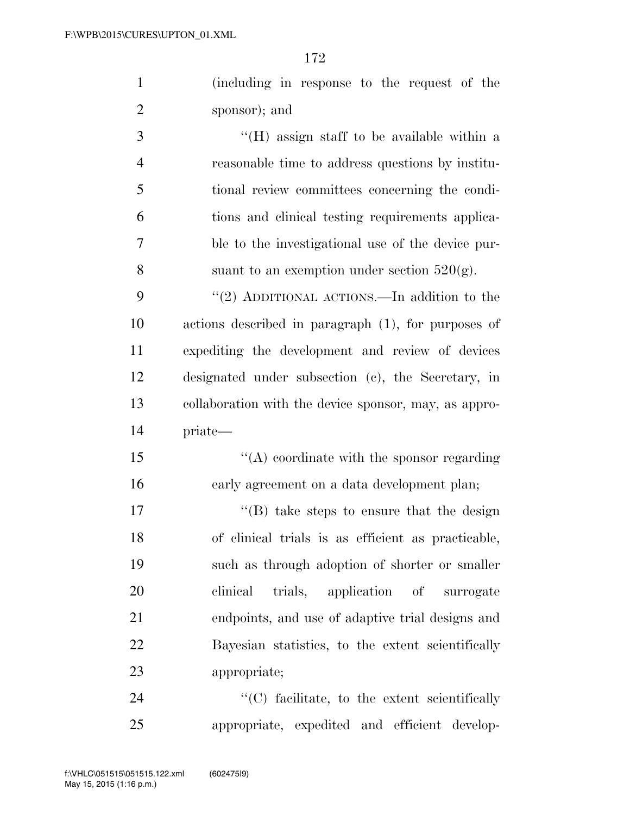|                | T72                                                   |
|----------------|-------------------------------------------------------|
| $\mathbf{1}$   | (including in response to the request of the          |
| $\overline{2}$ | sponsor); and                                         |
| 3              | $\lq\lq$ (H) assign staff to be available within a    |
| $\overline{4}$ | reasonable time to address questions by institu-      |
| 5              | tional review committees concerning the condi-        |
| 6              | tions and clinical testing requirements applica-      |
| 7              | ble to the investigational use of the device pur-     |
| 8              | suant to an exemption under section $520(g)$ .        |
| 9              | "(2) ADDITIONAL ACTIONS.—In addition to the           |
| 10             | actions described in paragraph (1), for purposes of   |
| 11             | expediting the development and review of devices      |
| 12             | designated under subsection (c), the Secretary, in    |
| 13             | collaboration with the device sponsor, may, as appro- |
|                |                                                       |

priate—

15 "(A) coordinate with the sponsor regarding early agreement on a data development plan;

 $\text{``(B)}$  take steps to ensure that the design of clinical trials is as efficient as practicable, such as through adoption of shorter or smaller clinical trials, application of surrogate endpoints, and use of adaptive trial designs and Bayesian statistics, to the extent scientifically appropriate;

24  $\cdot$  (C) facilitate, to the extent scientifically appropriate, expedited and efficient develop-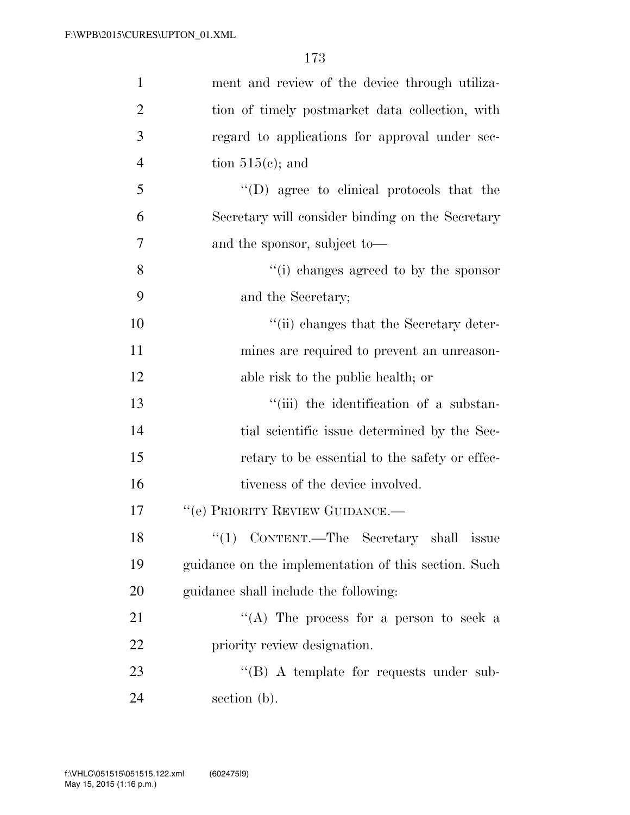| $\mathbf{1}$   | ment and review of the device through utiliza-            |
|----------------|-----------------------------------------------------------|
| $\overline{2}$ | tion of timely postmarket data collection, with           |
| 3              | regard to applications for approval under sec-            |
| $\overline{4}$ | tion $515(c)$ ; and                                       |
| 5              | "(D) agree to clinical protocols that the                 |
| 6              | Secretary will consider binding on the Secretary          |
| $\overline{7}$ | and the sponsor, subject to—                              |
| 8              | "(i) changes agreed to by the sponsor                     |
| 9              | and the Secretary;                                        |
| 10             | "(ii) changes that the Secretary deter-                   |
| 11             | mines are required to prevent an unreason-                |
| 12             | able risk to the public health; or                        |
| 13             | "(iii) the identification of a substan-                   |
| 14             | tial scientific issue determined by the Sec-              |
| 15             | retary to be essential to the safety or effec-            |
| 16             | tiveness of the device involved.                          |
| 17             | "(e) PRIORITY REVIEW GUIDANCE.—                           |
| 18             | $(1)$ CONTENT.—The Secretary shall<br><i><b>ISSUe</b></i> |
| 19             | guidance on the implementation of this section. Such      |
| 20             | guidance shall include the following:                     |
| 21             | "(A) The process for a person to seek a                   |
| 22             | priority review designation.                              |
| 23             | $\lq\lq (B)$ A template for requests under sub-           |
| 24             | section (b).                                              |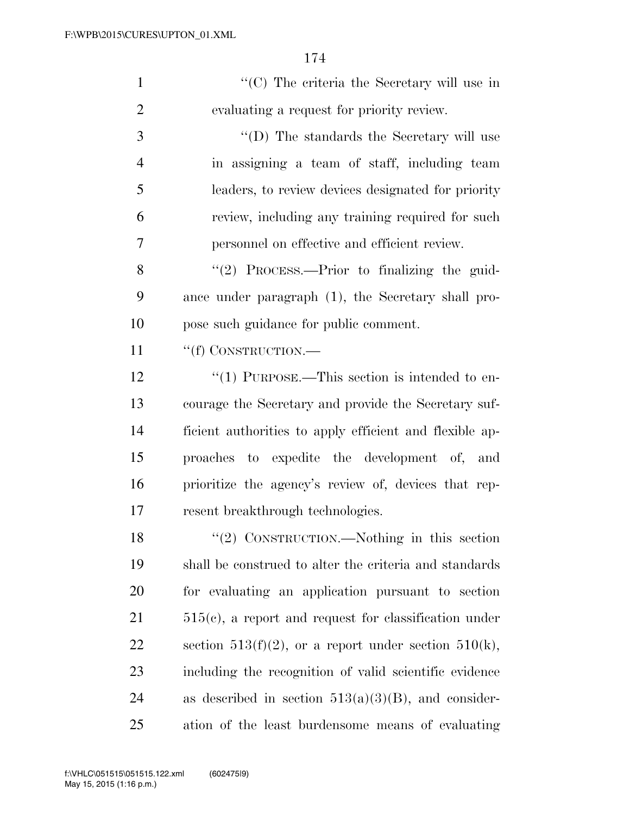| $\lq\lq$ <sup>(<math>\lq</math></sup> ) The criteria the Secretary will use in |
|--------------------------------------------------------------------------------|
| evaluating a request for priority review.                                      |
| $\lq\lq$ (D) The standards the Secretary will use                              |
| in assigning a team of staff, including team                                   |
| leaders, to review devices designated for priority                             |

7 personnel on effective and efficient review.

6 review, including any training required for such

8 "(2) PROCESS.—Prior to finalizing the guid-9 ance under paragraph (1), the Secretary shall pro-10 pose such guidance for public comment.

11 ""(f) CONSTRUCTION.—

12 "(1) PURPOSE.—This section is intended to en- courage the Secretary and provide the Secretary suf- ficient authorities to apply efficient and flexible ap- proaches to expedite the development of, and prioritize the agency's review of, devices that rep-resent breakthrough technologies.

18 "(2) CONSTRUCTION.—Nothing in this section 19 shall be construed to alter the criteria and standards 20 for evaluating an application pursuant to section 21 515(c), a report and request for classification under 22 section 513(f)(2), or a report under section 510(k), 23 including the recognition of valid scientific evidence 24 as described in section  $513(a)(3)(B)$ , and consider-25 ation of the least burdensome means of evaluating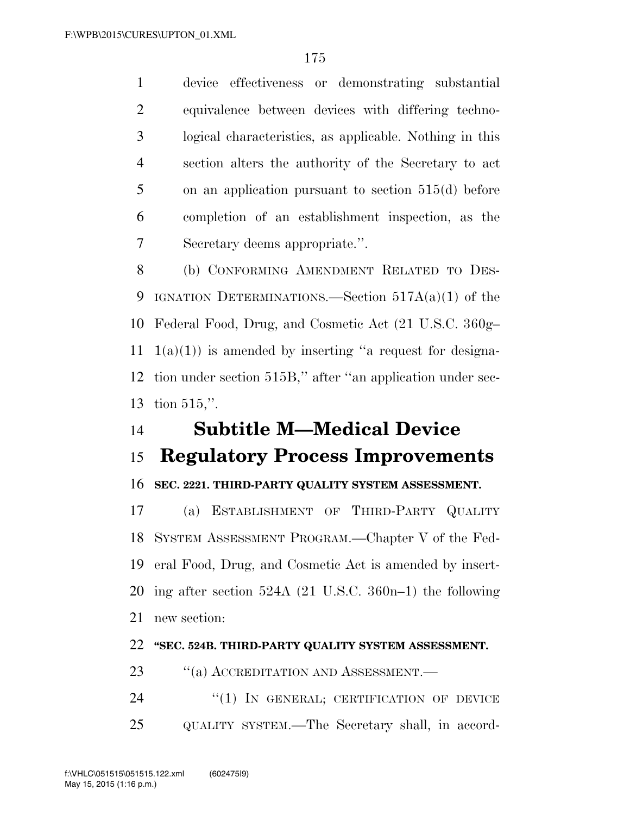device effectiveness or demonstrating substantial equivalence between devices with differing techno- logical characteristics, as applicable. Nothing in this section alters the authority of the Secretary to act on an application pursuant to section 515(d) before completion of an establishment inspection, as the Secretary deems appropriate.''.

 (b) CONFORMING AMENDMENT RELATED TO DES-9 IGNATION DETERMINATIONS.—Section  $517A(a)(1)$  of the Federal Food, Drug, and Cosmetic Act (21 U.S.C. 360g–  $1(a)(1)$  is amended by inserting "a request for designa- tion under section 515B,'' after ''an application under sec-tion 515,''.

### **Subtitle M—Medical Device**

#### **Regulatory Process Improvements**

#### **SEC. 2221. THIRD-PARTY QUALITY SYSTEM ASSESSMENT.**

 (a) ESTABLISHMENT OF THIRD-PARTY QUALITY SYSTEM ASSESSMENT PROGRAM.—Chapter V of the Fed- eral Food, Drug, and Cosmetic Act is amended by insert- ing after section 524A (21 U.S.C. 360n–1) the following new section:

#### **''SEC. 524B. THIRD-PARTY QUALITY SYSTEM ASSESSMENT.**

23 "(a) ACCREDITATION AND ASSESSMENT.—

24 "(1) IN GENERAL; CERTIFICATION OF DEVICE QUALITY SYSTEM.—The Secretary shall, in accord-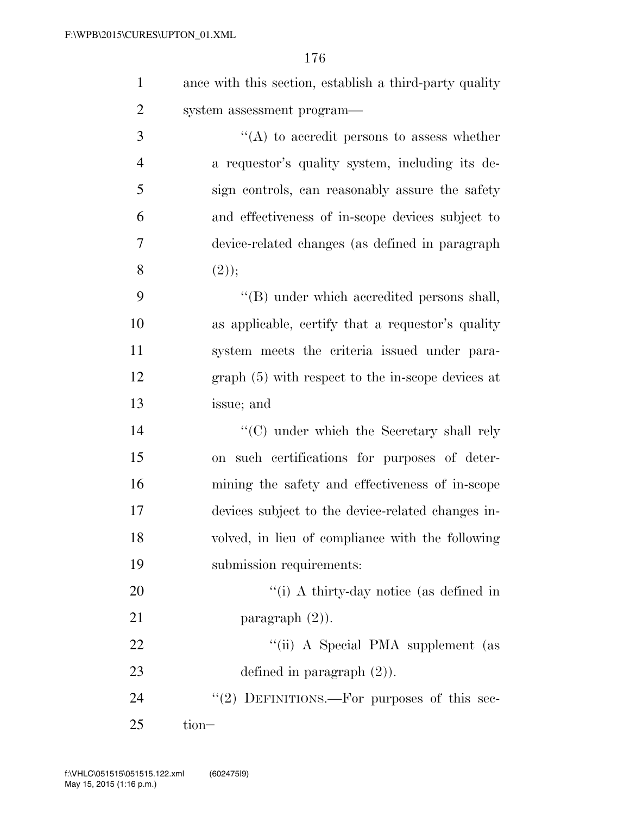| $\mathbf{1}$   | ance with this section, establish a third-party quality |
|----------------|---------------------------------------------------------|
| $\overline{2}$ | system assessment program—                              |
| 3              | $\lq\lq$ to accredit persons to assess whether          |
| $\overline{4}$ | a requestor's quality system, including its de-         |
| 5              | sign controls, can reasonably assure the safety         |
| 6              | and effectiveness of in-scope devices subject to        |
| 7              | device-related changes (as defined in paragraph         |
| 8              | (2));                                                   |
| 9              | "(B) under which accredited persons shall,              |
| 10             | as applicable, certify that a requestor's quality       |
| 11             | system meets the criteria issued under para-            |
| 12             | graph (5) with respect to the in-scope devices at       |
| 13             | issue; and                                              |
| 14             | $\lq\lq$ under which the Secretary shall rely           |
| 15             | on such certifications for purposes of deter-           |
| 16             | mining the safety and effectiveness of in-scope         |
| 17             | devices subject to the device-related changes in-       |
| 18             | volved, in lieu of compliance with the following        |
| 19             | submission requirements:                                |
| 20             | $\lq\lq(i)$ A thirty-day notice (as defined in          |
| 21             | paragraph $(2)$ ).                                      |
| 22             | "(ii) A Special PMA supplement (as                      |
| 23             | defined in paragraph $(2)$ ).                           |
| 24             | "(2) DEFINITIONS.—For purposes of this sec-             |
| 25             | tion-                                                   |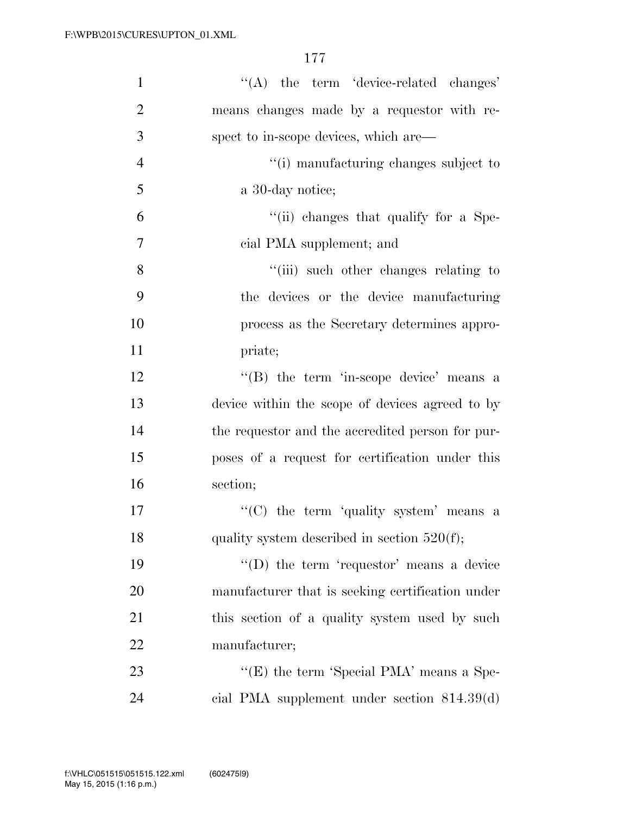| $\mathbf{1}$   | $\lq\lq$ the term 'device-related changes'       |
|----------------|--------------------------------------------------|
| $\overline{2}$ | means changes made by a requestor with re-       |
| 3              | spect to in-scope devices, which are—            |
| $\overline{4}$ | "(i) manufacturing changes subject to            |
| 5              | a 30-day notice;                                 |
| 6              | "(ii) changes that qualify for a Spe-            |
| 7              | cial PMA supplement; and                         |
| 8              | "(iii) such other changes relating to            |
| 9              | the devices or the device manufacturing          |
| 10             | process as the Secretary determines appro-       |
| 11             | priate;                                          |
| 12             | $\lq\lq$ the term 'in-scope device' means a      |
| 13             | device within the scope of devices agreed to by  |
| 14             | the requestor and the accredited person for pur- |
| 15             | poses of a request for certification under this  |
| 16             | section;                                         |
| 17             | "(C) the term 'quality system' means a           |
| 18             | quality system described in section $520(f)$ ;   |
| 19             | $\lq\lq$ the term 'requestor' means a device     |
| 20             | manufacturer that is seeking certification under |
| 21             | this section of a quality system used by such    |
| 22             | manufacturer;                                    |
| 23             | "(E) the term 'Special PMA' means a Spe-         |
| 24             | cial PMA supplement under section $814.39(d)$    |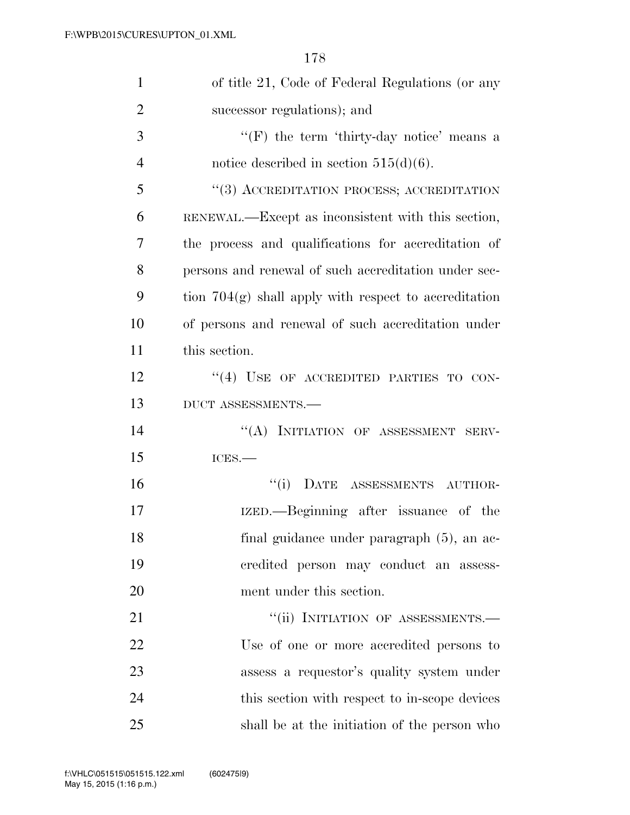| $\mathbf{1}$   | of title 21, Code of Federal Regulations (or any        |
|----------------|---------------------------------------------------------|
| $\overline{2}$ | successor regulations); and                             |
| 3              | $\lq\lq(F)$ the term 'thirty-day notice' means a        |
| $\overline{4}$ | notice described in section $515(d)(6)$ .               |
| 5              | "(3) ACCREDITATION PROCESS; ACCREDITATION               |
| 6              | RENEWAL.—Except as inconsistent with this section,      |
| 7              | the process and qualifications for accreditation of     |
| 8              | persons and renewal of such accreditation under sec-    |
| 9              | tion $704(g)$ shall apply with respect to accreditation |
| 10             | of persons and renewal of such accreditation under      |
| 11             | this section.                                           |
| 12             | $\cdot$ (4) USE OF ACCREDITED PARTIES TO CON-           |
| 13             | DUCT ASSESSMENTS.-                                      |
| 14             | "(A) INITIATION OF ASSESSMENT SERV-                     |
| 15             | ICES.                                                   |
| 16             | "(i) DATE ASSESSMENTS AUTHOR-                           |
| 17             | IZED.—Beginning after issuance of the                   |
| 18             | final guidance under paragraph (5), an ac-              |
| 19             | credited person may conduct an assess-                  |
| 20             | ment under this section.                                |
| 21             | "(ii) INITIATION OF ASSESSMENTS.-                       |
| 22             | Use of one or more accredited persons to                |
| 23             | assess a requestor's quality system under               |
| 24             | this section with respect to in-scope devices           |
| 25             | shall be at the initiation of the person who            |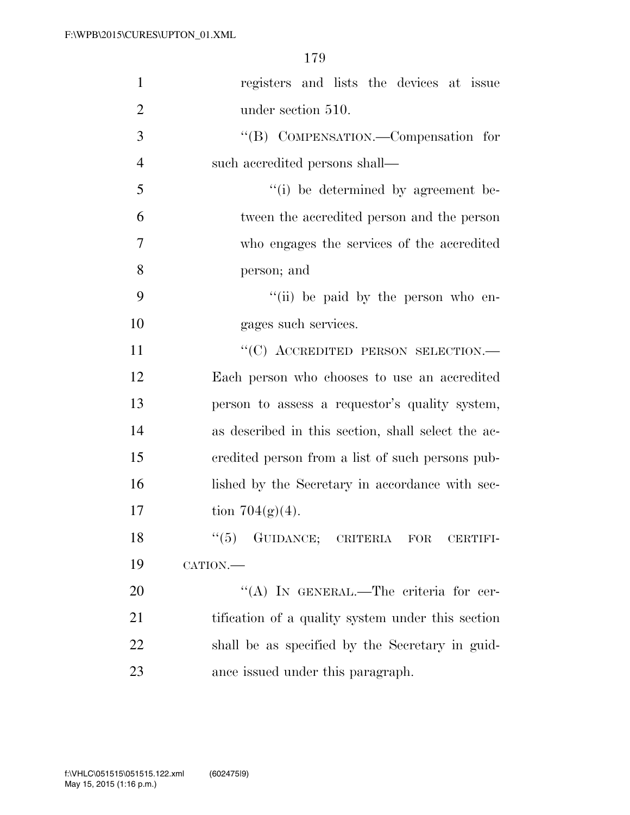| $\mathbf{1}$   | registers and lists the devices at issue           |
|----------------|----------------------------------------------------|
| $\overline{2}$ | under section 510.                                 |
| 3              | "(B) COMPENSATION.—Compensation for                |
| $\overline{4}$ | such accredited persons shall—                     |
| 5              | "(i) be determined by agreement be-                |
| 6              | tween the accredited person and the person         |
| 7              | who engages the services of the accredited         |
| 8              | person; and                                        |
| 9              | "(ii) be paid by the person who en-                |
| 10             | gages such services.                               |
| 11             | "(C) ACCREDITED PERSON SELECTION.-                 |
| 12             | Each person who chooses to use an accredited       |
| 13             | person to assess a requestor's quality system,     |
| 14             | as described in this section, shall select the ac- |
| 15             | eredited person from a list of such persons pub-   |
| 16             | lished by the Secretary in accordance with sec-    |
| 17             | tion $704(g)(4)$ .                                 |
| 18             | $``(5)$ GUIDANCE; CRITERIA FOR<br>CERTIFI-         |
| 19             | CATION.                                            |
| 20             | "(A) IN GENERAL.—The criteria for cer-             |
| 21             | tification of a quality system under this section  |
| 22             | shall be as specified by the Secretary in guid-    |
| 23             | ance issued under this paragraph.                  |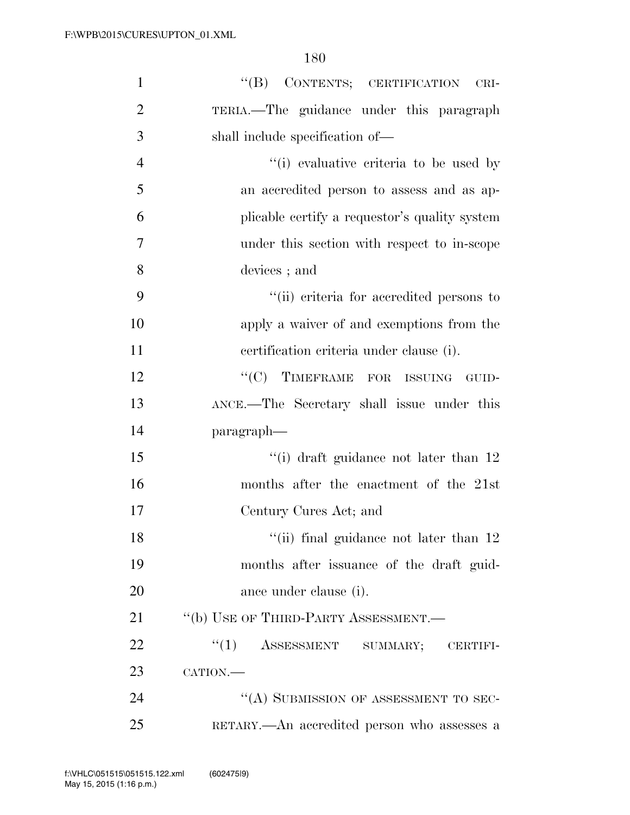| $\mathbf{1}$   | "(B) CONTENTS; CERTIFICATION CRI-             |
|----------------|-----------------------------------------------|
| $\overline{2}$ | TERIA.—The guidance under this paragraph      |
| 3              | shall include specification of—               |
| $\overline{4}$ | "(i) evaluative criteria to be used by        |
| 5              | an accredited person to assess and as ap-     |
| 6              | plicable certify a requestor's quality system |
| 7              | under this section with respect to in-scope   |
| 8              | devices; and                                  |
| 9              | "(ii) criteria for accredited persons to      |
| 10             | apply a waiver of and exemptions from the     |
| 11             | certification criteria under clause (i).      |
| 12             | "(C) TIMEFRAME FOR ISSUING GUID-              |
| 13             | ANCE.—The Secretary shall issue under this    |
| 14             | paragraph—                                    |
| 15             | "(i) draft guidance not later than 12         |
| 16             | months after the enactment of the 21st        |
| 17             | Century Cures Act; and                        |
| 18             | "(ii) final guidance not later than 12        |
| 19             | months after issuance of the draft guid-      |
| 20             | ance under clause (i).                        |
| 21             | "(b) USE OF THIRD-PARTY ASSESSMENT.-          |
| 22             | $``(1)$ ASSESSMENT SUMMARY; CERTIFI-          |
| 23             | CATION.                                       |
| 24             | "(A) SUBMISSION OF ASSESSMENT TO SEC-         |
| 25             | RETARY.—An accredited person who assesses a   |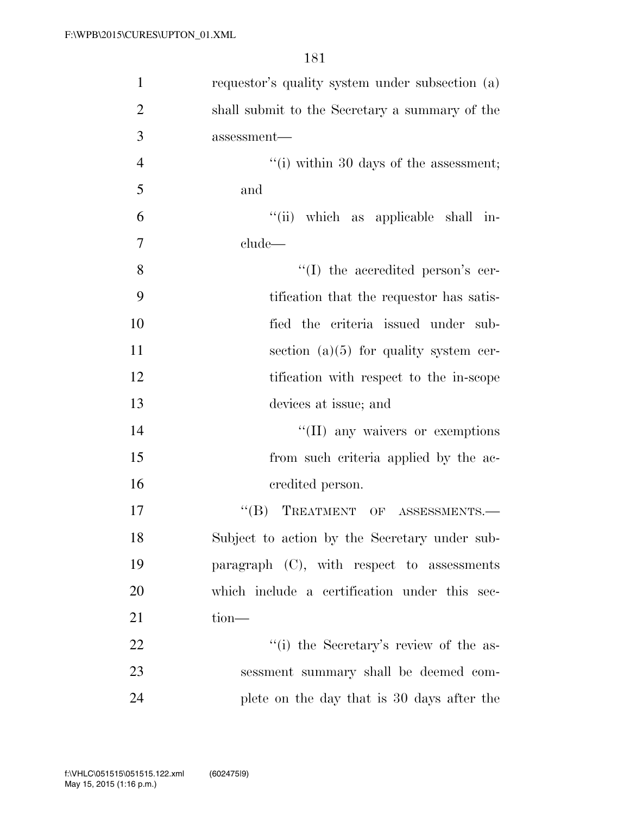| $\mathbf{1}$   | requestor's quality system under subsection (a) |
|----------------|-------------------------------------------------|
| $\overline{2}$ | shall submit to the Secretary a summary of the  |
| 3              | assessment-                                     |
| $\overline{4}$ | "(i) within 30 days of the assessment;          |
| 5              | and                                             |
| 6              | "(ii) which as applicable shall in-             |
| $\overline{7}$ | clude                                           |
| 8              | "(I) the accredited person's cer-               |
| 9              | tification that the requestor has satis-        |
| 10             | fied the criteria issued under sub-             |
| 11             | section $(a)(5)$ for quality system cer-        |
| 12             | tification with respect to the in-scope         |
| 13             | devices at issue; and                           |
| 14             | "(II) any waivers or exemptions                 |
| 15             | from such criteria applied by the ac-           |
| 16             | credited person.                                |
| 17             | TREATMENT OF ASSESSMENTS.-<br>$\lq\lq (B)$      |
| 18             | Subject to action by the Secretary under sub-   |
| 19             | paragraph $(C)$ , with respect to assessments   |
| 20             | which include a certification under this sec-   |
| 21             | $tion$ —                                        |
| 22             | "(i) the Secretary's review of the as-          |
| 23             | sessment summary shall be deemed com-           |
| 24             | plete on the day that is 30 days after the      |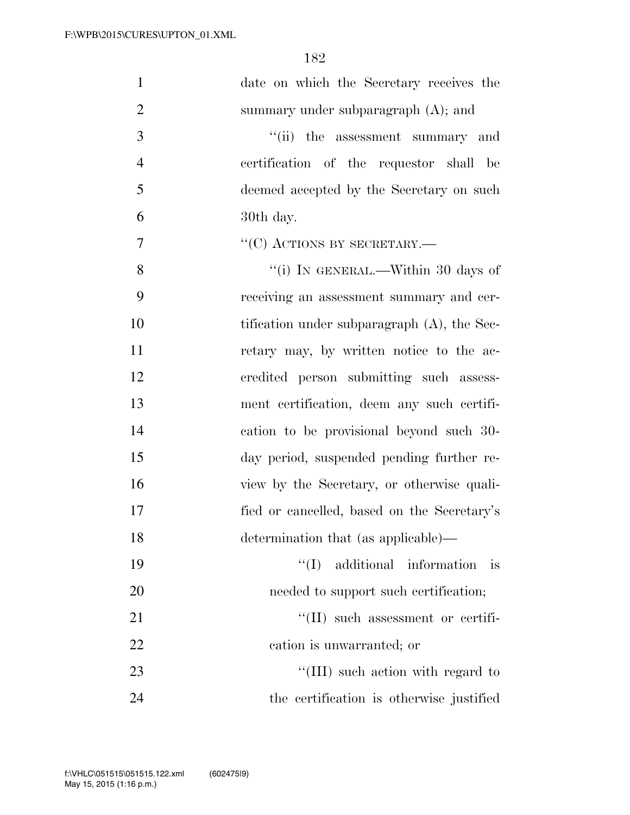| $\mathbf{1}$   | date on which the Secretary receives the       |
|----------------|------------------------------------------------|
| $\overline{2}$ | summary under subparagraph $(A)$ ; and         |
| 3              | "(ii) the assessment summary and               |
| $\overline{4}$ | certification of the requestor shall be        |
| 5              | deemed accepted by the Secretary on such       |
| 6              | 30th day.                                      |
| $\tau$         | $``(C)$ ACTIONS BY SECRETARY.—                 |
| 8              | "(i) IN GENERAL.—Within 30 days of             |
| 9              | receiving an assessment summary and cer-       |
| 10             | tification under subparagraph $(A)$ , the Sec- |
| 11             | retary may, by written notice to the ac-       |
| 12             | credited person submitting such assess-        |
| 13             | ment certification, deem any such certifi-     |
| 14             | cation to be provisional beyond such 30-       |
| 15             | day period, suspended pending further re-      |
| 16             | view by the Secretary, or otherwise quali-     |
| 17             | fied or cancelled, based on the Secretary's    |
| 18             | determination that (as applicable)—            |
| 19             | additional information<br>``(I)<br>is          |
| 20             | needed to support such certification;          |
| 21             | $\lq\lq$ (II) such assessment or certifi-      |
| 22             | cation is unwarranted; or                      |
| 23             | "(III) such action with regard to              |
| 24             | the certification is otherwise justified       |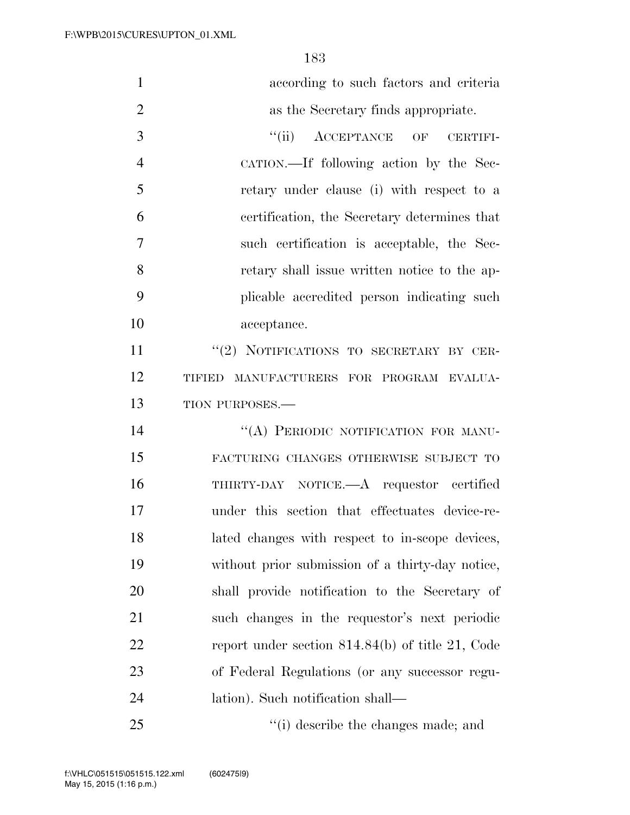| $\mathbf{1}$   | according to such factors and criteria             |
|----------------|----------------------------------------------------|
| $\overline{2}$ | as the Secretary finds appropriate.                |
| 3              | ``(ii)<br>ACCEPTANCE OF<br><b>CERTIFI-</b>         |
| $\overline{4}$ | CATION.—If following action by the Sec-            |
| 5              | retary under clause (i) with respect to a          |
| 6              | certification, the Secretary determines that       |
| $\overline{7}$ | such certification is acceptable, the Sec-         |
| 8              | retary shall issue written notice to the ap-       |
| 9              | plicable accredited person indicating such         |
| 10             | acceptance.                                        |
| 11             | "(2) NOTIFICATIONS TO SECRETARY BY CER-            |
| 12             | MANUFACTURERS FOR PROGRAM EVALUA-<br>TIFIED        |
| 13             | TION PURPOSES.-                                    |
| 14             | "(A) PERIODIC NOTIFICATION FOR MANU-               |
| 15             | FACTURING CHANGES OTHERWISE SUBJECT TO             |
| 16             | THIRTY-DAY NOTICE.—A requestor certified           |
| 17             | under this section that effectuates device-re-     |
| 18             | lated changes with respect to in-scope devices,    |
| 19             | without prior submission of a thirty-day notice,   |
| 20             | shall provide notification to the Secretary of     |
| 21             | such changes in the requestor's next periodic      |
| 22             | report under section $814.84(b)$ of title 21, Code |
| 23             | of Federal Regulations (or any successor regu-     |
| 24             | lation). Such notification shall—                  |
| 25             | "(i) describe the changes made; and                |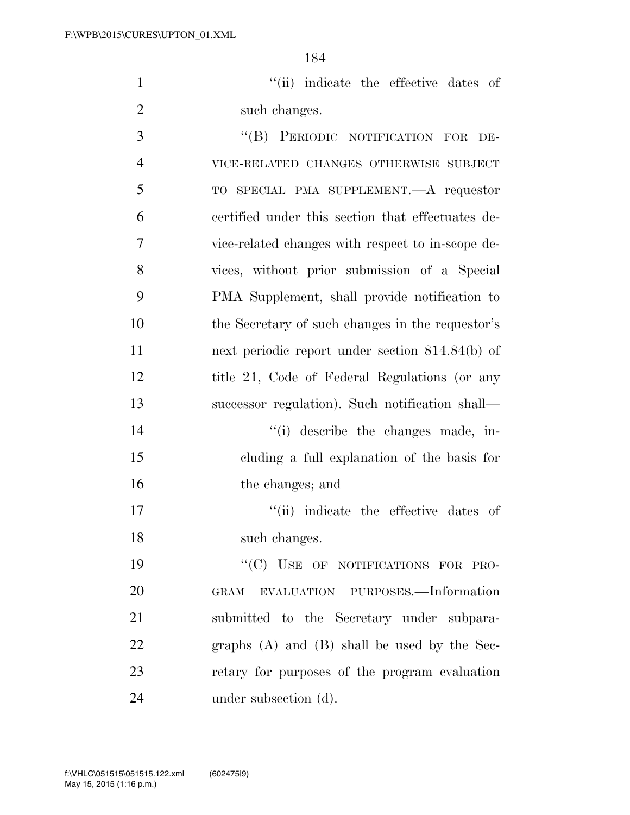1  $''(ii)$  indicate the effective dates of 2 such changes.

3 "(B) PERIODIC NOTIFICATION FOR DE- VICE-RELATED CHANGES OTHERWISE SUBJECT TO SPECIAL PMA SUPPLEMENT.—A requestor certified under this section that effectuates de- vice-related changes with respect to in-scope de- vices, without prior submission of a Special PMA Supplement, shall provide notification to the Secretary of such changes in the requestor's next periodic report under section 814.84(b) of 12 title 21, Code of Federal Regulations (or any successor regulation). Such notification shall—  $''(i)$  describe the changes made, in- cluding a full explanation of the basis for 16 the changes; and  $\frac{1}{10}$  indicate the effective dates of such changes. 19 "'(C) USE OF NOTIFICATIONS FOR PRO- GRAM EVALUATION PURPOSES.—Information submitted to the Secretary under subpara- graphs (A) and (B) shall be used by the Sec-retary for purposes of the program evaluation

24 under subsection (d).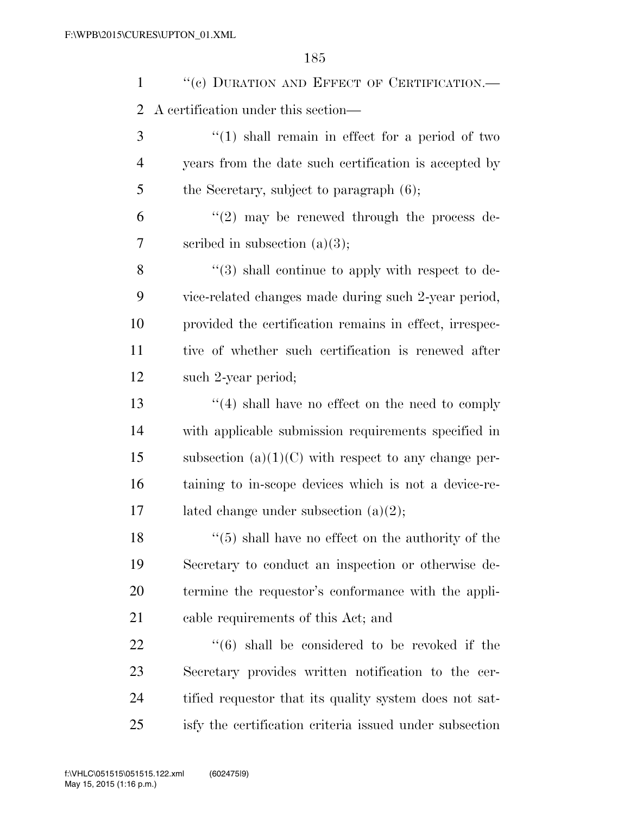1 "(c) DURATION AND EFFECT OF CERTIFICATION.— A certification under this section— 3 ''(1) shall remain in effect for a period of two years from the date such certification is accepted by 5 the Secretary, subject to paragraph  $(6)$ ;  $(2)$  may be renewed through the process de-scribed in subsection (a)(3);

8 "(3) shall continue to apply with respect to de- vice-related changes made during such 2-year period, provided the certification remains in effect, irrespec- tive of whether such certification is renewed after such 2-year period;

 ''(4) shall have no effect on the need to comply with applicable submission requirements specified in 15 subsection  $(a)(1)(C)$  with respect to any change per- taining to in-scope devices which is not a device-re-17 lated change under subsection  $(a)(2)$ ;

 ''(5) shall have no effect on the authority of the Secretary to conduct an inspection or otherwise de- termine the requestor's conformance with the appli-cable requirements of this Act; and

  $(6)$  shall be considered to be revoked if the Secretary provides written notification to the cer- tified requestor that its quality system does not sat-isfy the certification criteria issued under subsection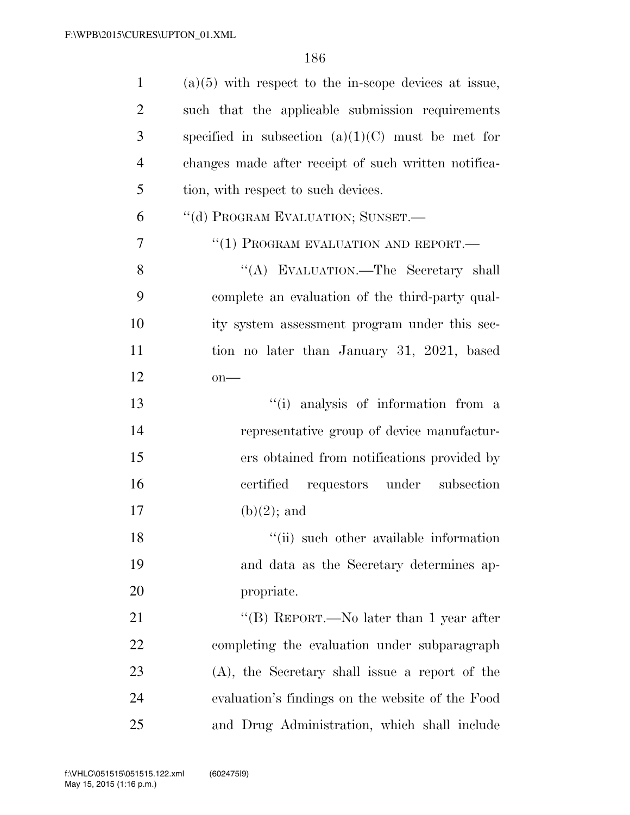| $\mathbf{1}$   | $(a)(5)$ with respect to the in-scope devices at issue, |
|----------------|---------------------------------------------------------|
| $\overline{2}$ | such that the applicable submission requirements        |
| 3              | specified in subsection $(a)(1)(C)$ must be met for     |
| $\overline{4}$ | changes made after receipt of such written notifica-    |
| 5              | tion, with respect to such devices.                     |
| 6              | "(d) PROGRAM EVALUATION; SUNSET.-                       |
| 7              | "(1) PROGRAM EVALUATION AND REPORT.—                    |
| 8              | "(A) EVALUATION.—The Secretary shall                    |
| 9              | complete an evaluation of the third-party qual-         |
| 10             | ity system assessment program under this sec-           |
| 11             | tion no later than January 31, 2021, based              |
| 12             | $on$ —                                                  |
| 13             | "(i) analysis of information from a                     |
| 14             | representative group of device manufactur-              |
| 15             | ers obtained from notifications provided by             |
| 16             | certified requestors under subsection                   |
| 17             | $(b)(2)$ ; and                                          |
| 18             | "(ii) such other available information                  |
| 19             | and data as the Secretary determines ap-                |
| 20             | propriate.                                              |
| 21             | "(B) REPORT.—No later than 1 year after                 |
| 22             | completing the evaluation under subparagraph            |
| 23             | (A), the Secretary shall issue a report of the          |
| 24             | evaluation's findings on the website of the Food        |
| 25             | and Drug Administration, which shall include            |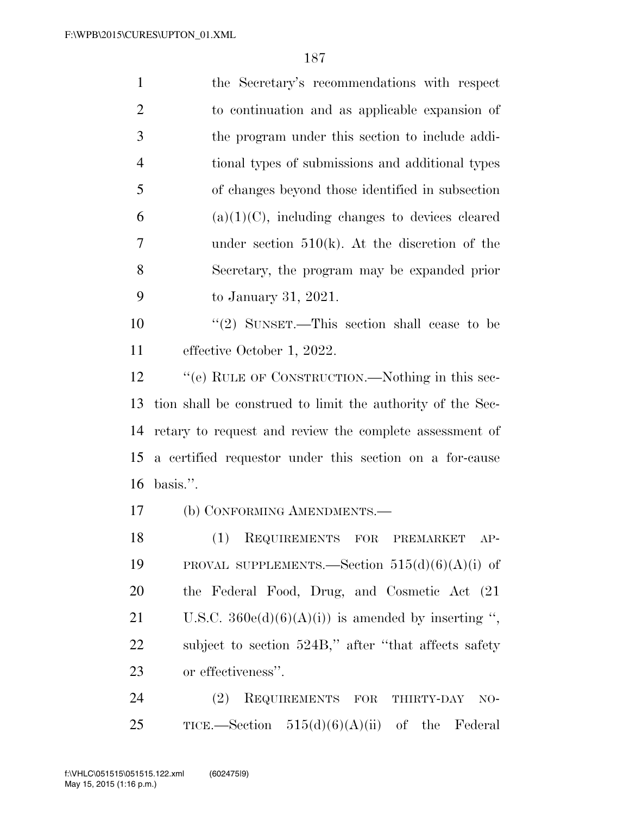| $\mathbf{1}$   | the Secretary's recommendations with respect               |
|----------------|------------------------------------------------------------|
| $\overline{2}$ | to continuation and as applicable expansion of             |
| 3              | the program under this section to include addi-            |
| $\overline{4}$ | tional types of submissions and additional types           |
| 5              | of changes beyond those identified in subsection           |
| 6              | $(a)(1)(C)$ , including changes to devices cleared         |
| $\overline{7}$ | under section $510(k)$ . At the discretion of the          |
| 8              | Secretary, the program may be expanded prior               |
| 9              | to January 31, 2021.                                       |
| 10             | "(2) SUNSET.—This section shall cease to be                |
| 11             | effective October 1, 2022.                                 |
| 12             | "(e) RULE OF CONSTRUCTION.—Nothing in this sec-            |
|                | tion shall be construed to limit the authority of the Sec- |
| 13             |                                                            |
|                | retary to request and review the complete assessment of    |
| 14<br>15       | a certified requestor under this section on a for-cause    |
| 16             | basis.".                                                   |
|                | (b) CONFORMING AMENDMENTS.-                                |
| 17<br>18       | (1)<br>REQUIREMENTS FOR PREMARKET<br>$AP-$                 |
| 19             | PROVAL SUPPLEMENTS.—Section $515(d)(6)(A)(i)$ of           |
| 20             | the Federal Food, Drug, and Cosmetic Act (21)              |
| 21             | U.S.C. $360e(d)(6)(A)(i)$ is amended by inserting ",       |
| 22             | subject to section 524B," after "that affects safety       |
| 23             | or effectiveness".                                         |

25 TICE.—Section  $515(d)(6)(A)(ii)$  of the Federal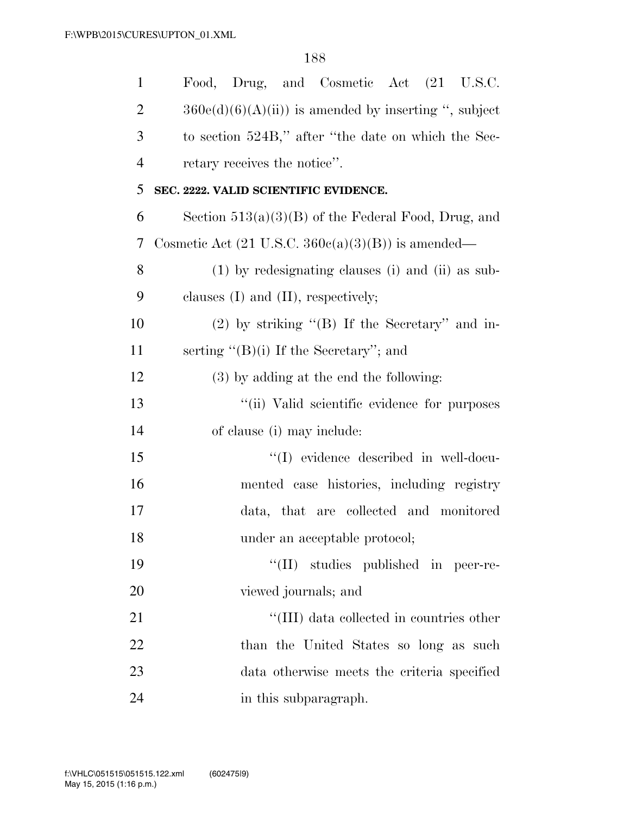| $\mathbf{1}$   | Food, Drug, and Cosmetic Act (21 U.S.C.                       |
|----------------|---------------------------------------------------------------|
| $\overline{2}$ | $360e(d)(6)(A(ii))$ is amended by inserting ", subject        |
| 3              | to section 524B," after "the date on which the Sec-           |
| $\overline{4}$ | retary receives the notice".                                  |
| 5              | SEC. 2222. VALID SCIENTIFIC EVIDENCE.                         |
| 6              | Section $513(a)(3)(B)$ of the Federal Food, Drug, and         |
| 7              | Cosmetic Act $(21 \text{ U.S.C. } 360c(a)(3)(B))$ is amended— |
| 8              | (1) by redesignating clauses (i) and (ii) as sub-             |
| 9              | clauses $(I)$ and $(II)$ , respectively;                      |
| 10             | $(2)$ by striking " $(B)$ If the Secretary" and in-           |
| 11             | serting " $(B)(i)$ If the Secretary"; and                     |
| 12             | $(3)$ by adding at the end the following:                     |
| 13             | "(ii) Valid scientific evidence for purposes                  |
| 14             | of clause (i) may include:                                    |
| 15             | "(I) evidence described in well-docu-                         |
| 16             | mented case histories, including registry                     |
| 17             | data, that are collected and monitored                        |
| 18             | under an acceptable protocol;                                 |
| 19             | "(II) studies published in peer-re-                           |
| 20             | viewed journals; and                                          |
| 21             | "(III) data collected in countries other                      |
| 22             | than the United States so long as such                        |
| 23             | data otherwise meets the criteria specified                   |
| 24             | in this subparagraph.                                         |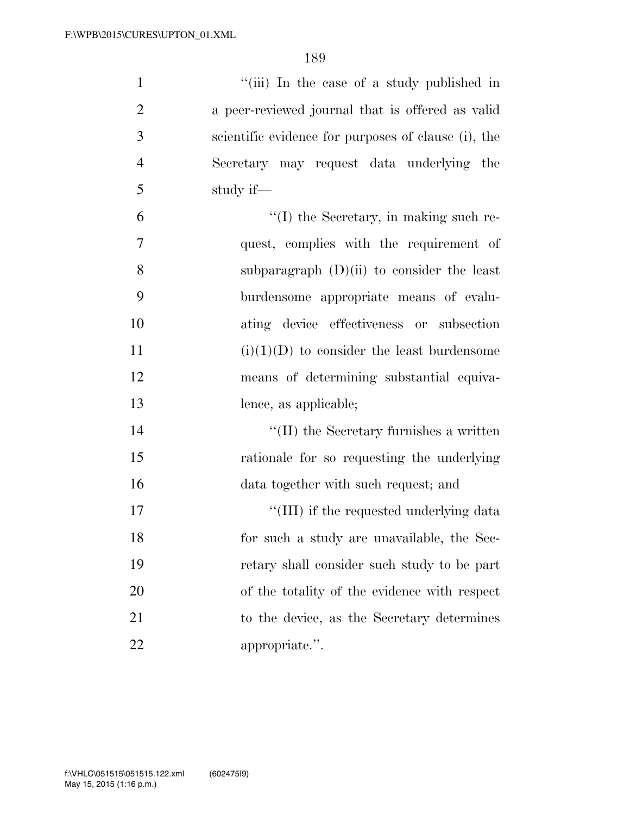| $\mathbf{1}$   | "(iii) In the case of a study published in          |
|----------------|-----------------------------------------------------|
| $\overline{2}$ | a peer-reviewed journal that is offered as valid    |
| 3              | scientific evidence for purposes of clause (i), the |
| $\overline{4}$ | Secretary may request data underlying the           |
| 5              | study if—                                           |
| 6              | $\lq\lq$ the Secretary, in making such re-          |
| 7              | quest, complies with the requirement of             |
| 8              | subparagraph $(D)(ii)$ to consider the least        |
| 9              | burdensome appropriate means of evalu-              |
| 10             | ating device effectiveness or subsection            |
| 11             | $(i)(1)(D)$ to consider the least burdensome        |
| 12             | means of determining substantial equiva-            |
| 13             | lence, as applicable;                               |
| 14             | $\lq\lq$ (II) the Secretary furnishes a written     |
| 15             | rationale for so requesting the underlying          |
| 16             | data together with such request; and                |
| 17             | "(III) if the requested underlying data             |
| 18             | for such a study are unavailable, the Sec-          |
| 19             | retary shall consider such study to be part         |
| 20             | of the totality of the evidence with respect        |
| 21             | to the device, as the Secretary determines          |
| 22             | appropriate.".                                      |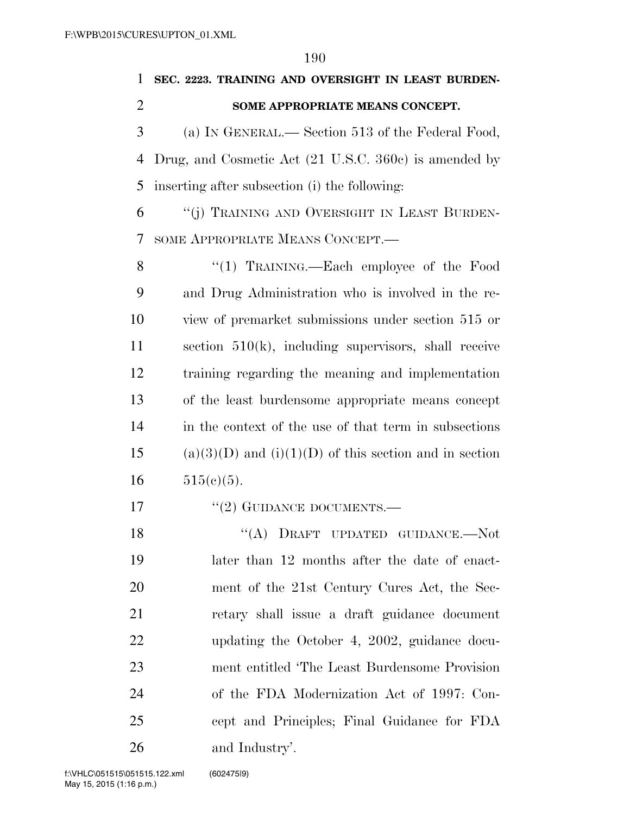| $\mathbf{1}$   | SEC. 2223. TRAINING AND OVERSIGHT IN LEAST BURDEN-         |
|----------------|------------------------------------------------------------|
| $\overline{2}$ | SOME APPROPRIATE MEANS CONCEPT.                            |
| 3              | (a) IN GENERAL.— Section 513 of the Federal Food,          |
| $\overline{4}$ | Drug, and Cosmetic Act (21 U.S.C. 360c) is amended by      |
| 5              | inserting after subsection (i) the following:              |
| 6              | "(j) TRAINING AND OVERSIGHT IN LEAST BURDEN-               |
| 7              | SOME APPROPRIATE MEANS CONCEPT.                            |
| 8              | "(1) TRAINING.—Each employee of the Food                   |
| 9              | and Drug Administration who is involved in the re-         |
| 10             | view of premarket submissions under section 515 or         |
| 11             | section $510(k)$ , including supervisors, shall receive    |
| 12             | training regarding the meaning and implementation          |
| 13             | of the least burdensome appropriate means concept          |
| 14             | in the context of the use of that term in subsections      |
| 15             | $(a)(3)(D)$ and $(i)(1)(D)$ of this section and in section |
| 16             | $515(c)(5)$ .                                              |
| 17             | $``(2)$ GUIDANCE DOCUMENTS.—                               |
| 18             | "(A) DRAFT UPDATED GUIDANCE.—Not                           |

 later than 12 months after the date of enact- ment of the 21st Century Cures Act, the Sec- retary shall issue a draft guidance document updating the October 4, 2002, guidance docu- ment entitled 'The Least Burdensome Provision of the FDA Modernization Act of 1997: Con- cept and Principles; Final Guidance for FDA and Industry'.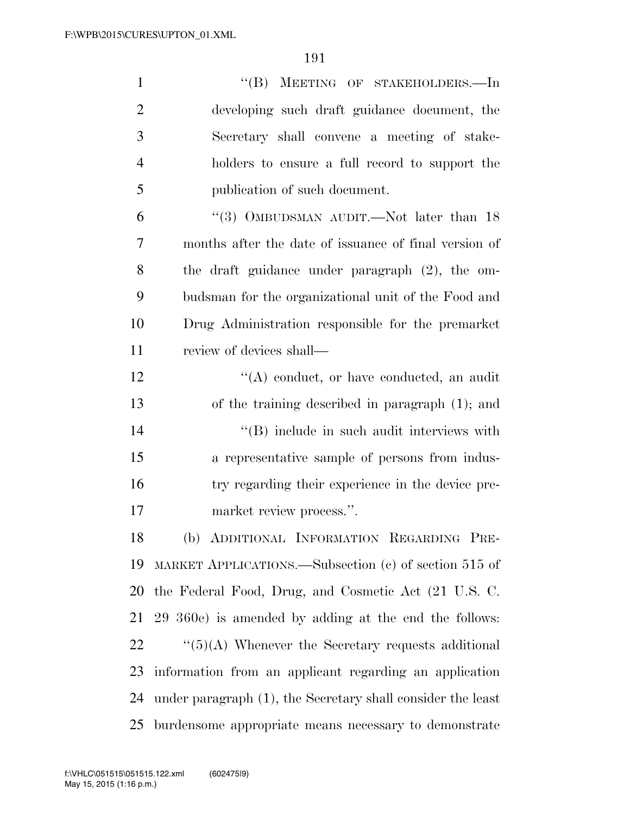| $\mathbf{1}$   | "(B) MEETING OF STAKEHOLDERS.—In                                   |
|----------------|--------------------------------------------------------------------|
| $\overline{2}$ | developing such draft guidance document, the                       |
| 3              | Secretary shall convene a meeting of stake-                        |
| $\overline{4}$ | holders to ensure a full record to support the                     |
| 5              | publication of such document.                                      |
| 6              | "(3) OMBUDSMAN AUDIT.—Not later than $18$                          |
| 7              | months after the date of issuance of final version of              |
| 8              | the draft guidance under paragraph $(2)$ , the om-                 |
| 9              | budsman for the organizational unit of the Food and                |
| 10             | Drug Administration responsible for the premarket                  |
| 11             | review of devices shall—                                           |
| 12             | $\lq\lq$ conduct, or have conducted, an audit                      |
| 13             | of the training described in paragraph $(1)$ ; and                 |
| 14             | $\lq\lq$ include in such audit interviews with                     |
| 15             | a representative sample of persons from indus-                     |
| 16             | try regarding their experience in the device pre-                  |
| 17             | market review process.".                                           |
| 18             | (b) ADDITIONAL INFORMATION REGARDING PRE-                          |
| 19             | MARKET APPLICATIONS.—Subsection (c) of section 515 of              |
| 20             | the Federal Food, Drug, and Cosmetic Act (21 U.S. C.               |
| 21             | 29 360e) is amended by adding at the end the follows:              |
| 22             | $\cdot\cdot\cdot(5)(A)$ Whenever the Secretary requests additional |
| 23             | information from an applicant regarding an application             |
| 24             | under paragraph (1), the Secretary shall consider the least        |
| 25             | burdensome appropriate means necessary to demonstrate              |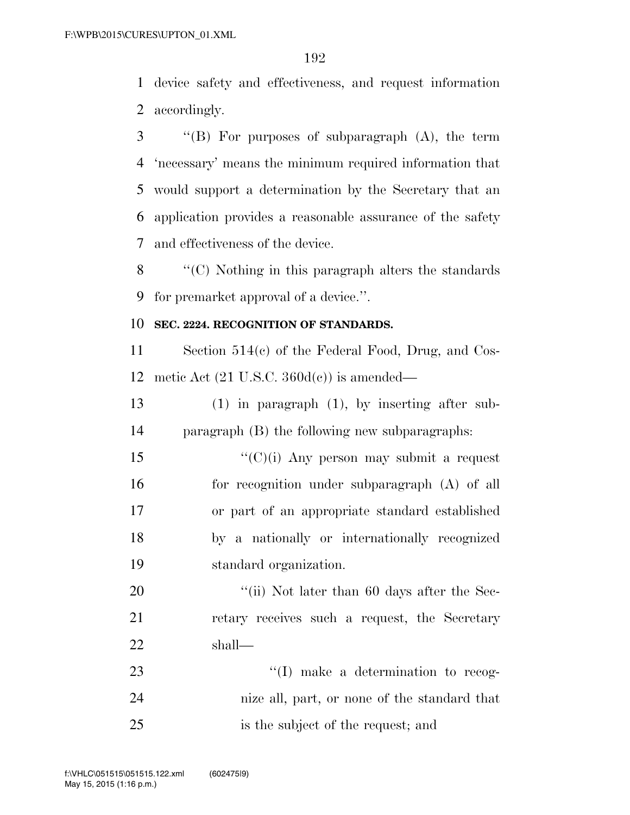device safety and effectiveness, and request information accordingly.

 ''(B) For purposes of subparagraph (A), the term 'necessary' means the minimum required information that would support a determination by the Secretary that an application provides a reasonable assurance of the safety and effectiveness of the device.

 ''(C) Nothing in this paragraph alters the standards for premarket approval of a device.''.

## **SEC. 2224. RECOGNITION OF STANDARDS.**

 Section 514(c) of the Federal Food, Drug, and Cos-12 metic Act  $(21 \text{ U.S.C. } 360d(e))$  is amended—

 (1) in paragraph (1), by inserting after sub-paragraph (B) the following new subparagraphs:

 $\frac{1}{(C)(i)}$  Any person may submit a request for recognition under subparagraph (A) of all or part of an appropriate standard established by a nationally or internationally recognized standard organization.

20 "(ii) Not later than 60 days after the Sec- retary receives such a request, the Secretary shall—

23  $\frac{1}{1}$  make a determination to recog- nize all, part, or none of the standard that is the subject of the request; and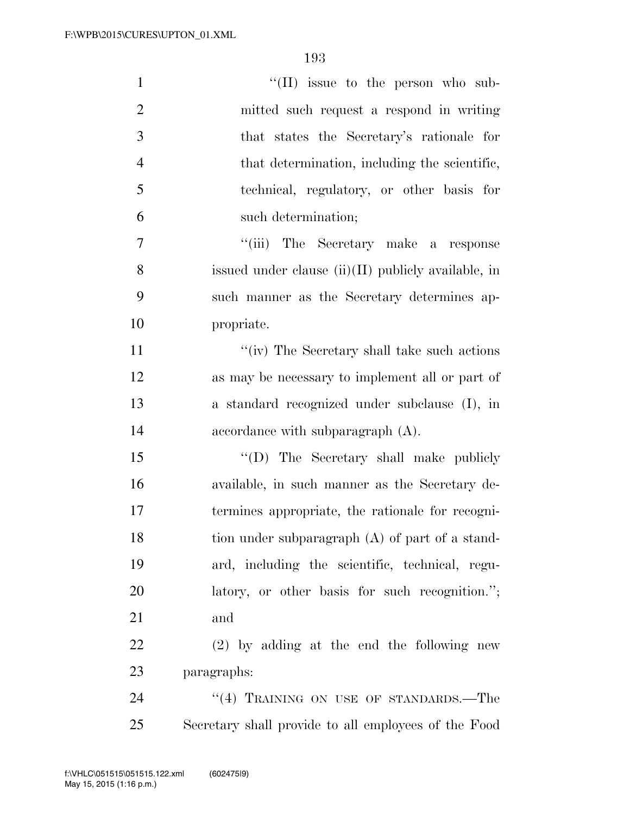| $\mathbf{1}$   | "(II) issue to the person who sub-                    |
|----------------|-------------------------------------------------------|
| $\overline{2}$ | mitted such request a respond in writing              |
| 3              | that states the Secretary's rationale for             |
| $\overline{4}$ | that determination, including the scientific,         |
| 5              | technical, regulatory, or other basis for             |
| 6              | such determination;                                   |
| $\overline{7}$ | "(iii) The Secretary make a response                  |
| 8              | issued under clause $(ii)(II)$ publicly available, in |
| 9              | such manner as the Secretary determines ap-           |
| 10             | propriate.                                            |
| 11             | "(iv) The Secretary shall take such actions           |
| 12             | as may be necessary to implement all or part of       |
| 13             | a standard recognized under subclause (I), in         |
| 14             | accordance with subparagraph $(A)$ .                  |
| 15             | "(D) The Secretary shall make publicly                |
| 16             | available, in such manner as the Secretary de-        |
| 17             | termines appropriate, the rationale for recogni-      |
| 18             | tion under subparagraph (A) of part of a stand-       |
| 19             | ard, including the scientific, technical, regu-       |
| <b>20</b>      | latory, or other basis for such recognition.";        |
| 21             | and                                                   |
| 22             | $(2)$ by adding at the end the following new          |
| 23             | paragraphs:                                           |
| 24             | "(4) TRAINING ON USE OF STANDARDS.-The                |
| 25             | Secretary shall provide to all employees of the Food  |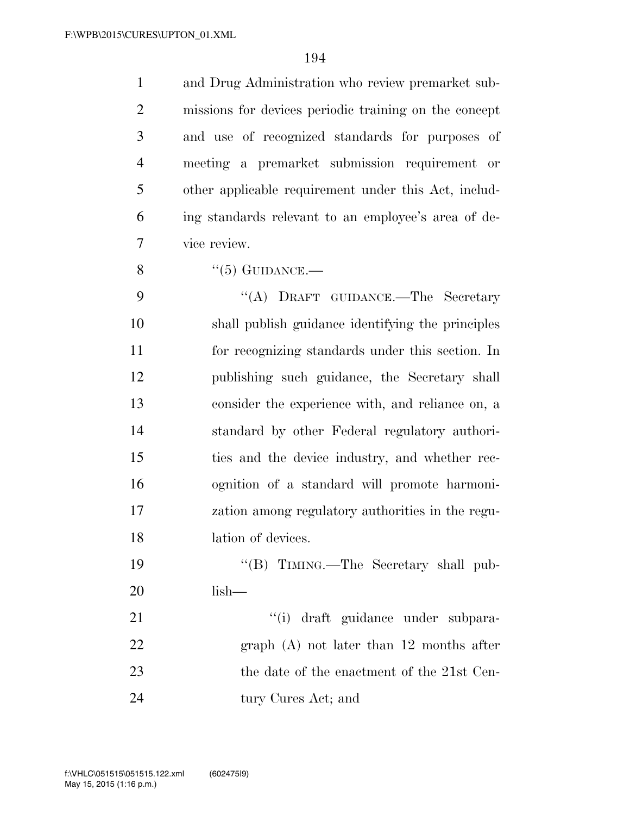and Drug Administration who review premarket sub- missions for devices periodic training on the concept and use of recognized standards for purposes of meeting a premarket submission requirement or other applicable requirement under this Act, includ- ing standards relevant to an employee's area of de- vice review.  $"(5)$  GUIDANCE.— 9 "(A) DRAFT GUIDANCE.—The Secretary

 shall publish guidance identifying the principles for recognizing standards under this section. In publishing such guidance, the Secretary shall consider the experience with, and reliance on, a standard by other Federal regulatory authori- ties and the device industry, and whether rec- ognition of a standard will promote harmoni- zation among regulatory authorities in the regu-18 lation of devices.

19 ''(B) TIMING.—The Secretary shall pub-lish—

21  $\frac{1}{2}$   $\frac{1}{2}$   $\frac{1}{2}$   $\frac{1}{2}$   $\frac{1}{2}$   $\frac{1}{2}$   $\frac{1}{2}$   $\frac{1}{2}$   $\frac{1}{2}$   $\frac{1}{2}$   $\frac{1}{2}$   $\frac{1}{2}$   $\frac{1}{2}$   $\frac{1}{2}$   $\frac{1}{2}$   $\frac{1}{2}$   $\frac{1}{2}$   $\frac{1}{2}$   $\frac{1}{2}$   $\frac{1}{2}$   $\frac{1}{2}$   $\frac{1}{2}$  graph (A) not later than 12 months after 23 the date of the enactment of the 21st Cen-24 tury Cures Act; and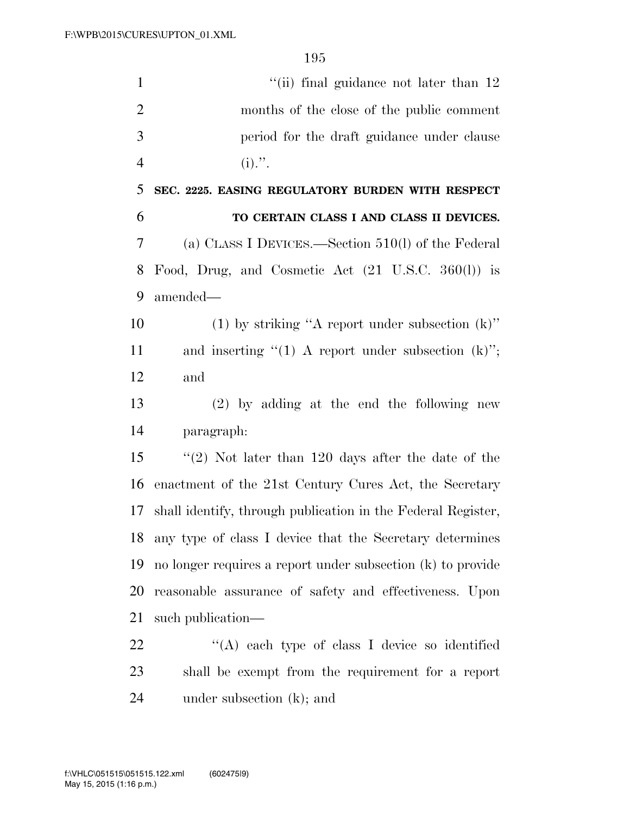| $\mathbf{1}$   | "(ii) final guidance not later than 12                        |
|----------------|---------------------------------------------------------------|
| $\overline{2}$ | months of the close of the public comment                     |
| 3              | period for the draft guidance under clause                    |
| $\overline{4}$ | $(i)$ .".                                                     |
| 5              | SEC. 2225. EASING REGULATORY BURDEN WITH RESPECT              |
| 6              | TO CERTAIN CLASS I AND CLASS II DEVICES.                      |
| 7              | (a) CLASS I DEVICES.—Section $510(l)$ of the Federal          |
| 8              | Food, Drug, and Cosmetic Act $(21 \text{ U.S.C. } 360(l))$ is |
| 9              | amended-                                                      |
| 10             | (1) by striking "A report under subsection $(k)$ "            |
| 11             | and inserting " $(1)$ A report under subsection $(k)$ ";      |
| 12             | and                                                           |
| 13             | $(2)$ by adding at the end the following new                  |
| 14             | paragraph:                                                    |
| 15             | "(2) Not later than $120$ days after the date of the          |
| 16             | enactment of the 21st Century Cures Act, the Secretary        |
| 17             | shall identify, through publication in the Federal Register,  |
| 18             | any type of class I device that the Secretary determines      |
| 19             | no longer requires a report under subsection (k) to provide   |
| 20             | reasonable assurance of safety and effectiveness. Upon        |
| 21             | such publication—                                             |
| 22             | "(A) each type of class I device so identified                |
| 23             | shall be exempt from the requirement for a report             |

under subsection (k); and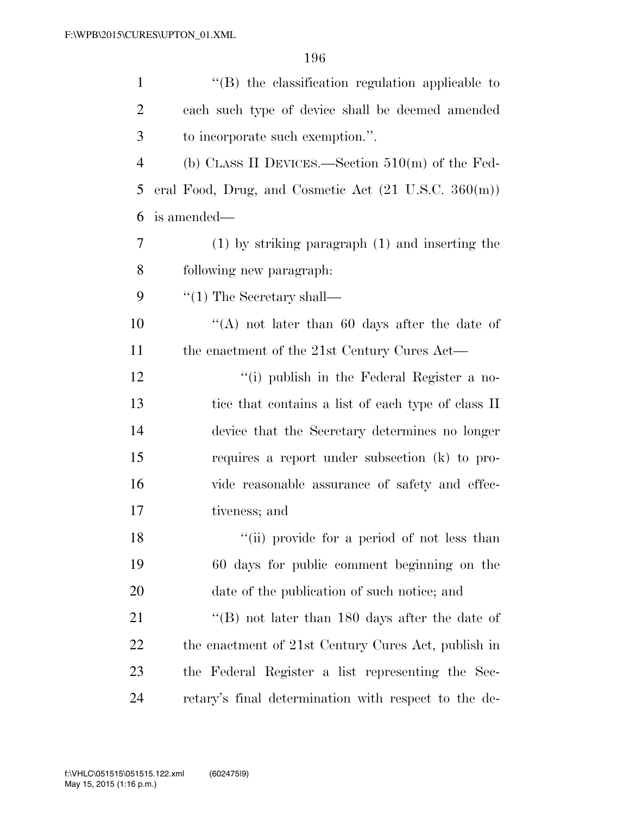| $\mathbf{1}$   | $\lq$ (B) the classification regulation applicable to                  |
|----------------|------------------------------------------------------------------------|
| $\overline{2}$ | each such type of device shall be deemed amended                       |
| 3              | to incorporate such exemption.".                                       |
| $\overline{4}$ | (b) CLASS II DEVICES.—Section $510(m)$ of the Fed-                     |
| 5              | eral Food, Drug, and Cosmetic Act $(21 \text{ U.S.C. } 360(\text{m}))$ |
| 6              | is amended—                                                            |
| 7              | $(1)$ by striking paragraph $(1)$ and inserting the                    |
| 8              | following new paragraph:                                               |
| 9              | $\lq(1)$ The Secretary shall—                                          |
| 10             | "(A) not later than 60 days after the date of                          |
| 11             | the enactment of the 21st Century Cures Act—                           |
| 12             | "(i) publish in the Federal Register a no-                             |
| 13             | tice that contains a list of each type of class II                     |
| 14             | device that the Secretary determines no longer                         |
| 15             | requires a report under subsection (k) to pro-                         |
| 16             | vide reasonable assurance of safety and effec-                         |
| 17             | tiveness; and                                                          |
| 18             | "(ii) provide for a period of not less than                            |
| 19             | 60 days for public comment beginning on the                            |
| 20             | date of the publication of such notice; and                            |
| 21             | "(B) not later than 180 days after the date of                         |
| 22             | the enactment of 21st Century Cures Act, publish in                    |
| 23             | the Federal Register a list representing the Sec-                      |
| 24             | retary's final determination with respect to the de-                   |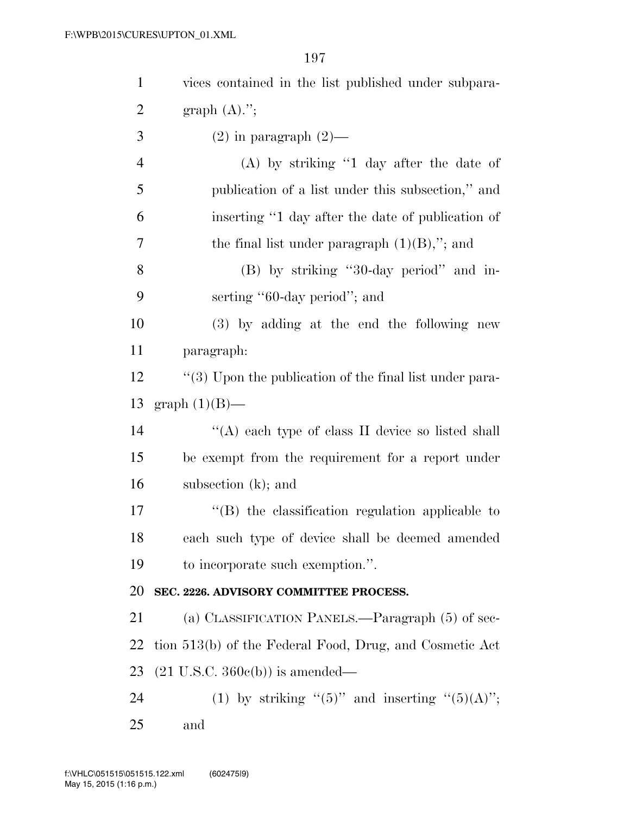| $\mathbf{1}$   | vices contained in the list published under subpara-        |
|----------------|-------------------------------------------------------------|
| $\overline{2}$ | graph $(A).$ ";                                             |
| 3              | $(2)$ in paragraph $(2)$ —                                  |
| $\overline{4}$ | $(A)$ by striking "1 day after the date of                  |
| 5              | publication of a list under this subsection," and           |
| 6              | inserting "1 day after the date of publication of           |
| 7              | the final list under paragraph $(1)(B)$ ,"; and             |
| 8              | (B) by striking "30-day period" and in-                     |
| 9              | serting "60-day period"; and                                |
| 10             | (3) by adding at the end the following new                  |
| 11             | paragraph:                                                  |
| 12             | $\lq(3)$ Upon the publication of the final list under para- |
| 13             | graph $(1)(B)$ —                                            |
| 14             | "(A) each type of class II device so listed shall           |
| 15             | be exempt from the requirement for a report under           |
| 16             | subsection $(k)$ ; and                                      |
| 17             | $\lq\lq$ the classification regulation applicable to        |
| 18             | each such type of device shall be deemed amended            |
| 19             | to incorporate such exemption.".                            |
| 20             | SEC. 2226. ADVISORY COMMITTEE PROCESS.                      |
| 21             | (a) CLASSIFICATION PANELS.—Paragraph (5) of sec-            |
| 22             | tion 513(b) of the Federal Food, Drug, and Cosmetic Act     |
| 23             | $(21 \text{ U.S.C. } 360e(b))$ is amended—                  |
| 24             | (1) by striking " $(5)$ " and inserting " $(5)(A)$ ";       |
| 25             | and                                                         |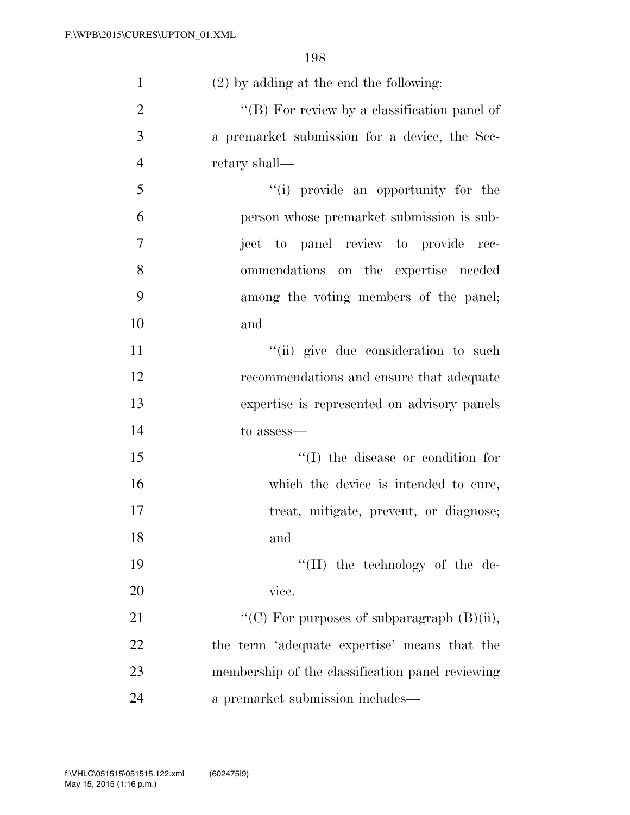| $\mathbf{1}$   | $(2)$ by adding at the end the following:        |
|----------------|--------------------------------------------------|
| $\overline{2}$ | " $(B)$ For review by a classification panel of  |
| 3              | a premarket submission for a device, the Sec-    |
| $\overline{4}$ | retary shall—                                    |
| 5              | "(i) provide an opportunity for the              |
| 6              | person whose premarket submission is sub-        |
| 7              | ject to panel review to provide rec-             |
| 8              | ommendations on the expertise needed             |
| 9              | among the voting members of the panel;           |
| 10             | and                                              |
| 11             | "(ii) give due consideration to such             |
| 12             | recommendations and ensure that adequate         |
| 13             | expertise is represented on advisory panels      |
| 14             | to assess—                                       |
| 15             | $\lq\lq$ (I) the disease or condition for        |
| 16             | which the device is intended to cure,            |
| 17             | treat, mitigate, prevent, or diagnose;           |
| 18             | and                                              |
| 19             | $\lq\lq$ (II) the technology of the de-          |
| 20             | vice.                                            |
| 21             | "(C) For purposes of subparagraph $(B)(ii)$ ,    |
| 22             | the term 'adequate expertise' means that the     |
| 23             | membership of the classification panel reviewing |
| 24             | a premarket submission includes—                 |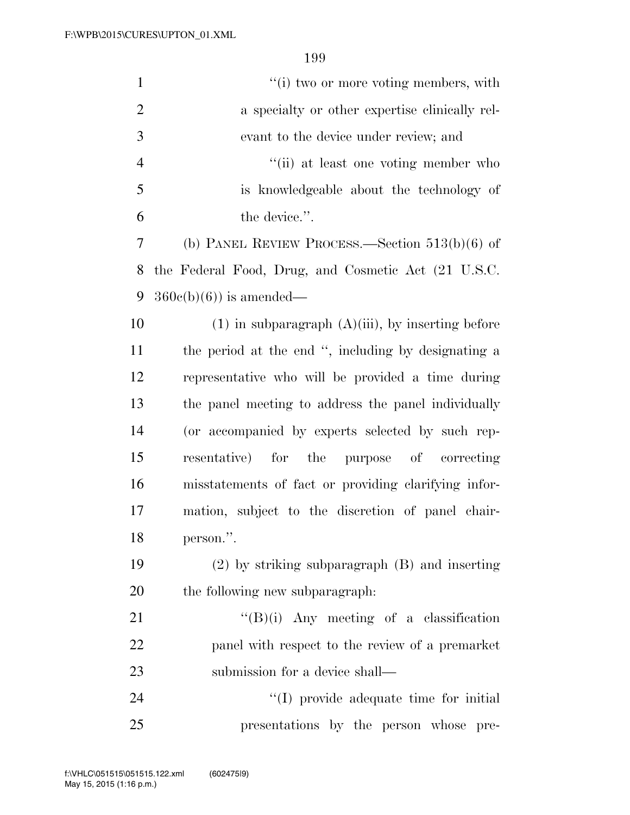| $\mathbf{1}$   | "(i) two or more voting members, with                  |
|----------------|--------------------------------------------------------|
| $\overline{2}$ | a specialty or other expertise clinically rel-         |
| 3              | evant to the device under review; and                  |
| $\overline{4}$ | "(ii) at least one voting member who                   |
| 5              | is knowledgeable about the technology of               |
| 6              | the device.".                                          |
| 7              | (b) PANEL REVIEW PROCESS.—Section $513(b)(6)$ of       |
| 8              | the Federal Food, Drug, and Cosmetic Act (21 U.S.C.    |
| 9              | $360e(b)(6)$ is amended—                               |
| 10             | $(1)$ in subparagraph $(A)(iii)$ , by inserting before |
| 11             | the period at the end ", including by designating a    |
| 12             | representative who will be provided a time during      |
| 13             | the panel meeting to address the panel individually    |
| 14             | (or accompanied by experts selected by such rep-       |
| 15             | resentative) for the purpose of correcting             |
| 16             | misstatements of fact or providing clarifying infor-   |
| 17             | mation, subject to the discretion of panel chair-      |
| 18             | person.".                                              |
| 19             | $(2)$ by striking subparagraph $(B)$ and inserting     |
| 20             | the following new subparagraph.                        |
| 21             | $\lq\lq(B)(i)$ Any meeting of a classification         |
| 22             | panel with respect to the review of a premarket        |
| 23             | submission for a device shall—                         |
| 24             | "(I) provide adequate time for initial                 |
| 25             | presentations by the person whose pre-                 |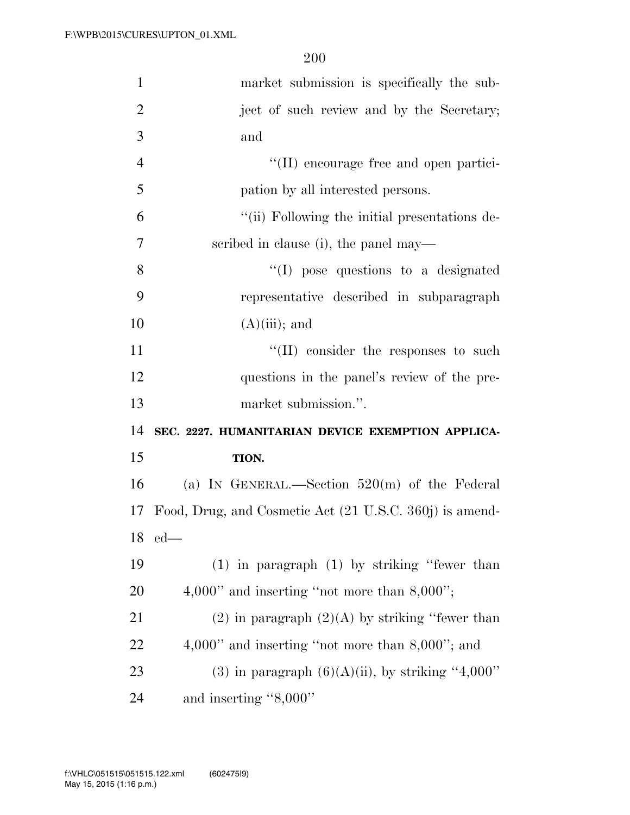| $\mathbf{1}$   | market submission is specifically the sub-              |
|----------------|---------------------------------------------------------|
| $\overline{2}$ | ject of such review and by the Secretary;               |
| 3              | and                                                     |
| $\overline{4}$ | "(II) encourage free and open partici-                  |
| 5              | pation by all interested persons.                       |
| 6              | "(ii) Following the initial presentations de-           |
| 7              | scribed in clause (i), the panel may—                   |
| 8              | "(I) pose questions to a designated                     |
| 9              | representative described in subparagraph                |
| 10             | $(A)(iii)$ ; and                                        |
| 11             | "(II) consider the responses to such                    |
| 12             | questions in the panel's review of the pre-             |
| 13             | market submission.".                                    |
|                |                                                         |
| 14             | SEC. 2227. HUMANITARIAN DEVICE EXEMPTION APPLICA-       |
| 15             | TION.                                                   |
| 16             | (a) IN GENERAL.—Section $520(m)$ of the Federal         |
| 17             | Food, Drug, and Cosmetic Act (21 U.S.C. 360j) is amend- |
|                | $18$ ed—                                                |
| 19             | $(1)$ in paragraph $(1)$ by striking "fewer than        |
| 20             | $4,000"$ and inserting "not more than $8,000"$ ;        |
| 21             | $(2)$ in paragraph $(2)(A)$ by striking "fewer than     |
| 22             | $4,000"$ and inserting "not more than $8,000"$ ; and    |
| 23             | (3) in paragraph $(6)(A)(ii)$ , by striking "4,000"     |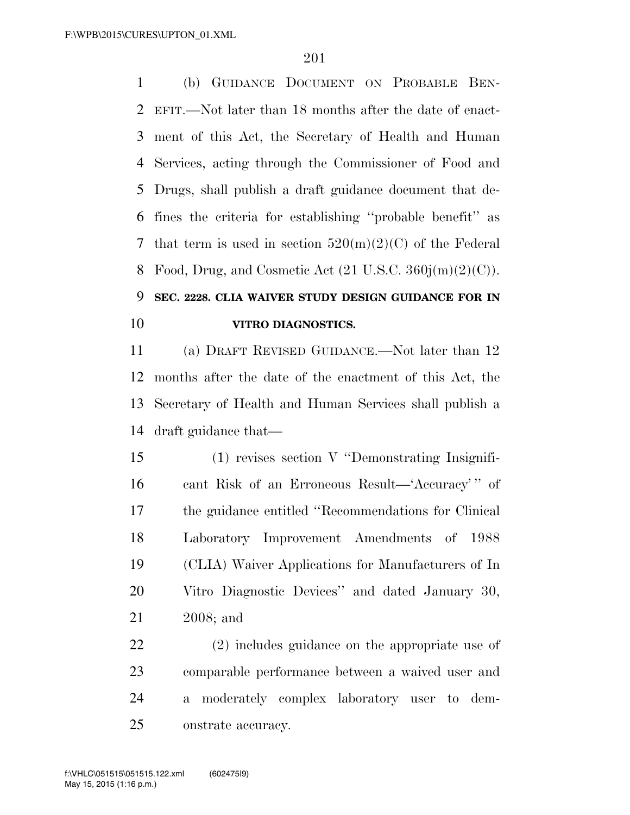(b) GUIDANCE DOCUMENT ON PROBABLE BEN- EFIT.—Not later than 18 months after the date of enact- ment of this Act, the Secretary of Health and Human Services, acting through the Commissioner of Food and Drugs, shall publish a draft guidance document that de- fines the criteria for establishing ''probable benefit'' as 7 that term is used in section  $520(m)(2)(C)$  of the Federal 8 Food, Drug, and Cosmetic Act  $(21 \text{ U.S.C. } 360j(m)(2)(C))$ .

## **SEC. 2228. CLIA WAIVER STUDY DESIGN GUIDANCE FOR IN VITRO DIAGNOSTICS.**

 (a) DRAFT REVISED GUIDANCE.—Not later than 12 months after the date of the enactment of this Act, the Secretary of Health and Human Services shall publish a draft guidance that—

 (1) revises section V ''Demonstrating Insignifi- cant Risk of an Erroneous Result—'Accuracy' '' of the guidance entitled ''Recommendations for Clinical Laboratory Improvement Amendments of 1988 (CLIA) Waiver Applications for Manufacturers of In Vitro Diagnostic Devices'' and dated January 30, 2008; and

 (2) includes guidance on the appropriate use of comparable performance between a waived user and a moderately complex laboratory user to dem-onstrate accuracy.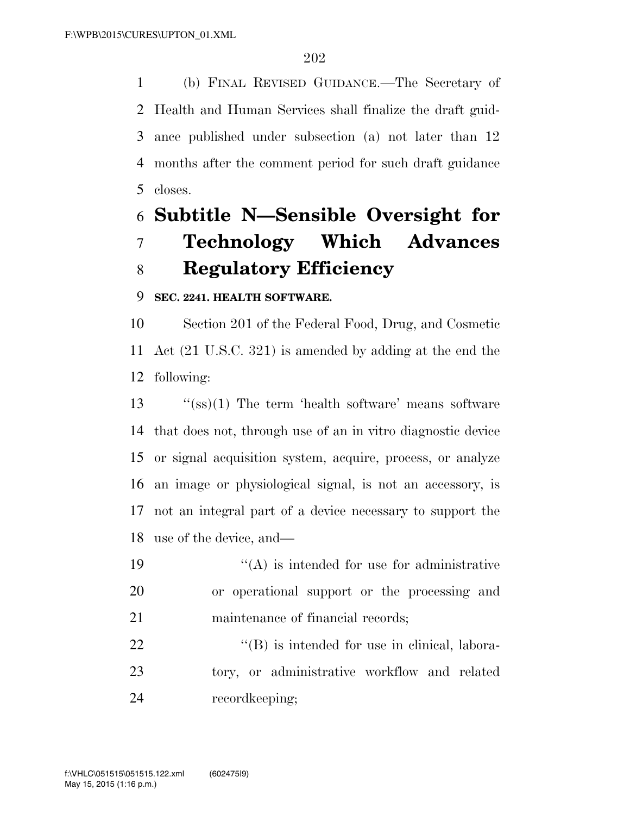(b) FINAL REVISED GUIDANCE.—The Secretary of Health and Human Services shall finalize the draft guid- ance published under subsection (a) not later than 12 months after the comment period for such draft guidance closes.

## **Subtitle N—Sensible Oversight for Technology Which Advances Regulatory Efficiency**

## **SEC. 2241. HEALTH SOFTWARE.**

 Section 201 of the Federal Food, Drug, and Cosmetic Act (21 U.S.C. 321) is amended by adding at the end the following:

 ''(ss)(1) The term 'health software' means software that does not, through use of an in vitro diagnostic device or signal acquisition system, acquire, process, or analyze an image or physiological signal, is not an accessory, is not an integral part of a device necessary to support the use of the device, and—

19  $((A)$  is intended for use for administrative or operational support or the processing and 21 maintenance of financial records;

 "(B) is intended for use in clinical, labora- tory, or administrative workflow and related recordkeeping;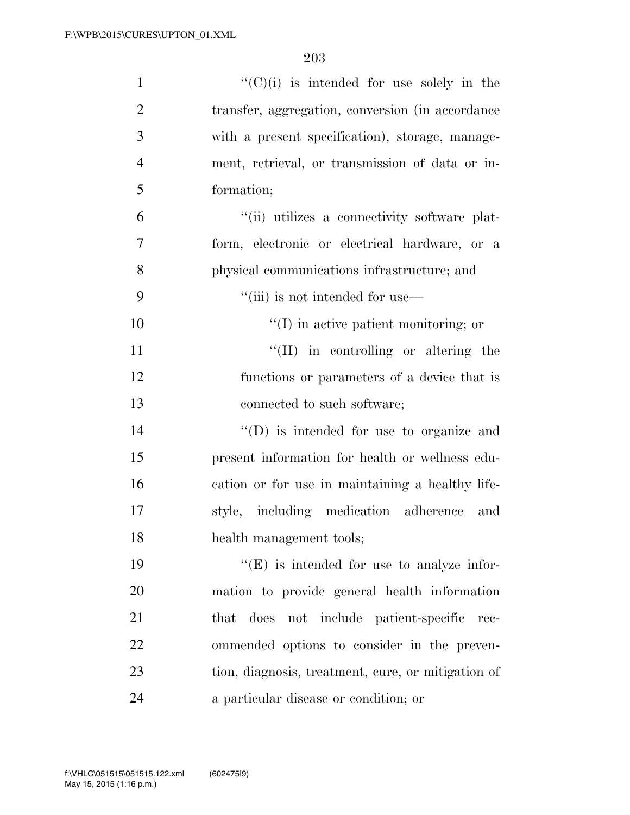| $\mathbf{1}$   | $\lq\lq$ (C)(i) is intended for use solely in the  |
|----------------|----------------------------------------------------|
| $\overline{2}$ | transfer, aggregation, conversion (in accordance)  |
| 3              | with a present specification), storage, manage-    |
| $\overline{4}$ | ment, retrieval, or transmission of data or in-    |
| 5              | formation;                                         |
| 6              | "(ii) utilizes a connectivity software plat-       |
| $\overline{7}$ | form, electronic or electrical hardware, or a      |
| 8              | physical communications infrastructure; and        |
| 9              | "(iii) is not intended for use—                    |
| 10             | $\lq\lq$ (I) in active patient monitoring; or      |
| 11             | $\lq\lq$ (II) in controlling or altering the       |
| 12             | functions or parameters of a device that is        |
| 13             | connected to such software;                        |
| 14             | $\lq\lq$ (D) is intended for use to organize and   |
| 15             | present information for health or wellness edu-    |
| 16             | cation or for use in maintaining a healthy life-   |
| 17             | style, including medication adherence<br>and       |
| 18             | health management tools;                           |
| 19             | $\lq\lq(E)$ is intended for use to analyze infor-  |
| <b>20</b>      | mation to provide general health information       |
| 21             | does not include patient-specific<br>that<br>rec-  |
| 22             | ommended options to consider in the preven-        |
| 23             | tion, diagnosis, treatment, cure, or mitigation of |
| 24             | a particular disease or condition; or              |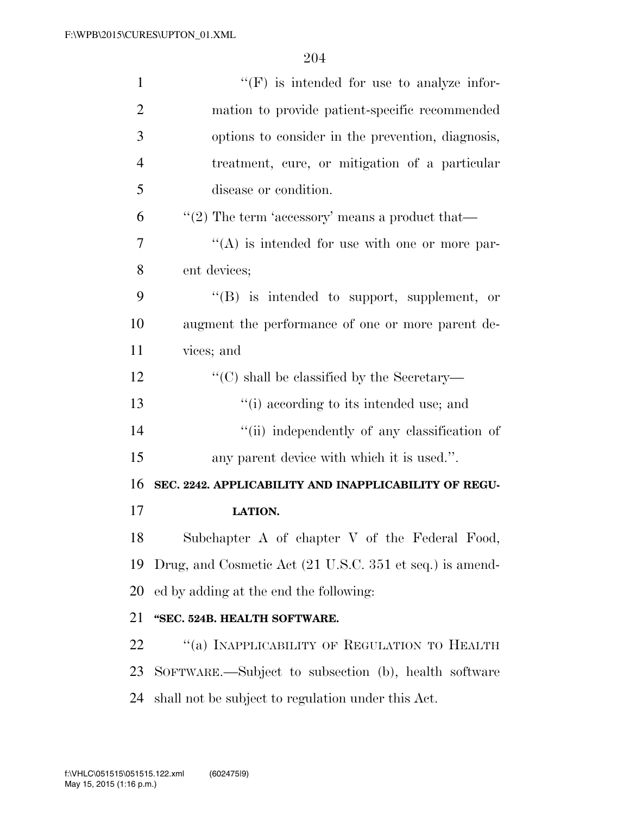| $\mathbf{1}$   | $\lq\lq(F)$ is intended for use to analyze infor-        |
|----------------|----------------------------------------------------------|
| $\overline{2}$ | mation to provide patient-specific recommended           |
| 3              | options to consider in the prevention, diagnosis,        |
| $\overline{4}$ | treatment, cure, or mitigation of a particular           |
| 5              | disease or condition.                                    |
| 6              | "(2) The term 'accessory' means a product that—          |
| 7              | $\lq\lq$ is intended for use with one or more par-       |
| 8              | ent devices;                                             |
| 9              | "(B) is intended to support, supplement, or              |
| 10             | augment the performance of one or more parent de-        |
| 11             | vices; and                                               |
| 12             | "(C) shall be classified by the Secretary—               |
| 13             | "(i) according to its intended use; and                  |
| 14             | "(ii) independently of any classification of             |
| 15             | any parent device with which it is used.".               |
| 16             | SEC. 2242. APPLICABILITY AND INAPPLICABILITY OF REGU-    |
| 17             | <b>LATION.</b>                                           |
| 18             | Subchapter A of chapter V of the Federal Food,           |
| 19             | Drug, and Cosmetic Act (21 U.S.C. 351 et seq.) is amend- |
| <b>20</b>      | ed by adding at the end the following:                   |
| 21             | "SEC. 524B. HEALTH SOFTWARE.                             |
| 22             | "(a) INAPPLICABILITY OF REGULATION TO HEALTH             |
| 23             | SOFTWARE.—Subject to subsection (b), health software     |
| 24             | shall not be subject to regulation under this Act.       |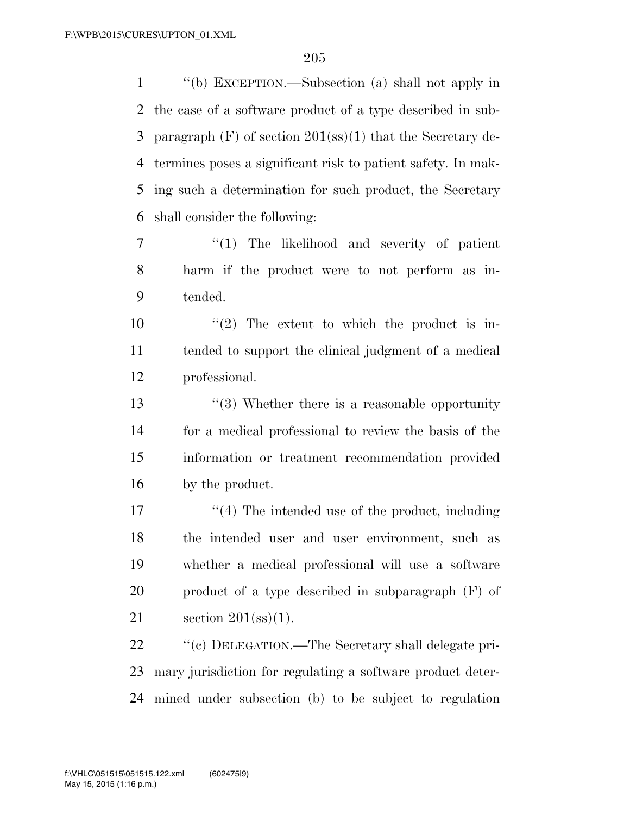''(b) EXCEPTION.—Subsection (a) shall not apply in the case of a software product of a type described in sub- paragraph (F) of section 201(ss)(1) that the Secretary de- termines poses a significant risk to patient safety. In mak- ing such a determination for such product, the Secretary shall consider the following:

7  $\frac{1}{1}$  The likelihood and severity of patient harm if the product were to not perform as in-tended.

10  $\frac{1}{2}$  The extent to which the product is in- tended to support the clinical judgment of a medical professional.

13 ''(3) Whether there is a reasonable opportunity for a medical professional to review the basis of the information or treatment recommendation provided by the product.

17 ''(4) The intended use of the product, including the intended user and user environment, such as whether a medical professional will use a software product of a type described in subparagraph (F) of section 201(ss)(1).

22  $\cdot$  "(c) DELEGATION.—The Secretary shall delegate pri- mary jurisdiction for regulating a software product deter-mined under subsection (b) to be subject to regulation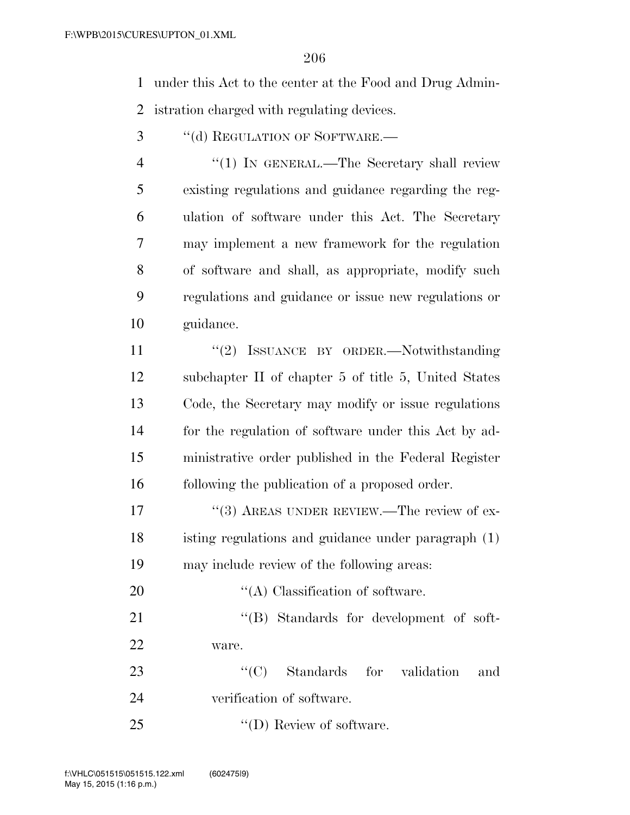under this Act to the center at the Food and Drug Admin-

istration charged with regulating devices.

3 "(d) REGULATION OF SOFTWARE.—

4 "(1) In GENERAL.—The Secretary shall review existing regulations and guidance regarding the reg- ulation of software under this Act. The Secretary may implement a new framework for the regulation of software and shall, as appropriate, modify such regulations and guidance or issue new regulations or guidance.

11 "(2) ISSUANCE BY ORDER.—Notwithstanding subchapter II of chapter 5 of title 5, United States Code, the Secretary may modify or issue regulations for the regulation of software under this Act by ad- ministrative order published in the Federal Register following the publication of a proposed order.

17 "(3) AREAS UNDER REVIEW.—The review of ex- isting regulations and guidance under paragraph (1) may include review of the following areas:

20  $\langle (A)$  Classification of software. 21 "'(B) Standards for development of soft-ware.

23  $\cdot$  (C) Standards for validation and verification of software.

25  $\text{``(D) Review of software.}$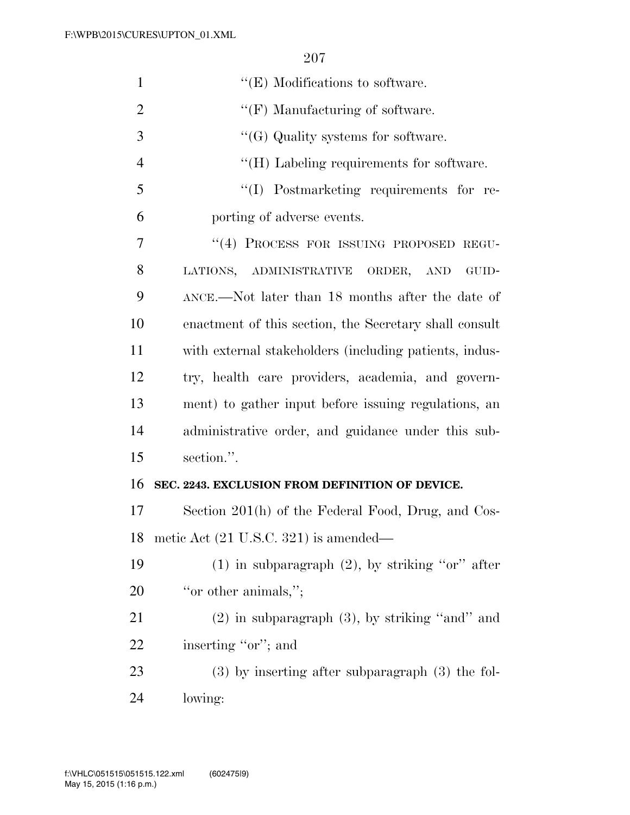| $\mathbf{1}$   | $\lq\lq(E)$ Modifications to software.                 |
|----------------|--------------------------------------------------------|
| $\overline{2}$ | $\lq\lq(F)$ Manufacturing of software.                 |
| 3              | $\lq\lq(G)$ Quality systems for software.              |
| $\overline{4}$ | $\lq\lq(H)$ Labeling requirements for software.        |
| 5              | "(I) Postmarketing requirements for re-                |
| 6              | porting of adverse events.                             |
| 7              | "(4) PROCESS FOR ISSUING PROPOSED REGU-                |
| 8              | LATIONS, ADMINISTRATIVE ORDER,<br>AND<br>GUID-         |
| 9              | ANCE.—Not later than 18 months after the date of       |
| 10             | enactment of this section, the Secretary shall consult |
| 11             | with external stakeholders (including patients, indus- |
| 12             | try, health care providers, academia, and govern-      |
| 13             | ment) to gather input before issuing regulations, an   |
| 14             | administrative order, and guidance under this sub-     |
| 15             | section.".                                             |
| 16             | SEC. 2243. EXCLUSION FROM DEFINITION OF DEVICE.        |
| 17             | Section 201(h) of the Federal Food, Drug, and Cos-     |
| 18             | metic Act (21 U.S.C. 321) is amended—                  |
| 19             | $(1)$ in subparagraph $(2)$ , by striking "or" after   |
| 20             | "or other animals,";                                   |
| 21             | $(2)$ in subparagraph $(3)$ , by striking "and" and    |
| 22             | inserting "or"; and                                    |
| 23             | $(3)$ by inserting after subparagraph $(3)$ the fol-   |
| 24             | lowing:                                                |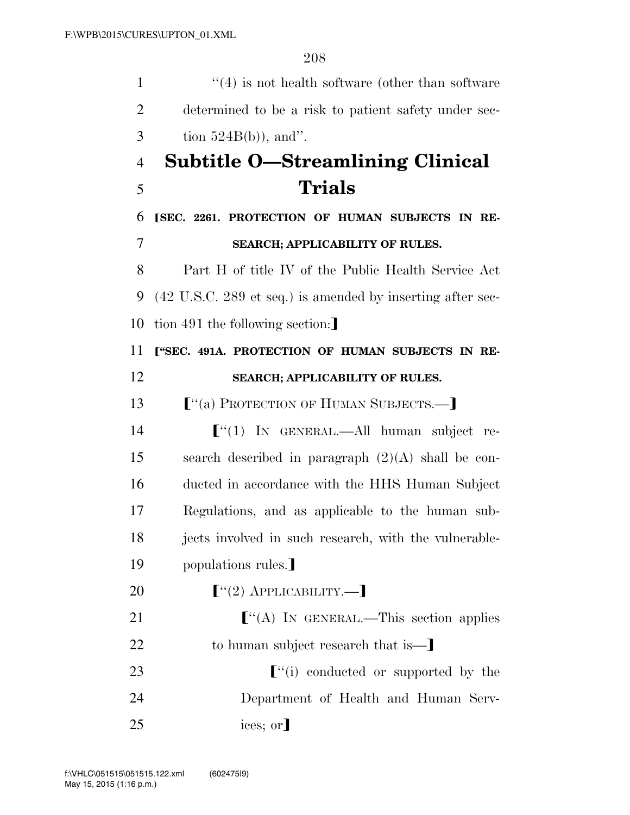| $\mathbf{1}$   | $\cdot$ (4) is not health software (other than software    |
|----------------|------------------------------------------------------------|
| $\overline{2}$ | determined to be a risk to patient safety under sec-       |
| 3              | tion $524B(b)$ , and".                                     |
| $\overline{4}$ | <b>Subtitle O-Streamlining Clinical</b>                    |
| 5              | Trials                                                     |
| 6              | [SEC. 2261. PROTECTION OF HUMAN SUBJECTS IN RE-            |
| 7              | SEARCH; APPLICABILITY OF RULES.                            |
| 8              | Part H of title IV of the Public Health Service Act        |
| 9              | (42 U.S.C. 289 et seq.) is amended by inserting after sec- |
| 10             | tion 491 the following section:                            |
| 11             | ["SEC. 491A. PROTECTION OF HUMAN SUBJECTS IN RE-           |
| 12             | <b>SEARCH; APPLICABILITY OF RULES.</b>                     |
| 13             | ["(a) PROTECTION OF HUMAN SUBJECTS.—]                      |
| 14             | $\lbrack$ (1) IN GENERAL.—All human subject re-            |
| 15             | search described in paragraph $(2)(A)$ shall be con-       |
| 16             | ducted in accordance with the HHS Human Subject            |
| 17             | Regulations, and as applicable to the human sub-           |
| 18             | jects involved in such research, with the vulnerable-      |
| 19             | populations rules.                                         |
| 20             | $[\cdot(2)$ APPLICABILITY.—]                               |
| 21             | $\lbrack$ "(A) IN GENERAL.—This section applies            |
| 22             | to human subject research that is—                         |
| 23             | $\lfloor$ "(i) conducted or supported by the               |
| 24             | Department of Health and Human Serv-                       |
| 25             | ices; or                                                   |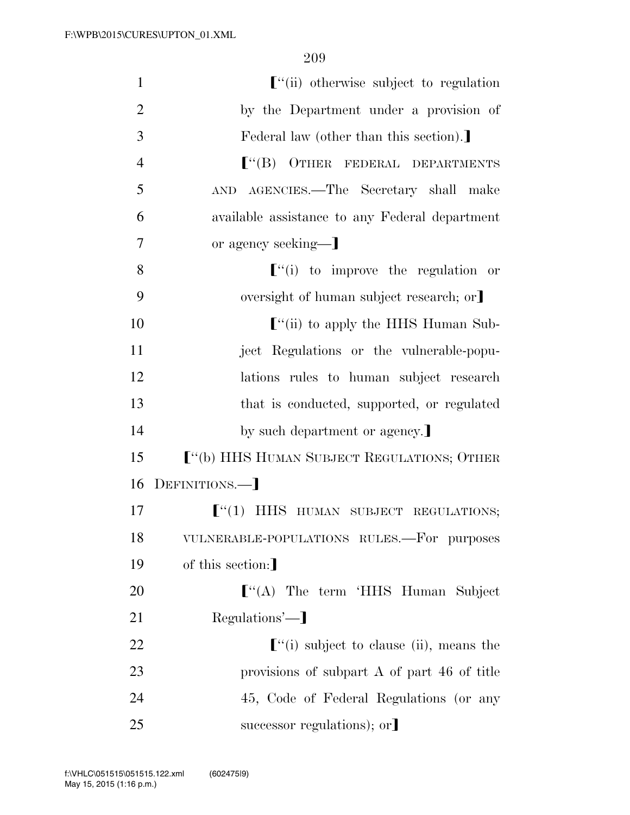| $\mathbf{1}$   | $\lbrack$ "(ii) otherwise subject to regulation              |
|----------------|--------------------------------------------------------------|
| $\overline{2}$ | by the Department under a provision of                       |
| 3              | Federal law (other than this section).                       |
| $\overline{4}$ | $\lceil$ "(B) OTHER FEDERAL DEPARTMENTS                      |
| 5              | AND AGENCIES.—The Secretary shall make                       |
| 6              | available assistance to any Federal department               |
| 7              | or agency seeking—]                                          |
| 8              | $\lbrack$ "(i) to improve the regulation or                  |
| 9              | oversight of human subject research; or                      |
| 10             | $\lbrack$ "(ii) to apply the HHS Human Sub-                  |
| 11             | ject Regulations or the vulnerable-popu-                     |
| 12             | lations rules to human subject research                      |
| 13             | that is conducted, supported, or regulated                   |
| 14             | by such department or agency.                                |
| 15             | ["(b) HHS HUMAN SUBJECT REGULATIONS; OTHER                   |
| 16             | DEFINITIONS.-                                                |
| 17             | $\lbrack$ (1) HHS HUMAN SUBJECT REGULATIONS;                 |
| 18             | VULNERABLE-POPULATIONS RULES.-For purposes                   |
| 19             | of this section:]                                            |
| 20             | $\lbrack$ "(A) The term 'HHS Human Subject                   |
| 21             | Regulations'—                                                |
| 22             | $\lbrack$ <sup>"</sup> (i) subject to clause (ii), means the |
| 23             | provisions of subpart A of part 46 of title                  |
| 24             | 45, Code of Federal Regulations (or any                      |
| 25             | successor regulations); or                                   |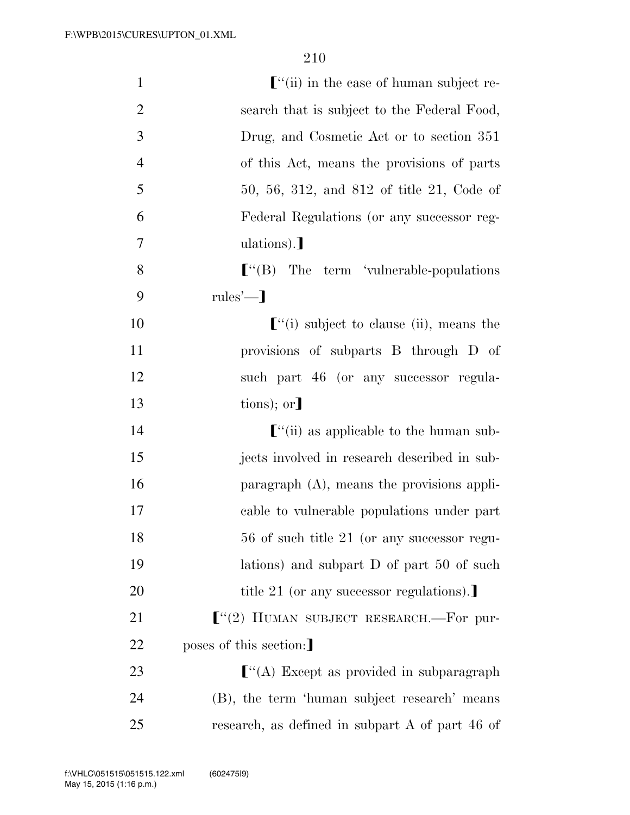| $\mathbf{1}$   | $\lbrack$ "(ii) in the case of human subject re-  |
|----------------|---------------------------------------------------|
| $\overline{2}$ | search that is subject to the Federal Food,       |
| 3              | Drug, and Cosmetic Act or to section 351          |
| $\overline{4}$ | of this Act, means the provisions of parts        |
| 5              | 50, 56, 312, and 812 of title 21, Code of         |
| 6              | Federal Regulations (or any successor reg-        |
| 7              | ulations).                                        |
| 8              |                                                   |
| 9              | $rules'$ —                                        |
| 10             | $\lbrack$ "(i) subject to clause (ii), means the  |
| 11             | provisions of subparts B through D of             |
| 12             | such part 46 (or any successor regula-            |
| 13             | $\text{tions}$ ; or]                              |
| 14             | $\lbrack$ "(ii) as applicable to the human sub-   |
| 15             | jects involved in research described in sub-      |
| 16             | paragraph $(A)$ , means the provisions appli-     |
| 17             | cable to vulnerable populations under part        |
| 18             | 56 of such title 21 (or any successor regu-       |
| 19             | lations) and subpart $D$ of part $50$ of such     |
| 20             | title 21 (or any successor regulations).          |
| 21             | $\lbrack$ "(2) HUMAN SUBJECT RESEARCH.—For pur-   |
| 22             | poses of this section:                            |
| 23             | $\lbrack$ "(A) Except as provided in subparagraph |
| 24             | (B), the term 'human subject research' means      |
| 25             | research, as defined in subpart A of part 46 of   |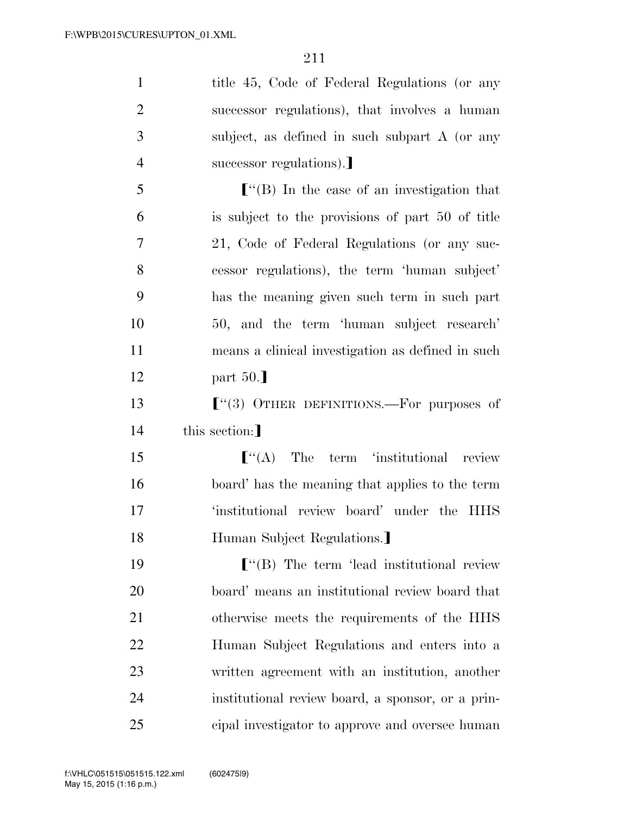| $\mathbf{1}$   | title 45, Code of Federal Regulations (or any      |
|----------------|----------------------------------------------------|
| $\overline{2}$ | successor regulations), that involves a human      |
| 3              | subject, as defined in such subpart A (or any      |
| $\overline{4}$ | successor regulations).                            |
| 5              |                                                    |
| 6              | is subject to the provisions of part 50 of title   |
| $\overline{7}$ | 21, Code of Federal Regulations (or any suc-       |
| 8              | cessor regulations), the term 'human subject'      |
| 9              | has the meaning given such term in such part       |
| 10             | 50, and the term 'human subject research'          |
| 11             | means a clinical investigation as defined in such  |
| 12             | part $50.$                                         |
| 13             | $\lbrack$ (3) OTHER DEFINITIONS.—For purposes of   |
| 14             | this section:                                      |
| 15             | $\lbrack$ (A) The term 'institutional review       |
| 16             | board' has the meaning that applies to the term    |
| 17             | 'institutional review board' under the HHS         |
| 18             | Human Subject Regulations.]                        |
| 19             | $\lbrack$ "(B) The term 'lead institutional review |
| 20             | board' means an institutional review board that    |
| 21             | otherwise meets the requirements of the HHS        |
| 22             | Human Subject Regulations and enters into a        |
| 23             | written agreement with an institution, another     |
| 24             | institutional review board, a sponsor, or a prin-  |
| 25             | cipal investigator to approve and oversee human    |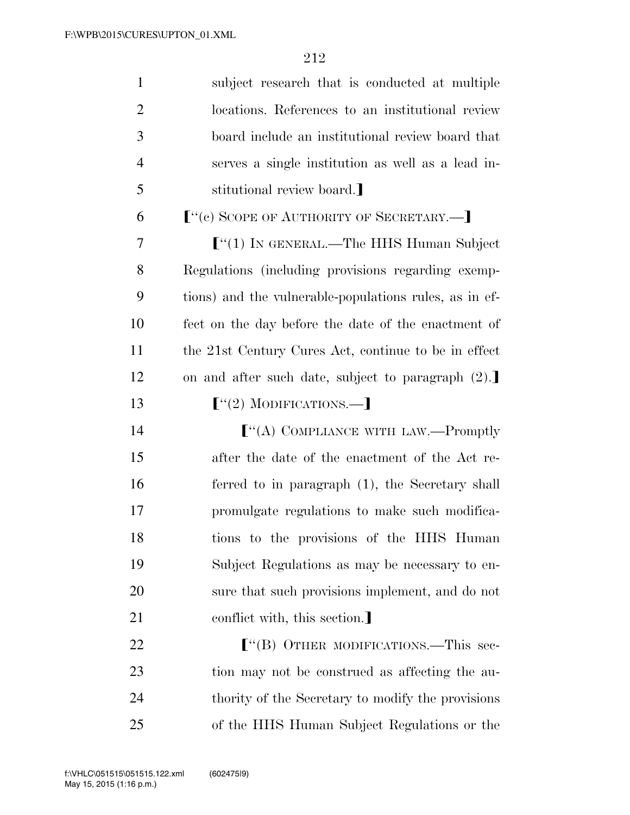| $\mathbf{1}$   | subject research that is conducted at multiple         |
|----------------|--------------------------------------------------------|
| $\overline{c}$ | locations. References to an institutional review       |
| 3              | board include an institutional review board that       |
| $\overline{4}$ | serves a single institution as well as a lead in-      |
| 5              | stitutional review board.                              |
| 6              | $[$ "(c) SCOPE OF AUTHORITY OF SECRETARY.— $]$         |
| 7              | $\lbrack$ "(1) In GENERAL.—The HHS Human Subject       |
| 8              | Regulations (including provisions regarding exemp-     |
| 9              | tions) and the vulnerable-populations rules, as in ef- |
| 10             | fect on the day before the date of the enactment of    |
| 11             | the 21st Century Cures Act, continue to be in effect   |
| 12             | on and after such date, subject to paragraph (2).      |
| 13             | $[$ "(2) MODIFICATIONS.—                               |
| 14             | $\lbrack$ "(A) COMPLIANCE WITH LAW.—Promptly           |
| 15             | after the date of the enactment of the Act re-         |
| 16             | ferred to in paragraph (1), the Secretary shall        |
| $17\,$         | promulgate regulations to make such modifica-          |
| 18             | tions to the provisions of the HHS Human               |
| 19             | Subject Regulations as may be necessary to en-         |
| 20             | sure that such provisions implement, and do not        |
| 21             | conflict with, this section.                           |
| 22             |                                                        |
| 23             | tion may not be construed as affecting the au-         |
| 24             | thority of the Secretary to modify the provisions      |
| 25             | of the HHS Human Subject Regulations or the            |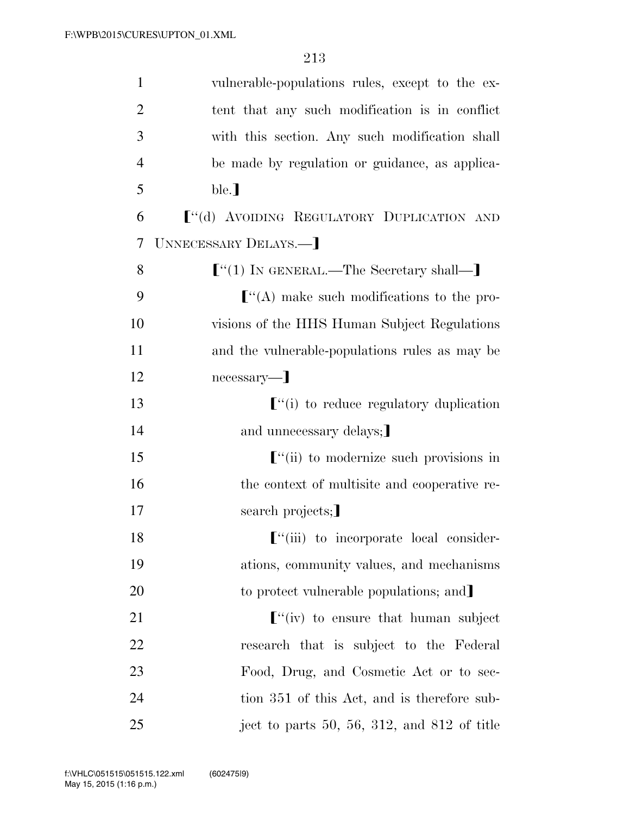| $\mathbf{1}$   | vulnerable-populations rules, except to the ex-                                                   |
|----------------|---------------------------------------------------------------------------------------------------|
| $\overline{2}$ | tent that any such modification is in conflict                                                    |
| 3              | with this section. Any such modification shall                                                    |
| $\overline{4}$ | be made by regulation or guidance, as applica-                                                    |
| 5              | ble.]                                                                                             |
| 6              | ["(d) AVOIDING REGULATORY DUPLICATION AND                                                         |
| 7              | UNNECESSARY DELAYS.-                                                                              |
| 8              | $[$ "(1) In GENERAL.—The Secretary shall—]                                                        |
| 9              | $\lbrack$ "(A) make such modifications to the pro-                                                |
| 10             | visions of the HHS Human Subject Regulations                                                      |
| 11             | and the vulnerable-populations rules as may be                                                    |
| 12             | necessary—]                                                                                       |
| 13             | $\lbrack$ "(i) to reduce regulatory duplication                                                   |
| 14             | and unnecessary delays;                                                                           |
| 15             | $\lbrack$ "(ii) to modernize such provisions in                                                   |
| 16             | the context of multisite and cooperative re-                                                      |
| 17             | search projects;                                                                                  |
| 18             | $\lbrack$ "(iii) to incorporate local consider-                                                   |
| 19             | ations, community values, and mechanisms                                                          |
| 20             | to protect vulnerable populations; and                                                            |
| 21             | $\left[ \begin{array}{cc} \n\cdots & \n\cdots \n\end{array} \right]$ to ensure that human subject |
| 22             | research that is subject to the Federal                                                           |
| 23             | Food, Drug, and Cosmetic Act or to sec-                                                           |
| 24             | tion 351 of this Act, and is therefore sub-                                                       |
| 25             | ject to parts 50, 56, 312, and 812 of title                                                       |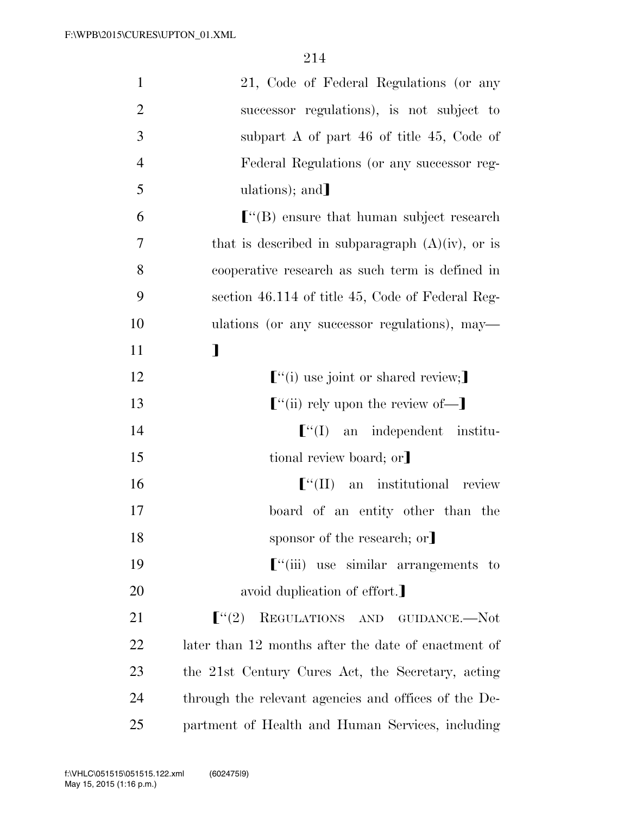| $\mathbf{1}$   | 21, Code of Federal Regulations (or any                |
|----------------|--------------------------------------------------------|
| $\overline{2}$ | successor regulations), is not subject to              |
| 3              | subpart A of part $46$ of title $45$ , Code of         |
| $\overline{4}$ | Federal Regulations (or any successor reg-             |
| 5              | ulations); and                                         |
| 6              | $\lbrack$ (B) ensure that human subject research       |
| 7              | that is described in subparagraph $(A)(iv)$ , or is    |
| 8              | cooperative research as such term is defined in        |
| 9              | section 46.114 of title 45, Code of Federal Reg-       |
| 10             | ulations (or any successor regulations), may—          |
| 11             | $\mathbf l$                                            |
| 12             | $\lbrack$ <sup>"</sup> (i) use joint or shared review; |
| 13             | $\lbrack$ "(ii) rely upon the review of—]              |
| 14             | $\lbrack$ "(I) an independent institu-                 |
| 15             | tional review board; or]                               |
| 16             | $\lbrack$ <sup>"</sup> (II) an institutional review    |
| 17             | board of an entity other than the                      |
| 18             | sponsor of the research; or                            |
| 19             | $\left[$ "(iii) use similar arrangements to            |
| 20             | avoid duplication of effort.                           |
| 21             | $\lfloor$ "(2)<br>REGULATIONS AND GUIDANCE.-Not        |
| 22             | later than 12 months after the date of enactment of    |
| 23             | the 21st Century Cures Act, the Secretary, acting      |
| 24             | through the relevant agencies and offices of the De-   |
| 25             | partment of Health and Human Services, including       |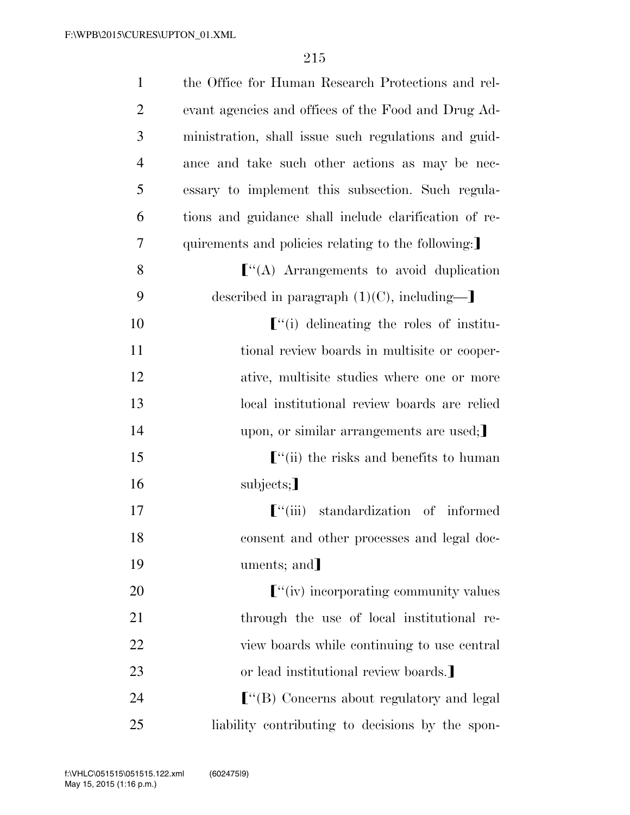| $\mathbf{1}$   | the Office for Human Research Protections and rel-    |
|----------------|-------------------------------------------------------|
| $\overline{2}$ | evant agencies and offices of the Food and Drug Ad-   |
| 3              | ministration, shall issue such regulations and guid-  |
| $\overline{4}$ | ance and take such other actions as may be nec-       |
| 5              | essary to implement this subsection. Such regula-     |
| 6              | tions and guidance shall include clarification of re- |
| 7              | quirements and policies relating to the following:    |
| 8              | $\lbrack$ "(A) Arrangements to avoid duplication      |
| 9              | described in paragraph $(1)(C)$ , including-          |
| 10             | $\lbrack$ "(i) delineating the roles of institu-      |
| 11             | tional review boards in multisite or cooper-          |
| 12             | ative, multisite studies where one or more            |
| 13             | local institutional review boards are relied          |
| 14             | upon, or similar arrangements are used;               |
| 15             | $\lbrack$ "(ii) the risks and benefits to human       |
| 16             | subjects;                                             |
| 17             | $\lbrack$ "(iii) standardization of informed          |
| 18             | consent and other processes and legal doc-            |
| 19             | uments; and                                           |
| 20             | $\lbrack$ "(iv) incorporating community values        |
| 21             | through the use of local institutional re-            |
| 22             | view boards while continuing to use central           |
| 23             | or lead institutional review boards.                  |
| 24             |                                                       |
| 25             | liability contributing to decisions by the spon-      |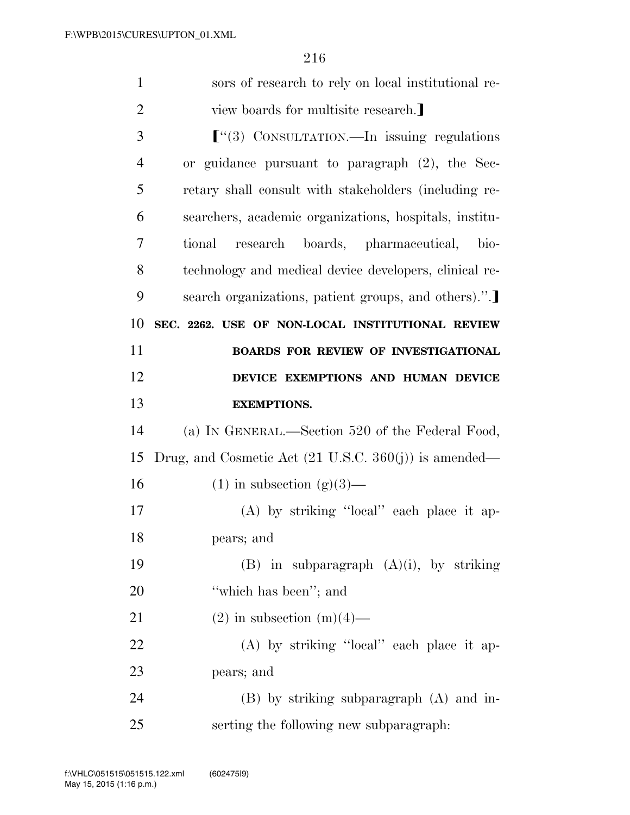| $\mathbf{1}$   | sors of research to rely on local institutional re-              |
|----------------|------------------------------------------------------------------|
| $\overline{2}$ | view boards for multisite research.                              |
| 3              | $\lbrack$ (3) CONSULTATION.—In issuing regulations               |
| $\overline{4}$ | or guidance pursuant to paragraph (2), the Sec-                  |
| 5              | retary shall consult with stakeholders (including re-            |
| 6              | searchers, academic organizations, hospitals, institu-           |
| 7              | research boards, pharmaceutical,<br>tional<br>bio-               |
| 8              | technology and medical device developers, clinical re-           |
| 9              | search organizations, patient groups, and others).".             |
| 10             | SEC. 2262. USE OF NON-LOCAL INSTITUTIONAL REVIEW                 |
| 11             | <b>BOARDS FOR REVIEW OF INVESTIGATIONAL</b>                      |
| 12             | DEVICE EXEMPTIONS AND HUMAN DEVICE                               |
| 13             | <b>EXEMPTIONS.</b>                                               |
|                |                                                                  |
| 14             | (a) IN GENERAL.—Section 520 of the Federal Food,                 |
| 15             | Drug, and Cosmetic Act $(21 \text{ U.S.C. } 360(j))$ is amended— |
| 16             | $(1)$ in subsection $(g)(3)$ —                                   |
| 17             | (A) by striking "local" each place it ap-                        |
| 18             | pears; and                                                       |
| 19             | $(B)$ in subparagraph $(A)(i)$ , by striking                     |
| 20             | "which has been"; and                                            |
| 21             | $(2)$ in subsection $(m)(4)$ —                                   |
| 22             | (A) by striking "local" each place it ap-                        |
| 23             | pears; and                                                       |
| 24             | $(B)$ by striking subparagraph $(A)$ and in-                     |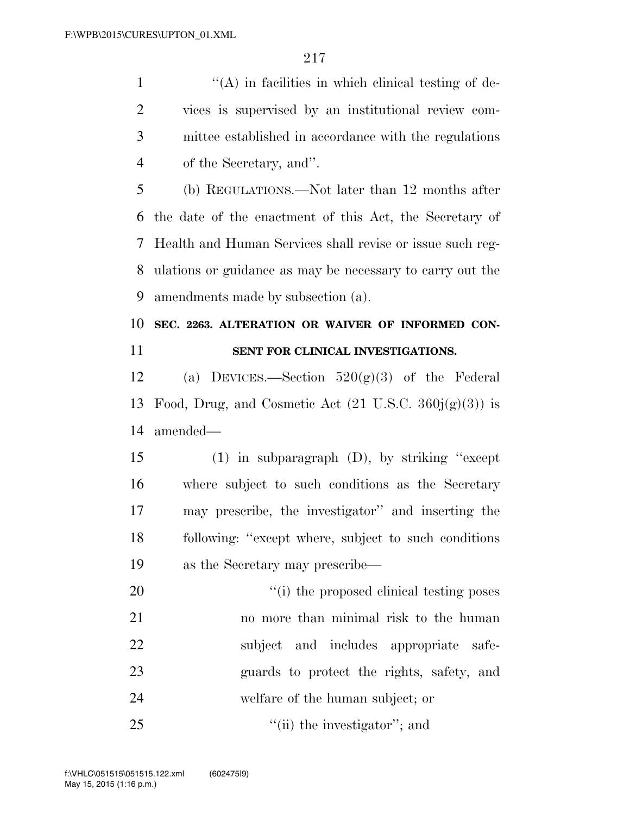1 ''(A) in facilities in which clinical testing of de- vices is supervised by an institutional review com- mittee established in accordance with the regulations of the Secretary, and''.

 (b) REGULATIONS.—Not later than 12 months after the date of the enactment of this Act, the Secretary of Health and Human Services shall revise or issue such reg- ulations or guidance as may be necessary to carry out the amendments made by subsection (a).

### **SEC. 2263. ALTERATION OR WAIVER OF INFORMED CON-SENT FOR CLINICAL INVESTIGATIONS.**

12 (a) DEVICES.—Section  $520(g)(3)$  of the Federal 13 Food, Drug, and Cosmetic Act  $(21 \text{ U.S.C. } 360j(g)(3))$  is amended—

 (1) in subparagraph (D), by striking ''except where subject to such conditions as the Secretary may prescribe, the investigator'' and inserting the following: ''except where, subject to such conditions as the Secretary may prescribe—

 $\frac{1}{20}$  The proposed clinical testing poses no more than minimal risk to the human subject and includes appropriate safe- guards to protect the rights, safety, and welfare of the human subject; or  $\frac{1}{\sin(\pi)}$  the investigator''; and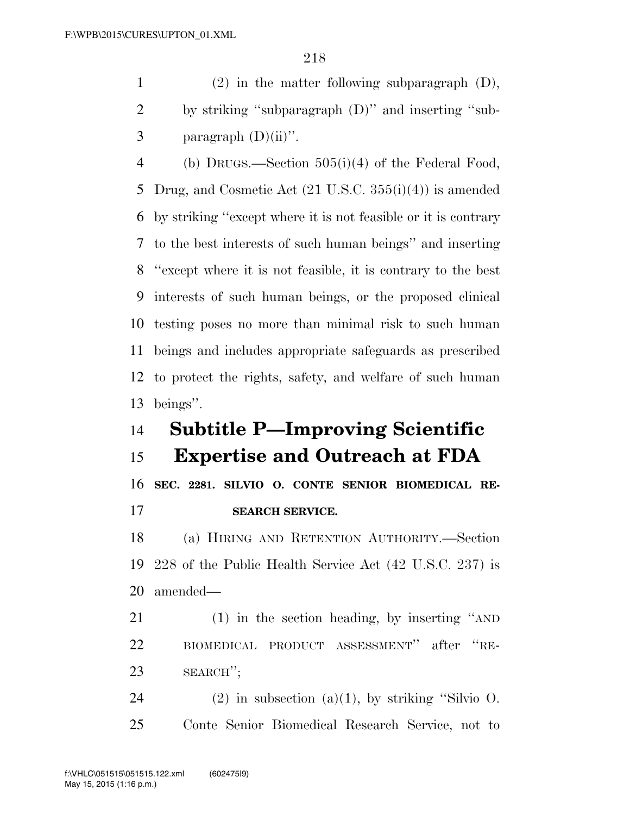(2) in the matter following subparagraph (D), by striking ''subparagraph (D)'' and inserting ''sub-3 paragraph  $(D)(ii)$ ".

 (b) DRUGS.—Section 505(i)(4) of the Federal Food, Drug, and Cosmetic Act (21 U.S.C. 355(i)(4)) is amended by striking ''except where it is not feasible or it is contrary to the best interests of such human beings'' and inserting ''except where it is not feasible, it is contrary to the best interests of such human beings, or the proposed clinical testing poses no more than minimal risk to such human beings and includes appropriate safeguards as prescribed to protect the rights, safety, and welfare of such human beings''.

## **Subtitle P—Improving Scientific**

### **Expertise and Outreach at FDA**

 **SEC. 2281. SILVIO O. CONTE SENIOR BIOMEDICAL RE-SEARCH SERVICE.** 

 (a) HIRING AND RETENTION AUTHORITY.—Section 228 of the Public Health Service Act (42 U.S.C. 237) is amended—

 (1) in the section heading, by inserting ''AND BIOMEDICAL PRODUCT ASSESSMENT'' after ''RE-SEARCH'';

24 (2) in subsection (a)(1), by striking "Silvio  $\overline{O}$ . Conte Senior Biomedical Research Service, not to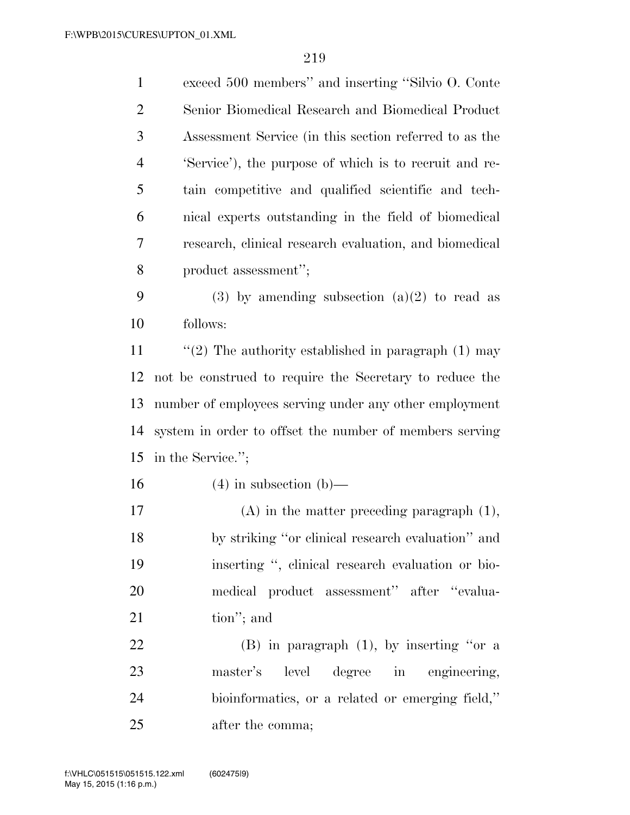| $\mathbf{1}$   | exceed 500 members" and inserting "Silvio O. Conte      |
|----------------|---------------------------------------------------------|
| $\overline{2}$ | Senior Biomedical Research and Biomedical Product       |
| 3              | Assessment Service (in this section referred to as the  |
| $\overline{4}$ | 'Service'), the purpose of which is to recruit and re-  |
| 5              | tain competitive and qualified scientific and tech-     |
| 6              | nical experts outstanding in the field of biomedical    |
| 7              | research, clinical research evaluation, and biomedical  |
| 8              | product assessment";                                    |
| 9              | $(3)$ by amending subsection $(a)(2)$ to read as        |
| 10             | follows:                                                |
| 11             | "(2) The authority established in paragraph $(1)$ may   |
| 12             | not be construed to require the Secretary to reduce the |
| 13             | number of employees serving under any other employment  |
| 14             | system in order to offset the number of members serving |
| 15             | in the Service.";                                       |
| 16             | $(4)$ in subsection $(b)$ —                             |
| 17             | $(A)$ in the matter preceding paragraph $(1)$ ,         |
| 18             | by striking "or clinical research evaluation" and       |
| 19             | inserting ", clinical research evaluation or bio-       |
| 20             | medical product assessment" after "evalua-              |
| 21             | tion"; and                                              |
| 22             | $(B)$ in paragraph $(1)$ , by inserting "or a           |
| 23             | level degree in engineering,<br>master's                |
| 24             | bioinformatics, or a related or emerging field,"        |
| 25             | after the comma;                                        |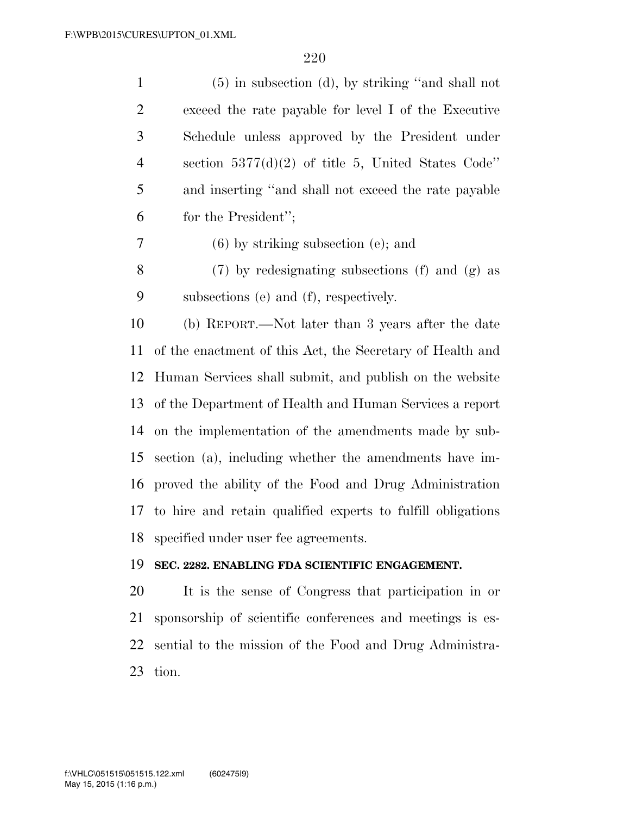(5) in subsection (d), by striking ''and shall not exceed the rate payable for level I of the Executive Schedule unless approved by the President under section 5377(d)(2) of title 5, United States Code'' and inserting ''and shall not exceed the rate payable for the President'';

(6) by striking subsection (e); and

 (7) by redesignating subsections (f) and (g) as subsections (e) and (f), respectively.

 (b) REPORT.—Not later than 3 years after the date of the enactment of this Act, the Secretary of Health and Human Services shall submit, and publish on the website of the Department of Health and Human Services a report on the implementation of the amendments made by sub- section (a), including whether the amendments have im- proved the ability of the Food and Drug Administration to hire and retain qualified experts to fulfill obligations specified under user fee agreements.

#### **SEC. 2282. ENABLING FDA SCIENTIFIC ENGAGEMENT.**

 It is the sense of Congress that participation in or sponsorship of scientific conferences and meetings is es- sential to the mission of the Food and Drug Administra-tion.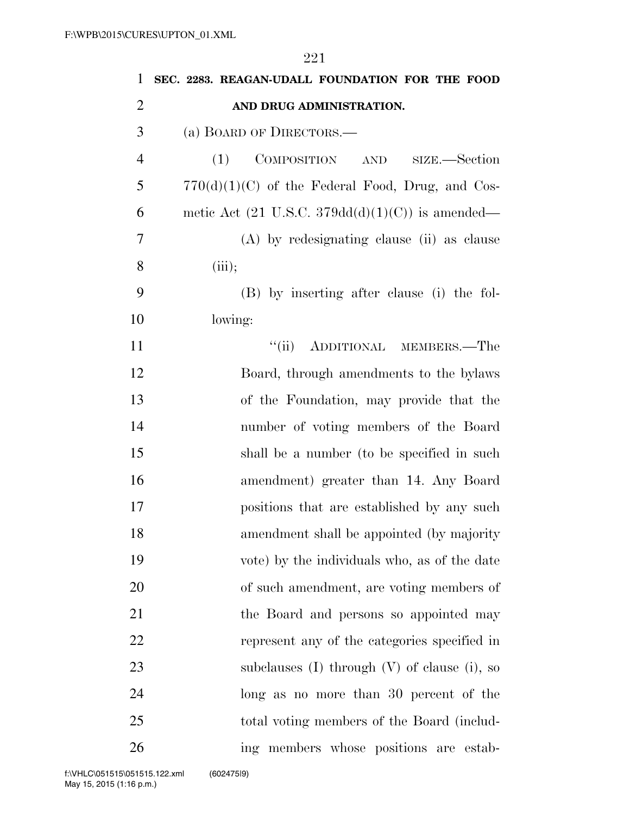**SEC. 2283. REAGAN-UDALL FOUNDATION FOR THE FOOD AND DRUG ADMINISTRATION.**  (a) BOARD OF DIRECTORS.— (1) COMPOSITION AND SIZE.—Section  $5 \qquad 770(d)(1)(C)$  of the Federal Food, Drug, and Cos-6 metic Act  $(21 \text{ U.S.C. } 379\text{dd}(d)(1)(C))$  is amended— (A) by redesignating clause (ii) as clause (iii); (B) by inserting after clause (i) the fol- lowing: 11 ''(ii) ADDITIONAL MEMBERS.—The Board, through amendments to the bylaws of the Foundation, may provide that the number of voting members of the Board shall be a number (to be specified in such amendment) greater than 14. Any Board positions that are established by any such amendment shall be appointed (by majority vote) by the individuals who, as of the date of such amendment, are voting members of the Board and persons so appointed may represent any of the categories specified in subclauses (I) through (V) of clause (i), so long as no more than 30 percent of the total voting members of the Board (includ-ing members whose positions are estab-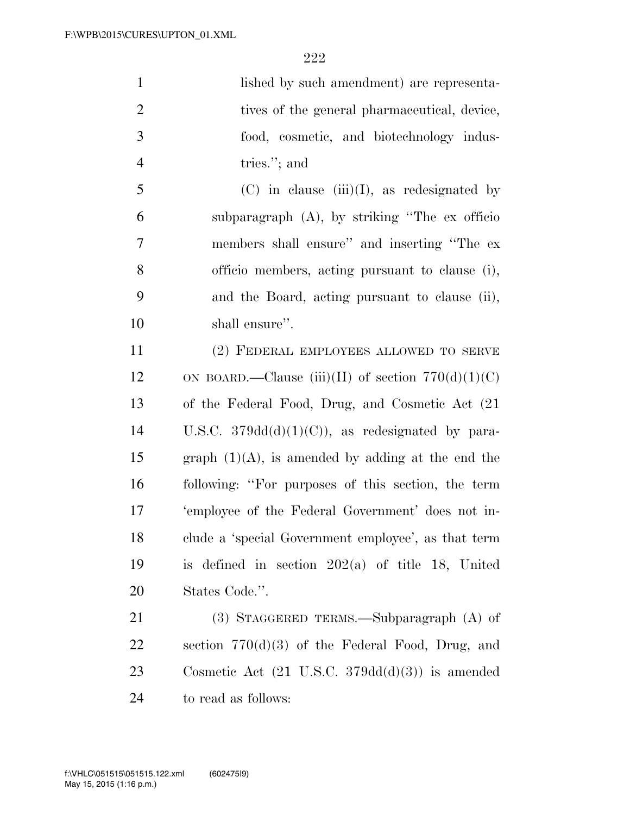| $\mathbf{1}$   | lished by such amendment) are representa-                         |
|----------------|-------------------------------------------------------------------|
| $\overline{2}$ | tives of the general pharmaceutical, device,                      |
| 3              | food, cosmetic, and biotechnology indus-                          |
| $\overline{4}$ | tries."; and                                                      |
| 5              | $(C)$ in clause $(iii)(I)$ , as redesignated by                   |
| 6              | subparagraph $(A)$ , by striking "The ex officio"                 |
| $\overline{7}$ | members shall ensure" and inserting "The ex-                      |
| 8              | officio members, acting pursuant to clause (i),                   |
| 9              | and the Board, acting pursuant to clause (ii),                    |
| 10             | shall ensure".                                                    |
| 11             | (2) FEDERAL EMPLOYEES ALLOWED TO SERVE                            |
| 12             | ON BOARD.—Clause (iii)(II) of section $770(d)(1)(C)$              |
| 13             | of the Federal Food, Drug, and Cosmetic Act (21)                  |
| 14             | U.S.C. $379dd(d)(1)(C)$ , as redesignated by para-                |
| 15             | graph $(1)(A)$ , is amended by adding at the end the              |
| 16             | following: "For purposes of this section, the term                |
| 17             | 'employee of the Federal Government' does not in-                 |
| 18             | clude a 'special Government employee', as that term               |
| 19             | is defined in section $202(a)$ of title 18, United                |
| 20             | States Code.".                                                    |
| 21             | $(3)$ STAGGERED TERMS.—Subparagraph $(A)$ of                      |
| 22             | section $770(d)(3)$ of the Federal Food, Drug, and                |
| 23             | Cosmetic Act $(21 \text{ U.S.C. } 379\text{dd}(d)(3))$ is amended |
| 24             | to read as follows:                                               |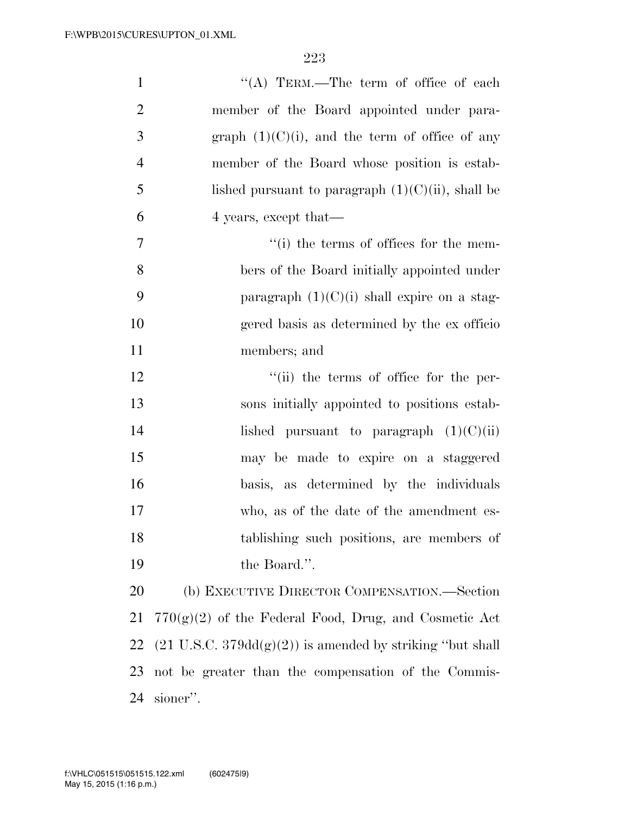| $\mathbf{1}$   | "(A) TERM.—The term of office of each                                        |
|----------------|------------------------------------------------------------------------------|
| $\overline{2}$ | member of the Board appointed under para-                                    |
| 3              | graph $(1)(C)(i)$ , and the term of office of any                            |
| $\overline{4}$ | member of the Board whose position is estab-                                 |
| 5              | lished pursuant to paragraph $(1)(C)(ii)$ , shall be                         |
| 6              | 4 years, except that—                                                        |
| 7              | "(i) the terms of offices for the mem-                                       |
| 8              | bers of the Board initially appointed under                                  |
| 9              | paragraph $(1)(C)(i)$ shall expire on a stag-                                |
| 10             | gered basis as determined by the ex officio                                  |
| 11             | members; and                                                                 |
| 12             | "(ii) the terms of office for the per-                                       |
| 13             | sons initially appointed to positions estab-                                 |
| 14             | lished pursuant to paragraph $(1)(C)(ii)$                                    |
| 15             | may be made to expire on a staggered                                         |
| 16             | basis, as determined by the individuals                                      |
| 17             | who, as of the date of the amendment es-                                     |
| 18             | tablishing such positions, are members of                                    |
| 19             | the Board.".                                                                 |
| 20             | (b) EXECUTIVE DIRECTOR COMPENSATION.—Section                                 |
| 21             | $770(g)(2)$ of the Federal Food, Drug, and Cosmetic Act                      |
| 22             | $(21 \text{ U.S.C. } 379\text{dd}(g)(2))$ is amended by striking "but shall" |
| 23             | not be greater than the compensation of the Commis-                          |
| 24             | sioner".                                                                     |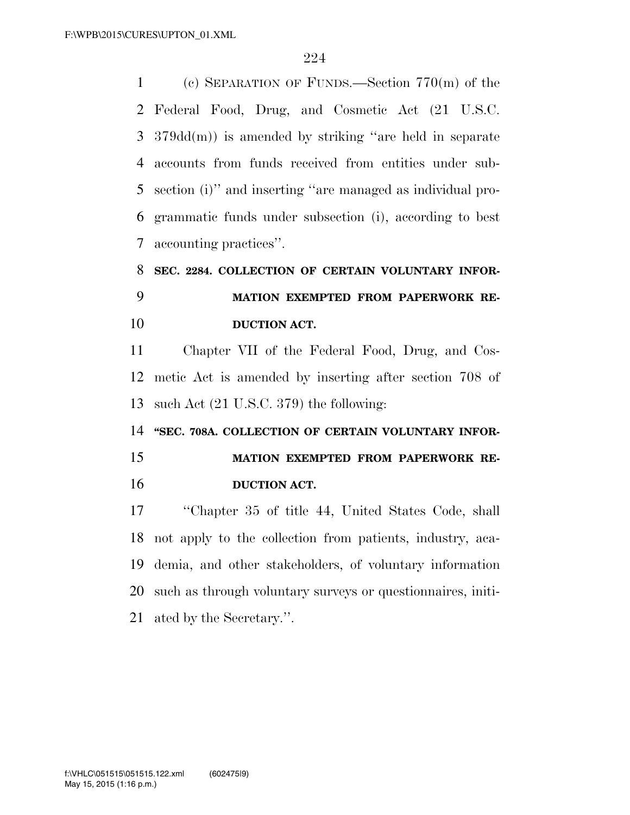(c) SEPARATION OF FUNDS.—Section 770(m) of the Federal Food, Drug, and Cosmetic Act (21 U.S.C. 379dd(m)) is amended by striking ''are held in separate accounts from funds received from entities under sub- section (i)'' and inserting ''are managed as individual pro- grammatic funds under subsection (i), according to best accounting practices''.

## **SEC. 2284. COLLECTION OF CERTAIN VOLUNTARY INFOR- MATION EXEMPTED FROM PAPERWORK RE-DUCTION ACT.**

 Chapter VII of the Federal Food, Drug, and Cos- metic Act is amended by inserting after section 708 of such Act (21 U.S.C. 379) the following:

14 "SEC. 708A. COLLECTION OF CERTAIN VOLUNTARY INFOR- **MATION EXEMPTED FROM PAPERWORK RE-DUCTION ACT.** 

 ''Chapter 35 of title 44, United States Code, shall not apply to the collection from patients, industry, aca- demia, and other stakeholders, of voluntary information such as through voluntary surveys or questionnaires, initi-ated by the Secretary.''.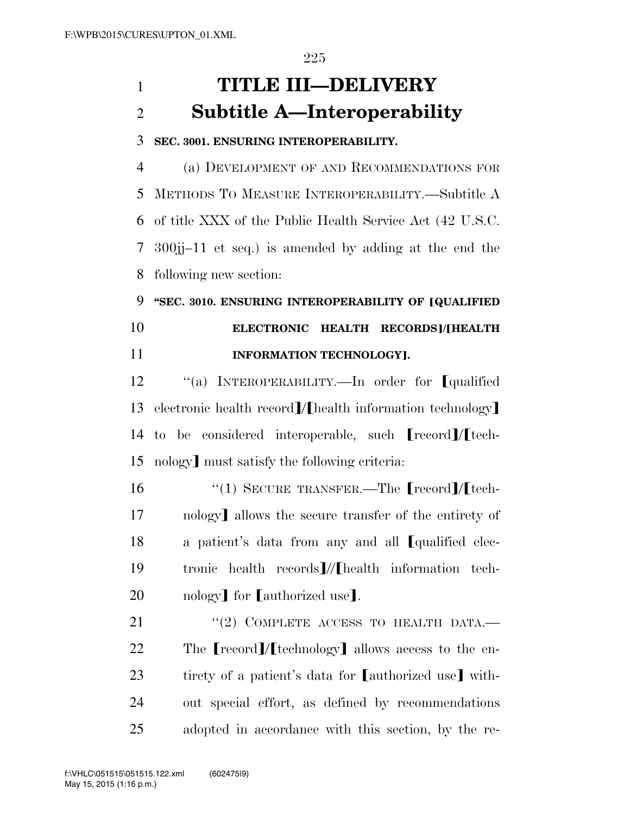# 1 **TITLE III—DELIVERY**  2 **Subtitle A—Interoperability**

#### 3 **SEC. 3001. ENSURING INTEROPERABILITY.**

 (a) DEVELOPMENT OF AND RECOMMENDATIONS FOR METHODS TO MEASURE INTEROPERABILITY.—Subtitle A of title XXX of the Public Health Service Act (42 U.S.C. 300jj–11 et seq.) is amended by adding at the end the following new section:

9 "SEC. 3010. ENSURING INTEROPERABILITY OF **[QUALIFIED** 10 **ELECTRONIC HEALTH RECORDS**]/[HEALTH 11 **INFORMATION TECHNOLOGY**].

12 "(a) INTEROPERABILITY.—In order for *qualified* 13 electronic health record $\mathcal{V}$ [health information technology] 14 to be considered interoperable, such  $[record]/[tech-$ 15 nology must satisfy the following criteria:

16  $\frac{1}{2}$  (1) SECURE TRANSFER.—The **Frecord** *M* tech-17 nology allows the secure transfer of the entirety of 18 a patient's data from any and all *[qualified elec-*19 tronic health records // [health information tech-20 nology for [authorized use].

21 "(2) COMPLETE ACCESS TO HEALTH DATA. 22 The  $[{\rm record}]/[{\rm technology}]$  allows access to the en-23 tirety of a patient's data for [authorized use] with-24 out special effort, as defined by recommendations 25 adopted in accordance with this section, by the re-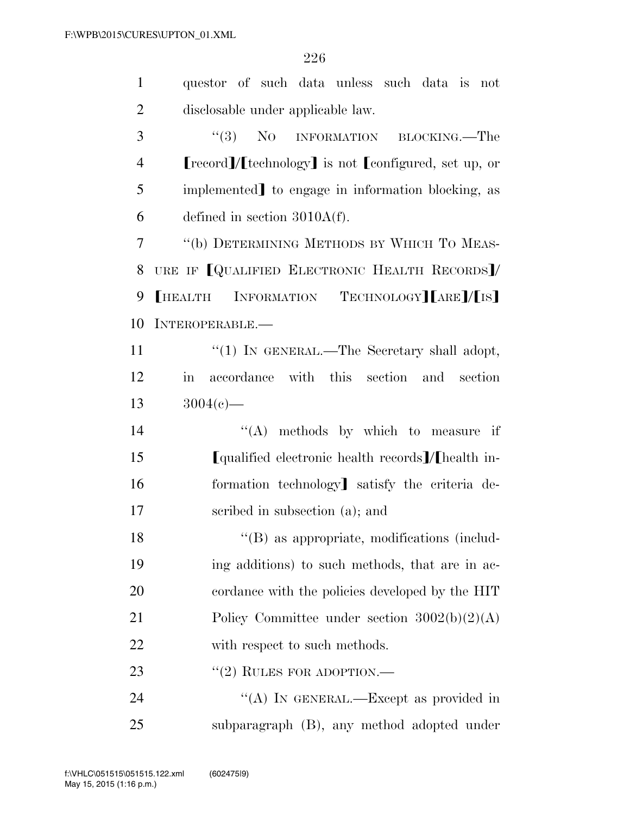| $\mathbf{1}$   | questor of such data unless such data is not                    |
|----------------|-----------------------------------------------------------------|
| $\overline{2}$ | disclosable under applicable law.                               |
| 3              | "(3) NO INFORMATION BLOCKING.—The                               |
| $\overline{4}$ | [record]/[technology] is not [configured, set up, or            |
| 5              | implemented] to engage in information blocking, as              |
| 6              | defined in section $3010A(f)$ .                                 |
| 7              | "(b) DETERMINING METHODS BY WHICH TO MEAS-                      |
| 8              | URE IF [QUALIFIED ELECTRONIC HEALTH RECORDS]/                   |
| 9              | [HEALTH INFORMATION TECHNOLOGY][ARE]/[IS]                       |
| 10             | INTEROPERABLE.                                                  |
| 11             | "(1) IN GENERAL.—The Secretary shall adopt,                     |
| 12             | accordance with this section and section<br>$\operatorname{in}$ |
| 13             | $3004(c)$ —                                                     |
| 14             | $\lq\lq$ methods by which to measure if                         |
| 15             | [qualified electronic health records]/[health in-               |
| 16             | formation technology] satisfy the criteria de-                  |
| 17             | scribed in subsection (a); and                                  |
| 18             | "(B) as appropriate, modifications (includ-                     |
| 19             | ing additions) to such methods, that are in ac-                 |
| 20             | cordance with the policies developed by the HIT                 |
| 21             | Policy Committee under section $3002(b)(2)(A)$                  |
| 22             | with respect to such methods.                                   |
| 23             | $"(2)$ RULES FOR ADOPTION.—                                     |
| 24             | "(A) IN GENERAL.—Except as provided in                          |
| 25             | subparagraph (B), any method adopted under                      |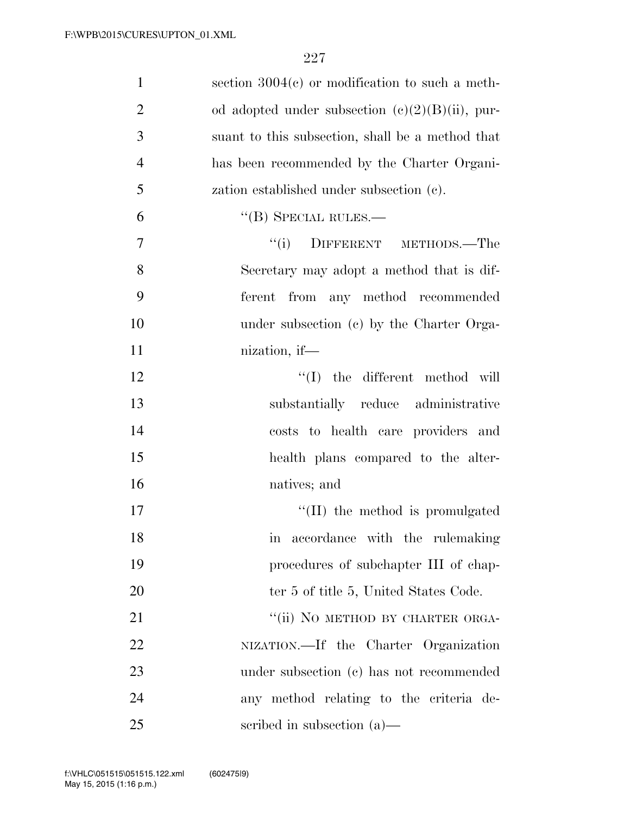| $\mathbf{1}$   | section $3004(c)$ or modification to such a meth-  |
|----------------|----------------------------------------------------|
| $\overline{2}$ | od adopted under subsection $(e)(2)(B)(ii)$ , pur- |
| 3              | suant to this subsection, shall be a method that   |
| $\overline{4}$ | has been recommended by the Charter Organi-        |
| 5              | zation established under subsection (c).           |
| 6              | $\lq\lq$ (B) SPECIAL RULES.—                       |
| $\overline{7}$ | DIFFERENT METHODS.-The<br>``(i)                    |
| 8              | Secretary may adopt a method that is dif-          |
| 9              | ferent from any method recommended                 |
| 10             | under subsection (c) by the Charter Orga-          |
| 11             | nization, if—                                      |
| 12             | $\lq\lq$ (I) the different method will             |
| 13             | substantially reduce administrative                |
| 14             | costs to health care providers and                 |
| 15             | health plans compared to the alter-                |
| 16             | natives; and                                       |
| 17             | $\lq\lq$ (II) the method is promulgated            |
| 18             | accordance with the rulemaking<br>$\ln$            |
| 19             | procedures of subchapter III of chap-              |
| 20             | ter 5 of title 5, United States Code.              |
| 21             | "(ii) NO METHOD BY CHARTER ORGA-                   |
| 22             | NIZATION.—If the Charter Organization              |
| 23             | under subsection (c) has not recommended           |
| 24             | any method relating to the criteria de-            |
| 25             | scribed in subsection $(a)$ —                      |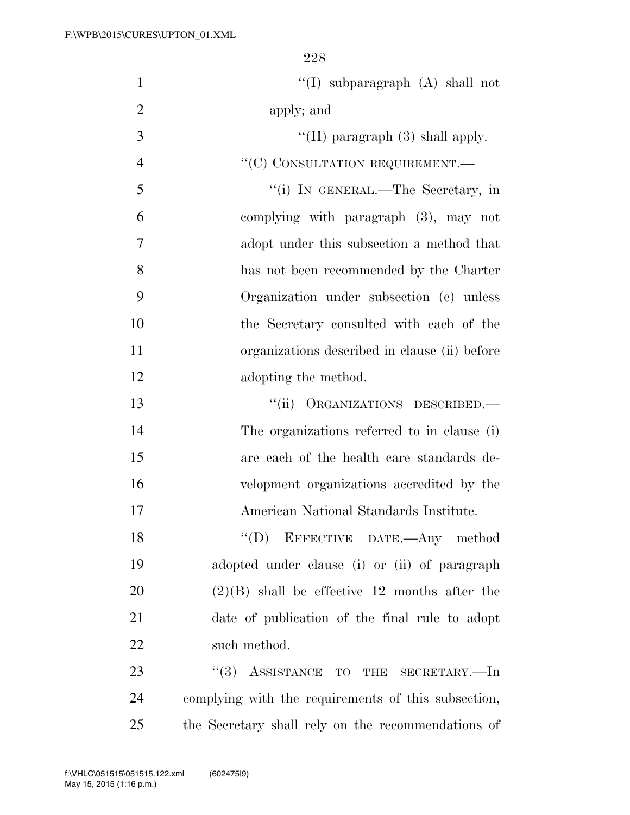| $\mathbf{1}$   | "(I) subparagraph $(A)$ shall not                   |
|----------------|-----------------------------------------------------|
| $\overline{2}$ | apply; and                                          |
| 3              | "(II) paragraph $(3)$ shall apply.                  |
| $\overline{4}$ | "(C) CONSULTATION REQUIREMENT.-                     |
| 5              | "(i) IN GENERAL.—The Secretary, in                  |
| 6              | complying with paragraph (3), may not               |
| 7              | adopt under this subsection a method that           |
| 8              | has not been recommended by the Charter             |
| 9              | Organization under subsection (c) unless            |
| 10             | the Secretary consulted with each of the            |
| 11             | organizations described in clause (ii) before       |
| 12             | adopting the method.                                |
| 13             | "(ii) ORGANIZATIONS DESCRIBED.—                     |
| 14             | The organizations referred to in clause (i)         |
| 15             | are each of the health care standards de-           |
| 16             | velopment organizations accredited by the           |
| 17             | American National Standards Institute.              |
| 18             | "(D) EFFECTIVE DATE.—Any method                     |
| 19             | adopted under clause (i) or (ii) of paragraph       |
| 20             | $(2)(B)$ shall be effective 12 months after the     |
| 21             | date of publication of the final rule to adopt      |
| 22             | such method.                                        |
| 23             | ASSISTANCE TO THE SECRETARY.-In<br>(3)              |
| 24             | complying with the requirements of this subsection, |
| 25             | the Secretary shall rely on the recommendations of  |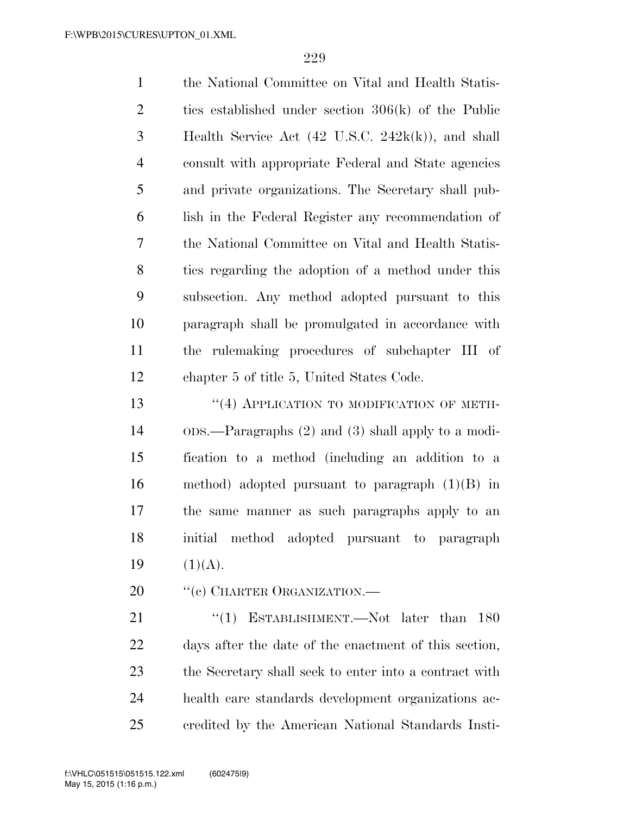the National Committee on Vital and Health Statis- tics established under section 306(k) of the Public Health Service Act (42 U.S.C. 242k(k)), and shall consult with appropriate Federal and State agencies and private organizations. The Secretary shall pub- lish in the Federal Register any recommendation of the National Committee on Vital and Health Statis- tics regarding the adoption of a method under this subsection. Any method adopted pursuant to this paragraph shall be promulgated in accordance with the rulemaking procedures of subchapter III of chapter 5 of title 5, United States Code.

13 "(4) APPLICATION TO MODIFICATION OF METH- ODS.—Paragraphs (2) and (3) shall apply to a modi- fication to a method (including an addition to a method) adopted pursuant to paragraph (1)(B) in the same manner as such paragraphs apply to an initial method adopted pursuant to paragraph 19  $(1)(A)$ .

20 <sup>"</sup>(c) CHARTER ORGANIZATION.—

21 "(1) ESTABLISHMENT.—Not later than 180 days after the date of the enactment of this section, the Secretary shall seek to enter into a contract with health care standards development organizations ac-credited by the American National Standards Insti-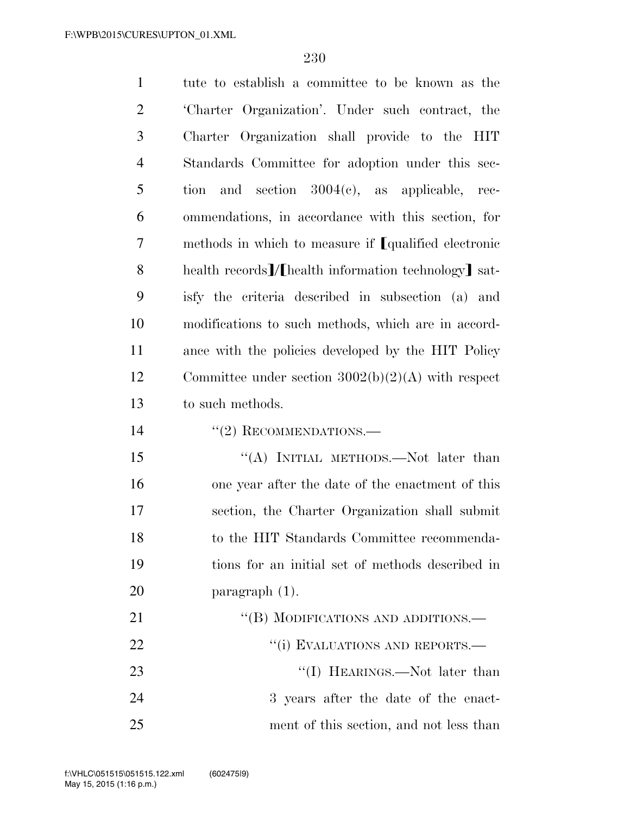tute to establish a committee to be known as the 'Charter Organization'. Under such contract, the Charter Organization shall provide to the HIT Standards Committee for adoption under this sec- tion and section 3004(c), as applicable, rec- ommendations, in accordance with this section, for 7 methods in which to measure if **[**qualified electronic 8 health records<sup>7</sup>/[health information technology] sat- isfy the criteria described in subsection (a) and modifications to such methods, which are in accord- ance with the policies developed by the HIT Policy Committee under section 3002(b)(2)(A) with respect to such methods. 14 "(2) RECOMMENDATIONS.— 15 "(A) INITIAL METHODS.—Not later than one year after the date of the enactment of this section, the Charter Organization shall submit to the HIT Standards Committee recommenda- tions for an initial set of methods described in paragraph (1).

| 21 | "(B) MODIFICATIONS AND ADDITIONS.—      |
|----|-----------------------------------------|
| 22 | "(i) EVALUATIONS AND REPORTS.—          |
| 23 | $\lq\lq$ (I) HEARINGS.—Not later than   |
| 24 | 3 years after the date of the enact-    |
| 25 | ment of this section, and not less than |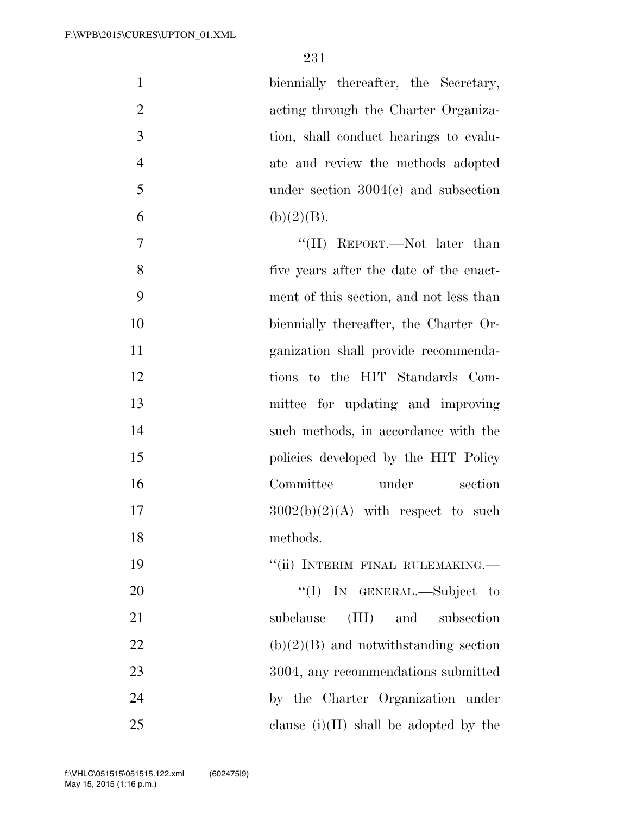| $\mathbf{1}$   | biennially thereafter, the Secretary,    |
|----------------|------------------------------------------|
| $\overline{2}$ | acting through the Charter Organiza-     |
| 3              | tion, shall conduct hearings to evalu-   |
| $\overline{4}$ | ate and review the methods adopted       |
| 5              | under section $3004(c)$ and subsection   |
| 6              | (b)(2)(B).                               |
| $\overline{7}$ | "(II) REPORT.—Not later than             |
| 8              | five years after the date of the enact-  |
| 9              | ment of this section, and not less than  |
| 10             | biennially thereafter, the Charter Or-   |
| 11             | ganization shall provide recommenda-     |
| 12             | tions to the HIT Standards Com-          |
| 13             | mittee for updating and improving        |
| 14             | such methods, in accordance with the     |
| 15             | policies developed by the HIT Policy     |
| 16             | Committee<br>under<br>section            |
| 17             | $3002(b)(2)(A)$ with respect to such     |
| 18             | methods.                                 |
| 19             | "(ii) INTERIM FINAL RULEMAKING.-         |
| 20             | "(I) IN GENERAL.—Subject to              |
| 21             | (III)<br>and<br>subsection<br>subclause  |
| 22             | $(b)(2)(B)$ and notwithstanding section  |
| 23             | 3004, any recommendations submitted      |
| 24             | by the Charter Organization under        |
| 25             | clause $(i)(II)$ shall be adopted by the |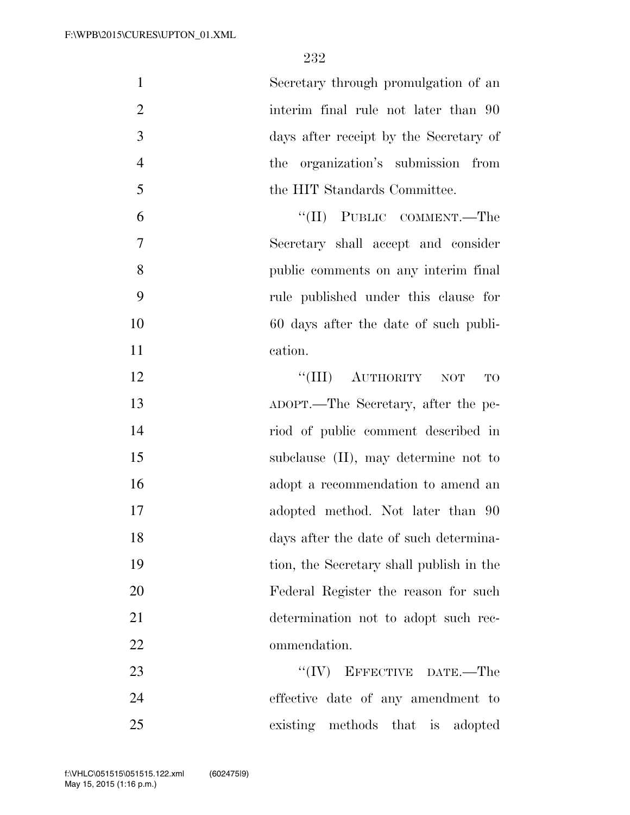| $\mathbf{1}$   | Secretary through promulgation of an     |
|----------------|------------------------------------------|
| $\overline{2}$ | interim final rule not later than 90     |
| 3              | days after receipt by the Secretary of   |
| $\overline{4}$ | the organization's submission from       |
| 5              | the HIT Standards Committee.             |
| 6              | "(II) PUBLIC COMMENT.—The                |
| $\overline{7}$ | Secretary shall accept and consider      |
| 8              | public comments on any interim final     |
| 9              | rule published under this clause for     |
| 10             | 60 days after the date of such publi-    |
| 11             | cation.                                  |
| 12             | ``(III)<br>AUTHORITY NOT<br>TO           |
| 13             | ADOPT.—The Secretary, after the pe-      |
| 14             | riod of public comment described in      |
| 15             | subclause $(II)$ , may determine not to  |
| 16             | adopt a recommendation to amend an       |
| 17             | adopted method. Not later than 90        |
| 18             | days after the date of such determina-   |
| 19             | tion, the Secretary shall publish in the |
| 20             | Federal Register the reason for such     |
| 21             | determination not to adopt such rec-     |
| 22             | ommendation.                             |
| 23             | $``(IV)$ EFFECTIVE DATE.—The             |
| 24             | effective date of any amendment to       |
| 25             | existing methods that is<br>adopted      |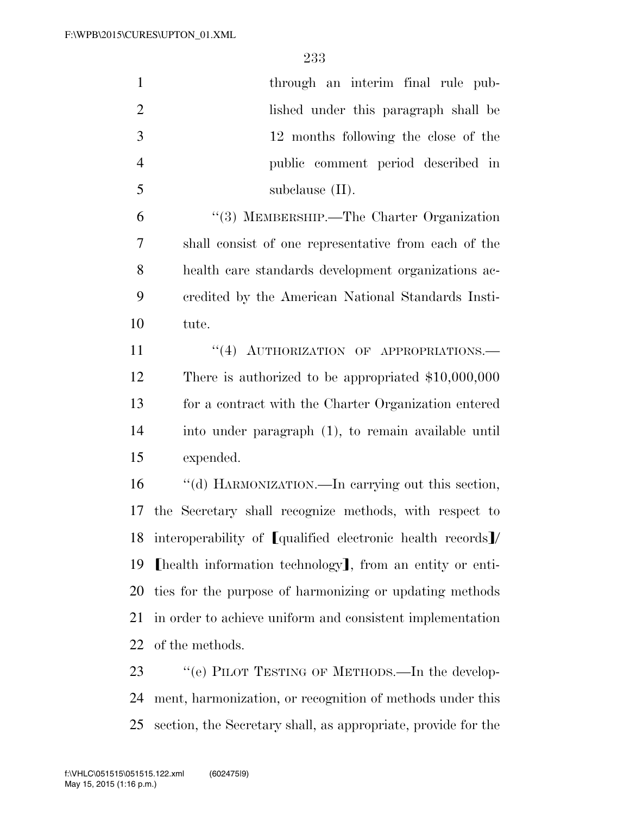| $\mathbf{1}$   | through an interim final rule pub-                            |
|----------------|---------------------------------------------------------------|
| $\overline{2}$ | lished under this paragraph shall be                          |
| 3              | 12 months following the close of the                          |
| $\overline{4}$ | public comment period described in                            |
| 5              | subclause $(II)$ .                                            |
| 6              | "(3) MEMBERSHIP.—The Charter Organization                     |
| 7              | shall consist of one representative from each of the          |
| 8              | health care standards development organizations ac-           |
| 9              | credited by the American National Standards Insti-            |
| 10             | tute.                                                         |
| 11             | "(4) AUTHORIZATION OF APPROPRIATIONS.                         |
| 12             | There is authorized to be appropriated $$10,000,000$          |
| 13             | for a contract with the Charter Organization entered          |
| 14             | into under paragraph (1), to remain available until           |
| 15             | expended.                                                     |
| 16             | "(d) HARMONIZATION.—In carrying out this section,             |
| 17             | the Secretary shall recognize methods, with respect to        |
|                | 18 interoperability of [qualified electronic health records]/ |
| 19             | [health information technology], from an entity or enti-      |
| 20             | ties for the purpose of harmonizing or updating methods       |
| 21             | in order to achieve uniform and consistent implementation     |
| 22             | of the methods.                                               |
| 23             | "(e) PILOT TESTING OF METHODS.—In the develop-                |
| 24             | ment, harmonization, or recognition of methods under this     |

section, the Secretary shall, as appropriate, provide for the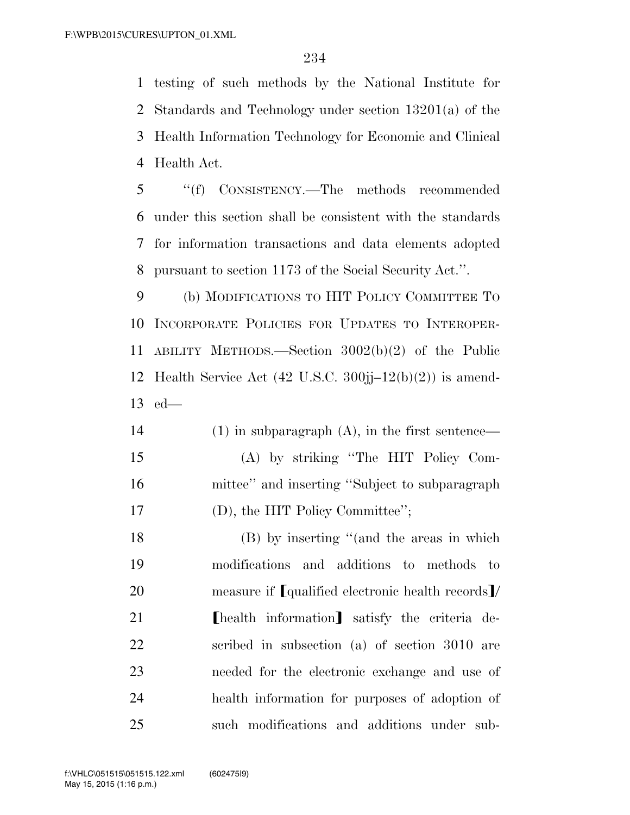testing of such methods by the National Institute for Standards and Technology under section 13201(a) of the Health Information Technology for Economic and Clinical Health Act.

 ''(f) CONSISTENCY.—The methods recommended under this section shall be consistent with the standards for information transactions and data elements adopted pursuant to section 1173 of the Social Security Act.''.

 (b) MODIFICATIONS TO HIT POLICY COMMITTEE TO INCORPORATE POLICIES FOR UPDATES TO INTEROPER- ABILITY METHODS.—Section 3002(b)(2) of the Public Health Service Act (42 U.S.C. 300jj–12(b)(2)) is amend-ed—

 (1) in subparagraph (A), in the first sentence— (A) by striking ''The HIT Policy Com- mittee'' and inserting ''Subject to subparagraph 17 (D), the HIT Policy Committee";

 (B) by inserting ''(and the areas in which modifications and additions to methods to 20 measure if **[**qualified electronic health records**]**/ **I** health information satisfy the criteria de- scribed in subsection (a) of section 3010 are needed for the electronic exchange and use of health information for purposes of adoption of such modifications and additions under sub-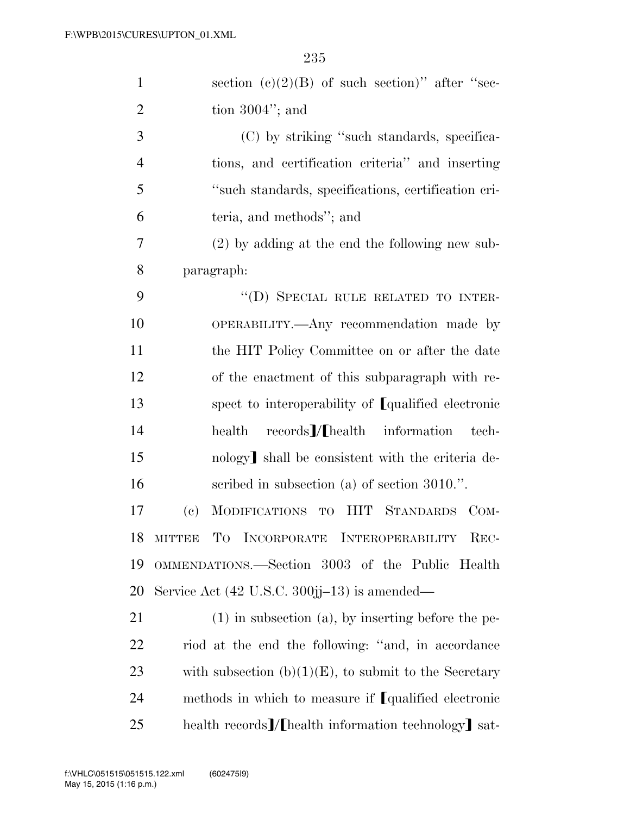| $\mathbf{1}$   | section (c)(2)(B) of such section)" after "sec-                |
|----------------|----------------------------------------------------------------|
| $\overline{2}$ | tion $3004$ "; and                                             |
| 3              | (C) by striking "such standards, specifica-                    |
| $\overline{4}$ | tions, and certification criteria" and inserting               |
| 5              | "such standards, specifications, certification cri-            |
| 6              | teria, and methods"; and                                       |
| 7              | $(2)$ by adding at the end the following new sub-              |
| 8              | paragraph:                                                     |
| 9              | "(D) SPECIAL RULE RELATED TO INTER-                            |
| 10             | OPERABILITY.—Any recommendation made by                        |
| 11             | the HIT Policy Committee on or after the date                  |
| 12             | of the enactment of this subparagraph with re-                 |
| 13             | spect to interoperability of [qualified electronic             |
| 14             | $records$ /[health information<br>health<br>tech-              |
| 15             | nology] shall be consistent with the criteria de-              |
| 16             | scribed in subsection (a) of section $3010$ .".                |
| 17             | MODIFICATIONS TO HIT STANDARDS COM-<br>(e)                     |
| 18             | MITTEE TO INCORPORATE INTEROPERABILITY REC-                    |
| 19             | OMMENDATIONS.—Section 3003 of the Public Health                |
| 20             | Service Act $(42 \text{ U.S.C. } 300\text{jj}-13)$ is amended— |
| 21             | $(1)$ in subsection $(a)$ , by inserting before the pe-        |
| 22             | riod at the end the following: "and, in accordance             |
| 23             | with subsection $(b)(1)(E)$ , to submit to the Secretary       |
| 24             | methods in which to measure if [qualified electronic           |
| 25             | health records]/[health information technology] sat-           |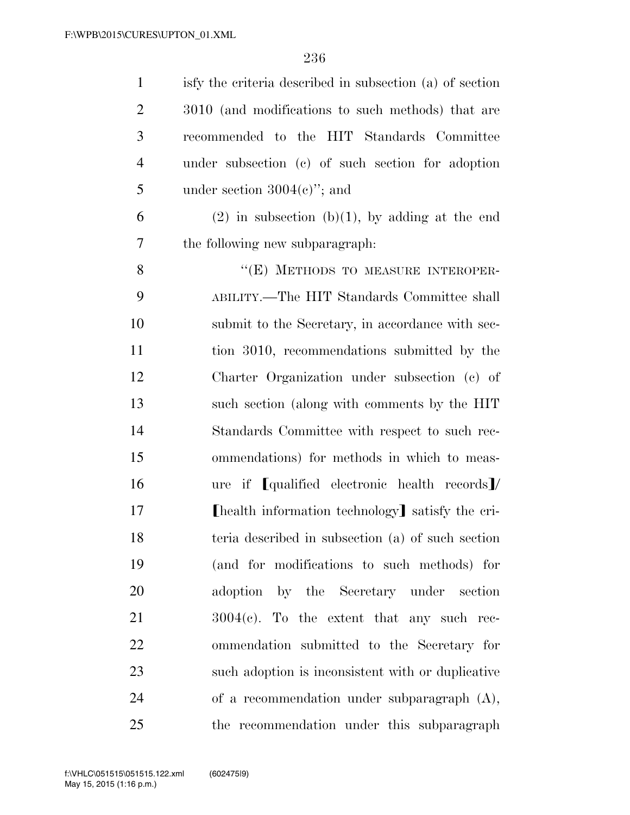| $\mathbf{1}$   | is fy the criteria described in subsection (a) of section |
|----------------|-----------------------------------------------------------|
| $\overline{2}$ | 3010 (and modifications to such methods) that are         |
| 3              | recommended to the HIT Standards Committee                |
| $\overline{4}$ | under subsection (c) of such section for adoption         |
| 5              | under section $3004(e)$ "; and                            |
| 6              | $(2)$ in subsection (b)(1), by adding at the end          |
| 7              | the following new subparagraph.                           |
| 8              | "(E) METHODS TO MEASURE INTEROPER-                        |
| 9              | ABILITY.—The HIT Standards Committee shall                |
| 10             | submit to the Secretary, in accordance with sec-          |
| 11             | tion 3010, recommendations submitted by the               |
| 12             | Charter Organization under subsection (c) of              |
| 13             | such section (along with comments by the HIT              |
| 14             | Standards Committee with respect to such rec-             |
| 15             | ommendations) for methods in which to meas-               |
| 16             | ure if [qualified electronic health records]/             |
| 17             | [health information technology] satisfy the cri-          |
| 18             | teria described in subsection (a) of such section         |
| 19             | (and for modifications to such methods) for               |
| 20             | adoption by the Secretary under section                   |
| 21             | $3004(e)$ . To the extent that any such rec-              |
| 22             | ommendation submitted to the Secretary for                |
| 23             | such adoption is inconsistent with or duplicative         |
| 24             | of a recommendation under subparagraph $(A)$ ,            |
| 25             | the recommendation under this subparagraph                |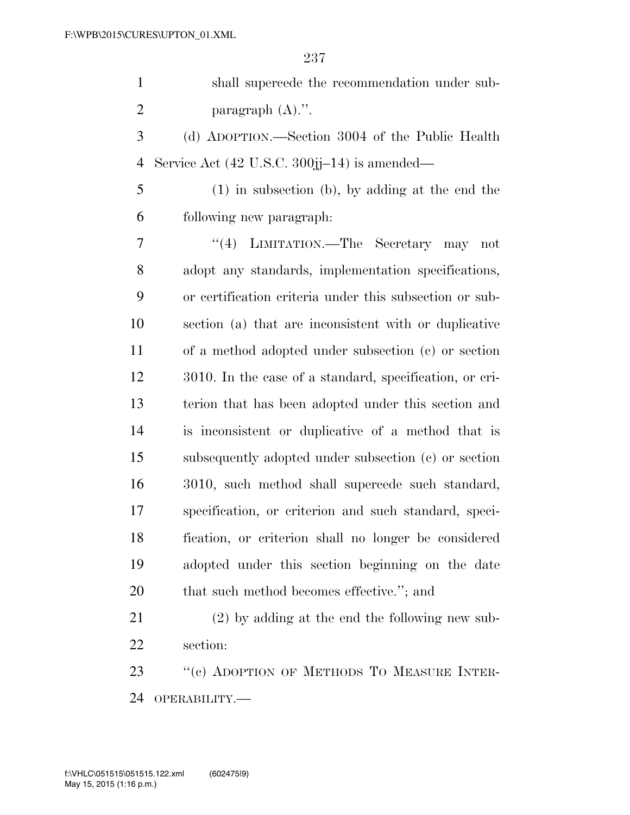|   | shall supercede the recommendation under sub-                    |
|---|------------------------------------------------------------------|
| 2 | paragraph $(A)$ .".                                              |
| 3 | (d) ADOPTION.—Section 3004 of the Public Health                  |
|   | 4 Service Act $(42 \text{ U.S.C. } 300\text{jj}-14)$ is amended— |
| 5 | $(1)$ in subsection (b), by adding at the end the                |

following new paragraph:

 ''(4) LIMITATION.—The Secretary may not adopt any standards, implementation specifications, or certification criteria under this subsection or sub- section (a) that are inconsistent with or duplicative of a method adopted under subsection (c) or section 3010. In the case of a standard, specification, or cri- terion that has been adopted under this section and is inconsistent or duplicative of a method that is subsequently adopted under subsection (c) or section 3010, such method shall supercede such standard, specification, or criterion and such standard, speci- fication, or criterion shall no longer be considered adopted under this section beginning on the date 20 that such method becomes effective."; and

 (2) by adding at the end the following new sub-section:

23 "(c) ADOPTION OF METHODS TO MEASURE INTER-OPERABILITY.—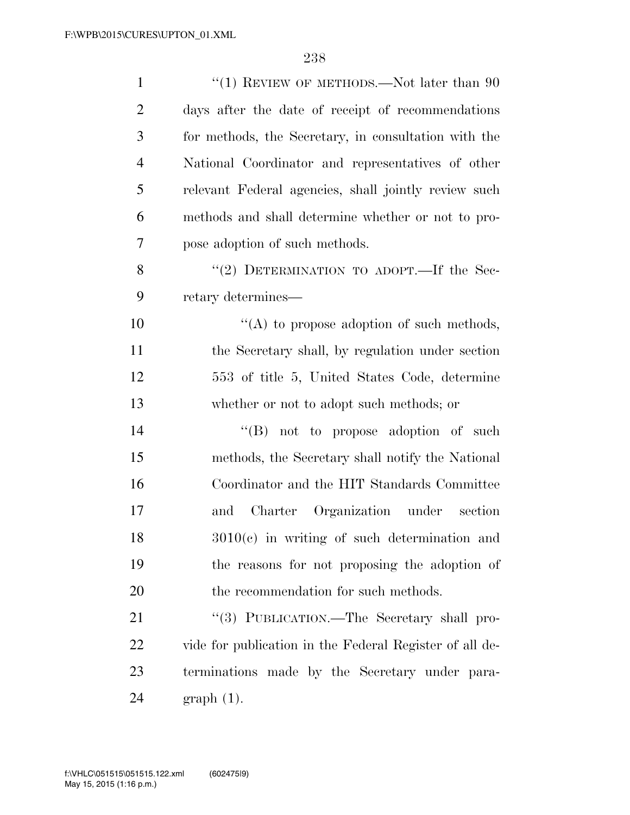| $\mathbf{1}$   | "(1) REVIEW OF METHODS.—Not later than $90$             |
|----------------|---------------------------------------------------------|
| $\overline{2}$ | days after the date of receipt of recommendations       |
| 3              | for methods, the Secretary, in consultation with the    |
| $\overline{4}$ | National Coordinator and representatives of other       |
| 5              | relevant Federal agencies, shall jointly review such    |
| 6              | methods and shall determine whether or not to pro-      |
| $\overline{7}$ | pose adoption of such methods.                          |
| 8              | "(2) DETERMINATION TO ADOPT.—If the Sec-                |
| 9              | retary determines—                                      |
| 10             | "(A) to propose adoption of such methods,               |
| 11             | the Secretary shall, by regulation under section        |
| 12             | 553 of title 5, United States Code, determine           |
| 13             | whether or not to adopt such methods; or                |
| 14             | $\lq\lq (B)$ not to propose adoption of such            |
| 15             | methods, the Secretary shall notify the National        |
| 16             | Coordinator and the HIT Standards Committee             |
| 17             | and Charter Organization under section                  |
| 18             | $3010(c)$ in writing of such determination and          |
| 19             | the reasons for not proposing the adoption of           |
| 20             | the recommendation for such methods.                    |
| 21             | "(3) PUBLICATION.—The Secretary shall pro-              |
| 22             | vide for publication in the Federal Register of all de- |
| 23             | terminations made by the Secretary under para-          |
| 24             | $graph(1)$ .                                            |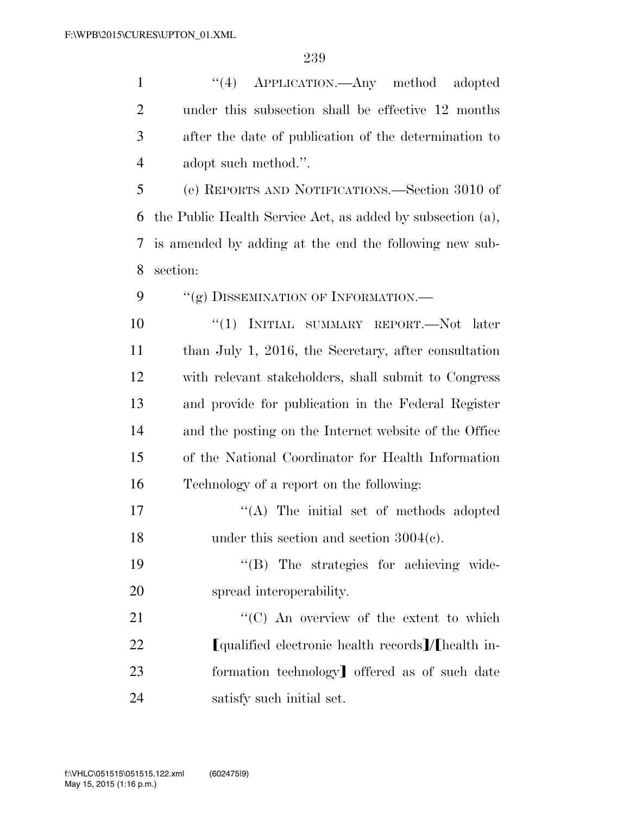| $\mathbf{1}$   | "(4) APPLICATION.—Any method adopted                       |
|----------------|------------------------------------------------------------|
| $\overline{2}$ | under this subsection shall be effective 12 months         |
| 3              | after the date of publication of the determination to      |
| $\overline{4}$ | adopt such method.".                                       |
| 5              | (e) REPORTS AND NOTIFICATIONS.—Section 3010 of             |
| 6              | the Public Health Service Act, as added by subsection (a), |
| 7              | is amended by adding at the end the following new sub-     |
| 8              | section:                                                   |
| 9              | "(g) DISSEMINATION OF INFORMATION.—                        |
| 10             | "(1) INITIAL SUMMARY REPORT.—Not later                     |
| 11             | than July 1, 2016, the Secretary, after consultation       |
| 12             | with relevant stakeholders, shall submit to Congress       |
| 13             | and provide for publication in the Federal Register        |
| 14             | and the posting on the Internet website of the Office      |
| 15             | of the National Coordinator for Health Information         |
| 16             | Technology of a report on the following:                   |
| 17             | $\lq\lq$ . The initial set of methods adopted              |
| 18             | under this section and section $3004(c)$ .                 |
| 19             | "(B) The strategies for achieving wide-                    |
| 20             | spread interoperability.                                   |
| 21             | "(C) An overview of the extent to which                    |
| 22             | [qualified electronic health records]/[health in-          |
| 23             | formation technology offered as of such date               |
| 24             | satisfy such initial set.                                  |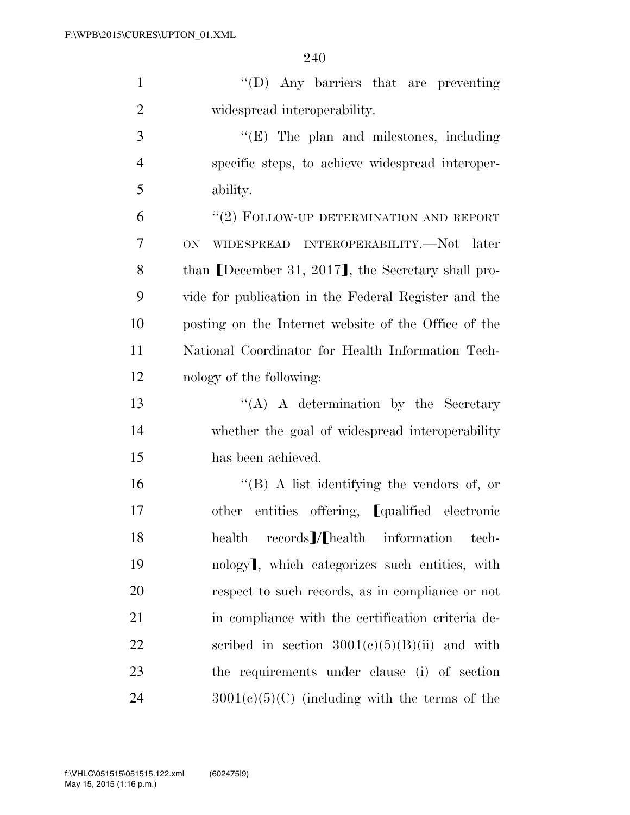''(D) Any barriers that are preventing widespread interoperability. ''(E) The plan and milestones, including specific steps, to achieve widespread interoper-ability.

6 "(2) FOLLOW-UP DETERMINATION AND REPORT ON WIDESPREAD INTEROPERABILITY.—Not later 8 than December 31, 2017, the Secretary shall pro- vide for publication in the Federal Register and the posting on the Internet website of the Office of the National Coordinator for Health Information Tech-nology of the following:

13 ''(A) A determination by the Secretary whether the goal of widespread interoperability has been achieved.

 ''(B) A list identifying the vendors of, or 17 other entities offering, **[**qualified electronic 18 health records [A] health information tech-19 nology, which categorizes such entities, with respect to such records, as in compliance or not in compliance with the certification criteria de-22 scribed in section  $3001(c)(5)(B)(ii)$  and with the requirements under clause (i) of section 24  $3001(c)(5)(C)$  (including with the terms of the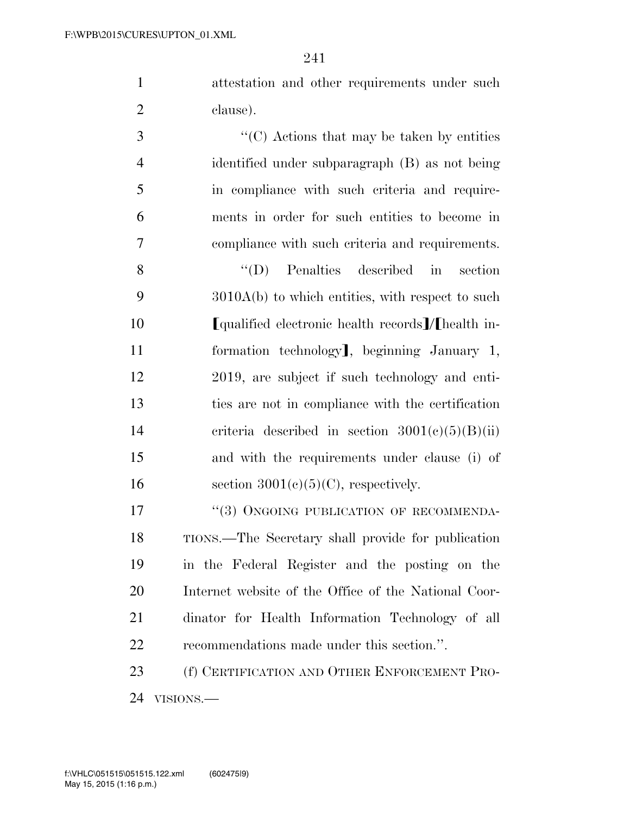attestation and other requirements under such clause).

 ''(C) Actions that may be taken by entities identified under subparagraph (B) as not being in compliance with such criteria and require- ments in order for such entities to become in compliance with such criteria and requirements. ''(D) Penalties described in section 3010A(b) to which entities, with respect to such

**I**qualified electronic health records **[/**[health in-11 formation technology], beginning January 1, 2019, are subject if such technology and enti- ties are not in compliance with the certification 14 criteria described in section  $3001(c)(5)(B)(ii)$  and with the requirements under clause (i) of 16 section  $3001(c)(5)(C)$ , respectively.

17 "(3) ONGOING PUBLICATION OF RECOMMENDA- TIONS.—The Secretary shall provide for publication in the Federal Register and the posting on the Internet website of the Office of the National Coor- dinator for Health Information Technology of all recommendations made under this section.''.

23 (f) CERTIFICATION AND OTHER ENFORCEMENT PRO-VISIONS.—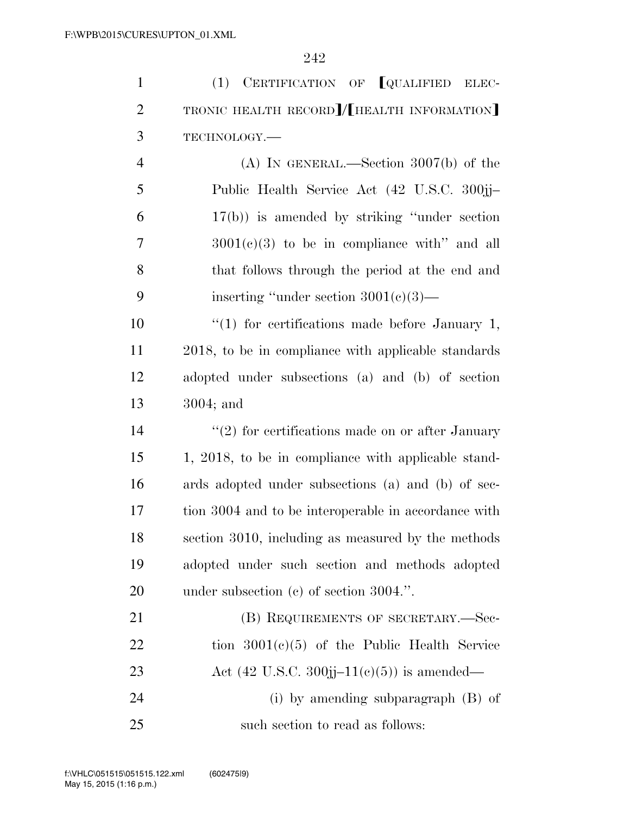| $\mathbf{1}$   | (1) CERTIFICATION OF <b>[QUALIFIED ELEC-</b>         |
|----------------|------------------------------------------------------|
| $\overline{2}$ | TRONIC HEALTH RECORD]/[HEALTH INFORMATION]           |
| 3              | TECHNOLOGY.-                                         |
| $\overline{4}$ | (A) IN GENERAL.—Section $3007(b)$ of the             |
| 5              | Public Health Service Act (42 U.S.C. 300jj-          |
| 6              | $17(b)$ ) is amended by striking "under section"     |
| $\overline{7}$ | $3001(e)(3)$ to be in compliance with" and all       |
| 8              | that follows through the period at the end and       |
| 9              | inserting "under section $3001(e)(3)$ —              |
| 10             | " $(1)$ for certifications made before January 1,    |
| 11             | 2018, to be in compliance with applicable standards  |
| 12             | adopted under subsections (a) and (b) of section     |
| 13             | $3004$ ; and                                         |
| 14             | $"(2)$ for certifications made on or after January   |
| 15             | 1, 2018, to be in compliance with applicable stand-  |
| 16             | ards adopted under subsections (a) and (b) of sec-   |
| 17             | tion 3004 and to be interoperable in accordance with |
| 18             | section 3010, including as measured by the methods   |
| 19             | adopted under such section and methods adopted       |
| <b>20</b>      | under subsection $(c)$ of section 3004.".            |
| 21             | (B) REQUIREMENTS OF SECRETARY.—Sec-                  |
| 22             | tion $3001(c)(5)$ of the Public Health Service       |
| 23             | Act (42 U.S.C. 300jj–11(c)(5)) is amended—           |
| 24             | (i) by amending subparagraph $(B)$ of                |
| 25             | such section to read as follows:                     |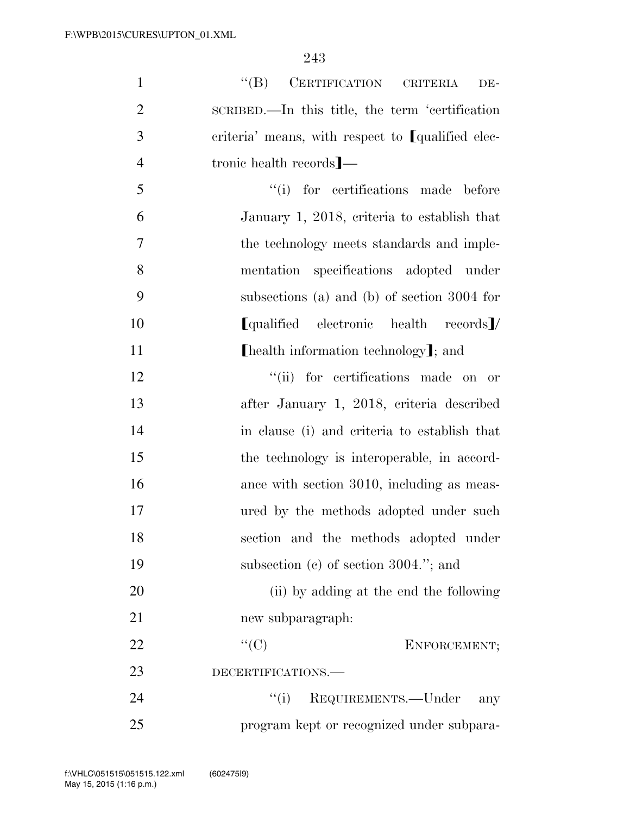| $\mathbf{1}$   | $\lq\lq (B)$ CERTIFICATION CRITERIA<br>DE-        |
|----------------|---------------------------------------------------|
| $\overline{2}$ | SCRIBED.—In this title, the term 'certification   |
| 3              | criteria' means, with respect to [qualified elec- |
| $\overline{4}$ | tronic health records]—                           |
| 5              | "(i) for certifications made before               |
| 6              | January 1, 2018, criteria to establish that       |
| 7              | the technology meets standards and imple-         |
| 8              | mentation specifications adopted under            |
| 9              | subsections (a) and (b) of section 3004 for       |
| 10             | [qualified electronic health records]/            |
| 11             | [health information technology]; and              |
| 12             | "(ii) for certifications made on or               |
| 13             | after January 1, 2018, criteria described         |
| 14             | in clause (i) and criteria to establish that      |
| 15             | the technology is interoperable, in accord-       |
| 16             | ance with section 3010, including as meas-        |
| 17             | ured by the methods adopted under such            |
| 18             | section and the methods adopted under             |
| 19             | subsection $(c)$ of section 3004."; and           |
| 20             | (ii) by adding at the end the following           |
| 21             | new subparagraph:                                 |
| 22             | ``(C)<br>ENFORCEMENT;                             |
| 23             | DECERTIFICATIONS.-                                |
| 24             | ``(i)<br>REQUIREMENTS.-Under<br>any               |
| 25             | program kept or recognized under subpara-         |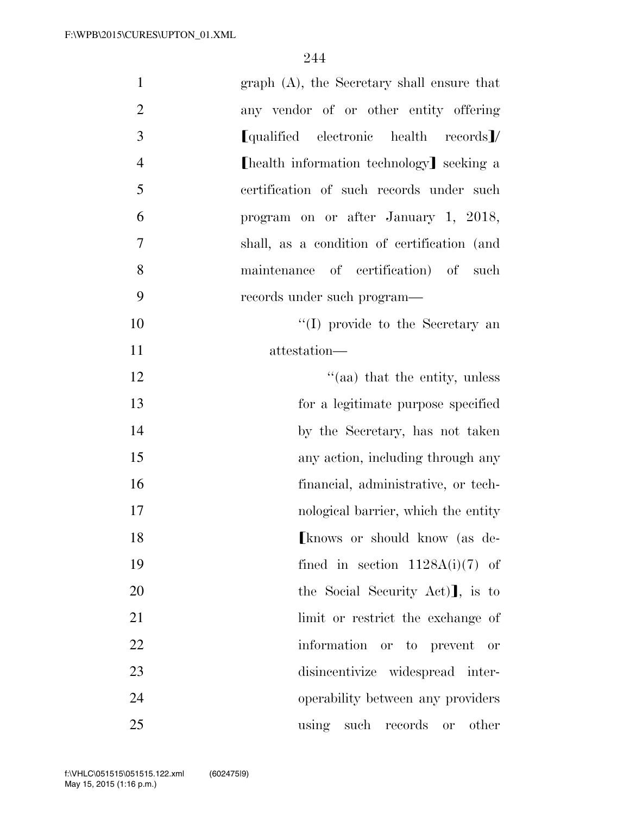| $\mathbf{1}$<br>$graph(A)$ , the Secretary shall ensure that |    |
|--------------------------------------------------------------|----|
| $\overline{2}$<br>any vendor of or other entity offering     |    |
| 3<br>[qualified electronic health records]/                  |    |
| $\overline{4}$<br>[health information technology] seeking a  |    |
| 5<br>certification of such records under such                |    |
| 6<br>program on or after January 1, 2018,                    |    |
| $\tau$<br>shall, as a condition of certification (and        |    |
| 8<br>maintenance of certification) of<br>such                |    |
| 9<br>records under such program—                             |    |
| "(I) provide to the Secretary an                             | 10 |
| attestation-                                                 | 11 |
| "(aa) that the entity, unless                                | 12 |
| for a legitimate purpose specified                           | 13 |
| by the Secretary, has not taken                              | 14 |
| any action, including through any                            | 15 |
| financial, administrative, or tech-                          | 16 |
| nological barrier, which the entity                          | 17 |
| [knows or should know (as de-                                | 18 |
| fined in section $1128A(i)(7)$ of                            | 19 |
| the Social Security Act), is to                              | 20 |
| limit or restrict the exchange of                            | 21 |
| information or to prevent or                                 | 22 |
| disincentivize widespread inter-                             | 23 |
| operability between any providers                            | 24 |
| using such records or<br>other                               | 25 |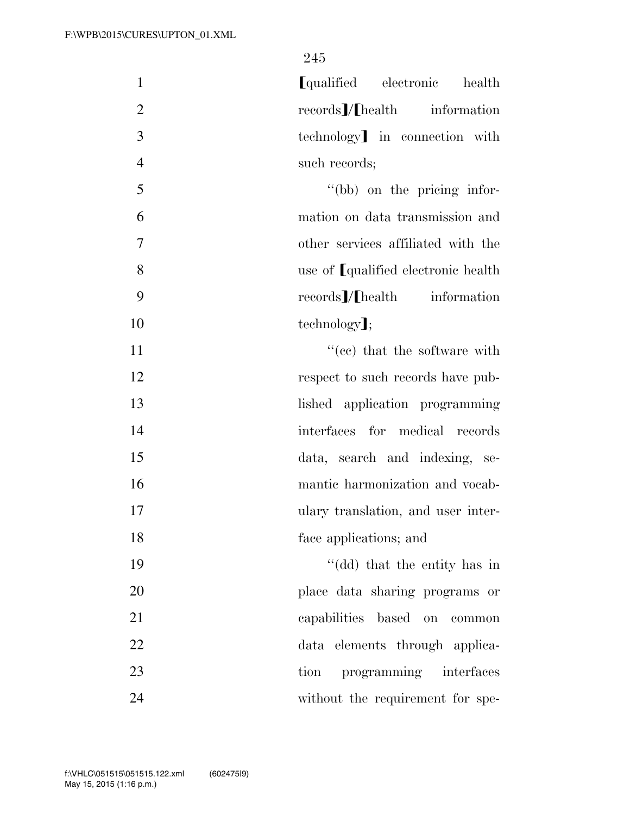1 **I**qualified electronic health 2 records *I*/Fhealth information 3 technology in connection with 4 such records; 5 ''(bb) on the pricing infor-6 mation on data transmission and 7 other services affiliated with the 8 use of [qualified electronic health 9 records / I health information 10 technology]; 11  $\text{``(ec)}$  that the software with 12 respect to such records have pub-13 lished application programming 14 interfaces for medical records 15 data, search and indexing, se-16 mantic harmonization and vocab-17 ulary translation, and user inter-

19 ''(dd) that the entity has in 20 place data sharing programs or 21 capabilities based on common 22 data elements through applica-23 tion programming interfaces 24 without the requirement for spe-

18 face applications; and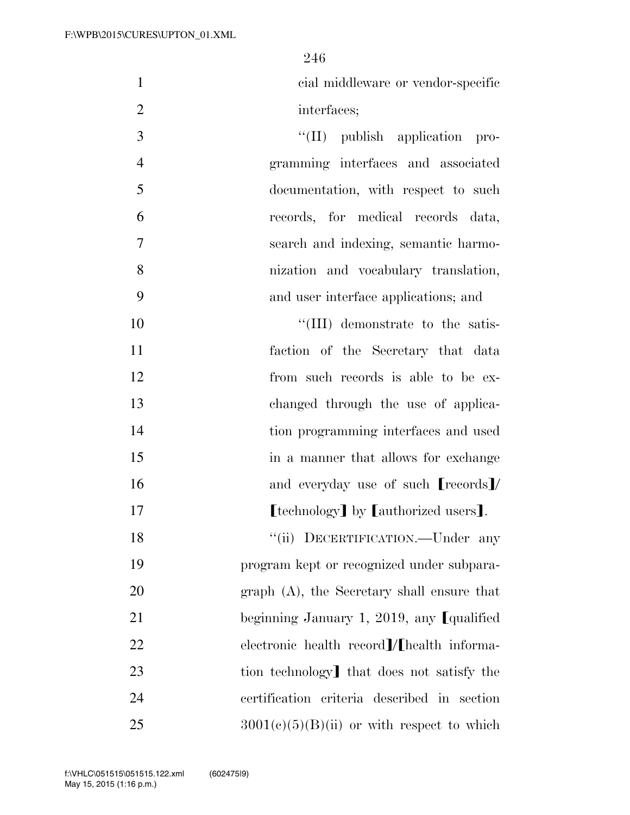cial middleware or vendor-specific 2 interfaces;

 $\frac{1}{I(\text{II})}$  publish application pro- gramming interfaces and associated documentation, with respect to such records, for medical records data, search and indexing, semantic harmo- nization and vocabulary translation, and user interface applications; and

 $\text{``(III)}$  demonstrate to the satis- faction of the Secretary that data from such records is able to be ex- changed through the use of applica- tion programming interfaces and used 15 in a manner that allows for exchange 16 and everyday use of such **records** 

**I I I Example 17 I I Example 17 I I Example 17 I I Example 17 I Example 17 I Example 17 I Example 17 I Example 17 I Example 17 I Example 17 I Example 17 I EXAMP** 

18 "(ii) DECERTIFICATION.—Under any program kept or recognized under subpara- graph (A), the Secretary shall ensure that 21 beginning January 1, 2019, any  $\lceil \text{qualified} \rceil$  electronic health record  $\ell$  health informa-23 tion technology that does not satisfy the certification criteria described in section  $3001(c)(5)(B)(ii)$  or with respect to which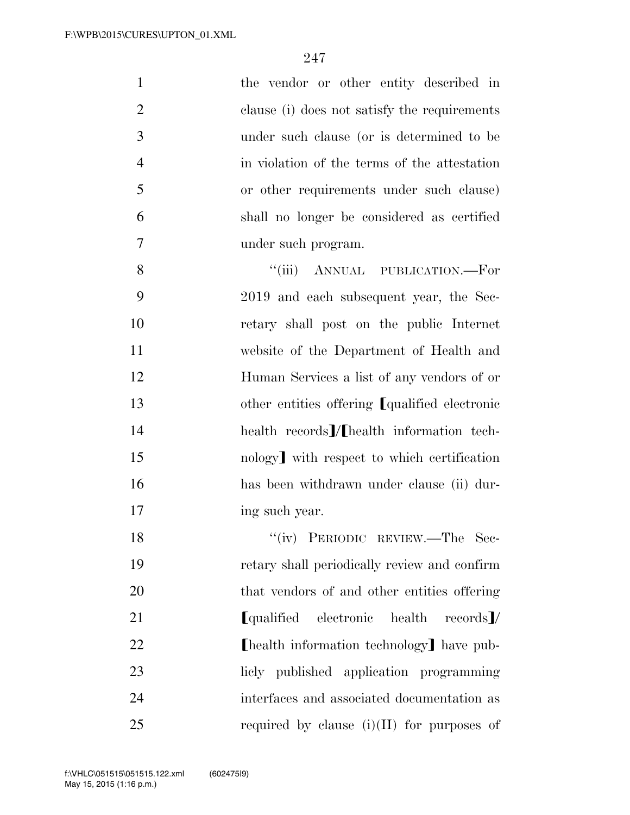| $\mathbf{1}$   | the vendor or other entity described in                |
|----------------|--------------------------------------------------------|
| $\overline{2}$ | clause (i) does not satisfy the requirements           |
| 3              | under such clause (or is determined to be              |
| $\overline{4}$ | in violation of the terms of the attestation           |
| 5              | or other requirements under such clause)               |
| 6              | shall no longer be considered as certified             |
| 7              | under such program.                                    |
| 8              | "(iii) ANNUAL PUBLICATION.—For                         |
| 9              | 2019 and each subsequent year, the Sec-                |
| 10             | retary shall post on the public Internet               |
| 11             | website of the Department of Health and                |
| 12             | Human Services a list of any vendors of or             |
| 13             | other entities offering [qualified electronic          |
| 14             | health records]/[health information tech-              |
| 15             | nology with respect to which certification             |
| 16             | has been withdrawn under clause (ii) dur-              |
| 17             | ing such year.                                         |
| 18             | "(iv) PERIODIC REVIEW.—The Sec-                        |
| 19             | retary shall periodically review and confirm           |
| 20             | that vendors of and other entities offering            |
| 21             | <b>L</b> qualified<br>electronic health<br>$records$ / |
| 22             | [health information technology] have pub-              |
| 23             | licly published application programming                |
| 24             | interfaces and associated documentation as             |

required by clause (i)(II) for purposes of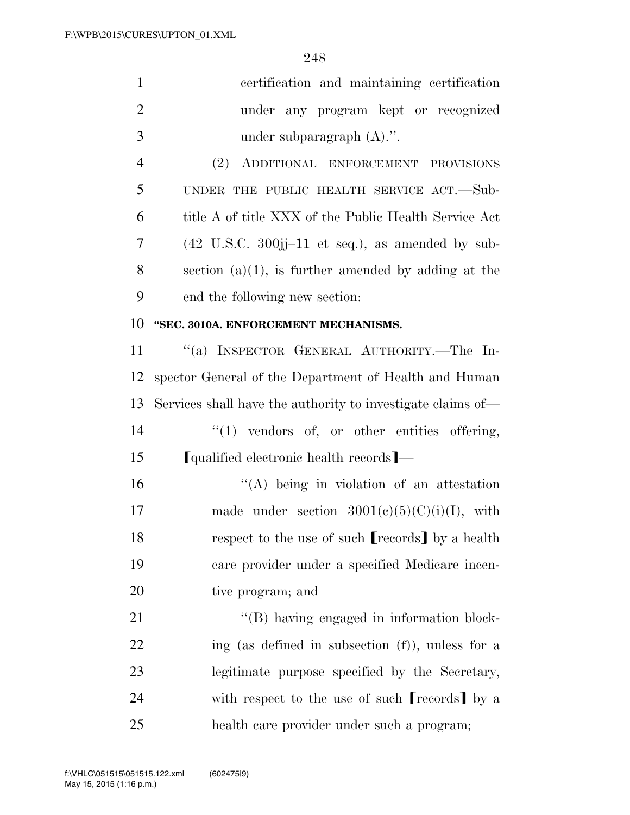| $\mathbf{1}$   | certification and maintaining certification                                |
|----------------|----------------------------------------------------------------------------|
| $\overline{2}$ | under any program kept or recognized                                       |
| 3              | under subparagraph $(A)$ .".                                               |
| $\overline{4}$ | (2) ADDITIONAL ENFORCEMENT PROVISIONS                                      |
| 5              | UNDER THE PUBLIC HEALTH SERVICE ACT.—Sub-                                  |
| 6              | title A of title XXX of the Public Health Service Act                      |
| 7              | $(42 \text{ U.S.C. } 300\text{jj}-11 \text{ et seq.}),$ as amended by sub- |
| 8              | section $(a)(1)$ , is further amended by adding at the                     |
| 9              | end the following new section:                                             |
| 10             | "SEC. 3010A. ENFORCEMENT MECHANISMS.                                       |
| 11             | "(a) INSPECTOR GENERAL AUTHORITY.—The In-                                  |
| 12             | spector General of the Department of Health and Human                      |
| 13             | Services shall have the authority to investigate claims of—                |
| 14             | $"(1)$ vendors of, or other entities offering,                             |
| 15             | [qualified electronic health records]—                                     |
| 16             | "(A) being in violation of an attestation                                  |
| 17             | made under section $3001(e)(5)(C)(i)(I)$ , with                            |
| 18             | respect to the use of such [records] by a health                           |
| 19             | care provider under a specified Medicare incen-                            |
| 20             | tive program; and                                                          |
| 21             | "(B) having engaged in information block-                                  |
| 22             | ing (as defined in subsection $(f)$ ), unless for a                        |
| 23             | legitimate purpose specified by the Secretary,                             |
| 24             | with respect to the use of such [records] by a                             |
| 25             | health care provider under such a program;                                 |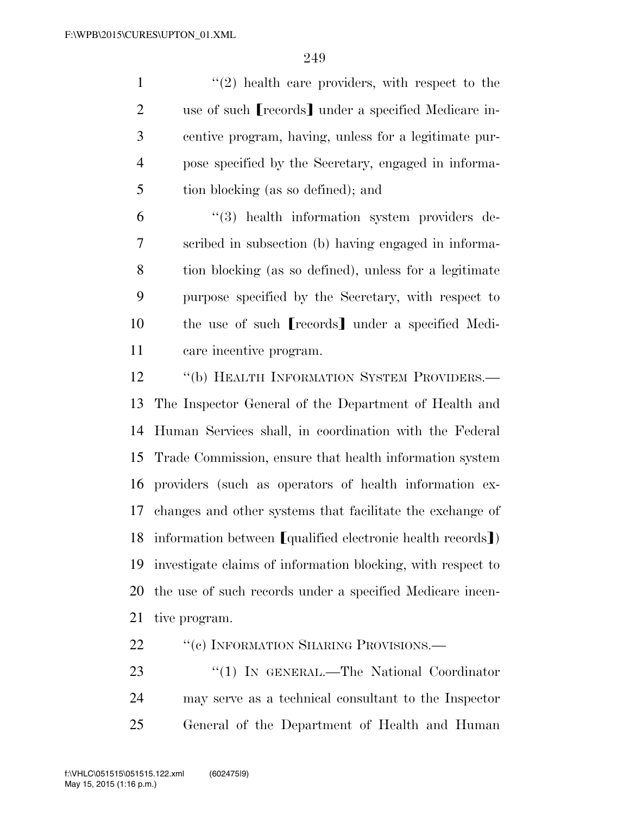1 ''(2) health care providers, with respect to the 2 use of such **[**records**]** under a specified Medicare in- centive program, having, unless for a legitimate pur- pose specified by the Secretary, engaged in informa-tion blocking (as so defined); and

 ''(3) health information system providers de- scribed in subsection (b) having engaged in informa- tion blocking (as so defined), unless for a legitimate purpose specified by the Secretary, with respect to 10 the use of such **[**records**]** under a specified Medi-care incentive program.

12 "(b) HEALTH INFORMATION SYSTEM PROVIDERS.— The Inspector General of the Department of Health and Human Services shall, in coordination with the Federal Trade Commission, ensure that health information system providers (such as operators of health information ex- changes and other systems that facilitate the exchange of 18 information between [qualified electronic health records]) investigate claims of information blocking, with respect to the use of such records under a specified Medicare incen-tive program.

22 ""(c) INFORMATION SHARING PROVISIONS.—

23 "(1) IN GENERAL.—The National Coordinator may serve as a technical consultant to the Inspector General of the Department of Health and Human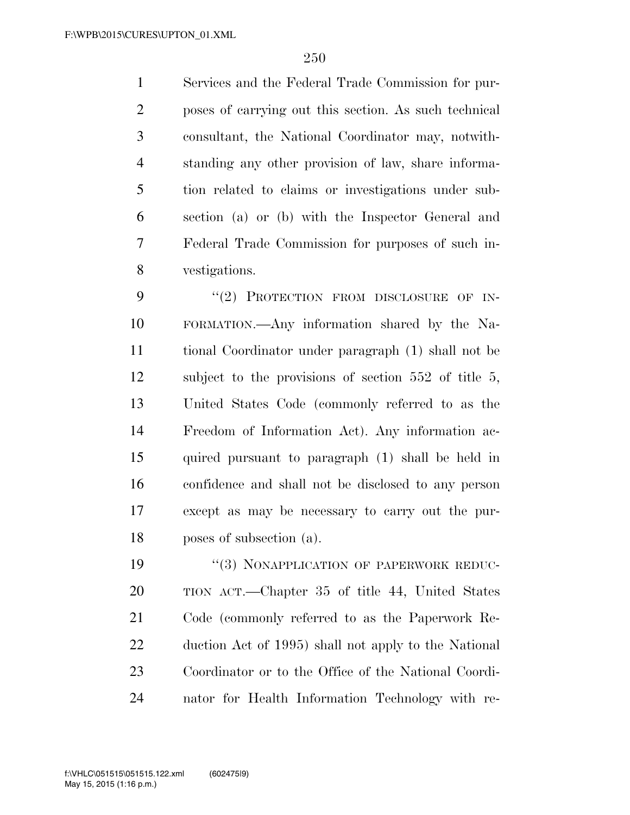Services and the Federal Trade Commission for pur- poses of carrying out this section. As such technical consultant, the National Coordinator may, notwith- standing any other provision of law, share informa- tion related to claims or investigations under sub- section (a) or (b) with the Inspector General and Federal Trade Commission for purposes of such in-vestigations.

9 "(2) PROTECTION FROM DISCLOSURE OF IN- FORMATION.—Any information shared by the Na- tional Coordinator under paragraph (1) shall not be subject to the provisions of section 552 of title 5, United States Code (commonly referred to as the Freedom of Information Act). Any information ac- quired pursuant to paragraph (1) shall be held in confidence and shall not be disclosed to any person except as may be necessary to carry out the pur-poses of subsection (a).

19 "(3) NONAPPLICATION OF PAPERWORK REDUC- TION ACT.—Chapter 35 of title 44, United States Code (commonly referred to as the Paperwork Re- duction Act of 1995) shall not apply to the National Coordinator or to the Office of the National Coordi-nator for Health Information Technology with re-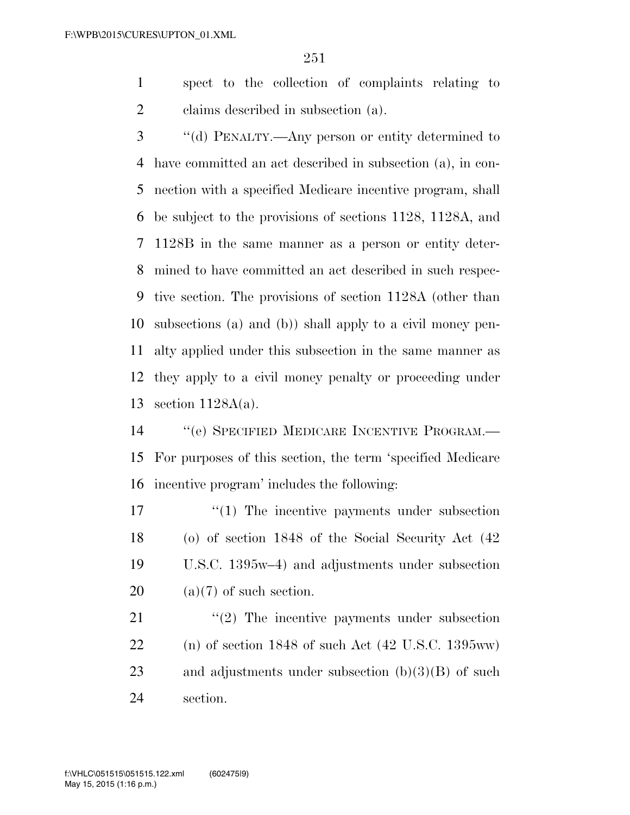spect to the collection of complaints relating to claims described in subsection (a).

 ''(d) PENALTY.—Any person or entity determined to have committed an act described in subsection (a), in con- nection with a specified Medicare incentive program, shall be subject to the provisions of sections 1128, 1128A, and 1128B in the same manner as a person or entity deter- mined to have committed an act described in such respec- tive section. The provisions of section 1128A (other than subsections (a) and (b)) shall apply to a civil money pen- alty applied under this subsection in the same manner as they apply to a civil money penalty or proceeding under section 1128A(a).

14 "(e) SPECIFIED MEDICARE INCENTIVE PROGRAM.— For purposes of this section, the term 'specified Medicare incentive program' includes the following:

17 <sup>"</sup>(1) The incentive payments under subsection (o) of section 1848 of the Social Security Act (42 U.S.C. 1395w–4) and adjustments under subsection  $(a)(7)$  of such section.

21 ''(2) The incentive payments under subsection (n) of section 1848 of such Act (42 U.S.C. 1395ww) and adjustments under subsection (b)(3)(B) of such section.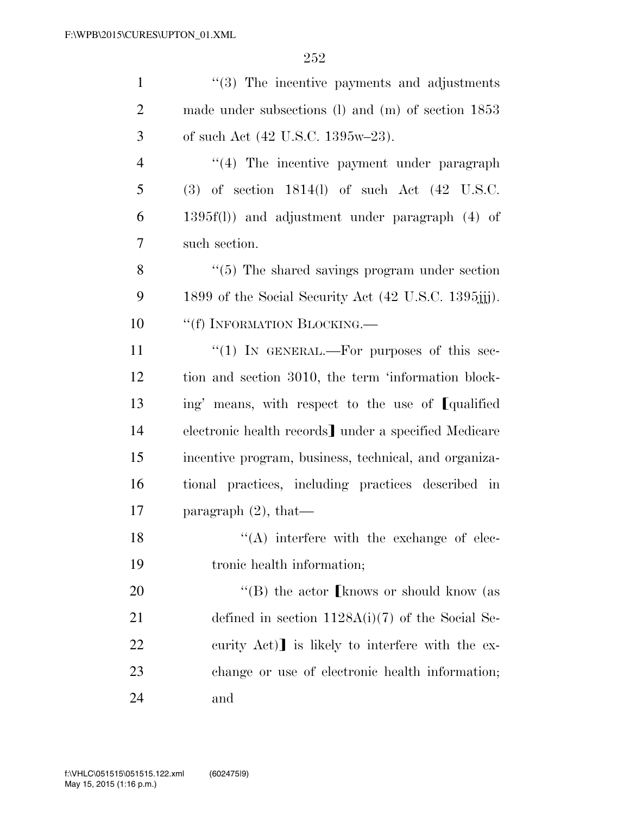| $\mathbf{1}$   | $\cdot\cdot$ (3) The incentive payments and adjustments    |
|----------------|------------------------------------------------------------|
| $\overline{2}$ | made under subsections $(l)$ and $(m)$ of section 1853     |
| 3              | of such Act $(42 \text{ U.S.C. } 1395\text{w} - 23)$ .     |
| $\overline{4}$ | $\lq(4)$ The incentive payment under paragraph             |
| 5              | $(3)$ of section 1814(l) of such Act $(42 \text{ U.S.C.})$ |
| 6              | $1395f(1)$ and adjustment under paragraph $(4)$ of         |
| 7              | such section.                                              |
| 8              | $\lq(5)$ The shared savings program under section          |
| 9              | 1899 of the Social Security Act (42 U.S.C. 1395;;;;).      |
| 10             | "(f) INFORMATION BLOCKING.                                 |
| 11             | "(1) IN GENERAL.—For purposes of this sec-                 |
| 12             | tion and section 3010, the term 'information block-        |
| 13             | ing' means, with respect to the use of [qualified]         |
| 14             | electronic health records] under a specified Medicare      |
| 15             | incentive program, business, technical, and organiza-      |
| 16             | tional practices, including practices described in         |
| 17             | paragraph $(2)$ , that—                                    |
| 18             | $\lq\lq$ interfere with the exchange of elec-              |
| 19             | tronic health information;                                 |
| 20             | "(B) the actor [knows or should know (as                   |
| 21             | defined in section $1128A(i)(7)$ of the Social Se-         |
| 22             | curity Act) is likely to interfere with the ex-            |
| 23             | change or use of electronic health information;            |
| 24             | and                                                        |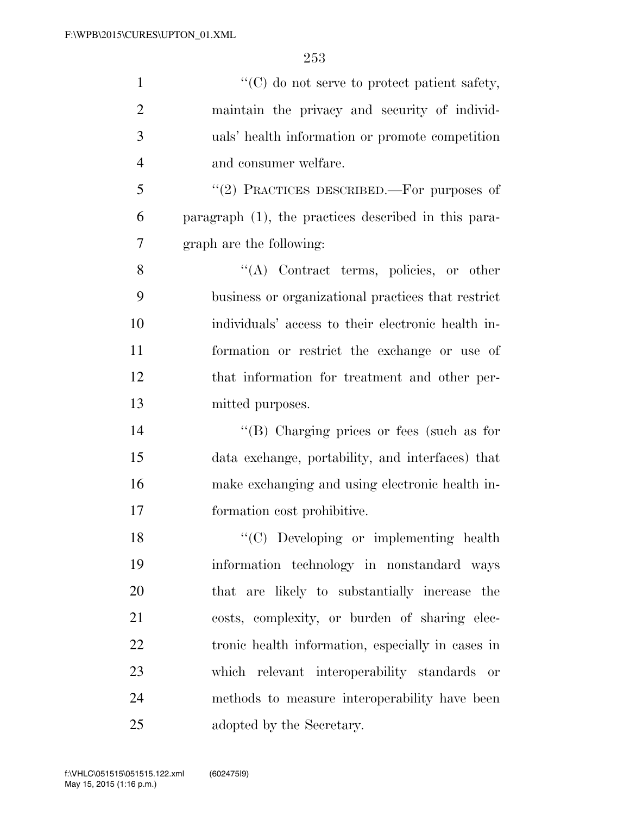| $\mathbf{1}$   | $\lq\lq$ (C) do not serve to protect patient safety, |
|----------------|------------------------------------------------------|
| $\overline{2}$ | maintain the privacy and security of individ-        |
| 3              | uals' health information or promote competition      |
| $\overline{4}$ | and consumer welfare.                                |
| 5              | "(2) PRACTICES DESCRIBED.—For purposes of            |
| 6              | paragraph (1), the practices described in this para- |
| $\overline{7}$ | graph are the following:                             |
| 8              | "(A) Contract terms, policies, or other              |
| 9              | business or organizational practices that restrict   |
| 10             | individuals' access to their electronic health in-   |
| 11             | formation or restrict the exchange or use of         |
| 12             | that information for treatment and other per-        |
| 13             | mitted purposes.                                     |
| 14             | "(B) Charging prices or fees (such as for            |
| 15             | data exchange, portability, and interfaces) that     |
| 16             | make exchanging and using electronic health in-      |
| 17             | formation cost prohibitive.                          |
| 18             | "(C) Developing or implementing health               |
| 19             | information technology in nonstandard ways           |
| 20             | that are likely to substantially increase the        |
| 21             | costs, complexity, or burden of sharing elec-        |
| 22             | tronic health information, especially in cases in    |
| 23             | which relevant interoperability standards or         |
| 24             | methods to measure interoperability have been        |
| 25             | adopted by the Secretary.                            |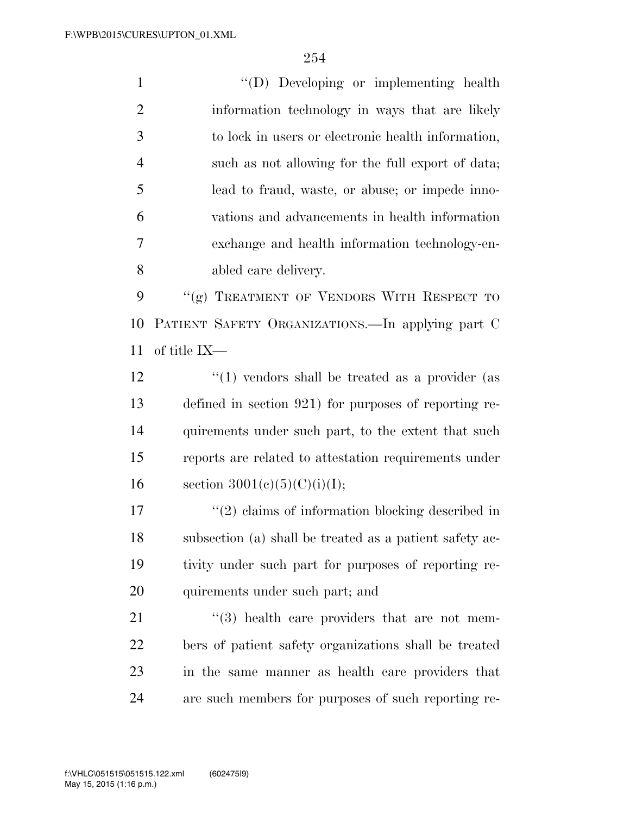''(D) Developing or implementing health information technology in ways that are likely to lock in users or electronic health information, such as not allowing for the full export of data; lead to fraud, waste, or abuse; or impede inno- vations and advancements in health information exchange and health information technology-en-abled care delivery.

9 "(g) TREATMENT OF VENDORS WITH RESPECT TO PATIENT SAFETY ORGANIZATIONS.—In applying part C of title IX—

 $\frac{12}{2}$  ''(1) vendors shall be treated as a provider (as defined in section 921) for purposes of reporting re-14 quirements under such part, to the extent that such reports are related to attestation requirements under 16 section  $3001(c)(5)(C)(i)(I);$ 

 $\binom{17}{2}$  claims of information blocking described in subsection (a) shall be treated as a patient safety ac- tivity under such part for purposes of reporting re-quirements under such part; and

 ''(3) health care providers that are not mem- bers of patient safety organizations shall be treated in the same manner as health care providers that are such members for purposes of such reporting re-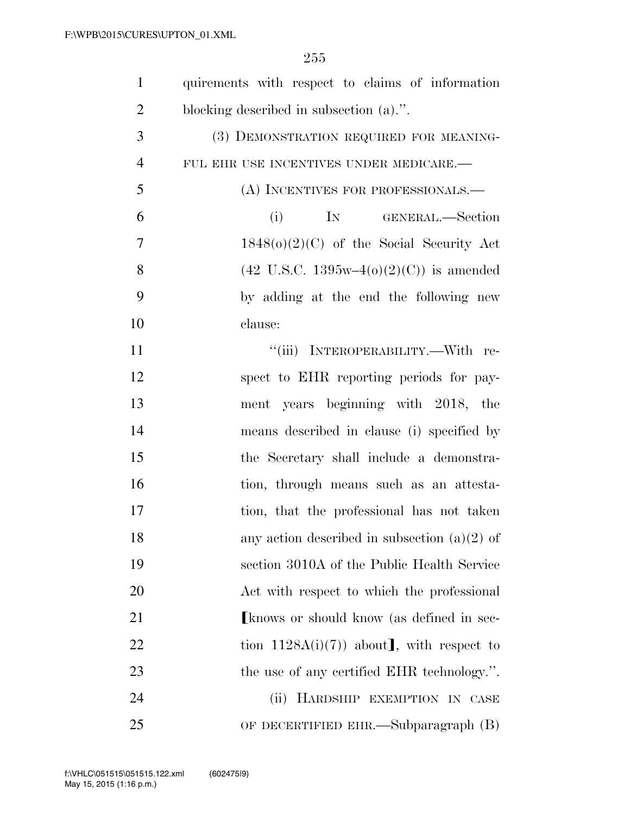| $\mathbf{1}$   | quirements with respect to claims of information                 |
|----------------|------------------------------------------------------------------|
| $\overline{2}$ | blocking described in subsection (a).".                          |
| 3              | (3) DEMONSTRATION REQUIRED FOR MEANING-                          |
| $\overline{4}$ | FUL EHR USE INCENTIVES UNDER MEDICARE.-                          |
| 5              | (A) INCENTIVES FOR PROFESSIONALS.—                               |
| 6              | (i)<br>IN GENERAL.—Section                                       |
| $\overline{7}$ | $1848(o)(2)(C)$ of the Social Security Act                       |
| 8              | $(42 \text{ U.S.C. } 1395\text{w}-4(0)(2)(\text{C}))$ is amended |
| 9              | by adding at the end the following new                           |
| 10             | clause:                                                          |
| 11             | "(iii) INTEROPERABILITY.—With re-                                |
| 12             | spect to EHR reporting periods for pay-                          |
| 13             | ment years beginning with 2018, the                              |
| 14             | means described in clause (i) specified by                       |
| 15             | the Secretary shall include a demonstra-                         |
| 16             | tion, through means such as an attesta-                          |
| 17             | tion, that the professional has not taken                        |
| 18             | any action described in subsection $(a)(2)$ of                   |
| 19             | section 3010A of the Public Health Service                       |
| 20             | Act with respect to which the professional                       |
| 21             | Express or should know (as defined in sec-                       |
| 22             | tion $1128A(i)(7)$ about, with respect to                        |
| 23             | the use of any certified EHR technology.".                       |
| 24             | (ii)<br>HARDSHIP EXEMPTION IN CASE                               |
| 25             | OF DECERTIFIED EHR.—Subparagraph (B)                             |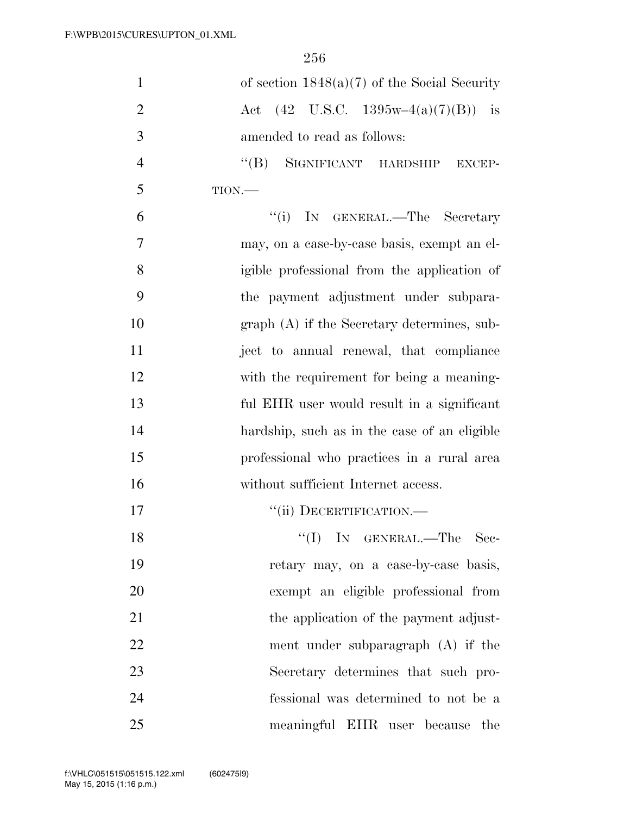| $\mathbf{1}$   | of section $1848(a)(7)$ of the Social Security                                   |
|----------------|----------------------------------------------------------------------------------|
| $\overline{2}$ | $(42 \text{ U.S.C. } 1395\text{w}-4(a)(7)(B))$<br>$-$ is<br>$\operatorname{Act}$ |
| 3              | amended to read as follows:                                                      |
| $\overline{4}$ | "(B) SIGNIFICANT HARDSHIP EXCEP-                                                 |
| 5              | TION.                                                                            |
| 6              | ``(i)<br>IN GENERAL.—The Secretary                                               |
| 7              | may, on a case-by-case basis, exempt an el-                                      |
| 8              | igible professional from the application of                                      |
| 9              | the payment adjustment under subpara-                                            |
| 10             | $graph(A)$ if the Secretary determines, sub-                                     |
| 11             | ject to annual renewal, that compliance                                          |
| 12             | with the requirement for being a meaning-                                        |
| 13             | ful EHR user would result in a significant                                       |
| 14             | hardship, such as in the case of an eligible                                     |
| 15             | professional who practices in a rural area                                       |
| 16             | without sufficient Internet access.                                              |
| 17             | "(ii) DECERTIFICATION.—                                                          |
| 18             | "(I) IN GENERAL.—The Sec-                                                        |
| 19             | retary may, on a case-by-case basis,                                             |
| 20             | exempt an eligible professional from                                             |
| 21             | the application of the payment adjust-                                           |
| 22             | ment under subparagraph $(A)$ if the                                             |
| 23             | Secretary determines that such pro-                                              |
| 24             | fessional was determined to not be a                                             |
| 25             | meaningful EHR user because<br>the                                               |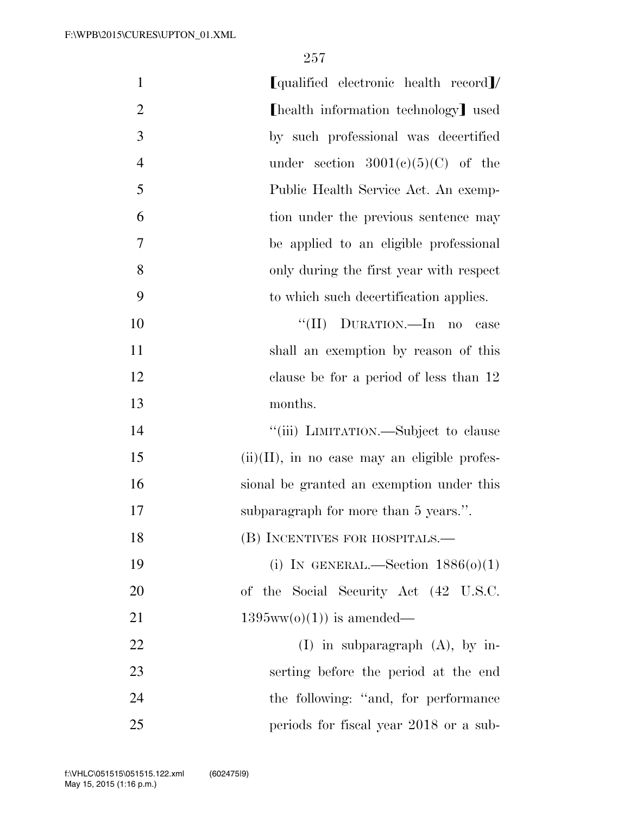| $\mathbf{1}$   | [qualified electronic health record]/           |
|----------------|-------------------------------------------------|
| $\overline{2}$ | [health information technology] used            |
| 3              | by such professional was decertified            |
| $\overline{4}$ | under section $3001(c)(5)(C)$ of the            |
| 5              | Public Health Service Act. An exemp-            |
| 6              | tion under the previous sentence may            |
| 7              | be applied to an eligible professional          |
| 8              | only during the first year with respect         |
| 9              | to which such decertification applies.          |
| 10             | "(II) DURATION.—In no<br>case                   |
| 11             | shall an exemption by reason of this            |
| 12             | clause be for a period of less than 12          |
| 13             | months.                                         |
| 14             | "(iii) LIMITATION.—Subject to clause            |
| 15             | $(ii)(II)$ , in no case may an eligible profes- |
| 16             | sional be granted an exemption under this       |
| 17             | subparagraph for more than 5 years.".           |
| 18             | (B) INCENTIVES FOR HOSPITALS.—                  |
| 19             | (i) IN GENERAL.—Section $1886(0)(1)$            |
| 20             | of the Social Security Act (42 U.S.C.           |
| 21             | $1395ww(o)(1)$ is amended—                      |
| 22             | $(I)$ in subparagraph $(A)$ , by in-            |
| 23             | serting before the period at the end            |
| 24             | the following: "and, for performance"           |
| 25             | periods for fiscal year 2018 or a sub-          |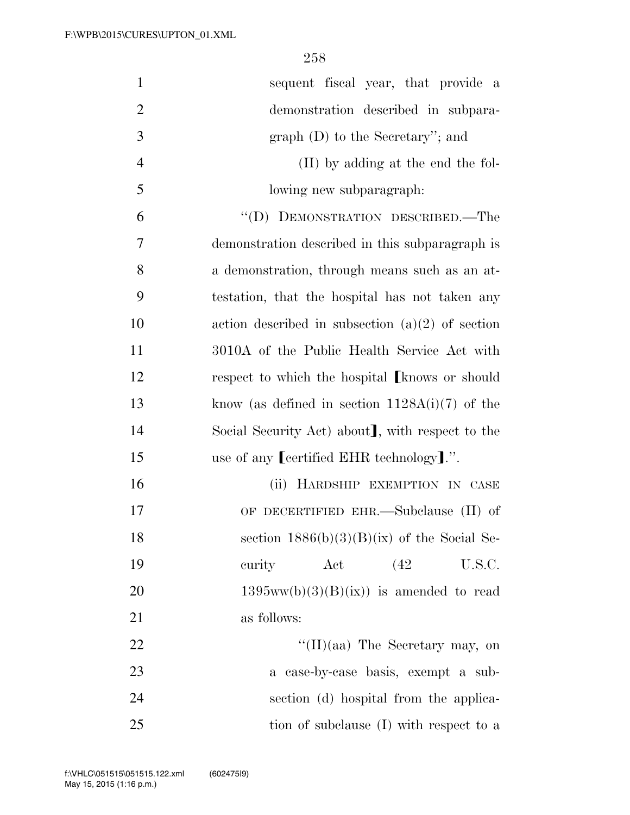| $\mathbf{1}$   | sequent fiscal year, that provide a                     |
|----------------|---------------------------------------------------------|
| $\overline{2}$ | demonstration described in subpara-                     |
| 3              | graph $(D)$ to the Secretary"; and                      |
| $\overline{4}$ | (II) by adding at the end the fol-                      |
| 5              | lowing new subparagraph.                                |
| 6              | "(D) DEMONSTRATION DESCRIBED.—The                       |
| 7              | demonstration described in this subparagraph is         |
| 8              | a demonstration, through means such as an at-           |
| 9              | testation, that the hospital has not taken any          |
| 10             | action described in subsection $(a)(2)$ of section      |
| 11             | 3010A of the Public Health Service Act with             |
| 12             | respect to which the hospital <b>[knows or should</b> ] |
| 13             | know (as defined in section $1128A(i)(7)$ of the        |
| 14             | Social Security Act) about, with respect to the         |
| 15             | use of any Leertified EHR technology                    |
| 16             | (ii) HARDSHIP EXEMPTION IN CASE                         |
| 17             | OF DECERTIFIED EHR.—Subclause (II) of                   |
| 18             | section $1886(b)(3)(B)(ix)$ of the Social Se-           |
| 19             | curity<br>Act<br>(42)<br>U.S.C.                         |
| 20             | $1395ww(b)(3)(B)(ix)$ is amended to read                |
| 21             | as follows:                                             |
| 22             | "(II)(aa) The Secretary may, on                         |
| 23             | a case-by-case basis, exempt a sub-                     |
| 24             | section (d) hospital from the applica-                  |
| 25             | tion of subclause (I) with respect to a                 |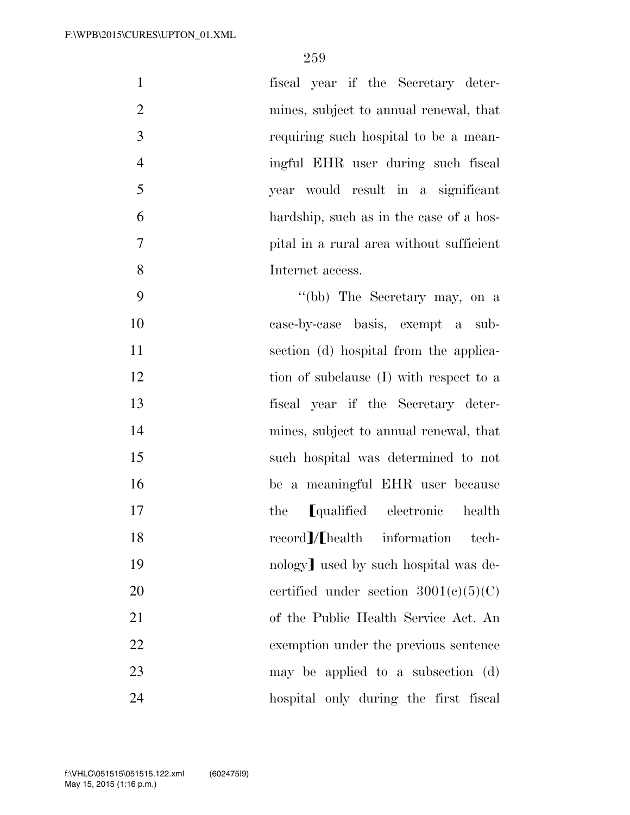| $\mathbf{1}$   | fiscal year if the Secretary deter-      |
|----------------|------------------------------------------|
| $\overline{2}$ | mines, subject to annual renewal, that   |
| 3              | requiring such hospital to be a mean-    |
| $\overline{4}$ | ingful EHR user during such fiscal       |
| 5              | year would result in a significant       |
| 6              | hardship, such as in the case of a hos-  |
| $\overline{7}$ | pital in a rural area without sufficient |
| 8              | Internet access.                         |
| 9              | "(bb) The Secretary may, on a            |
| 10             | case-by-case basis, exempt a sub-        |
| 11             | section (d) hospital from the applica-   |
| 12             | tion of subclause (I) with respect to a  |
| 13             | fiscal year if the Secretary deter-      |
| 14             | mines, subject to annual renewal, that   |
| 15             | such hospital was determined to not      |
| 16             | be a meaningful EHR user because         |
| 17             | [qualified electronic<br>health<br>the   |
| 18             | record]/[health information<br>tech-     |
| $\sim$         |                                          |

19 nology used by such hospital was de-20 certified under section  $3001(c)(5)(C)$  of the Public Health Service Act. An exemption under the previous sentence may be applied to a subsection (d)

hospital only during the first fiscal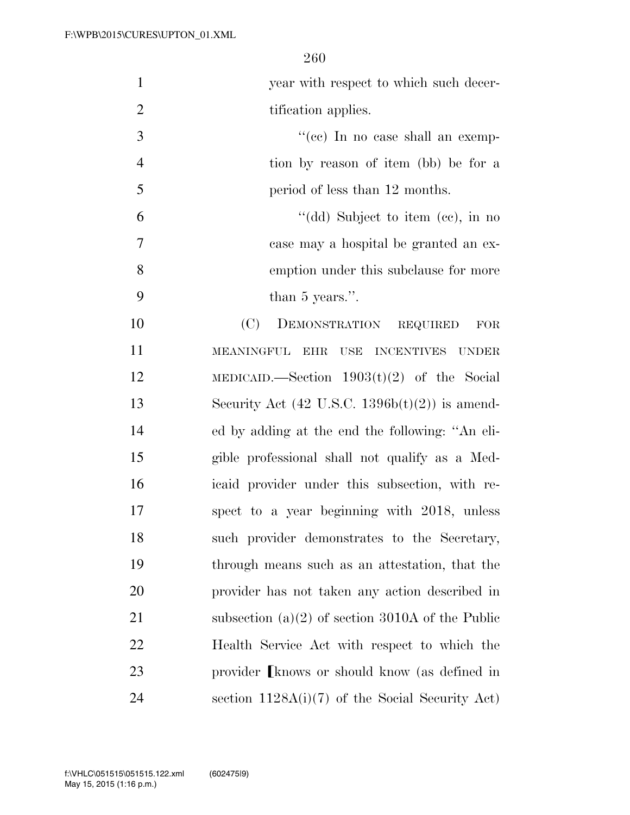year with respect to which such decer-2 tification applies.

 ''(cc) In no case shall an exemp- tion by reason of item (bb) be for a 5 period of less than 12 months.

 ''(dd) Subject to item (cc), in no case may a hospital be granted an ex- emption under this subclause for more than 5 years.''.

 (C) DEMONSTRATION REQUIRED FOR MEANINGFUL EHR USE INCENTIVES UNDER MEDICAID.—Section 1903(t)(2) of the Social 13 Security Act  $(42 \text{ U.S.C. } 1396b(t)(2))$  is amend- ed by adding at the end the following: ''An eli- gible professional shall not qualify as a Med- icaid provider under this subsection, with re- spect to a year beginning with 2018, unless such provider demonstrates to the Secretary, through means such as an attestation, that the provider has not taken any action described in subsection (a)(2) of section 3010A of the Public Health Service Act with respect to which the 23 provider [knows or should know (as defined in section 1128A(i)(7) of the Social Security Act)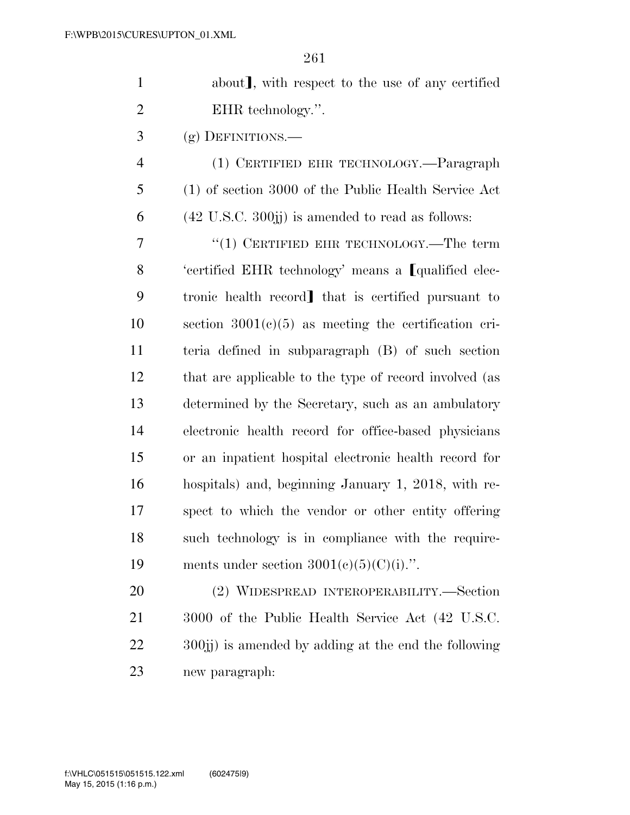| $\mathbf{1}$   | about], with respect to the use of any certified                   |
|----------------|--------------------------------------------------------------------|
| $\overline{2}$ | EHR technology.".                                                  |
| 3              | $(g)$ DEFINITIONS.—                                                |
| $\overline{4}$ | (1) CERTIFIED EHR TECHNOLOGY.—Paragraph                            |
| 5              | (1) of section 3000 of the Public Health Service Act               |
| 6              | $(42 \text{ U.S.C. } 300\text{jj})$ is amended to read as follows: |
| 7              | " $(1)$ CERTIFIED EHR TECHNOLOGY.—The term                         |
| 8              | 'certified EHR technology' means a Lqualified elec-                |
| 9              | tronic health record] that is certified pursuant to                |
| 10             | section $3001(c)(5)$ as meeting the certification cri-             |
| 11             | teria defined in subparagraph (B) of such section                  |
| 12             | that are applicable to the type of record involved (as             |
| 13             | determined by the Secretary, such as an ambulatory                 |
| 14             | electronic health record for office-based physicians               |
| 15             | or an inpatient hospital electronic health record for              |
| 16             | hospitals) and, beginning January 1, 2018, with re-                |
| 17             | spect to which the vendor or other entity offering                 |
| 18             | such technology is in compliance with the require-                 |
| 19             | ments under section $3001(e)(5)(C)(i)$ .".                         |
| 20             | (2) WIDESPREAD INTEROPERABILITY.—Section                           |
| 21             | 3000 of the Public Health Service Act (42 U.S.C.                   |
| 22             | 300; is amended by adding at the end the following                 |

new paragraph:

May 15, 2015 (1:16 p.m.) f:\VHLC\051515\051515.122.xml (602475|9)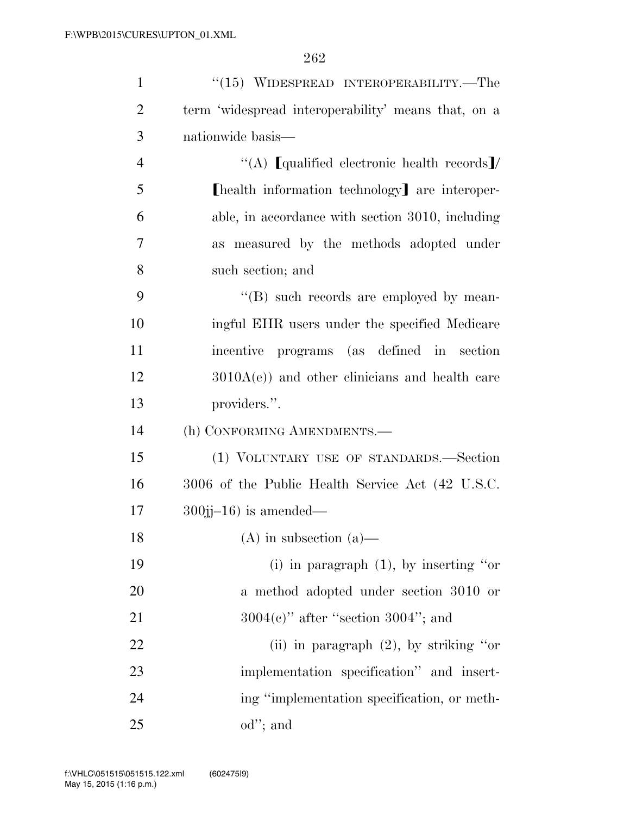| $\mathbf{1}$   | $(15)$ WIDESPREAD INTEROPERABILITY.—The             |
|----------------|-----------------------------------------------------|
| $\overline{2}$ | term 'widespread interoperability' means that, on a |
| 3              | nationwide basis—                                   |
| $\overline{4}$ | "(A) [qualified electronic health records]/         |
| 5              | [health information technology] are interoper-      |
| 6              | able, in accordance with section 3010, including    |
| $\overline{7}$ | as measured by the methods adopted under            |
| 8              | such section; and                                   |
| 9              | "(B) such records are employed by mean-             |
| 10             | ingful EHR users under the specified Medicare       |
| 11             | incentive programs (as defined in section           |
| 12             | $3010A(e)$ and other clinicians and health care     |
| 13             | providers.".                                        |
| 14             | (h) CONFORMING AMENDMENTS.-                         |
| 15             | (1) VOLUNTARY USE OF STANDARDS.-Section             |
| 16             | 3006 of the Public Health Service Act (42 U.S.C.    |
| 17             | $300$ jj $-16$ ) is amended—                        |
| 18             | $(A)$ in subsection $(a)$ —                         |
| 19             | (i) in paragraph $(1)$ , by inserting "or           |
| 20             | a method adopted under section 3010 or              |
| 21             | $3004(e)$ " after "section $3004$ "; and            |
| 22             | (ii) in paragraph $(2)$ , by striking "or           |
| 23             | implementation specification" and insert-           |
| 24             | ing "implementation specification, or meth-         |
| 25             | $od$ "; and                                         |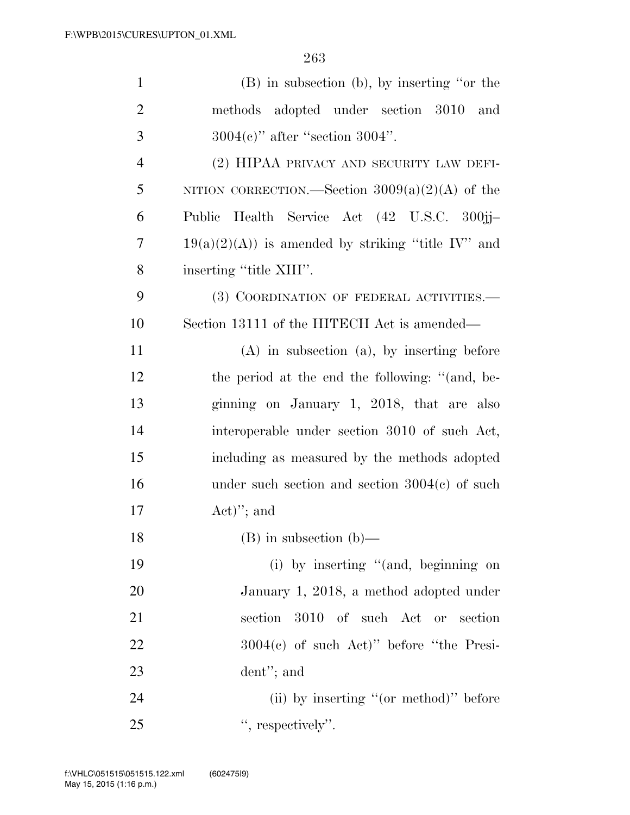| $\mathbf{1}$   | $(B)$ in subsection $(b)$ , by inserting "or the    |
|----------------|-----------------------------------------------------|
| $\overline{2}$ | methods adopted under section 3010 and              |
| 3              | $3004(e)$ " after "section $3004$ ".                |
| $\overline{4}$ | (2) HIPAA PRIVACY AND SECURITY LAW DEFI-            |
| 5              | NITION CORRECTION.—Section $3009(a)(2)(A)$ of the   |
| 6              | Public Health Service Act (42 U.S.C. 300jj-         |
| 7              | $19(a)(2)(A)$ is amended by striking "title IV" and |
| 8              | inserting "title XIII".                             |
| 9              | (3) COORDINATION OF FEDERAL ACTIVITIES.—            |
| 10             | Section 13111 of the HITECH Act is amended—         |
| 11             | $(A)$ in subsection $(a)$ , by inserting before     |
| 12             | the period at the end the following: "(and, be-     |
| 13             | ginning on January 1, 2018, that are also           |
| 14             | interoperable under section 3010 of such Act,       |
| 15             | including as measured by the methods adopted        |
| 16             | under such section and section $3004(c)$ of such    |
| 17             | $Act)$ "; and                                       |
| 18             | $(B)$ in subsection $(b)$ —                         |
| 19             | (i) by inserting "(and, beginning on                |
| 20             | January 1, 2018, a method adopted under             |
| 21             | 3010 of such Act or section<br>section              |
| 22             | $3004(e)$ of such Act)" before "the Presi-          |
| 23             | $d$ ent"; and                                       |
| 24             | (ii) by inserting "(or method)" before              |
| 25             | ", respectively".                                   |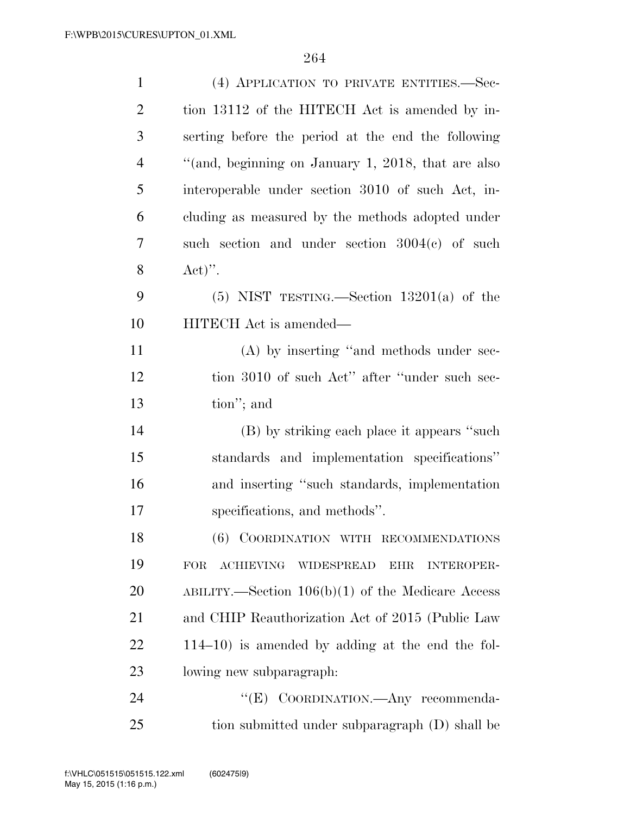| $\mathbf{1}$   | (4) APPLICATION TO PRIVATE ENTITIES.—Sec-                                              |
|----------------|----------------------------------------------------------------------------------------|
| $\overline{2}$ | tion 13112 of the HITECH Act is amended by in-                                         |
| 3              | serting before the period at the end the following                                     |
| $\overline{4}$ | "(and, beginning on January 1, 2018, that are also                                     |
| 5              | interoperable under section 3010 of such Act, in-                                      |
| 6              | cluding as measured by the methods adopted under                                       |
| 7              | such section and under section $3004(c)$ of such                                       |
| 8              | $\text{Act})"$ .                                                                       |
| 9              | $(5)$ NIST TESTING.—Section 13201(a) of the                                            |
| 10             | HITECH Act is amended—                                                                 |
| 11             | (A) by inserting "and methods under sec-                                               |
| 12             | tion 3010 of such Act" after "under such sec-                                          |
| 13             | tion"; and                                                                             |
| 14             | (B) by striking each place it appears "such                                            |
| 15             | standards and implementation specifications"                                           |
| 16             | and inserting "such standards, implementation                                          |
| 17             | specifications, and methods".                                                          |
| 18             | (6) COORDINATION WITH RECOMMENDATIONS                                                  |
| 19             | <b>ACHIEVING</b><br><b>FOR</b><br><b>WIDESPREAD</b><br><b>INTEROPER-</b><br><b>EHR</b> |
| 20             | ABILITY.—Section $106(b)(1)$ of the Medicare Access                                    |
| 21             | and CHIP Reauthorization Act of 2015 (Public Law                                       |
| 22             | $114-10$ ) is amended by adding at the end the fol-                                    |
| 23             | lowing new subparagraph.                                                               |
| 24             | "(E) COORDINATION.—Any recommenda-                                                     |
| 25             | tion submitted under subparagraph (D) shall be                                         |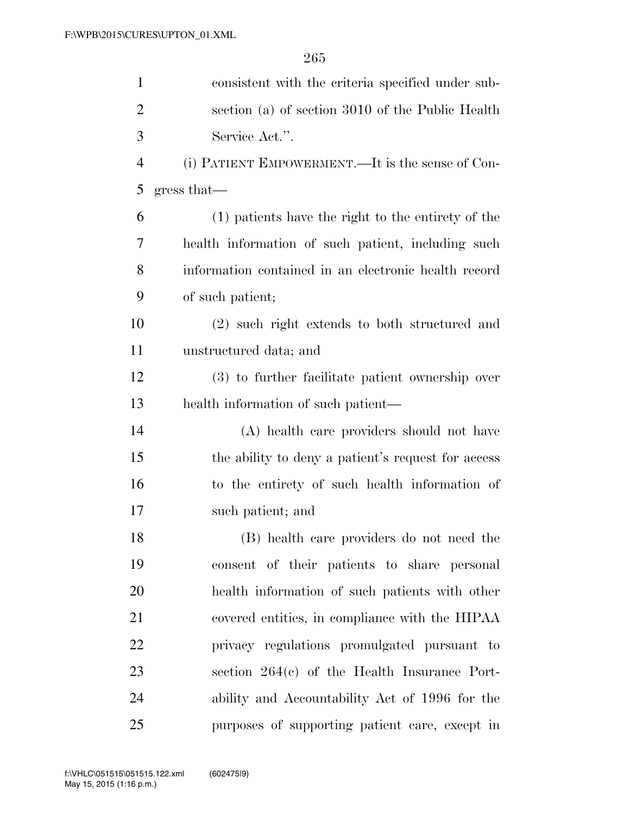| $\mathbf{1}$   | consistent with the criteria specified under sub-    |
|----------------|------------------------------------------------------|
| $\overline{2}$ | section (a) of section 3010 of the Public Health     |
| 3              | Service Act.".                                       |
| $\overline{4}$ | (i) PATIENT EMPOWERMENT.—It is the sense of Con-     |
| 5              | gress that—                                          |
| 6              | (1) patients have the right to the entirety of the   |
| 7              | health information of such patient, including such   |
| 8              | information contained in an electronic health record |
| 9              | of such patient;                                     |
| 10             | (2) such right extends to both structured and        |
| 11             | unstructured data; and                               |
| 12             | (3) to further facilitate patient ownership over     |
| 13             | health information of such patient-                  |
| 14             | (A) health care providers should not have            |
| 15             | the ability to deny a patient's request for access   |
| 16             | to the entirety of such health information of        |
| 17             | such patient; and                                    |
| 18             | (B) health care providers do not need the            |
| 19             | consent of their patients to share personal          |
| 20             | health information of such patients with other       |
| 21             | covered entities, in compliance with the HIPAA       |
| 22             | privacy regulations promulgated pursuant to          |
| 23             | section $264(c)$ of the Health Insurance Port-       |
| 24             | ability and Accountability Act of 1996 for the       |
| 25             | purposes of supporting patient care, except in       |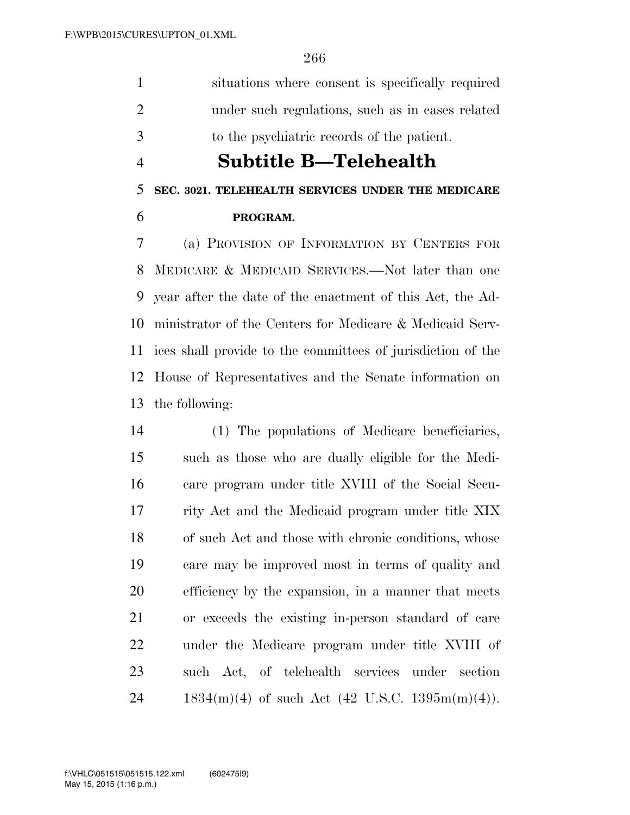situations where consent is specifically required under such regulations, such as in cases related to the psychiatric records of the patient.

### **Subtitle B—Telehealth**

#### **SEC. 3021. TELEHEALTH SERVICES UNDER THE MEDICARE**

#### **PROGRAM.**

 (a) PROVISION OF INFORMATION BY CENTERS FOR MEDICARE & MEDICAID SERVICES.—Not later than one year after the date of the enactment of this Act, the Ad- ministrator of the Centers for Medicare & Medicaid Serv- ices shall provide to the committees of jurisdiction of the House of Representatives and the Senate information on the following:

 (1) The populations of Medicare beneficiaries, such as those who are dually eligible for the Medi- care program under title XVIII of the Social Secu- rity Act and the Medicaid program under title XIX of such Act and those with chronic conditions, whose care may be improved most in terms of quality and efficiency by the expansion, in a manner that meets or exceeds the existing in-person standard of care under the Medicare program under title XVIII of such Act, of telehealth services under section 24 1834(m)(4) of such Act (42 U.S.C. 1395m(m)(4)).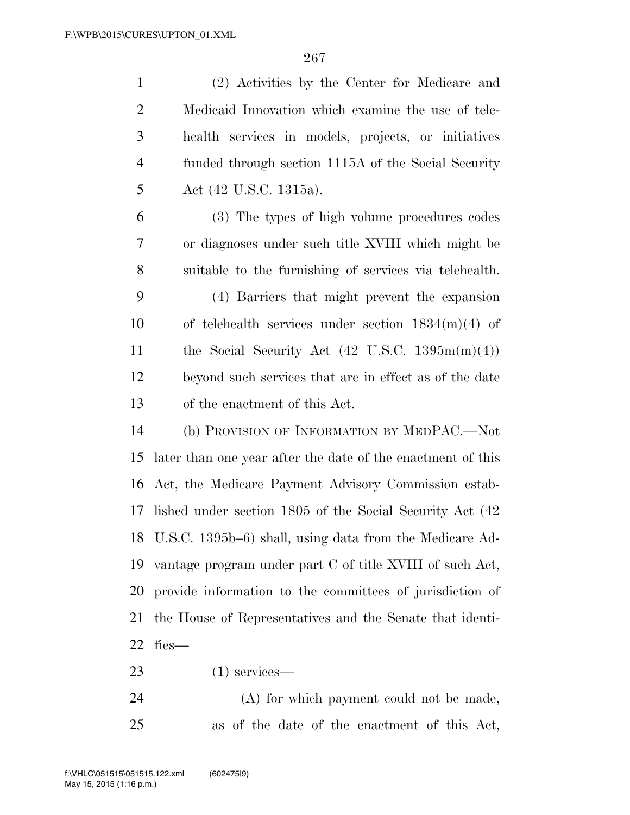(2) Activities by the Center for Medicare and Medicaid Innovation which examine the use of tele- health services in models, projects, or initiatives funded through section 1115A of the Social Security Act (42 U.S.C. 1315a). (3) The types of high volume procedures codes or diagnoses under such title XVIII which might be suitable to the furnishing of services via telehealth. (4) Barriers that might prevent the expansion of telehealth services under section 1834(m)(4) of 11 the Social Security Act  $(42 \text{ U.S.C. } 1395 \text{m(m)}(4))$  beyond such services that are in effect as of the date of the enactment of this Act. (b) PROVISION OF INFORMATION BY MEDPAC.—Not later than one year after the date of the enactment of this Act, the Medicare Payment Advisory Commission estab- lished under section 1805 of the Social Security Act (42 U.S.C. 1395b–6) shall, using data from the Medicare Ad- vantage program under part C of title XVIII of such Act, provide information to the committees of jurisdiction of the House of Representatives and the Senate that identi-fies—

(1) services—

 (A) for which payment could not be made, as of the date of the enactment of this Act,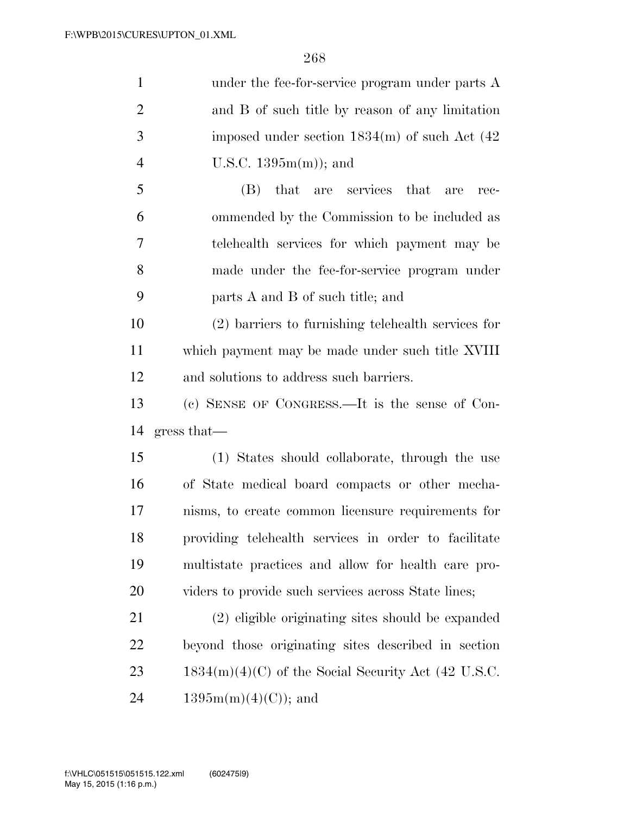| $\mathbf{1}$   | under the fee-for-service program under parts A       |
|----------------|-------------------------------------------------------|
| $\overline{2}$ | and B of such title by reason of any limitation       |
| 3              | imposed under section $1834(m)$ of such Act $(42)$    |
| $\overline{4}$ | U.S.C. $1395m(m)$ ; and                               |
| 5              | that are services<br>(B)<br>that<br>are<br>rec-       |
| 6              | ommended by the Commission to be included as          |
| 7              | telehealth services for which payment may be          |
| 8              | made under the fee-for-service program under          |
| 9              | parts A and B of such title; and                      |
| 10             | $(2)$ barriers to furnishing telehealth services for  |
| 11             | which payment may be made under such title XVIII      |
| 12             | and solutions to address such barriers.               |
|                |                                                       |
|                | (c) SENSE OF CONGRESS.—It is the sense of Con-        |
| 13<br>14       | gress that—                                           |
| 15             | (1) States should collaborate, through the use        |
| 16             | of State medical board compacts or other mecha-       |
| 17             | nisms, to create common licensure requirements for    |
| 18             | providing telehealth services in order to facilitate  |
| 19             | multistate practices and allow for health care pro-   |
| 20             | viders to provide such services across State lines;   |
|                | (2) eligible originating sites should be expanded     |
| 21<br>22       | beyond those originating sites described in section   |
| 23             | $1834(m)(4)(C)$ of the Social Security Act (42 U.S.C. |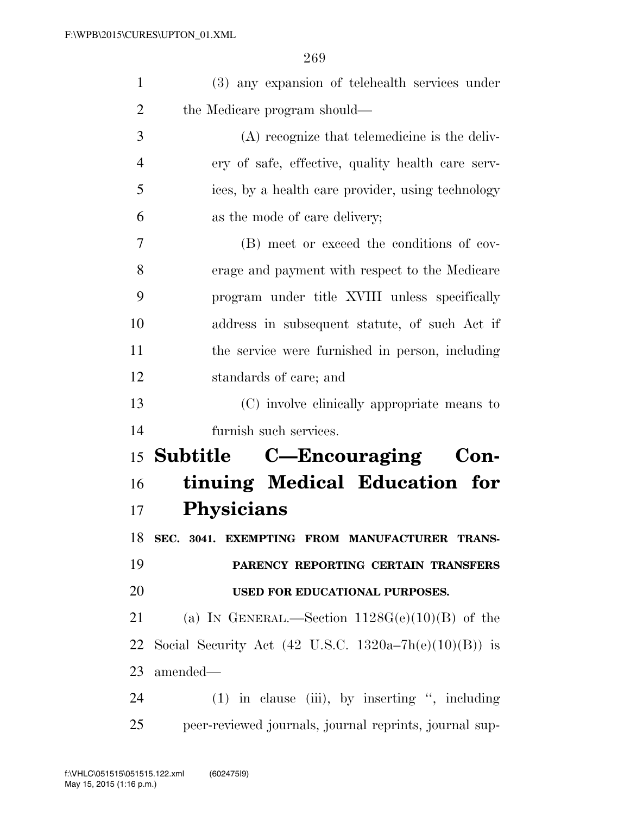| $\mathbf{1}$   | (3) any expansion of telehealth services under                   |
|----------------|------------------------------------------------------------------|
| $\overline{2}$ | the Medicare program should—                                     |
| 3              | (A) recognize that telemedicine is the deliv-                    |
| $\overline{4}$ | ery of safe, effective, quality health care serv-                |
| 5              | ices, by a health care provider, using technology                |
| 6              | as the mode of care delivery;                                    |
| 7              | (B) meet or exceed the conditions of cov-                        |
| 8              | erage and payment with respect to the Medicare                   |
| 9              | program under title XVIII unless specifically                    |
| 10             | address in subsequent statute, of such Act if                    |
| 11             | the service were furnished in person, including                  |
| 12             | standards of care; and                                           |
| 13             | (C) involve clinically appropriate means to                      |
| 14             | furnish such services.                                           |
|                | <sup>15</sup> Subtitle C—Encouraging<br>Con-                     |
| 16             | tinuing Medical Education for                                    |
| 17             | <b>Physicians</b>                                                |
| 18             | SEC. 3041. EXEMPTING FROM MANUFACTURER TRANS-                    |
| 19             | PARENCY REPORTING CERTAIN TRANSFERS                              |
| 20             | USED FOR EDUCATIONAL PURPOSES.                                   |
| 21             | (a) IN GENERAL.—Section $1128G(e)(10)(B)$ of the                 |
| 22             | Social Security Act $(42 \text{ U.S.C. } 1320a-7h(e)(10)(B))$ is |
| 23             | amended—                                                         |
| 24             | $(1)$ in clause (iii), by inserting ", including                 |
|                |                                                                  |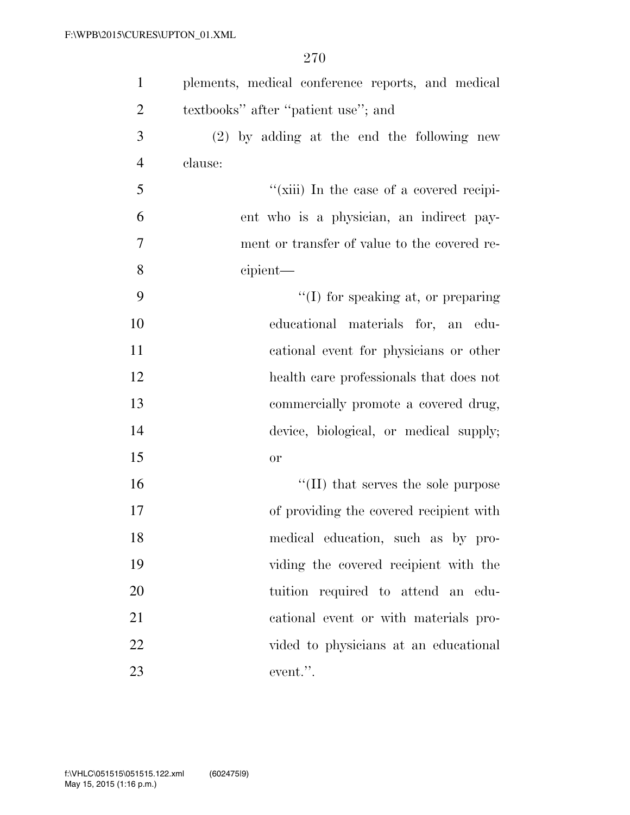| $\mathbf{1}$   | plements, medical conference reports, and medical |
|----------------|---------------------------------------------------|
| $\overline{2}$ | textbooks" after "patient use"; and               |
| 3              | $(2)$ by adding at the end the following new      |
| $\overline{4}$ | clause:                                           |
| 5              | "(xiii) In the case of a covered recipi-          |
| 6              | ent who is a physician, an indirect pay-          |
| $\tau$         | ment or transfer of value to the covered re-      |
| 8              | cipient—                                          |
| 9              | $\lq\lq$ (I) for speaking at, or preparing        |
| 10             | educational materials for, an edu-                |
| 11             | cational event for physicians or other            |
| 12             | health care professionals that does not           |
| 13             | commercially promote a covered drug,              |
| 14             | device, biological, or medical supply;            |
| 15             | or                                                |
| 16             | $\lq\lq$ (II) that serves the sole purpose        |
| 17             | of providing the covered recipient with           |
| 18             | medical education, such as by pro-                |
| 19             | viding the covered recipient with the             |
| 20             | tuition required to attend an edu-                |
| 21             | cational event or with materials pro-             |
| 22             | vided to physicians at an educational             |
| 23             | event.".                                          |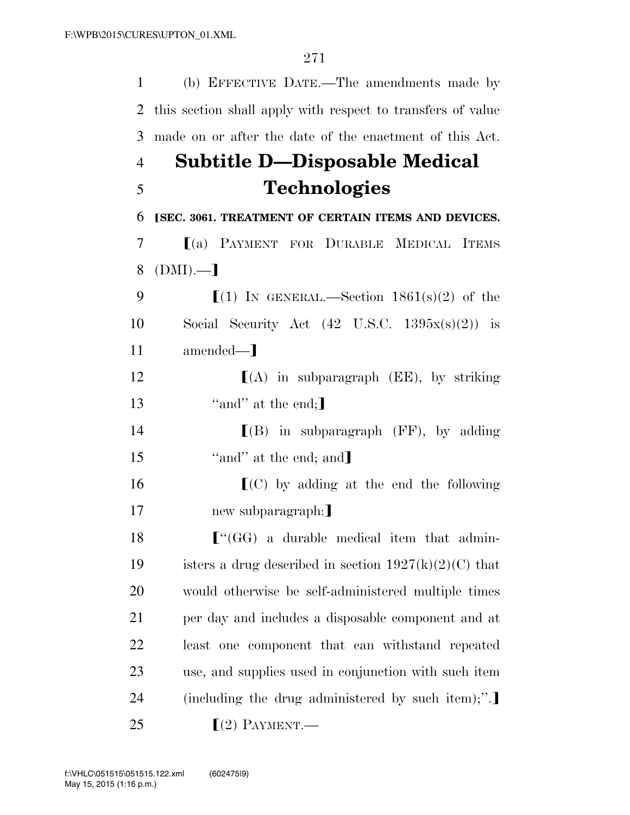| $\mathbf{1}$   | (b) EFFECTIVE DATE.—The amendments made by                  |
|----------------|-------------------------------------------------------------|
| $\overline{2}$ | this section shall apply with respect to transfers of value |
| 3              | made on or after the date of the enactment of this Act.     |
| $\overline{4}$ | Subtitle D—Disposable Medical                               |
| 5              | <b>Technologies</b>                                         |
| 6              | [SEC. 3061. TREATMENT OF CERTAIN ITEMS AND DEVICES.         |
| 7              | [(a) PAYMENT FOR DURABLE MEDICAL ITEMS                      |
| 8              | $(DMI)$ .—                                                  |
| 9              | $(1)$ IN GENERAL.—Section 1861(s)(2) of the                 |
| 10             | Social Security Act $(42 \text{ U.S.C. } 1395x(s)(2))$ is   |
| 11             | amended—]                                                   |
| 12             | $[(A)$ in subparagraph $(EE)$ , by striking                 |
| 13             | "and" at the end;                                           |
| 14             | $[(B)$ in subparagraph (FF), by adding                      |
| 15             | "and" at the end; and]                                      |
| 16             | $\Gamma(C)$ by adding at the end the following              |
| 17             | new subparagraph:                                           |
| 18             | $\lbrack$ "(GG) a durable medical item that admin-          |
| 19             | isters a drug described in section $1927(k)(2)(C)$ that     |
| 20             | would otherwise be self-administered multiple times         |
| 21             | per day and includes a disposable component and at          |
| 22             | least one component that can withstand repeated             |
| 23             | use, and supplies used in conjunction with such item        |
| 24             | (including the drug administered by such item);".           |
| 25             | $(2)$ PAYMENT.—                                             |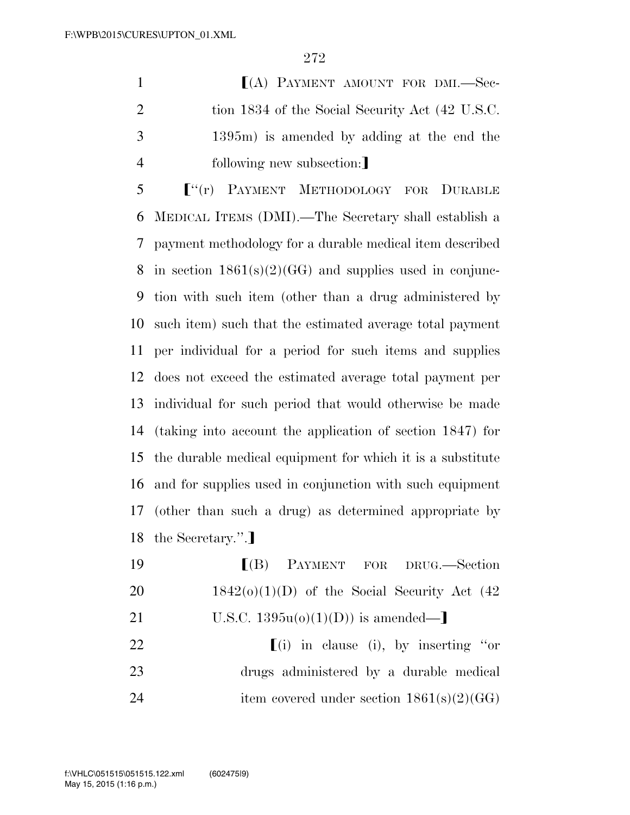**I**(A) PAYMENT AMOUNT FOR DMI.-Sec-2 tion 1834 of the Social Security Act (42 U.S.C. 1395m) is amended by adding at the end the 4 following new subsection:

 $\int^{u}(r)$  PAYMENT METHODOLOGY FOR DURABLE MEDICAL ITEMS (DMI).—The Secretary shall establish a payment methodology for a durable medical item described in section 1861(s)(2)(GG) and supplies used in conjunc- tion with such item (other than a drug administered by such item) such that the estimated average total payment per individual for a period for such items and supplies does not exceed the estimated average total payment per individual for such period that would otherwise be made (taking into account the application of section 1847) for the durable medical equipment for which it is a substitute and for supplies used in conjunction with such equipment (other than such a drug) as determined appropriate by 18 the Secretary.".]

| 19 | [(B) PAYMENT FOR DRUG.—Section                  |
|----|-------------------------------------------------|
| 20 | $1842(0)(1)(D)$ of the Social Security Act (42) |
| 21 | U.S.C. $1395u(o)(1)(D)$ is amended—             |
| 22 | $(i)$ in clause (i), by inserting "or           |
| 23 | drugs administered by a durable medical         |
| 24 | item covered under section $1861(s)(2)(GG)$     |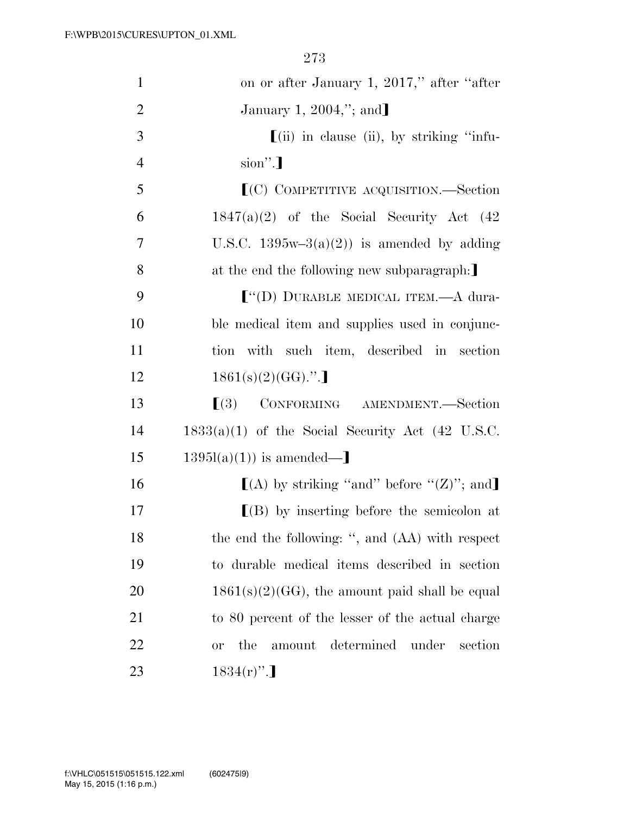| $\mathbf{1}$   | on or after January 1, 2017," after "after"                     |
|----------------|-----------------------------------------------------------------|
| $\overline{2}$ | January 1, 2004,"; and]                                         |
| 3              | $\left[ \text{(ii)} \right]$ in clause (ii), by striking "infu- |
| $\overline{4}$ | $\sin$ ".]                                                      |
| 5              | $(C)$ COMPETITIVE ACQUISITION.—Section                          |
| 6              | $1847(a)(2)$ of the Social Security Act $(42)$                  |
| $\overline{7}$ | U.S.C. $1395w-3(a)(2)$ is amended by adding                     |
| 8              | at the end the following new subparagraph:                      |
| 9              | $\lbrack$ "(D) DURABLE MEDICAL ITEM.—A dura-                    |
| 10             | ble medical item and supplies used in conjunc-                  |
| 11             | tion with such item, described in section                       |
| 12             | $1861(s)(2)(GG)$ .".]                                           |
| 13             | $\lceil (3) \rceil$<br>CONFORMING AMENDMENT.—Section            |
| 14             | $1833(a)(1)$ of the Social Security Act (42 U.S.C.              |
| 15             | $1395l(a)(1)$ is amended—                                       |
| 16             | $[(A)$ by striking "and" before " $(Z)$ "; and                  |
| 17             | $[(B)$ by inserting before the semicolon at                     |
| 18             | the end the following: ", and (AA) with respect                 |
| 19             | to durable medical items described in section                   |
| 20             | $1861(s)(2)(GG)$ , the amount paid shall be equal               |
| 21             | to 80 percent of the lesser of the actual charge                |
| 22             | determined<br>under<br>the<br>section<br>amount<br><b>or</b>    |
| 23             | $1834(r)$ ".                                                    |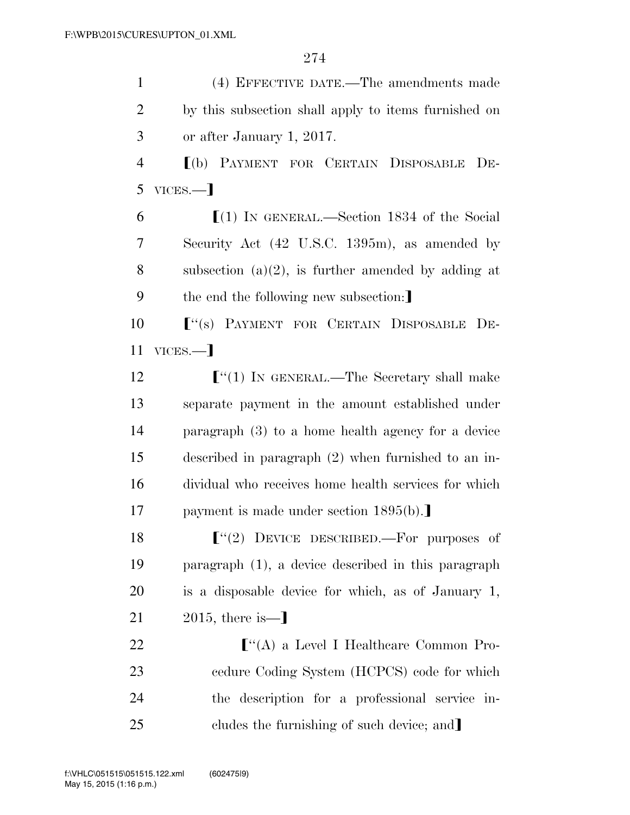(4) EFFECTIVE DATE.—The amendments made by this subsection shall apply to items furnished on or after January 1, 2017. ø(b) PAYMENT FOR CERTAIN DISPOSABLE DE- $5$  VICES. $-1$  $\lceil (1) \text{ IN GENERAL.} \rceil$ . Section 1834 of the Social Security Act (42 U.S.C. 1395m), as amended by 8 subsection  $(a)(2)$ , is further amended by adding at 9 the end the following new subsection: **F**<sup>"</sup>(s) PAYMENT FOR CERTAIN DISPOSABLE DE-11 VICES.— **F**"(1) IN GENERAL.—The Secretary shall make separate payment in the amount established under paragraph (3) to a home health agency for a device described in paragraph (2) when furnished to an in- dividual who receives home health services for which 17 payment is made under section 1895(b).  $\lbrack\!\lbrack^{(4)}\rbrack\!\rbrack$  DEVICE DESCRIBED.—For purposes of paragraph (1), a device described in this paragraph is a disposable device for which, as of January 1,  $2015$ , there is  $-$ **F**<sup>"</sup>(A) a Level I Healthcare Common Pro- cedure Coding System (HCPCS) code for which the description for a professional service in-25 cludes the furnishing of such device; and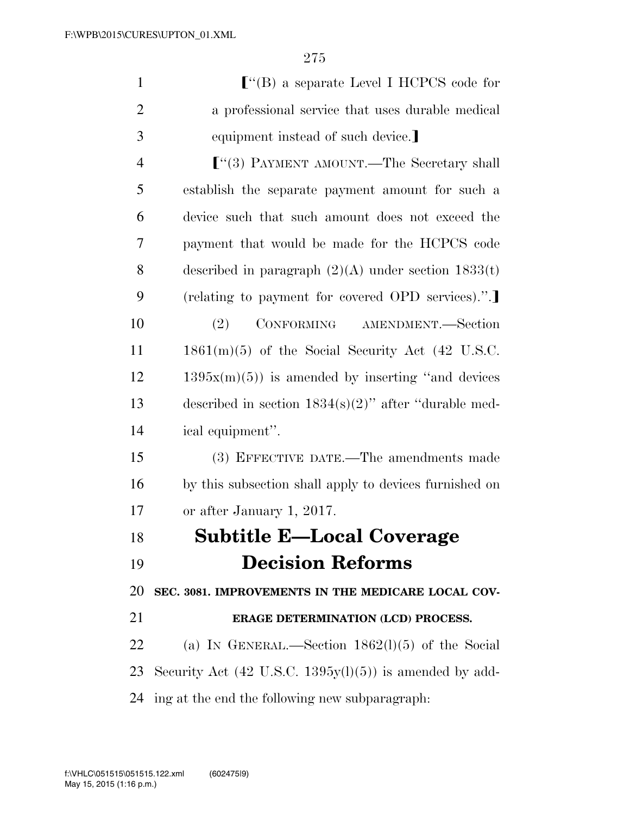| $\mathbf{1}$   | $\lbrack$ "(B) a separate Level I HCPCS code for                   |
|----------------|--------------------------------------------------------------------|
| $\overline{2}$ | a professional service that uses durable medical                   |
| 3              | equipment instead of such device.                                  |
| $\overline{4}$ | $\lbrack$ "(3) PAYMENT AMOUNT.—The Secretary shall                 |
| 5              | establish the separate payment amount for such a                   |
| 6              | device such that such amount does not exceed the                   |
| 7              | payment that would be made for the HCPCS code                      |
| 8              | described in paragraph $(2)(A)$ under section $1833(t)$            |
| 9              | (relating to payment for covered OPD services).".                  |
| 10             | CONFORMING AMENDMENT.-Section<br>(2)                               |
| 11             | $1861(m)(5)$ of the Social Security Act (42 U.S.C.                 |
| 12             | $1395x(m)(5)$ is amended by inserting "and devices"                |
| 13             | described in section $1834(s)(2)$ " after "durable med-            |
| 14             | ical equipment".                                                   |
| 15             | (3) EFFECTIVE DATE.—The amendments made                            |
| 16             | by this subsection shall apply to devices furnished on             |
| 17             | or after January 1, 2017.                                          |
| 18             | <b>Subtitle E-Local Coverage</b>                                   |
| 19             | <b>Decision Reforms</b>                                            |
| 20             | SEC. 3081. IMPROVEMENTS IN THE MEDICARE LOCAL COV-                 |
| 21             | ERAGE DETERMINATION (LCD) PROCESS.                                 |
| 22             | (a) IN GENERAL.—Section $1862(1)(5)$ of the Social                 |
| 23             | Security Act $(42 \text{ U.S.C. } 1395y(l)(5))$ is amended by add- |
| 24             | ing at the end the following new subparagraph.                     |
|                |                                                                    |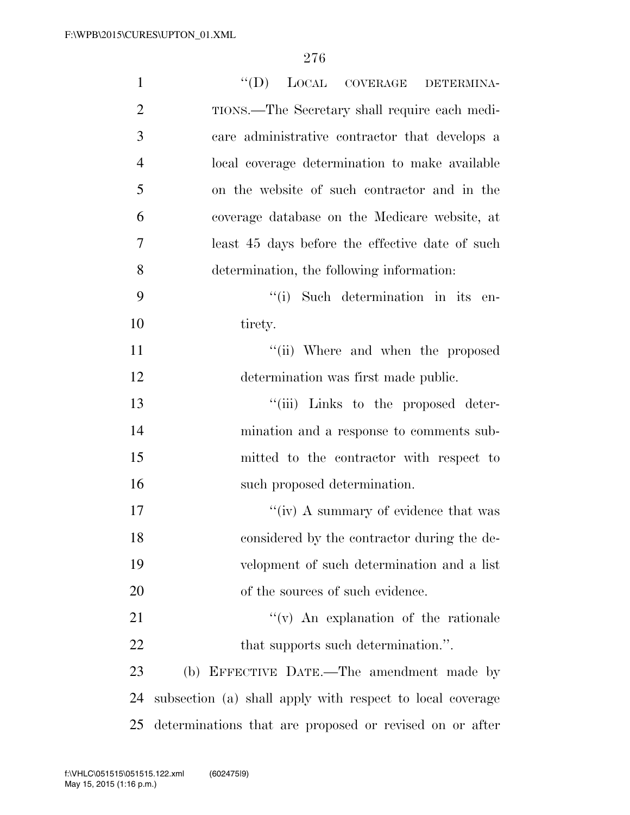| $\mathbf{1}$   | $``(D)$ LOCAL COVERAGE DETERMINA-                         |
|----------------|-----------------------------------------------------------|
| $\overline{2}$ | TIONS.—The Secretary shall require each medi-             |
| 3              | care administrative contractor that develops a            |
| $\overline{4}$ | local coverage determination to make available            |
| 5              | on the website of such contractor and in the              |
| 6              | coverage database on the Medicare website, at             |
| 7              | least 45 days before the effective date of such           |
| 8              | determination, the following information:                 |
| 9              | "(i) Such determination in its en-                        |
| 10             | tirety.                                                   |
| 11             | "(ii) Where and when the proposed                         |
| 12             | determination was first made public.                      |
| 13             | "(iii) Links to the proposed deter-                       |
| 14             | mination and a response to comments sub-                  |
| 15             | mitted to the contractor with respect to                  |
| 16             | such proposed determination.                              |
| 17             | "(iv) A summary of evidence that was                      |
| 18             | considered by the contractor during the de-               |
| 19             | velopment of such determination and a list                |
| 20             | of the sources of such evidence.                          |
| 21             | $f'(v)$ An explanation of the rationale                   |
| 22             | that supports such determination.".                       |
| 23             | (b) EFFECTIVE DATE.—The amendment made by                 |
| 24             | subsection (a) shall apply with respect to local coverage |
| 25             | determinations that are proposed or revised on or after   |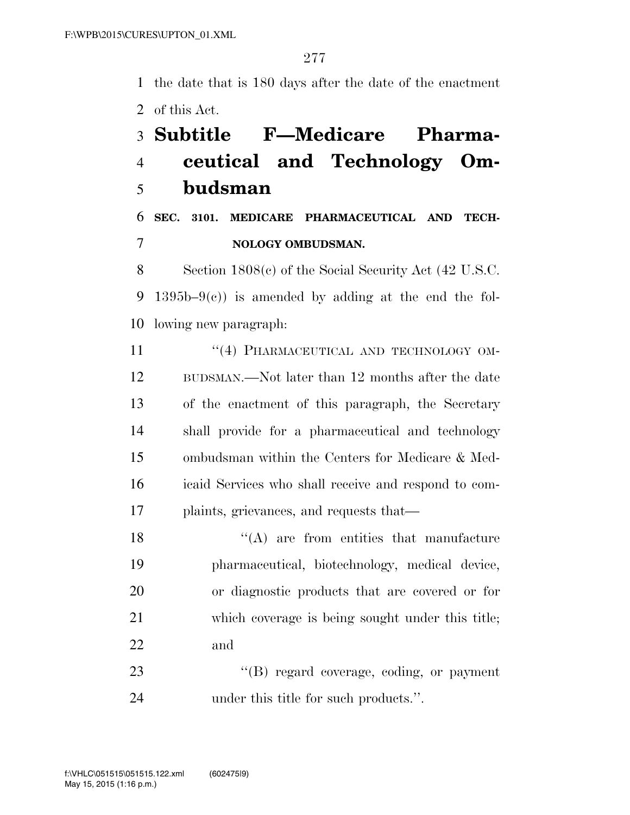the date that is 180 days after the date of the enactment of this Act.

## **Subtitle F—Medicare Pharma- ceutical and Technology Om-budsman**

### **SEC. 3101. MEDICARE PHARMACEUTICAL AND TECH-NOLOGY OMBUDSMAN.**

 Section 1808(c) of the Social Security Act (42 U.S.C. 9 1395b–9 $(e)$  is amended by adding at the end the fol-lowing new paragraph:

11 "(4) PHARMACEUTICAL AND TECHNOLOGY OM- BUDSMAN.—Not later than 12 months after the date of the enactment of this paragraph, the Secretary shall provide for a pharmaceutical and technology ombudsman within the Centers for Medicare & Med- icaid Services who shall receive and respond to com-plaints, grievances, and requests that—

18 ''(A) are from entities that manufacture pharmaceutical, biotechnology, medical device, or diagnostic products that are covered or for which coverage is being sought under this title; and

23  $\text{``(B) regard coverage, coding, or payment}$ under this title for such products.''.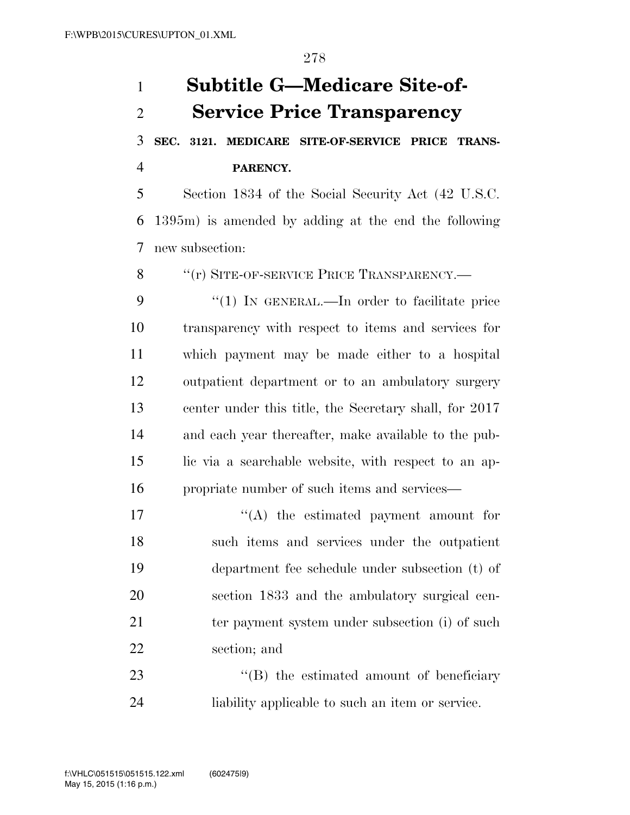# **Subtitle G—Medicare Site-of- Service Price Transparency SEC. 3121. MEDICARE SITE-OF-SERVICE PRICE TRANS- PARENCY.**  Section 1834 of the Social Security Act (42 U.S.C. 1395m) is amended by adding at the end the following new subsection: 8 "(r) SITE-OF-SERVICE PRICE TRANSPARENCY.— 9 "(1) In GENERAL.—In order to facilitate price transparency with respect to items and services for which payment may be made either to a hospital outpatient department or to an ambulatory surgery center under this title, the Secretary shall, for 2017 and each year thereafter, make available to the pub- lic via a searchable website, with respect to an ap- propriate number of such items and services— 17  $\langle (A)$  the estimated payment amount for such items and services under the outpatient department fee schedule under subsection (t) of section 1833 and the ambulatory surgical cen-21 ter payment system under subsection (i) of such section; and 23 ''(B) the estimated amount of beneficiary liability applicable to such an item or service.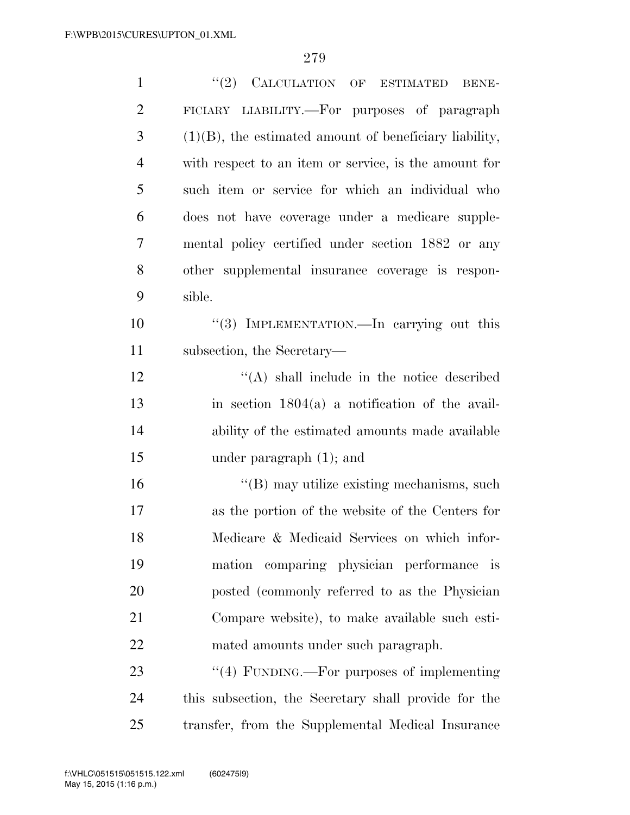| $\mathbf{1}$   | $``(2)$ CALCULATION OF<br><b>ESTIMATED</b><br><b>BENE-</b> |
|----------------|------------------------------------------------------------|
| $\overline{2}$ | FICIARY LIABILITY.—For purposes of paragraph               |
| 3              | $(1)(B)$ , the estimated amount of beneficiary liability,  |
| $\overline{4}$ | with respect to an item or service, is the amount for      |
| 5              | such item or service for which an individual who           |
| 6              | does not have coverage under a medicare supple-            |
| 7              | mental policy certified under section 1882 or any          |
| 8              | other supplemental insurance coverage is respon-           |
| 9              | sible.                                                     |
| 10             | "(3) IMPLEMENTATION.—In carrying out this                  |
| 11             | subsection, the Secretary—                                 |
| 12             | $\lq\lq$ shall include in the notice described             |
| 13             | in section $1804(a)$ a notification of the avail-          |
| 14             | ability of the estimated amounts made available            |
| 15             | under paragraph $(1)$ ; and                                |
| 16             | "(B) may utilize existing mechanisms, such                 |
| 17             | as the portion of the website of the Centers for           |
| 18             | Medicare & Medicaid Services on which infor-               |
| 19             | mation comparing physician performance is                  |
| 20             | posted (commonly referred to as the Physician              |
| 21             | Compare website), to make available such esti-             |
| 22             | mated amounts under such paragraph.                        |
| 23             | $\lq(4)$ FUNDING.—For purposes of implementing             |
| 24             | this subsection, the Secretary shall provide for the       |
| 25             | transfer, from the Supplemental Medical Insurance          |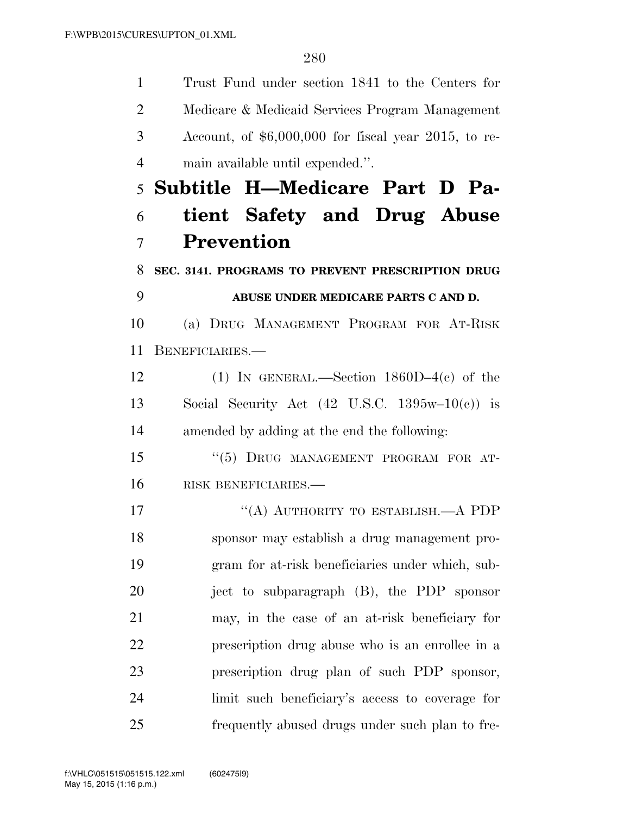Trust Fund under section 1841 to the Centers for Medicare & Medicaid Services Program Management Account, of \$6,000,000 for fiscal year 2015, to re- main available until expended.''. **Subtitle H—Medicare Part D Pa- tient Safety and Drug Abuse Prevention SEC. 3141. PROGRAMS TO PREVENT PRESCRIPTION DRUG ABUSE UNDER MEDICARE PARTS C AND D.**  (a) DRUG MANAGEMENT PROGRAM FOR AT-RISK BENEFICIARIES.— (1) IN GENERAL.—Section 1860D–4(c) of the 13 Social Security Act  $(42 \text{ U.S.C. } 1395\text{w}-10(\text{c}))$  is amended by adding at the end the following: 15 "(5) DRUG MANAGEMENT PROGRAM FOR AT- RISK BENEFICIARIES.— 17 "(A) AUTHORITY TO ESTABLISH.—A PDP sponsor may establish a drug management pro- gram for at-risk beneficiaries under which, sub-20 iect to subparagraph (B), the PDP sponsor may, in the case of an at-risk beneficiary for prescription drug abuse who is an enrollee in a prescription drug plan of such PDP sponsor, limit such beneficiary's access to coverage for frequently abused drugs under such plan to fre-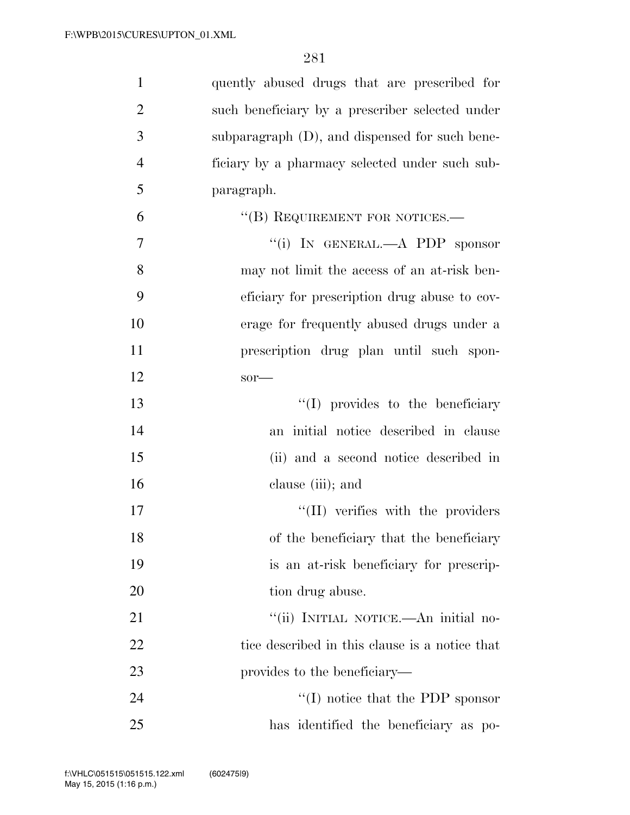| $\mathbf{1}$   | quently abused drugs that are prescribed for    |
|----------------|-------------------------------------------------|
| $\overline{2}$ | such beneficiary by a prescriber selected under |
| 3              | subparagraph (D), and dispensed for such bene-  |
| $\overline{4}$ | ficiary by a pharmacy selected under such sub-  |
| 5              | paragraph.                                      |
| 6              | "(B) REQUIREMENT FOR NOTICES.—                  |
| 7              | "(i) IN GENERAL.—A PDP sponsor                  |
| 8              | may not limit the access of an at-risk ben-     |
| 9              | eficiary for prescription drug abuse to cov-    |
| 10             | erage for frequently abused drugs under a       |
| 11             | prescription drug plan until such spon-         |
| 12             | $sor$ —                                         |
| 13             | $\lq\lq$ (I) provides to the beneficiary        |
| 14             | an initial notice described in clause           |
| 15             | (ii) and a second notice described in           |
| 16             | clause (iii); and                               |
| 17             | "(II) verifies with the providers               |
| 18             | of the beneficiary that the beneficiary         |
| 19             | is an at-risk beneficiary for prescrip-         |
| 20             | tion drug abuse.                                |
| 21             | "(ii) INITIAL NOTICE.—An initial no-            |
| 22             | tice described in this clause is a notice that  |
| 23             | provides to the beneficiary—                    |
| 24             | $\lq\lq$ (I) notice that the PDP sponsor        |
| 25             | has identified the beneficiary as po-           |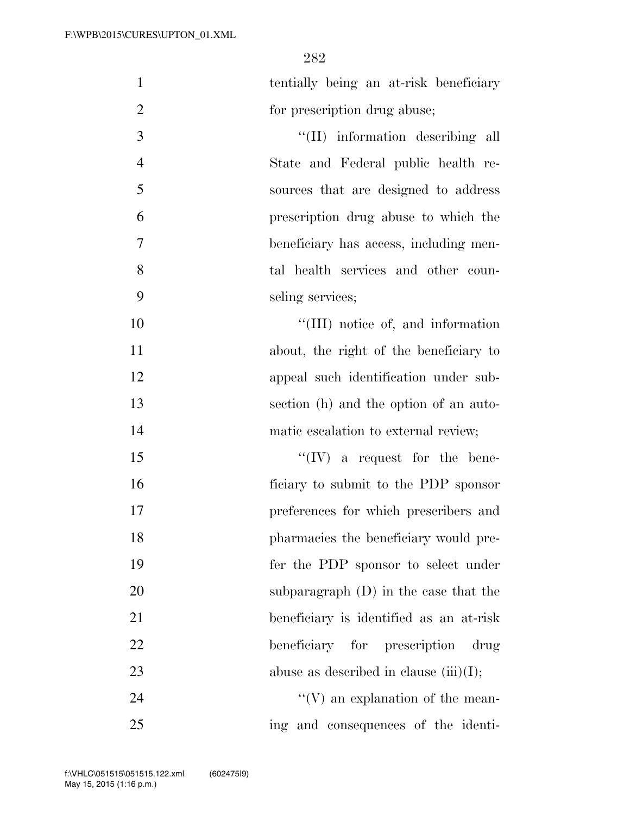tentially being an at-risk beneficiary 2 for prescription drug abuse;

 $\frac{1}{I(\text{II})}$  information describing all State and Federal public health re- sources that are designed to address prescription drug abuse to which the beneficiary has access, including men- tal health services and other coun-seling services;

 $\text{``(III)}$  notice of, and information about, the right of the beneficiary to appeal such identification under sub- section (h) and the option of an auto-matic escalation to external review;

 $\mathcal{L}^{\prime}(\mathrm{IV})$  a request for the bene- ficiary to submit to the PDP sponsor preferences for which prescribers and pharmacies the beneficiary would pre- fer the PDP sponsor to select under subparagraph (D) in the case that the beneficiary is identified as an at-risk beneficiary for prescription drug 23 abuse as described in clause (iii)(I);

24  $\mathcal{C}(V)$  an explanation of the mean-ing and consequences of the identi-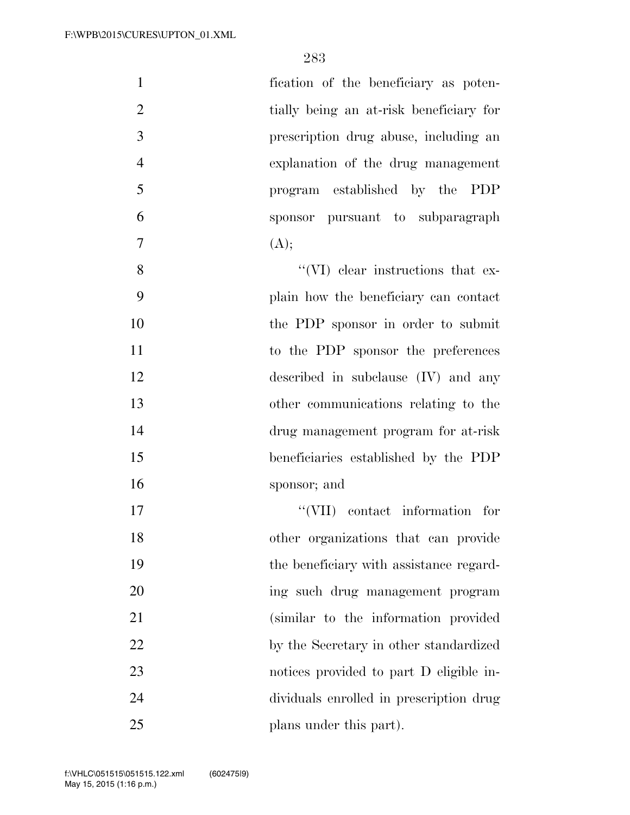| 1              | fication of the beneficiary as poten-   |
|----------------|-----------------------------------------|
| $\overline{2}$ | tially being an at-risk beneficiary for |
| 3              | prescription drug abuse, including an   |
| $\overline{4}$ | explanation of the drug management      |
| 5              | program established by the PDP          |
| 6              | sponsor pursuant to subparagraph        |
| $\overline{7}$ | (A);                                    |
| 8              | "(VI) clear instructions that ex-       |
| 9              | plain how the beneficiary can contact   |
| 10             | the PDP sponsor in order to submit      |
| 11             | to the PDP sponsor the preferences      |
| 12             | described in subclause (IV) and any     |
| 13             | other communications relating to the    |
| 14             | drug management program for at-risk     |
| 15             | beneficiaries established by the PDP    |
| 16             | sponsor; and                            |
| 17             | "(VII) contact information for          |
| 18             | other organizations that can provide    |
| 19             | the beneficiary with assistance regard- |
| 20             | ing such drug management program        |
| 21             | (similar to the information provided    |
| 22             | by the Secretary in other standardized  |
| 23             | notices provided to part D eligible in- |
| 24             | dividuals enrolled in prescription drug |
| 25             | plans under this part).                 |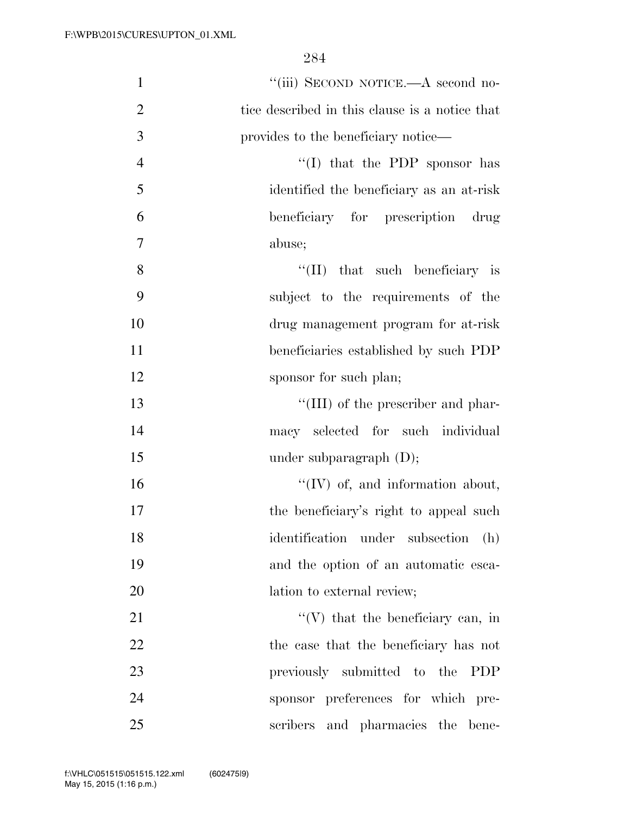| $\mathbf{1}$   | "(iii) SECOND NOTICE.—A second no-             |
|----------------|------------------------------------------------|
| $\overline{2}$ | tice described in this clause is a notice that |
| 3              | provides to the beneficiary notice—            |
| $\overline{4}$ | "(I) that the PDP sponsor has                  |
| 5              | identified the beneficiary as an at-risk       |
| 6              | beneficiary for prescription drug              |
| 7              | abuse;                                         |
| 8              | $\lq\lq$ (II) that such beneficiary is         |
| 9              | subject to the requirements of the             |
| 10             | drug management program for at-risk            |
| 11             | beneficiaries established by such PDP          |
| 12             | sponsor for such plan;                         |
| 13             | "(III) of the prescriber and phar-             |
| 14             | macy selected for such individual              |
| 15             | under subparagraph $(D)$ ;                     |
| 16             | $\lq\lq$ (IV) of, and information about,       |
| 17             | the beneficiary's right to appeal such         |
| 18             | identification under subsection (h)            |
| 19             | and the option of an automatic esca-           |
| 20             | lation to external review;                     |
| 21             | $\lq\lq$ (V) that the beneficiary can, in      |
| 22             | the case that the beneficiary has not          |
| 23             | previously submitted to the<br><b>PDP</b>      |
| 24             | sponsor preferences for which pre-             |
| 25             | scribers and pharmacies the bene-              |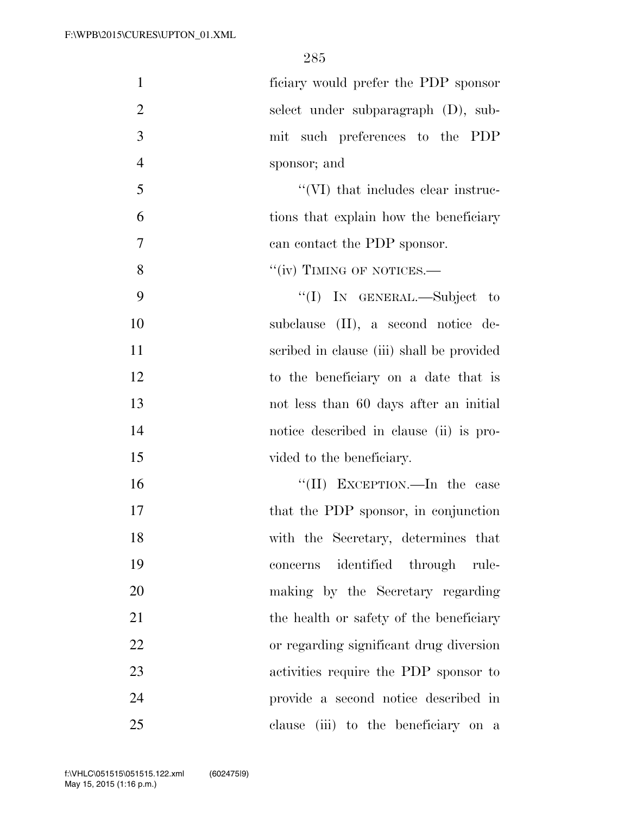| $\mathbf{1}$   | ficiary would prefer the PDP sponsor       |
|----------------|--------------------------------------------|
| $\overline{2}$ | select under subparagraph (D), sub-        |
| 3              | mit such preferences to the PDP            |
| $\overline{4}$ | sponsor; and                               |
| 5              | $\lq\lq$ (VI) that includes clear instruc- |
| 6              | tions that explain how the beneficiary     |
| $\overline{7}$ | can contact the PDP sponsor.               |
| 8              | "(iv) TIMING OF NOTICES.—                  |
| 9              | "(I) IN GENERAL.—Subject to                |
| 10             | subclause (II), a second notice de-        |
| 11             | scribed in clause (iii) shall be provided  |
| 12             | to the beneficiary on a date that is       |
| 13             | not less than 60 days after an initial     |
| 14             | notice described in clause (ii) is pro-    |
| 15             | vided to the beneficiary.                  |
| 16             | "(II) EXCEPTION.—In the case               |
| 17             | that the PDP sponsor, in conjunction       |
| 18             | with the Secretary, determines that        |
| 19             | identified through rule-<br>concerns       |
| 20             | making by the Secretary regarding          |
| 21             | the health or safety of the beneficiary    |
| 22             | or regarding significant drug diversion    |
| 23             | activities require the PDP sponsor to      |
| 24             | provide a second notice described in       |
| 25             | clause (iii) to the beneficiary on a       |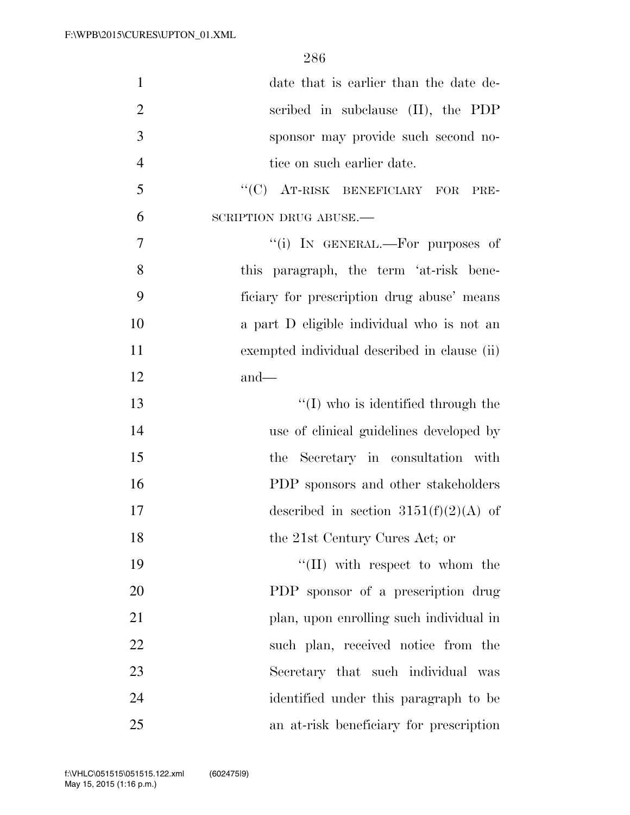| $\mathbf{1}$   | date that is earlier than the date de-       |
|----------------|----------------------------------------------|
| $\overline{2}$ | scribed in subclause (II), the PDP           |
| 3              | sponsor may provide such second no-          |
| $\overline{4}$ | tice on such earlier date.                   |
| 5              | "(C) AT-RISK BENEFICIARY FOR<br>PRE-         |
| 6              | SCRIPTION DRUG ABUSE.                        |
| $\overline{7}$ | "(i) IN GENERAL.—For purposes of             |
| 8              | this paragraph, the term 'at-risk bene-      |
| 9              | ficiary for prescription drug abuse' means   |
| 10             | a part D eligible individual who is not an   |
| 11             | exempted individual described in clause (ii) |
| 12             | $and$ —                                      |
| 13             | $\lq (I)$ who is identified through the      |
| 14             | use of clinical guidelines developed by      |
| 15             | the Secretary in consultation with           |
| 16             | PDP sponsors and other stakeholders          |
| 17             | described in section $3151(f)(2)(A)$ of      |
| 18             | the 21st Century Cures Act; or               |
| 19             | $\lq\lq$ (II) with respect to whom the       |
| 20             | PDP sponsor of a prescription drug           |
| 21             | plan, upon enrolling such individual in      |
| 22             | such plan, received notice from the          |
| 23             | Secretary that such individual was           |
| 24             | identified under this paragraph to be        |
| 25             | an at-risk beneficiary for prescription      |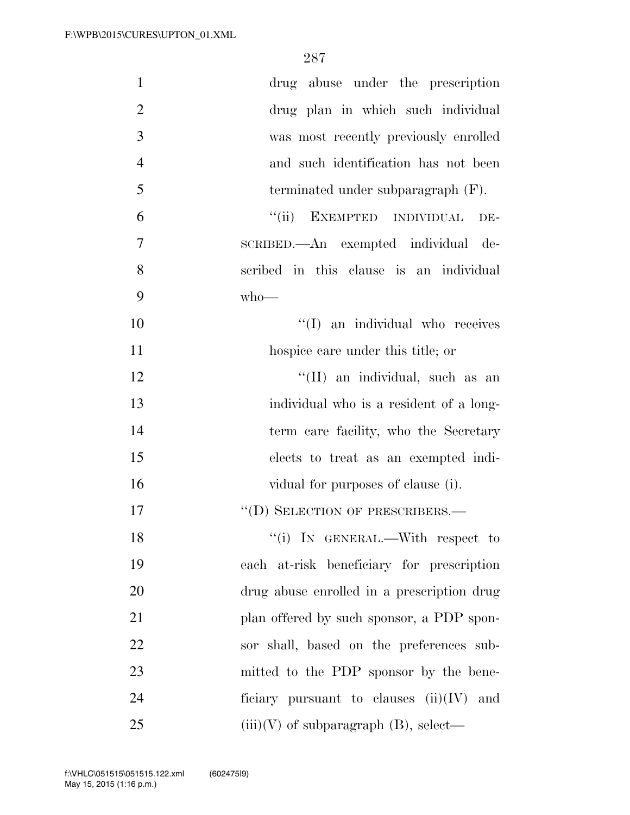| $\mathbf{1}$   | drug abuse under the prescription          |
|----------------|--------------------------------------------|
| $\overline{2}$ | drug plan in which such individual         |
| 3              | was most recently previously enrolled      |
| $\overline{4}$ | and such identification has not been       |
| 5              | terminated under subparagraph $(F)$ .      |
| 6              | ``(ii)<br>EXEMPTED INDIVIDUAL<br>DE-       |
| 7              | SCRIBED.—An exempted individual de-        |
| 8              | scribed in this clause is an individual    |
| 9              | $who$ —                                    |
| 10             | "(I) an individual who receives            |
| 11             | hospice care under this title; or          |
| 12             | "(II) an individual, such as an            |
| 13             | individual who is a resident of a long-    |
| 14             | term care facility, who the Secretary      |
| 15             | elects to treat as an exempted indi-       |
| 16             | vidual for purposes of clause (i).         |
| 17             | "(D) SELECTION OF PRESCRIBERS.—            |
| 18             | "(i) IN GENERAL.—With respect to           |
| 19             | each at-risk beneficiary for prescription  |
| 20             | drug abuse enrolled in a prescription drug |
| 21             | plan offered by such sponsor, a PDP spon-  |
| 22             | sor shall, based on the preferences sub-   |
| 23             | mitted to the PDP sponsor by the bene-     |
| 24             | ficiary pursuant to clauses $(ii)(IV)$ and |
| 25             | $(iii)(V)$ of subparagraph $(B)$ , select— |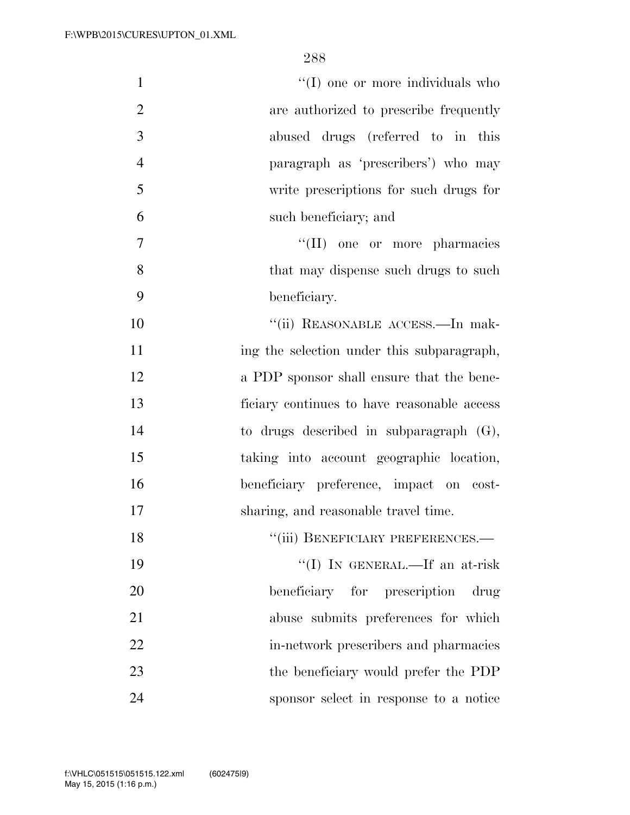| "(I) one or more individuals who<br>$\mathbf{1}$         |
|----------------------------------------------------------|
| $\overline{2}$<br>are authorized to prescribe frequently |
| 3<br>abused drugs (referred to in this                   |
| $\overline{4}$<br>paragraph as 'prescribers') who may    |
| 5<br>write prescriptions for such drugs for              |
| 6<br>such beneficiary; and                               |
| $\tau$<br>"(II) one or more pharmacies                   |
| 8<br>that may dispense such drugs to such                |
| 9<br>beneficiary.                                        |
| 10<br>"(ii) REASONABLE ACCESS.—In mak-                   |
| 11<br>ing the selection under this subparagraph,         |
| 12<br>a PDP sponsor shall ensure that the bene-          |
| 13<br>ficiary continues to have reasonable access        |
| 14<br>to drugs described in subparagraph $(G)$ ,         |
| 15<br>taking into account geographic location,           |
| 16<br>beneficiary preference, impact on cost-            |
| 17<br>sharing, and reasonable travel time.               |
| "(iii) BENEFICIARY PREFERENCES.-<br>18                   |
| 19<br>"(I) IN GENERAL.—If an at-risk                     |
| 20<br>beneficiary for prescription<br>drug               |
| 21<br>abuse submits preferences for which                |
| 22<br>in-network prescribers and pharmacies              |
| 23<br>the beneficiary would prefer the PDP               |
| 24<br>sponsor select in response to a notice             |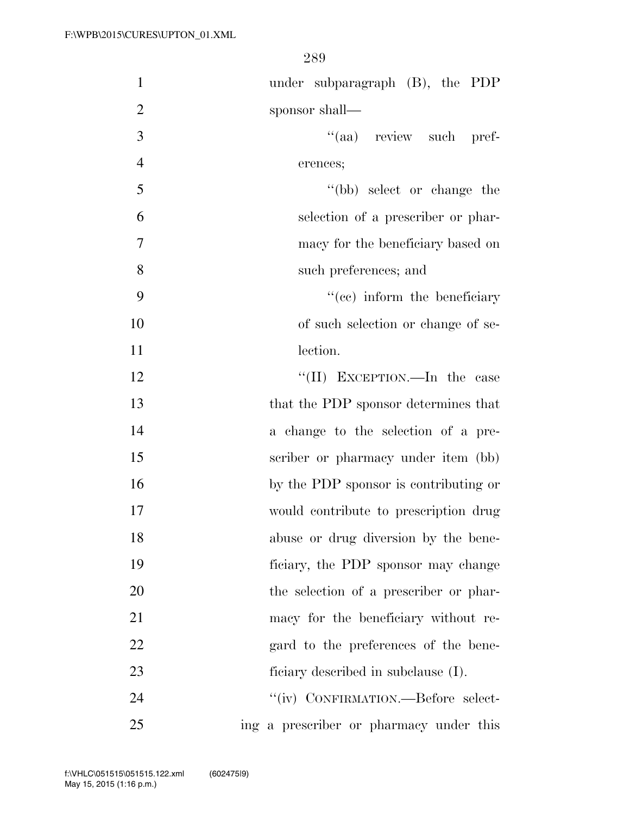| $\mathbf{1}$   | under subparagraph $(B)$ , the PDP      |
|----------------|-----------------------------------------|
| $\overline{2}$ | sponsor shall—                          |
| 3              | "(aa) review such pref-                 |
| $\overline{4}$ | erences;                                |
| 5              | "(bb) select or change the              |
| 6              | selection of a prescriber or phar-      |
| $\overline{7}$ | macy for the beneficiary based on       |
| 8              | such preferences; and                   |
| 9              | "(cc) inform the beneficiary            |
| 10             | of such selection or change of se-      |
| 11             | lection.                                |
| 12             | "(II) EXCEPTION.—In the case            |
| 13             | that the PDP sponsor determines that    |
| 14             | a change to the selection of a pre-     |
| 15             | scriber or pharmacy under item (bb)     |
| 16             | by the PDP sponsor is contributing or   |
| 17             | would contribute to prescription drug   |
| 18             | abuse or drug diversion by the bene-    |
| 19             | ficiary, the PDP sponsor may change     |
| 20             | the selection of a prescriber or phar-  |
| 21             | macy for the beneficiary without re-    |
| 22             | gard to the preferences of the bene-    |
| 23             | ficiary described in subclause (I).     |
| 24             | "(iv) CONFIRMATION.—Before select-      |
| 25             | ing a prescriber or pharmacy under this |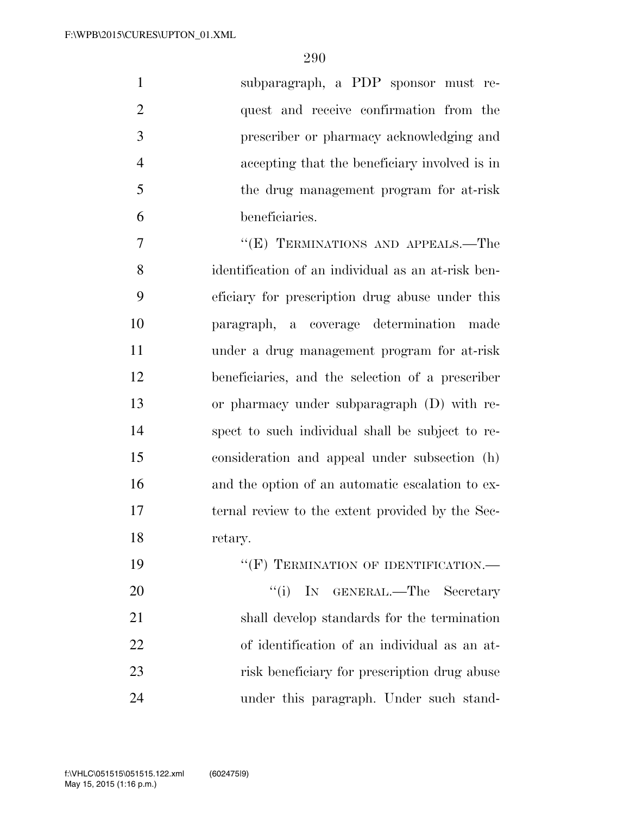| quest and receive confirmation from the<br>prescriber or pharmacy acknowledging and<br>accepting that the beneficiary involved is in<br>the drug management program for at-risk<br>"(E) TERMINATIONS AND APPEALS.—The<br>identification of an individual as an at-risk ben-<br>eficiary for prescription drug abuse under this<br>paragraph, a coverage determination made<br>under a drug management program for at-risk |
|---------------------------------------------------------------------------------------------------------------------------------------------------------------------------------------------------------------------------------------------------------------------------------------------------------------------------------------------------------------------------------------------------------------------------|
|                                                                                                                                                                                                                                                                                                                                                                                                                           |
|                                                                                                                                                                                                                                                                                                                                                                                                                           |
|                                                                                                                                                                                                                                                                                                                                                                                                                           |
|                                                                                                                                                                                                                                                                                                                                                                                                                           |
|                                                                                                                                                                                                                                                                                                                                                                                                                           |
|                                                                                                                                                                                                                                                                                                                                                                                                                           |
|                                                                                                                                                                                                                                                                                                                                                                                                                           |
|                                                                                                                                                                                                                                                                                                                                                                                                                           |
|                                                                                                                                                                                                                                                                                                                                                                                                                           |
|                                                                                                                                                                                                                                                                                                                                                                                                                           |
| beneficiaries, and the selection of a prescriber                                                                                                                                                                                                                                                                                                                                                                          |
| or pharmacy under subparagraph (D) with re-                                                                                                                                                                                                                                                                                                                                                                               |
| spect to such individual shall be subject to re-                                                                                                                                                                                                                                                                                                                                                                          |
| consideration and appeal under subsection (h)                                                                                                                                                                                                                                                                                                                                                                             |
| and the option of an automatic escalation to ex-                                                                                                                                                                                                                                                                                                                                                                          |
| ternal review to the extent provided by the Sec-                                                                                                                                                                                                                                                                                                                                                                          |
|                                                                                                                                                                                                                                                                                                                                                                                                                           |
| "(F) TERMINATION OF IDENTIFICATION.—                                                                                                                                                                                                                                                                                                                                                                                      |
|                                                                                                                                                                                                                                                                                                                                                                                                                           |
| GENERAL.—The Secretary                                                                                                                                                                                                                                                                                                                                                                                                    |
|                                                                                                                                                                                                                                                                                                                                                                                                                           |

 of identification of an individual as an at- risk beneficiary for prescription drug abuse under this paragraph. Under such stand-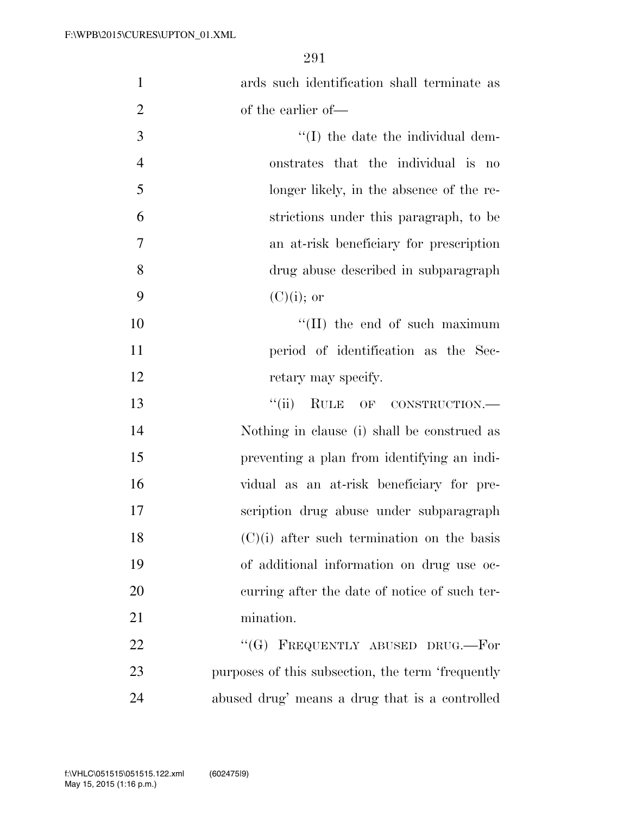| $\mathbf{1}$   | ards such identification shall terminate as       |
|----------------|---------------------------------------------------|
| $\overline{2}$ | of the earlier of-                                |
| 3              | $\lq\lq$ (I) the date the individual dem-         |
| $\overline{4}$ | onstrates that the individual is no               |
| 5              | longer likely, in the absence of the re-          |
| 6              | strictions under this paragraph, to be            |
| $\tau$         | an at-risk beneficiary for prescription           |
| 8              | drug abuse described in subparagraph              |
| 9              | $(C)(i)$ ; or                                     |
| 10             | $\lq\lq$ (II) the end of such maximum             |
| 11             | period of identification as the Sec-              |
| 12             | retary may specify.                               |
| 13             | ``(ii)<br>RULE OF CONSTRUCTION.                   |
| 14             | Nothing in clause (i) shall be construed as       |
| 15             | preventing a plan from identifying an indi-       |
| 16             | vidual as an at-risk beneficiary for pre-         |
| 17             | scription drug abuse under subparagraph           |
| 18             | $(C)(i)$ after such termination on the basis      |
| 19             | of additional information on drug use oc-         |
| 20             | curring after the date of notice of such ter-     |
| 21             | mination.                                         |
| 22             | "(G) FREQUENTLY ABUSED DRUG.—For                  |
| 23             | purposes of this subsection, the term 'frequently |
| 24             | abused drug' means a drug that is a controlled    |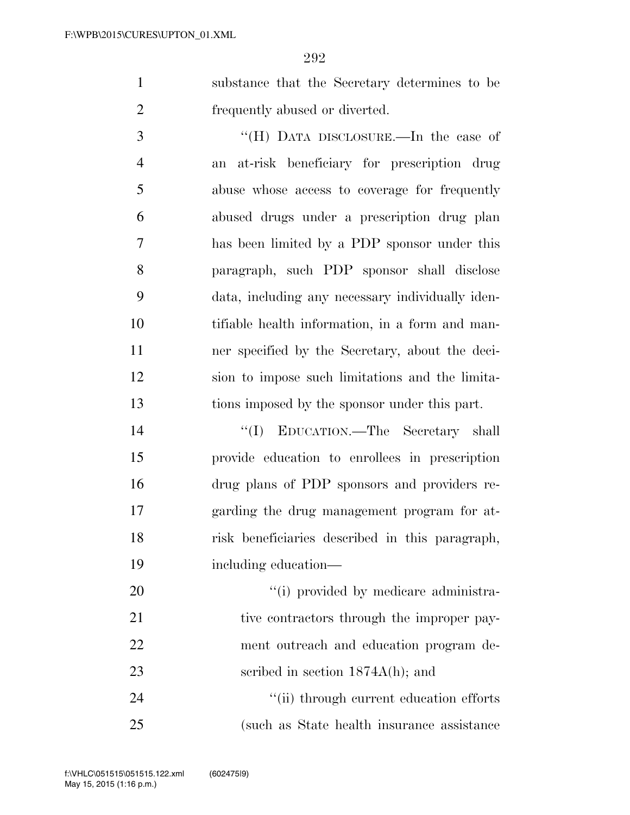substance that the Secretary determines to be frequently abused or diverted.

 ''(H) DATA DISCLOSURE.—In the case of an at-risk beneficiary for prescription drug abuse whose access to coverage for frequently abused drugs under a prescription drug plan has been limited by a PDP sponsor under this paragraph, such PDP sponsor shall disclose data, including any necessary individually iden- tifiable health information, in a form and man- ner specified by the Secretary, about the deci- sion to impose such limitations and the limita-tions imposed by the sponsor under this part.

 ''(I) EDUCATION.—The Secretary shall provide education to enrollees in prescription drug plans of PDP sponsors and providers re- garding the drug management program for at- risk beneficiaries described in this paragraph, including education—

20  $\frac{1}{1}$  provided by medicare administra-21 tive contractors through the improper pay- ment outreach and education program de-23 seribed in section  $1874A(h)$ ; and

24  $\frac{1}{2}$   $\frac{1}{2}$   $\frac{1}{2}$  through current education efforts (such as State health insurance assistance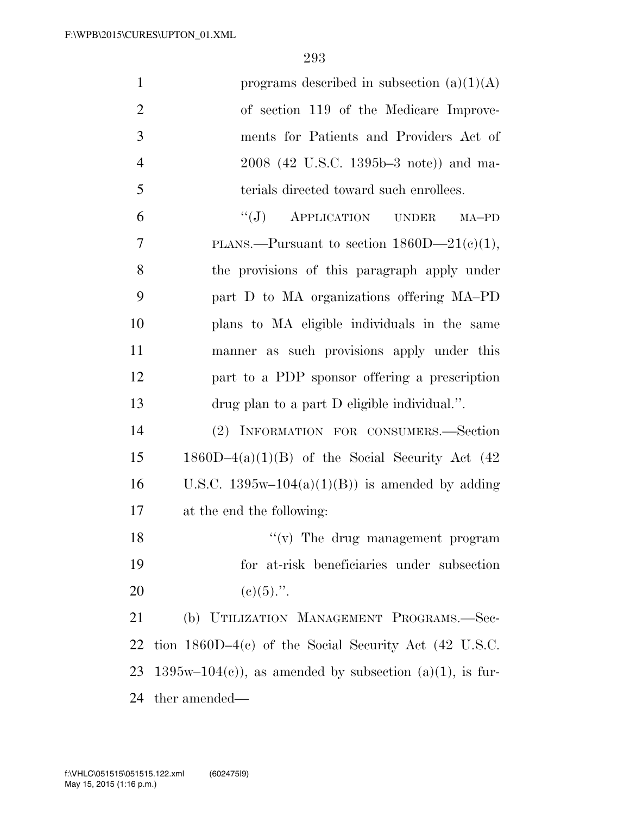| $\mathbf{1}$   | programs described in subsection $(a)(1)(A)$              |
|----------------|-----------------------------------------------------------|
| $\overline{2}$ | of section 119 of the Medicare Improve-                   |
| 3              | ments for Patients and Providers Act of                   |
| $\overline{4}$ | 2008 (42 U.S.C. 1395b–3 note)) and ma-                    |
| 5              | terials directed toward such enrollees.                   |
| 6              | "(J) APPLICATION UNDER<br>MA-PD                           |
| 7              | PLANS.—Pursuant to section $1860D-21(c)(1)$ ,             |
| 8              | the provisions of this paragraph apply under              |
| 9              | part D to MA organizations offering MA-PD                 |
| 10             | plans to MA eligible individuals in the same              |
| 11             | manner as such provisions apply under this                |
| 12             | part to a PDP sponsor offering a prescription             |
| 13             | drug plan to a part D eligible individual.".              |
| 14             | (2) INFORMATION FOR CONSUMERS.-Section                    |
| 15             | $1860D-4(a)(1)(B)$ of the Social Security Act (42)        |
| 16             | U.S.C. $1395w-104(a)(1)(B)$ is amended by adding          |
| 17             | at the end the following:                                 |
| 18             | $\lq\lq$ (v) The drug management program                  |
| 19             | for at-risk beneficiaries under subsection                |
| 20             | $(c)(5)$ .".                                              |
| 21             | (b) UTILIZATION MANAGEMENT PROGRAMS.-Sec-                 |
| 22             | tion $1860D-4(c)$ of the Social Security Act (42 U.S.C.   |
| 23             | $1395w-104(c)$ , as amended by subsection (a)(1), is fur- |
| 24             | ther amended—                                             |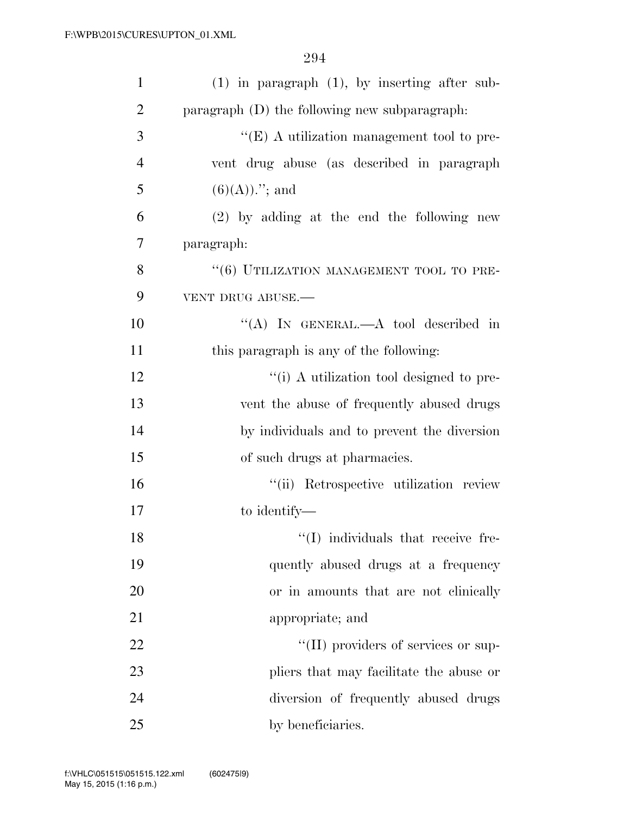| $\mathbf{1}$   | $(1)$ in paragraph $(1)$ , by inserting after sub- |
|----------------|----------------------------------------------------|
| $\overline{2}$ | paragraph (D) the following new subparagraph.      |
| 3              | " $(E)$ A utilization management tool to pre-      |
| $\overline{4}$ | vent drug abuse (as described in paragraph         |
| 5              | $(6)(A))$ ."; and                                  |
| 6              | $(2)$ by adding at the end the following new       |
| 7              | paragraph:                                         |
| 8              | "(6) UTILIZATION MANAGEMENT TOOL TO PRE-           |
| 9              | VENT DRUG ABUSE.                                   |
| 10             | "(A) IN GENERAL.—A tool described in               |
| 11             | this paragraph is any of the following:            |
| 12             | "(i) A utilization tool designed to pre-           |
| 13             | vent the abuse of frequently abused drugs          |
| 14             | by individuals and to prevent the diversion        |
| 15             | of such drugs at pharmacies.                       |
| 16             | "(ii) Retrospective utilization review             |
| 17             | to identify—                                       |
| 18             | $\lq(1)$ individuals that receive fre-             |
| 19             | quently abused drugs at a frequency                |
| 20             | or in amounts that are not clinically              |
| 21             | appropriate; and                                   |
| 22             | "(II) providers of services or sup-                |
| 23             | pliers that may facilitate the abuse or            |
| 24             | diversion of frequently abused drugs               |
| 25             | by beneficiaries.                                  |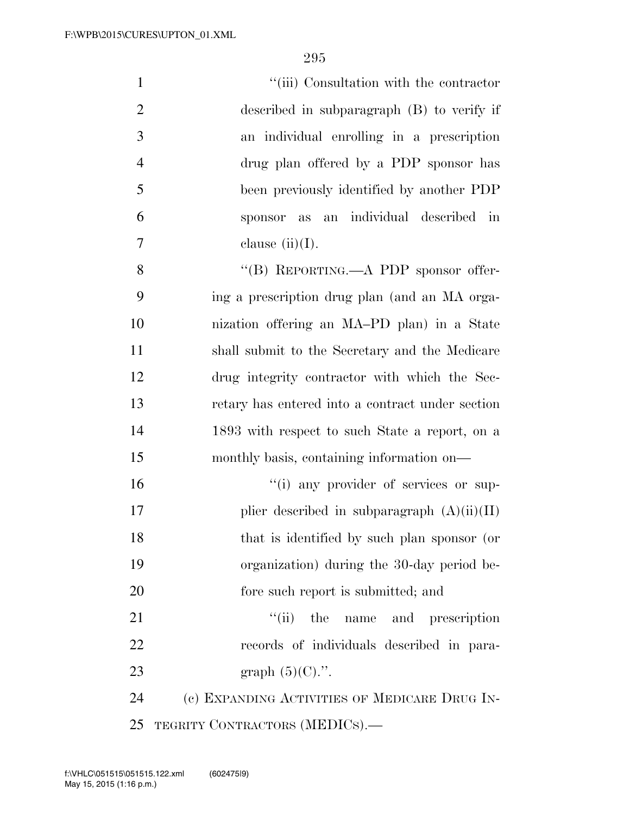| $\mathbf{1}$   | "(iii) Consultation with the contractor          |
|----------------|--------------------------------------------------|
| $\overline{2}$ | described in subparagraph (B) to verify if       |
| 3              | an individual enrolling in a prescription        |
| $\overline{4}$ | drug plan offered by a PDP sponsor has           |
| 5              | been previously identified by another PDP        |
| 6              | an individual described<br>in<br>sponsor<br>as   |
| 7              | clause $(ii)(I)$ .                               |
| 8              | "(B) REPORTING.—A PDP sponsor offer-             |
| 9              | ing a prescription drug plan (and an MA orga-    |
| 10             | nization offering an MA-PD plan) in a State      |
| 11             | shall submit to the Secretary and the Medicare   |
| 12             | drug integrity contractor with which the Sec-    |
| 13             | retary has entered into a contract under section |
| 14             | 1893 with respect to such State a report, on a   |
| 15             | monthly basis, containing information on—        |
| 16             | "(i) any provider of services or sup-            |
| 17             | plier described in subparagraph $(A)(ii)(II)$    |
| 18             | that is identified by such plan sponsor (or      |
| 19             | organization) during the 30-day period be-       |
| 20             | fore such report is submitted; and               |
| 21             | ``(ii)<br>the name and prescription              |
| 22             | records of individuals described in para-        |
| 23             | graph $(5)(C)$ .".                               |
| 24             | (c) EXPANDING ACTIVITIES OF MEDICARE DRUG IN-    |
| 25             | TEGRITY CONTRACTORS (MEDICS).-                   |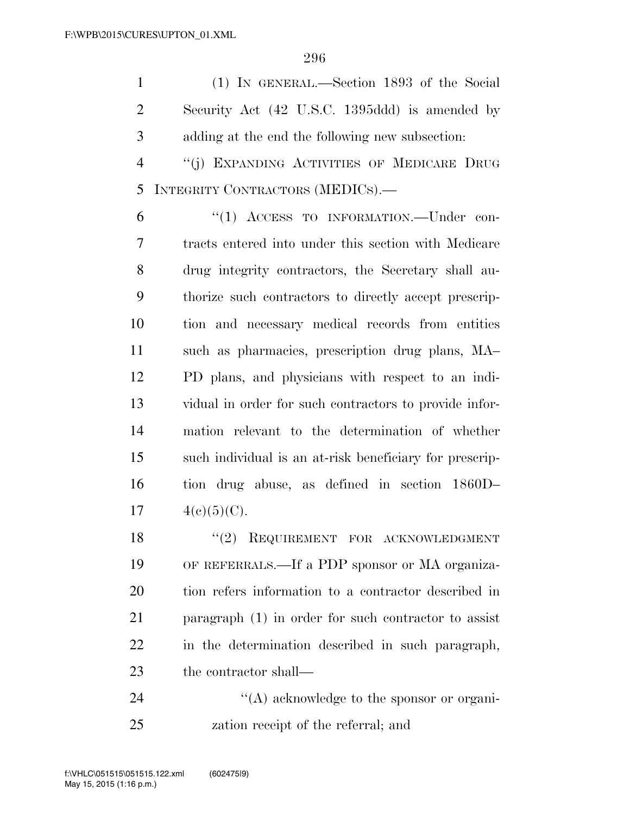(1) IN GENERAL.—Section 1893 of the Social Security Act (42 U.S.C. 1395ddd) is amended by adding at the end the following new subsection:

 ''(j) EXPANDING ACTIVITIES OF MEDICARE DRUG INTEGRITY CONTRACTORS (MEDICS).—

 ''(1) ACCESS TO INFORMATION.—Under con- tracts entered into under this section with Medicare drug integrity contractors, the Secretary shall au- thorize such contractors to directly accept prescrip- tion and necessary medical records from entities such as pharmacies, prescription drug plans, MA– PD plans, and physicians with respect to an indi- vidual in order for such contractors to provide infor- mation relevant to the determination of whether such individual is an at-risk beneficiary for prescrip- tion drug abuse, as defined in section 1860D–  $4(c)(5)(C)$ .

18 "(2) REQUIREMENT FOR ACKNOWLEDGMENT OF REFERRALS.—If a PDP sponsor or MA organiza- tion refers information to a contractor described in paragraph (1) in order for such contractor to assist in the determination described in such paragraph, the contractor shall—

24  $\langle (A) \rangle$  acknowledge to the sponsor or organi-zation receipt of the referral; and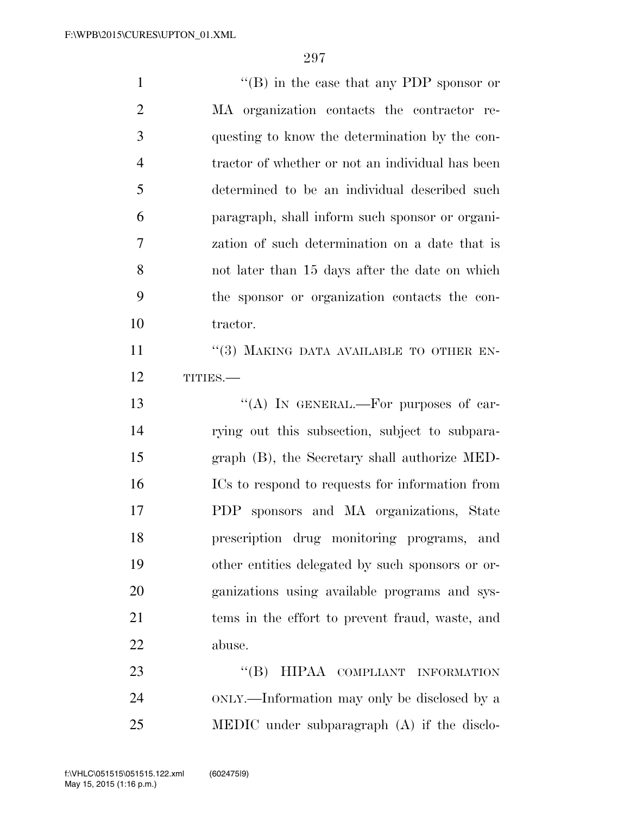| $\mathbf{1}$   | "(B) in the case that any PDP sponsor or         |
|----------------|--------------------------------------------------|
| $\overline{2}$ | MA organization contacts the contractor re-      |
| 3              | questing to know the determination by the con-   |
| $\overline{4}$ | tractor of whether or not an individual has been |
| 5              | determined to be an individual described such    |
| 6              | paragraph, shall inform such sponsor or organi-  |
| 7              | zation of such determination on a date that is   |
| 8              | not later than 15 days after the date on which   |
| 9              | the sponsor or organization contacts the con-    |
| 10             | tractor.                                         |
| 11             | "(3) MAKING DATA AVAILABLE TO OTHER EN-          |
| 12             | TITIES.-                                         |
|                |                                                  |
| 13             | "(A) IN GENERAL.—For purposes of car-            |
| 14             | rying out this subsection, subject to subpara-   |
| 15             | graph (B), the Secretary shall authorize MED-    |
| 16             | ICs to respond to requests for information from  |
| 17             | PDP sponsors and MA organizations, State         |
| 18             | prescription drug monitoring programs, and       |
| 19             | other entities delegated by such sponsors or or- |
| <b>20</b>      | ganizations using available programs and sys-    |
| 21             | tems in the effort to prevent fraud, waste, and  |
| 22             | abuse.                                           |
| 23             | HIPAA COMPLIANT INFORMATION<br>$\lq\lq (B)$      |

MEDIC under subparagraph (A) if the disclo-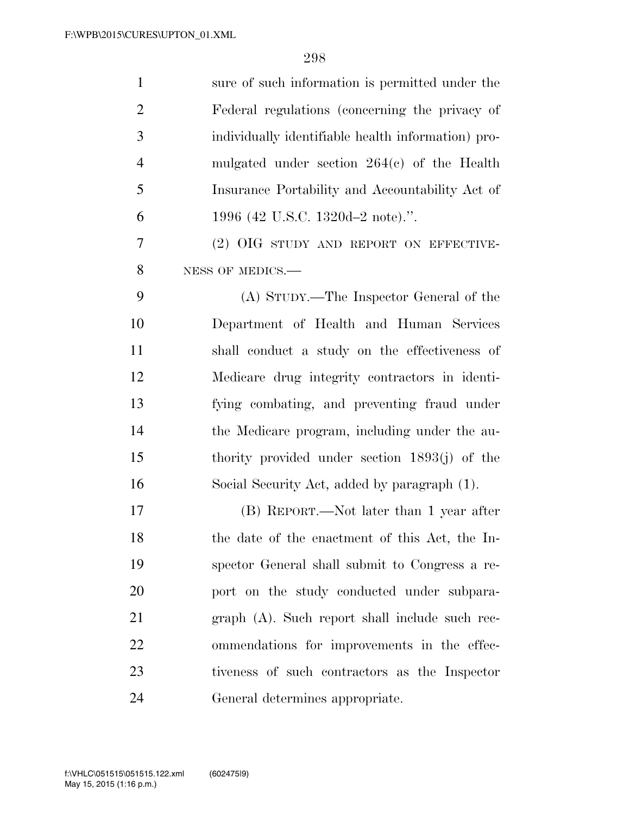| $\mathbf{1}$   | sure of such information is permitted under the    |
|----------------|----------------------------------------------------|
| $\overline{2}$ | Federal regulations (concerning the privacy of     |
| 3              | individually identifiable health information) pro- |
| $\overline{4}$ | mulgated under section $264(e)$ of the Health      |
| 5              | Insurance Portability and Accountability Act of    |
| 6              | 1996 (42 U.S.C. 1320d–2 note).".                   |
| 7              | (2) OIG STUDY AND REPORT ON EFFECTIVE-             |
| 8              | NESS OF MEDICS.-                                   |
| 9              | (A) STUDY.—The Inspector General of the            |
| 10             | Department of Health and Human Services            |
| 11             | shall conduct a study on the effectiveness of      |
| 12             | Medicare drug integrity contractors in identi-     |
| 13             | fying combating, and preventing fraud under        |
| 14             | the Medicare program, including under the au-      |
| 15             | thority provided under section $1893(j)$ of the    |
| 16             | Social Security Act, added by paragraph (1).       |
| 17             | (B) REPORT.—Not later than 1 year after            |
| 18             | the date of the enactment of this Act, the In-     |
| 19             | spector General shall submit to Congress a re-     |
| 20             | port on the study conducted under subpara-         |
| 21             | graph (A). Such report shall include such rec-     |
| 22             | ommendations for improvements in the effec-        |
| 23             | tiveness of such contractors as the Inspector      |
| 24             | General determines appropriate.                    |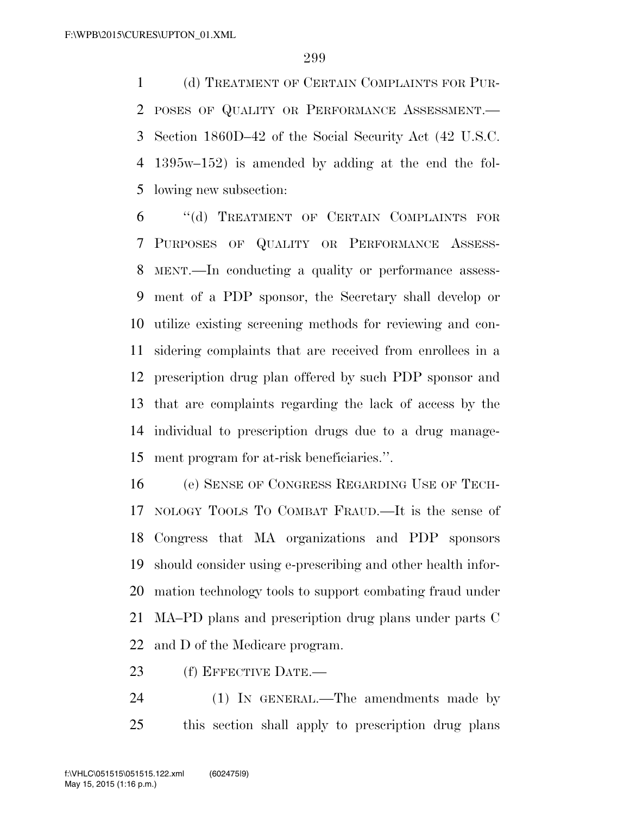(d) TREATMENT OF CERTAIN COMPLAINTS FOR PUR- POSES OF QUALITY OR PERFORMANCE ASSESSMENT.— Section 1860D–42 of the Social Security Act (42 U.S.C. 1395w–152) is amended by adding at the end the fol-lowing new subsection:

 ''(d) TREATMENT OF CERTAIN COMPLAINTS FOR PURPOSES OF QUALITY OR PERFORMANCE ASSESS- MENT.—In conducting a quality or performance assess- ment of a PDP sponsor, the Secretary shall develop or utilize existing screening methods for reviewing and con- sidering complaints that are received from enrollees in a prescription drug plan offered by such PDP sponsor and that are complaints regarding the lack of access by the individual to prescription drugs due to a drug manage-ment program for at-risk beneficiaries.''.

 (e) SENSE OF CONGRESS REGARDING USE OF TECH- NOLOGY TOOLS TO COMBAT FRAUD.—It is the sense of Congress that MA organizations and PDP sponsors should consider using e-prescribing and other health infor- mation technology tools to support combating fraud under MA–PD plans and prescription drug plans under parts C and D of the Medicare program.

(f) EFFECTIVE DATE.—

 (1) IN GENERAL.—The amendments made by this section shall apply to prescription drug plans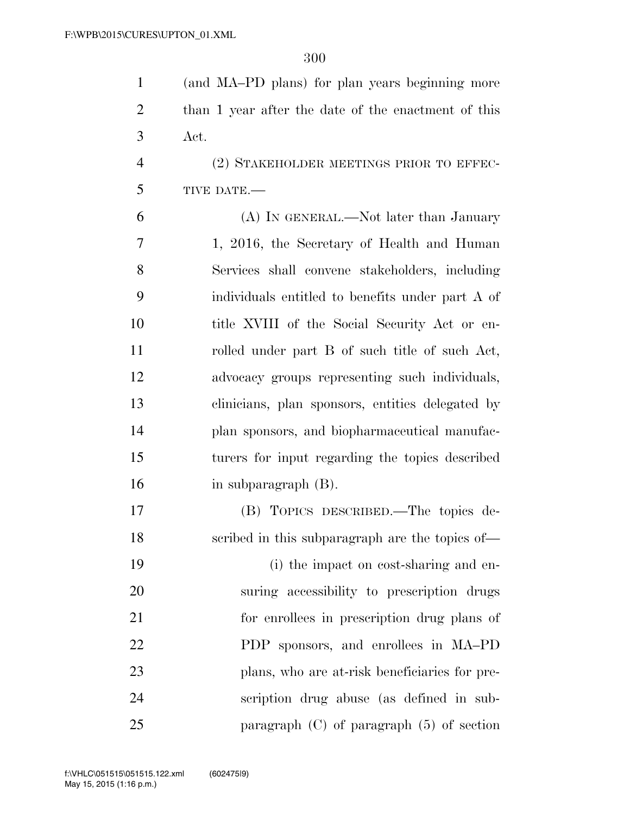| $\mathbf{1}$   | (and MA-PD plans) for plan years beginning more     |
|----------------|-----------------------------------------------------|
| $\overline{2}$ | than 1 year after the date of the enactment of this |
| 3              | Act.                                                |
| $\overline{4}$ | (2) STAKEHOLDER MEETINGS PRIOR TO EFFEC-            |
| 5              | TIVE DATE.-                                         |
| 6              | (A) IN GENERAL.—Not later than January              |
| 7              | 1, 2016, the Secretary of Health and Human          |
| 8              | Services shall convene stakeholders, including      |
| 9              | individuals entitled to benefits under part A of    |
| 10             | title XVIII of the Social Security Act or en-       |
| 11             | rolled under part B of such title of such Act,      |
| 12             | advocacy groups representing such individuals,      |
| 13             | clinicians, plan sponsors, entities delegated by    |
| 14             | plan sponsors, and biopharmaceutical manufac-       |
| 15             | turers for input regarding the topics described     |
| 16             | in subparagraph (B).                                |
| 17             | (B) TOPICS DESCRIBED.—The topics de-                |
| 18             | scribed in this subparagraph are the topics of—     |
| 19             | (i) the impact on cost-sharing and en-              |
| 20             | suring accessibility to prescription drugs          |
| 21             | for enrollees in prescription drug plans of         |
| 22             | PDP sponsors, and enrollees in MA-PD                |
| 23             | plans, who are at-risk beneficiaries for pre-       |
| 24             | scription drug abuse (as defined in sub-            |
| 25             | paragraph $(C)$ of paragraph $(5)$ of section       |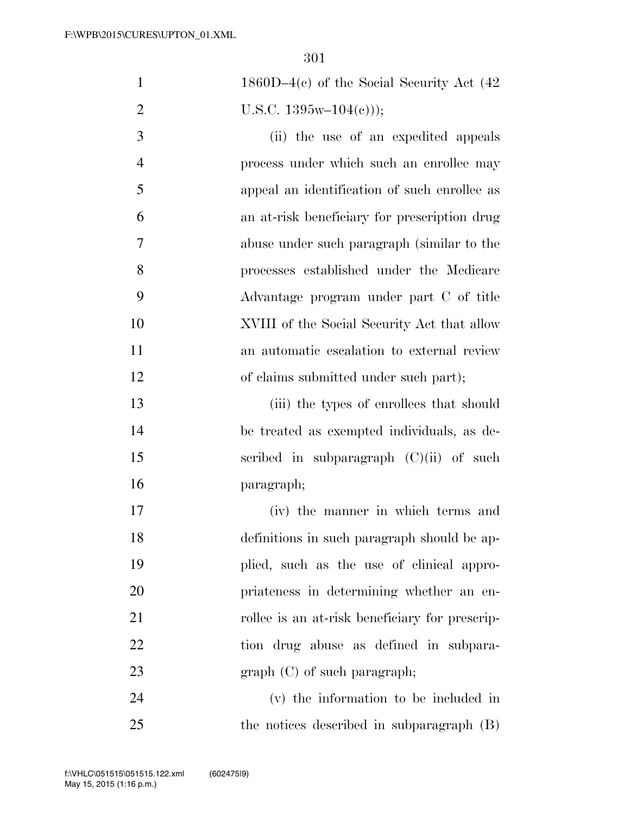| $\mathbf{1}$   | $1860D-4(c)$ of the Social Security Act (42)   |
|----------------|------------------------------------------------|
| $\overline{2}$ | U.S.C. $1395w-104(e))$ ;                       |
| 3              | (ii) the use of an expedited appeals           |
| $\overline{4}$ | process under which such an enrollee may       |
| 5              | appeal an identification of such enrollee as   |
| 6              | an at-risk beneficiary for prescription drug   |
| 7              | abuse under such paragraph (similar to the     |
| 8              | processes established under the Medicare       |
| 9              | Advantage program under part C of title        |
| 10             | XVIII of the Social Security Act that allow    |
| 11             | an automatic escalation to external review     |
| 12             | of claims submitted under such part);          |
| 13             | (iii) the types of enrollees that should       |
| 14             | be treated as exempted individuals, as de-     |
| 15             | scribed in subparagraph $(C)(ii)$ of such      |
| 16             | paragraph;                                     |
| 17             | (iv) the manner in which terms and             |
| 18             | definitions in such paragraph should be ap-    |
| 19             | plied, such as the use of clinical appro-      |
| 20             | priateness in determining whether an en-       |
| 21             | rollee is an at-risk beneficiary for prescrip- |
| 22             | tion drug abuse as defined in subpara-         |
| 23             | $graph (C)$ of such paragraph;                 |
| 24             | (v) the information to be included in          |
| 25             | the notices described in subparagraph (B)      |